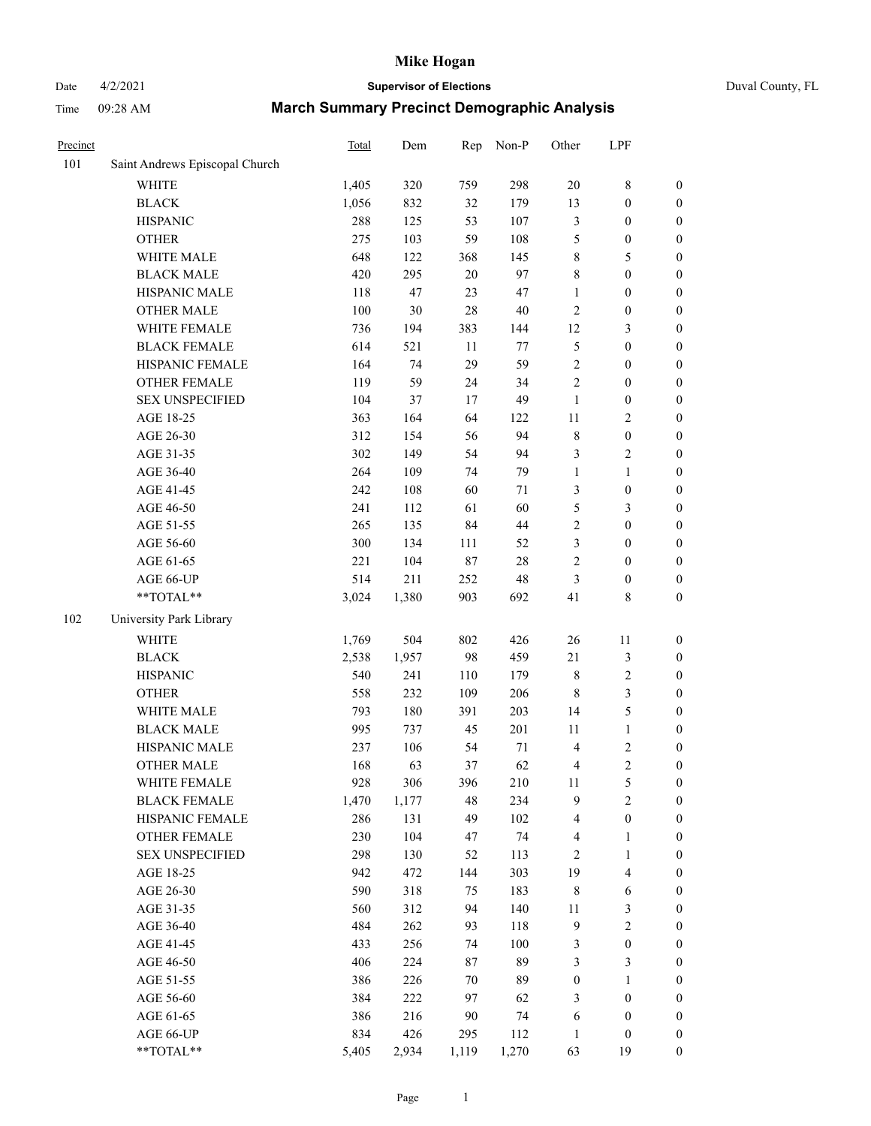# Date 4/2/2021 **Supervisor of Elections** Duval County, FL

| Precinct |                                | <b>Total</b> | Dem    | Rep    | Non-P  | Other            | LPF              |                  |
|----------|--------------------------------|--------------|--------|--------|--------|------------------|------------------|------------------|
| 101      | Saint Andrews Episcopal Church |              |        |        |        |                  |                  |                  |
|          | <b>WHITE</b>                   | 1,405        | 320    | 759    | 298    | $20\,$           | $\,$ 8 $\,$      | 0                |
|          | <b>BLACK</b>                   | 1,056        | 832    | 32     | 179    | 13               | $\boldsymbol{0}$ | 0                |
|          | <b>HISPANIC</b>                | 288          | 125    | 53     | 107    | 3                | $\boldsymbol{0}$ | $\boldsymbol{0}$ |
|          | <b>OTHER</b>                   | 275          | 103    | 59     | 108    | 5                | $\boldsymbol{0}$ | $\boldsymbol{0}$ |
|          | WHITE MALE                     | 648          | 122    | 368    | 145    | 8                | 5                | $\boldsymbol{0}$ |
|          | <b>BLACK MALE</b>              | 420          | 295    | 20     | 97     | 8                | $\boldsymbol{0}$ | $\boldsymbol{0}$ |
|          | HISPANIC MALE                  | 118          | 47     | 23     | 47     | 1                | $\boldsymbol{0}$ | $\boldsymbol{0}$ |
|          | <b>OTHER MALE</b>              | 100          | $30\,$ | 28     | $40\,$ | 2                | $\boldsymbol{0}$ | $\boldsymbol{0}$ |
|          | WHITE FEMALE                   | 736          | 194    | 383    | 144    | 12               | $\mathfrak{Z}$   | $\boldsymbol{0}$ |
|          | <b>BLACK FEMALE</b>            | 614          | 521    | $11\,$ | 77     | 5                | $\boldsymbol{0}$ | $\boldsymbol{0}$ |
|          | HISPANIC FEMALE                | 164          | 74     | 29     | 59     | $\overline{c}$   | $\boldsymbol{0}$ | $\boldsymbol{0}$ |
|          | <b>OTHER FEMALE</b>            | 119          | 59     | 24     | 34     | $\overline{2}$   | $\boldsymbol{0}$ | $\boldsymbol{0}$ |
|          | <b>SEX UNSPECIFIED</b>         | 104          | 37     | 17     | 49     | $\mathbf{1}$     | $\boldsymbol{0}$ | $\boldsymbol{0}$ |
|          | AGE 18-25                      | 363          | 164    | 64     | 122    | $11\,$           | $\sqrt{2}$       | $\boldsymbol{0}$ |
|          | AGE 26-30                      | 312          | 154    | 56     | 94     | 8                | $\boldsymbol{0}$ | $\boldsymbol{0}$ |
|          | AGE 31-35                      | 302          | 149    | 54     | 94     | 3                | $\sqrt{2}$       | $\boldsymbol{0}$ |
|          | AGE 36-40                      | 264          | 109    | 74     | 79     | $\mathbf{1}$     | $\mathbf{1}$     | $\boldsymbol{0}$ |
|          | AGE 41-45                      | 242          | 108    | 60     | $71\,$ | 3                | $\boldsymbol{0}$ | $\boldsymbol{0}$ |
|          | AGE 46-50                      | 241          | 112    | 61     | 60     | 5                | $\mathfrak{Z}$   | $\boldsymbol{0}$ |
|          | AGE 51-55                      | 265          | 135    | 84     | $44\,$ | $\overline{c}$   | $\boldsymbol{0}$ | $\boldsymbol{0}$ |
|          | AGE 56-60                      | 300          | 134    | 111    | 52     | 3                | $\boldsymbol{0}$ | $\boldsymbol{0}$ |
|          | AGE 61-65                      | 221          | 104    | $87\,$ | $28\,$ | 2                | $\boldsymbol{0}$ | $\boldsymbol{0}$ |
|          | AGE 66-UP                      | 514          | 211    | 252    | 48     | 3                | $\boldsymbol{0}$ | $\boldsymbol{0}$ |
|          | $**TOTAL**$                    | 3,024        | 1,380  | 903    | 692    | 41               | $\,$ 8 $\,$      | $\boldsymbol{0}$ |
| 102      | University Park Library        |              |        |        |        |                  |                  |                  |
|          | <b>WHITE</b>                   | 1,769        | 504    | 802    | 426    | 26               | 11               | $\boldsymbol{0}$ |
|          | <b>BLACK</b>                   | 2,538        | 1,957  | 98     | 459    | 21               | $\mathfrak{Z}$   | $\boldsymbol{0}$ |
|          | <b>HISPANIC</b>                | 540          | 241    | 110    | 179    | $\,$ $\,$        | $\sqrt{2}$       | $\boldsymbol{0}$ |
|          | <b>OTHER</b>                   | 558          | 232    | 109    | 206    | 8                | 3                | $\boldsymbol{0}$ |
|          | WHITE MALE                     | 793          | 180    | 391    | 203    | 14               | 5                | $\boldsymbol{0}$ |
|          | <b>BLACK MALE</b>              | 995          | 737    | 45     | 201    | 11               | $\mathbf{1}$     | $\boldsymbol{0}$ |
|          | HISPANIC MALE                  | 237          | 106    | 54     | 71     | 4                | $\sqrt{2}$       | $\boldsymbol{0}$ |
|          | <b>OTHER MALE</b>              | 168          | 63     | 37     | 62     | 4                | $\overline{2}$   | $\boldsymbol{0}$ |
|          | WHITE FEMALE                   | 928          | 306    | 396    | 210    | 11               | 5                | 0                |
|          | <b>BLACK FEMALE</b>            | 1,470        | 1,177  | 48     | 234    | 9                | $\sqrt{2}$       | $\boldsymbol{0}$ |
|          | HISPANIC FEMALE                | 286          | 131    | 49     | 102    | 4                | $\boldsymbol{0}$ | $\overline{0}$   |
|          | <b>OTHER FEMALE</b>            | 230          | 104    | 47     | 74     | 4                | $\mathbf{1}$     | $\overline{0}$   |
|          | <b>SEX UNSPECIFIED</b>         | 298          | 130    | 52     | 113    | 2                | $\mathbf{1}$     | 0                |
|          | AGE 18-25                      | 942          | 472    | 144    | 303    | 19               | $\overline{4}$   | 0                |
|          | AGE 26-30                      | 590          | 318    | 75     | 183    | $\,$ 8 $\,$      | $\sqrt{6}$       | 0                |
|          | AGE 31-35                      | 560          | 312    | 94     | 140    | $11\,$           | $\mathfrak z$    | 0                |
|          | AGE 36-40                      | 484          | 262    | 93     | 118    | 9                | $\sqrt{2}$       | 0                |
|          | AGE 41-45                      | 433          | 256    | 74     | 100    | 3                | $\boldsymbol{0}$ | 0                |
|          | AGE 46-50                      | 406          | 224    | 87     | 89     | 3                | 3                | 0                |
|          | AGE 51-55                      | 386          | 226    | $70\,$ | 89     | $\boldsymbol{0}$ | $\mathbf{1}$     | 0                |
|          | AGE 56-60                      | 384          | 222    | 97     | 62     | 3                | $\boldsymbol{0}$ | 0                |
|          | AGE 61-65                      | 386          | 216    | 90     | 74     | 6                | $\boldsymbol{0}$ | 0                |
|          | AGE 66-UP                      | 834          | 426    | 295    | 112    | $\mathbf{1}$     | $\boldsymbol{0}$ | 0                |
|          | $**TOTAL**$                    | 5,405        | 2,934  | 1,119  | 1,270  | 63               | 19               | $\boldsymbol{0}$ |
|          |                                |              |        |        |        |                  |                  |                  |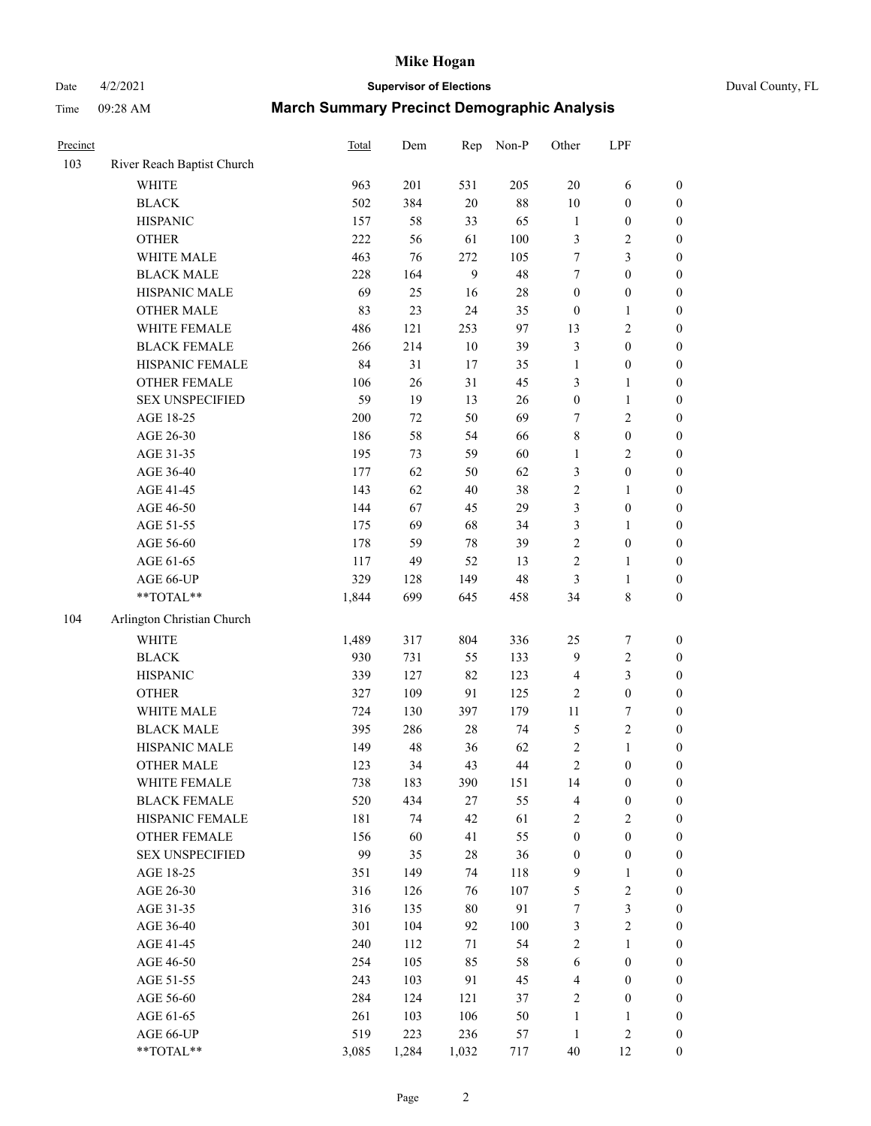# Date 4/2/2021 **Supervisor of Elections** Duval County, FL

| Precinct |                                                           | <b>Total</b> | Dem   | Rep    | Non-P   | Other                   | LPF              |                  |
|----------|-----------------------------------------------------------|--------------|-------|--------|---------|-------------------------|------------------|------------------|
| 103      | River Reach Baptist Church                                |              |       |        |         |                         |                  |                  |
|          | <b>WHITE</b>                                              | 963          | 201   | 531    | 205     | $20\,$                  | 6                | 0                |
|          | <b>BLACK</b>                                              | 502          | 384   | $20\,$ | $88\,$  | $10\,$                  | $\boldsymbol{0}$ | 0                |
|          | <b>HISPANIC</b>                                           | 157          | 58    | 33     | 65      | $\mathbf{1}$            | $\boldsymbol{0}$ | $\boldsymbol{0}$ |
|          | <b>OTHER</b>                                              | 222          | 56    | 61     | 100     | 3                       | $\sqrt{2}$       | $\boldsymbol{0}$ |
|          | WHITE MALE                                                | 463          | 76    | 272    | 105     | 7                       | 3                | $\boldsymbol{0}$ |
|          | <b>BLACK MALE</b>                                         | 228          | 164   | 9      | 48      | 7                       | $\boldsymbol{0}$ | $\boldsymbol{0}$ |
|          | HISPANIC MALE                                             | 69           | 25    | 16     | $28\,$  | $\boldsymbol{0}$        | $\boldsymbol{0}$ | $\boldsymbol{0}$ |
|          | <b>OTHER MALE</b>                                         | 83           | 23    | 24     | 35      | $\boldsymbol{0}$        | $\mathbf{1}$     | $\boldsymbol{0}$ |
|          | WHITE FEMALE                                              | 486          | 121   | 253    | 97      | 13                      | $\sqrt{2}$       | $\boldsymbol{0}$ |
|          | <b>BLACK FEMALE</b>                                       | 266          | 214   | $10\,$ | 39      | 3                       | $\boldsymbol{0}$ | $\boldsymbol{0}$ |
|          | HISPANIC FEMALE                                           | 84           | 31    | 17     | 35      | $\mathbf{1}$            | $\boldsymbol{0}$ | $\boldsymbol{0}$ |
|          | <b>OTHER FEMALE</b>                                       | 106          | 26    | 31     | 45      | 3                       | $\mathbf{1}$     | $\boldsymbol{0}$ |
|          | <b>SEX UNSPECIFIED</b>                                    | 59           | 19    | 13     | $26\,$  | $\boldsymbol{0}$        | $\mathbf{1}$     | $\boldsymbol{0}$ |
|          | AGE 18-25                                                 | 200          | 72    | 50     | 69      | 7                       | $\sqrt{2}$       | $\boldsymbol{0}$ |
|          | AGE 26-30                                                 | 186          | 58    | 54     | 66      | 8                       | $\boldsymbol{0}$ | $\boldsymbol{0}$ |
|          | AGE 31-35                                                 | 195          | 73    | 59     | 60      | $\mathbf{1}$            | $\sqrt{2}$       | $\boldsymbol{0}$ |
|          | AGE 36-40                                                 | 177          | 62    | 50     | 62      | 3                       | $\boldsymbol{0}$ | $\boldsymbol{0}$ |
|          | AGE 41-45                                                 | 143          | 62    | $40\,$ | 38      | $\overline{c}$          | $\mathbf{1}$     | $\boldsymbol{0}$ |
|          | AGE 46-50                                                 | 144          | 67    | 45     | 29      | 3                       | $\boldsymbol{0}$ | $\boldsymbol{0}$ |
|          | AGE 51-55                                                 | 175          | 69    | 68     | 34      | 3                       | 1                | 0                |
|          | AGE 56-60                                                 | 178          | 59    | $78\,$ | 39      | $\overline{c}$          | $\boldsymbol{0}$ | 0                |
|          | AGE 61-65                                                 | 117          | 49    | 52     | 13      | $\overline{c}$          | $\mathbf{1}$     | 0                |
|          | AGE 66-UP                                                 | 329          | 128   | 149    | 48      | 3                       | $\mathbf{1}$     | $\boldsymbol{0}$ |
|          | $\mathrm{*}\mathrm{*}\mathrm{TOTAL} \mathrm{*}\mathrm{*}$ | 1,844        | 699   | 645    | 458     | 34                      | $\,$ $\,$        | $\boldsymbol{0}$ |
| 104      | Arlington Christian Church                                |              |       |        |         |                         |                  |                  |
|          | <b>WHITE</b>                                              | 1,489        | 317   | 804    | 336     | $25\,$                  | $\boldsymbol{7}$ | $\boldsymbol{0}$ |
|          | <b>BLACK</b>                                              | 930          | 731   | 55     | 133     | 9                       | $\sqrt{2}$       | $\boldsymbol{0}$ |
|          | <b>HISPANIC</b>                                           | 339          | 127   | 82     | 123     | 4                       | 3                | $\boldsymbol{0}$ |
|          | <b>OTHER</b>                                              | 327          | 109   | 91     | 125     | 2                       | $\boldsymbol{0}$ | $\boldsymbol{0}$ |
|          | WHITE MALE                                                | 724          | 130   | 397    | 179     | $11\,$                  | $\boldsymbol{7}$ | $\boldsymbol{0}$ |
|          | <b>BLACK MALE</b>                                         | 395          | 286   | $28\,$ | 74      | 5                       | $\sqrt{2}$       | $\boldsymbol{0}$ |
|          | HISPANIC MALE                                             | 149          | 48    | 36     | 62      | $\overline{\mathbf{c}}$ | $\mathbf{1}$     | $\boldsymbol{0}$ |
|          | <b>OTHER MALE</b>                                         | 123          | 34    | 43     | $44\,$  | $\overline{c}$          | $\boldsymbol{0}$ | $\boldsymbol{0}$ |
|          | WHITE FEMALE                                              | 738          | 183   | 390    | 151     | 14                      | 0                | 0                |
|          | <b>BLACK FEMALE</b>                                       | 520          | 434   | 27     | 55      | 4                       | $\boldsymbol{0}$ | $\overline{0}$   |
|          | HISPANIC FEMALE                                           | 181          | 74    | 42     | 61      | 2                       | $\sqrt{2}$       | $\overline{0}$   |
|          | OTHER FEMALE                                              | 156          | 60    | 41     | 55      | $\boldsymbol{0}$        | $\boldsymbol{0}$ | $\overline{0}$   |
|          | <b>SEX UNSPECIFIED</b>                                    | 99           | 35    | 28     | 36      | $\boldsymbol{0}$        | $\boldsymbol{0}$ | 0                |
|          | AGE 18-25                                                 | 351          | 149   | 74     | 118     | 9                       | $\mathbf{1}$     | 0                |
|          | AGE 26-30                                                 | 316          | 126   | 76     | 107     | 5                       | $\sqrt{2}$       | 0                |
|          | AGE 31-35                                                 | 316          | 135   | $80\,$ | 91      | $\boldsymbol{7}$        | $\mathfrak{Z}$   | 0                |
|          | AGE 36-40                                                 | 301          | 104   | 92     | $100\,$ | 3                       | $\sqrt{2}$       | 0                |
|          | AGE 41-45                                                 | 240          | 112   | 71     | 54      | 2                       | $\mathbf{1}$     | 0                |
|          | AGE 46-50                                                 | 254          | 105   | 85     | 58      | 6                       | $\boldsymbol{0}$ | 0                |
|          | AGE 51-55                                                 | 243          | 103   | 91     | 45      | 4                       | $\boldsymbol{0}$ | 0                |
|          | AGE 56-60                                                 | 284          | 124   | 121    | 37      | 2                       | $\boldsymbol{0}$ | $\overline{0}$   |
|          | AGE 61-65                                                 | 261          | 103   | 106    | 50      | $\mathbf{1}$            | $\mathbf{1}$     | 0                |
|          | AGE 66-UP                                                 | 519          | 223   | 236    | 57      | $\mathbf{1}$            | $\sqrt{2}$       | 0                |
|          | **TOTAL**                                                 | 3,085        | 1,284 | 1,032  | 717     | $40\,$                  | 12               | $\boldsymbol{0}$ |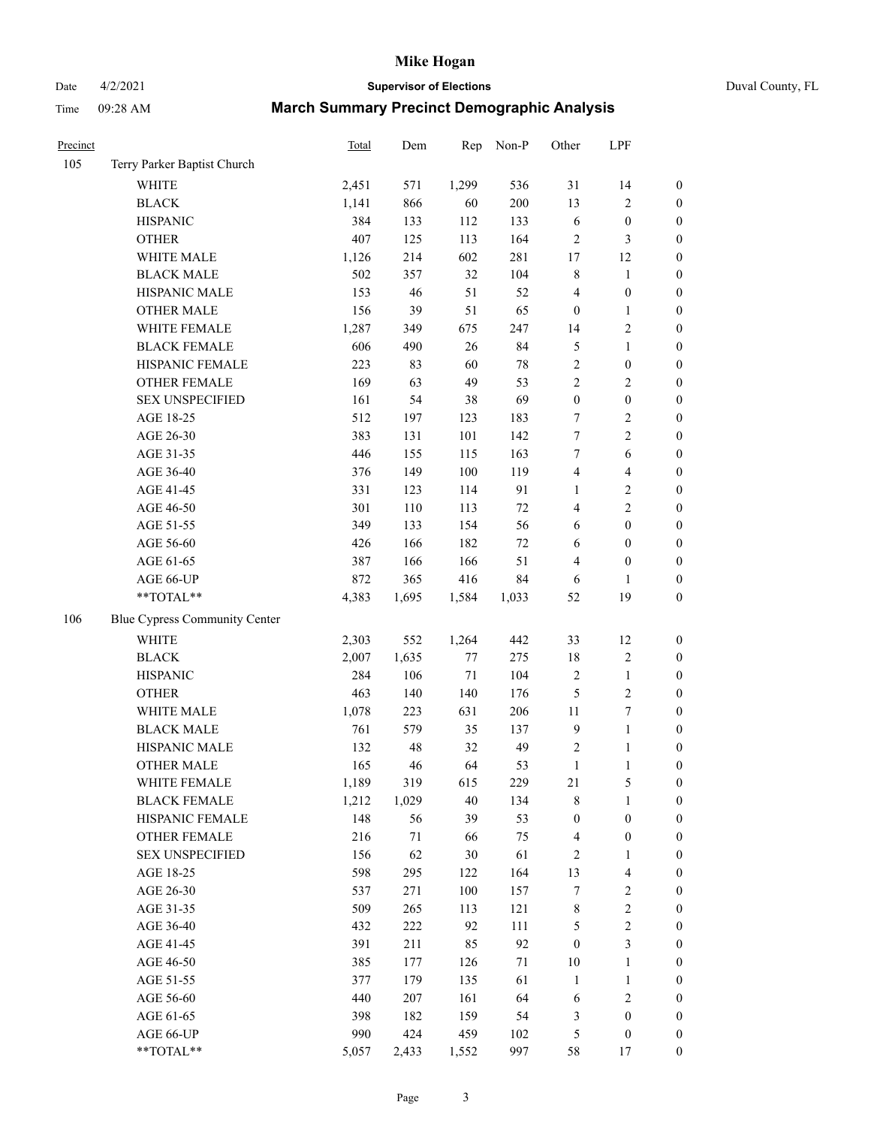Date 4/2/2021 **Supervisor of Elections** Duval County, FL

| Precinct |                               | Total | Dem    | Rep   | Non-P  | Other            | LPF                     |                  |
|----------|-------------------------------|-------|--------|-------|--------|------------------|-------------------------|------------------|
| 105      | Terry Parker Baptist Church   |       |        |       |        |                  |                         |                  |
|          | <b>WHITE</b>                  | 2,451 | 571    | 1,299 | 536    | 31               | 14                      | $\boldsymbol{0}$ |
|          | <b>BLACK</b>                  | 1,141 | 866    | 60    | 200    | 13               | $\sqrt{2}$              | $\boldsymbol{0}$ |
|          | <b>HISPANIC</b>               | 384   | 133    | 112   | 133    | 6                | $\boldsymbol{0}$        | $\boldsymbol{0}$ |
|          | <b>OTHER</b>                  | 407   | 125    | 113   | 164    | $\sqrt{2}$       | $\mathfrak{Z}$          | $\boldsymbol{0}$ |
|          | WHITE MALE                    | 1,126 | 214    | 602   | 281    | 17               | 12                      | $\boldsymbol{0}$ |
|          | <b>BLACK MALE</b>             | 502   | 357    | 32    | 104    | 8                | $\mathbf{1}$            | $\boldsymbol{0}$ |
|          | HISPANIC MALE                 | 153   | 46     | 51    | 52     | 4                | $\boldsymbol{0}$        | $\boldsymbol{0}$ |
|          | <b>OTHER MALE</b>             | 156   | 39     | 51    | 65     | $\boldsymbol{0}$ | $\mathbf{1}$            | $\boldsymbol{0}$ |
|          | WHITE FEMALE                  | 1,287 | 349    | 675   | 247    | 14               | $\sqrt{2}$              | $\boldsymbol{0}$ |
|          | <b>BLACK FEMALE</b>           | 606   | 490    | 26    | 84     | 5                | $\mathbf{1}$            | 0                |
|          | HISPANIC FEMALE               | 223   | 83     | 60    | $78\,$ | $\sqrt{2}$       | $\boldsymbol{0}$        | $\boldsymbol{0}$ |
|          | OTHER FEMALE                  | 169   | 63     | 49    | 53     | $\sqrt{2}$       | $\sqrt{2}$              | $\boldsymbol{0}$ |
|          | <b>SEX UNSPECIFIED</b>        | 161   | 54     | 38    | 69     | $\boldsymbol{0}$ | $\boldsymbol{0}$        | $\boldsymbol{0}$ |
|          | AGE 18-25                     | 512   | 197    | 123   | 183    | 7                | $\sqrt{2}$              | $\boldsymbol{0}$ |
|          | AGE 26-30                     | 383   | 131    | 101   | 142    | $\tau$           | $\overline{2}$          | $\boldsymbol{0}$ |
|          | AGE 31-35                     | 446   | 155    | 115   | 163    | $\boldsymbol{7}$ | $\sqrt{6}$              | $\boldsymbol{0}$ |
|          | AGE 36-40                     | 376   | 149    | 100   | 119    | 4                | $\overline{\mathbf{4}}$ | $\boldsymbol{0}$ |
|          | AGE 41-45                     | 331   | 123    | 114   | 91     | $\mathbf{1}$     | $\sqrt{2}$              | $\boldsymbol{0}$ |
|          | AGE 46-50                     | 301   | 110    | 113   | $72\,$ | 4                | $\overline{2}$          | $\boldsymbol{0}$ |
|          | AGE 51-55                     | 349   | 133    | 154   | 56     | 6                | $\boldsymbol{0}$        | 0                |
|          | AGE 56-60                     | 426   | 166    | 182   | 72     | 6                | $\boldsymbol{0}$        | $\boldsymbol{0}$ |
|          | AGE 61-65                     | 387   | 166    | 166   | 51     | 4                | $\boldsymbol{0}$        | $\boldsymbol{0}$ |
|          | AGE 66-UP                     | 872   | 365    | 416   | 84     | 6                | 1                       | $\boldsymbol{0}$ |
|          | **TOTAL**                     | 4,383 | 1,695  | 1,584 | 1,033  | 52               | 19                      | $\boldsymbol{0}$ |
| 106      | Blue Cypress Community Center |       |        |       |        |                  |                         |                  |
|          | WHITE                         | 2,303 | 552    | 1,264 | 442    | 33               | 12                      | $\boldsymbol{0}$ |
|          | <b>BLACK</b>                  | 2,007 | 1,635  | 77    | 275    | 18               | $\sqrt{2}$              | $\boldsymbol{0}$ |
|          | <b>HISPANIC</b>               | 284   | 106    | 71    | 104    | $\sqrt{2}$       | $\mathbf{1}$            | $\boldsymbol{0}$ |
|          | <b>OTHER</b>                  | 463   | 140    | 140   | 176    | 5                | $\sqrt{2}$              | $\boldsymbol{0}$ |
|          | WHITE MALE                    | 1,078 | 223    | 631   | 206    | 11               | $\boldsymbol{7}$        | $\boldsymbol{0}$ |
|          | <b>BLACK MALE</b>             | 761   | 579    | 35    | 137    | $\mathbf{9}$     | $\mathbf{1}$            | $\boldsymbol{0}$ |
|          | HISPANIC MALE                 | 132   | 48     | 32    | 49     | $\sqrt{2}$       | $\mathbf{1}$            | 0                |
|          | <b>OTHER MALE</b>             | 165   | 46     | 64    | 53     | $\mathbf{1}$     | $\mathbf{1}$            | $\boldsymbol{0}$ |
|          | WHITE FEMALE                  | 1,189 | 319    | 615   | 229    | 21               | 5                       | $\boldsymbol{0}$ |
|          | <b>BLACK FEMALE</b>           | 1,212 | 1,029  | 40    | 134    | 8                | $\mathbf{1}$            | $\boldsymbol{0}$ |
|          | HISPANIC FEMALE               | 148   | 56     | 39    | 53     | $\boldsymbol{0}$ | $\boldsymbol{0}$        | $\overline{0}$   |
|          | OTHER FEMALE                  | 216   | $71\,$ | 66    | 75     | 4                | $\boldsymbol{0}$        | 0                |
|          | <b>SEX UNSPECIFIED</b>        | 156   | 62     | 30    | 61     | $\sqrt{2}$       | $\mathbf{1}$            | 0                |
|          | AGE 18-25                     | 598   | 295    | 122   | 164    | 13               | $\overline{\mathbf{4}}$ | 0                |
|          | AGE 26-30                     | 537   | 271    | 100   | 157    | 7                | $\sqrt{2}$              | 0                |
|          | AGE 31-35                     | 509   | 265    | 113   | 121    | 8                | $\sqrt{2}$              | 0                |
|          | AGE 36-40                     | 432   | 222    | 92    | 111    | 5                | $\sqrt{2}$              | 0                |
|          | AGE 41-45                     | 391   | 211    | 85    | 92     | $\boldsymbol{0}$ | $\mathfrak{Z}$          | 0                |
|          | AGE 46-50                     | 385   | 177    | 126   | $71\,$ | 10               | $\mathbf{1}$            | 0                |
|          | AGE 51-55                     | 377   | 179    | 135   | 61     | $\mathbf{1}$     | $\mathbf{1}$            | 0                |
|          | AGE 56-60                     | 440   | 207    | 161   | 64     | 6                | $\sqrt{2}$              | $\boldsymbol{0}$ |
|          | AGE 61-65                     | 398   | 182    | 159   | 54     | 3                | $\boldsymbol{0}$        | 0                |
|          | AGE 66-UP                     | 990   | 424    | 459   | 102    | 5                | $\boldsymbol{0}$        | 0                |
|          | **TOTAL**                     | 5,057 | 2,433  | 1,552 | 997    | 58               | 17                      | $\overline{0}$   |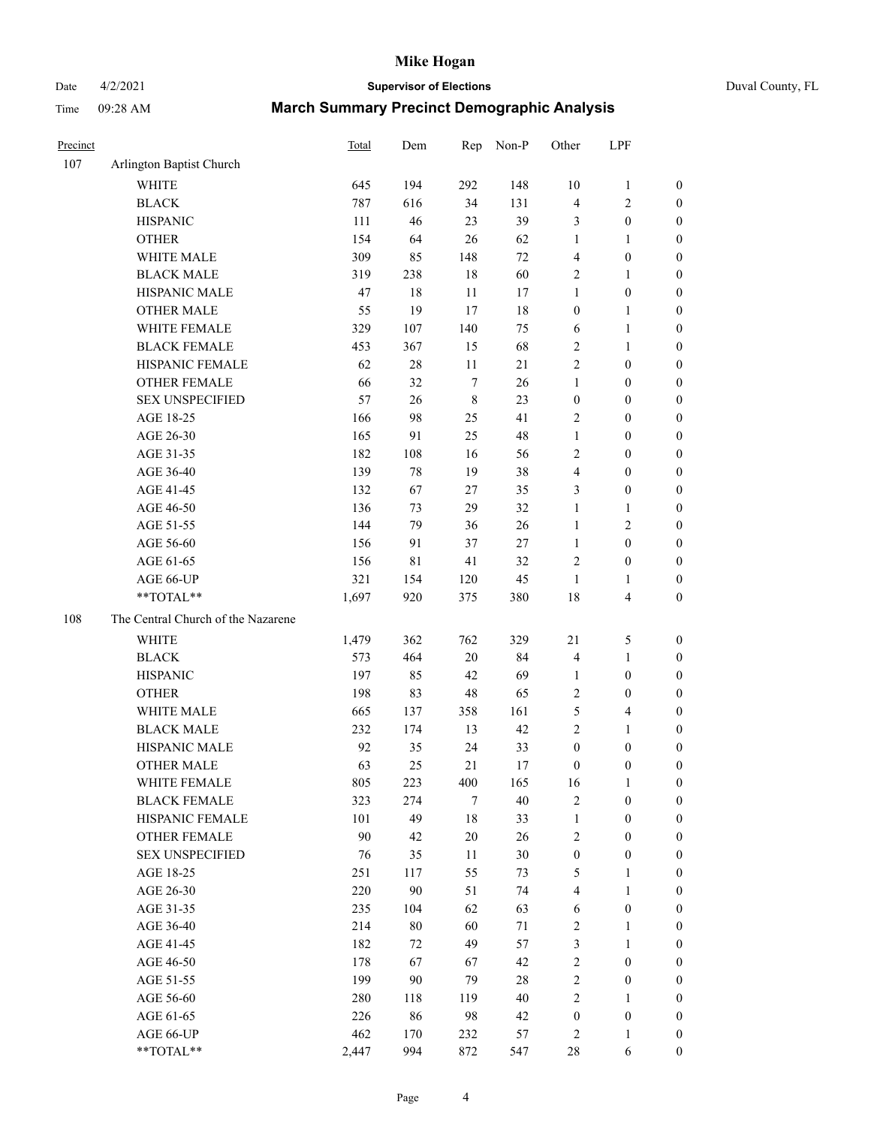Date 4/2/2021 **Supervisor of Elections** Duval County, FL

| Precinct |                                    | <b>Total</b> | Dem    | Rep              | Non-P  | Other            | LPF              |                  |
|----------|------------------------------------|--------------|--------|------------------|--------|------------------|------------------|------------------|
| 107      | Arlington Baptist Church           |              |        |                  |        |                  |                  |                  |
|          | <b>WHITE</b>                       | 645          | 194    | 292              | 148    | 10               | $\mathbf{1}$     | 0                |
|          | <b>BLACK</b>                       | 787          | 616    | 34               | 131    | 4                | $\sqrt{2}$       | 0                |
|          | <b>HISPANIC</b>                    | 111          | 46     | 23               | 39     | 3                | $\boldsymbol{0}$ | $\boldsymbol{0}$ |
|          | <b>OTHER</b>                       | 154          | 64     | 26               | 62     | 1                | 1                | $\boldsymbol{0}$ |
|          | WHITE MALE                         | 309          | 85     | 148              | $72\,$ | 4                | $\boldsymbol{0}$ | $\boldsymbol{0}$ |
|          | <b>BLACK MALE</b>                  | 319          | 238    | 18               | 60     | 2                | 1                | $\boldsymbol{0}$ |
|          | HISPANIC MALE                      | 47           | 18     | 11               | 17     | $\mathbf{1}$     | $\boldsymbol{0}$ | $\boldsymbol{0}$ |
|          | <b>OTHER MALE</b>                  | 55           | 19     | 17               | 18     | $\boldsymbol{0}$ | $\mathbf{1}$     | $\boldsymbol{0}$ |
|          | WHITE FEMALE                       | 329          | 107    | 140              | 75     | 6                | $\mathbf{1}$     | $\boldsymbol{0}$ |
|          | <b>BLACK FEMALE</b>                | 453          | 367    | 15               | 68     | $\overline{c}$   | $\mathbf{1}$     | 0                |
|          | HISPANIC FEMALE                    | 62           | $28\,$ | $11\,$           | 21     | $\overline{c}$   | $\boldsymbol{0}$ | 0                |
|          | <b>OTHER FEMALE</b>                | 66           | 32     | $\boldsymbol{7}$ | 26     | $\mathbf{1}$     | $\boldsymbol{0}$ | $\boldsymbol{0}$ |
|          | <b>SEX UNSPECIFIED</b>             | 57           | 26     | $\,$ 8 $\,$      | 23     | $\boldsymbol{0}$ | $\boldsymbol{0}$ | $\boldsymbol{0}$ |
|          | AGE 18-25                          | 166          | 98     | 25               | 41     | $\overline{c}$   | $\boldsymbol{0}$ | $\boldsymbol{0}$ |
|          | AGE 26-30                          | 165          | 91     | 25               | 48     | $\mathbf{1}$     | $\boldsymbol{0}$ | $\boldsymbol{0}$ |
|          | AGE 31-35                          | 182          | 108    | 16               | 56     | $\overline{c}$   | $\boldsymbol{0}$ | $\boldsymbol{0}$ |
|          | AGE 36-40                          | 139          | $78\,$ | 19               | 38     | 4                | $\boldsymbol{0}$ | $\boldsymbol{0}$ |
|          | AGE 41-45                          | 132          | 67     | 27               | 35     | 3                | $\boldsymbol{0}$ | $\boldsymbol{0}$ |
|          | AGE 46-50                          | 136          | 73     | 29               | 32     | $\mathbf{1}$     | 1                | $\boldsymbol{0}$ |
|          | AGE 51-55                          | 144          | 79     | 36               | $26\,$ | $\mathbf{1}$     | $\sqrt{2}$       | $\boldsymbol{0}$ |
|          | AGE 56-60                          | 156          | 91     | 37               | 27     | $\mathbf{1}$     | $\boldsymbol{0}$ | 0                |
|          | AGE 61-65                          | 156          | 81     | 41               | 32     | 2                | $\boldsymbol{0}$ | $\boldsymbol{0}$ |
|          | AGE 66-UP                          | 321          | 154    | 120              | 45     | $\mathbf{1}$     | 1                | $\boldsymbol{0}$ |
|          | **TOTAL**                          | 1,697        | 920    | 375              | 380    | 18               | $\overline{4}$   | $\boldsymbol{0}$ |
| 108      | The Central Church of the Nazarene |              |        |                  |        |                  |                  |                  |
|          | <b>WHITE</b>                       | 1,479        | 362    | 762              | 329    | 21               | $\mathfrak s$    | $\boldsymbol{0}$ |
|          | <b>BLACK</b>                       | 573          | 464    | $20\,$           | 84     | 4                | $\mathbf{1}$     | $\boldsymbol{0}$ |
|          | <b>HISPANIC</b>                    | 197          | 85     | 42               | 69     | $\mathbf{1}$     | $\boldsymbol{0}$ | $\boldsymbol{0}$ |
|          | <b>OTHER</b>                       | 198          | 83     | 48               | 65     | 2                | $\boldsymbol{0}$ | $\boldsymbol{0}$ |
|          | WHITE MALE                         | 665          | 137    | 358              | 161    | 5                | $\overline{4}$   | $\boldsymbol{0}$ |
|          | <b>BLACK MALE</b>                  | 232          | 174    | 13               | 42     | $\overline{2}$   | $\mathbf{1}$     | $\boldsymbol{0}$ |
|          | HISPANIC MALE                      | 92           | 35     | 24               | 33     | $\boldsymbol{0}$ | $\boldsymbol{0}$ | $\boldsymbol{0}$ |
|          | <b>OTHER MALE</b>                  | 63           | 25     | 21               | 17     | $\boldsymbol{0}$ | $\boldsymbol{0}$ | $\boldsymbol{0}$ |
|          | WHITE FEMALE                       | 805          | 223    | 400              | 165    | 16               | 1                | 0                |
|          | <b>BLACK FEMALE</b>                | 323          | 274    | 7                | 40     | 2                | $\boldsymbol{0}$ | $\overline{0}$   |
|          | HISPANIC FEMALE                    | 101          | 49     | 18               | 33     | $\mathbf{1}$     | $\boldsymbol{0}$ | $\overline{0}$   |
|          | <b>OTHER FEMALE</b>                | 90           | 42     | $20\,$           | 26     | 2                | $\boldsymbol{0}$ | $\overline{0}$   |
|          | <b>SEX UNSPECIFIED</b>             | 76           | 35     | 11               | $30\,$ | $\boldsymbol{0}$ | $\boldsymbol{0}$ | 0                |
|          | AGE 18-25                          | 251          | 117    | 55               | 73     | 5                | $\mathbf{1}$     | 0                |
|          | AGE 26-30                          | 220          | 90     | 51               | 74     | 4                | $\mathbf{1}$     | 0                |
|          | AGE 31-35                          | 235          | 104    | 62               | 63     | 6                | $\boldsymbol{0}$ | 0                |
|          | AGE 36-40                          | 214          | $80\,$ | 60               | 71     | 2                | 1                | 0                |
|          | AGE 41-45                          | 182          | 72     | 49               | 57     | 3                | $\mathbf{1}$     | 0                |
|          | AGE 46-50                          | 178          | 67     | 67               | 42     | 2                | $\boldsymbol{0}$ | 0                |
|          | AGE 51-55                          | 199          | 90     | 79               | $28\,$ | $\overline{c}$   | $\boldsymbol{0}$ | 0                |
|          | AGE 56-60                          | 280          | 118    | 119              | 40     | 2                | 1                | $\overline{0}$   |
|          | AGE 61-65                          | 226          | 86     | 98               | 42     | $\boldsymbol{0}$ | $\boldsymbol{0}$ | $\overline{0}$   |
|          | AGE 66-UP                          | 462          | 170    | 232              | 57     | 2                | $\mathbf{1}$     | 0                |
|          | **TOTAL**                          | 2,447        | 994    | 872              | 547    | $28\,$           | 6                | $\boldsymbol{0}$ |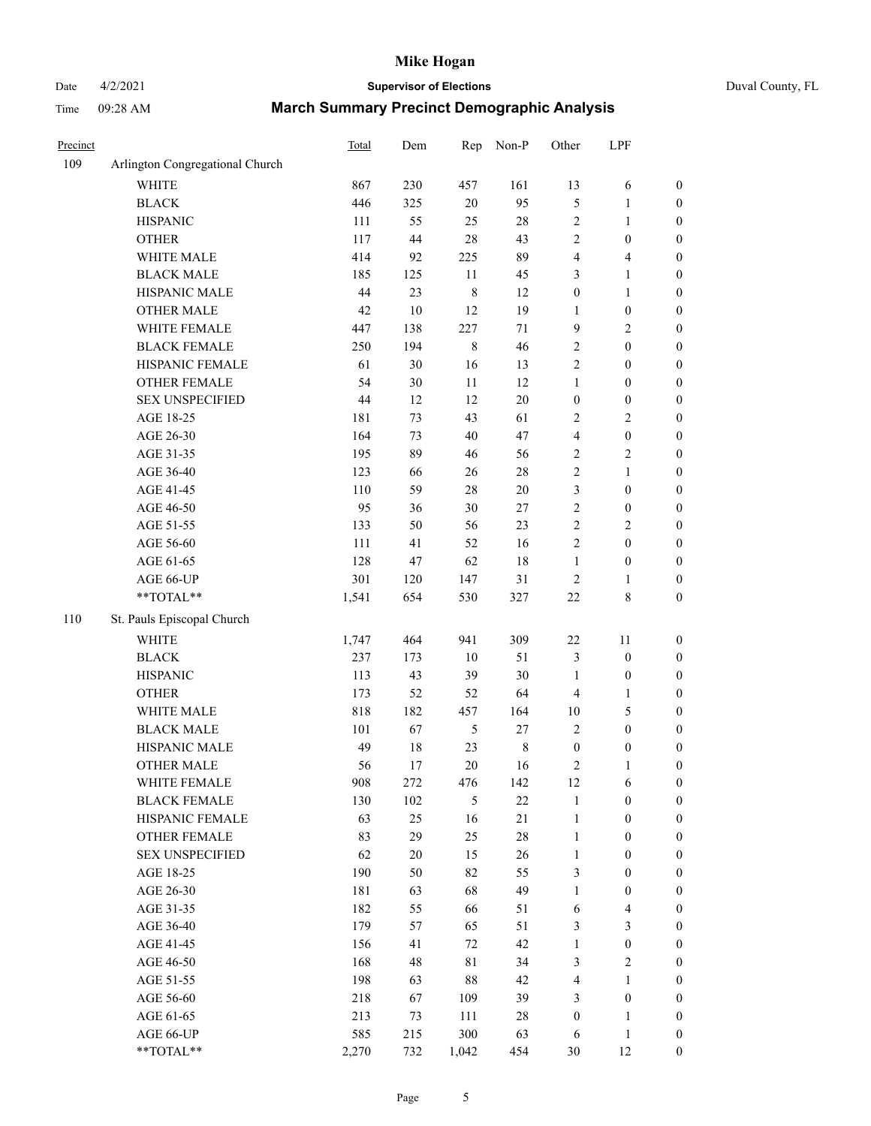# Date 4/2/2021 **Supervisor of Elections** Duval County, FL

| Precinct |                                 | <b>Total</b> | Dem    | Rep         | Non-P       | Other            | LPF              |                  |
|----------|---------------------------------|--------------|--------|-------------|-------------|------------------|------------------|------------------|
| 109      | Arlington Congregational Church |              |        |             |             |                  |                  |                  |
|          | <b>WHITE</b>                    | 867          | 230    | 457         | 161         | 13               | 6                | 0                |
|          | <b>BLACK</b>                    | 446          | 325    | $20\,$      | 95          | 5                | $\mathbf{1}$     | $\boldsymbol{0}$ |
|          | <b>HISPANIC</b>                 | 111          | 55     | 25          | $28\,$      | 2                | $\mathbf{1}$     | $\boldsymbol{0}$ |
|          | <b>OTHER</b>                    | 117          | 44     | 28          | 43          | 2                | $\boldsymbol{0}$ | $\boldsymbol{0}$ |
|          | WHITE MALE                      | 414          | 92     | 225         | 89          | 4                | $\overline{4}$   | $\boldsymbol{0}$ |
|          | <b>BLACK MALE</b>               | 185          | 125    | 11          | 45          | 3                | $\mathbf{1}$     | $\boldsymbol{0}$ |
|          | HISPANIC MALE                   | 44           | 23     | $\,$ 8 $\,$ | 12          | $\boldsymbol{0}$ | $\mathbf{1}$     | $\boldsymbol{0}$ |
|          | <b>OTHER MALE</b>               | 42           | $10\,$ | 12          | 19          | $\mathbf{1}$     | $\boldsymbol{0}$ | $\boldsymbol{0}$ |
|          | WHITE FEMALE                    | 447          | 138    | 227         | $71\,$      | 9                | $\sqrt{2}$       | $\boldsymbol{0}$ |
|          | <b>BLACK FEMALE</b>             | 250          | 194    | $\,$ 8 $\,$ | 46          | $\overline{c}$   | $\boldsymbol{0}$ | $\boldsymbol{0}$ |
|          | HISPANIC FEMALE                 | 61           | $30\,$ | 16          | 13          | $\overline{c}$   | $\boldsymbol{0}$ | $\boldsymbol{0}$ |
|          | <b>OTHER FEMALE</b>             | 54           | $30\,$ | 11          | 12          | $\mathbf{1}$     | $\boldsymbol{0}$ | $\boldsymbol{0}$ |
|          | <b>SEX UNSPECIFIED</b>          | 44           | 12     | 12          | $20\,$      | $\boldsymbol{0}$ | $\boldsymbol{0}$ | $\boldsymbol{0}$ |
|          | AGE 18-25                       | 181          | 73     | 43          | 61          | $\overline{c}$   | $\sqrt{2}$       | $\boldsymbol{0}$ |
|          | AGE 26-30                       | 164          | 73     | 40          | 47          | 4                | $\boldsymbol{0}$ | $\boldsymbol{0}$ |
|          | AGE 31-35                       | 195          | 89     | 46          | 56          | $\overline{c}$   | $\sqrt{2}$       | $\boldsymbol{0}$ |
|          | AGE 36-40                       | 123          | 66     | 26          | $28\,$      | $\overline{c}$   | $\mathbf{1}$     | $\boldsymbol{0}$ |
|          | AGE 41-45                       | 110          | 59     | $28\,$      | $20\,$      | 3                | $\boldsymbol{0}$ | $\boldsymbol{0}$ |
|          | AGE 46-50                       | 95           | 36     | 30          | $27\,$      | $\overline{c}$   | $\boldsymbol{0}$ | $\boldsymbol{0}$ |
|          | AGE 51-55                       | 133          | 50     | 56          | 23          | $\overline{c}$   | $\sqrt{2}$       | $\boldsymbol{0}$ |
|          | AGE 56-60                       | 111          | 41     | 52          | 16          | $\overline{c}$   | $\boldsymbol{0}$ | 0                |
|          | AGE 61-65                       | 128          | 47     | 62          | 18          | $\mathbf{1}$     | $\boldsymbol{0}$ | $\boldsymbol{0}$ |
|          | AGE 66-UP                       | 301          | 120    | 147         | 31          | $\sqrt{2}$       | 1                | $\boldsymbol{0}$ |
|          | $**TOTAL**$                     | 1,541        | 654    | 530         | 327         | $22\,$           | $\,$ 8 $\,$      | $\boldsymbol{0}$ |
|          |                                 |              |        |             |             |                  |                  |                  |
| 110      | St. Pauls Episcopal Church      |              |        |             |             |                  |                  |                  |
|          | <b>WHITE</b>                    | 1,747        | 464    | 941         | 309         | $22\,$           | 11               | $\boldsymbol{0}$ |
|          | <b>BLACK</b>                    | 237          | 173    | $10\,$      | 51          | 3                | $\boldsymbol{0}$ | $\boldsymbol{0}$ |
|          | <b>HISPANIC</b>                 | 113          | 43     | 39          | $30\,$      | $\mathbf{1}$     | $\boldsymbol{0}$ | $\boldsymbol{0}$ |
|          | <b>OTHER</b>                    | 173          | 52     | 52          | 64          | 4                | $\mathbf{1}$     | $\boldsymbol{0}$ |
|          | WHITE MALE                      | 818          | 182    | 457         | 164         | $10\,$           | 5                | $\boldsymbol{0}$ |
|          | <b>BLACK MALE</b>               | 101          | 67     | $\sqrt{5}$  | $27\,$      | $\overline{2}$   | $\boldsymbol{0}$ | $\boldsymbol{0}$ |
|          | HISPANIC MALE                   | 49           | 18     | 23          | $\,$ 8 $\,$ | $\boldsymbol{0}$ | $\boldsymbol{0}$ | $\boldsymbol{0}$ |
|          | <b>OTHER MALE</b>               | 56           | 17     | 20          | 16          | 2                | $\mathbf{1}$     | $\boldsymbol{0}$ |
|          | WHITE FEMALE                    | 908          | 272    | 476         | 142         | 12               | 6                | 0                |
|          | <b>BLACK FEMALE</b>             | 130          | 102    | 5           | 22          | $\mathbf{1}$     | $\boldsymbol{0}$ | $\overline{0}$   |
|          | HISPANIC FEMALE                 | 63           | 25     | 16          | 21          | $\mathbf{1}$     | $\boldsymbol{0}$ | $\overline{0}$   |
|          | <b>OTHER FEMALE</b>             | 83           | 29     | 25          | $28\,$      | $\mathbf{1}$     | $\boldsymbol{0}$ | $\overline{0}$   |
|          | <b>SEX UNSPECIFIED</b>          | 62           | $20\,$ | 15          | 26          | $\mathbf{1}$     | $\boldsymbol{0}$ | 0                |
|          | AGE 18-25                       | 190          | 50     | 82          | 55          | 3                | $\boldsymbol{0}$ | $\theta$         |
|          | AGE 26-30                       | 181          | 63     | 68          | 49          | $\mathbf{1}$     | $\boldsymbol{0}$ | 0                |
|          | AGE 31-35                       | 182          | 55     | 66          | 51          | 6                | $\overline{4}$   | 0                |
|          | AGE 36-40                       | 179          | 57     | 65          | 51          | 3                | $\mathfrak{Z}$   | 0                |
|          | AGE 41-45                       | 156          | 41     | 72          | 42          | $\mathbf{1}$     | $\boldsymbol{0}$ | 0                |
|          | AGE 46-50                       | 168          | 48     | 81          | 34          | 3                | $\sqrt{2}$       | 0                |
|          | AGE 51-55                       | 198          | 63     | 88          | 42          | 4                | $\mathbf{1}$     | 0                |
|          | AGE 56-60                       | 218          | 67     | 109         | 39          | 3                | $\boldsymbol{0}$ | $\overline{0}$   |
|          | AGE 61-65                       | 213          | 73     | 111         | 28          | $\boldsymbol{0}$ | $\mathbf{1}$     | $\overline{0}$   |
|          | AGE 66-UP                       | 585          | 215    | 300         | 63          | 6                | $\mathbf{1}$     | $\boldsymbol{0}$ |
|          | **TOTAL**                       | 2,270        | 732    | 1,042       | 454         | 30               | 12               | $\boldsymbol{0}$ |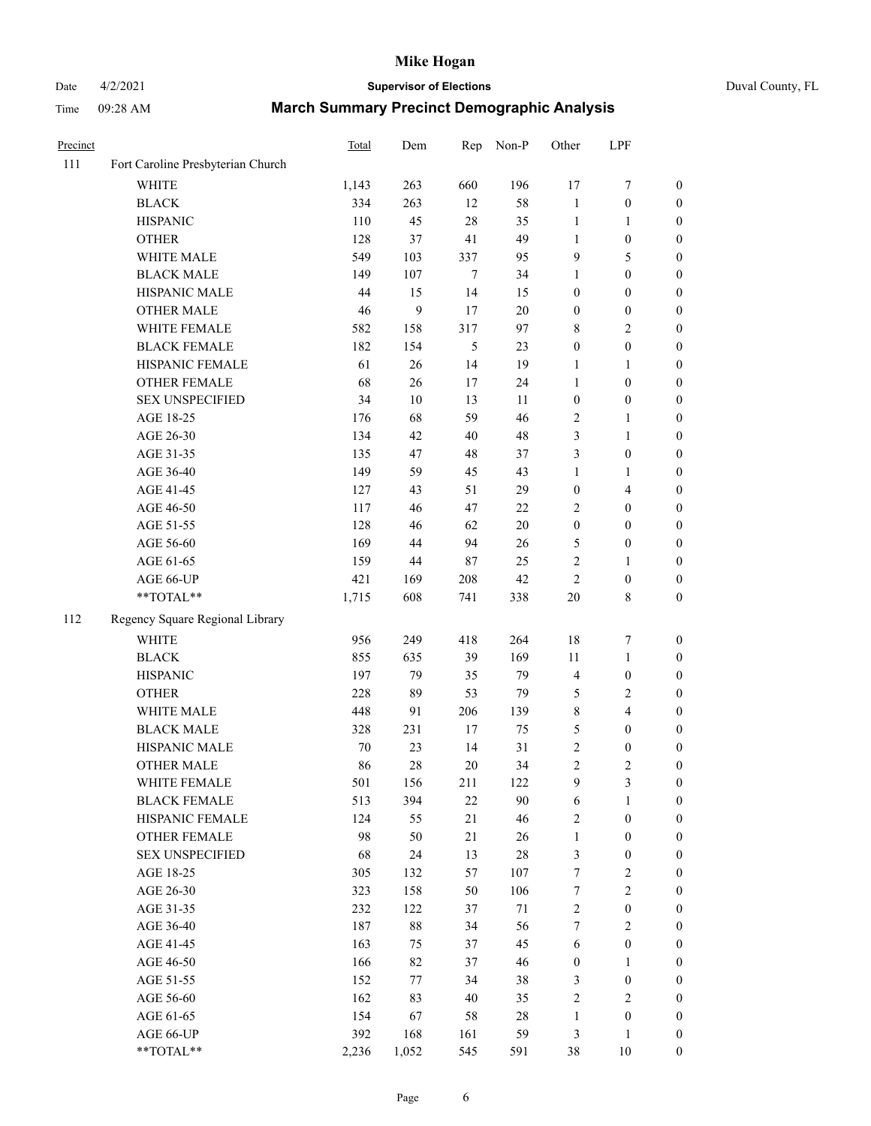# Date 4/2/2021 **Supervisor of Elections** Duval County, FL

| Precinct |                                   | <b>Total</b> | Dem    | Rep            | Non-P  | Other            | LPF              |                  |
|----------|-----------------------------------|--------------|--------|----------------|--------|------------------|------------------|------------------|
| 111      | Fort Caroline Presbyterian Church |              |        |                |        |                  |                  |                  |
|          | <b>WHITE</b>                      | 1,143        | 263    | 660            | 196    | 17               | $\boldsymbol{7}$ | 0                |
|          | <b>BLACK</b>                      | 334          | 263    | 12             | 58     | $\mathbf{1}$     | $\boldsymbol{0}$ | $\boldsymbol{0}$ |
|          | <b>HISPANIC</b>                   | 110          | 45     | $28\,$         | 35     | $\mathbf{1}$     | 1                | $\boldsymbol{0}$ |
|          | <b>OTHER</b>                      | 128          | 37     | 41             | 49     | $\mathbf{1}$     | $\boldsymbol{0}$ | $\boldsymbol{0}$ |
|          | WHITE MALE                        | 549          | 103    | 337            | 95     | 9                | 5                | $\boldsymbol{0}$ |
|          | <b>BLACK MALE</b>                 | 149          | 107    | $\tau$         | 34     | $\mathbf{1}$     | $\boldsymbol{0}$ | $\boldsymbol{0}$ |
|          | HISPANIC MALE                     | 44           | 15     | 14             | 15     | 0                | $\boldsymbol{0}$ | $\boldsymbol{0}$ |
|          | <b>OTHER MALE</b>                 | 46           | 9      | 17             | $20\,$ | $\boldsymbol{0}$ | $\boldsymbol{0}$ | $\boldsymbol{0}$ |
|          | WHITE FEMALE                      | 582          | 158    | 317            | 97     | 8                | $\mathbf{2}$     | $\boldsymbol{0}$ |
|          | <b>BLACK FEMALE</b>               | 182          | 154    | $\mathfrak{S}$ | 23     | $\boldsymbol{0}$ | $\boldsymbol{0}$ | $\boldsymbol{0}$ |
|          | HISPANIC FEMALE                   | 61           | 26     | 14             | 19     | 1                | 1                | 0                |
|          | <b>OTHER FEMALE</b>               | 68           | 26     | 17             | 24     | $\mathbf{1}$     | $\boldsymbol{0}$ | $\boldsymbol{0}$ |
|          | <b>SEX UNSPECIFIED</b>            | 34           | 10     | 13             | 11     | $\boldsymbol{0}$ | $\boldsymbol{0}$ | $\boldsymbol{0}$ |
|          | AGE 18-25                         | 176          | 68     | 59             | 46     | 2                | 1                | $\boldsymbol{0}$ |
|          | AGE 26-30                         | 134          | 42     | 40             | 48     | 3                | $\mathbf{1}$     | $\boldsymbol{0}$ |
|          | AGE 31-35                         | 135          | 47     | 48             | 37     | 3                | $\boldsymbol{0}$ | $\boldsymbol{0}$ |
|          | AGE 36-40                         | 149          | 59     | 45             | 43     | $\mathbf{1}$     | $\mathbf{1}$     | $\boldsymbol{0}$ |
|          | AGE 41-45                         | 127          | 43     | 51             | 29     | $\boldsymbol{0}$ | $\overline{4}$   | $\boldsymbol{0}$ |
|          | AGE 46-50                         | 117          | 46     | 47             | 22     | $\overline{c}$   | $\boldsymbol{0}$ | $\boldsymbol{0}$ |
|          | AGE 51-55                         | 128          | 46     | 62             | $20\,$ | $\boldsymbol{0}$ | $\boldsymbol{0}$ | $\boldsymbol{0}$ |
|          | AGE 56-60                         | 169          | 44     | 94             | 26     | 5                | $\boldsymbol{0}$ | 0                |
|          | AGE 61-65                         | 159          | 44     | $87\,$         | 25     | 2                | 1                | 0                |
|          | AGE 66-UP                         | 421          | 169    | 208            | 42     | $\overline{2}$   | $\boldsymbol{0}$ | $\boldsymbol{0}$ |
|          | **TOTAL**                         | 1,715        | 608    | 741            | 338    | $20\,$           | $\,$ 8 $\,$      | $\boldsymbol{0}$ |
| 112      | Regency Square Regional Library   |              |        |                |        |                  |                  |                  |
|          | <b>WHITE</b>                      | 956          | 249    | 418            | 264    | 18               | $\boldsymbol{7}$ | $\boldsymbol{0}$ |
|          | <b>BLACK</b>                      | 855          | 635    | 39             | 169    | $11\,$           | $\mathbf{1}$     | $\boldsymbol{0}$ |
|          | <b>HISPANIC</b>                   | 197          | 79     | 35             | 79     | 4                | $\boldsymbol{0}$ | $\boldsymbol{0}$ |
|          | <b>OTHER</b>                      | 228          | 89     | 53             | 79     | 5                | $\sqrt{2}$       | $\boldsymbol{0}$ |
|          | WHITE MALE                        | 448          | 91     | 206            | 139    | 8                | $\overline{4}$   | $\boldsymbol{0}$ |
|          | <b>BLACK MALE</b>                 | 328          | 231    | $17\,$         | 75     | 5                | $\boldsymbol{0}$ | $\boldsymbol{0}$ |
|          | HISPANIC MALE                     | $70\,$       | 23     | 14             | 31     | 2                | $\boldsymbol{0}$ | $\boldsymbol{0}$ |
|          | <b>OTHER MALE</b>                 | 86           | $28\,$ | 20             | 34     | $\overline{c}$   | $\mathfrak{2}$   | $\boldsymbol{0}$ |
|          | WHITE FEMALE                      | 501          | 156    | 211            | 122    | 9                | 3                | 0                |
|          | <b>BLACK FEMALE</b>               | 513          | 394    | 22             | 90     | 6                | $\mathbf{1}$     | $\boldsymbol{0}$ |
|          | HISPANIC FEMALE                   | 124          | 55     | 21             | 46     | 2                | $\boldsymbol{0}$ | $\overline{0}$   |
|          | OTHER FEMALE                      | 98           | 50     | 21             | 26     | $\mathbf{1}$     | $\boldsymbol{0}$ | $\overline{0}$   |
|          | <b>SEX UNSPECIFIED</b>            | 68           | 24     | 13             | $28\,$ | 3                | $\boldsymbol{0}$ | 0                |
|          | AGE 18-25                         | 305          | 132    | 57             | 107    | $\boldsymbol{7}$ | $\sqrt{2}$       | 0                |
|          | AGE 26-30                         | 323          | 158    | 50             | 106    | $\boldsymbol{7}$ | $\mathbf{2}$     | 0                |
|          | AGE 31-35                         | 232          | 122    | 37             | 71     | $\overline{c}$   | $\boldsymbol{0}$ | 0                |
|          | AGE 36-40                         | 187          | $88\,$ | 34             | 56     | 7                | $\sqrt{2}$       | 0                |
|          | AGE 41-45                         | 163          | 75     | 37             | 45     | 6                | $\boldsymbol{0}$ | 0                |
|          | AGE 46-50                         | 166          | 82     | 37             | 46     | $\boldsymbol{0}$ | $\mathbf{1}$     | 0                |
|          | AGE 51-55                         | 152          | 77     | 34             | 38     | 3                | $\boldsymbol{0}$ | 0                |
|          | AGE 56-60                         | 162          | 83     | $40\,$         | 35     | 2                | $\sqrt{2}$       | 0                |
|          | AGE 61-65                         | 154          | 67     | 58             | $28\,$ | $\mathbf{1}$     | $\boldsymbol{0}$ | $\overline{0}$   |
|          | AGE 66-UP                         | 392          | 168    | 161            | 59     | 3                | $\mathbf{1}$     | 0                |
|          | **TOTAL**                         | 2,236        | 1,052  | 545            | 591    | 38               | 10               | $\boldsymbol{0}$ |
|          |                                   |              |        |                |        |                  |                  |                  |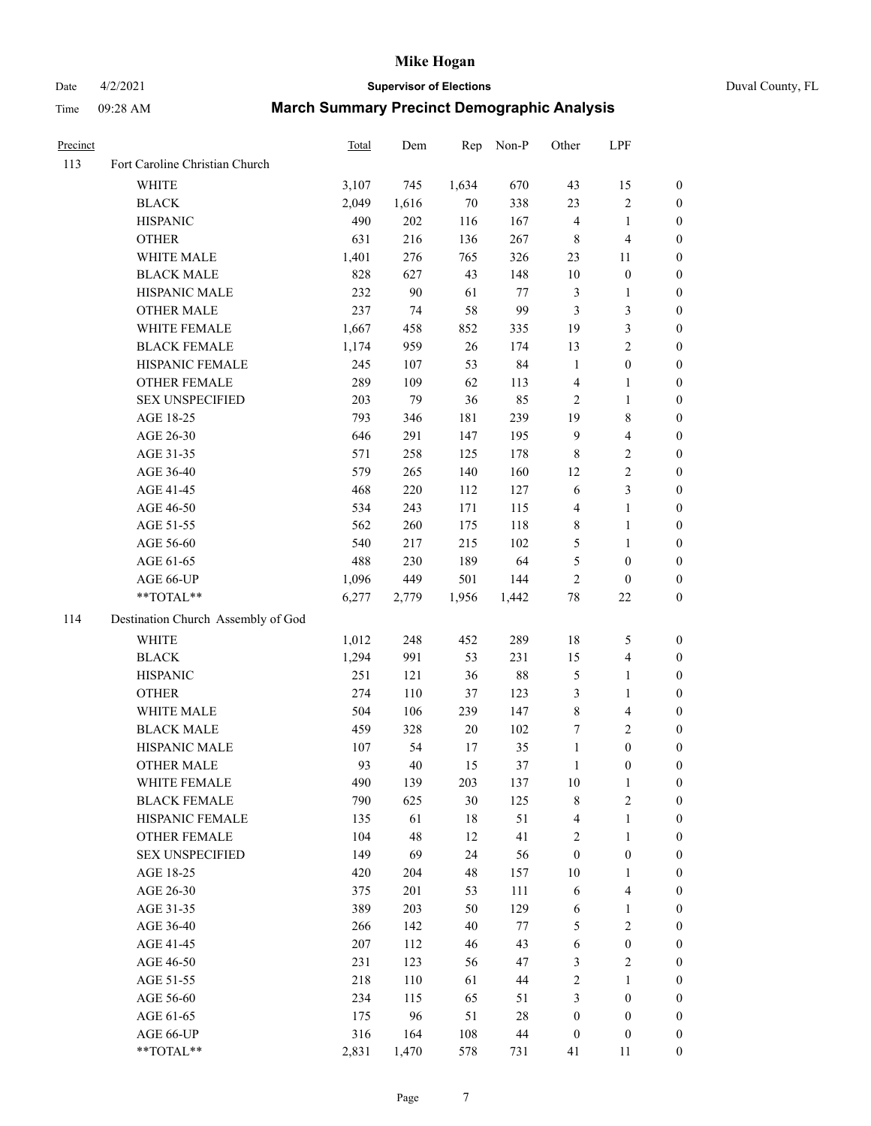Date 4/2/2021 **Supervisor of Elections** Duval County, FL

| Precinct |                                    | Total | Dem    | Rep   | Non-P | Other                   | LPF              |                  |
|----------|------------------------------------|-------|--------|-------|-------|-------------------------|------------------|------------------|
| 113      | Fort Caroline Christian Church     |       |        |       |       |                         |                  |                  |
|          | <b>WHITE</b>                       | 3,107 | 745    | 1,634 | 670   | 43                      | 15               | 0                |
|          | <b>BLACK</b>                       | 2,049 | 1,616  | 70    | 338   | 23                      | $\sqrt{2}$       | 0                |
|          | <b>HISPANIC</b>                    | 490   | 202    | 116   | 167   | 4                       | $\mathbf{1}$     | $\boldsymbol{0}$ |
|          | <b>OTHER</b>                       | 631   | 216    | 136   | 267   | 8                       | $\overline{4}$   | $\boldsymbol{0}$ |
|          | WHITE MALE                         | 1,401 | 276    | 765   | 326   | 23                      | 11               | $\boldsymbol{0}$ |
|          | <b>BLACK MALE</b>                  | 828   | 627    | 43    | 148   | 10                      | $\boldsymbol{0}$ | $\boldsymbol{0}$ |
|          | HISPANIC MALE                      | 232   | $90\,$ | 61    | 77    | 3                       | $\mathbf{1}$     | $\boldsymbol{0}$ |
|          | <b>OTHER MALE</b>                  | 237   | 74     | 58    | 99    | 3                       | 3                | $\boldsymbol{0}$ |
|          | WHITE FEMALE                       | 1,667 | 458    | 852   | 335   | 19                      | $\mathfrak{Z}$   | $\boldsymbol{0}$ |
|          | <b>BLACK FEMALE</b>                | 1,174 | 959    | 26    | 174   | 13                      | $\sqrt{2}$       | 0                |
|          | HISPANIC FEMALE                    | 245   | 107    | 53    | 84    | $\mathbf{1}$            | $\boldsymbol{0}$ | 0                |
|          | OTHER FEMALE                       | 289   | 109    | 62    | 113   | 4                       | $\mathbf{1}$     | $\boldsymbol{0}$ |
|          | <b>SEX UNSPECIFIED</b>             | 203   | 79     | 36    | 85    | $\overline{c}$          | $\mathbf{1}$     | $\boldsymbol{0}$ |
|          | AGE 18-25                          | 793   | 346    | 181   | 239   | 19                      | $\,$ 8 $\,$      | $\boldsymbol{0}$ |
|          | AGE 26-30                          | 646   | 291    | 147   | 195   | 9                       | $\overline{4}$   | $\boldsymbol{0}$ |
|          | AGE 31-35                          | 571   | 258    | 125   | 178   | 8                       | $\sqrt{2}$       | $\boldsymbol{0}$ |
|          | AGE 36-40                          | 579   | 265    | 140   | 160   | 12                      | $\sqrt{2}$       | $\boldsymbol{0}$ |
|          | AGE 41-45                          | 468   | 220    | 112   | 127   | 6                       | 3                | $\overline{0}$   |
|          | AGE 46-50                          | 534   | 243    | 171   | 115   | 4                       | $\mathbf{1}$     | $\boldsymbol{0}$ |
|          | AGE 51-55                          | 562   | 260    | 175   | 118   | 8                       | $\mathbf{1}$     | 0                |
|          | AGE 56-60                          | 540   | 217    | 215   | 102   | 5                       | 1                | 0                |
|          | AGE 61-65                          | 488   | 230    | 189   | 64    | 5                       | $\boldsymbol{0}$ | 0                |
|          | AGE 66-UP                          | 1,096 | 449    | 501   | 144   | $\overline{c}$          | $\boldsymbol{0}$ | $\boldsymbol{0}$ |
|          | $**TOTAL**$                        | 6,277 | 2,779  | 1,956 | 1,442 | 78                      | $22\,$           | $\boldsymbol{0}$ |
| 114      | Destination Church Assembly of God |       |        |       |       |                         |                  |                  |
|          | <b>WHITE</b>                       | 1,012 | 248    | 452   | 289   | 18                      | $\mathfrak s$    | $\boldsymbol{0}$ |
|          | <b>BLACK</b>                       | 1,294 | 991    | 53    | 231   | 15                      | $\overline{4}$   | $\boldsymbol{0}$ |
|          | <b>HISPANIC</b>                    | 251   | 121    | 36    | 88    | 5                       | $\mathbf{1}$     | $\boldsymbol{0}$ |
|          | <b>OTHER</b>                       | 274   | 110    | 37    | 123   | 3                       | $\mathbf{1}$     | $\boldsymbol{0}$ |
|          | WHITE MALE                         | 504   | 106    | 239   | 147   | 8                       | $\overline{4}$   | $\boldsymbol{0}$ |
|          | <b>BLACK MALE</b>                  | 459   | 328    | 20    | 102   | 7                       | $\mathbf{2}$     | $\boldsymbol{0}$ |
|          | HISPANIC MALE                      | 107   | 54     | 17    | 35    | $\mathbf{1}$            | $\boldsymbol{0}$ | 0                |
|          | <b>OTHER MALE</b>                  | 93    | 40     | 15    | 37    | $\mathbf{1}$            | $\boldsymbol{0}$ | $\boldsymbol{0}$ |
|          | WHITE FEMALE                       | 490   | 139    | 203   | 137   | 10                      | 1                | 0                |
|          | <b>BLACK FEMALE</b>                | 790   | 625    | 30    | 125   | 8                       | $\sqrt{2}$       | $\overline{0}$   |
|          | HISPANIC FEMALE                    | 135   | 61     | 18    | 51    | 4                       | $\mathbf{1}$     | $\overline{0}$   |
|          | OTHER FEMALE                       | 104   | 48     | 12    | 41    | $\overline{\mathbf{c}}$ | $\mathbf{1}$     | $\overline{0}$   |
|          | <b>SEX UNSPECIFIED</b>             | 149   | 69     | 24    | 56    | $\boldsymbol{0}$        | $\boldsymbol{0}$ | 0                |
|          | AGE 18-25                          | 420   | 204    | 48    | 157   | 10                      | $\mathbf{1}$     | 0                |
|          | AGE 26-30                          | 375   | 201    | 53    | 111   | 6                       | $\overline{4}$   | 0                |
|          | AGE 31-35                          | 389   | 203    | 50    | 129   | 6                       | $\mathbf{1}$     | 0                |
|          | AGE 36-40                          | 266   | 142    | 40    | 77    | 5                       | $\sqrt{2}$       | 0                |
|          | AGE 41-45                          | 207   | 112    | 46    | 43    | 6                       | $\boldsymbol{0}$ | 0                |
|          | AGE 46-50                          | 231   | 123    | 56    | 47    | 3                       | $\sqrt{2}$       | 0                |
|          | AGE 51-55                          | 218   | 110    | 61    | 44    | 2                       | $\mathbf{1}$     | 0                |
|          | AGE 56-60                          | 234   | 115    | 65    | 51    | 3                       | $\boldsymbol{0}$ | $\overline{0}$   |
|          | AGE 61-65                          | 175   | 96     | 51    | 28    | $\boldsymbol{0}$        | $\boldsymbol{0}$ | $\overline{0}$   |
|          | AGE 66-UP                          | 316   | 164    | 108   | 44    | $\boldsymbol{0}$        | $\boldsymbol{0}$ | 0                |
|          | **TOTAL**                          | 2,831 | 1,470  | 578   | 731   | 41                      | 11               | $\boldsymbol{0}$ |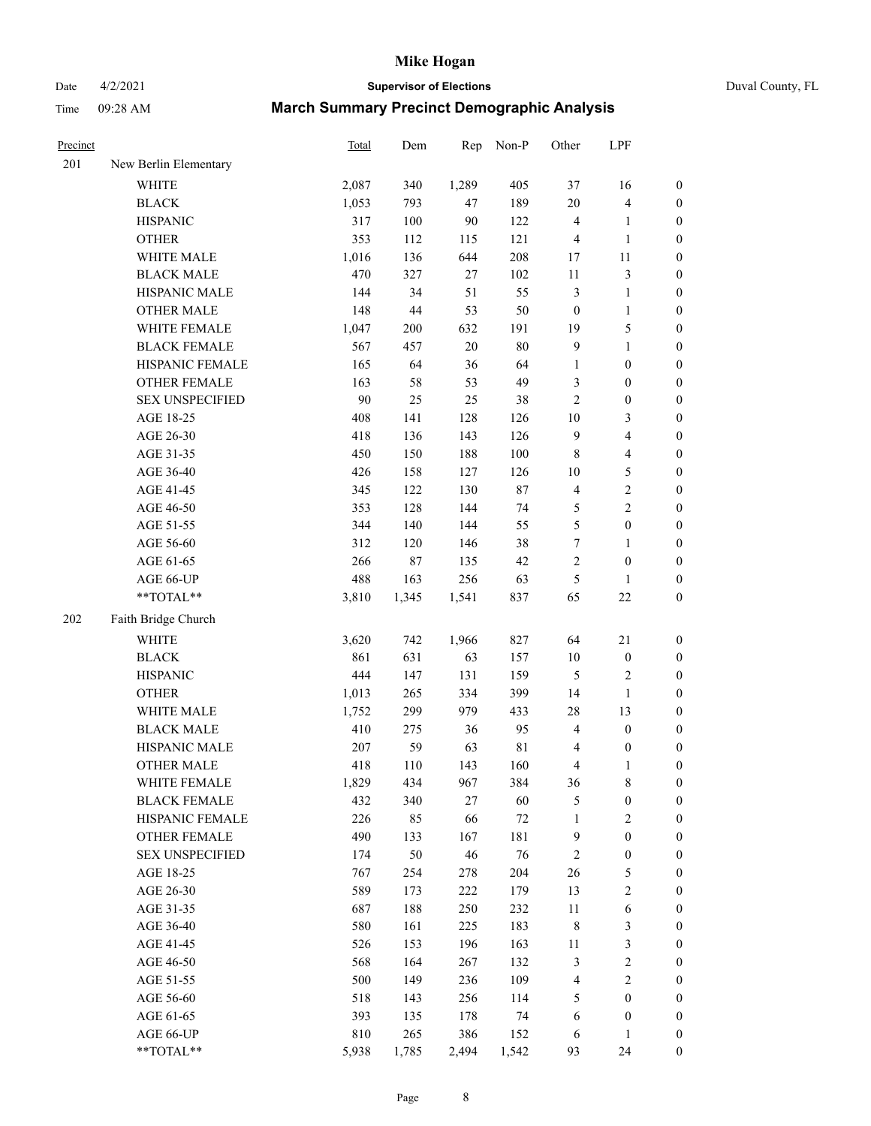# Date 4/2/2021 **Supervisor of Elections** Duval County, FL

| Precinct |                        | <b>Total</b> | Dem    | Rep    | Non-P       | Other                   | LPF              |                  |
|----------|------------------------|--------------|--------|--------|-------------|-------------------------|------------------|------------------|
| 201      | New Berlin Elementary  |              |        |        |             |                         |                  |                  |
|          | <b>WHITE</b>           | 2,087        | 340    | 1,289  | 405         | 37                      | 16               | 0                |
|          | <b>BLACK</b>           | 1,053        | 793    | 47     | 189         | $20\,$                  | $\overline{4}$   | 0                |
|          | <b>HISPANIC</b>        | 317          | 100    | $90\,$ | 122         | 4                       | $\mathbf{1}$     | $\boldsymbol{0}$ |
|          | <b>OTHER</b>           | 353          | 112    | 115    | 121         | 4                       | $\mathbf{1}$     | $\boldsymbol{0}$ |
|          | WHITE MALE             | 1,016        | 136    | 644    | 208         | 17                      | $11\,$           | $\boldsymbol{0}$ |
|          | <b>BLACK MALE</b>      | 470          | 327    | 27     | 102         | 11                      | $\sqrt{3}$       | $\boldsymbol{0}$ |
|          | HISPANIC MALE          | 144          | 34     | 51     | 55          | 3                       | $\mathbf{1}$     | $\boldsymbol{0}$ |
|          | <b>OTHER MALE</b>      | 148          | $44\,$ | 53     | 50          | $\boldsymbol{0}$        | $\mathbf{1}$     | $\boldsymbol{0}$ |
|          | WHITE FEMALE           | 1,047        | 200    | 632    | 191         | 19                      | 5                | $\boldsymbol{0}$ |
|          | <b>BLACK FEMALE</b>    | 567          | 457    | $20\,$ | $80\,$      | 9                       | $\mathbf{1}$     | $\boldsymbol{0}$ |
|          | HISPANIC FEMALE        | 165          | 64     | 36     | 64          | $\mathbf{1}$            | $\boldsymbol{0}$ | $\boldsymbol{0}$ |
|          | OTHER FEMALE           | 163          | 58     | 53     | 49          | 3                       | $\boldsymbol{0}$ | $\boldsymbol{0}$ |
|          | <b>SEX UNSPECIFIED</b> | 90           | 25     | 25     | 38          | $\overline{c}$          | $\boldsymbol{0}$ | $\boldsymbol{0}$ |
|          | AGE 18-25              | 408          | 141    | 128    | 126         | $10\,$                  | $\mathfrak{Z}$   | $\boldsymbol{0}$ |
|          | AGE 26-30              | 418          | 136    | 143    | 126         | 9                       | $\overline{4}$   | $\boldsymbol{0}$ |
|          | AGE 31-35              | 450          | 150    | 188    | 100         | $\,$ 8 $\,$             | $\overline{4}$   | $\boldsymbol{0}$ |
|          | AGE 36-40              | 426          | 158    | 127    | 126         | $10\,$                  | $\mathfrak s$    | $\boldsymbol{0}$ |
|          | AGE 41-45              | 345          | 122    | 130    | $87\,$      | $\overline{\mathbf{4}}$ | $\sqrt{2}$       | $\boldsymbol{0}$ |
|          | AGE 46-50              | 353          | 128    | 144    | 74          | 5                       | $\overline{c}$   | $\boldsymbol{0}$ |
|          | AGE 51-55              | 344          | 140    | 144    | 55          | 5                       | $\boldsymbol{0}$ | $\boldsymbol{0}$ |
|          | AGE 56-60              | 312          | 120    | 146    | 38          | $\boldsymbol{7}$        | 1                | 0                |
|          | AGE 61-65              | 266          | $87\,$ | 135    | 42          | $\overline{c}$          | $\boldsymbol{0}$ | $\boldsymbol{0}$ |
|          | AGE 66-UP              | 488          | 163    | 256    | 63          | 5                       | $\mathbf{1}$     | $\boldsymbol{0}$ |
|          | $**TOTAL**$            | 3,810        | 1,345  | 1,541  | 837         | 65                      | $22\,$           | $\boldsymbol{0}$ |
| 202      | Faith Bridge Church    |              |        |        |             |                         |                  |                  |
|          | <b>WHITE</b>           | 3,620        | 742    | 1,966  | 827         | 64                      | 21               | $\boldsymbol{0}$ |
|          | <b>BLACK</b>           | 861          | 631    | 63     | 157         | $10\,$                  | $\boldsymbol{0}$ | $\boldsymbol{0}$ |
|          | <b>HISPANIC</b>        | 444          | 147    | 131    | 159         | 5                       | $\sqrt{2}$       | $\boldsymbol{0}$ |
|          | <b>OTHER</b>           | 1,013        | 265    | 334    | 399         | 14                      | $\mathbf{1}$     | $\boldsymbol{0}$ |
|          | WHITE MALE             | 1,752        | 299    | 979    | 433         | 28                      | 13               | $\boldsymbol{0}$ |
|          | <b>BLACK MALE</b>      | 410          | 275    | 36     | 95          | 4                       | $\boldsymbol{0}$ | $\boldsymbol{0}$ |
|          | HISPANIC MALE          | 207          | 59     | 63     | $8\sqrt{1}$ | 4                       | $\boldsymbol{0}$ | 0                |
|          | <b>OTHER MALE</b>      | 418          | 110    | 143    | 160         | 4                       | $\mathbf{1}$     | $\boldsymbol{0}$ |
|          | WHITE FEMALE           | 1,829        | 434    | 967    | 384         | 36                      | 8                | 0                |
|          | <b>BLACK FEMALE</b>    | 432          | 340    | 27     | 60          | 5                       | $\boldsymbol{0}$ | $\overline{0}$   |
|          | HISPANIC FEMALE        | 226          | 85     | 66     | $72\,$      | $\mathbf{1}$            | $\sqrt{2}$       | $\overline{0}$   |
|          | <b>OTHER FEMALE</b>    | 490          | 133    | 167    | 181         | 9                       | $\boldsymbol{0}$ | $\overline{0}$   |
|          | <b>SEX UNSPECIFIED</b> | 174          | 50     | 46     | 76          | 2                       | $\boldsymbol{0}$ | 0                |
|          | AGE 18-25              | 767          | 254    | 278    | 204         | 26                      | $\mathfrak s$    | 0                |
|          | AGE 26-30              | 589          | 173    | 222    | 179         | 13                      | $\sqrt{2}$       | 0                |
|          | AGE 31-35              | 687          | 188    | 250    | 232         | $11\,$                  | 6                | 0                |
|          | AGE 36-40              | 580          | 161    | 225    | 183         | 8                       | $\mathfrak{Z}$   | 0                |
|          | AGE 41-45              | 526          | 153    | 196    | 163         | 11                      | $\mathfrak{Z}$   | 0                |
|          | AGE 46-50              | 568          | 164    | 267    | 132         | 3                       | $\sqrt{2}$       | 0                |
|          | AGE 51-55              | 500          | 149    | 236    | 109         | 4                       | $\sqrt{2}$       | 0                |
|          | AGE 56-60              | 518          | 143    | 256    | 114         | 5                       | $\boldsymbol{0}$ | $\overline{0}$   |
|          | AGE 61-65              | 393          | 135    | 178    | 74          | 6                       | $\boldsymbol{0}$ | $\overline{0}$   |
|          | AGE 66-UP              | 810          | 265    | 386    | 152         | 6                       | $\mathbf{1}$     | 0                |
|          | **TOTAL**              | 5,938        | 1,785  | 2,494  | 1,542       | 93                      | 24               | $\boldsymbol{0}$ |
|          |                        |              |        |        |             |                         |                  |                  |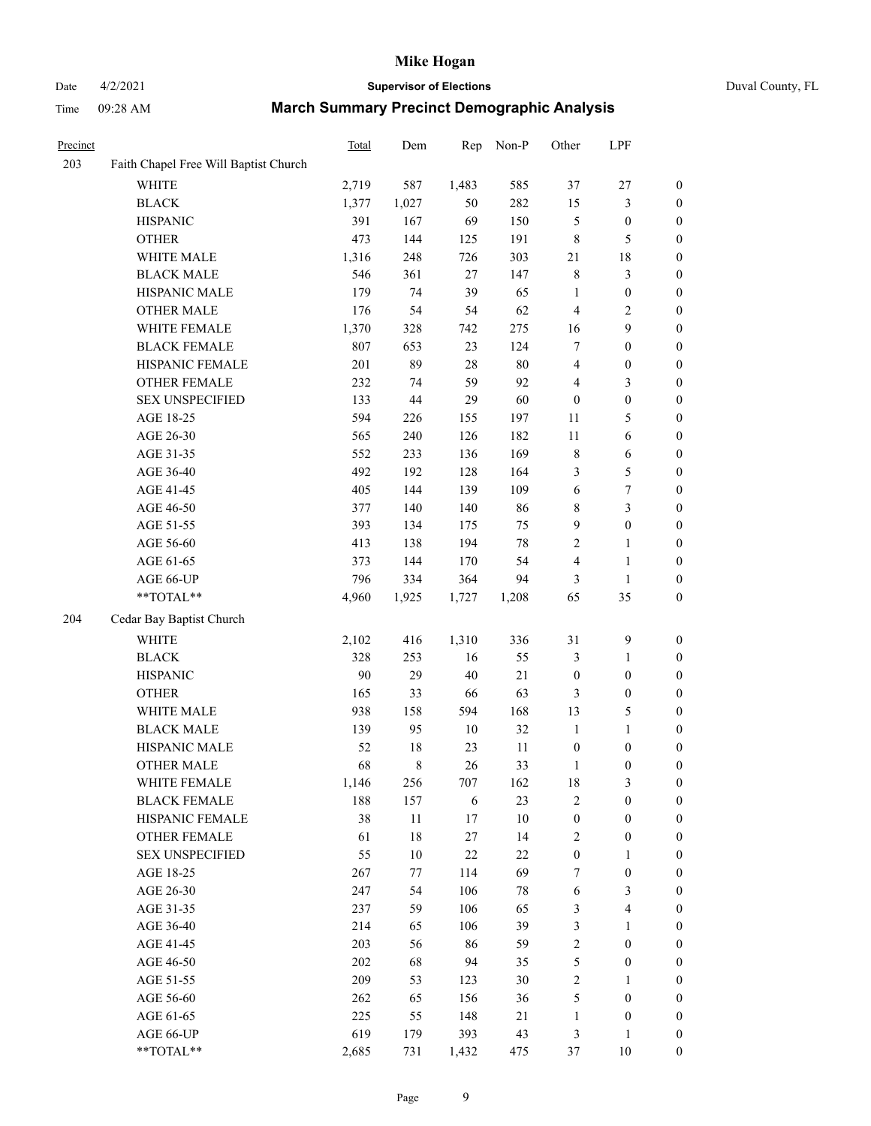# Date 4/2/2021 **Supervisor of Elections** Duval County, FL

| Precinct |                                       | Total | Dem         | Rep   | Non-P  | Other            | LPF              |                                      |
|----------|---------------------------------------|-------|-------------|-------|--------|------------------|------------------|--------------------------------------|
| 203      | Faith Chapel Free Will Baptist Church |       |             |       |        |                  |                  |                                      |
|          | <b>WHITE</b>                          | 2,719 | 587         | 1,483 | 585    | 37               | $27\,$           | $\boldsymbol{0}$                     |
|          | <b>BLACK</b>                          | 1,377 | 1,027       | 50    | 282    | 15               | $\mathfrak{Z}$   | $\boldsymbol{0}$                     |
|          | <b>HISPANIC</b>                       | 391   | 167         | 69    | 150    | 5                | $\boldsymbol{0}$ | $\boldsymbol{0}$                     |
|          | <b>OTHER</b>                          | 473   | 144         | 125   | 191    | 8                | $\mathfrak s$    | $\boldsymbol{0}$                     |
|          | WHITE MALE                            | 1,316 | 248         | 726   | 303    | 21               | 18               | $\boldsymbol{0}$                     |
|          | <b>BLACK MALE</b>                     | 546   | 361         | 27    | 147    | $\,$ $\,$        | 3                | $\boldsymbol{0}$                     |
|          | HISPANIC MALE                         | 179   | 74          | 39    | 65     | $\mathbf{1}$     | $\boldsymbol{0}$ | $\boldsymbol{0}$                     |
|          | <b>OTHER MALE</b>                     | 176   | 54          | 54    | 62     | 4                | $\sqrt{2}$       | $\boldsymbol{0}$                     |
|          | WHITE FEMALE                          | 1,370 | 328         | 742   | 275    | 16               | $\boldsymbol{9}$ | $\boldsymbol{0}$                     |
|          | <b>BLACK FEMALE</b>                   | 807   | 653         | 23    | 124    | $\boldsymbol{7}$ | $\boldsymbol{0}$ | 0                                    |
|          | HISPANIC FEMALE                       | 201   | 89          | 28    | 80     | 4                | $\boldsymbol{0}$ | $\boldsymbol{0}$                     |
|          | OTHER FEMALE                          | 232   | 74          | 59    | 92     | 4                | $\mathfrak{Z}$   | $\boldsymbol{0}$                     |
|          | <b>SEX UNSPECIFIED</b>                | 133   | 44          | 29    | 60     | $\boldsymbol{0}$ | $\boldsymbol{0}$ | $\boldsymbol{0}$                     |
|          | AGE 18-25                             | 594   | 226         | 155   | 197    | 11               | $\mathfrak s$    | $\boldsymbol{0}$                     |
|          | AGE 26-30                             | 565   | 240         | 126   | 182    | 11               | 6                | $\boldsymbol{0}$                     |
|          | AGE 31-35                             | 552   | 233         | 136   | 169    | $\,$ 8 $\,$      | 6                | $\boldsymbol{0}$                     |
|          | AGE 36-40                             | 492   | 192         | 128   | 164    | 3                | 5                | $\boldsymbol{0}$                     |
|          | AGE 41-45                             | 405   | 144         | 139   | 109    | 6                | $\boldsymbol{7}$ | $\boldsymbol{0}$                     |
|          | AGE 46-50                             | 377   | 140         | 140   | 86     | 8                | $\mathfrak{Z}$   | $\boldsymbol{0}$                     |
|          | AGE 51-55                             | 393   | 134         | 175   | 75     | 9                | $\boldsymbol{0}$ | 0                                    |
|          | AGE 56-60                             | 413   | 138         | 194   | $78\,$ | $\mathbf{2}$     | $\mathbf{1}$     | $\boldsymbol{0}$                     |
|          | AGE 61-65                             | 373   | 144         | 170   | 54     | 4                | $\mathbf{1}$     | $\boldsymbol{0}$                     |
|          | AGE 66-UP                             | 796   | 334         | 364   | 94     | 3                | $\mathbf{1}$     |                                      |
|          | $**TOTAL**$                           | 4,960 | 1,925       | 1,727 | 1,208  | 65               | 35               | $\boldsymbol{0}$<br>$\boldsymbol{0}$ |
|          |                                       |       |             |       |        |                  |                  |                                      |
| 204      | Cedar Bay Baptist Church              |       |             |       |        |                  |                  |                                      |
|          | WHITE                                 | 2,102 | 416         | 1,310 | 336    | 31               | $\boldsymbol{9}$ | $\boldsymbol{0}$                     |
|          | <b>BLACK</b>                          | 328   | 253         | 16    | 55     | 3                | $\mathbf{1}$     | $\boldsymbol{0}$                     |
|          | <b>HISPANIC</b>                       | 90    | 29          | 40    | $21\,$ | $\boldsymbol{0}$ | $\boldsymbol{0}$ | $\boldsymbol{0}$                     |
|          | <b>OTHER</b>                          | 165   | 33          | 66    | 63     | 3                | $\boldsymbol{0}$ | $\boldsymbol{0}$                     |
|          | WHITE MALE                            | 938   | 158         | 594   | 168    | 13               | $\mathfrak s$    | $\boldsymbol{0}$                     |
|          | <b>BLACK MALE</b>                     | 139   | 95          | 10    | 32     | $\mathbf{1}$     | $\mathbf{1}$     | $\boldsymbol{0}$                     |
|          | HISPANIC MALE                         | 52    | $18\,$      | 23    | 11     | $\boldsymbol{0}$ | $\boldsymbol{0}$ | 0                                    |
|          | <b>OTHER MALE</b>                     | 68    | $\,$ 8 $\,$ | 26    | 33     | 1                | $\boldsymbol{0}$ | $\boldsymbol{0}$                     |
|          | WHITE FEMALE                          | 1,146 | 256         | 707   | 162    | 18               | 3                | $\overline{0}$                       |
|          | <b>BLACK FEMALE</b>                   | 188   | 157         | 6     | 23     | 2                | $\boldsymbol{0}$ | $\overline{0}$                       |
|          | HISPANIC FEMALE                       | 38    | $11\,$      | 17    | 10     | $\boldsymbol{0}$ | $\boldsymbol{0}$ | $\overline{0}$                       |
|          | OTHER FEMALE                          | 61    | 18          | 27    | 14     | 2                | $\boldsymbol{0}$ | 0                                    |
|          | <b>SEX UNSPECIFIED</b>                | 55    | 10          | 22    | $22\,$ | $\boldsymbol{0}$ | $\mathbf{1}$     | 0                                    |
|          | AGE 18-25                             | 267   | 77          | 114   | 69     | 7                | $\boldsymbol{0}$ | 0                                    |
|          | AGE 26-30                             | 247   | 54          | 106   | $78\,$ | 6                | $\mathfrak z$    | 0                                    |
|          | AGE 31-35                             | 237   | 59          | 106   | 65     | 3                | $\overline{4}$   | 0                                    |
|          | AGE 36-40                             | 214   | 65          | 106   | 39     | 3                | $\mathbf{1}$     | 0                                    |
|          | AGE 41-45                             | 203   | 56          | 86    | 59     | $\overline{c}$   | $\boldsymbol{0}$ | 0                                    |
|          | AGE 46-50                             | 202   | 68          | 94    | 35     | 5                | $\boldsymbol{0}$ | 0                                    |
|          | AGE 51-55                             | 209   | 53          | 123   | 30     | $\overline{c}$   | 1                | 0                                    |
|          | AGE 56-60                             | 262   | 65          | 156   | 36     | 5                | $\boldsymbol{0}$ | $\overline{0}$                       |
|          | AGE 61-65                             | 225   | 55          | 148   | 21     | 1                | $\boldsymbol{0}$ | 0                                    |
|          | AGE 66-UP                             | 619   | 179         | 393   | 43     | 3                | $\mathbf{1}$     | 0                                    |
|          | **TOTAL**                             | 2,685 | 731         | 1,432 | 475    | 37               | 10               | $\boldsymbol{0}$                     |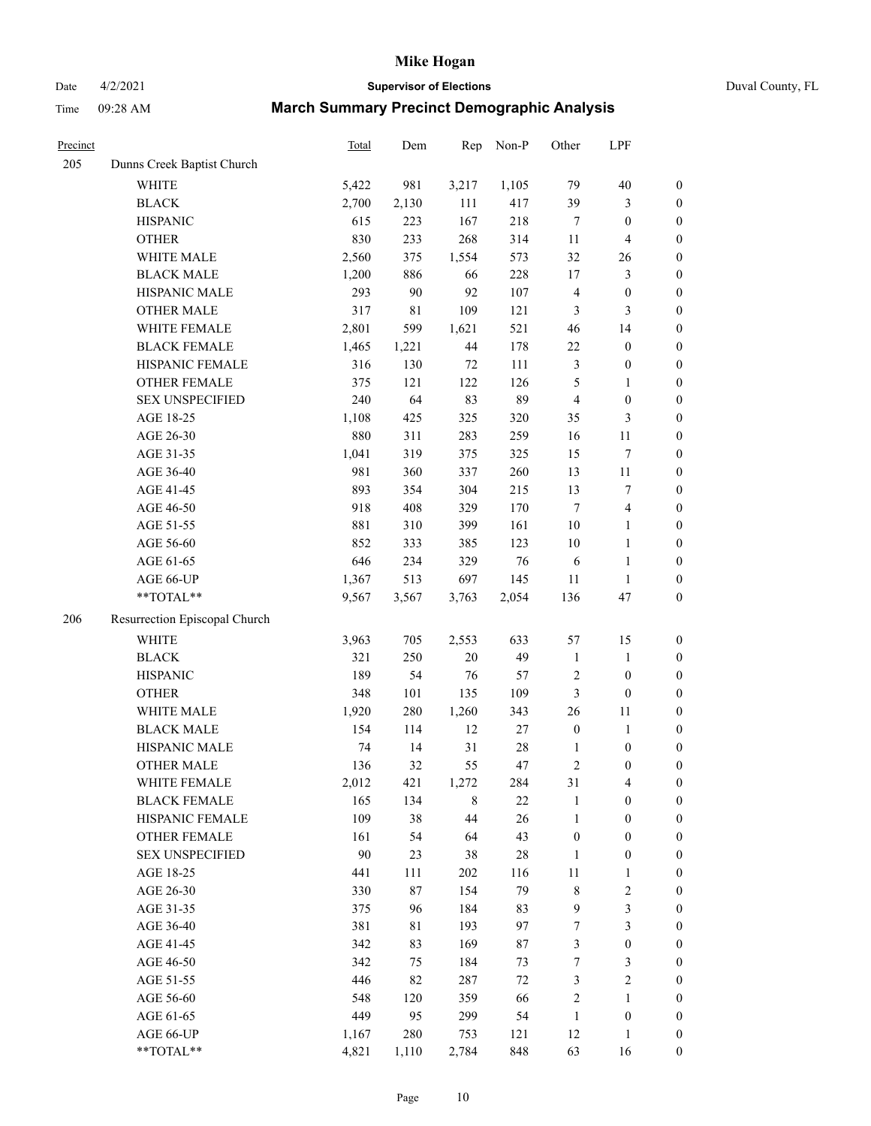# Date 4/2/2021 **Supervisor of Elections** Duval County, FL

| Precinct |                               | Total | Dem         | Rep         | Non-P  | Other            | LPF              |                  |
|----------|-------------------------------|-------|-------------|-------------|--------|------------------|------------------|------------------|
| 205      | Dunns Creek Baptist Church    |       |             |             |        |                  |                  |                  |
|          | <b>WHITE</b>                  | 5,422 | 981         | 3,217       | 1,105  | 79               | 40               | $\boldsymbol{0}$ |
|          | <b>BLACK</b>                  | 2,700 | 2,130       | 111         | 417    | 39               | 3                | $\boldsymbol{0}$ |
|          | <b>HISPANIC</b>               | 615   | 223         | 167         | 218    | 7                | $\boldsymbol{0}$ | $\boldsymbol{0}$ |
|          | <b>OTHER</b>                  | 830   | 233         | 268         | 314    | 11               | $\overline{4}$   | $\boldsymbol{0}$ |
|          | WHITE MALE                    | 2,560 | 375         | 1,554       | 573    | 32               | 26               | $\boldsymbol{0}$ |
|          | <b>BLACK MALE</b>             | 1,200 | 886         | 66          | 228    | 17               | $\mathfrak{Z}$   | $\boldsymbol{0}$ |
|          | HISPANIC MALE                 | 293   | 90          | 92          | 107    | 4                | $\boldsymbol{0}$ | $\boldsymbol{0}$ |
|          | <b>OTHER MALE</b>             | 317   | $8\sqrt{1}$ | 109         | 121    | 3                | $\mathfrak{Z}$   | $\boldsymbol{0}$ |
|          | WHITE FEMALE                  | 2,801 | 599         | 1,621       | 521    | 46               | 14               | $\boldsymbol{0}$ |
|          | <b>BLACK FEMALE</b>           | 1,465 | 1,221       | $44\,$      | 178    | $22\,$           | $\boldsymbol{0}$ | $\boldsymbol{0}$ |
|          | HISPANIC FEMALE               | 316   | 130         | $72\,$      | 111    | 3                | $\boldsymbol{0}$ | $\boldsymbol{0}$ |
|          | OTHER FEMALE                  | 375   | 121         | 122         | 126    | 5                | $\mathbf{1}$     | $\boldsymbol{0}$ |
|          | <b>SEX UNSPECIFIED</b>        | 240   | 64          | 83          | 89     | 4                | $\boldsymbol{0}$ | $\boldsymbol{0}$ |
|          | AGE 18-25                     | 1,108 | 425         | 325         | 320    | 35               | $\mathfrak{Z}$   | $\boldsymbol{0}$ |
|          | AGE 26-30                     | 880   | 311         | 283         | 259    | 16               | 11               | $\boldsymbol{0}$ |
|          | AGE 31-35                     | 1,041 | 319         | 375         | 325    | 15               | $\boldsymbol{7}$ | $\boldsymbol{0}$ |
|          | AGE 36-40                     | 981   | 360         | 337         | 260    | 13               | $11\,$           | $\boldsymbol{0}$ |
|          | AGE 41-45                     | 893   | 354         | 304         | 215    | 13               | 7                | $\boldsymbol{0}$ |
|          | AGE 46-50                     | 918   | 408         | 329         | 170    | $\tau$           | $\overline{4}$   | $\boldsymbol{0}$ |
|          | AGE 51-55                     | 881   | 310         | 399         | 161    | $10\,$           | $\mathbf{1}$     | 0                |
|          | AGE 56-60                     | 852   | 333         | 385         | 123    | $10\,$           | $\mathbf{1}$     | $\boldsymbol{0}$ |
|          | AGE 61-65                     | 646   | 234         | 329         | 76     | 6                | $\mathbf{1}$     | $\boldsymbol{0}$ |
|          | AGE 66-UP                     | 1,367 | 513         | 697         | 145    | $11\,$           | $\mathbf{1}$     | $\boldsymbol{0}$ |
|          | **TOTAL**                     | 9,567 | 3,567       | 3,763       | 2,054  | 136              | 47               | $\boldsymbol{0}$ |
| 206      | Resurrection Episcopal Church |       |             |             |        |                  |                  |                  |
|          | <b>WHITE</b>                  | 3,963 | 705         | 2,553       | 633    | 57               | 15               | $\boldsymbol{0}$ |
|          | <b>BLACK</b>                  | 321   | 250         | 20          | 49     | $\mathbf{1}$     | $\mathbf{1}$     | $\boldsymbol{0}$ |
|          | <b>HISPANIC</b>               | 189   | 54          | 76          | 57     | 2                | $\boldsymbol{0}$ | $\boldsymbol{0}$ |
|          | <b>OTHER</b>                  | 348   | 101         | 135         | 109    | 3                | $\boldsymbol{0}$ | $\boldsymbol{0}$ |
|          | WHITE MALE                    | 1,920 | 280         | 1,260       | 343    | 26               | 11               | $\boldsymbol{0}$ |
|          | <b>BLACK MALE</b>             | 154   | 114         | 12          | 27     | $\boldsymbol{0}$ | $\mathbf{1}$     | $\boldsymbol{0}$ |
|          | HISPANIC MALE                 | 74    | 14          | 31          | $28\,$ | 1                | $\boldsymbol{0}$ | 0                |
|          | <b>OTHER MALE</b>             | 136   | 32          | 55          | 47     | 2                | $\boldsymbol{0}$ | $\boldsymbol{0}$ |
|          | WHITE FEMALE                  | 2,012 | 421         | 1,272       | 284    | 31               | $\overline{4}$   | 0                |
|          | <b>BLACK FEMALE</b>           | 165   | 134         | $\,$ 8 $\,$ | $22\,$ | $\mathbf{1}$     | $\boldsymbol{0}$ | $\overline{0}$   |
|          | HISPANIC FEMALE               | 109   | 38          | 44          | 26     | $\mathbf{1}$     | $\boldsymbol{0}$ | $\overline{0}$   |
|          | <b>OTHER FEMALE</b>           | 161   | 54          | 64          | 43     | $\boldsymbol{0}$ | $\boldsymbol{0}$ | 0                |
|          | <b>SEX UNSPECIFIED</b>        | 90    | 23          | 38          | $28\,$ | $\mathbf{1}$     | $\boldsymbol{0}$ | 0                |
|          | AGE 18-25                     | 441   | 111         | 202         | 116    | $11\,$           | $\mathbf{1}$     | 0                |
|          | AGE 26-30                     | 330   | 87          | 154         | 79     | $\,$ $\,$        | $\sqrt{2}$       | 0                |
|          | AGE 31-35                     | 375   | 96          | 184         | 83     | 9                | $\mathfrak{Z}$   | 0                |
|          | AGE 36-40                     | 381   | 81          | 193         | 97     | 7                | $\mathfrak{Z}$   | 0                |
|          | AGE 41-45                     | 342   | 83          | 169         | 87     | 3                | $\boldsymbol{0}$ | 0                |
|          | AGE 46-50                     | 342   | 75          | 184         | 73     | 7                | 3                | 0                |
|          | AGE 51-55                     | 446   | 82          | 287         | $72\,$ | 3                | $\sqrt{2}$       | $\boldsymbol{0}$ |
|          | AGE 56-60                     | 548   | 120         | 359         | 66     | 2                | $\mathbf{1}$     | $\overline{0}$   |
|          | AGE 61-65                     | 449   | 95          | 299         | 54     | $\mathbf{1}$     | $\boldsymbol{0}$ | 0                |
|          | AGE 66-UP                     | 1,167 | 280         | 753         | 121    | 12               | $\mathbf{1}$     | 0                |
|          | **TOTAL**                     | 4,821 | 1,110       | 2,784       | 848    | 63               | 16               | $\boldsymbol{0}$ |
|          |                               |       |             |             |        |                  |                  |                  |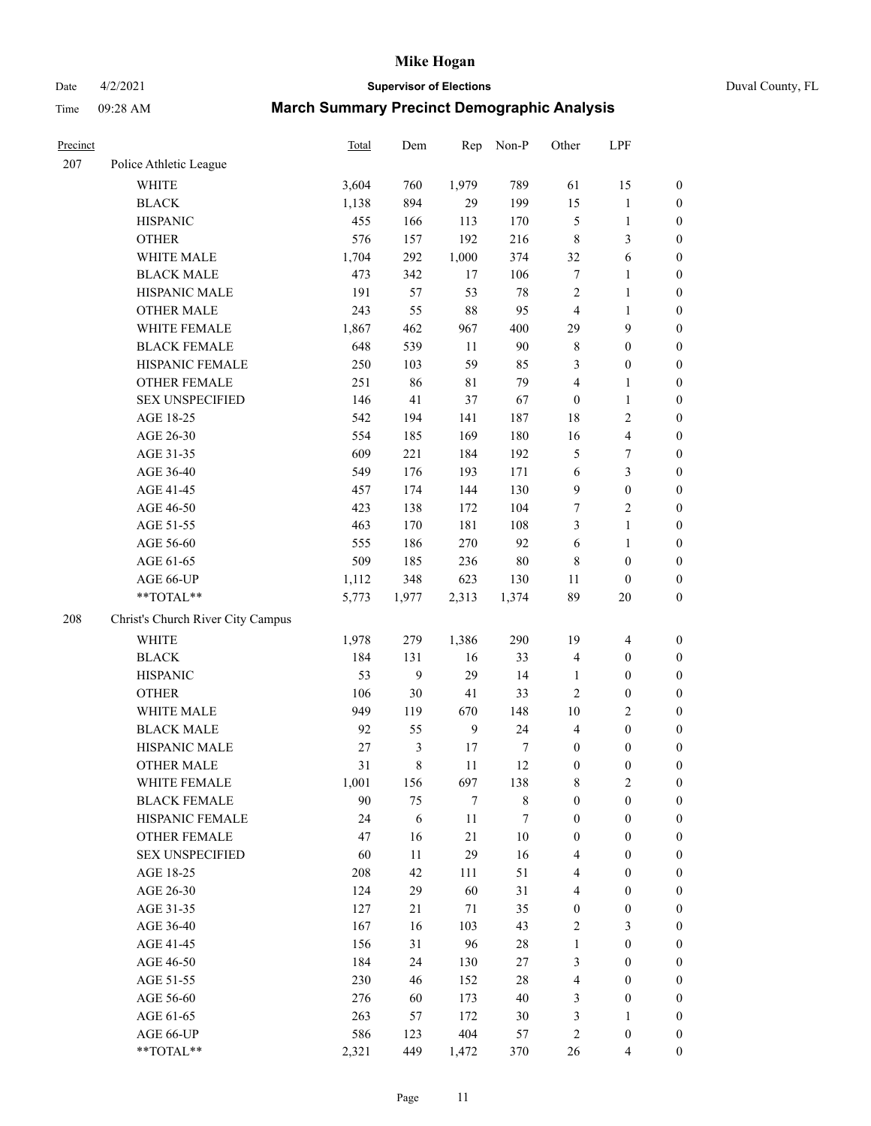# Date 4/2/2021 **Supervisor of Elections** Duval County, FL

| Precinct |                                   | Total | Dem              | Rep          | Non-P       | Other                   | LPF              |                  |
|----------|-----------------------------------|-------|------------------|--------------|-------------|-------------------------|------------------|------------------|
| 207      | Police Athletic League            |       |                  |              |             |                         |                  |                  |
|          | <b>WHITE</b>                      | 3,604 | 760              | 1,979        | 789         | 61                      | 15               | 0                |
|          | <b>BLACK</b>                      | 1,138 | 894              | 29           | 199         | 15                      | $\mathbf{1}$     | 0                |
|          | <b>HISPANIC</b>                   | 455   | 166              | 113          | 170         | 5                       | $\mathbf{1}$     | $\boldsymbol{0}$ |
|          | <b>OTHER</b>                      | 576   | 157              | 192          | 216         | 8                       | $\mathfrak{Z}$   | $\boldsymbol{0}$ |
|          | WHITE MALE                        | 1,704 | 292              | 1,000        | 374         | 32                      | 6                | $\boldsymbol{0}$ |
|          | <b>BLACK MALE</b>                 | 473   | 342              | 17           | 106         | 7                       | $\mathbf{1}$     | $\boldsymbol{0}$ |
|          | HISPANIC MALE                     | 191   | 57               | 53           | 78          | $\overline{c}$          | $\mathbf{1}$     | $\boldsymbol{0}$ |
|          | <b>OTHER MALE</b>                 | 243   | 55               | 88           | 95          | $\overline{4}$          | $\mathbf{1}$     | $\boldsymbol{0}$ |
|          | WHITE FEMALE                      | 1,867 | 462              | 967          | 400         | 29                      | $\boldsymbol{9}$ | $\boldsymbol{0}$ |
|          | <b>BLACK FEMALE</b>               | 648   | 539              | 11           | 90          | 8                       | $\boldsymbol{0}$ | $\boldsymbol{0}$ |
|          | HISPANIC FEMALE                   | 250   | 103              | 59           | 85          | 3                       | $\boldsymbol{0}$ | $\boldsymbol{0}$ |
|          | OTHER FEMALE                      | 251   | 86               | $8\sqrt{1}$  | 79          | 4                       | 1                | $\boldsymbol{0}$ |
|          | <b>SEX UNSPECIFIED</b>            | 146   | 41               | 37           | 67          | $\boldsymbol{0}$        | $\mathbf{1}$     | $\boldsymbol{0}$ |
|          | AGE 18-25                         | 542   | 194              | 141          | 187         | 18                      | $\sqrt{2}$       | $\boldsymbol{0}$ |
|          | AGE 26-30                         | 554   | 185              | 169          | 180         | 16                      | $\overline{4}$   | $\boldsymbol{0}$ |
|          | AGE 31-35                         | 609   | 221              | 184          | 192         | 5                       | $\boldsymbol{7}$ | $\boldsymbol{0}$ |
|          | AGE 36-40                         | 549   | 176              | 193          | 171         | 6                       | 3                | $\boldsymbol{0}$ |
|          | AGE 41-45                         | 457   | 174              | 144          | 130         | 9                       | $\boldsymbol{0}$ | $\boldsymbol{0}$ |
|          | AGE 46-50                         | 423   | 138              | 172          | 104         | 7                       | $\overline{c}$   | $\boldsymbol{0}$ |
|          | AGE 51-55                         | 463   | 170              | 181          | 108         | 3                       | $\mathbf{1}$     | $\boldsymbol{0}$ |
|          | AGE 56-60                         | 555   | 186              | 270          | 92          | 6                       | $\mathbf{1}$     | 0                |
|          | AGE 61-65                         | 509   | 185              | 236          | 80          | 8                       | $\boldsymbol{0}$ | $\boldsymbol{0}$ |
|          | AGE 66-UP                         | 1,112 | 348              | 623          | 130         | 11                      | $\boldsymbol{0}$ | $\boldsymbol{0}$ |
|          | $**TOTAL**$                       | 5,773 | 1,977            | 2,313        | 1,374       | 89                      | 20               | $\boldsymbol{0}$ |
|          |                                   |       |                  |              |             |                         |                  |                  |
| 208      | Christ's Church River City Campus |       |                  |              |             |                         |                  |                  |
|          | WHITE                             | 1,978 | 279              | 1,386        | 290         | 19                      | $\overline{4}$   | $\boldsymbol{0}$ |
|          | <b>BLACK</b>                      | 184   | 131              | 16           | 33          | 4                       | $\boldsymbol{0}$ | $\boldsymbol{0}$ |
|          | <b>HISPANIC</b>                   | 53    | $\boldsymbol{9}$ | 29           | 14          | $\mathbf{1}$            | $\boldsymbol{0}$ | $\boldsymbol{0}$ |
|          | <b>OTHER</b>                      | 106   | 30               | 41           | 33          | $\overline{c}$          | $\boldsymbol{0}$ | $\boldsymbol{0}$ |
|          | WHITE MALE                        | 949   | 119              | 670          | 148         | 10                      | $\mathfrak{2}$   | $\boldsymbol{0}$ |
|          | <b>BLACK MALE</b>                 | 92    | 55               | $\mathbf{9}$ | 24          | $\overline{4}$          | $\boldsymbol{0}$ | $\boldsymbol{0}$ |
|          | HISPANIC MALE                     | 27    | $\mathfrak{Z}$   | 17           | 7           | $\boldsymbol{0}$        | $\boldsymbol{0}$ | $\boldsymbol{0}$ |
|          | <b>OTHER MALE</b>                 | 31    | $\,$ 8 $\,$      | 11           | 12          | $\boldsymbol{0}$        | $\boldsymbol{0}$ | $\boldsymbol{0}$ |
|          | WHITE FEMALE                      | 1,001 | 156              | 697          | 138         | 8                       | 2                | 0                |
|          | <b>BLACK FEMALE</b>               | 90    | 75               | 7            | $\,$ 8 $\,$ | $\boldsymbol{0}$        | $\boldsymbol{0}$ | $\overline{0}$   |
|          | HISPANIC FEMALE                   | 24    | 6                | $11\,$       | 7           | $\boldsymbol{0}$        | $\boldsymbol{0}$ | $\overline{0}$   |
|          | <b>OTHER FEMALE</b>               | 47    | 16               | 21           | 10          | 0                       | $\boldsymbol{0}$ | $\overline{0}$   |
|          | <b>SEX UNSPECIFIED</b>            | 60    | 11               | 29           | 16          | 4                       | $\boldsymbol{0}$ | 0                |
|          | AGE 18-25                         | 208   | 42               | 111          | 51          | 4                       | $\boldsymbol{0}$ | $\theta$         |
|          | AGE 26-30                         | 124   | 29               | 60           | 31          | 4                       | $\boldsymbol{0}$ | 0                |
|          | AGE 31-35                         | 127   | 21               | 71           | 35          | 0                       | $\boldsymbol{0}$ | 0                |
|          | AGE 36-40                         | 167   | 16               | 103          | 43          | 2                       | $\mathfrak{Z}$   | 0                |
|          | AGE 41-45                         | 156   | 31               | 96           | 28          | $\mathbf{1}$            | $\boldsymbol{0}$ | 0                |
|          | AGE 46-50                         | 184   | 24               | 130          | $27\,$      | 3                       | $\boldsymbol{0}$ | 0                |
|          | AGE 51-55                         | 230   | 46               | 152          | 28          | 4                       | $\boldsymbol{0}$ | 0                |
|          | AGE 56-60                         | 276   | 60               | 173          | 40          | 3                       | $\boldsymbol{0}$ | $\overline{0}$   |
|          | AGE 61-65                         | 263   | 57               | 172          | 30          | 3                       | 1                | $\overline{0}$   |
|          | AGE 66-UP                         | 586   | 123              | 404          | 57          | $\overline{\mathbf{c}}$ | $\boldsymbol{0}$ | 0                |
|          | **TOTAL**                         | 2,321 | 449              | 1,472        | 370         | 26                      | $\overline{4}$   | $\boldsymbol{0}$ |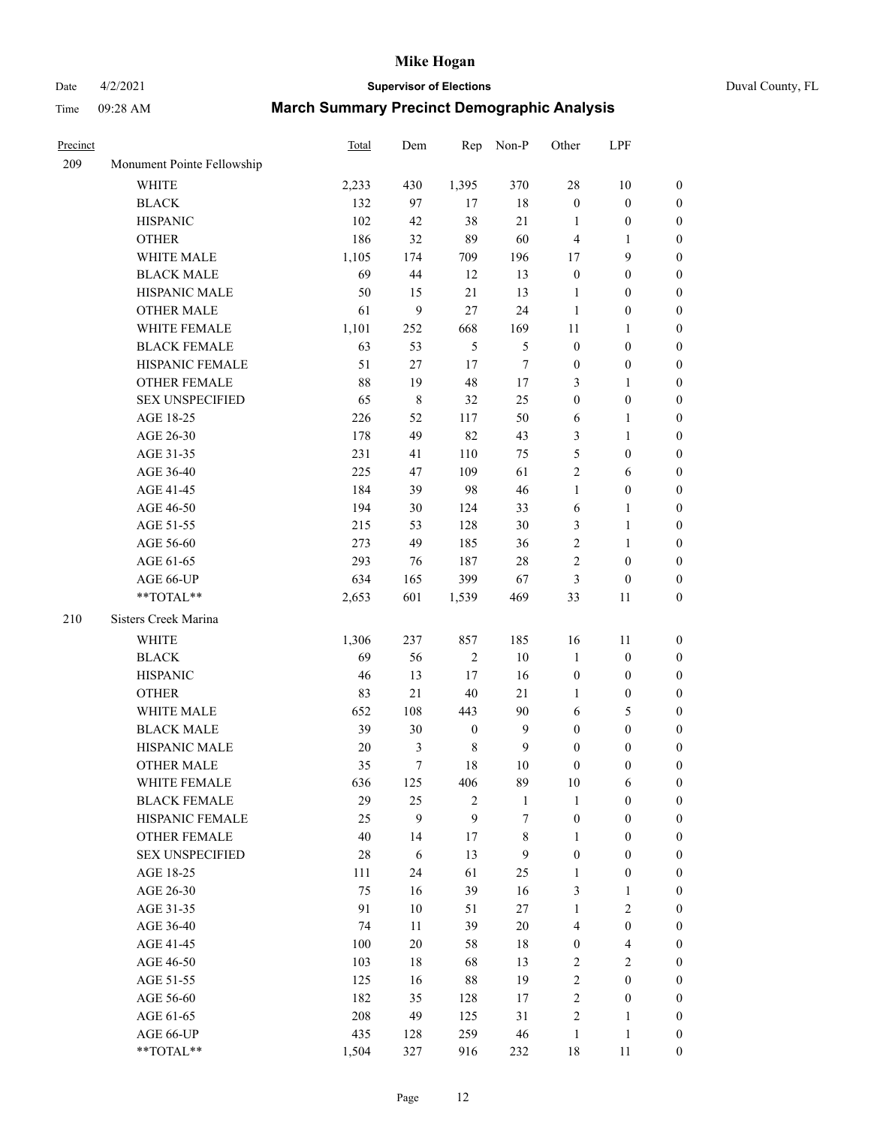# Date 4/2/2021 **Supervisor of Elections** Duval County, FL

| Precinct |                            | Total  | Dem            | Rep              | Non-P            | Other               | LPF              |                  |
|----------|----------------------------|--------|----------------|------------------|------------------|---------------------|------------------|------------------|
| 209      | Monument Pointe Fellowship |        |                |                  |                  |                     |                  |                  |
|          | <b>WHITE</b>               | 2,233  | 430            | 1,395            | 370              | 28                  | 10               | 0                |
|          | <b>BLACK</b>               | 132    | 97             | 17               | 18               | $\boldsymbol{0}$    | $\boldsymbol{0}$ | 0                |
|          | <b>HISPANIC</b>            | 102    | 42             | 38               | 21               | $\mathbf{1}$        | $\boldsymbol{0}$ | $\boldsymbol{0}$ |
|          | <b>OTHER</b>               | 186    | 32             | 89               | 60               | $\overline{4}$      | 1                | $\boldsymbol{0}$ |
|          | WHITE MALE                 | 1,105  | 174            | 709              | 196              | 17                  | 9                | $\boldsymbol{0}$ |
|          | <b>BLACK MALE</b>          | 69     | 44             | 12               | 13               | $\boldsymbol{0}$    | $\boldsymbol{0}$ | $\boldsymbol{0}$ |
|          | HISPANIC MALE              | 50     | 15             | 21               | 13               | $\mathbf{1}$        | $\boldsymbol{0}$ | $\boldsymbol{0}$ |
|          | <b>OTHER MALE</b>          | 61     | 9              | 27               | 24               | $\mathbf{1}$        | $\boldsymbol{0}$ | $\boldsymbol{0}$ |
|          | WHITE FEMALE               | 1,101  | 252            | 668              | 169              | $11\,$              | 1                | $\boldsymbol{0}$ |
|          | <b>BLACK FEMALE</b>        | 63     | 53             | 5                | $\mathfrak s$    | $\boldsymbol{0}$    | $\boldsymbol{0}$ | 0                |
|          | HISPANIC FEMALE            | 51     | $27\,$         | 17               | $\boldsymbol{7}$ | $\boldsymbol{0}$    | $\boldsymbol{0}$ | 0                |
|          | OTHER FEMALE               | 88     | 19             | 48               | $17\,$           | 3                   | $\mathbf{1}$     | $\boldsymbol{0}$ |
|          | <b>SEX UNSPECIFIED</b>     | 65     | $\,$ 8 $\,$    | 32               | 25               | $\boldsymbol{0}$    | $\boldsymbol{0}$ | $\boldsymbol{0}$ |
|          | AGE 18-25                  | 226    | 52             | 117              | 50               | 6                   | $\mathbf{1}$     | $\boldsymbol{0}$ |
|          | AGE 26-30                  | 178    | 49             | 82               | 43               | 3                   | $\mathbf{1}$     | $\boldsymbol{0}$ |
|          | AGE 31-35                  | 231    | 41             | 110              | 75               | 5                   | $\boldsymbol{0}$ | $\boldsymbol{0}$ |
|          | AGE 36-40                  | 225    | 47             | 109              | 61               | $\overline{c}$      | 6                | $\boldsymbol{0}$ |
|          | AGE 41-45                  | 184    | 39             | 98               | 46               | $\mathbf{1}$        | $\boldsymbol{0}$ | $\boldsymbol{0}$ |
|          | AGE 46-50                  | 194    | 30             | 124              | 33               | 6                   | $\mathbf{1}$     | $\boldsymbol{0}$ |
|          | AGE 51-55                  | 215    |                | 128              | 30               |                     | $\mathbf{1}$     |                  |
|          |                            |        | 53             |                  |                  | 3<br>$\overline{c}$ |                  | 0                |
|          | AGE 56-60                  | 273    | 49             | 185              | 36               |                     | $\mathbf{1}$     | 0                |
|          | AGE 61-65                  | 293    | 76             | 187              | $28\,$           | $\overline{c}$      | $\boldsymbol{0}$ | 0                |
|          | AGE 66-UP<br>$**TOTAL**$   | 634    | 165            | 399              | 67               | 3                   | $\boldsymbol{0}$ | $\boldsymbol{0}$ |
|          |                            | 2,653  | 601            | 1,539            | 469              | 33                  | 11               | $\boldsymbol{0}$ |
| 210      | Sisters Creek Marina       |        |                |                  |                  |                     |                  |                  |
|          | <b>WHITE</b>               | 1,306  | 237            | 857              | 185              | 16                  | 11               | $\boldsymbol{0}$ |
|          | <b>BLACK</b>               | 69     | 56             | $\sqrt{2}$       | 10               | $\mathbf{1}$        | $\boldsymbol{0}$ | $\boldsymbol{0}$ |
|          | <b>HISPANIC</b>            | 46     | 13             | 17               | 16               | $\boldsymbol{0}$    | $\boldsymbol{0}$ | $\boldsymbol{0}$ |
|          | <b>OTHER</b>               | 83     | 21             | 40               | 21               | 1                   | $\boldsymbol{0}$ | $\boldsymbol{0}$ |
|          | WHITE MALE                 | 652    | 108            | 443              | 90               | 6                   | $\mathfrak s$    | $\boldsymbol{0}$ |
|          | <b>BLACK MALE</b>          | 39     | 30             | $\boldsymbol{0}$ | $\boldsymbol{9}$ | $\boldsymbol{0}$    | $\boldsymbol{0}$ | $\boldsymbol{0}$ |
|          | HISPANIC MALE              | $20\,$ | $\mathfrak{Z}$ | $\,$ 8 $\,$      | $\boldsymbol{9}$ | $\boldsymbol{0}$    | $\boldsymbol{0}$ | 0                |
|          | <b>OTHER MALE</b>          | 35     | $\tau$         | 18               | 10               | 0                   | $\boldsymbol{0}$ | $\boldsymbol{0}$ |
|          | WHITE FEMALE               | 636    | 125            | 406              | 89               | 10                  | 6                | 0                |
|          | <b>BLACK FEMALE</b>        | 29     | 25             | $\overline{c}$   | $\mathbf{1}$     | 1                   | $\boldsymbol{0}$ | $\overline{0}$   |
|          | HISPANIC FEMALE            | 25     | 9              | 9                | 7                | $\boldsymbol{0}$    | $\boldsymbol{0}$ | $\overline{0}$   |
|          | <b>OTHER FEMALE</b>        | 40     | 14             | 17               | $\,$ 8 $\,$      | 1                   | $\boldsymbol{0}$ | $\overline{0}$   |
|          | <b>SEX UNSPECIFIED</b>     | 28     | 6              | 13               | 9                | $\boldsymbol{0}$    | $\boldsymbol{0}$ | $\overline{0}$   |
|          | AGE 18-25                  | 111    | 24             | 61               | 25               | $\mathbf{1}$        | $\boldsymbol{0}$ | $\theta$         |
|          | AGE 26-30                  | 75     | 16             | 39               | 16               | 3                   | $\mathbf{1}$     | 0                |
|          | AGE 31-35                  | 91     | 10             | 51               | $27\,$           | $\mathbf{1}$        | $\sqrt{2}$       | 0                |
|          | AGE 36-40                  | 74     | 11             | 39               | 20               | 4                   | $\boldsymbol{0}$ | 0                |
|          | AGE 41-45                  | 100    | 20             | 58               | 18               | $\boldsymbol{0}$    | $\overline{4}$   | 0                |
|          | AGE 46-50                  | 103    | 18             | 68               | 13               | 2                   | $\sqrt{2}$       | 0                |
|          | AGE 51-55                  | 125    | 16             | 88               | 19               | $\mathbf{2}$        | $\boldsymbol{0}$ | $\overline{0}$   |
|          | AGE 56-60                  | 182    | 35             | 128              | 17               | $\mathbf{2}$        | $\boldsymbol{0}$ | $\overline{0}$   |
|          | AGE 61-65                  | 208    | 49             | 125              | 31               | 2                   | $\mathbf{1}$     | $\overline{0}$   |
|          | AGE 66-UP                  | 435    | 128            | 259              | 46               | $\mathbf{1}$        | $\mathbf{1}$     | $\boldsymbol{0}$ |
|          | **TOTAL**                  | 1,504  | 327            | 916              | 232              | 18                  | 11               | $\boldsymbol{0}$ |
|          |                            |        |                |                  |                  |                     |                  |                  |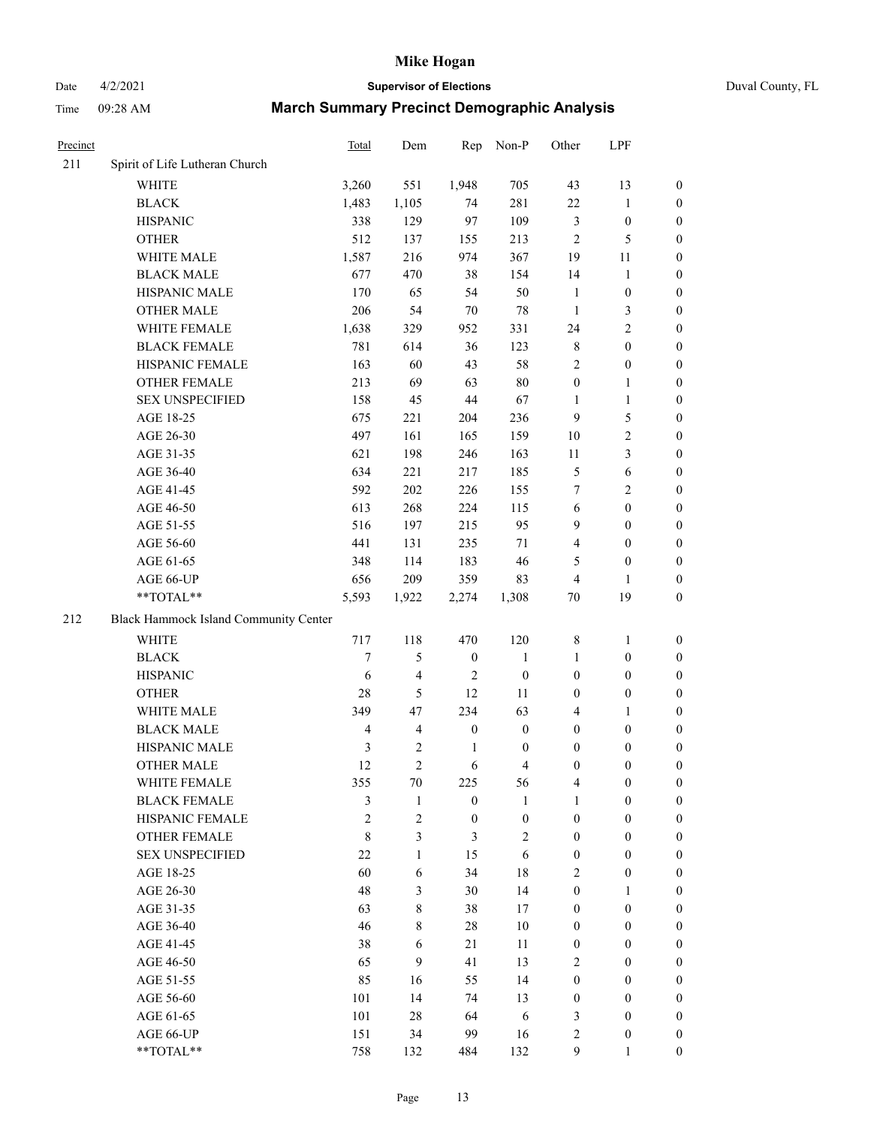Date 4/2/2021 **Supervisor of Elections** Duval County, FL

| Precinct |                                       | Total          | Dem            | Rep              | Non-P            | Other            | LPF              |                  |  |  |
|----------|---------------------------------------|----------------|----------------|------------------|------------------|------------------|------------------|------------------|--|--|
| 211      | Spirit of Life Lutheran Church        |                |                |                  |                  |                  |                  |                  |  |  |
|          | <b>WHITE</b>                          | 3,260          | 551            | 1,948            | 705              | 43               | 13               | $\boldsymbol{0}$ |  |  |
|          | <b>BLACK</b>                          | 1,483          | 1,105          | 74               | 281              | $22\,$           | $\mathbf{1}$     | $\boldsymbol{0}$ |  |  |
|          | <b>HISPANIC</b>                       | 338            | 129            | 97               | 109              | 3                | $\boldsymbol{0}$ | $\boldsymbol{0}$ |  |  |
|          | <b>OTHER</b>                          | 512            | 137            | 155              | 213              | 2                | 5                | $\boldsymbol{0}$ |  |  |
|          | WHITE MALE                            | 1,587          | 216            | 974              | 367              | 19               | 11               | $\boldsymbol{0}$ |  |  |
|          | <b>BLACK MALE</b>                     | 677            | 470            | 38               | 154              | 14               | $\mathbf{1}$     | $\boldsymbol{0}$ |  |  |
|          | HISPANIC MALE                         | 170            | 65             | 54               | 50               | $\mathbf{1}$     | $\boldsymbol{0}$ | $\boldsymbol{0}$ |  |  |
|          | <b>OTHER MALE</b>                     | 206            | 54             | $70\,$           | 78               | $\mathbf{1}$     | $\mathfrak{Z}$   | 0                |  |  |
|          | WHITE FEMALE                          | 1,638          | 329            | 952              | 331              | 24               | $\overline{c}$   | 0                |  |  |
|          | <b>BLACK FEMALE</b>                   | 781            | 614            | 36               | 123              | 8                | $\boldsymbol{0}$ | $\boldsymbol{0}$ |  |  |
|          | HISPANIC FEMALE                       | 163            | 60             | 43               | 58               | $\overline{c}$   | $\boldsymbol{0}$ | $\boldsymbol{0}$ |  |  |
|          | OTHER FEMALE                          | 213            | 69             | 63               | $80\,$           | $\boldsymbol{0}$ | $\mathbf{1}$     | $\boldsymbol{0}$ |  |  |
|          | <b>SEX UNSPECIFIED</b>                | 158            | 45             | 44               | 67               | $\mathbf{1}$     | $\mathbf{1}$     | $\boldsymbol{0}$ |  |  |
|          | AGE 18-25                             | 675            | 221            | 204              | 236              | 9                | 5                | $\boldsymbol{0}$ |  |  |
|          | AGE 26-30                             | 497            | 161            | 165              | 159              | 10               | $\sqrt{2}$       | $\boldsymbol{0}$ |  |  |
|          | AGE 31-35                             | 621            | 198            | 246              | 163              | $11\,$           | $\mathfrak{Z}$   | $\boldsymbol{0}$ |  |  |
|          | AGE 36-40                             | 634            | 221            | 217              | 185              | 5                | 6                | $\boldsymbol{0}$ |  |  |
|          | AGE 41-45                             | 592            | $202\,$        | 226              | 155              | 7                | $\sqrt{2}$       | 0                |  |  |
|          | AGE 46-50                             | 613            | 268            | 224              | 115              | 6                | $\boldsymbol{0}$ | 0                |  |  |
|          | AGE 51-55                             | 516            | 197            | 215              | 95               | 9                | $\boldsymbol{0}$ | $\boldsymbol{0}$ |  |  |
|          | AGE 56-60                             | 441            | 131            | 235              | 71               | 4                | $\boldsymbol{0}$ | $\boldsymbol{0}$ |  |  |
|          | AGE 61-65                             | 348            | 114            | 183              | 46               | 5                | $\boldsymbol{0}$ | $\boldsymbol{0}$ |  |  |
|          | AGE 66-UP                             | 656            | 209            | 359              | 83               | 4                | 1                | $\boldsymbol{0}$ |  |  |
|          | **TOTAL**                             | 5,593          | 1,922          | 2,274            | 1,308            | $70\,$           | 19               | $\boldsymbol{0}$ |  |  |
| 212      | Black Hammock Island Community Center |                |                |                  |                  |                  |                  |                  |  |  |
|          | <b>WHITE</b>                          | 717            | 118            | 470              | 120              | 8                | $\mathbf{1}$     | $\boldsymbol{0}$ |  |  |
|          | <b>BLACK</b>                          | $\tau$         | $\mathfrak{S}$ | $\boldsymbol{0}$ | $\mathbf{1}$     | 1                | $\boldsymbol{0}$ | $\boldsymbol{0}$ |  |  |
|          | <b>HISPANIC</b>                       | 6              | $\overline{4}$ | 2                | $\boldsymbol{0}$ | $\boldsymbol{0}$ | $\boldsymbol{0}$ | $\boldsymbol{0}$ |  |  |
|          | <b>OTHER</b>                          | $28\,$         | 5              | 12               | $11\,$           | 0                | $\boldsymbol{0}$ | $\boldsymbol{0}$ |  |  |
|          | WHITE MALE                            | 349            | 47             | 234              | 63               | 4                | 1                | 0                |  |  |
|          | <b>BLACK MALE</b>                     | $\overline{4}$ | $\overline{4}$ | $\boldsymbol{0}$ | $\boldsymbol{0}$ | 0                | $\boldsymbol{0}$ | 0                |  |  |
|          | HISPANIC MALE                         | 3              | $\mathfrak{2}$ | $\mathbf{1}$     | $\boldsymbol{0}$ | 0                | $\boldsymbol{0}$ | 0                |  |  |
|          | <b>OTHER MALE</b>                     | 12             | $\overline{c}$ | 6                | $\overline{4}$   | 0                | $\boldsymbol{0}$ | $\boldsymbol{0}$ |  |  |
|          | WHITE FEMALE                          | 355            | $70\,$         | 225              | 56               | 4                | $\boldsymbol{0}$ | $\boldsymbol{0}$ |  |  |
|          | <b>BLACK FEMALE</b>                   | 3              | $\mathbf{1}$   | $\boldsymbol{0}$ | 1                | 1                | $\boldsymbol{0}$ | $\overline{0}$   |  |  |
|          | HISPANIC FEMALE                       | $\overline{c}$ | $\mathfrak{2}$ | $\boldsymbol{0}$ | $\boldsymbol{0}$ | $\boldsymbol{0}$ | $\boldsymbol{0}$ | $\overline{0}$   |  |  |
|          | <b>OTHER FEMALE</b>                   | 8              | 3              | 3                | 2                | $\boldsymbol{0}$ | $\boldsymbol{0}$ | $\overline{0}$   |  |  |
|          | <b>SEX UNSPECIFIED</b>                | 22             | $\mathbf{1}$   | 15               | 6                | $\boldsymbol{0}$ | $\boldsymbol{0}$ | $\theta$         |  |  |
|          | AGE 18-25                             | 60             | 6              | 34               | 18               | $\overline{c}$   | $\boldsymbol{0}$ | $\overline{0}$   |  |  |
|          | AGE 26-30                             | 48             | 3              | 30               | 14               | $\boldsymbol{0}$ | $\mathbf{1}$     | 0                |  |  |
|          | AGE 31-35                             | 63             | $\,8\,$        | 38               | 17               | $\boldsymbol{0}$ | $\boldsymbol{0}$ | 0                |  |  |
|          | AGE 36-40                             | 46             | 8              | 28               | 10               | 0                | $\boldsymbol{0}$ | 0                |  |  |
|          | AGE 41-45                             | 38             | 6              | 21               | 11               | $\boldsymbol{0}$ | $\boldsymbol{0}$ | $\overline{0}$   |  |  |
|          | AGE 46-50                             | 65             | 9              | 41               | 13               | 2                | $\boldsymbol{0}$ | $\overline{0}$   |  |  |
|          | AGE 51-55                             | 85             | 16             | 55               | 14               | $\boldsymbol{0}$ | $\boldsymbol{0}$ | $\overline{0}$   |  |  |
|          | AGE 56-60                             | 101            | 14             | 74               | 13               | $\boldsymbol{0}$ | $\boldsymbol{0}$ | $\overline{0}$   |  |  |
|          | AGE 61-65                             | 101            | 28             | 64               | 6                | 3                | $\boldsymbol{0}$ | $\overline{0}$   |  |  |
|          | AGE 66-UP                             | 151            | 34             | 99               | 16               | $\mathbf{2}$     | $\boldsymbol{0}$ | $\overline{0}$   |  |  |
|          | **TOTAL**                             | 758            | 132            | 484              | 132              | 9                | 1                | $\overline{0}$   |  |  |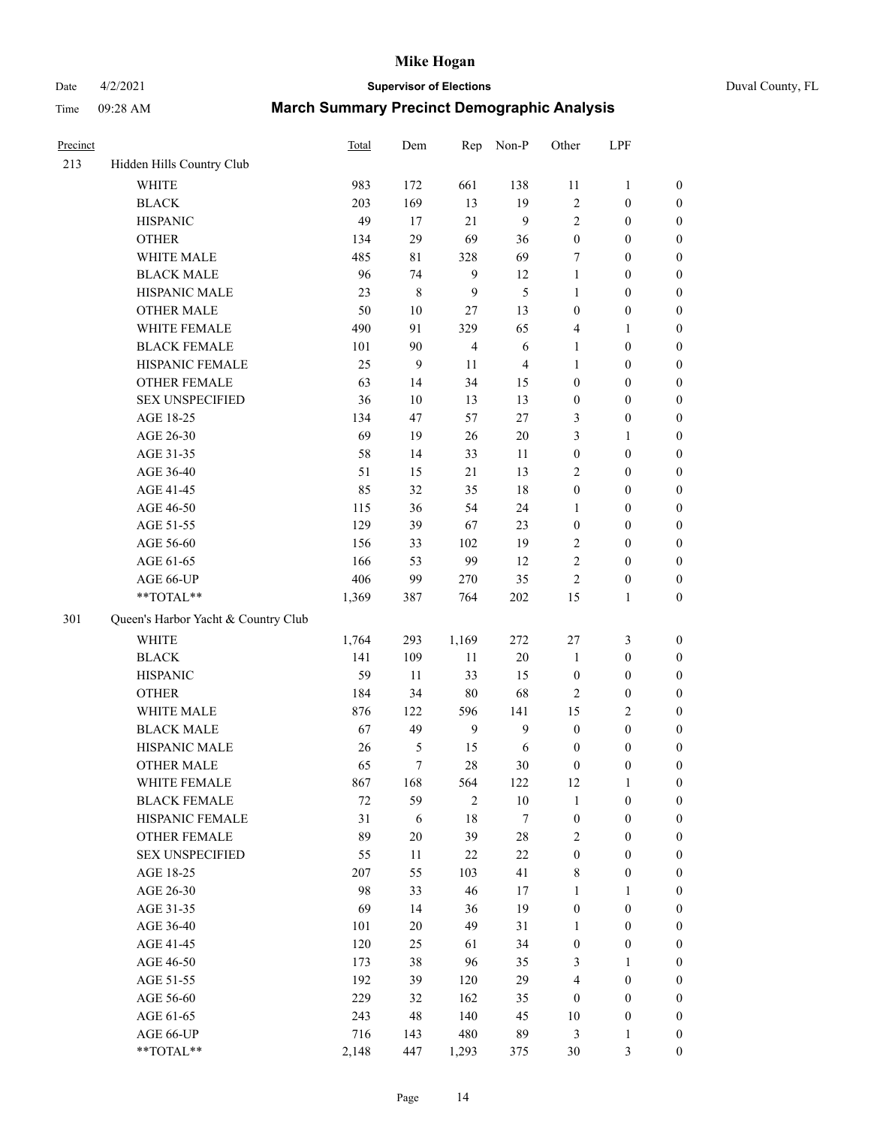Date 4/2/2021 **Supervisor of Elections** Duval County, FL

| Precinct |                                     | Total  | Dem              | Rep              | Non-P          | Other            | LPF              |                  |
|----------|-------------------------------------|--------|------------------|------------------|----------------|------------------|------------------|------------------|
| 213      | Hidden Hills Country Club           |        |                  |                  |                |                  |                  |                  |
|          | <b>WHITE</b>                        | 983    | 172              | 661              | 138            | 11               | $\mathbf{1}$     | 0                |
|          | <b>BLACK</b>                        | 203    | 169              | 13               | 19             | $\overline{c}$   | $\boldsymbol{0}$ | $\boldsymbol{0}$ |
|          | <b>HISPANIC</b>                     | 49     | 17               | 21               | 9              | $\overline{c}$   | $\boldsymbol{0}$ | $\boldsymbol{0}$ |
|          | <b>OTHER</b>                        | 134    | 29               | 69               | 36             | $\boldsymbol{0}$ | $\boldsymbol{0}$ | $\boldsymbol{0}$ |
|          | WHITE MALE                          | 485    | $8\sqrt{1}$      | 328              | 69             | 7                | $\boldsymbol{0}$ | $\boldsymbol{0}$ |
|          | <b>BLACK MALE</b>                   | 96     | 74               | 9                | 12             | 1                | $\boldsymbol{0}$ | $\boldsymbol{0}$ |
|          | HISPANIC MALE                       | 23     | $\,$ $\,$        | 9                | 5              | 1                | $\boldsymbol{0}$ | $\boldsymbol{0}$ |
|          | <b>OTHER MALE</b>                   | 50     | 10               | 27               | 13             | 0                | $\boldsymbol{0}$ | $\boldsymbol{0}$ |
|          | WHITE FEMALE                        | 490    | 91               | 329              | 65             | 4                | 1                | $\boldsymbol{0}$ |
|          | <b>BLACK FEMALE</b>                 | 101    | 90               | $\overline{4}$   | 6              | 1                | $\boldsymbol{0}$ | $\boldsymbol{0}$ |
|          | HISPANIC FEMALE                     | 25     | $\boldsymbol{9}$ | 11               | $\overline{4}$ | $\mathbf{1}$     | $\boldsymbol{0}$ | $\boldsymbol{0}$ |
|          | OTHER FEMALE                        | 63     | 14               | 34               | 15             | 0                | $\boldsymbol{0}$ | $\boldsymbol{0}$ |
|          | <b>SEX UNSPECIFIED</b>              | 36     | 10               | 13               | 13             | $\boldsymbol{0}$ | $\boldsymbol{0}$ | $\boldsymbol{0}$ |
|          | AGE 18-25                           | 134    | 47               | 57               | $27\,$         | 3                | $\boldsymbol{0}$ | $\boldsymbol{0}$ |
|          | AGE 26-30                           | 69     | 19               | 26               | 20             | 3                | $\mathbf{1}$     | $\boldsymbol{0}$ |
|          | AGE 31-35                           | 58     | 14               | 33               | 11             | $\boldsymbol{0}$ | $\boldsymbol{0}$ | $\boldsymbol{0}$ |
|          | AGE 36-40                           | 51     | 15               | 21               | 13             | 2                | $\boldsymbol{0}$ | $\boldsymbol{0}$ |
|          | AGE 41-45                           | 85     | 32               | 35               | 18             | $\boldsymbol{0}$ | $\boldsymbol{0}$ | $\boldsymbol{0}$ |
|          | AGE 46-50                           | 115    | 36               | 54               | 24             | 1                | $\boldsymbol{0}$ | $\boldsymbol{0}$ |
|          | AGE 51-55                           | 129    | 39               | 67               | 23             | $\boldsymbol{0}$ | $\boldsymbol{0}$ | $\boldsymbol{0}$ |
|          | AGE 56-60                           | 156    | 33               | 102              | 19             | 2                | $\boldsymbol{0}$ | 0                |
|          | AGE 61-65                           | 166    | 53               | 99               | 12             | $\overline{c}$   | $\boldsymbol{0}$ | $\boldsymbol{0}$ |
|          | AGE 66-UP                           | 406    | 99               | 270              | 35             | $\overline{c}$   | $\boldsymbol{0}$ | $\boldsymbol{0}$ |
|          | $**TOTAL**$                         | 1,369  | 387              | 764              | $202\,$        | 15               | $\mathbf{1}$     | $\boldsymbol{0}$ |
| 301      | Queen's Harbor Yacht & Country Club |        |                  |                  |                |                  |                  |                  |
|          | <b>WHITE</b>                        | 1,764  | 293              | 1,169            | 272            | 27               | $\mathfrak{Z}$   | $\boldsymbol{0}$ |
|          | <b>BLACK</b>                        | 141    | 109              | $11\,$           | 20             | $\mathbf{1}$     | $\boldsymbol{0}$ | $\boldsymbol{0}$ |
|          | <b>HISPANIC</b>                     | 59     | 11               | 33               | 15             | $\boldsymbol{0}$ | $\boldsymbol{0}$ | $\boldsymbol{0}$ |
|          | <b>OTHER</b>                        | 184    | 34               | $80\,$           | 68             | 2                | $\boldsymbol{0}$ | $\boldsymbol{0}$ |
|          | WHITE MALE                          | 876    | 122              | 596              | 141            | 15               | $\mathbf{2}$     | $\boldsymbol{0}$ |
|          | <b>BLACK MALE</b>                   | 67     | 49               | $\boldsymbol{9}$ | $\mathbf{9}$   | $\boldsymbol{0}$ | $\boldsymbol{0}$ | $\boldsymbol{0}$ |
|          | HISPANIC MALE                       | 26     | $\mathfrak s$    | 15               | 6              | $\boldsymbol{0}$ | $\boldsymbol{0}$ | $\boldsymbol{0}$ |
|          | <b>OTHER MALE</b>                   | 65     | $\tau$           | 28               | 30             | $\boldsymbol{0}$ | $\boldsymbol{0}$ | $\boldsymbol{0}$ |
|          | WHITE FEMALE                        | 867    | 168              | 564              | 122            | 12               | 1                | 0                |
|          | <b>BLACK FEMALE</b>                 | $72\,$ | 59               | $\overline{c}$   | 10             | $\mathbf{1}$     | $\boldsymbol{0}$ | $\overline{0}$   |
|          | HISPANIC FEMALE                     | 31     | 6                | 18               | 7              | $\boldsymbol{0}$ | $\boldsymbol{0}$ | $\overline{0}$   |
|          | OTHER FEMALE                        | 89     | 20               | 39               | 28             | 2                | $\boldsymbol{0}$ | $\overline{0}$   |
|          | <b>SEX UNSPECIFIED</b>              | 55     | 11               | 22               | $22\,$         | $\boldsymbol{0}$ | $\boldsymbol{0}$ | 0                |
|          | AGE 18-25                           | 207    | 55               | 103              | 41             | 8                | $\boldsymbol{0}$ | $\theta$         |
|          | AGE 26-30                           | 98     | 33               | 46               | 17             | $\mathbf{1}$     | $\mathbf{1}$     | $\overline{0}$   |
|          | AGE 31-35                           | 69     | 14               | 36               | 19             | $\boldsymbol{0}$ | $\boldsymbol{0}$ | 0                |
|          | AGE 36-40                           | 101    | 20               | 49               | 31             | 1                | $\boldsymbol{0}$ | 0                |
|          | AGE 41-45                           | 120    | 25               | 61               | 34             | $\boldsymbol{0}$ | $\boldsymbol{0}$ | 0                |
|          | AGE 46-50                           | 173    | 38               | 96               | 35             | 3                | 1                | 0                |
|          | AGE 51-55                           | 192    | 39               | 120              | 29             | 4                | $\boldsymbol{0}$ | $\overline{0}$   |
|          | AGE 56-60                           | 229    | 32               | 162              | 35             | $\boldsymbol{0}$ | $\boldsymbol{0}$ | $\overline{0}$   |
|          | AGE 61-65                           | 243    | 48               | 140              | 45             | 10               | $\boldsymbol{0}$ | $\overline{0}$   |
|          | AGE 66-UP                           | 716    | 143              | 480              | 89             | 3                | $\mathbf{1}$     | 0                |
|          | **TOTAL**                           | 2,148  | 447              | 1,293            | 375            | 30               | 3                | $\boldsymbol{0}$ |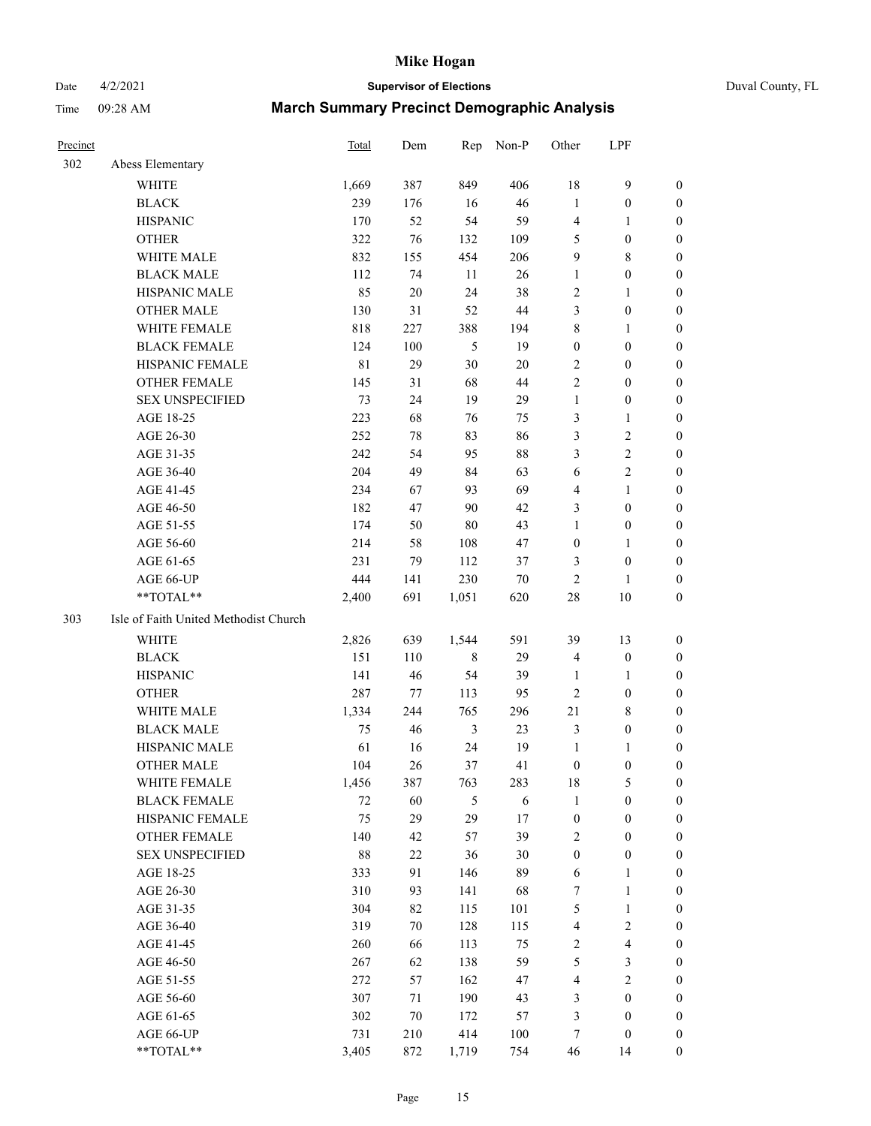#### Date 4/2/2021 **Supervisor of Elections** Duval County, FL

| Precinct |                                       | <b>Total</b> | Dem    | Rep            | Non-P   | Other            | LPF                     |                  |
|----------|---------------------------------------|--------------|--------|----------------|---------|------------------|-------------------------|------------------|
| 302      | Abess Elementary                      |              |        |                |         |                  |                         |                  |
|          | <b>WHITE</b>                          | 1,669        | 387    | 849            | 406     | 18               | $\mathbf{9}$            | 0                |
|          | <b>BLACK</b>                          | 239          | 176    | 16             | 46      | $\mathbf{1}$     | $\boldsymbol{0}$        | 0                |
|          | <b>HISPANIC</b>                       | 170          | 52     | 54             | 59      | $\overline{4}$   | $\mathbf{1}$            | $\boldsymbol{0}$ |
|          | <b>OTHER</b>                          | 322          | 76     | 132            | 109     | 5                | $\boldsymbol{0}$        | $\boldsymbol{0}$ |
|          | WHITE MALE                            | 832          | 155    | 454            | 206     | 9                | $8\,$                   | $\boldsymbol{0}$ |
|          | <b>BLACK MALE</b>                     | 112          | 74     | 11             | 26      | $\mathbf{1}$     | $\boldsymbol{0}$        | $\boldsymbol{0}$ |
|          | HISPANIC MALE                         | 85           | $20\,$ | 24             | 38      | 2                | $\mathbf{1}$            | $\boldsymbol{0}$ |
|          | <b>OTHER MALE</b>                     | 130          | 31     | 52             | $44\,$  | 3                | $\boldsymbol{0}$        | $\boldsymbol{0}$ |
|          | WHITE FEMALE                          | 818          | 227    | 388            | 194     | $\,$ $\,$        | $\mathbf{1}$            | $\boldsymbol{0}$ |
|          | <b>BLACK FEMALE</b>                   | 124          | 100    | 5              | 19      | $\boldsymbol{0}$ | $\boldsymbol{0}$        | 0                |
|          | HISPANIC FEMALE                       | $8\sqrt{1}$  | 29     | 30             | 20      | $\sqrt{2}$       | $\boldsymbol{0}$        | 0                |
|          | <b>OTHER FEMALE</b>                   | 145          | 31     | 68             | 44      | $\overline{c}$   | $\boldsymbol{0}$        | $\boldsymbol{0}$ |
|          | <b>SEX UNSPECIFIED</b>                | 73           | 24     | 19             | 29      | $\mathbf{1}$     | $\boldsymbol{0}$        | $\boldsymbol{0}$ |
|          | AGE 18-25                             | 223          | 68     | 76             | 75      | 3                | $\mathbf{1}$            | $\boldsymbol{0}$ |
|          | AGE 26-30                             | 252          | 78     | 83             | 86      | 3                | $\sqrt{2}$              | $\boldsymbol{0}$ |
|          | AGE 31-35                             | 242          | 54     | 95             | 88      | 3                | $\sqrt{2}$              | $\boldsymbol{0}$ |
|          | AGE 36-40                             | 204          | 49     | 84             | 63      | 6                | $\sqrt{2}$              | $\boldsymbol{0}$ |
|          | AGE 41-45                             | 234          | 67     | 93             | 69      | 4                | $\mathbf{1}$            | $\boldsymbol{0}$ |
|          | AGE 46-50                             | 182          | 47     | 90             | 42      | 3                | $\boldsymbol{0}$        | $\boldsymbol{0}$ |
|          | AGE 51-55                             | 174          | 50     | $80\,$         | 43      | $\mathbf{1}$     | $\boldsymbol{0}$        | 0                |
|          | AGE 56-60                             | 214          | 58     | 108            | 47      | $\boldsymbol{0}$ | $\mathbf{1}$            | 0                |
|          | AGE 61-65                             | 231          | 79     | 112            | 37      | 3                | $\boldsymbol{0}$        | 0                |
|          | AGE 66-UP                             | 444          | 141    | 230            | $70\,$  | $\mathbf{2}$     | 1                       | $\boldsymbol{0}$ |
|          | $**TOTAL**$                           | 2,400        | 691    | 1,051          | 620     | $28\,$           | $10\,$                  | $\boldsymbol{0}$ |
| 303      | Isle of Faith United Methodist Church |              |        |                |         |                  |                         |                  |
|          | <b>WHITE</b>                          | 2,826        | 639    | 1,544          | 591     | 39               | 13                      | $\boldsymbol{0}$ |
|          | <b>BLACK</b>                          | 151          | 110    | $\,$ 8 $\,$    | 29      | 4                | $\boldsymbol{0}$        | $\boldsymbol{0}$ |
|          | <b>HISPANIC</b>                       | 141          | 46     | 54             | 39      | $\mathbf{1}$     | $\mathbf{1}$            | $\boldsymbol{0}$ |
|          | <b>OTHER</b>                          | 287          | 77     | 113            | 95      | $\mathfrak{2}$   | $\boldsymbol{0}$        | $\boldsymbol{0}$ |
|          | <b>WHITE MALE</b>                     | 1,334        | 244    | 765            | 296     | 21               | $8\,$                   | $\boldsymbol{0}$ |
|          | <b>BLACK MALE</b>                     | 75           | 46     | $\mathfrak{Z}$ | 23      | 3                | $\boldsymbol{0}$        | $\boldsymbol{0}$ |
|          | HISPANIC MALE                         | 61           | 16     | 24             | 19      | $\mathbf{1}$     | 1                       | 0                |
|          | <b>OTHER MALE</b>                     | 104          | 26     | 37             | 41      | $\boldsymbol{0}$ | $\boldsymbol{0}$        | 0                |
|          | WHITE FEMALE                          | 1,456        | 387    | 763            | 283     | 18               | 5                       | 0                |
|          | <b>BLACK FEMALE</b>                   | 72           | 60     | 5              | 6       | $\mathbf{1}$     | $\boldsymbol{0}$        | $\boldsymbol{0}$ |
|          | HISPANIC FEMALE                       | 75           | 29     | 29             | $17\,$  | $\boldsymbol{0}$ | $\boldsymbol{0}$        | $\overline{0}$   |
|          | <b>OTHER FEMALE</b>                   | 140          | 42     | 57             | 39      | 2                | $\boldsymbol{0}$        | $\overline{0}$   |
|          | <b>SEX UNSPECIFIED</b>                | 88           | $22\,$ | 36             | 30      | $\boldsymbol{0}$ | $\boldsymbol{0}$        | 0                |
|          | AGE 18-25                             | 333          | 91     | 146            | 89      | $\sqrt{6}$       | $\mathbf{1}$            | $\overline{0}$   |
|          | AGE 26-30                             | 310          | 93     | 141            | 68      | 7                | $\mathbf{1}$            | 0                |
|          | AGE 31-35                             | 304          | 82     | 115            | 101     | 5                | $\mathbf{1}$            | 0                |
|          | AGE 36-40                             | 319          | 70     | 128            | 115     | 4                | $\sqrt{2}$              | 0                |
|          | AGE 41-45                             | 260          | 66     | 113            | 75      | $\overline{c}$   | $\overline{\mathbf{4}}$ | 0                |
|          | AGE 46-50                             | 267          | 62     | 138            | 59      | $\mathfrak s$    | $\mathfrak{Z}$          | 0                |
|          | AGE 51-55                             | 272          | 57     | 162            | 47      | $\overline{4}$   | $\overline{2}$          | $\overline{0}$   |
|          | AGE 56-60                             | 307          | 71     | 190            | 43      | 3                | $\boldsymbol{0}$        | $\boldsymbol{0}$ |
|          | AGE 61-65                             | 302          | 70     | 172            | 57      | 3                | $\boldsymbol{0}$        | $\boldsymbol{0}$ |
|          | AGE 66-UP                             | 731          | 210    | 414            | $100\,$ | 7                | $\boldsymbol{0}$        | $\boldsymbol{0}$ |
|          | **TOTAL**                             | 3,405        | 872    | 1,719          | 754     | 46               | 14                      | $\boldsymbol{0}$ |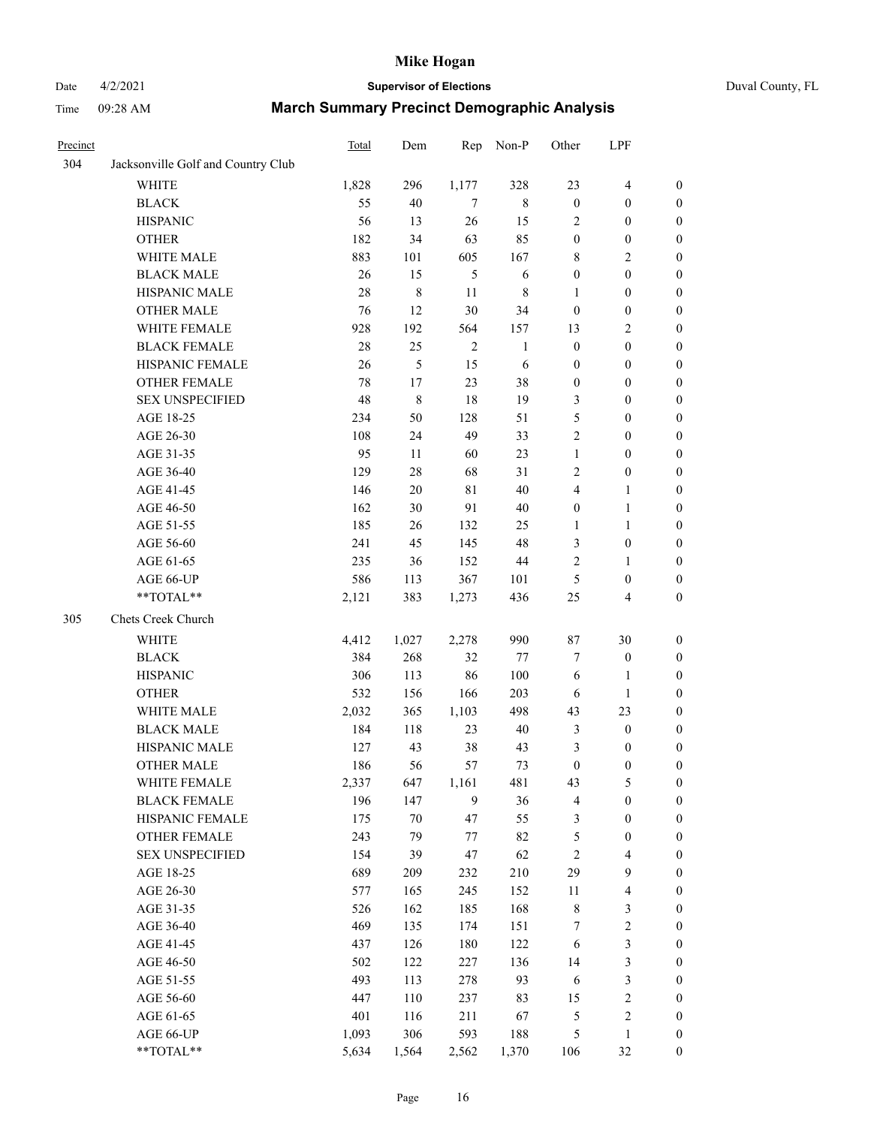# Date 4/2/2021 **Supervisor of Elections** Duval County, FL

| Precinct |                                    | Total  | Dem            | Rep              | Non-P        | Other                   | LPF                     |                  |
|----------|------------------------------------|--------|----------------|------------------|--------------|-------------------------|-------------------------|------------------|
| 304      | Jacksonville Golf and Country Club |        |                |                  |              |                         |                         |                  |
|          | <b>WHITE</b>                       | 1,828  | 296            | 1,177            | 328          | 23                      | $\overline{4}$          | $\boldsymbol{0}$ |
|          | <b>BLACK</b>                       | 55     | $40\,$         | 7                | $\,8\,$      | $\boldsymbol{0}$        | $\boldsymbol{0}$        | $\boldsymbol{0}$ |
|          | <b>HISPANIC</b>                    | 56     | 13             | 26               | 15           | 2                       | $\boldsymbol{0}$        | $\boldsymbol{0}$ |
|          | <b>OTHER</b>                       | 182    | 34             | 63               | 85           | $\boldsymbol{0}$        | $\boldsymbol{0}$        | $\boldsymbol{0}$ |
|          | WHITE MALE                         | 883    | 101            | 605              | 167          | 8                       | $\sqrt{2}$              | $\boldsymbol{0}$ |
|          | <b>BLACK MALE</b>                  | 26     | 15             | 5                | 6            | $\boldsymbol{0}$        | $\boldsymbol{0}$        | $\boldsymbol{0}$ |
|          | HISPANIC MALE                      | $28\,$ | $\,$ 8 $\,$    | 11               | $\,$ 8 $\,$  | 1                       | $\boldsymbol{0}$        | $\boldsymbol{0}$ |
|          | <b>OTHER MALE</b>                  | 76     | 12             | 30               | 34           | $\boldsymbol{0}$        | $\boldsymbol{0}$        | 0                |
|          | WHITE FEMALE                       | 928    | 192            | 564              | 157          | 13                      | $\mathfrak{2}$          | 0                |
|          | <b>BLACK FEMALE</b>                | 28     | 25             | $\overline{2}$   | $\mathbf{1}$ | $\boldsymbol{0}$        | $\boldsymbol{0}$        | $\boldsymbol{0}$ |
|          | HISPANIC FEMALE                    | 26     | $\mathfrak{S}$ | 15               | $\sqrt{6}$   | $\boldsymbol{0}$        | $\boldsymbol{0}$        | $\boldsymbol{0}$ |
|          | OTHER FEMALE                       | 78     | 17             | 23               | 38           | $\boldsymbol{0}$        | $\boldsymbol{0}$        | $\boldsymbol{0}$ |
|          | <b>SEX UNSPECIFIED</b>             | 48     | $\,$ $\,$      | 18               | 19           | 3                       | $\boldsymbol{0}$        | $\boldsymbol{0}$ |
|          | AGE 18-25                          | 234    | 50             | 128              | 51           | 5                       | $\boldsymbol{0}$        | $\boldsymbol{0}$ |
|          | AGE 26-30                          | 108    | 24             | 49               | 33           | $\overline{c}$          | $\boldsymbol{0}$        | $\boldsymbol{0}$ |
|          | AGE 31-35                          | 95     | 11             | 60               | 23           | $\mathbf{1}$            | $\boldsymbol{0}$        | $\boldsymbol{0}$ |
|          | AGE 36-40                          | 129    | $28\,$         | 68               | 31           | 2                       | $\boldsymbol{0}$        | $\boldsymbol{0}$ |
|          | AGE 41-45                          | 146    | $20\,$         | $8\sqrt{1}$      | 40           | $\overline{\mathbf{4}}$ | $\mathbf{1}$            | 0                |
|          | AGE 46-50                          | 162    | 30             | 91               | 40           | $\boldsymbol{0}$        | $\mathbf{1}$            | 0                |
|          | AGE 51-55                          | 185    | 26             | 132              | 25           | $\mathbf{1}$            | $\mathbf{1}$            | 0                |
|          | AGE 56-60                          | 241    | 45             | 145              | 48           | 3                       | $\boldsymbol{0}$        | $\boldsymbol{0}$ |
|          | AGE 61-65                          | 235    | 36             | 152              | $44\,$       | $\overline{c}$          | $\mathbf{1}$            | $\boldsymbol{0}$ |
|          | AGE 66-UP                          | 586    | 113            | 367              | 101          | 5                       | $\boldsymbol{0}$        | $\boldsymbol{0}$ |
|          | **TOTAL**                          | 2,121  | 383            | 1,273            | 436          | 25                      | $\overline{\mathbf{4}}$ | $\boldsymbol{0}$ |
| 305      | Chets Creek Church                 |        |                |                  |              |                         |                         |                  |
|          | WHITE                              | 4,412  | 1,027          | 2,278            | 990          | 87                      | 30                      | $\boldsymbol{0}$ |
|          | <b>BLACK</b>                       | 384    | 268            | 32               | 77           | 7                       | $\boldsymbol{0}$        | $\boldsymbol{0}$ |
|          | <b>HISPANIC</b>                    | 306    | 113            | 86               | 100          | 6                       | $\mathbf{1}$            | $\boldsymbol{0}$ |
|          | <b>OTHER</b>                       | 532    | 156            | 166              | 203          | 6                       | $\mathbf{1}$            | $\boldsymbol{0}$ |
|          | WHITE MALE                         | 2,032  | 365            | 1,103            | 498          | 43                      | 23                      | $\boldsymbol{0}$ |
|          | <b>BLACK MALE</b>                  | 184    | 118            | 23               | $40\,$       | 3                       | $\boldsymbol{0}$        | 0                |
|          | HISPANIC MALE                      | 127    | 43             | 38               | 43           | 3                       | $\boldsymbol{0}$        | 0                |
|          | <b>OTHER MALE</b>                  | 186    | 56             | 57               | 73           | $\boldsymbol{0}$        | $\boldsymbol{0}$        | $\boldsymbol{0}$ |
|          | WHITE FEMALE                       | 2,337  | 647            | 1,161            | 481          | 43                      | $\mathfrak s$           | $\boldsymbol{0}$ |
|          | <b>BLACK FEMALE</b>                | 196    | 147            | $\boldsymbol{9}$ | 36           | 4                       | $\boldsymbol{0}$        | $\boldsymbol{0}$ |
|          | HISPANIC FEMALE                    | 175    | $70\,$         | 47               | 55           | 3                       | $\boldsymbol{0}$        | $\overline{0}$   |
|          | <b>OTHER FEMALE</b>                | 243    | 79             | 77               | 82           | 5                       | $\boldsymbol{0}$        | $\overline{0}$   |
|          | <b>SEX UNSPECIFIED</b>             | 154    | 39             | 47               | 62           | $\sqrt{2}$              | $\overline{\mathbf{4}}$ | $\overline{0}$   |
|          | AGE 18-25                          | 689    | 209            | 232              | 210          | 29                      | $\boldsymbol{9}$        | 0                |
|          | AGE 26-30                          | 577    | 165            | 245              | 152          | $11\,$                  | $\overline{\mathbf{4}}$ | 0                |
|          | AGE 31-35                          | 526    | 162            | 185              | 168          | 8                       | $\mathfrak{Z}$          | 0                |
|          | AGE 36-40                          | 469    | 135            | 174              | 151          | 7                       | $\sqrt{2}$              | 0                |
|          | AGE 41-45                          | 437    | 126            | 180              | 122          | 6                       | $\mathfrak{Z}$          | 0                |
|          | AGE 46-50                          | 502    | 122            | 227              | 136          | 14                      | $\mathfrak{Z}$          | $\boldsymbol{0}$ |
|          | AGE 51-55                          | 493    | 113            | 278              | 93           | 6                       | $\mathfrak{Z}$          | $\boldsymbol{0}$ |
|          | AGE 56-60                          | 447    | 110            | 237              | 83           | 15                      | $\sqrt{2}$              | 0                |
|          | AGE 61-65                          | 401    | 116            | 211              | 67           | 5                       | $\sqrt{2}$              | 0                |
|          | AGE 66-UP                          | 1,093  | 306            | 593              | 188          | 5                       | $\mathbf{1}$            | $\boldsymbol{0}$ |
|          | **TOTAL**                          | 5,634  | 1,564          | 2,562            | 1,370        | 106                     | 32                      | $\boldsymbol{0}$ |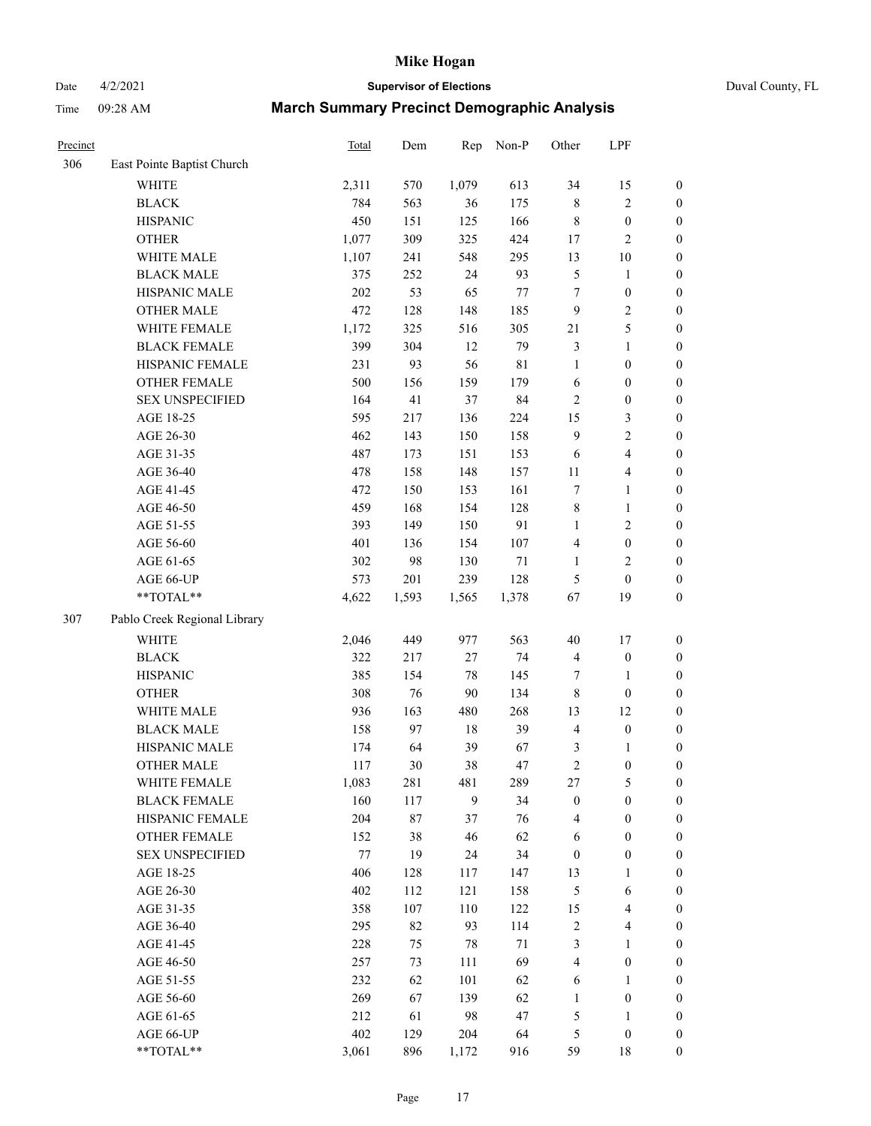# Date 4/2/2021 **Supervisor of Elections** Duval County, FL

| Precinct |                              | Total | Dem   | Rep    | Non-P       | Other                   | LPF                     |                  |
|----------|------------------------------|-------|-------|--------|-------------|-------------------------|-------------------------|------------------|
| 306      | East Pointe Baptist Church   |       |       |        |             |                         |                         |                  |
|          | <b>WHITE</b>                 | 2,311 | 570   | 1,079  | 613         | 34                      | 15                      | 0                |
|          | <b>BLACK</b>                 | 784   | 563   | 36     | 175         | $\,$ 8 $\,$             | $\sqrt{2}$              | $\boldsymbol{0}$ |
|          | <b>HISPANIC</b>              | 450   | 151   | 125    | 166         | 8                       | $\boldsymbol{0}$        | $\boldsymbol{0}$ |
|          | <b>OTHER</b>                 | 1,077 | 309   | 325    | 424         | 17                      | $\mathbf{2}$            | $\boldsymbol{0}$ |
|          | WHITE MALE                   | 1,107 | 241   | 548    | 295         | 13                      | $10\,$                  | $\boldsymbol{0}$ |
|          | <b>BLACK MALE</b>            | 375   | 252   | 24     | 93          | 5                       | $\mathbf{1}$            | $\boldsymbol{0}$ |
|          | HISPANIC MALE                | 202   | 53    | 65     | 77          | 7                       | $\boldsymbol{0}$        | $\boldsymbol{0}$ |
|          | <b>OTHER MALE</b>            | 472   | 128   | 148    | 185         | 9                       | $\overline{2}$          | $\boldsymbol{0}$ |
|          | WHITE FEMALE                 | 1,172 | 325   | 516    | 305         | 21                      | $\mathfrak s$           | $\boldsymbol{0}$ |
|          | <b>BLACK FEMALE</b>          | 399   | 304   | 12     | 79          | 3                       | $\mathbf{1}$            | $\boldsymbol{0}$ |
|          | HISPANIC FEMALE              | 231   | 93    | 56     | $8\sqrt{1}$ | $\mathbf{1}$            | $\boldsymbol{0}$        | 0                |
|          | OTHER FEMALE                 | 500   | 156   | 159    | 179         | $\sqrt{6}$              | $\boldsymbol{0}$        | $\boldsymbol{0}$ |
|          | <b>SEX UNSPECIFIED</b>       | 164   | 41    | 37     | 84          | $\mathbf{2}$            | $\boldsymbol{0}$        | $\boldsymbol{0}$ |
|          | AGE 18-25                    | 595   | 217   | 136    | 224         | 15                      | $\mathfrak{Z}$          | $\boldsymbol{0}$ |
|          | AGE 26-30                    | 462   | 143   | 150    | 158         | 9                       | $\sqrt{2}$              | $\boldsymbol{0}$ |
|          | AGE 31-35                    | 487   | 173   | 151    | 153         | 6                       | $\overline{\mathbf{4}}$ | $\boldsymbol{0}$ |
|          | AGE 36-40                    | 478   | 158   | 148    | 157         | $11\,$                  | $\overline{\mathbf{4}}$ | $\boldsymbol{0}$ |
|          | AGE 41-45                    | 472   | 150   | 153    | 161         | 7                       | $\mathbf{1}$            | $\boldsymbol{0}$ |
|          | AGE 46-50                    | 459   | 168   | 154    | 128         | $\,$ $\,$               | $\mathbf{1}$            | $\boldsymbol{0}$ |
|          | AGE 51-55                    | 393   | 149   | 150    | 91          | $\mathbf{1}$            | $\sqrt{2}$              | $\boldsymbol{0}$ |
|          | AGE 56-60                    | 401   | 136   | 154    | 107         | $\overline{\mathbf{4}}$ | $\boldsymbol{0}$        | 0                |
|          | AGE 61-65                    | 302   | 98    | 130    | $71\,$      | $\mathbf{1}$            | $\overline{2}$          | $\boldsymbol{0}$ |
|          | AGE 66-UP                    | 573   | 201   | 239    | 128         | 5                       | $\boldsymbol{0}$        | $\boldsymbol{0}$ |
|          | **TOTAL**                    | 4,622 | 1,593 | 1,565  | 1,378       | 67                      | 19                      | $\boldsymbol{0}$ |
| 307      | Pablo Creek Regional Library |       |       |        |             |                         |                         |                  |
|          | <b>WHITE</b>                 | 2,046 | 449   | 977    | 563         | $40\,$                  | $17\,$                  | $\boldsymbol{0}$ |
|          | <b>BLACK</b>                 | 322   | 217   | 27     | 74          | 4                       | $\boldsymbol{0}$        | $\boldsymbol{0}$ |
|          | <b>HISPANIC</b>              | 385   | 154   | 78     | 145         | 7                       | $\mathbf{1}$            | $\boldsymbol{0}$ |
|          | <b>OTHER</b>                 | 308   | 76    | 90     | 134         | $\,$ $\,$               | $\boldsymbol{0}$        | $\boldsymbol{0}$ |
|          | WHITE MALE                   | 936   | 163   | 480    | 268         | 13                      | 12                      | $\boldsymbol{0}$ |
|          | <b>BLACK MALE</b>            | 158   | 97    | $18\,$ | 39          | 4                       | $\boldsymbol{0}$        | $\boldsymbol{0}$ |
|          | HISPANIC MALE                | 174   | 64    | 39     | 67          | 3                       | 1                       | $\boldsymbol{0}$ |
|          | OTHER MALE                   | 117   | 30    | 38     | 47          | $\overline{c}$          | $\boldsymbol{0}$        | $\boldsymbol{0}$ |
|          | WHITE FEMALE                 | 1,083 | 281   | 481    | 289         | 27                      | 5                       | 0                |
|          | <b>BLACK FEMALE</b>          | 160   | 117   | 9      | 34          | $\boldsymbol{0}$        | $\boldsymbol{0}$        | $\overline{0}$   |
|          | HISPANIC FEMALE              | 204   | 87    | 37     | 76          | 4                       | $\boldsymbol{0}$        | $\overline{0}$   |
|          | <b>OTHER FEMALE</b>          | 152   | 38    | 46     | 62          | 6                       | $\boldsymbol{0}$        | $\overline{0}$   |
|          | <b>SEX UNSPECIFIED</b>       | 77    | 19    | 24     | 34          | $\boldsymbol{0}$        | $\boldsymbol{0}$        | 0                |
|          | AGE 18-25                    | 406   | 128   | 117    | 147         | 13                      | $\mathbf{1}$            | 0                |
|          | AGE 26-30                    | 402   | 112   | 121    | 158         | $\mathfrak s$           | 6                       | 0                |
|          | AGE 31-35                    | 358   | 107   | 110    | 122         | 15                      | $\overline{\mathbf{4}}$ | 0                |
|          | AGE 36-40                    | 295   | 82    | 93     | 114         | $\sqrt{2}$              | $\overline{\mathbf{4}}$ | 0                |
|          | AGE 41-45                    | 228   | 75    | 78     | $71\,$      | 3                       | $\mathbf{1}$            | 0                |
|          | AGE 46-50                    | 257   | 73    | 111    | 69          | 4                       | $\boldsymbol{0}$        | 0                |
|          | AGE 51-55                    | 232   | 62    | 101    | 62          | 6                       | $\mathbf{1}$            | 0                |
|          | AGE 56-60                    | 269   | 67    | 139    | 62          | 1                       | $\boldsymbol{0}$        | 0                |
|          | AGE 61-65                    | 212   | 61    | 98     | 47          | 5                       | 1                       | $\overline{0}$   |
|          | AGE 66-UP                    | 402   | 129   | 204    | 64          | 5                       | $\boldsymbol{0}$        | 0                |
|          | $**TOTAL**$                  | 3,061 | 896   | 1,172  | 916         | 59                      | 18                      | $\boldsymbol{0}$ |
|          |                              |       |       |        |             |                         |                         |                  |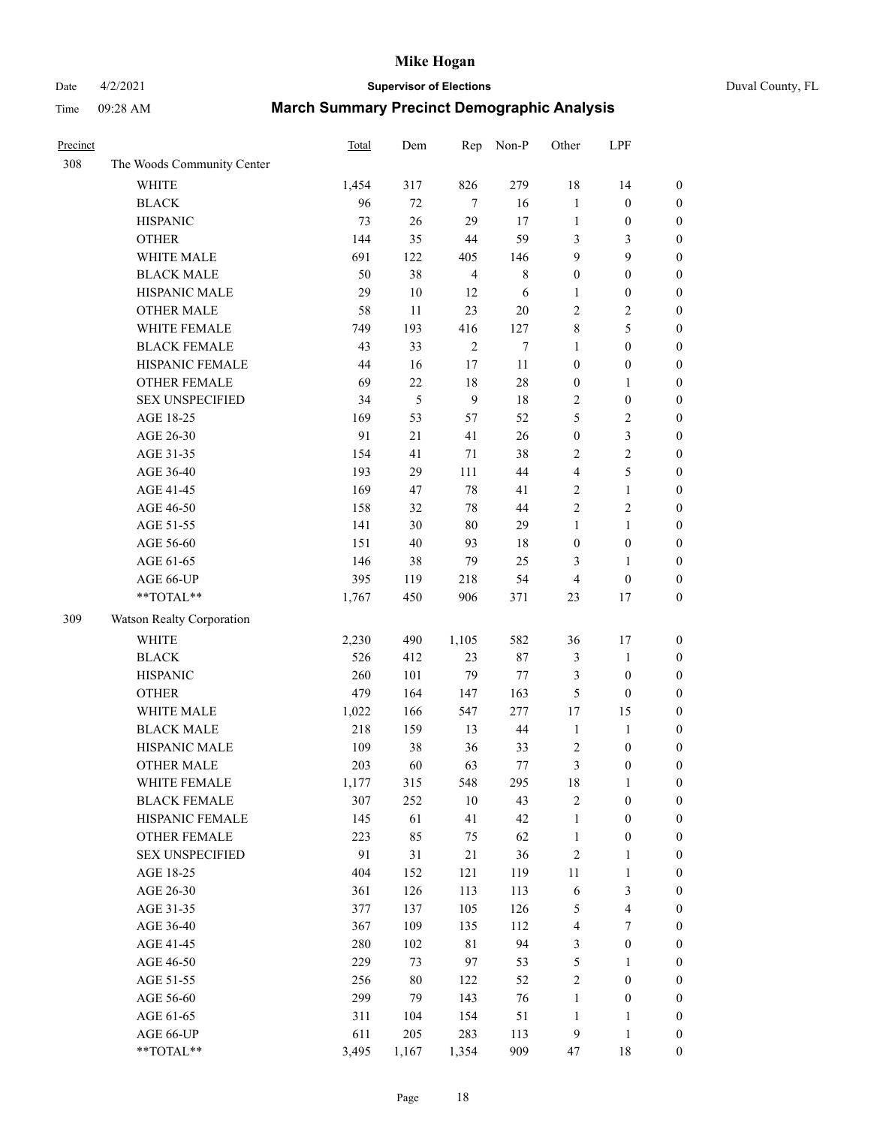# Date 4/2/2021 **Supervisor of Elections** Duval County, FL

| Precinct |                            | <b>Total</b> | Dem    | Rep            | Non-P       | Other            | LPF                     |                  |
|----------|----------------------------|--------------|--------|----------------|-------------|------------------|-------------------------|------------------|
| 308      | The Woods Community Center |              |        |                |             |                  |                         |                  |
|          | <b>WHITE</b>               | 1,454        | 317    | 826            | 279         | 18               | 14                      | $\boldsymbol{0}$ |
|          | <b>BLACK</b>               | 96           | 72     | 7              | 16          | $\mathbf{1}$     | $\boldsymbol{0}$        | $\boldsymbol{0}$ |
|          | <b>HISPANIC</b>            | 73           | 26     | 29             | 17          | $\mathbf{1}$     | $\boldsymbol{0}$        | $\boldsymbol{0}$ |
|          | <b>OTHER</b>               | 144          | 35     | 44             | 59          | 3                | 3                       | $\boldsymbol{0}$ |
|          | WHITE MALE                 | 691          | 122    | 405            | 146         | 9                | 9                       | $\boldsymbol{0}$ |
|          | <b>BLACK MALE</b>          | 50           | 38     | $\overline{4}$ | $\,$ 8 $\,$ | $\boldsymbol{0}$ | $\boldsymbol{0}$        | $\boldsymbol{0}$ |
|          | HISPANIC MALE              | 29           | $10\,$ | 12             | 6           | 1                | $\boldsymbol{0}$        | $\boldsymbol{0}$ |
|          | <b>OTHER MALE</b>          | 58           | 11     | 23             | $20\,$      | 2                | $\overline{2}$          | $\boldsymbol{0}$ |
|          | WHITE FEMALE               | 749          | 193    | 416            | 127         | $\,$ $\,$        | $\mathfrak s$           | $\boldsymbol{0}$ |
|          | <b>BLACK FEMALE</b>        | 43           | 33     | $\sqrt{2}$     | $\tau$      | $\mathbf{1}$     | $\boldsymbol{0}$        | $\boldsymbol{0}$ |
|          | HISPANIC FEMALE            | 44           | 16     | 17             | 11          | $\boldsymbol{0}$ | $\boldsymbol{0}$        | 0                |
|          | <b>OTHER FEMALE</b>        | 69           | 22     | 18             | $28\,$      | $\boldsymbol{0}$ | $\mathbf{1}$            | $\boldsymbol{0}$ |
|          | <b>SEX UNSPECIFIED</b>     | 34           | 5      | 9              | 18          | 2                | $\boldsymbol{0}$        | $\boldsymbol{0}$ |
|          | AGE 18-25                  | 169          | 53     | 57             | 52          | 5                | $\sqrt{2}$              | $\boldsymbol{0}$ |
|          | AGE 26-30                  | 91           | 21     | 41             | 26          | $\boldsymbol{0}$ | $\mathfrak{Z}$          | $\boldsymbol{0}$ |
|          | AGE 31-35                  | 154          | 41     | 71             | 38          | $\overline{c}$   | $\sqrt{2}$              | $\boldsymbol{0}$ |
|          | AGE 36-40                  | 193          | 29     | 111            | 44          | 4                | $\mathfrak s$           | $\boldsymbol{0}$ |
|          | AGE 41-45                  | 169          | 47     | $78\,$         | 41          | $\overline{2}$   | $\mathbf{1}$            | $\boldsymbol{0}$ |
|          | AGE 46-50                  | 158          | 32     | 78             | 44          | $\overline{c}$   | $\sqrt{2}$              | $\boldsymbol{0}$ |
|          | AGE 51-55                  | 141          | 30     | $80\,$         | 29          | $\mathbf{1}$     | $\mathbf{1}$            | $\boldsymbol{0}$ |
|          | AGE 56-60                  | 151          | 40     | 93             | 18          | $\boldsymbol{0}$ | $\boldsymbol{0}$        | 0                |
|          | AGE 61-65                  | 146          | 38     | 79             | 25          | 3                | $\mathbf{1}$            | 0                |
|          | AGE 66-UP                  | 395          | 119    | 218            | 54          | 4                | $\boldsymbol{0}$        | $\boldsymbol{0}$ |
|          | **TOTAL**                  | 1,767        | 450    | 906            | 371         | 23               | $17\,$                  | $\boldsymbol{0}$ |
| 309      | Watson Realty Corporation  |              |        |                |             |                  |                         |                  |
|          | <b>WHITE</b>               | 2,230        | 490    | 1,105          | 582         | 36               | 17                      | $\boldsymbol{0}$ |
|          | <b>BLACK</b>               | 526          | 412    | 23             | $87\,$      | 3                | $\mathbf{1}$            | $\boldsymbol{0}$ |
|          | <b>HISPANIC</b>            | 260          | 101    | 79             | $77\,$      | 3                | $\boldsymbol{0}$        | $\boldsymbol{0}$ |
|          | <b>OTHER</b>               | 479          | 164    | 147            | 163         | 5                | $\boldsymbol{0}$        | $\boldsymbol{0}$ |
|          | WHITE MALE                 | 1,022        | 166    | 547            | 277         | 17               | 15                      | $\boldsymbol{0}$ |
|          | <b>BLACK MALE</b>          | 218          | 159    | 13             | $44\,$      | $\mathbf{1}$     | $\mathbf{1}$            | $\boldsymbol{0}$ |
|          | HISPANIC MALE              | 109          | 38     | 36             | 33          | $\sqrt{2}$       | $\boldsymbol{0}$        | $\boldsymbol{0}$ |
|          | OTHER MALE                 | 203          | 60     | 63             | 77          | 3                | $\boldsymbol{0}$        | $\boldsymbol{0}$ |
|          | WHITE FEMALE               | 1,177        | 315    | 548            | 295         | 18               | 1                       | 0                |
|          | <b>BLACK FEMALE</b>        | 307          | 252    | $10\,$         | 43          | 2                | $\boldsymbol{0}$        | $\boldsymbol{0}$ |
|          | HISPANIC FEMALE            | 145          | 61     | 41             | 42          | $\mathbf{1}$     | $\boldsymbol{0}$        | $\overline{0}$   |
|          | <b>OTHER FEMALE</b>        | 223          | 85     | 75             | 62          | $\mathbf{1}$     | $\boldsymbol{0}$        | $\overline{0}$   |
|          | <b>SEX UNSPECIFIED</b>     | 91           | 31     | 21             | 36          | $\overline{c}$   | $\mathbf{1}$            | 0                |
|          | AGE 18-25                  | 404          | 152    | 121            | 119         | $11\,$           | $\mathbf{1}$            | 0                |
|          | AGE 26-30                  | 361          | 126    | 113            | 113         | 6                | $\mathfrak{Z}$          | 0                |
|          | AGE 31-35                  | 377          | 137    | 105            | 126         | 5                | $\overline{\mathbf{4}}$ | 0                |
|          | AGE 36-40                  | 367          | 109    | 135            | 112         | 4                | 7                       | 0                |
|          | AGE 41-45                  | 280          | 102    | 81             | 94          | 3                | $\boldsymbol{0}$        | 0                |
|          | AGE 46-50                  | 229          | 73     | 97             | 53          | 5                | 1                       | 0                |
|          | AGE 51-55                  | 256          | $80\,$ | 122            | 52          | 2                | $\boldsymbol{0}$        | 0                |
|          | AGE 56-60                  | 299          | 79     | 143            | 76          | 1                | $\boldsymbol{0}$        | 0                |
|          | AGE 61-65                  | 311          | 104    | 154            | 51          | $\mathbf{1}$     | 1                       | $\boldsymbol{0}$ |
|          | AGE 66-UP                  | 611          | 205    | 283            | 113         | 9                | $\mathbf{1}$            | 0                |
|          | **TOTAL**                  | 3,495        | 1,167  | 1,354          | 909         | 47               | 18                      | $\boldsymbol{0}$ |
|          |                            |              |        |                |             |                  |                         |                  |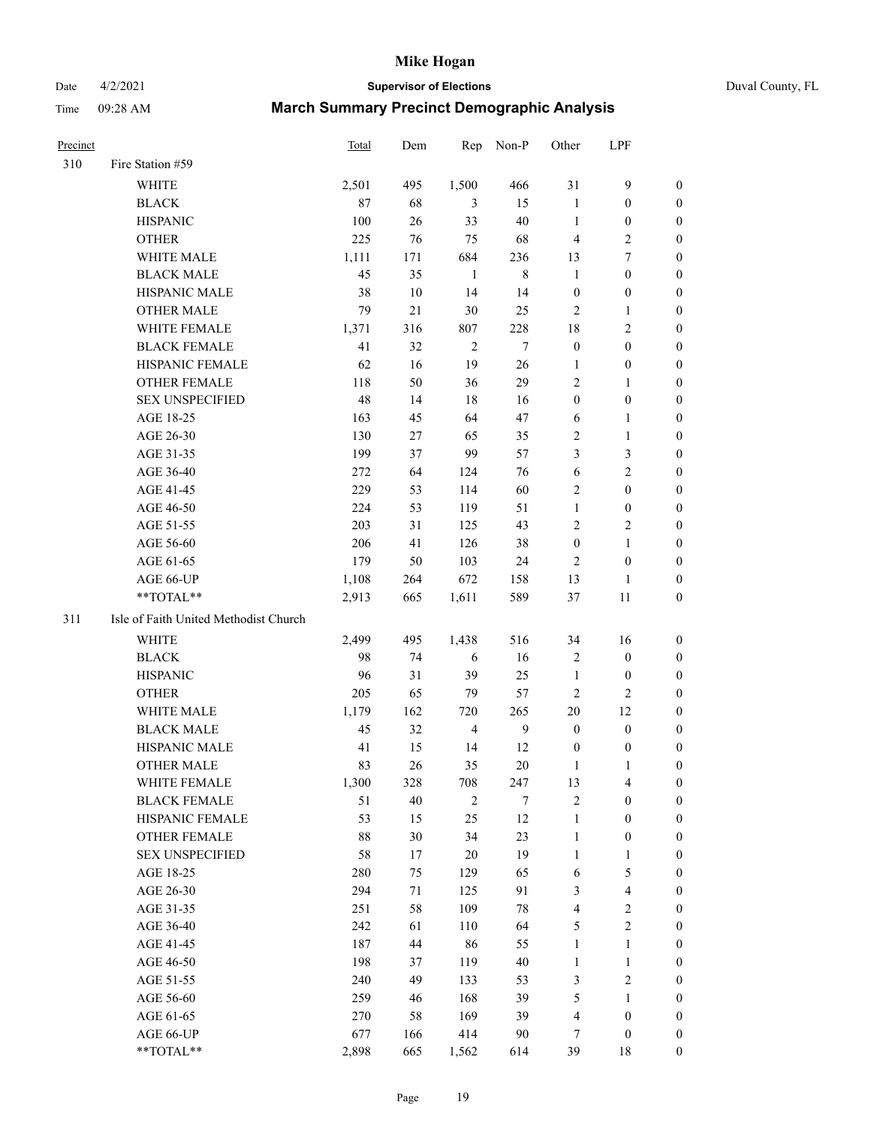#### Date 4/2/2021 **Supervisor of Elections** Duval County, FL

| Precinct |                                       | <b>Total</b> | Dem | Rep            | Non-P          | Other            | LPF                     |                  |
|----------|---------------------------------------|--------------|-----|----------------|----------------|------------------|-------------------------|------------------|
| 310      | Fire Station #59                      |              |     |                |                |                  |                         |                  |
|          | <b>WHITE</b>                          | 2,501        | 495 | 1,500          | 466            | 31               | $\mathbf{9}$            | 0                |
|          | <b>BLACK</b>                          | 87           | 68  | 3              | 15             | $\mathbf{1}$     | $\boldsymbol{0}$        | 0                |
|          | <b>HISPANIC</b>                       | 100          | 26  | 33             | 40             | $\mathbf{1}$     | $\boldsymbol{0}$        | 0                |
|          | <b>OTHER</b>                          | 225          | 76  | 75             | 68             | 4                | $\sqrt{2}$              | $\boldsymbol{0}$ |
|          | WHITE MALE                            | 1,111        | 171 | 684            | 236            | 13               | $\tau$                  | $\boldsymbol{0}$ |
|          | <b>BLACK MALE</b>                     | 45           | 35  | $\mathbf{1}$   | $\,8\,$        | $\mathbf{1}$     | $\boldsymbol{0}$        | 0                |
|          | HISPANIC MALE                         | 38           | 10  | 14             | 14             | $\boldsymbol{0}$ | $\boldsymbol{0}$        | $\boldsymbol{0}$ |
|          | <b>OTHER MALE</b>                     | 79           | 21  | 30             | 25             | $\mathbf{2}$     | $\mathbf{1}$            | $\boldsymbol{0}$ |
|          | WHITE FEMALE                          | 1,371        | 316 | 807            | 228            | 18               | $\overline{2}$          | 0                |
|          | <b>BLACK FEMALE</b>                   | 41           | 32  | $\overline{2}$ | 7              | $\boldsymbol{0}$ | $\boldsymbol{0}$        | 0                |
|          | HISPANIC FEMALE                       | 62           | 16  | 19             | 26             | $\mathbf{1}$     | $\boldsymbol{0}$        | 0                |
|          | OTHER FEMALE                          | 118          | 50  | 36             | 29             | 2                | $\mathbf{1}$            | 0                |
|          | <b>SEX UNSPECIFIED</b>                | 48           | 14  | 18             | 16             | $\boldsymbol{0}$ | $\boldsymbol{0}$        | $\boldsymbol{0}$ |
|          | AGE 18-25                             | 163          | 45  | 64             | 47             | 6                | 1                       | $\boldsymbol{0}$ |
|          | AGE 26-30                             | 130          | 27  | 65             | 35             | 2                | $\mathbf{1}$            | $\boldsymbol{0}$ |
|          | AGE 31-35                             | 199          | 37  | 99             | 57             | 3                | $\mathfrak{Z}$          | $\boldsymbol{0}$ |
|          | AGE 36-40                             | 272          | 64  | 124            | 76             | 6                | $\sqrt{2}$              | $\boldsymbol{0}$ |
|          | AGE 41-45                             | 229          | 53  | 114            | 60             | 2                | $\boldsymbol{0}$        | $\boldsymbol{0}$ |
|          | AGE 46-50                             | 224          | 53  | 119            | 51             | $\mathbf{1}$     | $\boldsymbol{0}$        | 0                |
|          | AGE 51-55                             | 203          | 31  | 125            | 43             | 2                | $\sqrt{2}$              | 0                |
|          | AGE 56-60                             | 206          | 41  | 126            | 38             | $\boldsymbol{0}$ | $\mathbf{1}$            | 0                |
|          | AGE 61-65                             | 179          | 50  | 103            | 24             | $\overline{2}$   | $\boldsymbol{0}$        | 0                |
|          | AGE 66-UP                             | 1,108        | 264 | 672            | 158            | 13               | $\mathbf{1}$            | 0                |
|          | **TOTAL**                             | 2,913        | 665 | 1,611          | 589            | 37               | 11                      | $\boldsymbol{0}$ |
| 311      | Isle of Faith United Methodist Church |              |     |                |                |                  |                         |                  |
|          | <b>WHITE</b>                          | 2,499        | 495 | 1,438          | 516            | 34               | 16                      | $\boldsymbol{0}$ |
|          | <b>BLACK</b>                          | 98           | 74  | 6              | 16             | $\sqrt{2}$       | $\boldsymbol{0}$        | $\boldsymbol{0}$ |
|          | <b>HISPANIC</b>                       | 96           | 31  | 39             | 25             | $\mathbf{1}$     | $\boldsymbol{0}$        | 0                |
|          | <b>OTHER</b>                          | 205          | 65  | 79             | 57             | $\mathbf{2}$     | $\mathbf{2}$            | $\overline{0}$   |
|          | WHITE MALE                            | 1,179        | 162 | 720            | 265            | $20\,$           | 12                      | $\overline{0}$   |
|          | <b>BLACK MALE</b>                     | 45           | 32  | $\overline{4}$ | $\overline{9}$ | $\boldsymbol{0}$ | $\boldsymbol{0}$        | 0                |
|          | HISPANIC MALE                         | 41           | 15  | 14             | 12             | $\boldsymbol{0}$ | $\boldsymbol{0}$        | 0                |
|          | <b>OTHER MALE</b>                     | 83           | 26  | 35             | $20\,$         | 1                | 1                       | 0                |
|          | WHITE FEMALE                          | 1,300        | 328 | 708            | 247            | 13               | 4                       | 0                |
|          | <b>BLACK FEMALE</b>                   | 51           | 40  | $\sqrt{2}$     | 7              | 2                | $\boldsymbol{0}$        | $\overline{0}$   |
|          | HISPANIC FEMALE                       | 53           | 15  | 25             | 12             | $\mathbf{1}$     | $\boldsymbol{0}$        | $\overline{0}$   |
|          | OTHER FEMALE                          | 88           | 30  | 34             | 23             | $\mathbf{1}$     | $\boldsymbol{0}$        | 0                |
|          | <b>SEX UNSPECIFIED</b>                | 58           | 17  | 20             | 19             | $\mathbf{1}$     | $\mathbf{1}$            | 0                |
|          | AGE 18-25                             | 280          | 75  | 129            | 65             | 6                | $\mathfrak{S}$          | 0                |
|          | AGE 26-30                             | 294          | 71  | 125            | 91             | 3                | $\overline{\mathbf{4}}$ | 0                |
|          | AGE 31-35                             | 251          | 58  | 109            | $78\,$         | 4                | $\sqrt{2}$              | 0                |
|          | AGE 36-40                             | 242          | 61  | 110            | 64             | 5                | $\sqrt{2}$              | 0                |
|          | AGE 41-45                             | 187          | 44  | 86             | 55             | $\mathbf{1}$     | $\mathbf{1}$            | 0                |
|          | AGE 46-50                             | 198          | 37  | 119            | $40\,$         | $\mathbf{1}$     | $\mathbf{1}$            | 0                |
|          | AGE 51-55                             | 240          | 49  | 133            | 53             | 3                | $\mathbf{2}$            | 0                |
|          | AGE 56-60                             | 259          | 46  | 168            | 39             | 5                | 1                       | 0                |
|          | AGE 61-65                             | 270          | 58  | 169            | 39             | 4                | $\boldsymbol{0}$        | 0                |
|          | AGE 66-UP                             | 677          | 166 | 414            | 90             | 7                | $\boldsymbol{0}$        | 0                |
|          | **TOTAL**                             | 2,898        | 665 | 1,562          | 614            | 39               | 18                      | $\boldsymbol{0}$ |
|          |                                       |              |     |                |                |                  |                         |                  |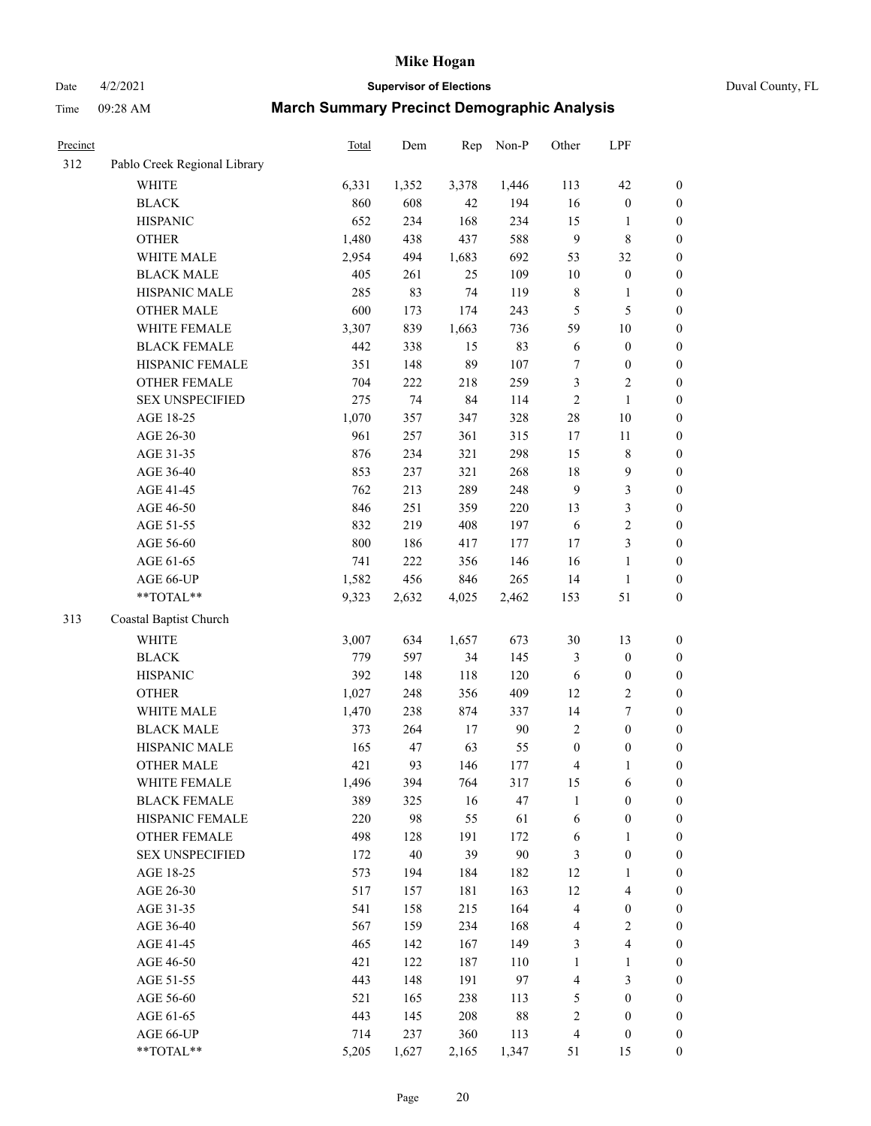# Date 4/2/2021 **Supervisor of Elections** Duval County, FL

| Precinct |                              | Total | Dem   | Rep   | Non-P  | Other                    | LPF              |                  |
|----------|------------------------------|-------|-------|-------|--------|--------------------------|------------------|------------------|
| 312      | Pablo Creek Regional Library |       |       |       |        |                          |                  |                  |
|          | <b>WHITE</b>                 | 6,331 | 1,352 | 3,378 | 1,446  | 113                      | 42               | 0                |
|          | <b>BLACK</b>                 | 860   | 608   | 42    | 194    | 16                       | $\boldsymbol{0}$ | 0                |
|          | <b>HISPANIC</b>              | 652   | 234   | 168   | 234    | 15                       | 1                | $\boldsymbol{0}$ |
|          | <b>OTHER</b>                 | 1,480 | 438   | 437   | 588    | 9                        | $\,$ 8 $\,$      | $\boldsymbol{0}$ |
|          | WHITE MALE                   | 2,954 | 494   | 1,683 | 692    | 53                       | 32               | $\boldsymbol{0}$ |
|          | <b>BLACK MALE</b>            | 405   | 261   | 25    | 109    | 10                       | $\boldsymbol{0}$ | $\boldsymbol{0}$ |
|          | HISPANIC MALE                | 285   | 83    | 74    | 119    | $\,$ $\,$                | $\mathbf{1}$     | $\boldsymbol{0}$ |
|          | <b>OTHER MALE</b>            | 600   | 173   | 174   | 243    | 5                        | $\mathfrak s$    | $\boldsymbol{0}$ |
|          | WHITE FEMALE                 | 3,307 | 839   | 1,663 | 736    | 59                       | $10\,$           | $\boldsymbol{0}$ |
|          | <b>BLACK FEMALE</b>          | 442   | 338   | 15    | 83     | 6                        | $\boldsymbol{0}$ | $\boldsymbol{0}$ |
|          | HISPANIC FEMALE              | 351   | 148   | 89    | 107    | 7                        | $\boldsymbol{0}$ | 0                |
|          | OTHER FEMALE                 | 704   | 222   | 218   | 259    | 3                        | $\sqrt{2}$       | $\boldsymbol{0}$ |
|          | <b>SEX UNSPECIFIED</b>       | 275   | 74    | 84    | 114    | $\overline{c}$           | $\mathbf{1}$     | $\boldsymbol{0}$ |
|          | AGE 18-25                    | 1,070 | 357   | 347   | 328    | 28                       | 10               | $\boldsymbol{0}$ |
|          | AGE 26-30                    | 961   | 257   | 361   | 315    | 17                       | $11\,$           | $\boldsymbol{0}$ |
|          | AGE 31-35                    | 876   | 234   | 321   | 298    | 15                       | $\,$ $\,$        | $\boldsymbol{0}$ |
|          | AGE 36-40                    | 853   | 237   | 321   | 268    | 18                       | $\boldsymbol{9}$ | $\boldsymbol{0}$ |
|          | AGE 41-45                    | 762   | 213   | 289   | 248    | $\mathbf{9}$             | $\mathfrak{Z}$   | $\boldsymbol{0}$ |
|          | AGE 46-50                    | 846   | 251   | 359   | 220    | 13                       | $\mathfrak{Z}$   | $\boldsymbol{0}$ |
|          | AGE 51-55                    | 832   | 219   | 408   | 197    | 6                        | $\sqrt{2}$       | $\boldsymbol{0}$ |
|          | AGE 56-60                    | 800   | 186   | 417   | 177    | 17                       | $\mathfrak{Z}$   | $\boldsymbol{0}$ |
|          | AGE 61-65                    | 741   | 222   | 356   | 146    | 16                       | $\mathbf{1}$     | $\boldsymbol{0}$ |
|          | AGE 66-UP                    | 1,582 | 456   | 846   | 265    | 14                       | $\mathbf{1}$     | $\boldsymbol{0}$ |
|          | $**TOTAL**$                  | 9,323 | 2,632 | 4,025 | 2,462  | 153                      | 51               | $\boldsymbol{0}$ |
| 313      | Coastal Baptist Church       |       |       |       |        |                          |                  |                  |
|          | <b>WHITE</b>                 | 3,007 | 634   | 1,657 | 673    | 30                       | 13               | $\boldsymbol{0}$ |
|          | <b>BLACK</b>                 | 779   | 597   | 34    | 145    | 3                        | $\boldsymbol{0}$ | $\boldsymbol{0}$ |
|          | <b>HISPANIC</b>              | 392   | 148   | 118   | 120    | 6                        | $\boldsymbol{0}$ | $\boldsymbol{0}$ |
|          | <b>OTHER</b>                 | 1,027 | 248   | 356   | 409    | 12                       | $\sqrt{2}$       | $\boldsymbol{0}$ |
|          | WHITE MALE                   | 1,470 | 238   | 874   | 337    | 14                       | $\boldsymbol{7}$ | $\boldsymbol{0}$ |
|          | <b>BLACK MALE</b>            | 373   | 264   | 17    | 90     | $\mathfrak{2}$           | $\boldsymbol{0}$ | $\boldsymbol{0}$ |
|          | HISPANIC MALE                | 165   | 47    | 63    | 55     | $\boldsymbol{0}$         | $\boldsymbol{0}$ | $\boldsymbol{0}$ |
|          | <b>OTHER MALE</b>            | 421   | 93    | 146   | 177    | 4                        | $\mathbf{1}$     | $\boldsymbol{0}$ |
|          | WHITE FEMALE                 | 1,496 | 394   | 764   | 317    | 15                       | 6                | 0                |
|          | <b>BLACK FEMALE</b>          | 389   | 325   | 16    | 47     | 1                        | $\boldsymbol{0}$ | $\overline{0}$   |
|          | HISPANIC FEMALE              | 220   | 98    | 55    | 61     | 6                        | $\boldsymbol{0}$ | $\overline{0}$   |
|          | OTHER FEMALE                 | 498   | 128   | 191   | 172    | 6                        | $\mathbf{1}$     | $\overline{0}$   |
|          | <b>SEX UNSPECIFIED</b>       | 172   | 40    | 39    | 90     | 3                        | $\boldsymbol{0}$ | 0                |
|          | AGE 18-25                    | 573   | 194   | 184   | 182    | 12                       | $\mathbf{1}$     | 0                |
|          | AGE 26-30                    | 517   | 157   | 181   | 163    | 12                       | $\overline{4}$   | 0                |
|          | AGE 31-35                    | 541   | 158   | 215   | 164    | 4                        | $\boldsymbol{0}$ | 0                |
|          | AGE 36-40                    | 567   | 159   | 234   | 168    | 4                        | $\sqrt{2}$       | 0                |
|          | AGE 41-45                    | 465   | 142   | 167   | 149    | 3                        | $\overline{4}$   | 0                |
|          | AGE 46-50                    | 421   | 122   | 187   | 110    | 1                        | $\mathbf{1}$     | 0                |
|          | AGE 51-55                    | 443   | 148   | 191   | 97     | 4                        | 3                | $\boldsymbol{0}$ |
|          | AGE 56-60                    | 521   | 165   | 238   | 113    | 5                        | $\boldsymbol{0}$ | $\boldsymbol{0}$ |
|          | AGE 61-65                    | 443   | 145   | 208   | $88\,$ | $\overline{\mathbf{c}}$  | $\boldsymbol{0}$ | $\boldsymbol{0}$ |
|          | AGE 66-UP                    | 714   | 237   | 360   | 113    | $\overline{\mathcal{L}}$ | $\boldsymbol{0}$ | $\boldsymbol{0}$ |
|          | **TOTAL**                    | 5,205 | 1,627 | 2,165 | 1,347  | 51                       | 15               | $\boldsymbol{0}$ |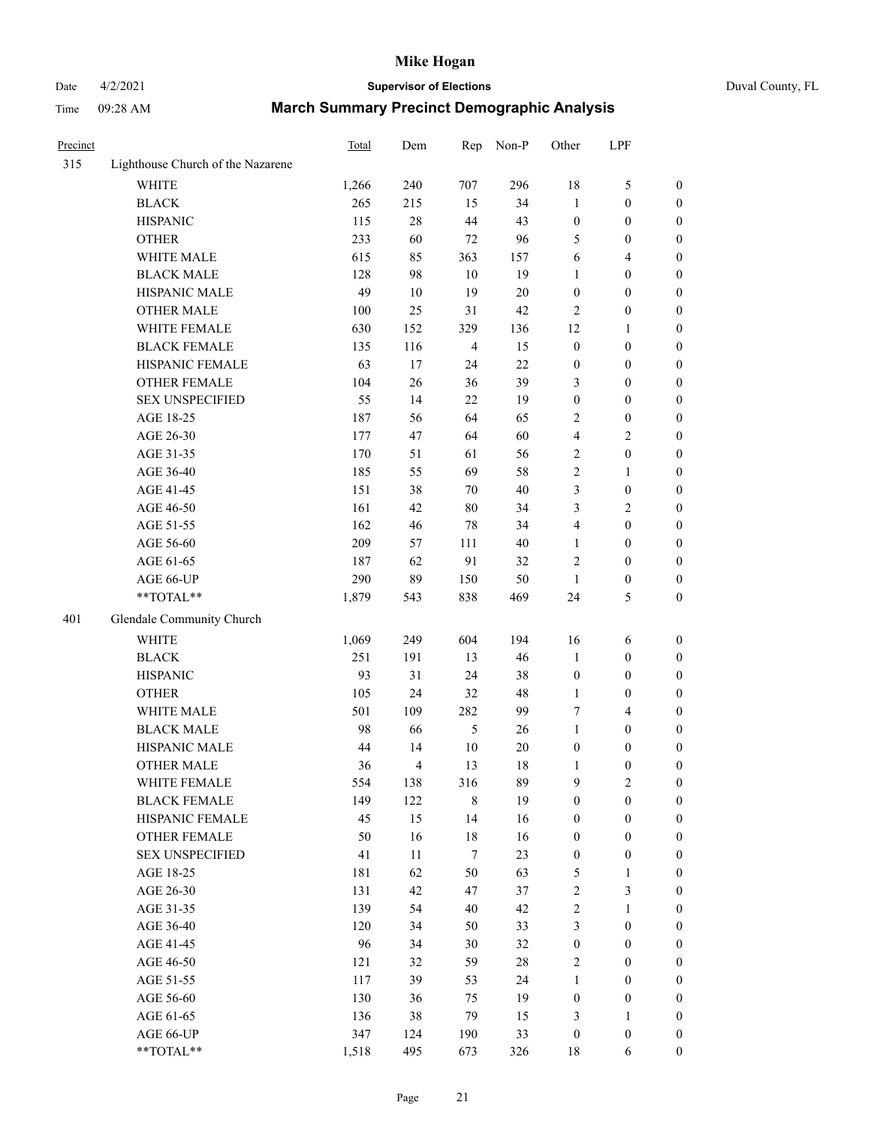# Date 4/2/2021 **Supervisor of Elections** Duval County, FL

| Precinct |                                   | Total | Dem            | Rep            | Non-P | Other            | LPF              |                  |
|----------|-----------------------------------|-------|----------------|----------------|-------|------------------|------------------|------------------|
| 315      | Lighthouse Church of the Nazarene |       |                |                |       |                  |                  |                  |
|          | <b>WHITE</b>                      | 1,266 | 240            | 707            | 296   | 18               | $\mathfrak s$    | 0                |
|          | <b>BLACK</b>                      | 265   | 215            | 15             | 34    | $\mathbf{1}$     | $\boldsymbol{0}$ | $\boldsymbol{0}$ |
|          | <b>HISPANIC</b>                   | 115   | 28             | 44             | 43    | $\boldsymbol{0}$ | $\boldsymbol{0}$ | $\boldsymbol{0}$ |
|          | <b>OTHER</b>                      | 233   | 60             | 72             | 96    | 5                | $\boldsymbol{0}$ | $\boldsymbol{0}$ |
|          | WHITE MALE                        | 615   | 85             | 363            | 157   | 6                | $\overline{4}$   | $\boldsymbol{0}$ |
|          | <b>BLACK MALE</b>                 | 128   | 98             | 10             | 19    | 1                | $\boldsymbol{0}$ | $\boldsymbol{0}$ |
|          | HISPANIC MALE                     | 49    | 10             | 19             | 20    | $\boldsymbol{0}$ | $\boldsymbol{0}$ | $\boldsymbol{0}$ |
|          | <b>OTHER MALE</b>                 | 100   | 25             | 31             | 42    | 2                | $\boldsymbol{0}$ | $\boldsymbol{0}$ |
|          | WHITE FEMALE                      | 630   | 152            | 329            | 136   | 12               | 1                | $\boldsymbol{0}$ |
|          | <b>BLACK FEMALE</b>               | 135   | 116            | $\overline{4}$ | 15    | $\boldsymbol{0}$ | $\boldsymbol{0}$ | 0                |
|          | HISPANIC FEMALE                   | 63    | 17             | 24             | 22    | $\boldsymbol{0}$ | $\boldsymbol{0}$ | $\boldsymbol{0}$ |
|          | OTHER FEMALE                      | 104   | 26             | 36             | 39    | 3                | $\boldsymbol{0}$ | $\boldsymbol{0}$ |
|          | <b>SEX UNSPECIFIED</b>            | 55    | 14             | 22             | 19    | $\boldsymbol{0}$ | $\boldsymbol{0}$ | $\boldsymbol{0}$ |
|          | AGE 18-25                         | 187   | 56             | 64             | 65    | 2                | $\boldsymbol{0}$ | $\boldsymbol{0}$ |
|          | AGE 26-30                         | 177   | 47             | 64             | 60    | 4                | $\mathfrak{2}$   | $\boldsymbol{0}$ |
|          | AGE 31-35                         | 170   | 51             | 61             | 56    | $\overline{c}$   | $\boldsymbol{0}$ | $\boldsymbol{0}$ |
|          | AGE 36-40                         | 185   | 55             | 69             | 58    | $\overline{c}$   | $\mathbf{1}$     | $\boldsymbol{0}$ |
|          | AGE 41-45                         | 151   | 38             | 70             | 40    | 3                | $\boldsymbol{0}$ | $\boldsymbol{0}$ |
|          | AGE 46-50                         | 161   | 42             | $80\,$         | 34    | 3                | $\sqrt{2}$       | $\boldsymbol{0}$ |
|          | AGE 51-55                         | 162   | 46             | 78             | 34    | 4                | $\boldsymbol{0}$ | 0                |
|          | AGE 56-60                         | 209   | 57             | 111            | 40    | $\mathbf{1}$     | $\boldsymbol{0}$ | $\boldsymbol{0}$ |
|          | AGE 61-65                         | 187   | 62             | 91             | 32    | 2                | $\boldsymbol{0}$ | $\boldsymbol{0}$ |
|          | AGE 66-UP                         | 290   | 89             | 150            | 50    | $\mathbf{1}$     | $\boldsymbol{0}$ | $\boldsymbol{0}$ |
|          | $**TOTAL**$                       | 1,879 | 543            | 838            | 469   | 24               | 5                | $\boldsymbol{0}$ |
| 401      | Glendale Community Church         |       |                |                |       |                  |                  |                  |
|          | <b>WHITE</b>                      | 1,069 | 249            | 604            | 194   | 16               | 6                | $\boldsymbol{0}$ |
|          | <b>BLACK</b>                      | 251   | 191            | 13             | 46    | 1                | $\boldsymbol{0}$ | $\boldsymbol{0}$ |
|          | <b>HISPANIC</b>                   | 93    | 31             | 24             | 38    | $\boldsymbol{0}$ | $\boldsymbol{0}$ | $\boldsymbol{0}$ |
|          | <b>OTHER</b>                      | 105   | 24             | 32             | 48    | $\mathbf{1}$     | $\boldsymbol{0}$ | $\boldsymbol{0}$ |
|          | WHITE MALE                        | 501   | 109            | 282            | 99    | 7                | $\overline{4}$   | $\boldsymbol{0}$ |
|          | <b>BLACK MALE</b>                 | 98    | 66             | $\mathfrak{S}$ | 26    | $\mathbf{1}$     | $\boldsymbol{0}$ | $\boldsymbol{0}$ |
|          | HISPANIC MALE                     | 44    | 14             | 10             | 20    | $\boldsymbol{0}$ | $\boldsymbol{0}$ | 0                |
|          | <b>OTHER MALE</b>                 | 36    | $\overline{4}$ | 13             | 18    | 1                | $\boldsymbol{0}$ | $\boldsymbol{0}$ |
|          | WHITE FEMALE                      | 554   | 138            | 316            | 89    | 9                | $\overline{c}$   | $\overline{0}$   |
|          | <b>BLACK FEMALE</b>               | 149   | 122            | $\,$ $\,$      | 19    | $\boldsymbol{0}$ | $\boldsymbol{0}$ | $\overline{0}$   |
|          | HISPANIC FEMALE                   | 45    | 15             | 14             | 16    | 0                | $\boldsymbol{0}$ | $\overline{0}$   |
|          | <b>OTHER FEMALE</b>               | 50    | 16             | 18             | 16    | $\boldsymbol{0}$ | $\boldsymbol{0}$ | $\overline{0}$   |
|          | <b>SEX UNSPECIFIED</b>            | 41    | 11             | 7              | 23    | $\boldsymbol{0}$ | $\boldsymbol{0}$ | 0                |
|          | AGE 18-25                         | 181   | 62             | 50             | 63    | 5                | $\mathbf{1}$     | $\theta$         |
|          | AGE 26-30                         | 131   | 42             | 47             | 37    | $\overline{c}$   | $\mathfrak{Z}$   | 0                |
|          | AGE 31-35                         | 139   | 54             | 40             | 42    | $\overline{c}$   | $\mathbf{1}$     | 0                |
|          | AGE 36-40                         | 120   | 34             | 50             | 33    | 3                | $\boldsymbol{0}$ | 0                |
|          | AGE 41-45                         | 96    | 34             | 30             | 32    | $\boldsymbol{0}$ | $\boldsymbol{0}$ | 0                |
|          | AGE 46-50                         | 121   | 32             | 59             | 28    | 2                | $\boldsymbol{0}$ | $\overline{0}$   |
|          | AGE 51-55                         | 117   | 39             | 53             | 24    | 1                | $\boldsymbol{0}$ | $\boldsymbol{0}$ |
|          | AGE 56-60                         | 130   | 36             | 75             | 19    | $\boldsymbol{0}$ | $\boldsymbol{0}$ | $\boldsymbol{0}$ |
|          | AGE 61-65                         | 136   | 38             | 79             | 15    | 3                | $\mathbf{1}$     | 0                |
|          | AGE 66-UP                         | 347   | 124            | 190            | 33    | $\boldsymbol{0}$ | $\boldsymbol{0}$ | 0                |
|          | **TOTAL**                         | 1,518 | 495            | 673            | 326   | 18               | 6                | $\boldsymbol{0}$ |
|          |                                   |       |                |                |       |                  |                  |                  |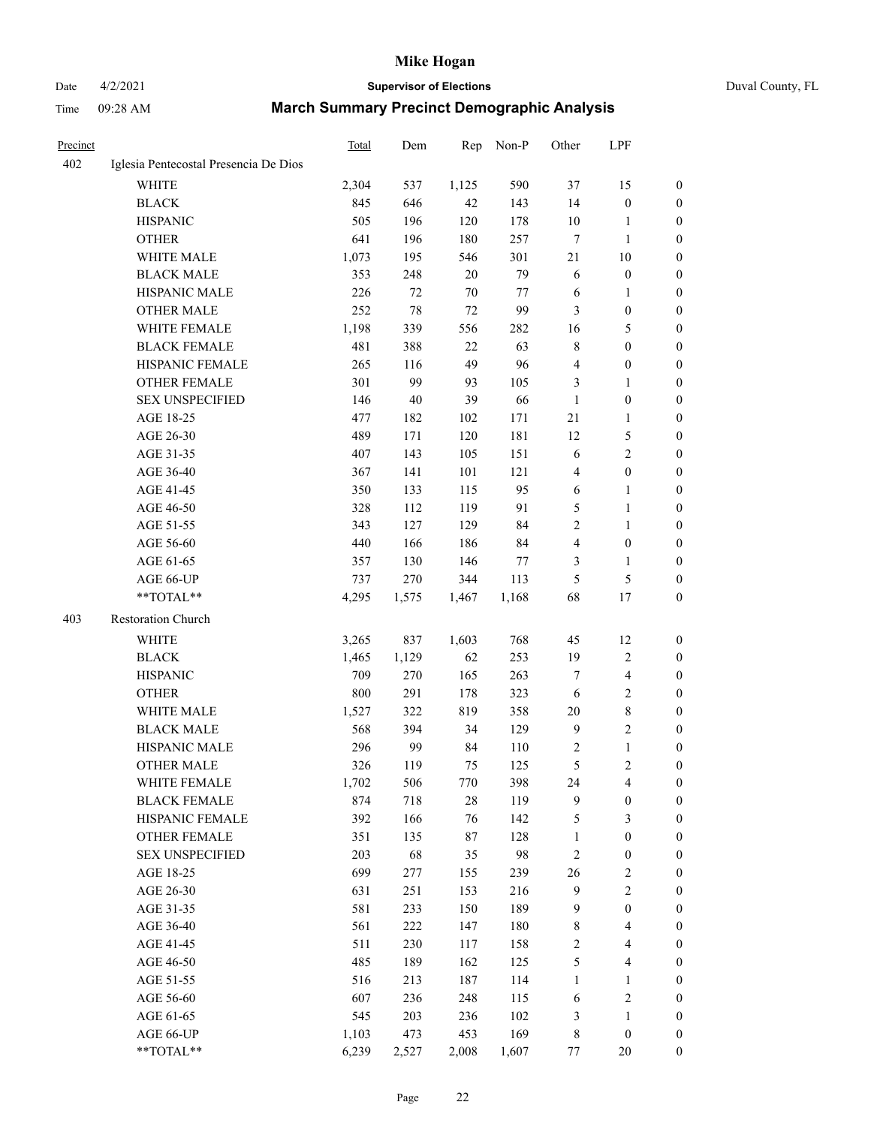# Date 4/2/2021 **Supervisor of Elections** Duval County, FL

| Precinct |                                       | Total | Dem   | Rep    | Non-P   | Other          | LPF                     |                  |
|----------|---------------------------------------|-------|-------|--------|---------|----------------|-------------------------|------------------|
| 402      | Iglesia Pentecostal Presencia De Dios |       |       |        |         |                |                         |                  |
|          | <b>WHITE</b>                          | 2,304 | 537   | 1,125  | 590     | 37             | 15                      | $\boldsymbol{0}$ |
|          | <b>BLACK</b>                          | 845   | 646   | 42     | 143     | 14             | $\boldsymbol{0}$        | $\boldsymbol{0}$ |
|          | <b>HISPANIC</b>                       | 505   | 196   | 120    | 178     | 10             | 1                       | $\boldsymbol{0}$ |
|          | <b>OTHER</b>                          | 641   | 196   | 180    | 257     | 7              | $\mathbf{1}$            | $\boldsymbol{0}$ |
|          | WHITE MALE                            | 1,073 | 195   | 546    | 301     | $21\,$         | 10                      | $\boldsymbol{0}$ |
|          | <b>BLACK MALE</b>                     | 353   | 248   | 20     | 79      | 6              | $\boldsymbol{0}$        | 0                |
|          | HISPANIC MALE                         | 226   | 72    | 70     | $77 \,$ | 6              | $\mathbf{1}$            | 0                |
|          | <b>OTHER MALE</b>                     | 252   | 78    | 72     | 99      | 3              | $\boldsymbol{0}$        | 0                |
|          | WHITE FEMALE                          | 1,198 | 339   | 556    | 282     | 16             | 5                       | 0                |
|          | <b>BLACK FEMALE</b>                   | 481   | 388   | 22     | 63      | 8              | $\boldsymbol{0}$        | 0                |
|          | HISPANIC FEMALE                       | 265   | 116   | 49     | 96      | 4              | $\boldsymbol{0}$        | $\boldsymbol{0}$ |
|          | OTHER FEMALE                          | 301   | 99    | 93     | 105     | 3              | $\mathbf{1}$            | $\boldsymbol{0}$ |
|          | <b>SEX UNSPECIFIED</b>                | 146   | 40    | 39     | 66      | $\mathbf{1}$   | $\boldsymbol{0}$        | $\boldsymbol{0}$ |
|          | AGE 18-25                             | 477   | 182   | 102    | 171     | $21\,$         | $\mathbf{1}$            | $\boldsymbol{0}$ |
|          | AGE 26-30                             | 489   | 171   | 120    | 181     | 12             | $\mathfrak s$           | $\boldsymbol{0}$ |
|          | AGE 31-35                             | 407   | 143   | 105    | 151     | 6              | $\overline{2}$          | $\boldsymbol{0}$ |
|          | AGE 36-40                             | 367   | 141   | 101    | 121     | 4              | $\boldsymbol{0}$        | 0                |
|          | AGE 41-45                             | 350   | 133   | 115    | 95      | 6              | 1                       | 0                |
|          | AGE 46-50                             | 328   | 112   | 119    | 91      | $\mathfrak{S}$ | $\mathbf{1}$            | 0                |
|          | AGE 51-55                             | 343   | 127   | 129    | 84      | $\overline{c}$ | $\mathbf{1}$            | 0                |
|          | AGE 56-60                             | 440   | 166   | 186    | 84      | 4              | $\boldsymbol{0}$        | $\boldsymbol{0}$ |
|          | AGE 61-65                             | 357   | 130   | 146    | 77      | 3              | $\mathbf{1}$            | $\boldsymbol{0}$ |
|          | AGE 66-UP                             | 737   | 270   | 344    | 113     | 5              | $\mathfrak{S}$          | $\boldsymbol{0}$ |
|          | $**TOTAL**$                           | 4,295 | 1,575 | 1,467  | 1,168   | 68             | 17                      | $\boldsymbol{0}$ |
| 403      | Restoration Church                    |       |       |        |         |                |                         |                  |
|          | <b>WHITE</b>                          | 3,265 | 837   | 1,603  | 768     | 45             | 12                      | $\boldsymbol{0}$ |
|          | <b>BLACK</b>                          | 1,465 | 1,129 | 62     | 253     | 19             | $\sqrt{2}$              | $\boldsymbol{0}$ |
|          | <b>HISPANIC</b>                       | 709   | 270   | 165    | 263     | 7              | $\overline{\mathbf{4}}$ | $\boldsymbol{0}$ |
|          | <b>OTHER</b>                          | 800   | 291   | 178    | 323     | 6              | $\sqrt{2}$              | 0                |
|          | WHITE MALE                            | 1,527 | 322   | 819    | 358     | 20             | $\,8\,$                 | 0                |
|          | <b>BLACK MALE</b>                     | 568   | 394   | 34     | 129     | 9              | $\mathfrak{2}$          | 0                |
|          | HISPANIC MALE                         | 296   | 99    | 84     | 110     | 2              | $\mathbf{1}$            | 0                |
|          | <b>OTHER MALE</b>                     | 326   | 119   | 75     | 125     | 5              | $\sqrt{2}$              | $\boldsymbol{0}$ |
|          | WHITE FEMALE                          | 1,702 | 506   | 770    | 398     | 24             | $\overline{\mathbf{4}}$ | $\boldsymbol{0}$ |
|          | <b>BLACK FEMALE</b>                   | 874   | 718   | $28\,$ | 119     | 9              | $\boldsymbol{0}$        | $\boldsymbol{0}$ |
|          | HISPANIC FEMALE                       | 392   | 166   | 76     | 142     | 5              | $\mathfrak{Z}$          | $\overline{0}$   |
|          | <b>OTHER FEMALE</b>                   | 351   | 135   | $87\,$ | 128     | $\mathbf{1}$   | $\boldsymbol{0}$        | $\overline{0}$   |
|          | <b>SEX UNSPECIFIED</b>                | 203   | 68    | 35     | 98      | $\sqrt{2}$     | $\boldsymbol{0}$        | $\theta$         |
|          | AGE 18-25                             | 699   | 277   | 155    | 239     | 26             | $\sqrt{2}$              | 0                |
|          | AGE 26-30                             | 631   | 251   | 153    | 216     | $\mathbf{9}$   | $\sqrt{2}$              | 0                |
|          | AGE 31-35                             | 581   | 233   | 150    | 189     | $\overline{9}$ | $\boldsymbol{0}$        | 0                |
|          | AGE 36-40                             | 561   | 222   | 147    | 180     | 8              | $\overline{4}$          | 0                |
|          | AGE 41-45                             | 511   | 230   | 117    | 158     | 2              | $\overline{4}$          | 0                |
|          | AGE 46-50                             | 485   | 189   | 162    | 125     | 5              | $\overline{4}$          | $\boldsymbol{0}$ |
|          | AGE 51-55                             | 516   | 213   | 187    | 114     | $\mathbf{1}$   | $\mathbf{1}$            | $\boldsymbol{0}$ |
|          | AGE 56-60                             | 607   | 236   | 248    | 115     | 6              | $\sqrt{2}$              | 0                |
|          | AGE 61-65                             | 545   | 203   | 236    | 102     | $\mathfrak{Z}$ | $\mathbf{1}$            | $\boldsymbol{0}$ |
|          | AGE 66-UP                             | 1,103 | 473   | 453    | 169     | $\,$ 8 $\,$    | $\boldsymbol{0}$        | $\overline{0}$   |
|          | **TOTAL**                             | 6,239 | 2,527 | 2,008  | 1,607   | $77 \,$        | 20                      | $\boldsymbol{0}$ |
|          |                                       |       |       |        |         |                |                         |                  |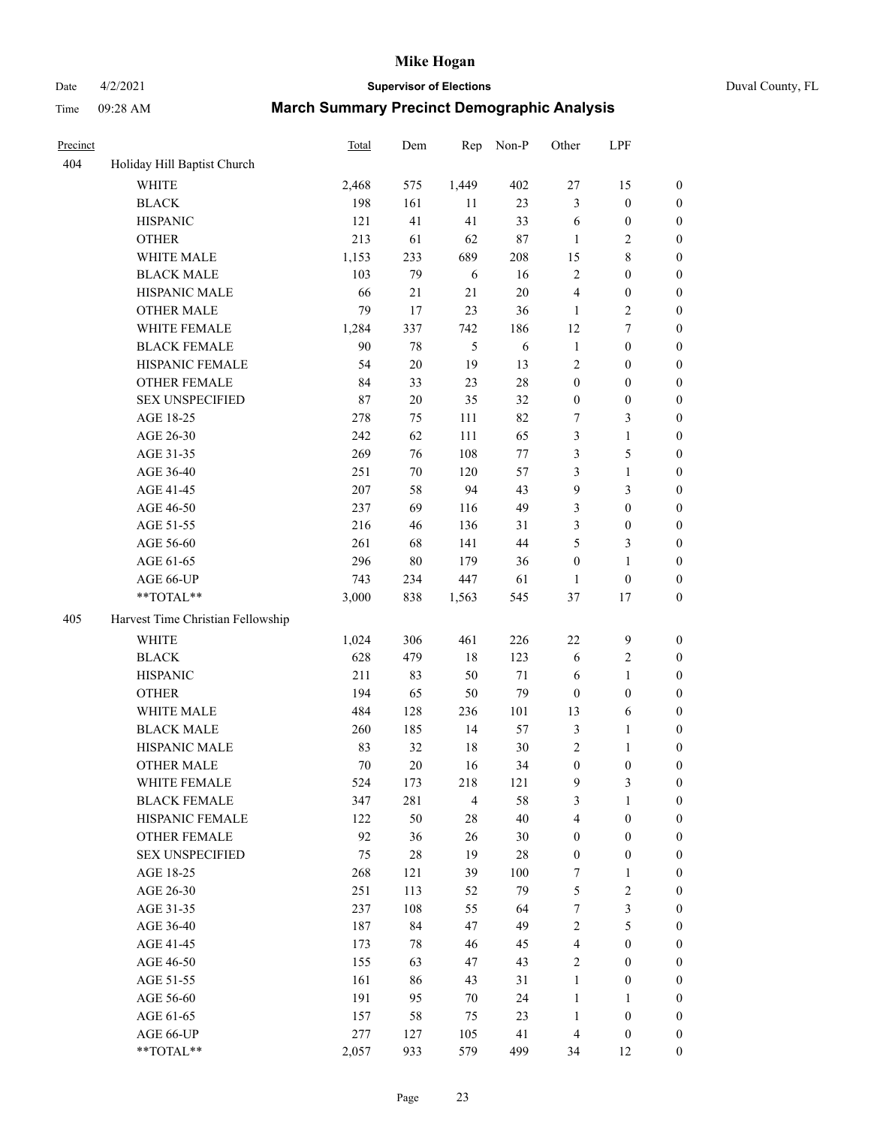Date 4/2/2021 **Supervisor of Elections** Duval County, FL

| Precinct |                                   | <b>Total</b> | Dem    | Rep            | Non-P      | Other            | LPF              |                  |
|----------|-----------------------------------|--------------|--------|----------------|------------|------------------|------------------|------------------|
| 404      | Holiday Hill Baptist Church       |              |        |                |            |                  |                  |                  |
|          | <b>WHITE</b>                      | 2,468        | 575    | 1,449          | 402        | $27\,$           | 15               | 0                |
|          | <b>BLACK</b>                      | 198          | 161    | 11             | 23         | 3                | $\boldsymbol{0}$ | 0                |
|          | <b>HISPANIC</b>                   | 121          | 41     | 41             | 33         | 6                | $\boldsymbol{0}$ | $\boldsymbol{0}$ |
|          | <b>OTHER</b>                      | 213          | 61     | 62             | $87\,$     | 1                | $\sqrt{2}$       | $\boldsymbol{0}$ |
|          | WHITE MALE                        | 1,153        | 233    | 689            | 208        | 15               | $\,$ 8 $\,$      | $\boldsymbol{0}$ |
|          | <b>BLACK MALE</b>                 | 103          | 79     | 6              | 16         | $\overline{c}$   | $\boldsymbol{0}$ | $\boldsymbol{0}$ |
|          | HISPANIC MALE                     | 66           | 21     | 21             | $20\,$     | 4                | $\boldsymbol{0}$ | $\boldsymbol{0}$ |
|          | <b>OTHER MALE</b>                 | 79           | 17     | 23             | 36         | $\mathbf{1}$     | $\overline{2}$   | $\boldsymbol{0}$ |
|          | WHITE FEMALE                      | 1,284        | 337    | 742            | 186        | 12               | 7                | $\boldsymbol{0}$ |
|          | <b>BLACK FEMALE</b>               | 90           | 78     | 5              | $\sqrt{6}$ | $\mathbf{1}$     | $\boldsymbol{0}$ | $\boldsymbol{0}$ |
|          | HISPANIC FEMALE                   | 54           | $20\,$ | 19             | 13         | 2                | $\boldsymbol{0}$ | 0                |
|          | OTHER FEMALE                      | 84           | 33     | 23             | $28\,$     | $\boldsymbol{0}$ | $\boldsymbol{0}$ | $\boldsymbol{0}$ |
|          | <b>SEX UNSPECIFIED</b>            | 87           | $20\,$ | 35             | 32         | $\boldsymbol{0}$ | $\boldsymbol{0}$ | $\boldsymbol{0}$ |
|          | AGE 18-25                         | 278          | 75     | 111            | 82         | 7                | $\mathfrak{Z}$   | $\boldsymbol{0}$ |
|          | AGE 26-30                         | 242          | 62     | 111            | 65         | 3                | $\mathbf{1}$     | $\boldsymbol{0}$ |
|          | AGE 31-35                         | 269          | 76     | 108            | $77\,$     | 3                | $\mathfrak{S}$   | $\boldsymbol{0}$ |
|          | AGE 36-40                         | 251          | $70\,$ | 120            | 57         | 3                | $\mathbf{1}$     | $\boldsymbol{0}$ |
|          | AGE 41-45                         | 207          | 58     | 94             | 43         | 9                | 3                | $\boldsymbol{0}$ |
|          | AGE 46-50                         | 237          | 69     | 116            | 49         | 3                | $\boldsymbol{0}$ | $\boldsymbol{0}$ |
|          | AGE 51-55                         | 216          | 46     | 136            | 31         | 3                | $\boldsymbol{0}$ | 0                |
|          | AGE 56-60                         | 261          | 68     | 141            | 44         | 5                | $\mathfrak{Z}$   | 0                |
|          | AGE 61-65                         | 296          | 80     | 179            | 36         | $\boldsymbol{0}$ | $\mathbf{1}$     | 0                |
|          | AGE 66-UP                         | 743          | 234    | 447            | 61         | $\mathbf{1}$     | $\boldsymbol{0}$ | $\boldsymbol{0}$ |
|          | **TOTAL**                         | 3,000        | 838    | 1,563          | 545        | 37               | $17\,$           | $\boldsymbol{0}$ |
| 405      | Harvest Time Christian Fellowship |              |        |                |            |                  |                  |                  |
|          | <b>WHITE</b>                      | 1,024        | 306    | 461            | 226        | $22\,$           | $\mathbf{9}$     | $\boldsymbol{0}$ |
|          | <b>BLACK</b>                      | 628          | 479    | 18             | 123        | 6                | $\sqrt{2}$       | $\boldsymbol{0}$ |
|          | <b>HISPANIC</b>                   | 211          | 83     | 50             | $71\,$     | 6                | $\mathbf{1}$     | $\boldsymbol{0}$ |
|          | <b>OTHER</b>                      | 194          | 65     | 50             | 79         | $\boldsymbol{0}$ | $\boldsymbol{0}$ | $\boldsymbol{0}$ |
|          | WHITE MALE                        | 484          | 128    | 236            | 101        | 13               | $\sqrt{6}$       | $\boldsymbol{0}$ |
|          | <b>BLACK MALE</b>                 | 260          | 185    | 14             | 57         | 3                | $\mathbf{1}$     | $\boldsymbol{0}$ |
|          | HISPANIC MALE                     | 83           | 32     | 18             | $30\,$     | $\sqrt{2}$       | 1                | 0                |
|          | OTHER MALE                        | 70           | 20     | 16             | 34         | $\boldsymbol{0}$ | $\boldsymbol{0}$ | $\boldsymbol{0}$ |
|          | WHITE FEMALE                      | 524          | 173    | 218            | 121        | 9                | 3                | 0                |
|          | <b>BLACK FEMALE</b>               | 347          | 281    | $\overline{4}$ | 58         | 3                | $\mathbf{1}$     | $\boldsymbol{0}$ |
|          | HISPANIC FEMALE                   | 122          | 50     | 28             | 40         | 4                | $\boldsymbol{0}$ | $\overline{0}$   |
|          | OTHER FEMALE                      | 92           | 36     | 26             | $30\,$     | $\boldsymbol{0}$ | $\boldsymbol{0}$ | $\overline{0}$   |
|          | <b>SEX UNSPECIFIED</b>            | 75           | $28\,$ | 19             | $28\,$     | $\boldsymbol{0}$ | $\boldsymbol{0}$ | 0                |
|          | AGE 18-25                         | 268          | 121    | 39             | 100        | 7                | $\mathbf{1}$     | 0                |
|          | AGE 26-30                         | 251          | 113    | 52             | 79         | 5                | $\sqrt{2}$       | 0                |
|          | AGE 31-35                         | 237          | 108    | 55             | 64         | 7                | $\mathfrak{Z}$   | 0                |
|          | AGE 36-40                         | 187          | 84     | 47             | 49         | 2                | $\mathfrak{S}$   | 0                |
|          | AGE 41-45                         | 173          | 78     | 46             | 45         | $\overline{4}$   | $\boldsymbol{0}$ | 0                |
|          | AGE 46-50                         | 155          | 63     | 47             | 43         | 2                | $\boldsymbol{0}$ | 0                |
|          | AGE 51-55                         | 161          | 86     | 43             | 31         | $\mathbf{1}$     | $\boldsymbol{0}$ | 0                |
|          | AGE 56-60                         | 191          | 95     | 70             | 24         | $\mathbf{1}$     | 1                | $\overline{0}$   |
|          | AGE 61-65                         | 157          | 58     | 75             | 23         | $\mathbf{1}$     | $\boldsymbol{0}$ | 0                |
|          | AGE 66-UP                         | 277          | 127    | 105            | 41         | 4                | $\boldsymbol{0}$ | 0                |
|          | **TOTAL**                         | 2,057        | 933    | 579            | 499        | 34               | 12               | $\boldsymbol{0}$ |
|          |                                   |              |        |                |            |                  |                  |                  |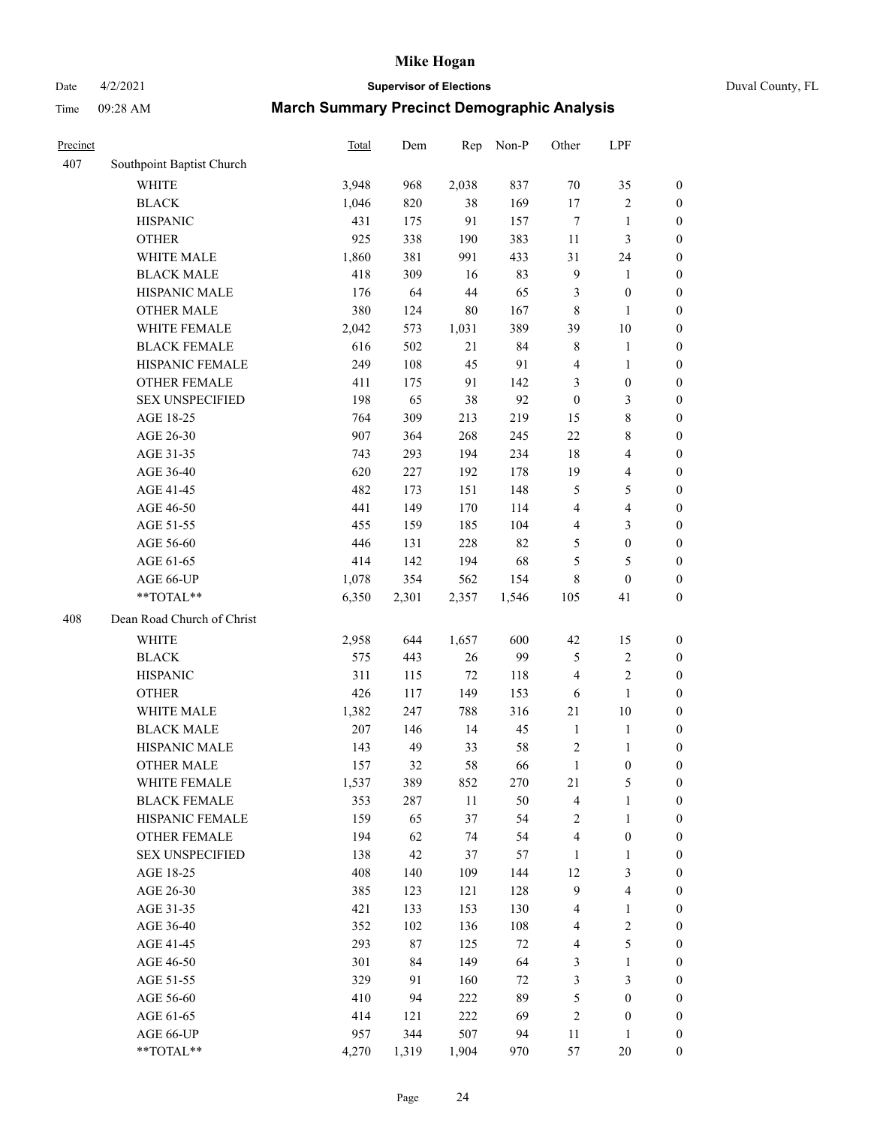# Date 4/2/2021 **Supervisor of Elections** Duval County, FL

| Precinct |                            | <b>Total</b> | Dem    | Rep    | Non-P  | Other            | LPF              |                  |
|----------|----------------------------|--------------|--------|--------|--------|------------------|------------------|------------------|
| 407      | Southpoint Baptist Church  |              |        |        |        |                  |                  |                  |
|          | <b>WHITE</b>               | 3,948        | 968    | 2,038  | 837    | 70               | 35               | 0                |
|          | <b>BLACK</b>               | 1,046        | 820    | 38     | 169    | $17\,$           | $\sqrt{2}$       | 0                |
|          | <b>HISPANIC</b>            | 431          | 175    | 91     | 157    | $\boldsymbol{7}$ | $\mathbf{1}$     | $\boldsymbol{0}$ |
|          | <b>OTHER</b>               | 925          | 338    | 190    | 383    | 11               | $\mathfrak{Z}$   | $\boldsymbol{0}$ |
|          | WHITE MALE                 | 1,860        | 381    | 991    | 433    | 31               | 24               | $\boldsymbol{0}$ |
|          | <b>BLACK MALE</b>          | 418          | 309    | 16     | 83     | 9                | 1                | $\boldsymbol{0}$ |
|          | HISPANIC MALE              | 176          | 64     | 44     | 65     | 3                | $\boldsymbol{0}$ | $\boldsymbol{0}$ |
|          | <b>OTHER MALE</b>          | 380          | 124    | $80\,$ | 167    | 8                | $\mathbf{1}$     | $\boldsymbol{0}$ |
|          | WHITE FEMALE               | 2,042        | 573    | 1,031  | 389    | 39               | $10\,$           | $\boldsymbol{0}$ |
|          | <b>BLACK FEMALE</b>        | 616          | 502    | 21     | 84     | 8                | $\mathbf{1}$     | 0                |
|          | HISPANIC FEMALE            | 249          | 108    | 45     | 91     | 4                | $\mathbf{1}$     | 0                |
|          | <b>OTHER FEMALE</b>        | 411          | 175    | 91     | 142    | 3                | $\boldsymbol{0}$ | $\boldsymbol{0}$ |
|          | <b>SEX UNSPECIFIED</b>     | 198          | 65     | 38     | 92     | $\boldsymbol{0}$ | 3                | $\boldsymbol{0}$ |
|          | AGE 18-25                  | 764          | 309    | 213    | 219    | 15               | $\,$ $\,$        | $\boldsymbol{0}$ |
|          | AGE 26-30                  | 907          | 364    | 268    | 245    | $22\,$           | $\,$ 8 $\,$      | $\boldsymbol{0}$ |
|          | AGE 31-35                  | 743          | 293    | 194    | 234    | 18               | $\overline{4}$   | $\boldsymbol{0}$ |
|          | AGE 36-40                  | 620          | 227    | 192    | 178    | 19               | $\overline{4}$   | $\boldsymbol{0}$ |
|          | AGE 41-45                  | 482          | 173    | 151    | 148    | 5                | $\mathfrak s$    | $\boldsymbol{0}$ |
|          | AGE 46-50                  | 441          | 149    | 170    | 114    | 4                | $\overline{4}$   | $\boldsymbol{0}$ |
|          | AGE 51-55                  | 455          | 159    | 185    | 104    | 4                | $\mathfrak{Z}$   | $\boldsymbol{0}$ |
|          | AGE 56-60                  | 446          | 131    | 228    | 82     | 5                | $\boldsymbol{0}$ | $\boldsymbol{0}$ |
|          | AGE 61-65                  | 414          | 142    | 194    | 68     | 5                | $\mathfrak s$    | $\boldsymbol{0}$ |
|          | AGE 66-UP                  | 1,078        | 354    | 562    | 154    | 8                | $\boldsymbol{0}$ | $\boldsymbol{0}$ |
|          | **TOTAL**                  | 6,350        | 2,301  | 2,357  | 1,546  | 105              | 41               | $\boldsymbol{0}$ |
| 408      | Dean Road Church of Christ |              |        |        |        |                  |                  |                  |
|          | <b>WHITE</b>               | 2,958        | 644    | 1,657  | 600    | 42               | 15               | $\boldsymbol{0}$ |
|          | <b>BLACK</b>               | 575          | 443    | 26     | 99     | 5                | $\sqrt{2}$       | $\boldsymbol{0}$ |
|          | <b>HISPANIC</b>            | 311          | 115    | $72\,$ | 118    | 4                | $\mathfrak{2}$   | $\boldsymbol{0}$ |
|          | <b>OTHER</b>               | 426          | 117    | 149    | 153    | 6                | $\mathbf{1}$     | $\boldsymbol{0}$ |
|          | WHITE MALE                 | 1,382        | 247    | 788    | 316    | 21               | 10               | $\boldsymbol{0}$ |
|          | <b>BLACK MALE</b>          | $207\,$      | 146    | 14     | 45     | $\mathbf{1}$     | $\mathbf{1}$     | $\boldsymbol{0}$ |
|          | HISPANIC MALE              | 143          | 49     | 33     | 58     | 2                | 1                | 0                |
|          | <b>OTHER MALE</b>          | 157          | 32     | 58     | 66     | $\mathbf{1}$     | $\boldsymbol{0}$ | $\boldsymbol{0}$ |
|          | WHITE FEMALE               | 1,537        | 389    | 852    | 270    | 21               | 5                | 0                |
|          | <b>BLACK FEMALE</b>        | 353          | 287    | $11\,$ | 50     | 4                | $\mathbf{1}$     | $\boldsymbol{0}$ |
|          | HISPANIC FEMALE            | 159          | 65     | 37     | 54     | $\overline{c}$   | $\mathbf{1}$     | $\overline{0}$   |
|          | <b>OTHER FEMALE</b>        | 194          | 62     | 74     | 54     | 4                | $\boldsymbol{0}$ | $\overline{0}$   |
|          | <b>SEX UNSPECIFIED</b>     | 138          | 42     | 37     | 57     | $\mathbf{1}$     | $\mathbf{1}$     | 0                |
|          | AGE 18-25                  | 408          | 140    | 109    | 144    | 12               | 3                | 0                |
|          | AGE 26-30                  | 385          | 123    | 121    | 128    | 9                | $\overline{4}$   | 0                |
|          | AGE 31-35                  | 421          | 133    | 153    | 130    | 4                | $\mathbf{1}$     | 0                |
|          | AGE 36-40                  | 352          | 102    | 136    | 108    | 4                | $\sqrt{2}$       | 0                |
|          | AGE 41-45                  | 293          | $87\,$ | 125    | $72\,$ | 4                | 5                | 0                |
|          | AGE 46-50                  | 301          | 84     | 149    | 64     | 3                | $\mathbf{1}$     | 0                |
|          | AGE 51-55                  | 329          | 91     | 160    | $72\,$ | 3                | 3                | 0                |
|          | AGE 56-60                  | 410          | 94     | 222    | 89     | 5                | $\boldsymbol{0}$ | $\boldsymbol{0}$ |
|          | AGE 61-65                  | 414          | 121    | 222    | 69     | 2                | $\boldsymbol{0}$ | $\boldsymbol{0}$ |
|          | AGE 66-UP                  | 957          | 344    | 507    | 94     | 11               | $\mathbf{1}$     | 0                |
|          | **TOTAL**                  | 4,270        | 1,319  | 1,904  | 970    | 57               | 20               | $\boldsymbol{0}$ |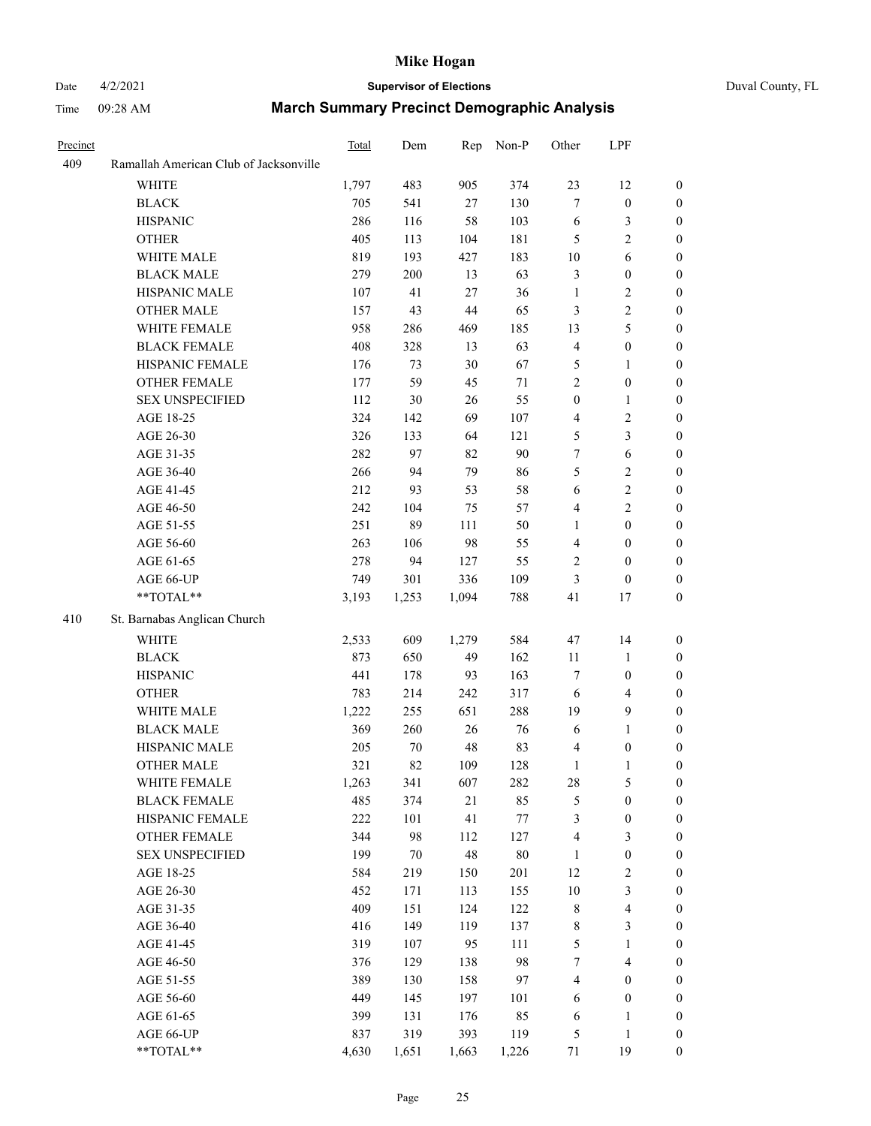# Date 4/2/2021 **Supervisor of Elections** Duval County, FL

| Precinct |                                        | Total | Dem    | Rep   | Non-P   | Other                   | LPF                     |                  |
|----------|----------------------------------------|-------|--------|-------|---------|-------------------------|-------------------------|------------------|
| 409      | Ramallah American Club of Jacksonville |       |        |       |         |                         |                         |                  |
|          | <b>WHITE</b>                           | 1,797 | 483    | 905   | 374     | 23                      | 12                      | $\boldsymbol{0}$ |
|          | <b>BLACK</b>                           | 705   | 541    | 27    | 130     | $\tau$                  | $\boldsymbol{0}$        | $\boldsymbol{0}$ |
|          | <b>HISPANIC</b>                        | 286   | 116    | 58    | 103     | 6                       | $\mathfrak{Z}$          | $\boldsymbol{0}$ |
|          | <b>OTHER</b>                           | 405   | 113    | 104   | 181     | 5                       | $\sqrt{2}$              | $\boldsymbol{0}$ |
|          | WHITE MALE                             | 819   | 193    | 427   | 183     | 10                      | 6                       | $\boldsymbol{0}$ |
|          | <b>BLACK MALE</b>                      | 279   | 200    | 13    | 63      | 3                       | $\boldsymbol{0}$        | $\boldsymbol{0}$ |
|          | HISPANIC MALE                          | 107   | 41     | 27    | 36      | $\mathbf{1}$            | $\overline{2}$          | $\boldsymbol{0}$ |
|          | <b>OTHER MALE</b>                      | 157   | 43     | 44    | 65      | 3                       | $\sqrt{2}$              | $\boldsymbol{0}$ |
|          | WHITE FEMALE                           | 958   | 286    | 469   | 185     | 13                      | 5                       | 0                |
|          | <b>BLACK FEMALE</b>                    | 408   | 328    | 13    | 63      | $\overline{\mathbf{4}}$ | $\boldsymbol{0}$        | 0                |
|          | HISPANIC FEMALE                        | 176   | 73     | 30    | 67      | 5                       | $\mathbf{1}$            | $\boldsymbol{0}$ |
|          | OTHER FEMALE                           | 177   | 59     | 45    | 71      | $\overline{c}$          | $\boldsymbol{0}$        | $\boldsymbol{0}$ |
|          | <b>SEX UNSPECIFIED</b>                 | 112   | 30     | 26    | 55      | $\boldsymbol{0}$        | $\mathbf{1}$            | $\boldsymbol{0}$ |
|          | AGE 18-25                              | 324   | 142    | 69    | 107     | 4                       | $\sqrt{2}$              | $\boldsymbol{0}$ |
|          | AGE 26-30                              | 326   | 133    | 64    | 121     | 5                       | $\mathfrak{Z}$          | $\boldsymbol{0}$ |
|          | AGE 31-35                              | 282   | 97     | 82    | 90      | 7                       | $\sqrt{6}$              | $\boldsymbol{0}$ |
|          | AGE 36-40                              | 266   | 94     | 79    | 86      | 5                       | $\sqrt{2}$              | $\boldsymbol{0}$ |
|          | AGE 41-45                              | 212   | 93     | 53    | 58      | 6                       | $\sqrt{2}$              | $\boldsymbol{0}$ |
|          | AGE 46-50                              | 242   | 104    | 75    | 57      | 4                       | $\sqrt{2}$              | 0                |
|          | AGE 51-55                              | 251   | 89     | 111   | 50      | $\mathbf{1}$            | $\boldsymbol{0}$        | 0                |
|          | AGE 56-60                              | 263   | 106    | 98    | 55      | 4                       | $\boldsymbol{0}$        | $\boldsymbol{0}$ |
|          | AGE 61-65                              | 278   | 94     | 127   | 55      | 2                       | $\boldsymbol{0}$        | $\boldsymbol{0}$ |
|          | AGE 66-UP                              | 749   | 301    | 336   | 109     | 3                       | $\boldsymbol{0}$        | $\boldsymbol{0}$ |
|          | **TOTAL**                              | 3,193 | 1,253  | 1,094 | 788     | 41                      | 17                      | $\boldsymbol{0}$ |
| 410      | St. Barnabas Anglican Church           |       |        |       |         |                         |                         |                  |
|          | <b>WHITE</b>                           | 2,533 | 609    | 1,279 | 584     | 47                      | 14                      | $\boldsymbol{0}$ |
|          | <b>BLACK</b>                           | 873   | 650    | 49    | 162     | 11                      | $\mathbf{1}$            | $\boldsymbol{0}$ |
|          | <b>HISPANIC</b>                        | 441   | 178    | 93    | 163     | 7                       | $\boldsymbol{0}$        | $\boldsymbol{0}$ |
|          | <b>OTHER</b>                           | 783   | 214    | 242   | 317     | $\sqrt{6}$              | $\overline{4}$          | $\boldsymbol{0}$ |
|          | WHITE MALE                             | 1,222 | 255    | 651   | 288     | 19                      | $\mathbf{9}$            | $\boldsymbol{0}$ |
|          | <b>BLACK MALE</b>                      | 369   | 260    | 26    | 76      | 6                       | $\mathbf{1}$            | 0                |
|          | HISPANIC MALE                          | 205   | 70     | 48    | 83      | 4                       | $\boldsymbol{0}$        | 0                |
|          | OTHER MALE                             | 321   | 82     | 109   | 128     | $\mathbf{1}$            | $\mathbf{1}$            | $\boldsymbol{0}$ |
|          | WHITE FEMALE                           | 1,263 | 341    | 607   | 282     | $28\,$                  | $\mathfrak{S}$          | 0                |
|          | <b>BLACK FEMALE</b>                    | 485   | 374    | 21    | 85      | 5                       | $\boldsymbol{0}$        | $\overline{0}$   |
|          | HISPANIC FEMALE                        | 222   | 101    | 41    | $77 \,$ | 3                       | $\boldsymbol{0}$        | $\overline{0}$   |
|          | <b>OTHER FEMALE</b>                    | 344   | 98     | 112   | 127     | 4                       | $\mathfrak{Z}$          | 0                |
|          | <b>SEX UNSPECIFIED</b>                 | 199   | $70\,$ | 48    | $80\,$  | $\mathbf{1}$            | $\boldsymbol{0}$        | 0                |
|          | AGE 18-25                              | 584   | 219    | 150   | 201     | 12                      | $\sqrt{2}$              | 0                |
|          | AGE 26-30                              | 452   | 171    | 113   | 155     | $10\,$                  | $\mathfrak{Z}$          | 0                |
|          | AGE 31-35                              | 409   | 151    | 124   | 122     | $\,$ 8 $\,$             | $\overline{\mathbf{4}}$ | 0                |
|          | AGE 36-40                              | 416   | 149    | 119   | 137     | 8                       | $\mathfrak{Z}$          | 0                |
|          | AGE 41-45                              | 319   | 107    | 95    | 111     | 5                       | $\mathbf{1}$            | 0                |
|          | AGE 46-50                              | 376   | 129    | 138   | 98      | 7                       | $\overline{\mathbf{4}}$ | 0                |
|          | AGE 51-55                              | 389   | 130    | 158   | 97      | 4                       | $\boldsymbol{0}$        | $\boldsymbol{0}$ |
|          | AGE 56-60                              | 449   | 145    | 197   | 101     | 6                       | $\boldsymbol{0}$        | $\overline{0}$   |
|          | AGE 61-65                              | 399   | 131    | 176   | 85      | 6                       | 1                       | 0                |
|          | AGE 66-UP                              | 837   | 319    | 393   | 119     | 5                       | $\mathbf{1}$            | 0                |
|          | **TOTAL**                              | 4,630 | 1,651  | 1,663 | 1,226   | 71                      | 19                      | $\boldsymbol{0}$ |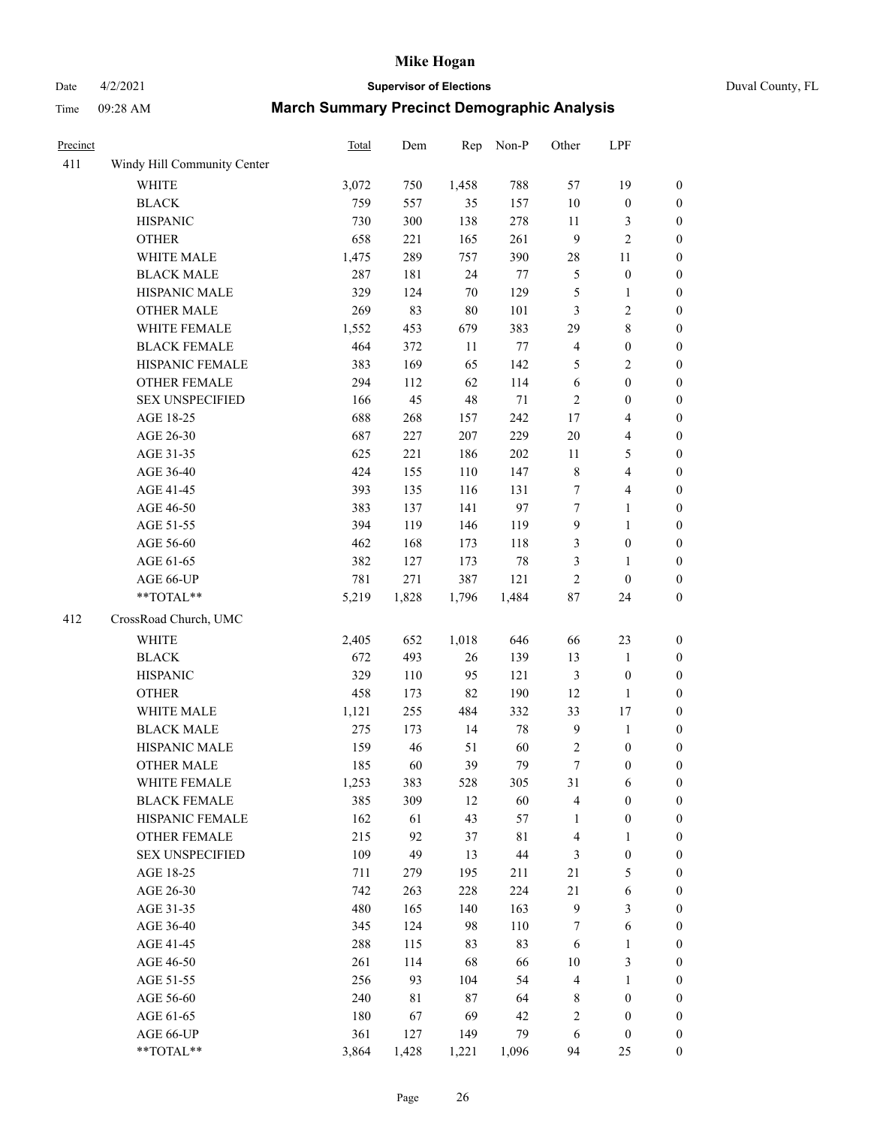Time 09:28 AM

# Date 4/2/2021 **Supervisor of Elections** Duval County, FL

| <b>March Summary Precinct Demographic Analysis</b> |  |
|----------------------------------------------------|--|
|----------------------------------------------------|--|

| Precinct |                             | Total | Dem   | Rep    | Non-P   | Other          | LPF                     |                  |
|----------|-----------------------------|-------|-------|--------|---------|----------------|-------------------------|------------------|
| 411      | Windy Hill Community Center |       |       |        |         |                |                         |                  |
|          | <b>WHITE</b>                | 3,072 | 750   | 1,458  | 788     | 57             | 19                      | $\boldsymbol{0}$ |
|          | <b>BLACK</b>                | 759   | 557   | 35     | 157     | 10             | $\boldsymbol{0}$        | $\boldsymbol{0}$ |
|          | <b>HISPANIC</b>             | 730   | 300   | 138    | 278     | 11             | 3                       | $\boldsymbol{0}$ |
|          | <b>OTHER</b>                | 658   | 221   | 165    | 261     | 9              | $\overline{c}$          | $\boldsymbol{0}$ |
|          | WHITE MALE                  | 1,475 | 289   | 757    | 390     | 28             | 11                      | $\boldsymbol{0}$ |
|          | <b>BLACK MALE</b>           | 287   | 181   | 24     | 77      | 5              | $\boldsymbol{0}$        | $\boldsymbol{0}$ |
|          | HISPANIC MALE               | 329   | 124   | 70     | 129     | 5              | $\mathbf{1}$            | $\boldsymbol{0}$ |
|          | <b>OTHER MALE</b>           | 269   | 83    | $80\,$ | 101     | 3              | $\overline{2}$          | $\boldsymbol{0}$ |
|          | WHITE FEMALE                | 1,552 | 453   | 679    | 383     | 29             | $\,8\,$                 | $\boldsymbol{0}$ |
|          | <b>BLACK FEMALE</b>         | 464   | 372   | 11     | $77 \,$ | $\overline{4}$ | $\boldsymbol{0}$        | $\boldsymbol{0}$ |
|          | HISPANIC FEMALE             | 383   | 169   | 65     | 142     | 5              | $\sqrt{2}$              | 0                |
|          | OTHER FEMALE                | 294   | 112   | 62     | 114     | $\sqrt{6}$     | $\boldsymbol{0}$        | $\boldsymbol{0}$ |
|          | <b>SEX UNSPECIFIED</b>      | 166   | 45    | $48\,$ | $71\,$  | $\sqrt{2}$     | $\boldsymbol{0}$        | $\boldsymbol{0}$ |
|          | AGE 18-25                   | 688   | 268   | 157    | 242     | 17             | $\overline{\mathbf{4}}$ | $\boldsymbol{0}$ |
|          | AGE 26-30                   | 687   | 227   | 207    | 229     | 20             | $\overline{\mathbf{4}}$ | $\boldsymbol{0}$ |
|          | AGE 31-35                   | 625   | 221   | 186    | 202     | 11             | $\mathfrak{S}$          | $\boldsymbol{0}$ |
|          | AGE 36-40                   | 424   | 155   | 110    | 147     | $\,8\,$        | $\overline{\mathbf{4}}$ | $\boldsymbol{0}$ |
|          | AGE 41-45                   | 393   | 135   | 116    | 131     | $\tau$         | $\overline{\mathbf{4}}$ | $\boldsymbol{0}$ |
|          | AGE 46-50                   | 383   | 137   | 141    | 97      | $\tau$         | $\mathbf{1}$            | $\boldsymbol{0}$ |
|          | AGE 51-55                   | 394   | 119   | 146    | 119     | $\overline{9}$ | $\mathbf{1}$            | $\boldsymbol{0}$ |
|          | AGE 56-60                   | 462   | 168   | 173    | 118     | 3              | $\boldsymbol{0}$        | 0                |
|          | AGE 61-65                   | 382   | 127   | 173    | $78\,$  | 3              | $\mathbf{1}$            | 0                |
|          | AGE 66-UP                   | 781   | 271   | 387    | 121     | $\sqrt{2}$     | $\boldsymbol{0}$        | $\boldsymbol{0}$ |
|          | $**TOTAL**$                 | 5,219 | 1,828 | 1,796  | 1,484   | $87\,$         | 24                      | $\boldsymbol{0}$ |
| 412      | CrossRoad Church, UMC       |       |       |        |         |                |                         |                  |
|          | WHITE                       | 2,405 | 652   | 1,018  | 646     | 66             | 23                      | $\boldsymbol{0}$ |
|          | <b>BLACK</b>                | 672   | 493   | 26     | 139     | 13             | $\mathbf{1}$            | $\boldsymbol{0}$ |
|          | <b>HISPANIC</b>             | 329   | 110   | 95     | 121     | 3              | $\boldsymbol{0}$        | $\boldsymbol{0}$ |
|          | <b>OTHER</b>                | 458   | 173   | 82     | 190     | 12             | $\mathbf{1}$            | $\boldsymbol{0}$ |
|          | WHITE MALE                  | 1,121 | 255   | 484    | 332     | 33             | 17                      | $\boldsymbol{0}$ |
|          | <b>BLACK MALE</b>           | 275   | 173   | 14     | $78\,$  | $\overline{9}$ | $\mathbf{1}$            | $\boldsymbol{0}$ |
|          | HISPANIC MALE               | 159   | 46    | 51     | 60      | $\overline{c}$ | $\boldsymbol{0}$        | 0                |
|          | <b>OTHER MALE</b>           | 185   | 60    | 39     | 79      | $\tau$         | $\boldsymbol{0}$        | $\boldsymbol{0}$ |
|          | WHITE FEMALE                | 1,253 | 383   | 528    | 305     | 31             | 6                       | 0                |
|          | <b>BLACK FEMALE</b>         | 385   | 309   | 12     | 60      | 4              | $\boldsymbol{0}$        | $\boldsymbol{0}$ |
|          | HISPANIC FEMALE             | 162   | 61    | 43     | 57      | $\mathbf{1}$   | $\boldsymbol{0}$        | $\overline{0}$   |
|          | OTHER FEMALE                | 215   | 92    | 37     | 81      | $\overline{4}$ | $\mathbf{1}$            | $\overline{0}$   |
|          | <b>SEX UNSPECIFIED</b>      | 109   | 49    | 13     | 44      | 3              | $\boldsymbol{0}$        | 0                |
|          | AGE 18-25                   | 711   | 279   | 195    | 211     | $21\,$         | $\mathfrak{S}$          | 0                |
|          | AGE 26-30                   | 742   | 263   | 228    | 224     | 21             | $\sqrt{6}$              | 0                |
|          | AGE 31-35                   | 480   | 165   | 140    | 163     | $\overline{9}$ | $\mathfrak{Z}$          | 0                |
|          | AGE 36-40                   | 345   | 124   | 98     | 110     | 7              | $\sqrt{6}$              | 0                |
|          | AGE 41-45                   | 288   | 115   | 83     | 83      | 6              | $\mathbf{1}$            | 0                |
|          | AGE 46-50                   | 261   | 114   | 68     | 66      | 10             | $\mathfrak{Z}$          | 0                |
|          | AGE 51-55                   | 256   | 93    | 104    | 54      | 4              | $\mathbf{1}$            | 0                |
|          | AGE 56-60                   | 240   | 81    | $87\,$ | 64      | 8              | $\boldsymbol{0}$        | $\boldsymbol{0}$ |
|          | AGE 61-65                   | 180   | 67    | 69     | 42      | $\overline{c}$ | $\boldsymbol{0}$        | $\boldsymbol{0}$ |
|          | AGE 66-UP                   | 361   | 127   | 149    | 79      | 6              | $\boldsymbol{0}$        | 0                |
|          | **TOTAL**                   | 3,864 | 1,428 | 1,221  | 1,096   | 94             | 25                      | $\boldsymbol{0}$ |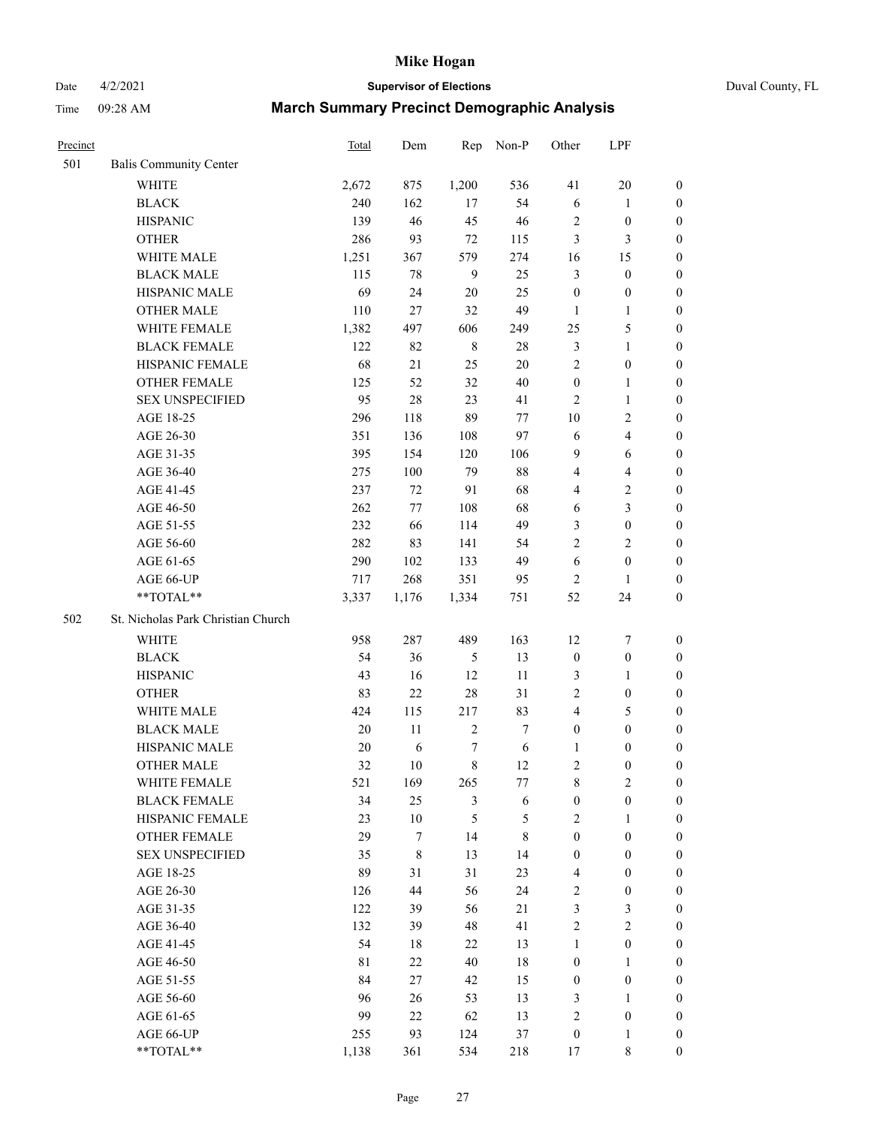# Date 4/2/2021 **Supervisor of Elections** Duval County, FL

| Precinct |                                    | <b>Total</b> | Dem    | Rep            | Non-P            | Other            | LPF              |                  |
|----------|------------------------------------|--------------|--------|----------------|------------------|------------------|------------------|------------------|
| 501      | <b>Balis Community Center</b>      |              |        |                |                  |                  |                  |                  |
|          | <b>WHITE</b>                       | 2,672        | 875    | 1,200          | 536              | 41               | 20               | 0                |
|          | <b>BLACK</b>                       | 240          | 162    | 17             | 54               | 6                | $\mathbf{1}$     | 0                |
|          | <b>HISPANIC</b>                    | 139          | 46     | 45             | 46               | 2                | $\boldsymbol{0}$ | $\boldsymbol{0}$ |
|          | <b>OTHER</b>                       | 286          | 93     | 72             | 115              | 3                | $\mathfrak{Z}$   | $\boldsymbol{0}$ |
|          | WHITE MALE                         | 1,251        | 367    | 579            | 274              | 16               | 15               | $\boldsymbol{0}$ |
|          | <b>BLACK MALE</b>                  | 115          | 78     | $\overline{9}$ | 25               | 3                | $\boldsymbol{0}$ | $\boldsymbol{0}$ |
|          | HISPANIC MALE                      | 69           | 24     | 20             | 25               | $\boldsymbol{0}$ | $\boldsymbol{0}$ | $\boldsymbol{0}$ |
|          | <b>OTHER MALE</b>                  | 110          | $27\,$ | 32             | 49               | $\mathbf{1}$     | $\mathbf{1}$     | $\boldsymbol{0}$ |
|          | WHITE FEMALE                       | 1,382        | 497    | 606            | 249              | 25               | 5                | $\boldsymbol{0}$ |
|          | <b>BLACK FEMALE</b>                | 122          | 82     | $\,$ 8 $\,$    | $28\,$           | 3                | $\mathbf{1}$     | 0                |
|          | HISPANIC FEMALE                    | 68           | 21     | 25             | 20               | $\overline{c}$   | $\boldsymbol{0}$ | 0                |
|          | <b>OTHER FEMALE</b>                | 125          | 52     | 32             | 40               | $\boldsymbol{0}$ | $\mathbf{1}$     | 0                |
|          | <b>SEX UNSPECIFIED</b>             | 95           | 28     | 23             | 41               | $\overline{2}$   | $\mathbf{1}$     | $\boldsymbol{0}$ |
|          | AGE 18-25                          | 296          | 118    | 89             | $77\,$           | $10\,$           | $\sqrt{2}$       | $\boldsymbol{0}$ |
|          | AGE 26-30                          | 351          | 136    | 108            | 97               | 6                | $\overline{4}$   | $\boldsymbol{0}$ |
|          | AGE 31-35                          | 395          | 154    | 120            | 106              | 9                | 6                | $\boldsymbol{0}$ |
|          | AGE 36-40                          | 275          | 100    | 79             | $88\,$           | 4                | $\overline{4}$   | $\boldsymbol{0}$ |
|          | AGE 41-45                          | 237          | 72     | 91             | 68               | 4                | $\sqrt{2}$       | $\boldsymbol{0}$ |
|          | AGE 46-50                          | 262          | 77     | 108            | 68               | 6                | $\mathfrak{Z}$   | $\boldsymbol{0}$ |
|          | AGE 51-55                          | 232          | 66     | 114            | 49               | 3                | $\boldsymbol{0}$ | $\boldsymbol{0}$ |
|          | AGE 56-60                          | 282          | 83     | 141            | 54               | $\overline{2}$   | $\mathbf{2}$     | 0                |
|          | AGE 61-65                          | 290          | 102    | 133            | 49               | $\sqrt{6}$       | $\boldsymbol{0}$ | 0                |
|          | AGE 66-UP                          | 717          | 268    | 351            | 95               | $\overline{2}$   | 1                | $\boldsymbol{0}$ |
|          | **TOTAL**                          | 3,337        | 1,176  | 1,334          | 751              | 52               | 24               | $\boldsymbol{0}$ |
| 502      | St. Nicholas Park Christian Church |              |        |                |                  |                  |                  |                  |
|          | <b>WHITE</b>                       | 958          | 287    | 489            | 163              | 12               | $\boldsymbol{7}$ | $\boldsymbol{0}$ |
|          | <b>BLACK</b>                       | 54           | 36     | $\mathfrak{S}$ | 13               | $\boldsymbol{0}$ | $\boldsymbol{0}$ | $\boldsymbol{0}$ |
|          | <b>HISPANIC</b>                    | 43           | 16     | 12             | 11               | 3                | $\mathbf{1}$     | $\boldsymbol{0}$ |
|          | <b>OTHER</b>                       | 83           | 22     | 28             | 31               | 2                | $\boldsymbol{0}$ | $\boldsymbol{0}$ |
|          | WHITE MALE                         | 424          | 115    | 217            | 83               | 4                | $\mathfrak s$    | $\boldsymbol{0}$ |
|          | <b>BLACK MALE</b>                  | $20\,$       | 11     | $\sqrt{2}$     | $\boldsymbol{7}$ | $\boldsymbol{0}$ | $\boldsymbol{0}$ | $\boldsymbol{0}$ |
|          | HISPANIC MALE                      | $20\,$       | 6      | 7              | 6                | 1                | $\boldsymbol{0}$ | 0                |
|          | <b>OTHER MALE</b>                  | 32           | 10     | 8              | 12               | 2                | $\boldsymbol{0}$ | $\boldsymbol{0}$ |
|          | WHITE FEMALE                       | 521          | 169    | 265            | 77               | 8                | 2                | 0                |
|          | <b>BLACK FEMALE</b>                | 34           | 25     | 3              | 6                | $\boldsymbol{0}$ | $\boldsymbol{0}$ | $\overline{0}$   |
|          | HISPANIC FEMALE                    | 23           | $10\,$ | 5              | $\mathfrak{S}$   | $\overline{2}$   | 1                | $\overline{0}$   |
|          | <b>OTHER FEMALE</b>                | 29           | 7      | 14             | $\,$ 8 $\,$      | $\boldsymbol{0}$ | $\boldsymbol{0}$ | $\overline{0}$   |
|          | <b>SEX UNSPECIFIED</b>             | 35           | 8      | 13             | 14               | $\boldsymbol{0}$ | $\boldsymbol{0}$ | 0                |
|          | AGE 18-25                          | 89           | 31     | 31             | 23               | 4                | $\boldsymbol{0}$ | 0                |
|          | AGE 26-30                          | 126          | 44     | 56             | 24               | 2                | $\boldsymbol{0}$ | 0                |
|          | AGE 31-35                          | 122          | 39     | 56             | 21               | 3                | $\mathfrak z$    | 0                |
|          | AGE 36-40                          | 132          | 39     | 48             | 41               | $\overline{c}$   | $\sqrt{2}$       | 0                |
|          | AGE 41-45                          | 54           | 18     | 22             | 13               | $\mathbf{1}$     | $\boldsymbol{0}$ | 0                |
|          | AGE 46-50                          | 81           | 22     | 40             | 18               | $\boldsymbol{0}$ | 1                | 0                |
|          | AGE 51-55                          | 84           | 27     | 42             | 15               | $\boldsymbol{0}$ | $\boldsymbol{0}$ | 0                |
|          | AGE 56-60                          | 96           | 26     | 53             | 13               | 3                | 1                | 0                |
|          | AGE 61-65                          | 99           | 22     | 62             | 13               | 2                | $\boldsymbol{0}$ | 0                |
|          | AGE 66-UP                          | 255          | 93     | 124            | 37               | $\boldsymbol{0}$ | $\mathbf{1}$     | 0                |
|          | **TOTAL**                          | 1,138        | 361    | 534            | 218              | 17               | 8                | $\boldsymbol{0}$ |
|          |                                    |              |        |                |                  |                  |                  |                  |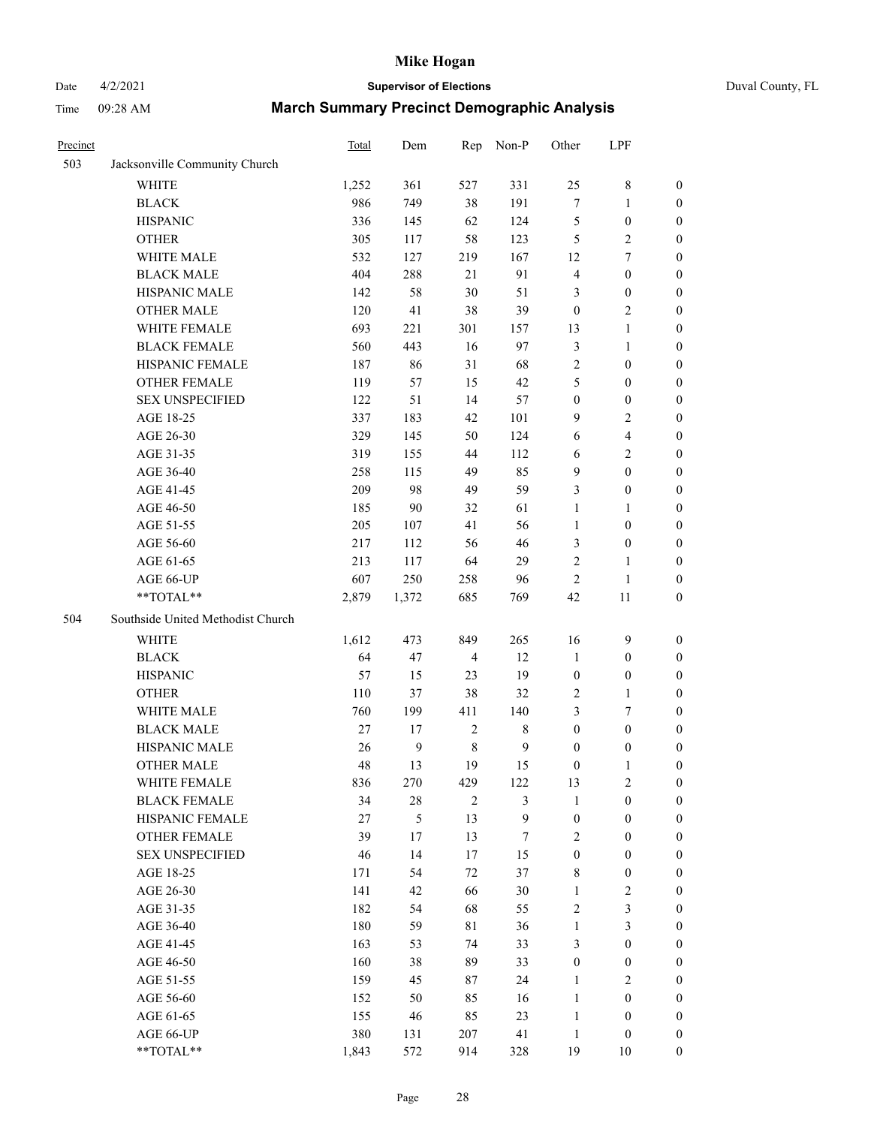# Date 4/2/2021 **Supervisor of Elections** Duval County, FL

| Precinct |                                   | <b>Total</b> | Dem              | Rep            | Non-P        | Other            | LPF              |                  |
|----------|-----------------------------------|--------------|------------------|----------------|--------------|------------------|------------------|------------------|
| 503      | Jacksonville Community Church     |              |                  |                |              |                  |                  |                  |
|          | <b>WHITE</b>                      | 1,252        | 361              | 527            | 331          | 25               | $\,$ 8 $\,$      | 0                |
|          | <b>BLACK</b>                      | 986          | 749              | 38             | 191          | $\boldsymbol{7}$ | $\mathbf{1}$     | 0                |
|          | <b>HISPANIC</b>                   | 336          | 145              | 62             | 124          | 5                | $\boldsymbol{0}$ | $\boldsymbol{0}$ |
|          | <b>OTHER</b>                      | 305          | 117              | 58             | 123          | 5                | $\sqrt{2}$       | $\boldsymbol{0}$ |
|          | WHITE MALE                        | 532          | 127              | 219            | 167          | 12               | $\tau$           | $\boldsymbol{0}$ |
|          | <b>BLACK MALE</b>                 | 404          | 288              | 21             | 91           | 4                | $\boldsymbol{0}$ | $\boldsymbol{0}$ |
|          | HISPANIC MALE                     | 142          | 58               | 30             | 51           | 3                | $\boldsymbol{0}$ | $\boldsymbol{0}$ |
|          | <b>OTHER MALE</b>                 | 120          | 41               | 38             | 39           | $\boldsymbol{0}$ | $\mathbf{2}$     | $\boldsymbol{0}$ |
|          | WHITE FEMALE                      | 693          | 221              | 301            | 157          | 13               | $\mathbf{1}$     | $\boldsymbol{0}$ |
|          | <b>BLACK FEMALE</b>               | 560          | 443              | 16             | 97           | 3                | $\mathbf{1}$     | 0                |
|          | HISPANIC FEMALE                   | 187          | 86               | 31             | 68           | $\overline{c}$   | $\boldsymbol{0}$ | 0                |
|          | <b>OTHER FEMALE</b>               | 119          | 57               | 15             | 42           | 5                | $\boldsymbol{0}$ | $\boldsymbol{0}$ |
|          | <b>SEX UNSPECIFIED</b>            | 122          | 51               | 14             | 57           | $\boldsymbol{0}$ | $\boldsymbol{0}$ | $\boldsymbol{0}$ |
|          | AGE 18-25                         | 337          | 183              | 42             | 101          | 9                | $\sqrt{2}$       | $\boldsymbol{0}$ |
|          | AGE 26-30                         | 329          | 145              | 50             | 124          | 6                | $\overline{4}$   | $\boldsymbol{0}$ |
|          | AGE 31-35                         | 319          | 155              | 44             | 112          | 6                | $\sqrt{2}$       | $\boldsymbol{0}$ |
|          | AGE 36-40                         | 258          | 115              | 49             | 85           | 9                | $\boldsymbol{0}$ | $\boldsymbol{0}$ |
|          | AGE 41-45                         | 209          | 98               | 49             | 59           | 3                | $\boldsymbol{0}$ | $\boldsymbol{0}$ |
|          | AGE 46-50                         | 185          | $90\,$           | 32             | 61           | $\mathbf{1}$     | 1                | $\boldsymbol{0}$ |
|          | AGE 51-55                         | 205          | 107              | 41             | 56           | $\mathbf{1}$     | $\boldsymbol{0}$ | 0                |
|          | AGE 56-60                         | 217          | 112              | 56             | 46           | 3                | $\boldsymbol{0}$ | 0                |
|          | AGE 61-65                         | 213          | 117              | 64             | 29           | 2                | $\mathbf{1}$     | 0                |
|          | AGE 66-UP                         | 607          | 250              | 258            | 96           | $\overline{2}$   | $\mathbf{1}$     | $\boldsymbol{0}$ |
|          | **TOTAL**                         | 2,879        | 1,372            | 685            | 769          | 42               | $11\,$           | $\boldsymbol{0}$ |
| 504      | Southside United Methodist Church |              |                  |                |              |                  |                  |                  |
|          | <b>WHITE</b>                      | 1,612        | 473              | 849            | 265          | 16               | $\mathbf{9}$     | $\boldsymbol{0}$ |
|          | <b>BLACK</b>                      | 64           | 47               | $\overline{4}$ | 12           | $\mathbf{1}$     | $\boldsymbol{0}$ | $\boldsymbol{0}$ |
|          | <b>HISPANIC</b>                   | 57           | 15               | 23             | 19           | $\boldsymbol{0}$ | $\boldsymbol{0}$ | $\boldsymbol{0}$ |
|          | <b>OTHER</b>                      | 110          | 37               | 38             | 32           | 2                | $\mathbf{1}$     | $\boldsymbol{0}$ |
|          | WHITE MALE                        | 760          | 199              | 411            | 140          | 3                | $\tau$           | $\overline{0}$   |
|          | <b>BLACK MALE</b>                 | 27           | 17               | $\sqrt{2}$     | $\,$ 8 $\,$  | $\boldsymbol{0}$ | $\boldsymbol{0}$ | $\overline{0}$   |
|          | HISPANIC MALE                     | 26           | $\boldsymbol{9}$ | $\,$ 8 $\,$    | $\mathbf{9}$ | $\boldsymbol{0}$ | $\boldsymbol{0}$ | 0                |
|          | <b>OTHER MALE</b>                 | 48           | 13               | 19             | 15           | $\boldsymbol{0}$ | $\mathbf{1}$     | 0                |
|          | WHITE FEMALE                      | 836          | 270              | 429            | 122          | 13               | 2                | 0                |
|          | <b>BLACK FEMALE</b>               | 34           | $28\,$           | $\mathbf{2}$   | 3            | $\mathbf{1}$     | $\boldsymbol{0}$ | $\overline{0}$   |
|          | HISPANIC FEMALE                   | 27           | 5                | 13             | 9            | $\boldsymbol{0}$ | $\boldsymbol{0}$ | $\overline{0}$   |
|          | <b>OTHER FEMALE</b>               | 39           | 17               | 13             | $\tau$       | 2                | $\boldsymbol{0}$ | $\overline{0}$   |
|          | <b>SEX UNSPECIFIED</b>            | 46           | 14               | 17             | 15           | $\boldsymbol{0}$ | $\boldsymbol{0}$ | 0                |
|          | AGE 18-25                         | 171          | 54               | 72             | 37           | 8                | $\boldsymbol{0}$ | 0                |
|          | AGE 26-30                         | 141          | 42               | 66             | $30\,$       | $\mathbf{1}$     | $\sqrt{2}$       | 0                |
|          | AGE 31-35                         | 182          | 54               | 68             | 55           | $\overline{c}$   | $\mathfrak{Z}$   | 0                |
|          | AGE 36-40                         | 180          | 59               | 81             | 36           | $\mathbf{1}$     | $\mathfrak{Z}$   | 0                |
|          | AGE 41-45                         | 163          | 53               | 74             | 33           | 3                | $\boldsymbol{0}$ | 0                |
|          | AGE 46-50                         | 160          | 38               | 89             | 33           | $\boldsymbol{0}$ | $\boldsymbol{0}$ | 0                |
|          | AGE 51-55                         | 159          | 45               | 87             | 24           | $\mathbf{1}$     | $\mathfrak{2}$   | 0                |
|          | AGE 56-60                         | 152          | 50               | 85             | 16           | $\mathbf{1}$     | $\boldsymbol{0}$ | $\overline{0}$   |
|          | AGE 61-65                         | 155          | 46               | 85             | 23           | $\mathbf{1}$     | $\boldsymbol{0}$ | $\overline{0}$   |
|          | AGE 66-UP                         | 380          | 131              | 207            | 41           | $\mathbf{1}$     | $\boldsymbol{0}$ | 0                |
|          | **TOTAL**                         | 1,843        | 572              | 914            | 328          | 19               | 10               | $\boldsymbol{0}$ |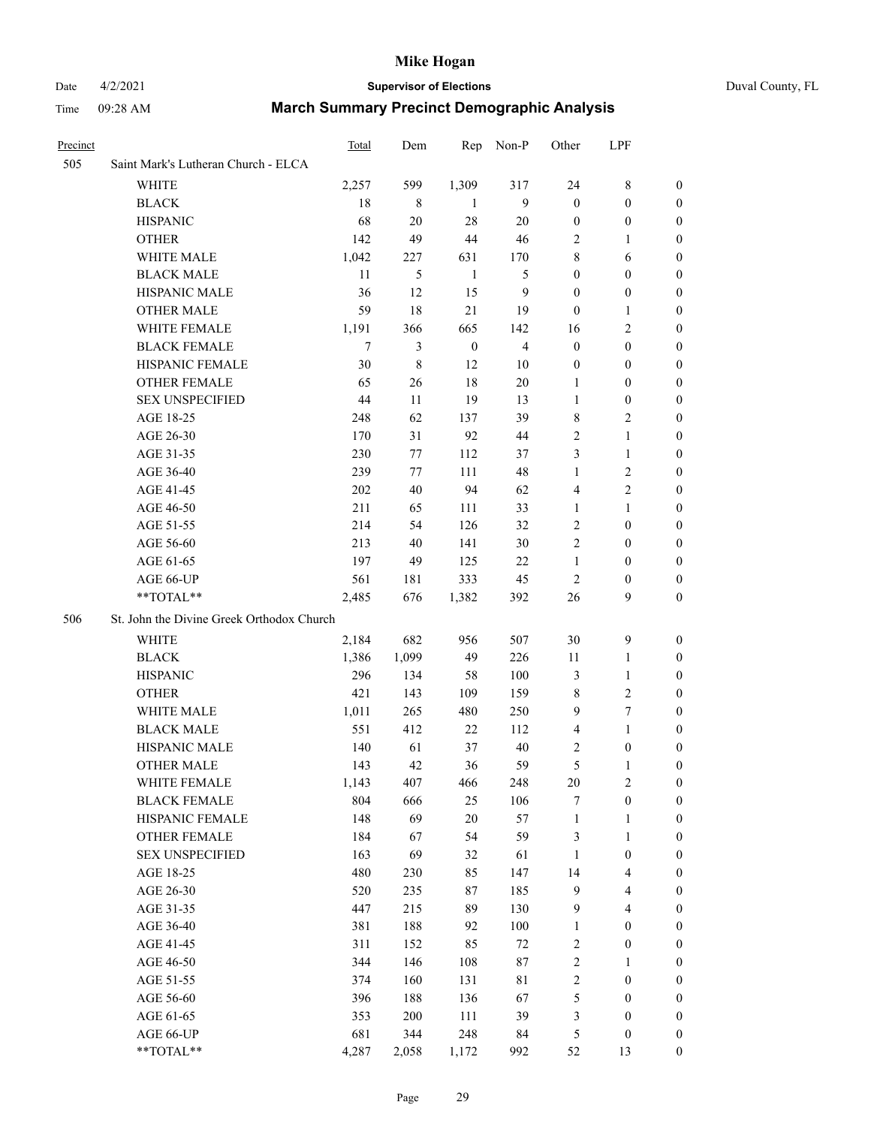#### Date 4/2/2021 **Supervisor of Elections** Duval County, FL

| Precinct |                                           | Total   | Dem    | Rep              | Non-P          | Other            | LPF                     |                  |
|----------|-------------------------------------------|---------|--------|------------------|----------------|------------------|-------------------------|------------------|
| 505      | Saint Mark's Lutheran Church - ELCA       |         |        |                  |                |                  |                         |                  |
|          | <b>WHITE</b>                              | 2,257   | 599    | 1,309            | 317            | 24               | 8                       | $\boldsymbol{0}$ |
|          | <b>BLACK</b>                              | 18      | 8      | -1               | 9              | $\boldsymbol{0}$ | $\boldsymbol{0}$        | $\boldsymbol{0}$ |
|          | <b>HISPANIC</b>                           | 68      | $20\,$ | 28               | 20             | $\boldsymbol{0}$ | $\boldsymbol{0}$        | $\boldsymbol{0}$ |
|          | <b>OTHER</b>                              | 142     | 49     | 44               | 46             | 2                | $\mathbf{1}$            | $\boldsymbol{0}$ |
|          | WHITE MALE                                | 1,042   | 227    | 631              | 170            | 8                | 6                       | 0                |
|          | <b>BLACK MALE</b>                         | 11      | 5      | $\mathbf{1}$     | $\mathfrak{S}$ | $\boldsymbol{0}$ | $\boldsymbol{0}$        | 0                |
|          | HISPANIC MALE                             | 36      | 12     | 15               | $\mathbf{9}$   | $\boldsymbol{0}$ | $\boldsymbol{0}$        | 0                |
|          | <b>OTHER MALE</b>                         | 59      | 18     | $21\,$           | 19             | $\boldsymbol{0}$ | $\mathbf{1}$            | 0                |
|          | WHITE FEMALE                              | 1,191   | 366    | 665              | 142            | 16               | $\mathfrak{2}$          | 0                |
|          | <b>BLACK FEMALE</b>                       | 7       | 3      | $\boldsymbol{0}$ | $\overline{4}$ | $\boldsymbol{0}$ | $\boldsymbol{0}$        | 0                |
|          | HISPANIC FEMALE                           | 30      | 8      | 12               | $10\,$         | $\boldsymbol{0}$ | $\boldsymbol{0}$        | 0                |
|          | OTHER FEMALE                              | 65      | 26     | 18               | $20\,$         | 1                | $\boldsymbol{0}$        | $\boldsymbol{0}$ |
|          | <b>SEX UNSPECIFIED</b>                    | 44      | 11     | 19               | 13             | $\mathbf{1}$     | $\boldsymbol{0}$        | 0                |
|          | AGE 18-25                                 | 248     | 62     | 137              | 39             | 8                | $\mathbf{2}$            | 0                |
|          | AGE 26-30                                 | 170     | 31     | 92               | 44             | 2                | $\mathbf{1}$            | $\boldsymbol{0}$ |
|          | AGE 31-35                                 | 230     | 77     | 112              | 37             | 3                | $\mathbf{1}$            | $\boldsymbol{0}$ |
|          | AGE 36-40                                 | 239     | 77     | 111              | 48             | $\mathbf{1}$     | $\sqrt{2}$              | 0                |
|          | AGE 41-45                                 | $202\,$ | 40     | 94               | 62             | 4                | $\sqrt{2}$              | 0                |
|          | AGE 46-50                                 | 211     | 65     | 111              | 33             | 1                | $\mathbf{1}$            | 0                |
|          | AGE 51-55                                 | 214     | 54     | 126              | 32             | $\overline{2}$   | $\boldsymbol{0}$        | 0                |
|          | AGE 56-60                                 | 213     | 40     | 141              | 30             | $\sqrt{2}$       | $\boldsymbol{0}$        | 0                |
|          | AGE 61-65                                 | 197     | 49     | 125              | 22             | 1                | $\boldsymbol{0}$        | 0                |
|          | AGE 66-UP                                 | 561     | 181    | 333              | 45             | $\overline{c}$   | $\boldsymbol{0}$        | $\boldsymbol{0}$ |
|          | **TOTAL**                                 | 2,485   | 676    | 1,382            | 392            | 26               | 9                       | $\boldsymbol{0}$ |
| 506      | St. John the Divine Greek Orthodox Church |         |        |                  |                |                  |                         |                  |
|          | <b>WHITE</b>                              | 2,184   | 682    | 956              | 507            | 30               | $\mathbf{9}$            | $\boldsymbol{0}$ |
|          | <b>BLACK</b>                              | 1,386   | 1,099  | 49               | 226            | 11               | $\mathbf{1}$            | 0                |
|          | <b>HISPANIC</b>                           | 296     | 134    | 58               | 100            | 3                | $\mathbf{1}$            | $\boldsymbol{0}$ |
|          | <b>OTHER</b>                              | 421     | 143    | 109              | 159            | 8                | $\mathbf{2}$            | 0                |
|          | WHITE MALE                                | 1,011   | 265    | 480              | 250            | $\overline{9}$   | $\boldsymbol{7}$        | 0                |
|          | <b>BLACK MALE</b>                         | 551     | 412    | 22               | 112            | $\overline{4}$   | $\mathbf{1}$            | 0                |
|          | HISPANIC MALE                             | 140     | 61     | 37               | 40             | 2                | $\boldsymbol{0}$        | 0                |
|          | <b>OTHER MALE</b>                         | 143     | 42     | 36               | 59             | 5                | $\mathbf{1}$            | $\boldsymbol{0}$ |
|          | WHITE FEMALE                              | 1,143   | 407    | 466              | 248            | $20\,$           | $\sqrt{2}$              | $\boldsymbol{0}$ |
|          | <b>BLACK FEMALE</b>                       | 804     | 666    | 25               | 106            | 7                | $\boldsymbol{0}$        | $\boldsymbol{0}$ |
|          | HISPANIC FEMALE                           | 148     | 69     | $20\,$           | 57             | $\mathbf{1}$     | $\mathbf{1}$            | $\overline{0}$   |
|          | <b>OTHER FEMALE</b>                       | 184     | 67     | 54               | 59             | $\mathfrak{Z}$   | $\mathbf{1}$            | $\overline{0}$   |
|          | <b>SEX UNSPECIFIED</b>                    | 163     | 69     | 32               | 61             | $\mathbf{1}$     | $\boldsymbol{0}$        | $\overline{0}$   |
|          | AGE 18-25                                 | 480     | 230    | 85               | 147            | 14               | $\overline{\mathbf{4}}$ | 0                |
|          | AGE 26-30                                 | 520     | 235    | $87\,$           | 185            | $\mathbf{9}$     | $\overline{\mathbf{4}}$ | 0                |
|          | AGE 31-35                                 | 447     | 215    | 89               | 130            | $\overline{9}$   | $\overline{\mathbf{4}}$ | 0                |
|          | AGE 36-40                                 | 381     | 188    | 92               | 100            | $\mathbf{1}$     | $\boldsymbol{0}$        | 0                |
|          | AGE 41-45                                 | 311     | 152    | 85               | $72\,$         | 2                | $\boldsymbol{0}$        | $\boldsymbol{0}$ |
|          | AGE 46-50                                 | 344     | 146    | 108              | 87             | $\sqrt{2}$       | $\mathbf{1}$            | $\boldsymbol{0}$ |
|          | AGE 51-55                                 | 374     | 160    | 131              | 81             | $\boldsymbol{2}$ | $\boldsymbol{0}$        | $\boldsymbol{0}$ |
|          | AGE 56-60                                 | 396     | 188    | 136              | 67             | 5                | $\boldsymbol{0}$        | $\boldsymbol{0}$ |
|          | AGE 61-65                                 | 353     | 200    | 111              | 39             | $\mathfrak{Z}$   | $\boldsymbol{0}$        | $\overline{0}$   |
|          | AGE 66-UP                                 | 681     | 344    | 248              | 84             | 5                | $\boldsymbol{0}$        | $\overline{0}$   |
|          | **TOTAL**                                 | 4,287   | 2,058  | 1,172            | 992            | 52               | 13                      | $\boldsymbol{0}$ |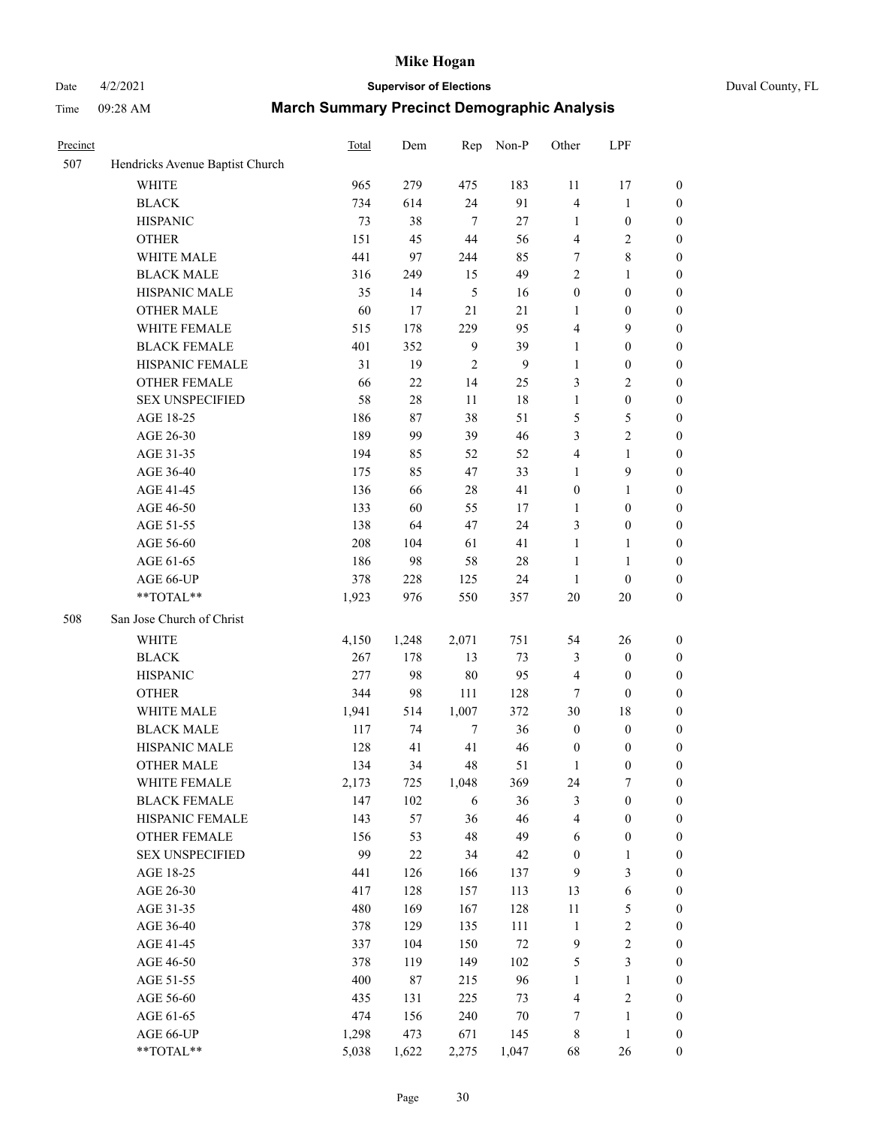Date 4/2/2021 **Supervisor of Elections** Duval County, FL

| Precinct |                                 | Total | Dem    | Rep           | Non-P        | Other            | LPF              |                  |
|----------|---------------------------------|-------|--------|---------------|--------------|------------------|------------------|------------------|
| 507      | Hendricks Avenue Baptist Church |       |        |               |              |                  |                  |                  |
|          | <b>WHITE</b>                    | 965   | 279    | 475           | 183          | 11               | 17               | 0                |
|          | <b>BLACK</b>                    | 734   | 614    | 24            | 91           | $\overline{4}$   | $\mathbf{1}$     | 0                |
|          | <b>HISPANIC</b>                 | 73    | 38     | $\tau$        | 27           | $\mathbf{1}$     | $\boldsymbol{0}$ | $\boldsymbol{0}$ |
|          | <b>OTHER</b>                    | 151   | 45     | 44            | 56           | 4                | $\sqrt{2}$       | $\boldsymbol{0}$ |
|          | WHITE MALE                      | 441   | 97     | 244           | 85           | 7                | $\,$ 8 $\,$      | $\boldsymbol{0}$ |
|          | <b>BLACK MALE</b>               | 316   | 249    | 15            | 49           | $\overline{c}$   | 1                | $\boldsymbol{0}$ |
|          | HISPANIC MALE                   | 35    | 14     | $\mathfrak s$ | 16           | $\boldsymbol{0}$ | $\boldsymbol{0}$ | $\boldsymbol{0}$ |
|          | <b>OTHER MALE</b>               | 60    | 17     | 21            | 21           | 1                | $\boldsymbol{0}$ | $\boldsymbol{0}$ |
|          | WHITE FEMALE                    | 515   | 178    | 229           | 95           | 4                | $\mathbf{9}$     | $\boldsymbol{0}$ |
|          | <b>BLACK FEMALE</b>             | 401   | 352    | $\mathbf{9}$  | 39           | 1                | $\boldsymbol{0}$ | $\boldsymbol{0}$ |
|          | HISPANIC FEMALE                 | 31    | 19     | 2             | $\mathbf{9}$ | $\mathbf{1}$     | $\boldsymbol{0}$ | $\boldsymbol{0}$ |
|          | OTHER FEMALE                    | 66    | 22     | 14            | 25           | 3                | $\sqrt{2}$       | $\boldsymbol{0}$ |
|          | <b>SEX UNSPECIFIED</b>          | 58    | 28     | 11            | 18           | $\mathbf{1}$     | $\boldsymbol{0}$ | $\boldsymbol{0}$ |
|          | AGE 18-25                       | 186   | 87     | 38            | 51           | 5                | $\mathfrak s$    | $\boldsymbol{0}$ |
|          | AGE 26-30                       | 189   | 99     | 39            | 46           | 3                | $\sqrt{2}$       | $\boldsymbol{0}$ |
|          | AGE 31-35                       | 194   | 85     | 52            | 52           | 4                | $\mathbf{1}$     | $\boldsymbol{0}$ |
|          | AGE 36-40                       | 175   | 85     | 47            | 33           | $\mathbf{1}$     | $\mathbf{9}$     | $\boldsymbol{0}$ |
|          | AGE 41-45                       | 136   | 66     | 28            | 41           | $\boldsymbol{0}$ | $\mathbf{1}$     | $\boldsymbol{0}$ |
|          | AGE 46-50                       | 133   | 60     | 55            | 17           | $\mathbf{1}$     | $\boldsymbol{0}$ | $\boldsymbol{0}$ |
|          | AGE 51-55                       | 138   | 64     | 47            | 24           | 3                | $\boldsymbol{0}$ | $\boldsymbol{0}$ |
|          | AGE 56-60                       | 208   | 104    | 61            | 41           | $\mathbf{1}$     | 1                | 0                |
|          | AGE 61-65                       | 186   | 98     | 58            | 28           | $\mathbf{1}$     | $\mathbf{1}$     | $\boldsymbol{0}$ |
|          | AGE 66-UP                       | 378   | 228    | 125           | 24           | $\mathbf{1}$     | $\boldsymbol{0}$ | $\boldsymbol{0}$ |
|          | $**TOTAL**$                     | 1,923 | 976    | 550           | 357          | 20               | 20               | $\boldsymbol{0}$ |
| 508      | San Jose Church of Christ       |       |        |               |              |                  |                  |                  |
|          | <b>WHITE</b>                    | 4,150 | 1,248  | 2,071         | 751          | 54               | 26               | $\boldsymbol{0}$ |
|          | <b>BLACK</b>                    | 267   | 178    | 13            | 73           | 3                | $\boldsymbol{0}$ | $\boldsymbol{0}$ |
|          | <b>HISPANIC</b>                 | 277   | 98     | 80            | 95           | 4                | $\boldsymbol{0}$ | $\boldsymbol{0}$ |
|          | <b>OTHER</b>                    | 344   | 98     | 111           | 128          | $\tau$           | $\mathbf{0}$     | $\boldsymbol{0}$ |
|          | WHITE MALE                      | 1,941 | 514    | 1,007         | 372          | 30               | 18               | $\boldsymbol{0}$ |
|          | <b>BLACK MALE</b>               | 117   | 74     | 7             | 36           | $\boldsymbol{0}$ | $\boldsymbol{0}$ | $\boldsymbol{0}$ |
|          | HISPANIC MALE                   | 128   | 41     | 41            | 46           | $\boldsymbol{0}$ | $\boldsymbol{0}$ | 0                |
|          | <b>OTHER MALE</b>               | 134   | 34     | 48            | 51           | 1                | $\boldsymbol{0}$ | $\boldsymbol{0}$ |
|          | WHITE FEMALE                    | 2,173 | 725    | 1,048         | 369          | 24               | 7                | 0                |
|          | <b>BLACK FEMALE</b>             | 147   | 102    | 6             | 36           | 3                | $\boldsymbol{0}$ | $\boldsymbol{0}$ |
|          | HISPANIC FEMALE                 | 143   | 57     | 36            | 46           | 4                | $\boldsymbol{0}$ | $\overline{0}$   |
|          | OTHER FEMALE                    | 156   | 53     | 48            | 49           | 6                | $\boldsymbol{0}$ | 0                |
|          | <b>SEX UNSPECIFIED</b>          | 99    | $22\,$ | 34            | 42           | $\boldsymbol{0}$ | $\mathbf{1}$     | 0                |
|          | AGE 18-25                       | 441   | 126    | 166           | 137          | 9                | 3                | 0                |
|          | AGE 26-30                       | 417   | 128    | 157           | 113          | 13               | $\sqrt{6}$       | 0                |
|          | AGE 31-35                       | 480   | 169    | 167           | 128          | $11\,$           | 5                | 0                |
|          | AGE 36-40                       | 378   | 129    | 135           | 111          | $\mathbf{1}$     | $\sqrt{2}$       | 0                |
|          | AGE 41-45                       | 337   | 104    | 150           | $72\,$       | $\boldsymbol{9}$ | $\sqrt{2}$       | 0                |
|          | AGE 46-50                       | 378   | 119    | 149           | 102          | 5                | $\mathfrak{Z}$   | 0                |
|          | AGE 51-55                       | 400   | 87     | 215           | 96           | $\mathbf{1}$     | $\mathbf{1}$     | 0                |
|          | AGE 56-60                       | 435   | 131    | 225           | 73           | 4                | $\sqrt{2}$       | $\boldsymbol{0}$ |
|          | AGE 61-65                       | 474   | 156    | 240           | 70           | 7                | $\mathbf{1}$     | $\boldsymbol{0}$ |
|          | AGE 66-UP                       | 1,298 | 473    | 671           | 145          | 8                | $\mathbf{1}$     | 0                |
|          | **TOTAL**                       | 5,038 | 1,622  | 2,275         | 1,047        | 68               | 26               | $\boldsymbol{0}$ |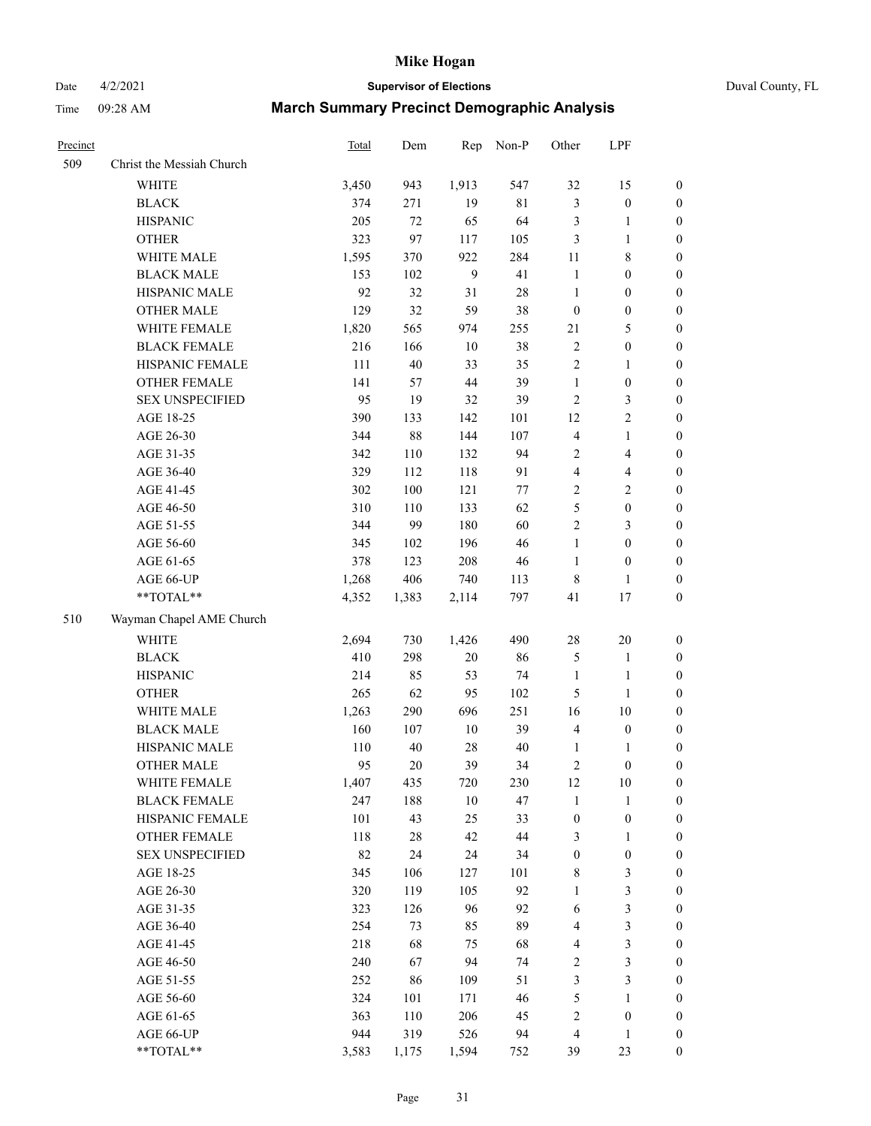Date 4/2/2021 **Supervisor of Elections** Duval County, FL

| Precinct |                           | Total | Dem    | Rep            | Non-P  | Other                   | LPF                     |                  |
|----------|---------------------------|-------|--------|----------------|--------|-------------------------|-------------------------|------------------|
| 509      | Christ the Messiah Church |       |        |                |        |                         |                         |                  |
|          | <b>WHITE</b>              | 3,450 | 943    | 1,913          | 547    | 32                      | 15                      | $\boldsymbol{0}$ |
|          | <b>BLACK</b>              | 374   | 271    | 19             | $81\,$ | 3                       | $\boldsymbol{0}$        | $\boldsymbol{0}$ |
|          | <b>HISPANIC</b>           | 205   | 72     | 65             | 64     | 3                       | $\mathbf{1}$            | $\boldsymbol{0}$ |
|          | <b>OTHER</b>              | 323   | 97     | 117            | 105    | 3                       | $\mathbf{1}$            | $\boldsymbol{0}$ |
|          | WHITE MALE                | 1,595 | 370    | 922            | 284    | 11                      | 8                       | $\boldsymbol{0}$ |
|          | <b>BLACK MALE</b>         | 153   | 102    | $\overline{9}$ | 41     | $\mathbf{1}$            | $\boldsymbol{0}$        | $\boldsymbol{0}$ |
|          | HISPANIC MALE             | 92    | 32     | 31             | $28\,$ | $\mathbf{1}$            | $\boldsymbol{0}$        | $\boldsymbol{0}$ |
|          | <b>OTHER MALE</b>         | 129   | 32     | 59             | 38     | $\boldsymbol{0}$        | $\boldsymbol{0}$        | 0                |
|          | WHITE FEMALE              | 1,820 | 565    | 974            | 255    | 21                      | $\mathfrak{S}$          | 0                |
|          | <b>BLACK FEMALE</b>       | 216   | 166    | $10\,$         | 38     | $\overline{c}$          | $\boldsymbol{0}$        | $\boldsymbol{0}$ |
|          | HISPANIC FEMALE           | 111   | $40\,$ | 33             | 35     | $\overline{c}$          | $\mathbf{1}$            | $\boldsymbol{0}$ |
|          | OTHER FEMALE              | 141   | 57     | 44             | 39     | $\mathbf{1}$            | $\boldsymbol{0}$        | $\boldsymbol{0}$ |
|          | <b>SEX UNSPECIFIED</b>    | 95    | 19     | 32             | 39     | 2                       | $\mathfrak{Z}$          | $\boldsymbol{0}$ |
|          | AGE 18-25                 | 390   | 133    | 142            | 101    | 12                      | $\sqrt{2}$              | $\boldsymbol{0}$ |
|          | AGE 26-30                 | 344   | $88\,$ | 144            | 107    | 4                       | $\mathbf{1}$            | $\boldsymbol{0}$ |
|          | AGE 31-35                 | 342   | 110    | 132            | 94     | $\overline{2}$          | $\overline{4}$          | $\boldsymbol{0}$ |
|          | AGE 36-40                 | 329   | 112    | 118            | 91     | $\overline{\mathbf{4}}$ | $\overline{\mathbf{4}}$ | $\boldsymbol{0}$ |
|          | AGE 41-45                 | 302   | 100    | 121            | 77     | $\overline{c}$          | $\sqrt{2}$              | $\boldsymbol{0}$ |
|          | AGE 46-50                 | 310   | 110    | 133            | 62     | 5                       | $\boldsymbol{0}$        | 0                |
|          | AGE 51-55                 | 344   | 99     | 180            | 60     | $\overline{2}$          | 3                       | $\boldsymbol{0}$ |
|          | AGE 56-60                 | 345   | 102    | 196            | 46     | $\mathbf{1}$            | $\boldsymbol{0}$        | $\boldsymbol{0}$ |
|          | AGE 61-65                 | 378   | 123    | 208            | 46     | $\mathbf{1}$            | $\boldsymbol{0}$        | $\boldsymbol{0}$ |
|          | AGE 66-UP                 | 1,268 | 406    | 740            | 113    | 8                       | $\mathbf{1}$            | $\boldsymbol{0}$ |
|          | **TOTAL**                 | 4,352 | 1,383  | 2,114          | 797    | 41                      | 17                      | $\boldsymbol{0}$ |
| 510      | Wayman Chapel AME Church  |       |        |                |        |                         |                         |                  |
|          | <b>WHITE</b>              | 2,694 | 730    | 1,426          | 490    | $28\,$                  | 20                      | $\boldsymbol{0}$ |
|          | <b>BLACK</b>              | 410   | 298    | $20\,$         | 86     | 5                       | $\mathbf{1}$            | $\boldsymbol{0}$ |
|          | <b>HISPANIC</b>           | 214   | 85     | 53             | 74     | $\mathbf{1}$            | $\mathbf{1}$            | $\boldsymbol{0}$ |
|          | <b>OTHER</b>              | 265   | 62     | 95             | 102    | 5                       | $\mathbf{1}$            | $\boldsymbol{0}$ |
|          | WHITE MALE                | 1,263 | 290    | 696            | 251    | 16                      | 10                      | $\boldsymbol{0}$ |
|          | <b>BLACK MALE</b>         | 160   | 107    | $10\,$         | 39     | $\overline{4}$          | $\boldsymbol{0}$        | 0                |
|          | HISPANIC MALE             | 110   | $40\,$ | 28             | $40\,$ | 1                       | $\mathbf{1}$            | 0                |
|          | <b>OTHER MALE</b>         | 95    | $20\,$ | 39             | 34     | 2                       | $\boldsymbol{0}$        | $\boldsymbol{0}$ |
|          | WHITE FEMALE              | 1,407 | 435    | 720            | 230    | $12\,$                  | $10\,$                  | $\boldsymbol{0}$ |
|          | <b>BLACK FEMALE</b>       | 247   | 188    | $10\,$         | 47     | $\mathbf{1}$            | $\mathbf{1}$            | $\boldsymbol{0}$ |
|          | HISPANIC FEMALE           | 101   | 43     | 25             | 33     | $\boldsymbol{0}$        | $\boldsymbol{0}$        | $\overline{0}$   |
|          | <b>OTHER FEMALE</b>       | 118   | $28\,$ | 42             | $44\,$ | 3                       | $\mathbf{1}$            | $\overline{0}$   |
|          | <b>SEX UNSPECIFIED</b>    | 82    | 24     | 24             | 34     | $\boldsymbol{0}$        | $\boldsymbol{0}$        | $\theta$         |
|          | AGE 18-25                 | 345   | 106    | 127            | 101    | 8                       | $\sqrt{3}$              | 0                |
|          | AGE 26-30                 | 320   | 119    | 105            | 92     | $\mathbf{1}$            | $\sqrt{3}$              | 0                |
|          | AGE 31-35                 | 323   | 126    | 96             | 92     | 6                       | $\sqrt{3}$              | 0                |
|          | AGE 36-40                 | 254   | 73     | 85             | 89     | 4                       | $\mathfrak z$           | 0                |
|          | AGE 41-45                 | 218   | 68     | 75             | 68     | 4                       | $\sqrt{3}$              | $\boldsymbol{0}$ |
|          | AGE 46-50                 | 240   | 67     | 94             | 74     | 2                       | $\mathfrak{Z}$          | $\boldsymbol{0}$ |
|          | AGE 51-55                 | 252   | 86     | 109            | 51     | 3                       | $\mathfrak{Z}$          | $\boldsymbol{0}$ |
|          | AGE 56-60                 | 324   | 101    | 171            | 46     | 5                       | $\mathbf{1}$            | $\boldsymbol{0}$ |
|          | AGE 61-65                 | 363   | 110    | 206            | 45     | 2                       | $\boldsymbol{0}$        | $\overline{0}$   |
|          | AGE 66-UP                 | 944   | 319    | 526            | 94     | 4                       | $\mathbf{1}$            | $\boldsymbol{0}$ |
|          | **TOTAL**                 | 3,583 | 1,175  | 1,594          | 752    | 39                      | 23                      | $\boldsymbol{0}$ |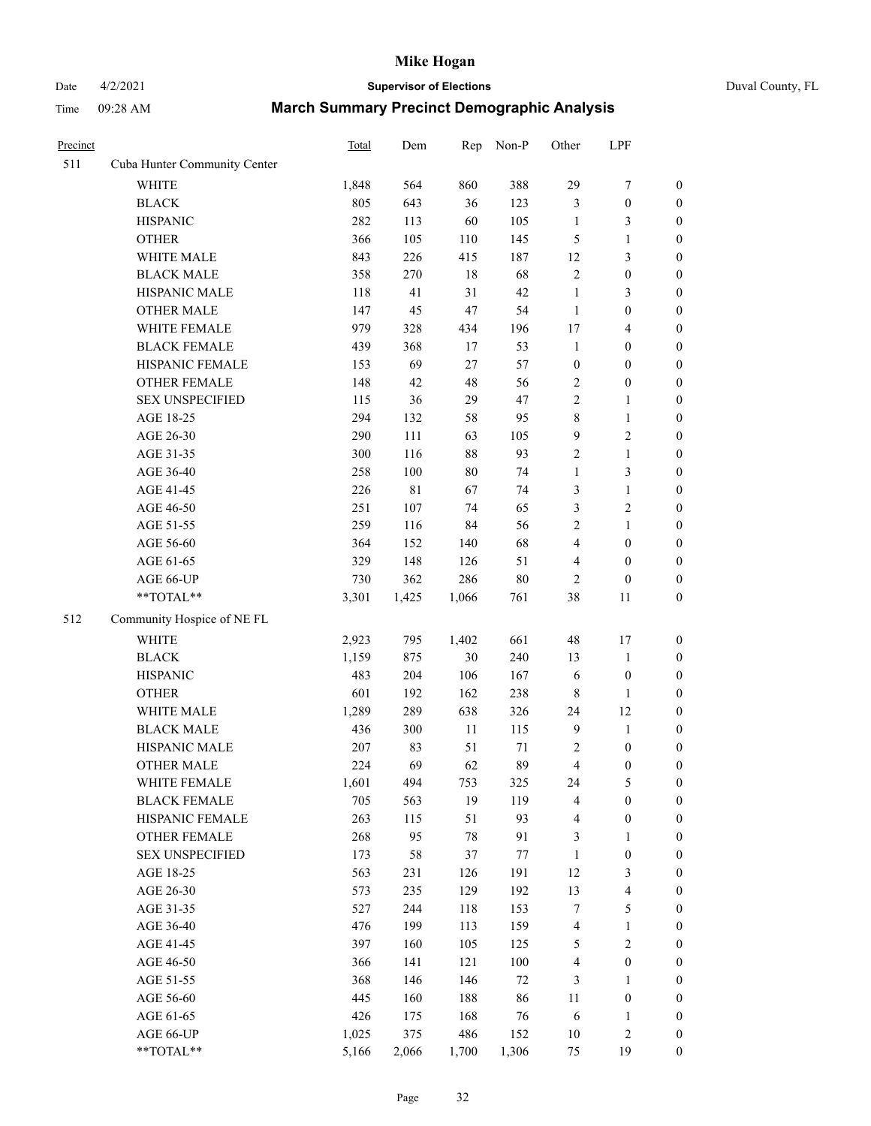# Date 4/2/2021 **Supervisor of Elections** Duval County, FL

| Precinct |                                                            | Total | Dem   | Rep    | Non-P  | Other                   | LPF              |                  |
|----------|------------------------------------------------------------|-------|-------|--------|--------|-------------------------|------------------|------------------|
| 511      | Cuba Hunter Community Center                               |       |       |        |        |                         |                  |                  |
|          | <b>WHITE</b>                                               | 1,848 | 564   | 860    | 388    | 29                      | $\boldsymbol{7}$ | 0                |
|          | <b>BLACK</b>                                               | 805   | 643   | 36     | 123    | 3                       | $\boldsymbol{0}$ | 0                |
|          | <b>HISPANIC</b>                                            | 282   | 113   | 60     | 105    | $\mathbf{1}$            | 3                | $\boldsymbol{0}$ |
|          | <b>OTHER</b>                                               | 366   | 105   | 110    | 145    | 5                       | $\mathbf{1}$     | $\boldsymbol{0}$ |
|          | WHITE MALE                                                 | 843   | 226   | 415    | 187    | 12                      | $\mathfrak{Z}$   | $\boldsymbol{0}$ |
|          | <b>BLACK MALE</b>                                          | 358   | 270   | $18\,$ | 68     | $\overline{c}$          | $\boldsymbol{0}$ | $\boldsymbol{0}$ |
|          | HISPANIC MALE                                              | 118   | 41    | 31     | 42     | $\mathbf{1}$            | 3                | $\boldsymbol{0}$ |
|          | <b>OTHER MALE</b>                                          | 147   | 45    | 47     | 54     | $\mathbf{1}$            | $\boldsymbol{0}$ | $\boldsymbol{0}$ |
|          | WHITE FEMALE                                               | 979   | 328   | 434    | 196    | 17                      | $\overline{4}$   | $\boldsymbol{0}$ |
|          | <b>BLACK FEMALE</b>                                        | 439   | 368   | 17     | 53     | $\mathbf{1}$            | $\boldsymbol{0}$ | $\boldsymbol{0}$ |
|          | HISPANIC FEMALE                                            | 153   | 69    | 27     | 57     | $\boldsymbol{0}$        | $\boldsymbol{0}$ | $\boldsymbol{0}$ |
|          | OTHER FEMALE                                               | 148   | 42    | 48     | 56     | 2                       | $\boldsymbol{0}$ | $\boldsymbol{0}$ |
|          | <b>SEX UNSPECIFIED</b>                                     | 115   | 36    | 29     | 47     | $\mathbf{2}$            | $\mathbf{1}$     | $\boldsymbol{0}$ |
|          | AGE 18-25                                                  | 294   | 132   | 58     | 95     | 8                       | $\mathbf{1}$     | $\boldsymbol{0}$ |
|          | AGE 26-30                                                  | 290   | 111   | 63     | 105    | 9                       | $\sqrt{2}$       | $\boldsymbol{0}$ |
|          | AGE 31-35                                                  | 300   | 116   | 88     | 93     | $\overline{c}$          | $\mathbf{1}$     | $\boldsymbol{0}$ |
|          | AGE 36-40                                                  | 258   | 100   | $80\,$ | 74     | $\mathbf{1}$            | 3                | $\boldsymbol{0}$ |
|          | AGE 41-45                                                  | 226   | 81    | 67     | 74     | 3                       | $\mathbf{1}$     | $\boldsymbol{0}$ |
|          | AGE 46-50                                                  | 251   | 107   | 74     | 65     | 3                       | $\sqrt{2}$       | $\boldsymbol{0}$ |
|          | AGE 51-55                                                  | 259   | 116   | 84     | 56     | 2                       | $\mathbf{1}$     | $\boldsymbol{0}$ |
|          | AGE 56-60                                                  | 364   | 152   | 140    | 68     | 4                       | $\boldsymbol{0}$ | 0                |
|          | AGE 61-65                                                  | 329   | 148   | 126    | 51     | 4                       | $\boldsymbol{0}$ | $\boldsymbol{0}$ |
|          | AGE 66-UP                                                  | 730   | 362   | 286    | 80     | $\overline{c}$          | $\boldsymbol{0}$ | $\boldsymbol{0}$ |
|          | $**TOTAL**$                                                | 3,301 | 1,425 | 1,066  | 761    | 38                      | 11               | $\boldsymbol{0}$ |
| 512      | Community Hospice of NE FL                                 |       |       |        |        |                         |                  |                  |
|          | <b>WHITE</b>                                               | 2,923 | 795   | 1,402  | 661    | 48                      | 17               | $\boldsymbol{0}$ |
|          | <b>BLACK</b>                                               | 1,159 | 875   | 30     | 240    | 13                      | $\mathbf{1}$     | $\boldsymbol{0}$ |
|          | <b>HISPANIC</b>                                            | 483   | 204   | 106    | 167    | 6                       | $\boldsymbol{0}$ | $\boldsymbol{0}$ |
|          | <b>OTHER</b>                                               | 601   | 192   | 162    | 238    | 8                       | $\mathbf{1}$     | $\boldsymbol{0}$ |
|          | WHITE MALE                                                 | 1,289 | 289   | 638    | 326    | 24                      | 12               | $\boldsymbol{0}$ |
|          | <b>BLACK MALE</b>                                          | 436   | 300   | $11\,$ | 115    | $\mathbf{9}$            | $\mathbf{1}$     | $\boldsymbol{0}$ |
|          | HISPANIC MALE                                              | 207   | 83    | 51     | $71\,$ | 2                       | $\boldsymbol{0}$ | 0                |
|          | <b>OTHER MALE</b>                                          | 224   | 69    | 62     | 89     | $\overline{\mathbf{4}}$ | $\boldsymbol{0}$ | $\boldsymbol{0}$ |
|          | WHITE FEMALE                                               | 1,601 | 494   | 753    | 325    | 24                      | 5                | 0                |
|          | <b>BLACK FEMALE</b>                                        | 705   | 563   | 19     | 119    | 4                       | $\boldsymbol{0}$ | 0                |
|          | HISPANIC FEMALE                                            | 263   | 115   | 51     | 93     | 4                       | $\boldsymbol{0}$ | 0                |
|          | OTHER FEMALE                                               | 268   | 95    | 78     | 91     | 3                       | $\mathbf{1}$     | 0                |
|          | <b>SEX UNSPECIFIED</b>                                     | 173   | 58    | 37     | 77     | $\mathbf{1}$            | $\boldsymbol{0}$ | 0                |
|          | AGE 18-25                                                  | 563   | 231   | 126    | 191    | 12                      | $\mathfrak{Z}$   | 0                |
|          | AGE 26-30                                                  | 573   | 235   | 129    | 192    | 13                      | $\overline{4}$   | 0                |
|          | AGE 31-35                                                  | 527   | 244   | 118    | 153    | 7                       | $\mathfrak s$    | 0                |
|          | AGE 36-40                                                  | 476   | 199   | 113    | 159    | 4                       | $\mathbf{1}$     | 0                |
|          | AGE 41-45                                                  | 397   | 160   | 105    | 125    | 5                       | $\sqrt{2}$       | 0                |
|          | AGE 46-50                                                  | 366   | 141   | 121    | 100    | 4                       | $\boldsymbol{0}$ | 0                |
|          | AGE 51-55                                                  | 368   | 146   | 146    | $72\,$ | 3                       | $\mathbf{1}$     | 0                |
|          | AGE 56-60                                                  | 445   | 160   | 188    | 86     | 11                      | $\boldsymbol{0}$ | 0                |
|          | AGE 61-65                                                  | 426   | 175   | 168    | 76     | 6                       | 1                | 0                |
|          | AGE 66-UP                                                  | 1,025 | 375   | 486    | 152    | 10                      | $\sqrt{2}$       | 0                |
|          | $\mathrm{*}\mathrm{*} \mathrm{TOTAL} \mathrm{*}\mathrm{*}$ | 5,166 | 2,066 | 1,700  | 1,306  | 75                      | 19               | $\boldsymbol{0}$ |
|          |                                                            |       |       |        |        |                         |                  |                  |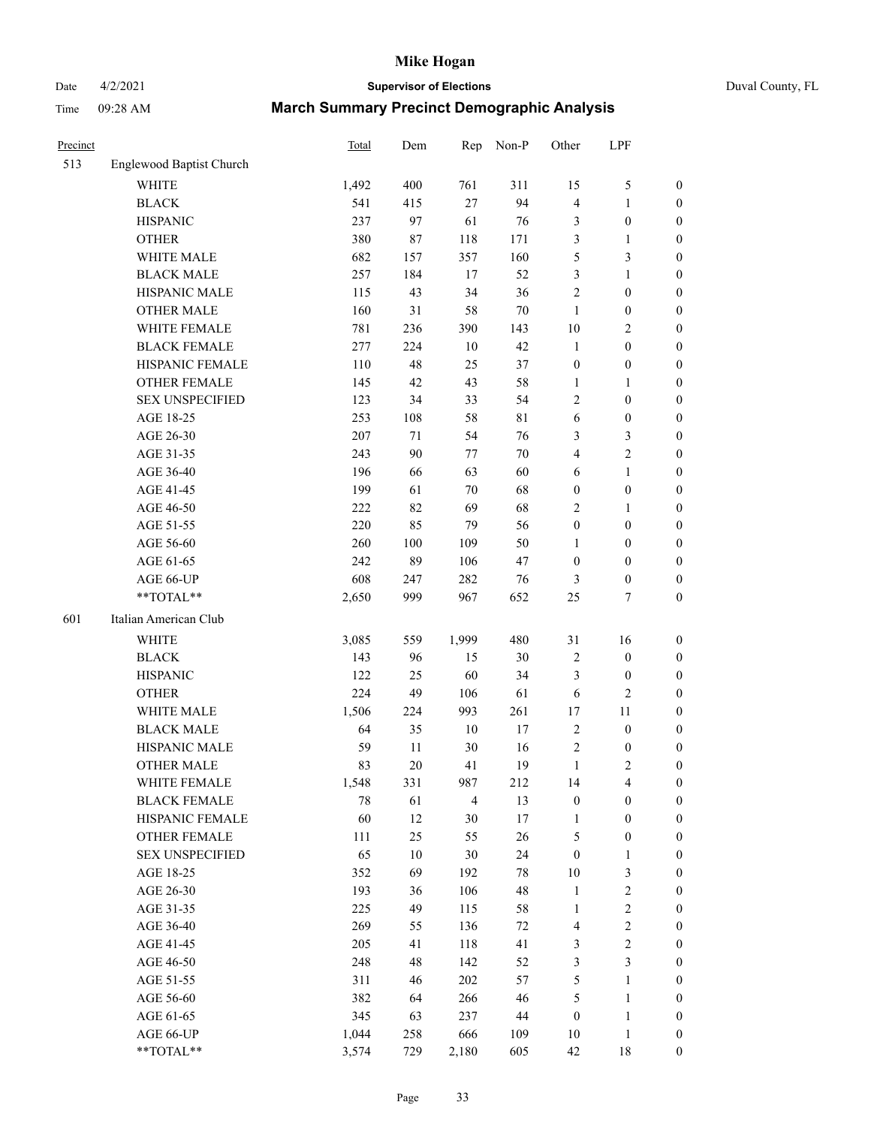# Date 4/2/2021 **Supervisor of Elections** Duval County, FL

| Precinct |                          | Total | Dem    | Rep            | Non-P       | Other            | LPF              |                  |
|----------|--------------------------|-------|--------|----------------|-------------|------------------|------------------|------------------|
| 513      | Englewood Baptist Church |       |        |                |             |                  |                  |                  |
|          | <b>WHITE</b>             | 1,492 | 400    | 761            | 311         | 15               | $\mathfrak s$    | 0                |
|          | <b>BLACK</b>             | 541   | 415    | 27             | 94          | 4                | $\mathbf{1}$     | 0                |
|          | <b>HISPANIC</b>          | 237   | 97     | 61             | 76          | 3                | $\boldsymbol{0}$ | $\boldsymbol{0}$ |
|          | <b>OTHER</b>             | 380   | 87     | 118            | 171         | 3                | 1                | $\boldsymbol{0}$ |
|          | WHITE MALE               | 682   | 157    | 357            | 160         | 5                | $\mathfrak{Z}$   | $\boldsymbol{0}$ |
|          | <b>BLACK MALE</b>        | 257   | 184    | 17             | 52          | 3                | $\mathbf{1}$     | $\boldsymbol{0}$ |
|          | HISPANIC MALE            | 115   | 43     | 34             | 36          | $\overline{c}$   | $\boldsymbol{0}$ | $\boldsymbol{0}$ |
|          | <b>OTHER MALE</b>        | 160   | 31     | 58             | 70          | $\mathbf{1}$     | $\boldsymbol{0}$ | $\boldsymbol{0}$ |
|          | WHITE FEMALE             | 781   | 236    | 390            | 143         | 10               | $\sqrt{2}$       | $\boldsymbol{0}$ |
|          | <b>BLACK FEMALE</b>      | 277   | 224    | $10\,$         | 42          | $\mathbf{1}$     | $\boldsymbol{0}$ | $\boldsymbol{0}$ |
|          | HISPANIC FEMALE          | 110   | 48     | 25             | 37          | $\boldsymbol{0}$ | $\boldsymbol{0}$ | $\boldsymbol{0}$ |
|          | OTHER FEMALE             | 145   | 42     | 43             | 58          | $\mathbf{1}$     | 1                | $\boldsymbol{0}$ |
|          | <b>SEX UNSPECIFIED</b>   | 123   | 34     | 33             | 54          | $\mathbf{2}$     | $\boldsymbol{0}$ | $\boldsymbol{0}$ |
|          | AGE 18-25                | 253   | 108    | 58             | $8\sqrt{1}$ | 6                | $\boldsymbol{0}$ | $\boldsymbol{0}$ |
|          | AGE 26-30                | 207   | 71     | 54             | 76          | 3                | $\mathfrak{Z}$   | $\boldsymbol{0}$ |
|          | AGE 31-35                | 243   | 90     | 77             | 70          | 4                | $\sqrt{2}$       | $\boldsymbol{0}$ |
|          | AGE 36-40                | 196   | 66     | 63             | 60          | 6                | $\mathbf{1}$     | $\boldsymbol{0}$ |
|          | AGE 41-45                | 199   | 61     | $70\,$         | 68          | $\boldsymbol{0}$ | $\boldsymbol{0}$ | $\boldsymbol{0}$ |
|          | AGE 46-50                | 222   | 82     | 69             | 68          | 2                | 1                | $\boldsymbol{0}$ |
|          | AGE 51-55                | 220   | 85     | 79             | 56          | $\boldsymbol{0}$ | $\boldsymbol{0}$ | $\boldsymbol{0}$ |
|          | AGE 56-60                | 260   | 100    | 109            | 50          | 1                | $\boldsymbol{0}$ | 0                |
|          | AGE 61-65                | 242   | 89     | 106            | 47          | $\boldsymbol{0}$ | $\boldsymbol{0}$ | $\boldsymbol{0}$ |
|          | AGE 66-UP                | 608   | 247    | 282            | 76          | 3                | $\boldsymbol{0}$ | $\boldsymbol{0}$ |
|          | $**TOTAL**$              | 2,650 | 999    | 967            | 652         | 25               | $\boldsymbol{7}$ | $\boldsymbol{0}$ |
| 601      | Italian American Club    |       |        |                |             |                  |                  |                  |
|          | <b>WHITE</b>             | 3,085 | 559    | 1,999          | 480         | 31               | 16               | $\boldsymbol{0}$ |
|          | <b>BLACK</b>             | 143   | 96     | 15             | 30          | 2                | $\boldsymbol{0}$ | $\boldsymbol{0}$ |
|          | <b>HISPANIC</b>          | 122   | 25     | 60             | 34          | 3                | $\boldsymbol{0}$ | $\boldsymbol{0}$ |
|          | <b>OTHER</b>             | 224   | 49     | 106            | 61          | 6                | $\mathfrak{2}$   | $\boldsymbol{0}$ |
|          | WHITE MALE               | 1,506 | 224    | 993            | 261         | 17               | 11               | $\boldsymbol{0}$ |
|          | <b>BLACK MALE</b>        | 64    | 35     | $10\,$         | 17          | $\overline{c}$   | $\boldsymbol{0}$ | $\boldsymbol{0}$ |
|          | HISPANIC MALE            | 59    | $11\,$ | 30             | 16          | 2                | $\boldsymbol{0}$ | 0                |
|          | <b>OTHER MALE</b>        | 83    | 20     | 41             | 19          | $\mathbf{1}$     | $\mathfrak{2}$   | $\boldsymbol{0}$ |
|          | WHITE FEMALE             | 1,548 | 331    | 987            | 212         | 14               | 4                | 0                |
|          | <b>BLACK FEMALE</b>      | 78    | 61     | $\overline{4}$ | 13          | $\boldsymbol{0}$ | $\boldsymbol{0}$ | $\overline{0}$   |
|          | HISPANIC FEMALE          | 60    | 12     | 30             | 17          | $\mathbf{1}$     | $\boldsymbol{0}$ | $\overline{0}$   |
|          | OTHER FEMALE             | 111   | 25     | 55             | 26          | 5                | $\boldsymbol{0}$ | $\overline{0}$   |
|          | <b>SEX UNSPECIFIED</b>   | 65    | 10     | 30             | 24          | $\boldsymbol{0}$ | $\mathbf{1}$     | 0                |
|          | AGE 18-25                | 352   | 69     | 192            | 78          | 10               | 3                | 0                |
|          | AGE 26-30                | 193   | 36     | 106            | 48          | $\mathbf{1}$     | $\sqrt{2}$       | 0                |
|          | AGE 31-35                | 225   | 49     | 115            | 58          | $\mathbf{1}$     | $\sqrt{2}$       | 0                |
|          | AGE 36-40                | 269   | 55     | 136            | $72\,$      | 4                | $\sqrt{2}$       | 0                |
|          | AGE 41-45                | 205   | 41     | 118            | 41          | 3                | $\sqrt{2}$       | 0                |
|          | AGE 46-50                | 248   | 48     | 142            | 52          | 3                | $\mathfrak{Z}$   | 0                |
|          | AGE 51-55                | 311   | 46     | 202            | 57          | 5                | $\mathbf{1}$     | 0                |
|          | AGE 56-60                | 382   | 64     | 266            | 46          | 5                | $\mathbf{1}$     | $\overline{0}$   |
|          | AGE 61-65                | 345   | 63     | 237            | 44          | $\boldsymbol{0}$ | $\mathbf{1}$     | $\overline{0}$   |
|          | AGE 66-UP                | 1,044 | 258    | 666            | 109         | 10               | $\mathbf{1}$     | 0                |
|          | **TOTAL**                | 3,574 | 729    | 2,180          | 605         | 42               | 18               | $\boldsymbol{0}$ |
|          |                          |       |        |                |             |                  |                  |                  |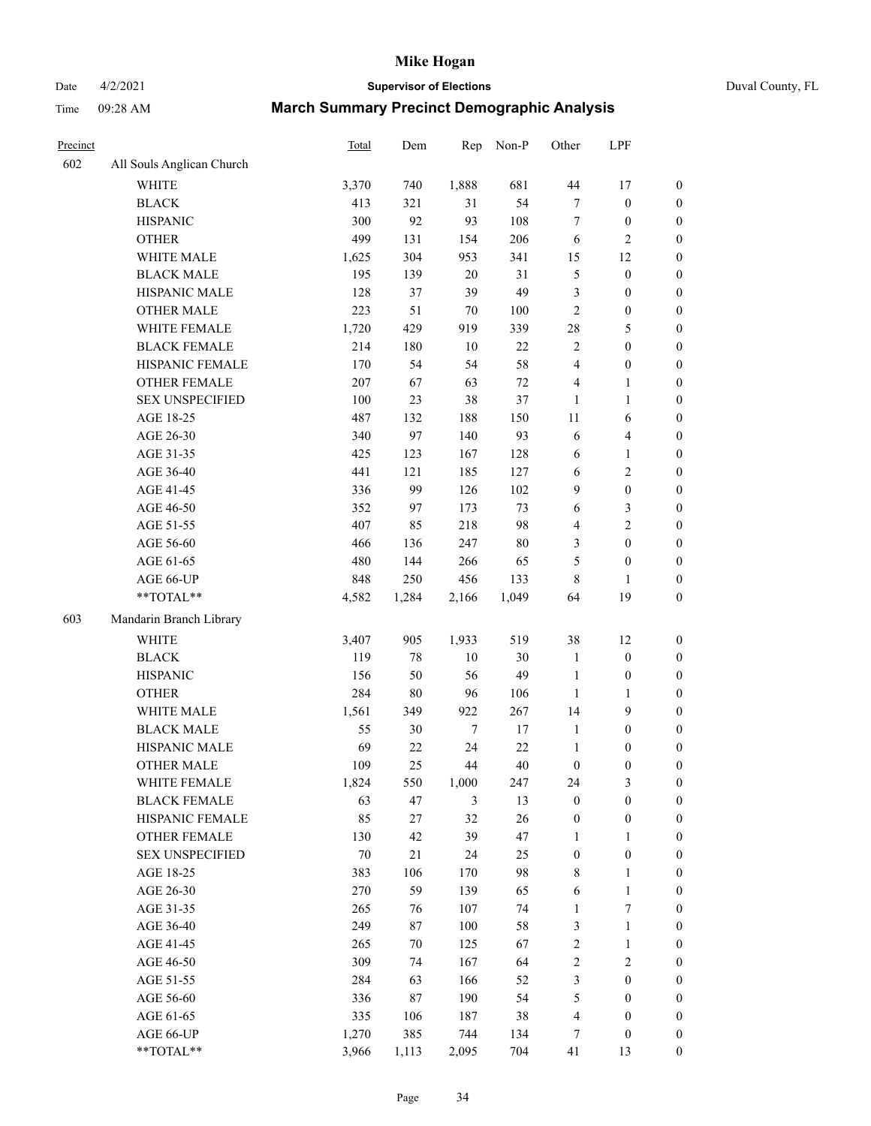Date 4/2/2021 **Supervisor of Elections** Duval County, FL

| Precinct |                           | Total | Dem    | Rep            | Non-P   | Other            | LPF                     |                  |
|----------|---------------------------|-------|--------|----------------|---------|------------------|-------------------------|------------------|
| 602      | All Souls Anglican Church |       |        |                |         |                  |                         |                  |
|          | <b>WHITE</b>              | 3,370 | 740    | 1,888          | 681     | $44\,$           | 17                      | $\boldsymbol{0}$ |
|          | <b>BLACK</b>              | 413   | 321    | 31             | 54      | $\boldsymbol{7}$ | $\boldsymbol{0}$        | $\boldsymbol{0}$ |
|          | <b>HISPANIC</b>           | 300   | 92     | 93             | 108     | 7                | $\boldsymbol{0}$        | $\boldsymbol{0}$ |
|          | <b>OTHER</b>              | 499   | 131    | 154            | 206     | 6                | $\mathbf{2}$            | $\boldsymbol{0}$ |
|          | WHITE MALE                | 1,625 | 304    | 953            | 341     | 15               | 12                      | $\boldsymbol{0}$ |
|          | <b>BLACK MALE</b>         | 195   | 139    | 20             | 31      | 5                | $\boldsymbol{0}$        | $\boldsymbol{0}$ |
|          | HISPANIC MALE             | 128   | 37     | 39             | 49      | 3                | $\boldsymbol{0}$        | $\boldsymbol{0}$ |
|          | OTHER MALE                | 223   | 51     | 70             | $100\,$ | $\overline{c}$   | $\boldsymbol{0}$        | $\boldsymbol{0}$ |
|          | WHITE FEMALE              | 1,720 | 429    | 919            | 339     | 28               | 5                       | $\boldsymbol{0}$ |
|          | <b>BLACK FEMALE</b>       | 214   | 180    | 10             | 22      | 2                | $\boldsymbol{0}$        | 0                |
|          | HISPANIC FEMALE           | 170   | 54     | 54             | 58      | 4                | $\boldsymbol{0}$        | $\boldsymbol{0}$ |
|          | OTHER FEMALE              | 207   | 67     | 63             | $72\,$  | 4                | $\mathbf{1}$            | $\boldsymbol{0}$ |
|          | <b>SEX UNSPECIFIED</b>    | 100   | 23     | 38             | 37      | 1                | $\mathbf{1}$            | $\boldsymbol{0}$ |
|          | AGE 18-25                 | 487   | 132    | 188            | 150     | $11\,$           | 6                       | $\boldsymbol{0}$ |
|          | AGE 26-30                 | 340   | 97     | 140            | 93      | 6                | $\overline{\mathbf{4}}$ | $\boldsymbol{0}$ |
|          | AGE 31-35                 | 425   | 123    | 167            | 128     | 6                | $\mathbf{1}$            | $\boldsymbol{0}$ |
|          | AGE 36-40                 | 441   | 121    | 185            | 127     | $\sqrt{6}$       | $\sqrt{2}$              | $\boldsymbol{0}$ |
|          | AGE 41-45                 | 336   | 99     | 126            | 102     | $\mathbf{9}$     | $\boldsymbol{0}$        | $\boldsymbol{0}$ |
|          | AGE 46-50                 | 352   | 97     | 173            | 73      | 6                | $\mathfrak{Z}$          | $\boldsymbol{0}$ |
|          | AGE 51-55                 | 407   | 85     | 218            | 98      | $\overline{4}$   | $\overline{2}$          | 0                |
|          | AGE 56-60                 | 466   | 136    | 247            | $80\,$  | 3                | $\boldsymbol{0}$        | $\boldsymbol{0}$ |
|          | AGE 61-65                 | 480   | 144    | 266            | 65      | 5                | $\boldsymbol{0}$        | $\boldsymbol{0}$ |
|          | AGE 66-UP                 | 848   | 250    | 456            | 133     | 8                | 1                       | $\boldsymbol{0}$ |
|          | **TOTAL**                 | 4,582 | 1,284  | 2,166          | 1,049   | 64               | 19                      | $\boldsymbol{0}$ |
| 603      | Mandarin Branch Library   |       |        |                |         |                  |                         |                  |
|          | <b>WHITE</b>              | 3,407 | 905    | 1,933          | 519     | 38               | 12                      | $\boldsymbol{0}$ |
|          | <b>BLACK</b>              | 119   | 78     | 10             | 30      | $\mathbf{1}$     | $\boldsymbol{0}$        | $\boldsymbol{0}$ |
|          | <b>HISPANIC</b>           | 156   | 50     | 56             | 49      | $\mathbf{1}$     | $\boldsymbol{0}$        | $\boldsymbol{0}$ |
|          | <b>OTHER</b>              | 284   | $80\,$ | 96             | 106     | $\mathbf{1}$     | $\mathbf{1}$            | $\boldsymbol{0}$ |
|          | WHITE MALE                | 1,561 | 349    | 922            | 267     | 14               | $\mathbf{9}$            | $\boldsymbol{0}$ |
|          | <b>BLACK MALE</b>         | 55    | 30     | $\tau$         | 17      | $\mathbf{1}$     | $\boldsymbol{0}$        | $\boldsymbol{0}$ |
|          | HISPANIC MALE             | 69    | 22     | 24             | 22      | $\mathbf{1}$     | $\boldsymbol{0}$        | 0                |
|          | <b>OTHER MALE</b>         | 109   | 25     | 44             | 40      | $\boldsymbol{0}$ | $\boldsymbol{0}$        | $\boldsymbol{0}$ |
|          | WHITE FEMALE              | 1,824 | 550    | 1,000          | 247     | 24               | 3                       | $\overline{0}$   |
|          | <b>BLACK FEMALE</b>       | 63    | 47     | $\mathfrak{Z}$ | 13      | $\boldsymbol{0}$ | $\boldsymbol{0}$        | $\overline{0}$   |
|          | HISPANIC FEMALE           | 85    | 27     | 32             | 26      | $\boldsymbol{0}$ | $\boldsymbol{0}$        | $\overline{0}$   |
|          | OTHER FEMALE              | 130   | 42     | 39             | 47      | $\mathbf{1}$     | $\mathbf{1}$            | 0                |
|          | <b>SEX UNSPECIFIED</b>    | 70    | 21     | 24             | 25      | $\boldsymbol{0}$ | $\boldsymbol{0}$        | 0                |
|          | AGE 18-25                 | 383   | 106    | 170            | 98      | 8                | $\mathbf{1}$            | 0                |
|          | AGE 26-30                 | 270   | 59     | 139            | 65      | 6                | $\mathbf{1}$            | 0                |
|          | AGE 31-35                 | 265   | 76     | 107            | 74      | $\mathbf{1}$     | $\boldsymbol{7}$        | 0                |
|          | AGE 36-40                 | 249   | 87     | 100            | 58      | 3                | $\mathbf{1}$            | 0                |
|          | AGE 41-45                 | 265   | 70     | 125            | 67      | $\overline{c}$   | $\mathbf{1}$            | 0                |
|          | AGE 46-50                 | 309   | 74     | 167            | 64      | 2                | $\sqrt{2}$              | 0                |
|          | AGE 51-55                 | 284   | 63     | 166            | 52      | 3                | $\boldsymbol{0}$        | 0                |
|          | AGE 56-60                 | 336   | 87     | 190            | 54      | 5                | $\boldsymbol{0}$        | $\boldsymbol{0}$ |
|          | AGE 61-65                 | 335   | 106    | 187            | 38      | 4                | $\boldsymbol{0}$        | 0                |
|          | AGE 66-UP                 | 1,270 | 385    | 744            | 134     | 7                | $\boldsymbol{0}$        | 0                |
|          | **TOTAL**                 | 3,966 | 1,113  | 2,095          | 704     | 41               | 13                      | $\boldsymbol{0}$ |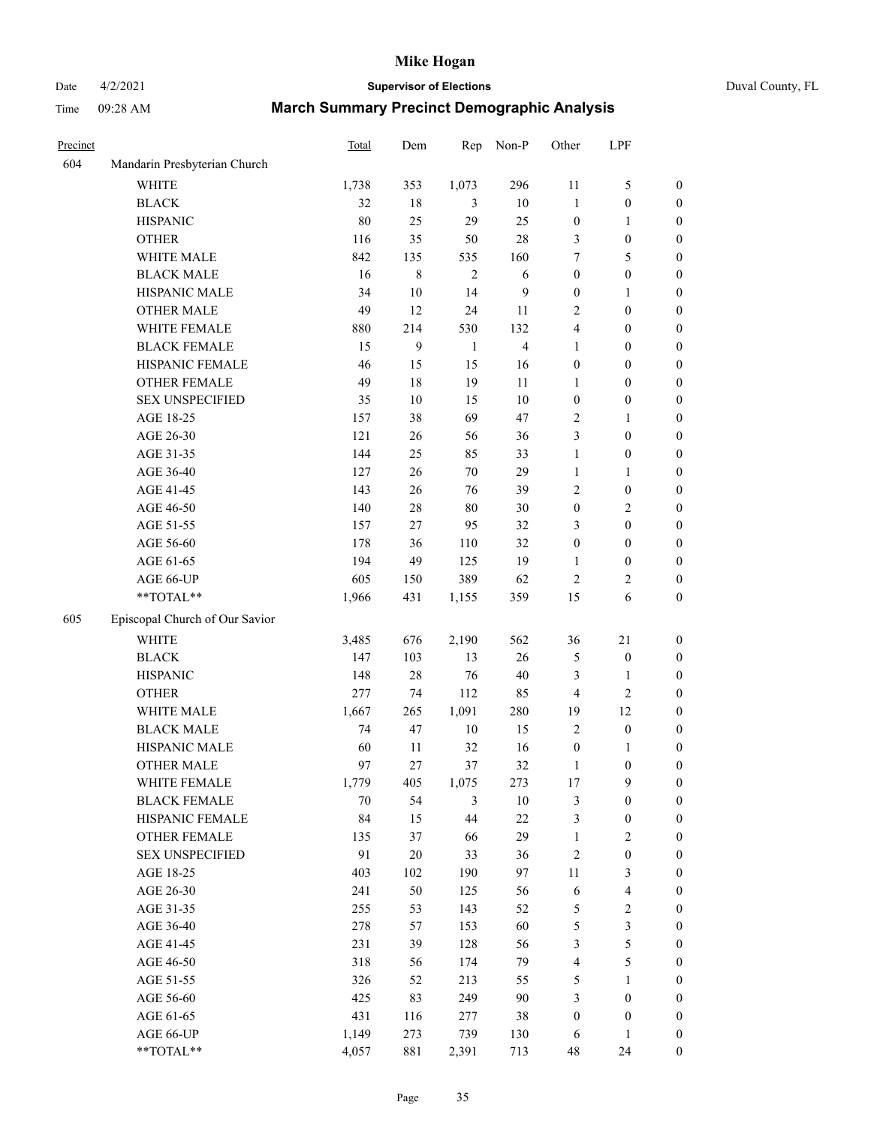# Date 4/2/2021 **Supervisor of Elections** Duval County, FL

| Precinct |                                | <b>Total</b> | Dem     | Rep            | Non-P          | Other            | LPF                      |                  |
|----------|--------------------------------|--------------|---------|----------------|----------------|------------------|--------------------------|------------------|
| 604      | Mandarin Presbyterian Church   |              |         |                |                |                  |                          |                  |
|          | <b>WHITE</b>                   | 1,738        | 353     | 1,073          | 296            | 11               | $\mathfrak s$            | 0                |
|          | <b>BLACK</b>                   | 32           | 18      | 3              | $10\,$         | $\mathbf{1}$     | $\boldsymbol{0}$         | 0                |
|          | <b>HISPANIC</b>                | 80           | 25      | 29             | 25             | $\boldsymbol{0}$ | 1                        | $\boldsymbol{0}$ |
|          | <b>OTHER</b>                   | 116          | 35      | 50             | $28\,$         | 3                | $\boldsymbol{0}$         | $\boldsymbol{0}$ |
|          | WHITE MALE                     | 842          | 135     | 535            | 160            | 7                | 5                        | $\boldsymbol{0}$ |
|          | <b>BLACK MALE</b>              | 16           | $\,8\,$ | $\overline{2}$ | 6              | $\boldsymbol{0}$ | $\boldsymbol{0}$         | $\boldsymbol{0}$ |
|          | HISPANIC MALE                  | 34           | $10\,$  | 14             | 9              | $\boldsymbol{0}$ | 1                        | $\boldsymbol{0}$ |
|          | <b>OTHER MALE</b>              | 49           | 12      | 24             | 11             | 2                | $\boldsymbol{0}$         | $\boldsymbol{0}$ |
|          | WHITE FEMALE                   | 880          | 214     | 530            | 132            | 4                | $\boldsymbol{0}$         | $\boldsymbol{0}$ |
|          | <b>BLACK FEMALE</b>            | 15           | 9       | $\mathbf{1}$   | $\overline{4}$ | $\mathbf{1}$     | $\boldsymbol{0}$         | 0                |
|          | HISPANIC FEMALE                | 46           | 15      | 15             | 16             | $\boldsymbol{0}$ | $\boldsymbol{0}$         | 0                |
|          | <b>OTHER FEMALE</b>            | 49           | 18      | 19             | 11             | $\mathbf{1}$     | $\boldsymbol{0}$         | $\boldsymbol{0}$ |
|          | <b>SEX UNSPECIFIED</b>         | 35           | $10\,$  | 15             | $10\,$         | $\boldsymbol{0}$ | $\boldsymbol{0}$         | $\boldsymbol{0}$ |
|          | AGE 18-25                      | 157          | 38      | 69             | 47             | 2                | 1                        | $\boldsymbol{0}$ |
|          | AGE 26-30                      | 121          | 26      | 56             | 36             | 3                | $\boldsymbol{0}$         | $\boldsymbol{0}$ |
|          | AGE 31-35                      | 144          | 25      | 85             | 33             | $\mathbf{1}$     | $\boldsymbol{0}$         | $\boldsymbol{0}$ |
|          | AGE 36-40                      | 127          | 26      | $70\,$         | 29             | $\mathbf{1}$     | $\mathbf{1}$             | $\boldsymbol{0}$ |
|          | AGE 41-45                      | 143          | 26      | 76             | 39             | 2                | $\boldsymbol{0}$         | $\boldsymbol{0}$ |
|          | AGE 46-50                      | 140          | $28\,$  | $80\,$         | $30\,$         | $\boldsymbol{0}$ | $\sqrt{2}$               | $\boldsymbol{0}$ |
|          | AGE 51-55                      | 157          | 27      | 95             | 32             | 3                | $\boldsymbol{0}$         | $\boldsymbol{0}$ |
|          | AGE 56-60                      | 178          | 36      | 110            | 32             | $\boldsymbol{0}$ | $\boldsymbol{0}$         | 0                |
|          | AGE 61-65                      | 194          | 49      | 125            | 19             | 1                | $\boldsymbol{0}$         | 0                |
|          | AGE 66-UP                      | 605          | 150     | 389            | 62             | $\sqrt{2}$       | $\overline{c}$           | $\boldsymbol{0}$ |
|          | **TOTAL**                      | 1,966        | 431     | 1,155          | 359            | 15               | 6                        | $\boldsymbol{0}$ |
| 605      |                                |              |         |                |                |                  |                          |                  |
|          | Episcopal Church of Our Savior |              |         |                |                |                  |                          |                  |
|          | <b>WHITE</b>                   | 3,485        | 676     | 2,190          | 562            | 36               | $21\,$                   | $\boldsymbol{0}$ |
|          | <b>BLACK</b>                   | 147          | 103     | 13             | 26             | 5                | $\boldsymbol{0}$         | $\boldsymbol{0}$ |
|          | <b>HISPANIC</b>                | 148          | $28\,$  | 76             | $40\,$         | 3                | $\mathbf{1}$             | $\boldsymbol{0}$ |
|          | <b>OTHER</b>                   | 277          | 74      | 112            | 85             | 4                | $\sqrt{2}$               | $\boldsymbol{0}$ |
|          | WHITE MALE                     | 1,667        | 265     | 1,091          | 280            | 19               | 12                       | $\boldsymbol{0}$ |
|          | <b>BLACK MALE</b>              | 74           | 47      | $10\,$         | 15             | $\overline{2}$   | $\boldsymbol{0}$         | $\boldsymbol{0}$ |
|          | HISPANIC MALE                  | 60           | 11      | 32             | 16             | $\boldsymbol{0}$ | 1                        | 0                |
|          | <b>OTHER MALE</b>              | 97           | 27      | 37             | 32             | $\mathbf{1}$     | $\boldsymbol{0}$         | $\boldsymbol{0}$ |
|          | WHITE FEMALE                   | 1,779        | 405     | 1,075          | 273            | 17               | 9                        | 0                |
|          | <b>BLACK FEMALE</b>            | 70           | 54      | 3              | $10\,$         | 3                | $\boldsymbol{0}$         | $\boldsymbol{0}$ |
|          | HISPANIC FEMALE                | 84           | 15      | 44             | $22\,$         | 3                | $\boldsymbol{0}$         | $\overline{0}$   |
|          | OTHER FEMALE                   | 135          | 37      | 66             | 29             | $\mathbf{1}$     | $\sqrt{2}$               | 0                |
|          | <b>SEX UNSPECIFIED</b>         | 91           | $20\,$  | 33             | 36             | 2                | $\boldsymbol{0}$         | 0                |
|          | AGE 18-25                      | 403          | 102     | 190            | 97             | $11\,$           | $\mathfrak{Z}$           | 0                |
|          | AGE 26-30                      | 241          | 50      | 125            | 56             | 6                | $\overline{\mathcal{L}}$ | 0                |
|          | AGE 31-35                      | 255          | 53      | 143            | 52             | 5                | $\sqrt{2}$               | 0                |
|          | AGE 36-40                      | 278          | 57      | 153            | 60             | 5                | $\mathfrak{Z}$           | 0                |
|          | AGE 41-45                      | 231          | 39      | 128            | 56             | 3                | $\mathfrak s$            | 0                |
|          | AGE 46-50                      | 318          | 56      | 174            | 79             | 4                | $\mathfrak s$            | 0                |
|          | AGE 51-55                      | 326          | 52      | 213            | 55             | 5                | $\mathbf{1}$             | 0                |
|          | AGE 56-60                      | 425          | 83      | 249            | $90\,$         | 3                | $\boldsymbol{0}$         | 0                |
|          | AGE 61-65                      | 431          | 116     | 277            | 38             | $\boldsymbol{0}$ | $\boldsymbol{0}$         | 0                |
|          | AGE 66-UP                      | 1,149        | 273     | 739            | 130            | 6                | $\mathbf{1}$             | 0                |
|          | **TOTAL**                      | 4,057        | 881     | 2,391          | 713            | 48               | 24                       | $\boldsymbol{0}$ |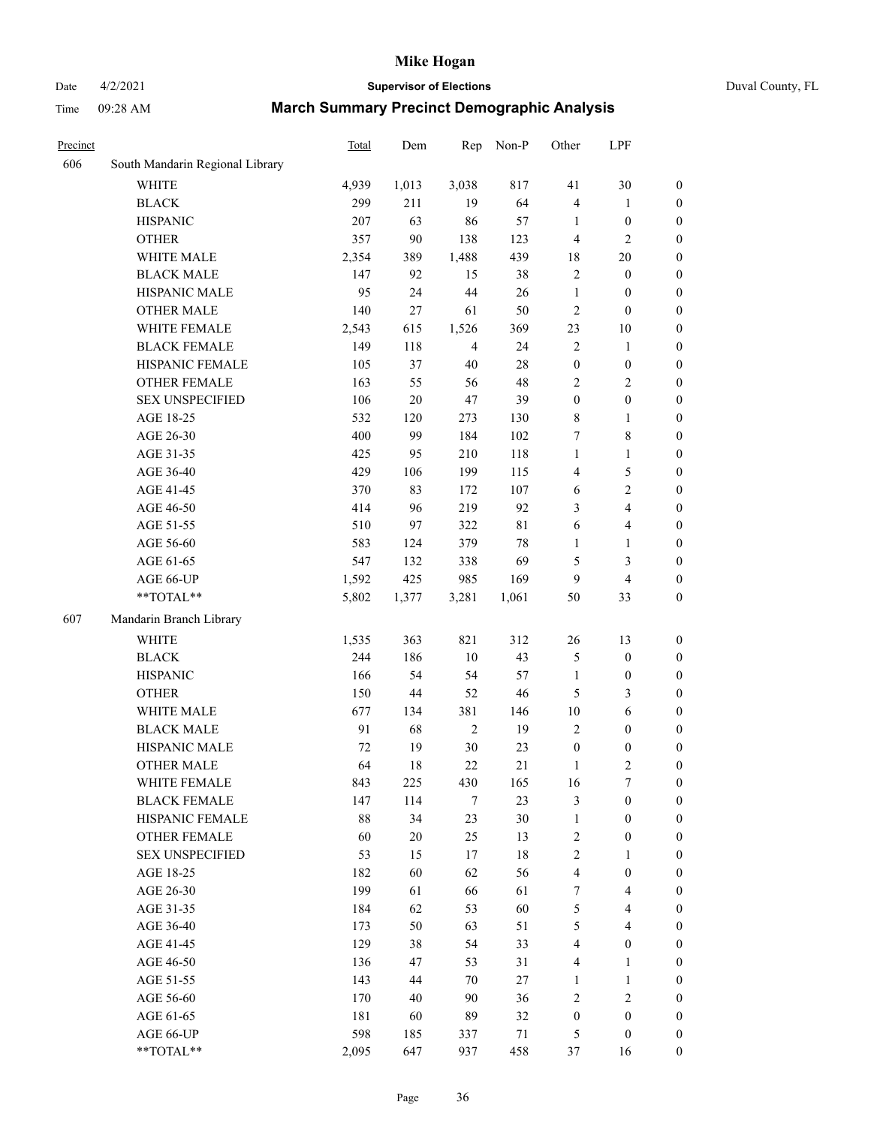# Date 4/2/2021 **Supervisor of Elections** Duval County, FL

| Precinct |                                 | <b>Total</b> | Dem    | Rep            | Non-P       | Other            | LPF                     |                  |
|----------|---------------------------------|--------------|--------|----------------|-------------|------------------|-------------------------|------------------|
| 606      | South Mandarin Regional Library |              |        |                |             |                  |                         |                  |
|          | <b>WHITE</b>                    | 4,939        | 1,013  | 3,038          | 817         | 41               | 30                      | 0                |
|          | <b>BLACK</b>                    | 299          | 211    | 19             | 64          | 4                | $\mathbf{1}$            | $\boldsymbol{0}$ |
|          | <b>HISPANIC</b>                 | 207          | 63     | 86             | 57          | $\mathbf{1}$     | $\boldsymbol{0}$        | $\boldsymbol{0}$ |
|          | <b>OTHER</b>                    | 357          | 90     | 138            | 123         | 4                | $\mathbf{2}$            | $\boldsymbol{0}$ |
|          | WHITE MALE                      | 2,354        | 389    | 1,488          | 439         | 18               | $20\,$                  | $\boldsymbol{0}$ |
|          | <b>BLACK MALE</b>               | 147          | 92     | 15             | 38          | $\overline{c}$   | $\boldsymbol{0}$        | $\boldsymbol{0}$ |
|          | HISPANIC MALE                   | 95           | 24     | 44             | 26          | $\mathbf{1}$     | $\boldsymbol{0}$        | $\boldsymbol{0}$ |
|          | <b>OTHER MALE</b>               | 140          | 27     | 61             | 50          | $\mathbf{2}$     | $\boldsymbol{0}$        | $\boldsymbol{0}$ |
|          | WHITE FEMALE                    | 2,543        | 615    | 1,526          | 369         | 23               | $10\,$                  | $\boldsymbol{0}$ |
|          | <b>BLACK FEMALE</b>             | 149          | 118    | $\overline{4}$ | 24          | $\sqrt{2}$       | $\mathbf{1}$            | 0                |
|          | HISPANIC FEMALE                 | 105          | 37     | 40             | 28          | $\boldsymbol{0}$ | $\boldsymbol{0}$        | 0                |
|          | <b>OTHER FEMALE</b>             | 163          | 55     | 56             | 48          | $\overline{c}$   | $\sqrt{2}$              | $\boldsymbol{0}$ |
|          | <b>SEX UNSPECIFIED</b>          | 106          | $20\,$ | 47             | 39          | $\boldsymbol{0}$ | $\boldsymbol{0}$        | $\boldsymbol{0}$ |
|          | AGE 18-25                       | 532          | 120    | 273            | 130         | 8                | $\mathbf{1}$            | $\boldsymbol{0}$ |
|          | AGE 26-30                       | 400          | 99     | 184            | 102         | 7                | $8\,$                   | $\boldsymbol{0}$ |
|          | AGE 31-35                       | 425          | 95     | 210            | 118         | $\mathbf{1}$     | $\mathbf{1}$            | $\boldsymbol{0}$ |
|          | AGE 36-40                       | 429          | 106    | 199            | 115         | 4                | $\mathfrak s$           | $\boldsymbol{0}$ |
|          | AGE 41-45                       | 370          | 83     | 172            | 107         | $\sqrt{6}$       | $\overline{2}$          | $\boldsymbol{0}$ |
|          | AGE 46-50                       | 414          | 96     | 219            | 92          | 3                | $\overline{4}$          | $\boldsymbol{0}$ |
|          | AGE 51-55                       | 510          | 97     | 322            | $8\sqrt{1}$ | 6                | $\overline{\mathbf{4}}$ | $\boldsymbol{0}$ |
|          | AGE 56-60                       | 583          | 124    | 379            | 78          | $\mathbf{1}$     | 1                       | 0                |
|          | AGE 61-65                       | 547          | 132    | 338            | 69          | 5                | $\mathfrak{Z}$          | $\boldsymbol{0}$ |
|          | AGE 66-UP                       | 1,592        | 425    | 985            | 169         | 9                | $\overline{4}$          | $\boldsymbol{0}$ |
|          | **TOTAL**                       | 5,802        | 1,377  | 3,281          | 1,061       | 50               | 33                      | $\boldsymbol{0}$ |
| 607      | Mandarin Branch Library         |              |        |                |             |                  |                         |                  |
|          | WHITE                           | 1,535        | 363    | 821            | 312         | $26\,$           | 13                      | $\boldsymbol{0}$ |
|          | <b>BLACK</b>                    | 244          | 186    | 10             | 43          | 5                | $\boldsymbol{0}$        | $\boldsymbol{0}$ |
|          | <b>HISPANIC</b>                 | 166          | 54     | 54             | 57          | $\mathbf{1}$     | $\boldsymbol{0}$        | $\boldsymbol{0}$ |
|          | <b>OTHER</b>                    | 150          | 44     | 52             | $46\,$      | 5                | $\mathfrak{Z}$          | $\boldsymbol{0}$ |
|          | WHITE MALE                      | 677          | 134    | 381            | 146         | $10\,$           | $\sqrt{6}$              | $\boldsymbol{0}$ |
|          | <b>BLACK MALE</b>               | 91           | 68     | $\sqrt{2}$     | 19          | $\mathbf{2}$     | $\boldsymbol{0}$        | $\boldsymbol{0}$ |
|          | HISPANIC MALE                   | 72           | 19     | 30             | 23          | $\boldsymbol{0}$ | $\boldsymbol{0}$        | $\boldsymbol{0}$ |
|          | <b>OTHER MALE</b>               | 64           | 18     | 22             | 21          | $\mathbf{1}$     | $\mathbf{2}$            | $\boldsymbol{0}$ |
|          | WHITE FEMALE                    | 843          | 225    | 430            | 165         | 16               | 7                       | 0                |
|          | <b>BLACK FEMALE</b>             | 147          | 114    | $\tau$         | 23          | 3                | $\boldsymbol{0}$        | $\overline{0}$   |
|          | HISPANIC FEMALE                 | 88           | 34     | 23             | $30\,$      | $\mathbf{1}$     | $\boldsymbol{0}$        | $\overline{0}$   |
|          | <b>OTHER FEMALE</b>             | 60           | $20\,$ | 25             | 13          | 2                | $\boldsymbol{0}$        | $\overline{0}$   |
|          | <b>SEX UNSPECIFIED</b>          | 53           | 15     | 17             | 18          | 2                | $\mathbf{1}$            | 0                |
|          | AGE 18-25                       | 182          | 60     | 62             | 56          | 4                | $\boldsymbol{0}$        | 0                |
|          | AGE 26-30                       | 199          | 61     | 66             | 61          | $\tau$           | $\overline{4}$          | 0                |
|          | AGE 31-35                       | 184          | 62     | 53             | 60          | 5                | $\overline{4}$          | 0                |
|          | AGE 36-40                       | 173          | 50     | 63             | 51          | 5                | $\overline{4}$          | 0                |
|          | AGE 41-45                       | 129          | 38     | 54             | 33          | $\overline{4}$   | $\boldsymbol{0}$        | 0                |
|          | AGE 46-50                       | 136          | 47     | 53             | 31          | 4                | $\mathbf{1}$            | 0                |
|          | AGE 51-55                       | 143          | 44     | 70             | 27          | 1                | $\mathbf{1}$            | 0                |
|          | AGE 56-60                       | 170          | 40     | 90             | 36          | 2                | $\sqrt{2}$              | 0                |
|          | AGE 61-65                       | 181          | 60     | 89             | 32          | $\boldsymbol{0}$ | $\boldsymbol{0}$        | $\overline{0}$   |
|          | AGE 66-UP                       | 598          | 185    | 337            | 71          | 5                | $\boldsymbol{0}$        | 0                |
|          | $**TOTAL**$                     | 2,095        | 647    | 937            | 458         | 37               | 16                      | $\boldsymbol{0}$ |
|          |                                 |              |        |                |             |                  |                         |                  |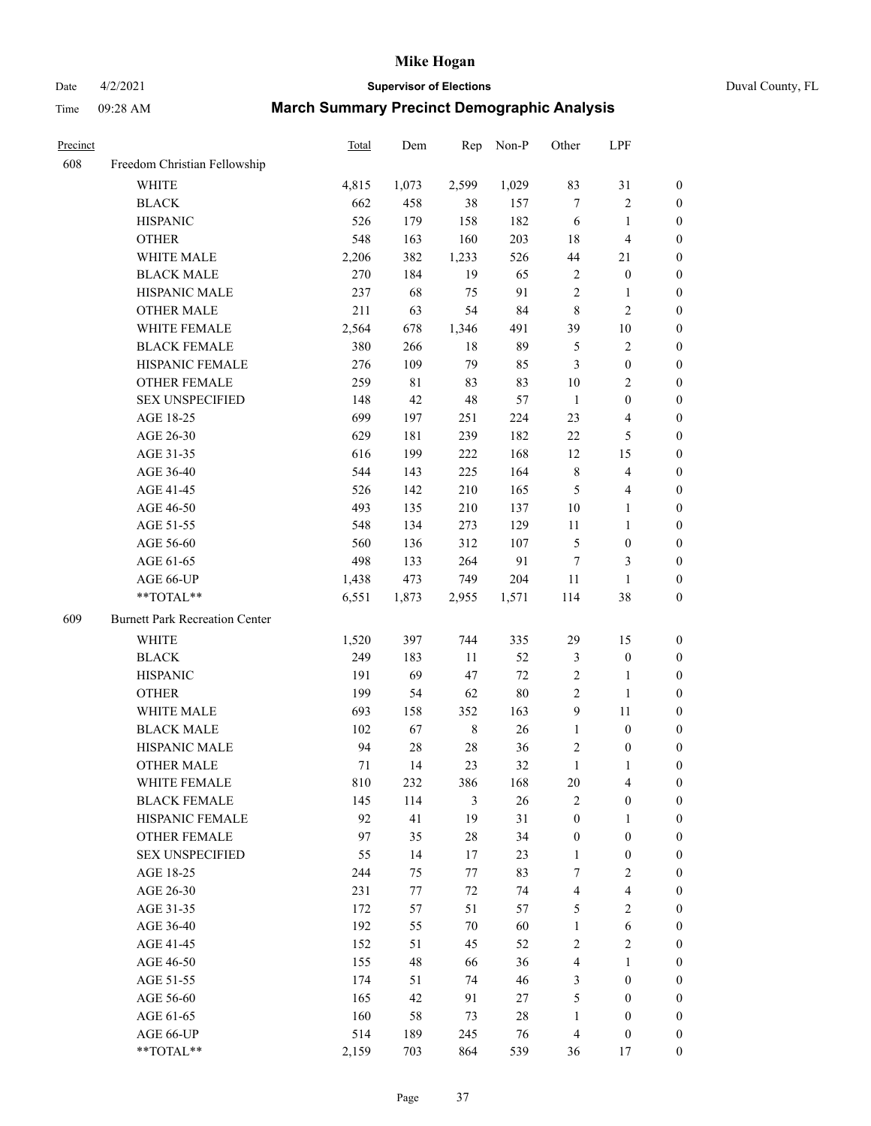Date 4/2/2021 **Supervisor of Elections** Duval County, FL

| Precinct |                                                           | <b>Total</b> | Dem         | Rep     | Non-P  | Other            | LPF              |                  |
|----------|-----------------------------------------------------------|--------------|-------------|---------|--------|------------------|------------------|------------------|
| 608      | Freedom Christian Fellowship                              |              |             |         |        |                  |                  |                  |
|          | <b>WHITE</b>                                              | 4,815        | 1,073       | 2,599   | 1,029  | 83               | 31               | 0                |
|          | <b>BLACK</b>                                              | 662          | 458         | 38      | 157    | $\tau$           | $\sqrt{2}$       | 0                |
|          | <b>HISPANIC</b>                                           | 526          | 179         | 158     | 182    | 6                | $\mathbf{1}$     | $\boldsymbol{0}$ |
|          | <b>OTHER</b>                                              | 548          | 163         | 160     | 203    | 18               | $\overline{4}$   | $\boldsymbol{0}$ |
|          | WHITE MALE                                                | 2,206        | 382         | 1,233   | 526    | 44               | 21               | $\boldsymbol{0}$ |
|          | <b>BLACK MALE</b>                                         | 270          | 184         | 19      | 65     | 2                | $\boldsymbol{0}$ | $\boldsymbol{0}$ |
|          | HISPANIC MALE                                             | 237          | 68          | 75      | 91     | 2                | $\mathbf{1}$     | $\boldsymbol{0}$ |
|          | <b>OTHER MALE</b>                                         | 211          | 63          | 54      | 84     | 8                | $\mathbf{2}$     | $\boldsymbol{0}$ |
|          | WHITE FEMALE                                              | 2,564        | 678         | 1,346   | 491    | 39               | $10\,$           | $\boldsymbol{0}$ |
|          | <b>BLACK FEMALE</b>                                       | 380          | 266         | 18      | 89     | 5                | $\sqrt{2}$       | 0                |
|          | HISPANIC FEMALE                                           | 276          | 109         | 79      | 85     | 3                | $\boldsymbol{0}$ | 0                |
|          | <b>OTHER FEMALE</b>                                       | 259          | $8\sqrt{1}$ | 83      | 83     | 10               | $\overline{c}$   | $\boldsymbol{0}$ |
|          | <b>SEX UNSPECIFIED</b>                                    | 148          | 42          | 48      | 57     | $\mathbf{1}$     | $\boldsymbol{0}$ | $\boldsymbol{0}$ |
|          | AGE 18-25                                                 | 699          | 197         | 251     | 224    | 23               | $\overline{4}$   | $\boldsymbol{0}$ |
|          | AGE 26-30                                                 | 629          | 181         | 239     | 182    | $22\,$           | $\mathfrak s$    | $\boldsymbol{0}$ |
|          | AGE 31-35                                                 | 616          | 199         | 222     | 168    | 12               | 15               | $\boldsymbol{0}$ |
|          | AGE 36-40                                                 | 544          | 143         | 225     | 164    | $\,$ $\,$        | $\overline{4}$   | $\boldsymbol{0}$ |
|          | AGE 41-45                                                 | 526          | 142         | 210     | 165    | 5                | $\overline{4}$   | $\boldsymbol{0}$ |
|          | AGE 46-50                                                 | 493          | 135         | 210     | 137    | $10\,$           | $\mathbf{1}$     | $\boldsymbol{0}$ |
|          | AGE 51-55                                                 | 548          | 134         | 273     | 129    | 11               | $\mathbf{1}$     | 0                |
|          | AGE 56-60                                                 | 560          | 136         | 312     | 107    | 5                | $\boldsymbol{0}$ | 0                |
|          | AGE 61-65                                                 | 498          | 133         | 264     | 91     | $\tau$           | 3                | 0                |
|          | AGE 66-UP                                                 | 1,438        | 473         | 749     | 204    | $11\,$           | $\mathbf{1}$     | $\boldsymbol{0}$ |
|          | **TOTAL**                                                 | 6,551        | 1,873       | 2,955   | 1,571  | 114              | 38               | $\boldsymbol{0}$ |
| 609      | <b>Burnett Park Recreation Center</b>                     |              |             |         |        |                  |                  |                  |
|          | <b>WHITE</b>                                              | 1,520        | 397         | 744     | 335    | 29               | 15               | $\boldsymbol{0}$ |
|          | <b>BLACK</b>                                              | 249          | 183         | $11\,$  | 52     | 3                | $\boldsymbol{0}$ | $\boldsymbol{0}$ |
|          | <b>HISPANIC</b>                                           | 191          | 69          | 47      | $72\,$ | 2                | $\mathbf{1}$     | $\boldsymbol{0}$ |
|          | <b>OTHER</b>                                              | 199          | 54          | 62      | $80\,$ | $\overline{c}$   | $\mathbf{1}$     | $\boldsymbol{0}$ |
|          | WHITE MALE                                                | 693          | 158         | 352     | 163    | 9                | 11               | $\boldsymbol{0}$ |
|          | <b>BLACK MALE</b>                                         | 102          | 67          | $\,8\,$ | 26     | $\mathbf{1}$     | $\boldsymbol{0}$ | $\boldsymbol{0}$ |
|          | HISPANIC MALE                                             | 94           | $28\,$      | $28\,$  | 36     | 2                | $\boldsymbol{0}$ | 0                |
|          | <b>OTHER MALE</b>                                         | 71           | 14          | 23      | 32     | $\mathbf{1}$     | 1                | 0                |
|          | WHITE FEMALE                                              | 810          | 232         | 386     | 168    | 20               | 4                | 0                |
|          | <b>BLACK FEMALE</b>                                       | 145          | 114         | 3       | 26     | 2                | $\boldsymbol{0}$ | $\overline{0}$   |
|          | HISPANIC FEMALE                                           | 92           | 41          | 19      | 31     | $\boldsymbol{0}$ | 1                | $\overline{0}$   |
|          | <b>OTHER FEMALE</b>                                       | 97           | 35          | $28\,$  | 34     | $\boldsymbol{0}$ | $\boldsymbol{0}$ | $\overline{0}$   |
|          | <b>SEX UNSPECIFIED</b>                                    | 55           | 14          | 17      | 23     | $\mathbf{1}$     | $\boldsymbol{0}$ | 0                |
|          | AGE 18-25                                                 | 244          | 75          | 77      | 83     | 7                | $\sqrt{2}$       | 0                |
|          | AGE 26-30                                                 | 231          | 77          | 72      | 74     | 4                | $\overline{4}$   | 0                |
|          | AGE 31-35                                                 | 172          | 57          | 51      | 57     | 5                | $\mathbf{2}$     | 0                |
|          | AGE 36-40                                                 | 192          | 55          | 70      | 60     | $\mathbf{1}$     | 6                | 0                |
|          | AGE 41-45                                                 | 152          | 51          | 45      | 52     | 2                | $\mathbf{2}$     | 0                |
|          | AGE 46-50                                                 | 155          | 48          | 66      | 36     | 4                | $\mathbf{1}$     | 0                |
|          | AGE 51-55                                                 | 174          | 51          | 74      | 46     | 3                | $\boldsymbol{0}$ | 0                |
|          | AGE 56-60                                                 | 165          | 42          | 91      | 27     | 5                | $\boldsymbol{0}$ | 0                |
|          | AGE 61-65                                                 | 160          | 58          | 73      | $28\,$ | 1                | $\boldsymbol{0}$ | 0                |
|          | AGE 66-UP                                                 | 514          | 189         | 245     | 76     | 4                | $\boldsymbol{0}$ | 0                |
|          | $\mathrm{*}\mathrm{*}\mathrm{TOTAL} \mathrm{*}\mathrm{*}$ | 2,159        | 703         | 864     | 539    | 36               | 17               | $\boldsymbol{0}$ |
|          |                                                           |              |             |         |        |                  |                  |                  |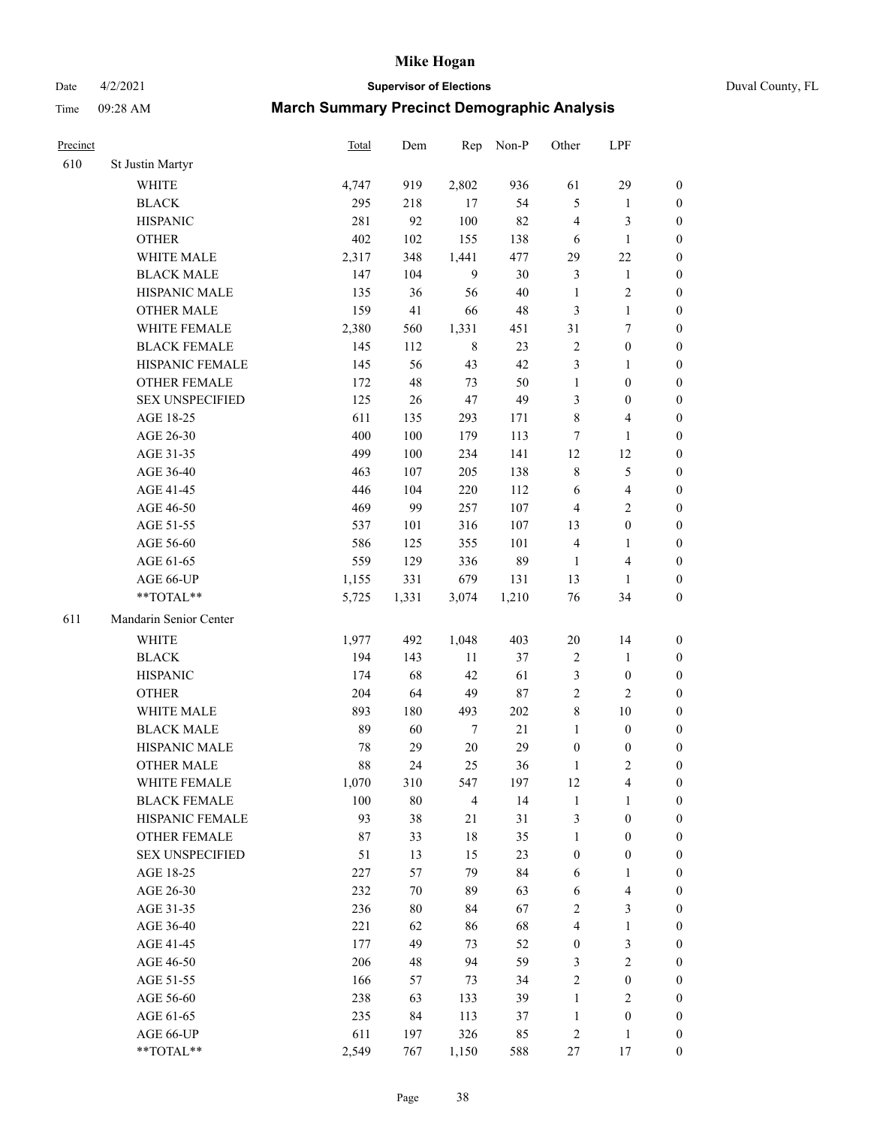Date 4/2/2021 **Supervisor of Elections** Duval County, FL

| Precinct |                        | <b>Total</b> | Dem    | Rep            | Non-P  | Other            | LPF                     |                  |
|----------|------------------------|--------------|--------|----------------|--------|------------------|-------------------------|------------------|
| 610      | St Justin Martyr       |              |        |                |        |                  |                         |                  |
|          | <b>WHITE</b>           | 4,747        | 919    | 2,802          | 936    | 61               | 29                      | $\boldsymbol{0}$ |
|          | <b>BLACK</b>           | 295          | 218    | 17             | 54     | 5                | $\mathbf{1}$            | $\boldsymbol{0}$ |
|          | <b>HISPANIC</b>        | 281          | 92     | 100            | 82     | 4                | 3                       | $\boldsymbol{0}$ |
|          | <b>OTHER</b>           | 402          | 102    | 155            | 138    | 6                | $\mathbf{1}$            | $\boldsymbol{0}$ |
|          | WHITE MALE             | 2,317        | 348    | 1,441          | 477    | 29               | $22\,$                  | $\boldsymbol{0}$ |
|          | <b>BLACK MALE</b>      | 147          | 104    | 9              | 30     | 3                | $\mathbf{1}$            | $\boldsymbol{0}$ |
|          | HISPANIC MALE          | 135          | 36     | 56             | $40\,$ | $\mathbf{1}$     | $\sqrt{2}$              | $\boldsymbol{0}$ |
|          | <b>OTHER MALE</b>      | 159          | 41     | 66             | 48     | 3                | $\mathbf{1}$            | $\boldsymbol{0}$ |
|          | WHITE FEMALE           | 2,380        | 560    | 1,331          | 451    | 31               | $\boldsymbol{7}$        | $\boldsymbol{0}$ |
|          | <b>BLACK FEMALE</b>    | 145          | 112    | $\,$ 8 $\,$    | 23     | 2                | $\boldsymbol{0}$        | 0                |
|          | HISPANIC FEMALE        | 145          | 56     | 43             | 42     | 3                | $\mathbf{1}$            | 0                |
|          | <b>OTHER FEMALE</b>    | 172          | 48     | 73             | 50     | $\mathbf{1}$     | $\boldsymbol{0}$        | $\boldsymbol{0}$ |
|          | <b>SEX UNSPECIFIED</b> | 125          | 26     | $47\,$         | 49     | 3                | $\boldsymbol{0}$        | $\boldsymbol{0}$ |
|          | AGE 18-25              | 611          | 135    | 293            | 171    | $\,$ $\,$        | $\overline{\mathbf{4}}$ | $\boldsymbol{0}$ |
|          | AGE 26-30              | 400          | 100    | 179            | 113    | 7                | $\mathbf{1}$            | $\boldsymbol{0}$ |
|          | AGE 31-35              | 499          | 100    | 234            | 141    | 12               | $12\,$                  | $\boldsymbol{0}$ |
|          | AGE 36-40              | 463          | 107    | 205            | 138    | $\,$ $\,$        | $\mathfrak s$           | $\boldsymbol{0}$ |
|          | AGE 41-45              | 446          | 104    | 220            | 112    | 6                | $\overline{4}$          | $\boldsymbol{0}$ |
|          | AGE 46-50              | 469          | 99     | 257            | 107    | $\overline{4}$   | $\overline{2}$          | $\boldsymbol{0}$ |
|          | AGE 51-55              | 537          | 101    | 316            | 107    | 13               | $\boldsymbol{0}$        | $\boldsymbol{0}$ |
|          | AGE 56-60              | 586          | 125    | 355            | 101    | $\overline{4}$   | $\mathbf{1}$            | 0                |
|          | AGE 61-65              | 559          | 129    | 336            | 89     | $\mathbf{1}$     | $\overline{\mathbf{4}}$ | 0                |
|          | AGE 66-UP              | 1,155        | 331    | 679            | 131    | 13               | $\mathbf{1}$            | $\boldsymbol{0}$ |
|          | **TOTAL**              | 5,725        | 1,331  | 3,074          | 1,210  | 76               | 34                      | $\boldsymbol{0}$ |
| 611      | Mandarin Senior Center |              |        |                |        |                  |                         |                  |
|          | <b>WHITE</b>           | 1,977        | 492    | 1,048          | 403    | $20\,$           | 14                      | $\boldsymbol{0}$ |
|          | <b>BLACK</b>           | 194          | 143    | 11             | 37     | $\boldsymbol{2}$ | $\mathbf{1}$            | $\boldsymbol{0}$ |
|          | <b>HISPANIC</b>        | 174          | 68     | 42             | 61     | 3                | $\boldsymbol{0}$        | $\boldsymbol{0}$ |
|          | <b>OTHER</b>           | 204          | 64     | 49             | 87     | $\mathfrak{2}$   | $\overline{c}$          | $\boldsymbol{0}$ |
|          | <b>WHITE MALE</b>      | 893          | 180    | 493            | 202    | 8                | $10\,$                  | $\boldsymbol{0}$ |
|          | <b>BLACK MALE</b>      | 89           | 60     | $\tau$         | $21\,$ | $\mathbf{1}$     | $\boldsymbol{0}$        | $\boldsymbol{0}$ |
|          | HISPANIC MALE          | 78           | 29     | $20\,$         | 29     | $\boldsymbol{0}$ | $\boldsymbol{0}$        | 0                |
|          | <b>OTHER MALE</b>      | 88           | 24     | 25             | 36     | 1                | $\mathbf{2}$            | $\boldsymbol{0}$ |
|          | WHITE FEMALE           | 1,070        | 310    | 547            | 197    | 12               | 4                       | 0                |
|          | <b>BLACK FEMALE</b>    | 100          | $80\,$ | $\overline{4}$ | 14     | $\mathbf{1}$     | $\mathbf{1}$            | $\boldsymbol{0}$ |
|          | HISPANIC FEMALE        | 93           | 38     | 21             | 31     | $\mathfrak{Z}$   | $\boldsymbol{0}$        | $\overline{0}$   |
|          | <b>OTHER FEMALE</b>    | 87           | 33     | $18\,$         | 35     | $\mathbf{1}$     | $\boldsymbol{0}$        | $\overline{0}$   |
|          | <b>SEX UNSPECIFIED</b> | 51           | 13     | 15             | 23     | $\boldsymbol{0}$ | $\boldsymbol{0}$        | 0                |
|          | AGE 18-25              | 227          | 57     | 79             | 84     | 6                | $\mathbf{1}$            | 0                |
|          | AGE 26-30              | 232          | 70     | 89             | 63     | 6                | $\overline{\mathbf{4}}$ | 0                |
|          | AGE 31-35              | 236          | $80\,$ | 84             | 67     | $\mathfrak{2}$   | $\mathfrak{Z}$          | 0                |
|          | AGE 36-40              | 221          | 62     | 86             | 68     | 4                | $\mathbf{1}$            | 0                |
|          | AGE 41-45              | 177          | 49     | 73             | 52     | $\boldsymbol{0}$ | $\mathfrak{Z}$          | 0                |
|          | AGE 46-50              | 206          | 48     | 94             | 59     | 3                | $\sqrt{2}$              | 0                |
|          | AGE 51-55              | 166          | 57     | 73             | 34     | $\sqrt{2}$       | $\boldsymbol{0}$        | 0                |
|          | AGE 56-60              | 238          | 63     | 133            | 39     | 1                | $\mathfrak{2}$          | 0                |
|          | AGE 61-65              | 235          | 84     | 113            | 37     | $\mathbf{1}$     | $\boldsymbol{0}$        | $\overline{0}$   |
|          | AGE 66-UP              | 611          | 197    | 326            | 85     | 2                | $\mathbf{1}$            | $\boldsymbol{0}$ |
|          | **TOTAL**              | 2,549        | 767    | 1,150          | 588    | 27               | 17                      | $\boldsymbol{0}$ |
|          |                        |              |        |                |        |                  |                         |                  |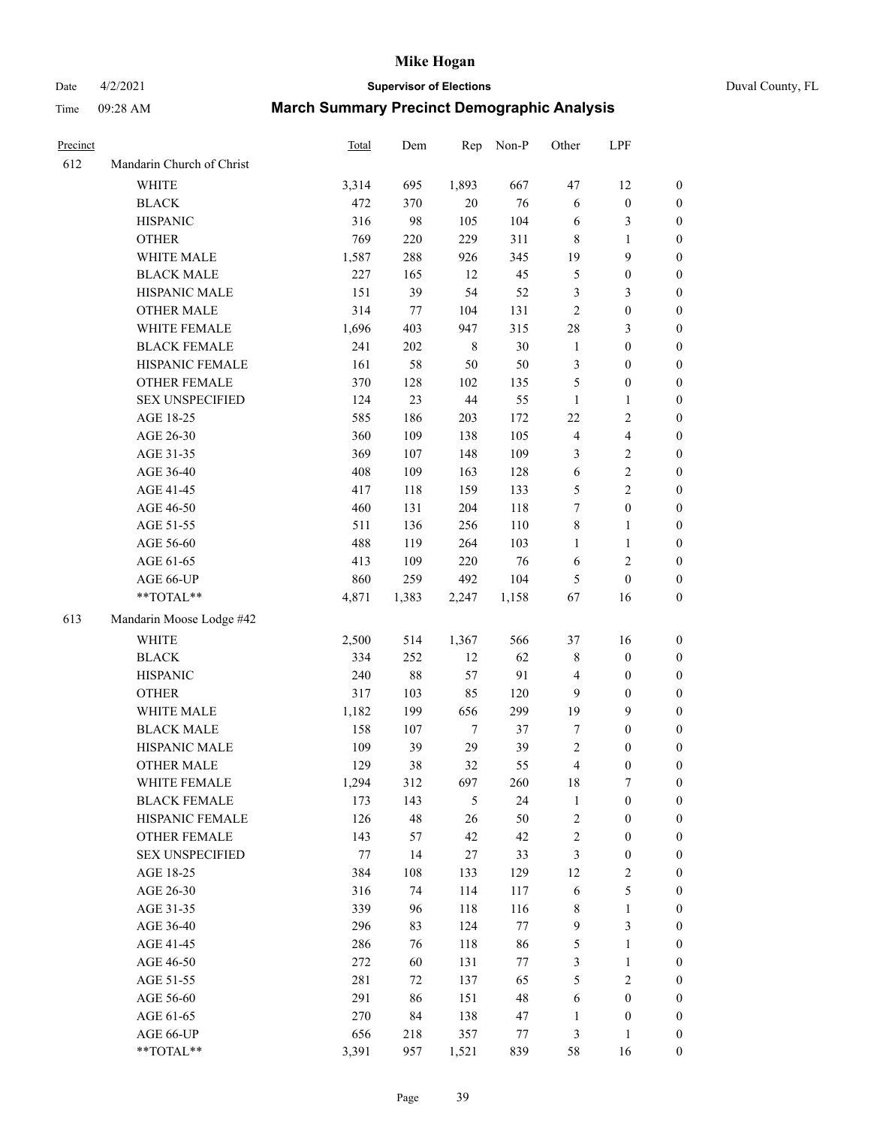Date 4/2/2021 **Supervisor of Elections** Duval County, FL

| Precinct |                           | Total | Dem   | Rep              | Non-P   | Other                   | LPF              |                  |
|----------|---------------------------|-------|-------|------------------|---------|-------------------------|------------------|------------------|
| 612      | Mandarin Church of Christ |       |       |                  |         |                         |                  |                  |
|          | <b>WHITE</b>              | 3,314 | 695   | 1,893            | 667     | 47                      | 12               | 0                |
|          | <b>BLACK</b>              | 472   | 370   | $20\,$           | 76      | 6                       | $\boldsymbol{0}$ | 0                |
|          | <b>HISPANIC</b>           | 316   | 98    | 105              | 104     | 6                       | 3                | $\boldsymbol{0}$ |
|          | <b>OTHER</b>              | 769   | 220   | 229              | 311     | 8                       | $\mathbf{1}$     | $\boldsymbol{0}$ |
|          | WHITE MALE                | 1,587 | 288   | 926              | 345     | 19                      | 9                | $\boldsymbol{0}$ |
|          | <b>BLACK MALE</b>         | 227   | 165   | 12               | 45      | 5                       | $\boldsymbol{0}$ | $\boldsymbol{0}$ |
|          | HISPANIC MALE             | 151   | 39    | 54               | 52      | 3                       | 3                | $\boldsymbol{0}$ |
|          | <b>OTHER MALE</b>         | 314   | 77    | 104              | 131     | 2                       | $\boldsymbol{0}$ | $\boldsymbol{0}$ |
|          | WHITE FEMALE              | 1,696 | 403   | 947              | 315     | 28                      | $\mathfrak{Z}$   | $\boldsymbol{0}$ |
|          | <b>BLACK FEMALE</b>       | 241   | 202   | $\,$ 8 $\,$      | 30      | $\mathbf{1}$            | $\boldsymbol{0}$ | 0                |
|          | HISPANIC FEMALE           | 161   | 58    | 50               | 50      | 3                       | $\boldsymbol{0}$ | 0                |
|          | OTHER FEMALE              | 370   | 128   | 102              | 135     | 5                       | $\boldsymbol{0}$ | $\boldsymbol{0}$ |
|          | <b>SEX UNSPECIFIED</b>    | 124   | 23    | 44               | 55      | $\mathbf{1}$            | $\mathbf{1}$     | $\boldsymbol{0}$ |
|          | AGE 18-25                 | 585   | 186   | 203              | 172     | 22                      | $\sqrt{2}$       | $\boldsymbol{0}$ |
|          | AGE 26-30                 | 360   | 109   | 138              | 105     | 4                       | $\overline{4}$   | $\boldsymbol{0}$ |
|          | AGE 31-35                 | 369   | 107   | 148              | 109     | 3                       | $\sqrt{2}$       | $\boldsymbol{0}$ |
|          | AGE 36-40                 | 408   | 109   | 163              | 128     | 6                       | $\sqrt{2}$       | $\boldsymbol{0}$ |
|          | AGE 41-45                 | 417   | 118   | 159              | 133     | 5                       | $\overline{c}$   | $\boldsymbol{0}$ |
|          | AGE 46-50                 | 460   | 131   | 204              | 118     | $\boldsymbol{7}$        | $\boldsymbol{0}$ | $\boldsymbol{0}$ |
|          | AGE 51-55                 | 511   | 136   | 256              | 110     | 8                       | $\mathbf{1}$     | 0                |
|          | AGE 56-60                 | 488   | 119   | 264              | 103     | $\mathbf{1}$            | $\mathbf{1}$     | 0                |
|          | AGE 61-65                 | 413   | 109   | 220              | 76      | 6                       | $\sqrt{2}$       | 0                |
|          | AGE 66-UP                 | 860   | 259   | 492              | 104     | 5                       | $\boldsymbol{0}$ | $\boldsymbol{0}$ |
|          | $**TOTAL**$               | 4,871 | 1,383 | 2,247            | 1,158   | 67                      | 16               | $\boldsymbol{0}$ |
| 613      | Mandarin Moose Lodge #42  |       |       |                  |         |                         |                  |                  |
|          | <b>WHITE</b>              | 2,500 | 514   | 1,367            | 566     | 37                      | 16               | $\boldsymbol{0}$ |
|          | <b>BLACK</b>              | 334   | 252   | 12               | 62      | 8                       | $\boldsymbol{0}$ | $\boldsymbol{0}$ |
|          | <b>HISPANIC</b>           | 240   | 88    | 57               | 91      | 4                       | $\boldsymbol{0}$ | $\boldsymbol{0}$ |
|          | <b>OTHER</b>              | 317   | 103   | 85               | 120     | 9                       | $\boldsymbol{0}$ | $\boldsymbol{0}$ |
|          | WHITE MALE                | 1,182 | 199   | 656              | 299     | 19                      | 9                | $\boldsymbol{0}$ |
|          | <b>BLACK MALE</b>         | 158   | 107   | $\boldsymbol{7}$ | 37      | 7                       | $\boldsymbol{0}$ | $\boldsymbol{0}$ |
|          | HISPANIC MALE             | 109   | 39    | 29               | 39      | 2                       | $\boldsymbol{0}$ | 0                |
|          | <b>OTHER MALE</b>         | 129   | 38    | 32               | 55      | 4                       | $\boldsymbol{0}$ | $\boldsymbol{0}$ |
|          | WHITE FEMALE              | 1,294 | 312   | 697              | 260     | 18                      | 7                | 0                |
|          | <b>BLACK FEMALE</b>       | 173   | 143   | 5                | 24      | $\mathbf{1}$            | $\boldsymbol{0}$ | $\overline{0}$   |
|          | HISPANIC FEMALE           | 126   | 48    | 26               | 50      | $\overline{c}$          | $\boldsymbol{0}$ | $\overline{0}$   |
|          | OTHER FEMALE              | 143   | 57    | 42               | 42      | $\overline{\mathbf{c}}$ | $\boldsymbol{0}$ | 0                |
|          | <b>SEX UNSPECIFIED</b>    | 77    | 14    | 27               | 33      | 3                       | $\boldsymbol{0}$ | 0                |
|          | AGE 18-25                 | 384   | 108   | 133              | 129     | 12                      | $\sqrt{2}$       | 0                |
|          | AGE 26-30                 | 316   | 74    | 114              | 117     | 6                       | 5                | 0                |
|          | AGE 31-35                 | 339   | 96    | 118              | 116     | 8                       | $\mathbf{1}$     | 0                |
|          | AGE 36-40                 | 296   | 83    | 124              | $77 \,$ | 9                       | $\mathfrak{Z}$   | 0                |
|          | AGE 41-45                 | 286   | 76    | 118              | 86      | 5                       | $\mathbf{1}$     | 0                |
|          | AGE 46-50                 | 272   | 60    | 131              | 77      | 3                       | $\mathbf{1}$     | 0                |
|          | AGE 51-55                 | 281   | 72    | 137              | 65      | 5                       | $\sqrt{2}$       | 0                |
|          | AGE 56-60                 | 291   | 86    | 151              | 48      | 6                       | $\boldsymbol{0}$ | 0                |
|          | AGE 61-65                 | 270   | 84    | 138              | 47      | 1                       | $\boldsymbol{0}$ | 0                |
|          | AGE 66-UP                 | 656   | 218   | 357              | 77      | 3                       | $\mathbf{1}$     | 0                |
|          | **TOTAL**                 | 3,391 | 957   | 1,521            | 839     | 58                      | 16               | $\boldsymbol{0}$ |
|          |                           |       |       |                  |         |                         |                  |                  |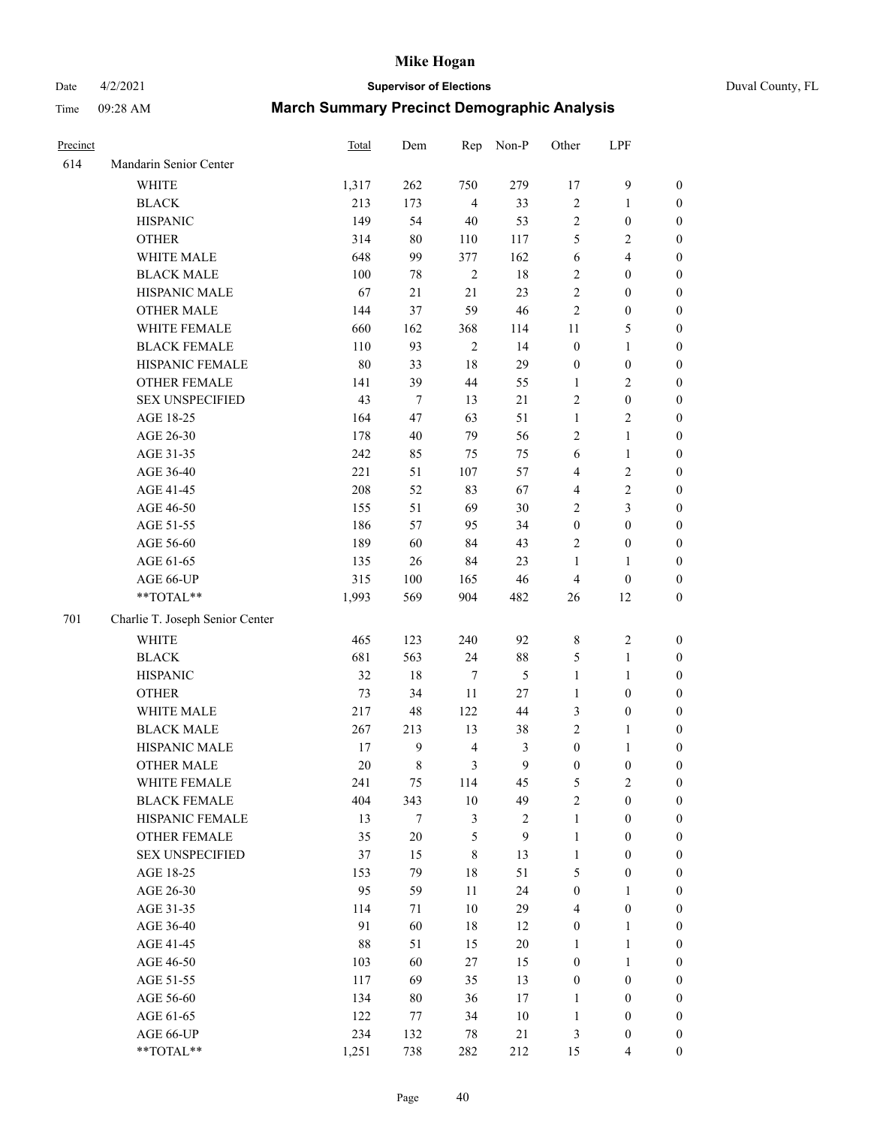Date 4/2/2021 **Supervisor of Elections** Duval County, FL

| Precinct |                                 | Total | Dem         | Rep            | Non-P          | Other            | LPF              |                  |
|----------|---------------------------------|-------|-------------|----------------|----------------|------------------|------------------|------------------|
| 614      | Mandarin Senior Center          |       |             |                |                |                  |                  |                  |
|          | <b>WHITE</b>                    | 1,317 | 262         | 750            | 279            | 17               | $\mathbf{9}$     | 0                |
|          | <b>BLACK</b>                    | 213   | 173         | $\overline{4}$ | 33             | $\mathbf{2}$     | $\mathbf{1}$     | 0                |
|          | <b>HISPANIC</b>                 | 149   | 54          | 40             | 53             | $\mathbf{2}$     | $\boldsymbol{0}$ | $\boldsymbol{0}$ |
|          | <b>OTHER</b>                    | 314   | 80          | 110            | 117            | 5                | $\sqrt{2}$       | $\boldsymbol{0}$ |
|          | WHITE MALE                      | 648   | 99          | 377            | 162            | 6                | $\overline{4}$   | $\boldsymbol{0}$ |
|          | <b>BLACK MALE</b>               | 100   | 78          | $\sqrt{2}$     | 18             | $\overline{c}$   | $\boldsymbol{0}$ | $\boldsymbol{0}$ |
|          | HISPANIC MALE                   | 67    | 21          | 21             | 23             | $\overline{c}$   | $\boldsymbol{0}$ | $\boldsymbol{0}$ |
|          | <b>OTHER MALE</b>               | 144   | 37          | 59             | 46             | $\overline{c}$   | $\boldsymbol{0}$ | $\boldsymbol{0}$ |
|          | WHITE FEMALE                    | 660   | 162         | 368            | 114            | $11\,$           | $\mathfrak s$    | $\boldsymbol{0}$ |
|          | <b>BLACK FEMALE</b>             | 110   | 93          | $\sqrt{2}$     | 14             | $\boldsymbol{0}$ | $\mathbf{1}$     | 0                |
|          | HISPANIC FEMALE                 | 80    | 33          | 18             | 29             | $\boldsymbol{0}$ | $\boldsymbol{0}$ | 0                |
|          | OTHER FEMALE                    | 141   | 39          | 44             | 55             | $\mathbf{1}$     | $\overline{c}$   | $\boldsymbol{0}$ |
|          | <b>SEX UNSPECIFIED</b>          | 43    | $\tau$      | 13             | $21\,$         | $\mathbf{2}$     | $\boldsymbol{0}$ | $\boldsymbol{0}$ |
|          | AGE 18-25                       | 164   | 47          | 63             | 51             | $\mathbf{1}$     | $\sqrt{2}$       | $\boldsymbol{0}$ |
|          | AGE 26-30                       | 178   | 40          | 79             | 56             | 2                | $\mathbf{1}$     | $\boldsymbol{0}$ |
|          | AGE 31-35                       | 242   | 85          | 75             | 75             | 6                | $\mathbf{1}$     | $\boldsymbol{0}$ |
|          | AGE 36-40                       | 221   | 51          | 107            | 57             | 4                | $\sqrt{2}$       | $\boldsymbol{0}$ |
|          | AGE 41-45                       | 208   | 52          | 83             | 67             | 4                | $\sqrt{2}$       | $\boldsymbol{0}$ |
|          | AGE 46-50                       | 155   | 51          | 69             | 30             | $\overline{c}$   | 3                | $\boldsymbol{0}$ |
|          | AGE 51-55                       | 186   | 57          | 95             | 34             | $\boldsymbol{0}$ | $\boldsymbol{0}$ | $\boldsymbol{0}$ |
|          | AGE 56-60                       | 189   | 60          | 84             | 43             | $\overline{c}$   | $\boldsymbol{0}$ | 0                |
|          | AGE 61-65                       | 135   | 26          | 84             | 23             | $\mathbf{1}$     | 1                | 0                |
|          | AGE 66-UP                       | 315   | 100         | 165            | 46             | $\overline{4}$   | $\boldsymbol{0}$ | $\boldsymbol{0}$ |
|          | $**TOTAL**$                     | 1,993 | 569         | 904            | 482            | 26               | 12               | $\boldsymbol{0}$ |
| 701      | Charlie T. Joseph Senior Center |       |             |                |                |                  |                  |                  |
|          | <b>WHITE</b>                    | 465   | 123         | 240            | 92             | $\,$ $\,$        | $\sqrt{2}$       | $\boldsymbol{0}$ |
|          | <b>BLACK</b>                    | 681   | 563         | 24             | $88\,$         | 5                | $\mathbf{1}$     | $\boldsymbol{0}$ |
|          | <b>HISPANIC</b>                 | 32    | 18          | 7              | 5              | $\mathbf{1}$     | $\mathbf{1}$     | $\boldsymbol{0}$ |
|          | <b>OTHER</b>                    | 73    | 34          | 11             | $27\,$         | $\mathbf{1}$     | $\boldsymbol{0}$ | $\boldsymbol{0}$ |
|          | WHITE MALE                      | 217   | 48          | 122            | 44             | 3                | $\boldsymbol{0}$ | $\boldsymbol{0}$ |
|          | <b>BLACK MALE</b>               | 267   | 213         | 13             | 38             | $\overline{c}$   | $\mathbf{1}$     | $\boldsymbol{0}$ |
|          | HISPANIC MALE                   | 17    | 9           | $\overline{4}$ | $\mathfrak{Z}$ | $\boldsymbol{0}$ | 1                | 0                |
|          | <b>OTHER MALE</b>               | 20    | $\,$ 8 $\,$ | 3              | 9              | $\boldsymbol{0}$ | $\boldsymbol{0}$ | $\boldsymbol{0}$ |
|          | WHITE FEMALE                    | 241   | 75          | 114            | 45             | 5                | 2                | 0                |
|          | <b>BLACK FEMALE</b>             | 404   | 343         | 10             | 49             | $\overline{c}$   | $\boldsymbol{0}$ | $\overline{0}$   |
|          | HISPANIC FEMALE                 | 13    | $\tau$      | 3              | $\sqrt{2}$     | 1                | $\boldsymbol{0}$ | $\overline{0}$   |
|          | OTHER FEMALE                    | 35    | 20          | 5              | 9              | 1                | $\boldsymbol{0}$ | $\overline{0}$   |
|          | <b>SEX UNSPECIFIED</b>          | 37    | 15          | 8              | 13             | $\mathbf{1}$     | $\boldsymbol{0}$ | 0                |
|          | AGE 18-25                       | 153   | 79          | 18             | 51             | 5                | $\boldsymbol{0}$ | $\theta$         |
|          | AGE 26-30                       | 95    | 59          | 11             | 24             | $\boldsymbol{0}$ | $\mathbf{1}$     | 0                |
|          | AGE 31-35                       | 114   | 71          | 10             | 29             | 4                | $\boldsymbol{0}$ | 0                |
|          | AGE 36-40                       | 91    | 60          | 18             | 12             | $\boldsymbol{0}$ | $\mathbf{1}$     | 0                |
|          | AGE 41-45                       | 88    | 51          | 15             | 20             | 1                | $\mathbf{1}$     | 0                |
|          | AGE 46-50                       | 103   | 60          | 27             | 15             | 0                | $\mathbf{1}$     | 0                |
|          | AGE 51-55                       | 117   | 69          | 35             | 13             | $\boldsymbol{0}$ | $\boldsymbol{0}$ | 0                |
|          | AGE 56-60                       | 134   | 80          | 36             | 17             | 1                | $\boldsymbol{0}$ | $\overline{0}$   |
|          | AGE 61-65                       | 122   | 77          | 34             | 10             | $\mathbf{1}$     | $\boldsymbol{0}$ | $\overline{0}$   |
|          | AGE 66-UP                       | 234   | 132         | 78             | 21             | 3                | $\boldsymbol{0}$ | 0                |
|          | **TOTAL**                       | 1,251 | 738         | 282            | 212            | 15               | $\overline{4}$   | $\boldsymbol{0}$ |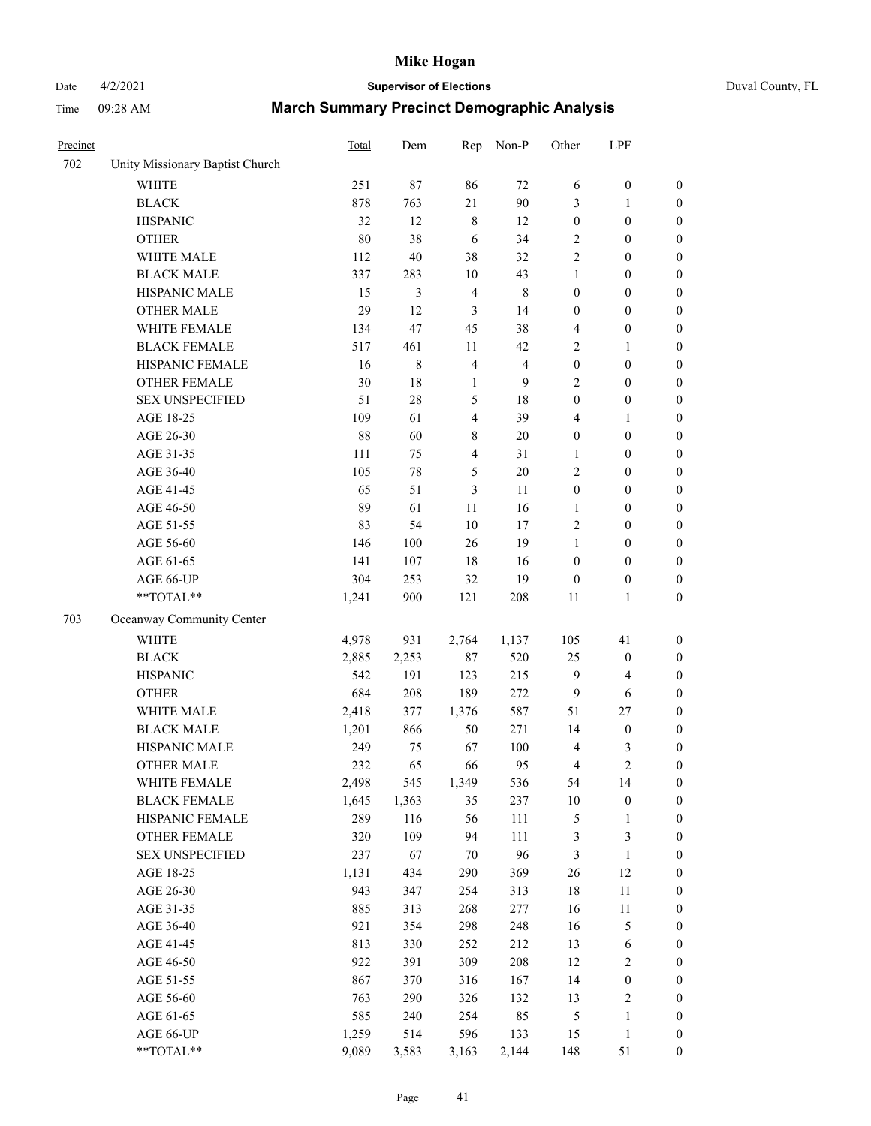# Date 4/2/2021 **Supervisor of Elections** Duval County, FL

| Precinct |                                 | <b>Total</b> | Dem     | Rep            | Non-P          | Other            | LPF              |                  |
|----------|---------------------------------|--------------|---------|----------------|----------------|------------------|------------------|------------------|
| 702      | Unity Missionary Baptist Church |              |         |                |                |                  |                  |                  |
|          | <b>WHITE</b>                    | 251          | 87      | 86             | 72             | 6                | $\boldsymbol{0}$ | 0                |
|          | <b>BLACK</b>                    | 878          | 763     | 21             | 90             | 3                | $\mathbf{1}$     | $\boldsymbol{0}$ |
|          | <b>HISPANIC</b>                 | 32           | 12      | $\,$ 8 $\,$    | 12             | $\boldsymbol{0}$ | $\boldsymbol{0}$ | $\boldsymbol{0}$ |
|          | <b>OTHER</b>                    | 80           | 38      | 6              | 34             | 2                | $\boldsymbol{0}$ | $\boldsymbol{0}$ |
|          | WHITE MALE                      | 112          | 40      | 38             | 32             | 2                | $\boldsymbol{0}$ | $\boldsymbol{0}$ |
|          | <b>BLACK MALE</b>               | 337          | 283     | 10             | 43             | 1                | $\boldsymbol{0}$ | $\boldsymbol{0}$ |
|          | HISPANIC MALE                   | 15           | 3       | $\overline{4}$ | $\,$ 8 $\,$    | $\boldsymbol{0}$ | $\boldsymbol{0}$ | $\boldsymbol{0}$ |
|          | <b>OTHER MALE</b>               | 29           | 12      | $\mathfrak{Z}$ | 14             | $\boldsymbol{0}$ | $\boldsymbol{0}$ | $\boldsymbol{0}$ |
|          | WHITE FEMALE                    | 134          | 47      | 45             | 38             | 4                | $\boldsymbol{0}$ | $\boldsymbol{0}$ |
|          | <b>BLACK FEMALE</b>             | 517          | 461     | 11             | 42             | 2                | $\mathbf{1}$     | $\boldsymbol{0}$ |
|          | HISPANIC FEMALE                 | 16           | $\,8\,$ | $\overline{4}$ | $\overline{4}$ | $\boldsymbol{0}$ | $\boldsymbol{0}$ | $\boldsymbol{0}$ |
|          | <b>OTHER FEMALE</b>             | 30           | $18\,$  | $\mathbf{1}$   | 9              | 2                | $\boldsymbol{0}$ | $\boldsymbol{0}$ |
|          | <b>SEX UNSPECIFIED</b>          | 51           | 28      | 5              | 18             | $\boldsymbol{0}$ | $\boldsymbol{0}$ | $\boldsymbol{0}$ |
|          | AGE 18-25                       | 109          | 61      | $\overline{4}$ | 39             | 4                | 1                | $\boldsymbol{0}$ |
|          | AGE 26-30                       | 88           | 60      | 8              | $20\,$         | $\boldsymbol{0}$ | $\boldsymbol{0}$ | $\boldsymbol{0}$ |
|          | AGE 31-35                       | 111          | 75      | $\overline{4}$ | 31             | $\mathbf{1}$     | $\boldsymbol{0}$ | $\boldsymbol{0}$ |
|          | AGE 36-40                       | 105          | $78\,$  | 5              | 20             | 2                | $\boldsymbol{0}$ | $\boldsymbol{0}$ |
|          | AGE 41-45                       | 65           | 51      | 3              | 11             | $\boldsymbol{0}$ | $\boldsymbol{0}$ | $\boldsymbol{0}$ |
|          | AGE 46-50                       | 89           | 61      | 11             | 16             | $\mathbf{1}$     | $\boldsymbol{0}$ | $\boldsymbol{0}$ |
|          | AGE 51-55                       | 83           | 54      | 10             | 17             | 2                | $\boldsymbol{0}$ | $\boldsymbol{0}$ |
|          | AGE 56-60                       | 146          | 100     | 26             | 19             | $\mathbf{1}$     | $\boldsymbol{0}$ | 0                |
|          | AGE 61-65                       | 141          | 107     | 18             | 16             | $\boldsymbol{0}$ | $\boldsymbol{0}$ | $\boldsymbol{0}$ |
|          | AGE 66-UP                       | 304          | 253     | 32             | 19             | $\boldsymbol{0}$ | $\boldsymbol{0}$ | $\boldsymbol{0}$ |
|          | **TOTAL**                       | 1,241        | 900     | 121            | 208            | 11               | $\mathbf{1}$     | $\boldsymbol{0}$ |
| 703      | Oceanway Community Center       |              |         |                |                |                  |                  |                  |
|          | WHITE                           | 4,978        | 931     | 2,764          | 1,137          | 105              | 41               | $\boldsymbol{0}$ |
|          | <b>BLACK</b>                    | 2,885        | 2,253   | 87             | 520            | 25               | $\boldsymbol{0}$ | $\boldsymbol{0}$ |
|          | <b>HISPANIC</b>                 | 542          | 191     | 123            | 215            | 9                | $\overline{4}$   | $\boldsymbol{0}$ |
|          | <b>OTHER</b>                    | 684          | 208     | 189            | 272            | 9                | 6                | $\boldsymbol{0}$ |
|          | WHITE MALE                      | 2,418        | 377     | 1,376          | 587            | 51               | 27               | $\boldsymbol{0}$ |
|          | <b>BLACK MALE</b>               | 1,201        | 866     | 50             | 271            | 14               | $\boldsymbol{0}$ | $\boldsymbol{0}$ |
|          | HISPANIC MALE                   | 249          | 75      | 67             | 100            | 4                | 3                | $\boldsymbol{0}$ |
|          | <b>OTHER MALE</b>               | 232          | 65      | 66             | 95             | 4                | $\overline{c}$   | $\boldsymbol{0}$ |
|          | WHITE FEMALE                    | 2,498        | 545     | 1,349          | 536            | 54               | 14               | 0                |
|          | <b>BLACK FEMALE</b>             | 1,645        | 1,363   | 35             | 237            | $10\,$           | $\boldsymbol{0}$ | $\boldsymbol{0}$ |
|          | HISPANIC FEMALE                 | 289          | 116     | 56             | 111            | 5                | $\mathbf{1}$     | $\boldsymbol{0}$ |
|          | <b>OTHER FEMALE</b>             | 320          | 109     | 94             | 111            | 3                | $\mathfrak{Z}$   | $\overline{0}$   |
|          | <b>SEX UNSPECIFIED</b>          | 237          | 67      | 70             | 96             | 3                | $\mathbf{1}$     | 0                |
|          | AGE 18-25                       | 1,131        | 434     | 290            | 369            | 26               | 12               | 0                |
|          | AGE 26-30                       | 943          | 347     | 254            | 313            | 18               | 11               | 0                |
|          | AGE 31-35                       | 885          | 313     | 268            | 277            | 16               | $11\,$           | 0                |
|          | AGE 36-40                       | 921          | 354     | 298            | 248            | 16               | $\mathfrak{S}$   | 0                |
|          | AGE 41-45                       | 813          | 330     | 252            | 212            | 13               | 6                | 0                |
|          | AGE 46-50                       | 922          | 391     | 309            | 208            | 12               | $\overline{c}$   | 0                |
|          | AGE 51-55                       | 867          | 370     | 316            | 167            | 14               | $\boldsymbol{0}$ | 0                |
|          | AGE 56-60                       | 763          | 290     | 326            | 132            | 13               | $\sqrt{2}$       | 0                |
|          | AGE 61-65                       | 585          | 240     | 254            | 85             | 5                | $\mathbf{1}$     | $\boldsymbol{0}$ |
|          | AGE 66-UP                       | 1,259        | 514     | 596            | 133            | 15               | $\mathbf{1}$     | 0                |
|          | **TOTAL**                       | 9,089        | 3,583   | 3,163          | 2,144          | 148              | 51               | $\boldsymbol{0}$ |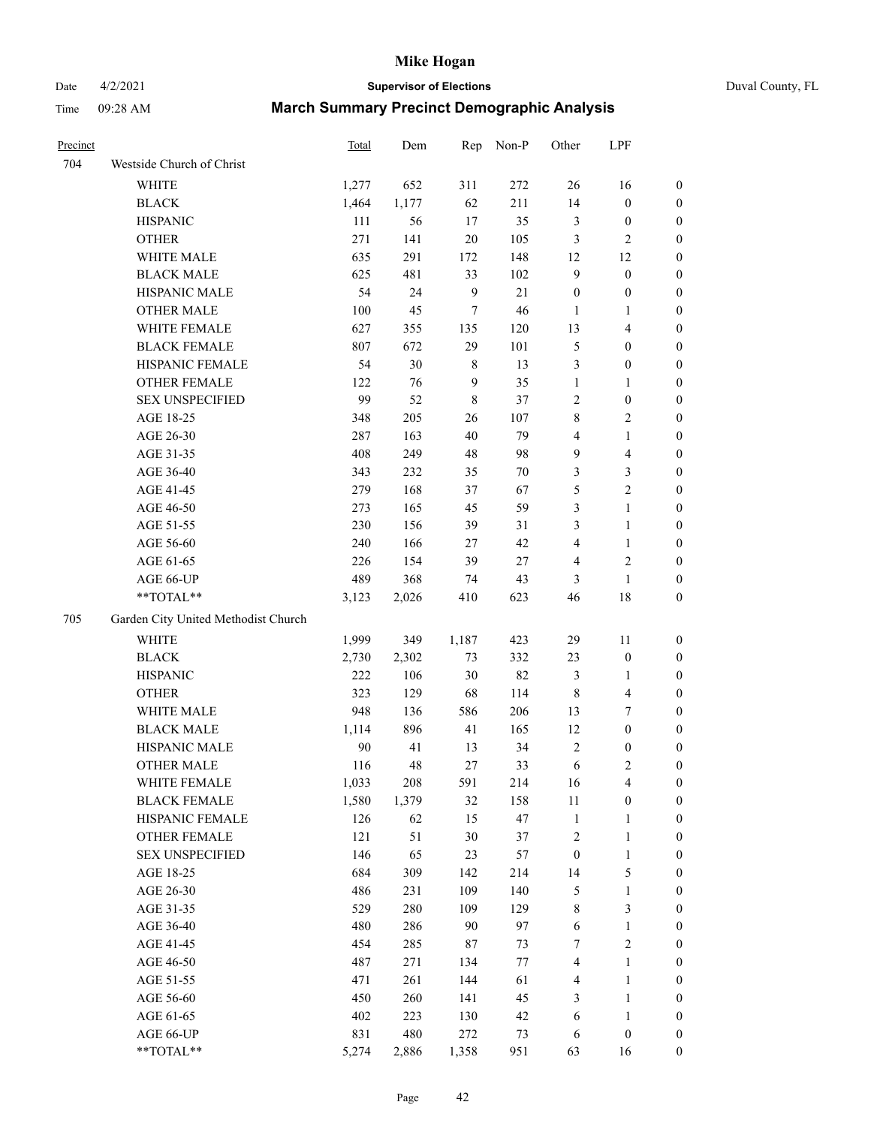# Date 4/2/2021 **Supervisor of Elections** Duval County, FL

| Precinct |                                     | Total | Dem   |              | Rep Non-P | Other                   | LPF              |                  |
|----------|-------------------------------------|-------|-------|--------------|-----------|-------------------------|------------------|------------------|
| 704      | Westside Church of Christ           |       |       |              |           |                         |                  |                  |
|          | WHITE                               | 1,277 | 652   | 311          | 272       | 26                      | 16               | 0                |
|          | <b>BLACK</b>                        | 1,464 | 1,177 | 62           | 211       | 14                      | $\boldsymbol{0}$ | 0                |
|          | <b>HISPANIC</b>                     | 111   | 56    | 17           | 35        | 3                       | $\boldsymbol{0}$ | $\boldsymbol{0}$ |
|          | <b>OTHER</b>                        | 271   | 141   | $20\,$       | 105       | 3                       | $\sqrt{2}$       | $\boldsymbol{0}$ |
|          | WHITE MALE                          | 635   | 291   | 172          | 148       | 12                      | 12               | $\boldsymbol{0}$ |
|          | <b>BLACK MALE</b>                   | 625   | 481   | 33           | 102       | 9                       | $\boldsymbol{0}$ | $\boldsymbol{0}$ |
|          | HISPANIC MALE                       | 54    | 24    | $\mathbf{9}$ | $21\,$    | $\boldsymbol{0}$        | $\boldsymbol{0}$ | $\boldsymbol{0}$ |
|          | <b>OTHER MALE</b>                   | 100   | 45    | 7            | 46        | $\mathbf{1}$            | $\mathbf{1}$     | $\boldsymbol{0}$ |
|          | WHITE FEMALE                        | 627   | 355   | 135          | 120       | 13                      | $\overline{4}$   | $\boldsymbol{0}$ |
|          | <b>BLACK FEMALE</b>                 | 807   | 672   | 29           | 101       | 5                       | $\boldsymbol{0}$ | 0                |
|          | HISPANIC FEMALE                     | 54    | 30    | 8            | 13        | 3                       | $\boldsymbol{0}$ | 0                |
|          | OTHER FEMALE                        | 122   | 76    | 9            | 35        | $\mathbf{1}$            | 1                | 0                |
|          | <b>SEX UNSPECIFIED</b>              | 99    | 52    | 8            | 37        | $\mathbf{2}$            | $\boldsymbol{0}$ | $\boldsymbol{0}$ |
|          | AGE 18-25                           | 348   | 205   | 26           | 107       | 8                       | $\sqrt{2}$       | $\boldsymbol{0}$ |
|          | AGE 26-30                           | 287   | 163   | 40           | 79        | 4                       | $\mathbf{1}$     | $\boldsymbol{0}$ |
|          | AGE 31-35                           | 408   | 249   | 48           | 98        | 9                       | $\overline{4}$   | $\boldsymbol{0}$ |
|          | AGE 36-40                           | 343   | 232   | 35           | 70        | 3                       | $\mathfrak{Z}$   | $\boldsymbol{0}$ |
|          | AGE 41-45                           | 279   | 168   | 37           | 67        | 5                       | $\overline{c}$   | $\overline{0}$   |
|          | AGE 46-50                           | 273   | 165   | 45           | 59        | 3                       | $\mathbf{1}$     | $\boldsymbol{0}$ |
|          | AGE 51-55                           | 230   | 156   | 39           | 31        | 3                       | $\mathbf{1}$     | 0                |
|          | AGE 56-60                           | 240   | 166   | 27           | 42        | 4                       | $\mathbf{1}$     | 0                |
|          | AGE 61-65                           | 226   | 154   | 39           | $27\,$    | 4                       | $\sqrt{2}$       | 0                |
|          | AGE 66-UP                           | 489   | 368   | 74           | 43        | 3                       | $\mathbf{1}$     | $\boldsymbol{0}$ |
|          | $**TOTAL**$                         | 3,123 | 2,026 | 410          | 623       | 46                      | 18               | $\boldsymbol{0}$ |
| 705      | Garden City United Methodist Church |       |       |              |           |                         |                  |                  |
|          | <b>WHITE</b>                        | 1,999 | 349   | 1,187        | 423       | 29                      | 11               | $\boldsymbol{0}$ |
|          | <b>BLACK</b>                        | 2,730 | 2,302 | 73           | 332       | 23                      | $\boldsymbol{0}$ | $\boldsymbol{0}$ |
|          | <b>HISPANIC</b>                     | 222   | 106   | 30           | 82        | 3                       | $\mathbf{1}$     | $\boldsymbol{0}$ |
|          | <b>OTHER</b>                        | 323   | 129   | 68           | 114       | 8                       | $\overline{4}$   | $\boldsymbol{0}$ |
|          | WHITE MALE                          | 948   | 136   | 586          | 206       | 13                      | $\boldsymbol{7}$ | $\boldsymbol{0}$ |
|          | <b>BLACK MALE</b>                   | 1,114 | 896   | 41           | 165       | 12                      | $\boldsymbol{0}$ | $\boldsymbol{0}$ |
|          | HISPANIC MALE                       | 90    | 41    | 13           | 34        | 2                       | $\boldsymbol{0}$ | 0                |
|          | <b>OTHER MALE</b>                   | 116   | 48    | 27           | 33        | 6                       | $\mathfrak{2}$   | 0                |
|          | WHITE FEMALE                        | 1,033 | 208   | 591          | 214       | 16                      | 4                | 0                |
|          | <b>BLACK FEMALE</b>                 | 1,580 | 1,379 | 32           | 158       | 11                      | $\boldsymbol{0}$ | $\boldsymbol{0}$ |
|          | HISPANIC FEMALE                     | 126   | 62    | 15           | 47        | $\mathbf{1}$            | $\mathbf{1}$     | $\overline{0}$   |
|          | <b>OTHER FEMALE</b>                 | 121   | 51    | 30           | 37        | $\overline{\mathbf{c}}$ | $\mathbf{1}$     | $\overline{0}$   |
|          | <b>SEX UNSPECIFIED</b>              | 146   | 65    | 23           | 57        | $\boldsymbol{0}$        | $\mathbf{1}$     | 0                |
|          | AGE 18-25                           | 684   | 309   | 142          | 214       | 14                      | $\mathfrak s$    | 0                |
|          | AGE 26-30                           | 486   | 231   | 109          | 140       | 5                       | $\mathbf{1}$     | 0                |
|          | AGE 31-35                           | 529   | 280   | 109          | 129       | 8                       | $\mathfrak{Z}$   | 0                |
|          | AGE 36-40                           | 480   | 286   | 90           | 97        | 6                       | $\mathbf{1}$     | 0                |
|          | AGE 41-45                           | 454   | 285   | 87           | 73        | 7                       | $\sqrt{2}$       | 0                |
|          | AGE 46-50                           | 487   | 271   | 134          | 77        | 4                       | $\mathbf{1}$     | 0                |
|          | AGE 51-55                           | 471   | 261   | 144          | 61        | 4                       | $\mathbf{1}$     | 0                |
|          | AGE 56-60                           | 450   | 260   | 141          | 45        | 3                       | $\mathbf{1}$     | 0                |
|          | AGE 61-65                           | 402   | 223   | 130          | 42        | 6                       | $\mathbf{1}$     | 0                |
|          | AGE 66-UP                           | 831   | 480   | 272          | 73        | 6                       | $\boldsymbol{0}$ | 0                |
|          | **TOTAL**                           | 5,274 | 2,886 | 1,358        | 951       | 63                      | 16               | $\boldsymbol{0}$ |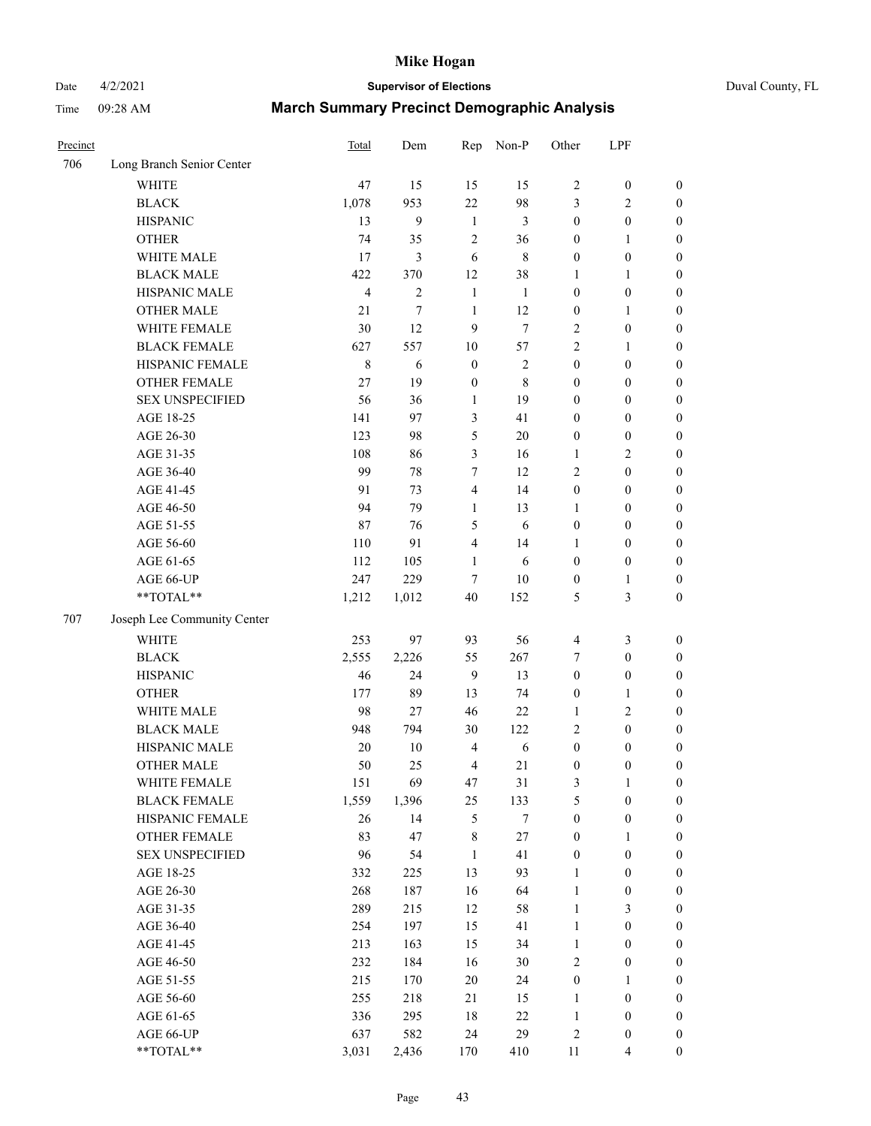Date 4/2/2021 **Supervisor of Elections** Duval County, FL

| Precinct |                             | Total          | Dem            | Rep              | Non-P       | Other                   | LPF              |                  |
|----------|-----------------------------|----------------|----------------|------------------|-------------|-------------------------|------------------|------------------|
| 706      | Long Branch Senior Center   |                |                |                  |             |                         |                  |                  |
|          | <b>WHITE</b>                | 47             | 15             | 15               | 15          | $\overline{c}$          | $\boldsymbol{0}$ | $\boldsymbol{0}$ |
|          | <b>BLACK</b>                | 1,078          | 953            | 22               | 98          | 3                       | $\overline{2}$   | $\boldsymbol{0}$ |
|          | <b>HISPANIC</b>             | 13             | 9              | $\mathbf{1}$     | 3           | $\boldsymbol{0}$        | $\boldsymbol{0}$ | $\boldsymbol{0}$ |
|          | <b>OTHER</b>                | 74             | 35             | $\sqrt{2}$       | 36          | $\boldsymbol{0}$        | 1                | $\boldsymbol{0}$ |
|          | WHITE MALE                  | 17             | 3              | 6                | $\,8\,$     | $\boldsymbol{0}$        | $\boldsymbol{0}$ | $\boldsymbol{0}$ |
|          | <b>BLACK MALE</b>           | 422            | 370            | 12               | 38          | $\mathbf{1}$            | $\mathbf{1}$     | $\boldsymbol{0}$ |
|          | HISPANIC MALE               | $\overline{4}$ | $\overline{c}$ | $\mathbf{1}$     | 1           | $\boldsymbol{0}$        | $\boldsymbol{0}$ | $\boldsymbol{0}$ |
|          | OTHER MALE                  | 21             | 7              | $\mathbf{1}$     | 12          | $\boldsymbol{0}$        | 1                | $\boldsymbol{0}$ |
|          | WHITE FEMALE                | 30             | 12             | 9                | $\tau$      | $\sqrt{2}$              | $\boldsymbol{0}$ | $\boldsymbol{0}$ |
|          | <b>BLACK FEMALE</b>         | 627            | 557            | 10               | 57          | $\overline{2}$          | $\mathbf{1}$     | 0                |
|          | HISPANIC FEMALE             | $\,$ 8 $\,$    | 6              | $\boldsymbol{0}$ | $\sqrt{2}$  | $\boldsymbol{0}$        | $\boldsymbol{0}$ | $\boldsymbol{0}$ |
|          | <b>OTHER FEMALE</b>         | 27             | 19             | $\boldsymbol{0}$ | $\,$ 8 $\,$ | $\boldsymbol{0}$        | $\boldsymbol{0}$ | $\boldsymbol{0}$ |
|          | <b>SEX UNSPECIFIED</b>      | 56             | 36             | $\mathbf{1}$     | 19          | $\boldsymbol{0}$        | $\boldsymbol{0}$ | $\boldsymbol{0}$ |
|          | AGE 18-25                   | 141            | 97             | 3                | 41          | $\boldsymbol{0}$        | $\boldsymbol{0}$ | $\boldsymbol{0}$ |
|          | AGE 26-30                   | 123            | 98             | 5                | 20          | $\boldsymbol{0}$        | $\boldsymbol{0}$ | $\boldsymbol{0}$ |
|          | AGE 31-35                   | 108            | 86             | 3                | 16          | $\mathbf{1}$            | $\sqrt{2}$       | $\boldsymbol{0}$ |
|          | AGE 36-40                   | 99             | 78             | $\tau$           | 12          | 2                       | $\boldsymbol{0}$ | $\boldsymbol{0}$ |
|          | AGE 41-45                   | 91             | 73             | $\overline{4}$   | 14          | $\boldsymbol{0}$        | $\boldsymbol{0}$ | $\boldsymbol{0}$ |
|          | AGE 46-50                   | 94             | 79             | 1                | 13          | 1                       | $\boldsymbol{0}$ | $\boldsymbol{0}$ |
|          | AGE 51-55                   | 87             | 76             | 5                | 6           | $\boldsymbol{0}$        | $\boldsymbol{0}$ | 0                |
|          | AGE 56-60                   | 110            | 91             | $\overline{4}$   | 14          | 1                       | $\boldsymbol{0}$ | $\boldsymbol{0}$ |
|          | AGE 61-65                   | 112            | 105            | $\mathbf{1}$     | 6           | $\boldsymbol{0}$        | $\boldsymbol{0}$ | $\boldsymbol{0}$ |
|          | AGE 66-UP                   | 247            | 229            | 7                | $10\,$      | $\boldsymbol{0}$        | $\mathbf{1}$     | $\boldsymbol{0}$ |
|          | **TOTAL**                   | 1,212          | 1,012          | 40               | 152         | 5                       | $\mathfrak{Z}$   | $\boldsymbol{0}$ |
| 707      | Joseph Lee Community Center |                |                |                  |             |                         |                  |                  |
|          | <b>WHITE</b>                | 253            | 97             | 93               | 56          | $\overline{\mathbf{4}}$ | $\mathfrak{Z}$   | $\boldsymbol{0}$ |
|          | <b>BLACK</b>                | 2,555          | 2,226          | 55               | 267         | 7                       | $\boldsymbol{0}$ | $\boldsymbol{0}$ |
|          | <b>HISPANIC</b>             | 46             | 24             | 9                | 13          | $\boldsymbol{0}$        | $\boldsymbol{0}$ | $\boldsymbol{0}$ |
|          | <b>OTHER</b>                | 177            | 89             | 13               | 74          | $\boldsymbol{0}$        | $\mathbf{1}$     | $\boldsymbol{0}$ |
|          | WHITE MALE                  | 98             | 27             | 46               | 22          | $\mathbf{1}$            | $\sqrt{2}$       | $\boldsymbol{0}$ |
|          | <b>BLACK MALE</b>           | 948            | 794            | 30               | 122         | 2                       | $\boldsymbol{0}$ | $\boldsymbol{0}$ |
|          | HISPANIC MALE               | 20             | 10             | $\overline{4}$   | $\sqrt{6}$  | $\boldsymbol{0}$        | $\boldsymbol{0}$ | 0                |
|          | <b>OTHER MALE</b>           | 50             | 25             | $\overline{4}$   | 21          | $\boldsymbol{0}$        | $\boldsymbol{0}$ | $\boldsymbol{0}$ |
|          | WHITE FEMALE                | 151            | 69             | 47               | $31\,$      | 3                       | $\mathbf{1}$     | $\boldsymbol{0}$ |
|          | <b>BLACK FEMALE</b>         | 1,559          | 1,396          | 25               | 133         | 5                       | $\boldsymbol{0}$ | $\overline{0}$   |
|          | HISPANIC FEMALE             | 26             | 14             | 5                | $\tau$      | $\boldsymbol{0}$        | $\boldsymbol{0}$ | $\overline{0}$   |
|          | <b>OTHER FEMALE</b>         | 83             | 47             | $\,$ $\,$        | $27\,$      | $\boldsymbol{0}$        | $\mathbf{1}$     | $\overline{0}$   |
|          | <b>SEX UNSPECIFIED</b>      | 96             | 54             | $\mathbf{1}$     | 41          | $\boldsymbol{0}$        | $\boldsymbol{0}$ | $\overline{0}$   |
|          | AGE 18-25                   | 332            | 225            | 13               | 93          | $\mathbf{1}$            | $\boldsymbol{0}$ | 0                |
|          | AGE 26-30                   | 268            | 187            | 16               | 64          | $\mathbf{1}$            | $\boldsymbol{0}$ | 0                |
|          | AGE 31-35                   | 289            | 215            | 12               | 58          | $\mathbf{1}$            | $\mathfrak{Z}$   | 0                |
|          | AGE 36-40                   | 254            | 197            | 15               | 41          | $\mathbf{1}$            | $\boldsymbol{0}$ | 0                |
|          | AGE 41-45                   | 213            | 163            | 15               | 34          | $\mathbf{1}$            | $\boldsymbol{0}$ | 0                |
|          | AGE 46-50                   | 232            | 184            | 16               | $30\,$      | 2                       | $\boldsymbol{0}$ | $\boldsymbol{0}$ |
|          | AGE 51-55                   | 215            | 170            | $20\,$           | 24          | $\boldsymbol{0}$        | $\mathbf{1}$     | $\boldsymbol{0}$ |
|          | AGE 56-60                   | 255            | 218            | 21               | 15          | $\mathbf{1}$            | $\boldsymbol{0}$ | $\boldsymbol{0}$ |
|          | AGE 61-65                   | 336            | 295            | 18               | $22\,$      | $\mathbf{1}$            | $\boldsymbol{0}$ | $\boldsymbol{0}$ |
|          | AGE 66-UP                   | 637            | 582            | 24               | 29          | 2                       | $\boldsymbol{0}$ | $\boldsymbol{0}$ |
|          | **TOTAL**                   | 3,031          | 2,436          | 170              | 410         | 11                      | $\overline{4}$   | $\boldsymbol{0}$ |
|          |                             |                |                |                  |             |                         |                  |                  |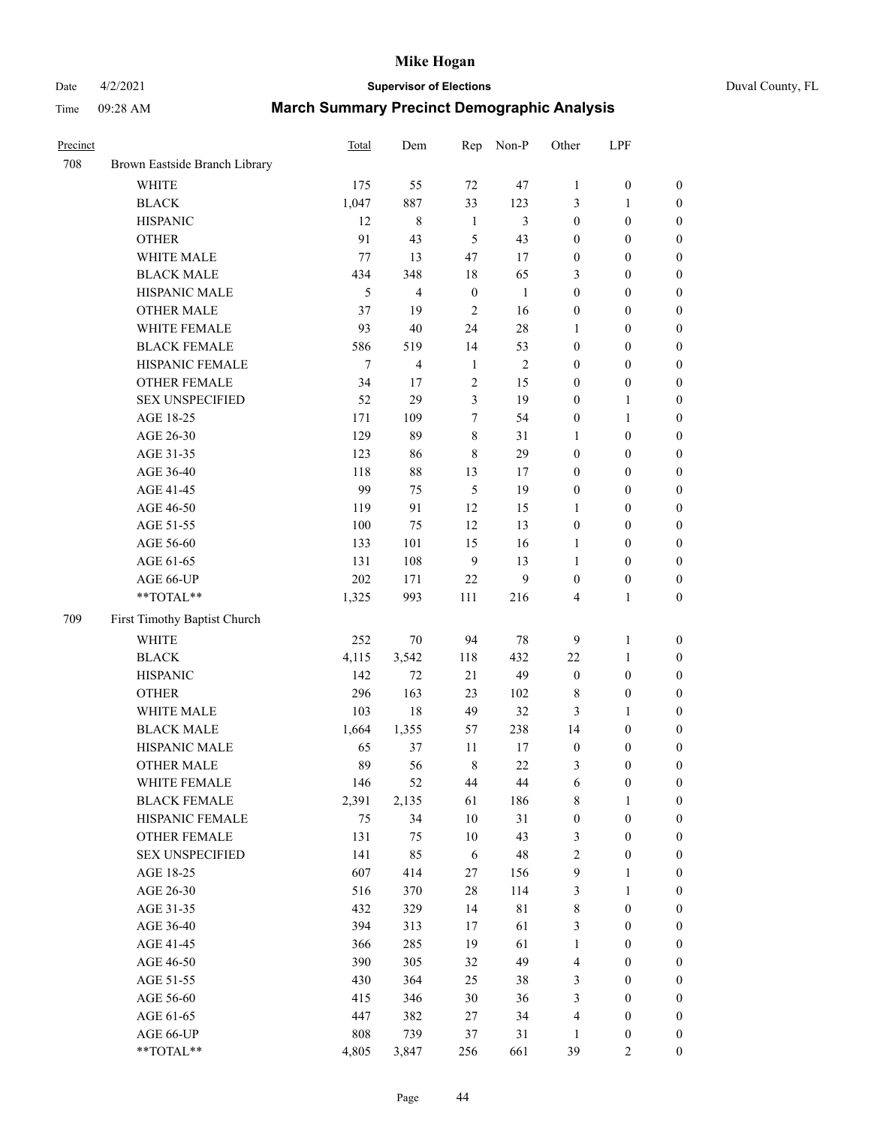# Date 4/2/2021 **Supervisor of Elections** Duval County, FL

| Precinct |                               | Total          | Dem            | Rep              | Non-P        | Other            | LPF              |                  |
|----------|-------------------------------|----------------|----------------|------------------|--------------|------------------|------------------|------------------|
| 708      | Brown Eastside Branch Library |                |                |                  |              |                  |                  |                  |
|          | <b>WHITE</b>                  | 175            | 55             | 72               | 47           | $\mathbf{1}$     | $\boldsymbol{0}$ | $\boldsymbol{0}$ |
|          | <b>BLACK</b>                  | 1,047          | 887            | 33               | 123          | 3                | $\mathbf{1}$     | $\boldsymbol{0}$ |
|          | <b>HISPANIC</b>               | 12             | $\,8\,$        | $\mathbf{1}$     | 3            | $\boldsymbol{0}$ | $\boldsymbol{0}$ | $\boldsymbol{0}$ |
|          | <b>OTHER</b>                  | 91             | 43             | 5                | 43           | $\boldsymbol{0}$ | $\boldsymbol{0}$ | $\boldsymbol{0}$ |
|          | WHITE MALE                    | 77             | 13             | 47               | 17           | $\boldsymbol{0}$ | $\boldsymbol{0}$ | $\boldsymbol{0}$ |
|          | <b>BLACK MALE</b>             | 434            | 348            | 18               | 65           | 3                | $\boldsymbol{0}$ | $\boldsymbol{0}$ |
|          | HISPANIC MALE                 | $\mathfrak{H}$ | $\overline{4}$ | $\boldsymbol{0}$ | $\mathbf{1}$ | $\boldsymbol{0}$ | $\boldsymbol{0}$ | $\boldsymbol{0}$ |
|          | <b>OTHER MALE</b>             | 37             | 19             | $\overline{2}$   | 16           | $\boldsymbol{0}$ | $\boldsymbol{0}$ | $\boldsymbol{0}$ |
|          | WHITE FEMALE                  | 93             | 40             | 24               | $28\,$       | $\mathbf{1}$     | $\boldsymbol{0}$ | $\boldsymbol{0}$ |
|          | <b>BLACK FEMALE</b>           | 586            | 519            | 14               | 53           | $\boldsymbol{0}$ | $\boldsymbol{0}$ | $\boldsymbol{0}$ |
|          | HISPANIC FEMALE               | 7              | $\overline{4}$ | $\mathbf{1}$     | $\sqrt{2}$   | $\boldsymbol{0}$ | $\boldsymbol{0}$ | $\boldsymbol{0}$ |
|          | <b>OTHER FEMALE</b>           | 34             | 17             | $\sqrt{2}$       | 15           | $\boldsymbol{0}$ | $\boldsymbol{0}$ | $\boldsymbol{0}$ |
|          | <b>SEX UNSPECIFIED</b>        | 52             | 29             | 3                | 19           | $\boldsymbol{0}$ | $\mathbf{1}$     | $\boldsymbol{0}$ |
|          | AGE 18-25                     | 171            | 109            | 7                | 54           | $\boldsymbol{0}$ | $\mathbf{1}$     | $\boldsymbol{0}$ |
|          | AGE 26-30                     | 129            | 89             | $\,$ $\,$        | 31           | 1                | $\boldsymbol{0}$ | $\boldsymbol{0}$ |
|          | AGE 31-35                     | 123            | 86             | $\,$ 8 $\,$      | 29           | $\boldsymbol{0}$ | $\boldsymbol{0}$ | $\boldsymbol{0}$ |
|          | AGE 36-40                     | 118            | $88\,$         | 13               | 17           | $\boldsymbol{0}$ | $\boldsymbol{0}$ | $\boldsymbol{0}$ |
|          | AGE 41-45                     | 99             | 75             | $\sqrt{5}$       | 19           | $\boldsymbol{0}$ | $\boldsymbol{0}$ | $\boldsymbol{0}$ |
|          | AGE 46-50                     | 119            | 91             | 12               | 15           | 1                | $\boldsymbol{0}$ | $\boldsymbol{0}$ |
|          | AGE 51-55                     | 100            | 75             | 12               | 13           | $\boldsymbol{0}$ | $\boldsymbol{0}$ |                  |
|          |                               |                |                |                  |              |                  |                  | 0                |
|          | AGE 56-60                     | 133            | 101            | 15               | 16           | 1                | $\boldsymbol{0}$ | $\boldsymbol{0}$ |
|          | AGE 61-65                     | 131            | 108            | 9                | 13<br>9      | $\mathbf{1}$     | $\boldsymbol{0}$ | $\boldsymbol{0}$ |
|          | AGE 66-UP<br>**TOTAL**        | 202            | 171            | 22               |              | $\boldsymbol{0}$ | $\boldsymbol{0}$ | $\boldsymbol{0}$ |
|          |                               | 1,325          | 993            | 111              | 216          | 4                | $\mathbf{1}$     | $\boldsymbol{0}$ |
| 709      | First Timothy Baptist Church  |                |                |                  |              |                  |                  |                  |
|          | <b>WHITE</b>                  | 252            | $70\,$         | 94               | $78\,$       | 9                | $\mathbf{1}$     | $\boldsymbol{0}$ |
|          | <b>BLACK</b>                  | 4,115          | 3,542          | 118              | 432          | $22\,$           | $\mathbf{1}$     | $\boldsymbol{0}$ |
|          | <b>HISPANIC</b>               | 142            | 72             | 21               | 49           | $\boldsymbol{0}$ | $\boldsymbol{0}$ | $\boldsymbol{0}$ |
|          | <b>OTHER</b>                  | 296            | 163            | 23               | 102          | 8                | $\boldsymbol{0}$ | $\boldsymbol{0}$ |
|          | WHITE MALE                    | 103            | 18             | 49               | 32           | 3                | 1                | $\boldsymbol{0}$ |
|          | <b>BLACK MALE</b>             | 1,664          | 1,355          | 57               | 238          | 14               | $\boldsymbol{0}$ | $\boldsymbol{0}$ |
|          | HISPANIC MALE                 | 65             | 37             | 11               | 17           | $\boldsymbol{0}$ | $\boldsymbol{0}$ | 0                |
|          | <b>OTHER MALE</b>             | 89             | 56             | $\,$ 8 $\,$      | 22           | 3                | $\boldsymbol{0}$ | $\boldsymbol{0}$ |
|          | WHITE FEMALE                  | 146            | 52             | 44               | $44\,$       | 6                | $\boldsymbol{0}$ | $\boldsymbol{0}$ |
|          | <b>BLACK FEMALE</b>           | 2,391          | 2,135          | 61               | 186          | 8                | $\mathbf{1}$     | $\boldsymbol{0}$ |
|          | HISPANIC FEMALE               | 75             | 34             | $10\,$           | 31           | $\boldsymbol{0}$ | $\boldsymbol{0}$ | $\overline{0}$   |
|          | <b>OTHER FEMALE</b>           | 131            | 75             | 10               | 43           | 3                | $\boldsymbol{0}$ | $\overline{0}$   |
|          | <b>SEX UNSPECIFIED</b>        | 141            | 85             | 6                | 48           | 2                | $\boldsymbol{0}$ | $\overline{0}$   |
|          | AGE 18-25                     | 607            | 414            | 27               | 156          | 9                | $\mathbf{1}$     | $\overline{0}$   |
|          | AGE 26-30                     | 516            | 370            | 28               | 114          | 3                | $\mathbf{1}$     | 0                |
|          | AGE 31-35                     | 432            | 329            | 14               | $8\sqrt{1}$  | 8                | $\boldsymbol{0}$ | 0                |
|          | AGE 36-40                     | 394            | 313            | 17               | 61           | 3                | $\boldsymbol{0}$ | 0                |
|          | AGE 41-45                     | 366            | 285            | 19               | 61           | $\mathbf{1}$     | $\boldsymbol{0}$ | 0                |
|          | AGE 46-50                     | 390            | 305            | 32               | 49           | 4                | $\boldsymbol{0}$ | $\boldsymbol{0}$ |
|          | AGE 51-55                     | 430            | 364            | 25               | 38           | 3                | $\boldsymbol{0}$ | $\boldsymbol{0}$ |
|          | AGE 56-60                     | 415            | 346            | 30               | 36           | 3                | $\boldsymbol{0}$ | $\boldsymbol{0}$ |
|          | AGE 61-65                     | 447            | 382            | 27               | 34           | 4                | $\boldsymbol{0}$ | $\boldsymbol{0}$ |
|          | AGE 66-UP                     | 808            | 739            | 37               | 31           | $\mathbf{1}$     | $\boldsymbol{0}$ | $\boldsymbol{0}$ |
|          | **TOTAL**                     | 4,805          | 3,847          | 256              | 661          | 39               | $\overline{c}$   | $\boldsymbol{0}$ |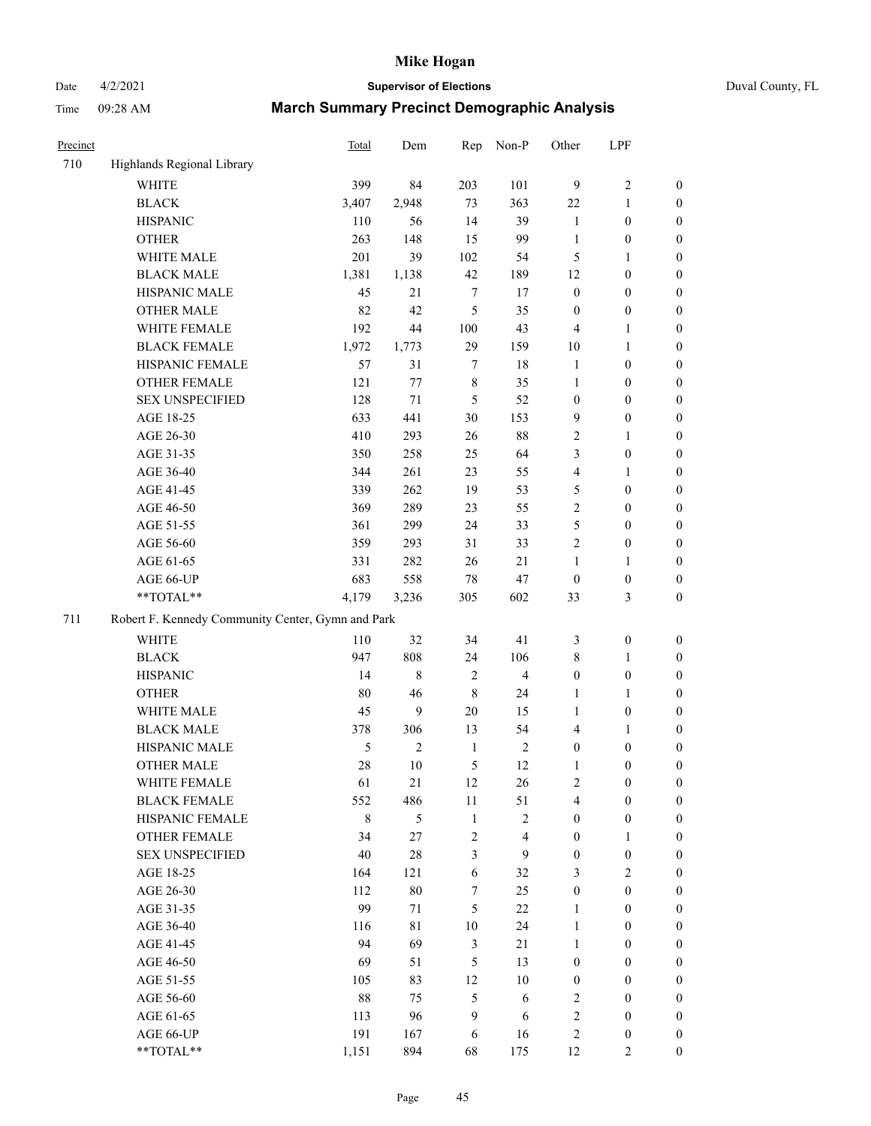Date 4/2/2021 **Supervisor of Elections** Duval County, FL

| Precinct |                                                   | <b>Total</b> | Dem            | Rep              | Non-P                   | Other            | LPF              |                  |
|----------|---------------------------------------------------|--------------|----------------|------------------|-------------------------|------------------|------------------|------------------|
| 710      | Highlands Regional Library                        |              |                |                  |                         |                  |                  |                  |
|          | <b>WHITE</b>                                      | 399          | 84             | 203              | 101                     | 9                | $\sqrt{2}$       | 0                |
|          | <b>BLACK</b>                                      | 3,407        | 2,948          | 73               | 363                     | 22               | $\mathbf{1}$     | 0                |
|          | <b>HISPANIC</b>                                   | 110          | 56             | 14               | 39                      | $\mathbf{1}$     | $\boldsymbol{0}$ | $\boldsymbol{0}$ |
|          | <b>OTHER</b>                                      | 263          | 148            | 15               | 99                      | $\mathbf{1}$     | $\boldsymbol{0}$ | $\boldsymbol{0}$ |
|          | WHITE MALE                                        | 201          | 39             | 102              | 54                      | 5                | 1                | $\boldsymbol{0}$ |
|          | <b>BLACK MALE</b>                                 | 1,381        | 1,138          | 42               | 189                     | 12               | $\boldsymbol{0}$ | $\boldsymbol{0}$ |
|          | HISPANIC MALE                                     | 45           | 21             | 7                | 17                      | $\boldsymbol{0}$ | $\boldsymbol{0}$ | $\boldsymbol{0}$ |
|          | <b>OTHER MALE</b>                                 | 82           | 42             | 5                | 35                      | $\boldsymbol{0}$ | $\boldsymbol{0}$ | $\boldsymbol{0}$ |
|          | WHITE FEMALE                                      | 192          | 44             | 100              | 43                      | 4                | 1                | $\boldsymbol{0}$ |
|          | <b>BLACK FEMALE</b>                               | 1,972        | 1,773          | 29               | 159                     | $10\,$           | 1                | 0                |
|          | HISPANIC FEMALE                                   | 57           | 31             | $\tau$           | 18                      | $\mathbf{1}$     | $\boldsymbol{0}$ | 0                |
|          | OTHER FEMALE                                      | 121          | 77             | $\,$ 8 $\,$      | 35                      | $\mathbf{1}$     | $\boldsymbol{0}$ | $\boldsymbol{0}$ |
|          | <b>SEX UNSPECIFIED</b>                            | 128          | 71             | 5                | 52                      | $\boldsymbol{0}$ | $\boldsymbol{0}$ | $\boldsymbol{0}$ |
|          | AGE 18-25                                         | 633          | 441            | 30               | 153                     | 9                | $\boldsymbol{0}$ | $\boldsymbol{0}$ |
|          | AGE 26-30                                         | 410          | 293            | 26               | $88\,$                  | 2                | $\mathbf{1}$     | $\boldsymbol{0}$ |
|          | AGE 31-35                                         | 350          | 258            | 25               | 64                      | 3                | $\boldsymbol{0}$ | $\boldsymbol{0}$ |
|          | AGE 36-40                                         | 344          | 261            | 23               | 55                      | 4                | $\mathbf{1}$     | $\boldsymbol{0}$ |
|          | AGE 41-45                                         | 339          | 262            | 19               | 53                      | 5                | $\boldsymbol{0}$ | $\boldsymbol{0}$ |
|          | AGE 46-50                                         | 369          | 289            | 23               | 55                      | $\overline{2}$   | $\boldsymbol{0}$ | $\boldsymbol{0}$ |
|          | AGE 51-55                                         | 361          | 299            | 24               | 33                      | 5                | $\boldsymbol{0}$ | $\boldsymbol{0}$ |
|          | AGE 56-60                                         | 359          | 293            | 31               | 33                      | $\overline{c}$   | $\boldsymbol{0}$ | 0                |
|          | AGE 61-65                                         | 331          | 282            | 26               | 21                      | 1                | $\mathbf{1}$     | 0                |
|          | AGE 66-UP                                         | 683          | 558            | $78\,$           | 47                      | $\boldsymbol{0}$ | $\boldsymbol{0}$ | $\boldsymbol{0}$ |
|          | **TOTAL**                                         | 4,179        | 3,236          | 305              | 602                     | 33               | $\mathfrak{Z}$   | $\boldsymbol{0}$ |
| 711      | Robert F. Kennedy Community Center, Gymn and Park |              |                |                  |                         |                  |                  |                  |
|          | WHITE                                             | 110          | 32             | 34               | 41                      | 3                | $\boldsymbol{0}$ | $\boldsymbol{0}$ |
|          | <b>BLACK</b>                                      | 947          | 808            | 24               | 106                     | 8                | $\mathbf{1}$     | $\boldsymbol{0}$ |
|          | <b>HISPANIC</b>                                   | 14           | $\,8\,$        | 2                | $\overline{4}$          | $\boldsymbol{0}$ | $\boldsymbol{0}$ | $\boldsymbol{0}$ |
|          | <b>OTHER</b>                                      | 80           | 46             | $\,8\,$          | 24                      | 1                | $\mathbf{1}$     | $\boldsymbol{0}$ |
|          | WHITE MALE                                        | 45           | 9              | $20\,$           | 15                      | $\mathbf{1}$     | $\boldsymbol{0}$ | $\boldsymbol{0}$ |
|          | <b>BLACK MALE</b>                                 | 378          | 306            | 13               | 54                      | 4                | 1                | $\boldsymbol{0}$ |
|          | HISPANIC MALE                                     | 5            | $\overline{c}$ | $\mathbf{1}$     | $\sqrt{2}$              | $\boldsymbol{0}$ | $\boldsymbol{0}$ | $\boldsymbol{0}$ |
|          | OTHER MALE                                        | 28           | 10             | 5                | 12                      | $\mathbf{1}$     | $\boldsymbol{0}$ | $\boldsymbol{0}$ |
|          | WHITE FEMALE                                      | 61           | 21             | 12               | 26                      | 2                | $\boldsymbol{0}$ | 0                |
|          | <b>BLACK FEMALE</b>                               | 552          | 486            | $11\,$           | 51                      | 4                | $\boldsymbol{0}$ | $\overline{0}$   |
|          | HISPANIC FEMALE                                   | $\,$ 8 $\,$  | 5              | $\mathbf{1}$     | $\sqrt{2}$              | $\boldsymbol{0}$ | $\boldsymbol{0}$ | $\overline{0}$   |
|          | OTHER FEMALE                                      | 34           | 27             | $\boldsymbol{2}$ | $\overline{\mathbf{4}}$ | $\boldsymbol{0}$ | $\mathbf{1}$     | $\overline{0}$   |
|          | <b>SEX UNSPECIFIED</b>                            | 40           | $28\,$         | 3                | 9                       | $\boldsymbol{0}$ | $\boldsymbol{0}$ | 0                |
|          | AGE 18-25                                         | 164          | 121            | 6                | 32                      | 3                | $\mathfrak{2}$   | $\theta$         |
|          | AGE 26-30                                         | 112          | $80\,$         | 7                | 25                      | $\boldsymbol{0}$ | $\boldsymbol{0}$ | 0                |
|          | AGE 31-35                                         | 99           | 71             | 5                | $22\,$                  | $\mathbf{1}$     | $\boldsymbol{0}$ | 0                |
|          | AGE 36-40                                         | 116          | 81             | 10               | 24                      | $\mathbf{1}$     | $\boldsymbol{0}$ | 0                |
|          | AGE 41-45                                         | 94           | 69             | 3                | 21                      | $\mathbf{1}$     | $\boldsymbol{0}$ | 0                |
|          | AGE 46-50                                         | 69           | 51             | 5                | 13                      | $\boldsymbol{0}$ | $\boldsymbol{0}$ | 0                |
|          | AGE 51-55                                         | 105          | 83             | 12               | $10\,$                  | $\boldsymbol{0}$ | $\boldsymbol{0}$ | $\overline{0}$   |
|          | AGE 56-60                                         | 88           | 75             | 5                | 6                       | 2                | $\boldsymbol{0}$ | $\boldsymbol{0}$ |
|          | AGE 61-65                                         | 113          | 96             | 9                | 6                       | 2                | $\boldsymbol{0}$ | $\overline{0}$   |
|          | AGE 66-UP                                         | 191          | 167            | 6                | 16                      | 2                | $\boldsymbol{0}$ | 0                |
|          | **TOTAL**                                         | 1,151        | 894            | 68               | 175                     | 12               | $\mathbf{2}$     | $\boldsymbol{0}$ |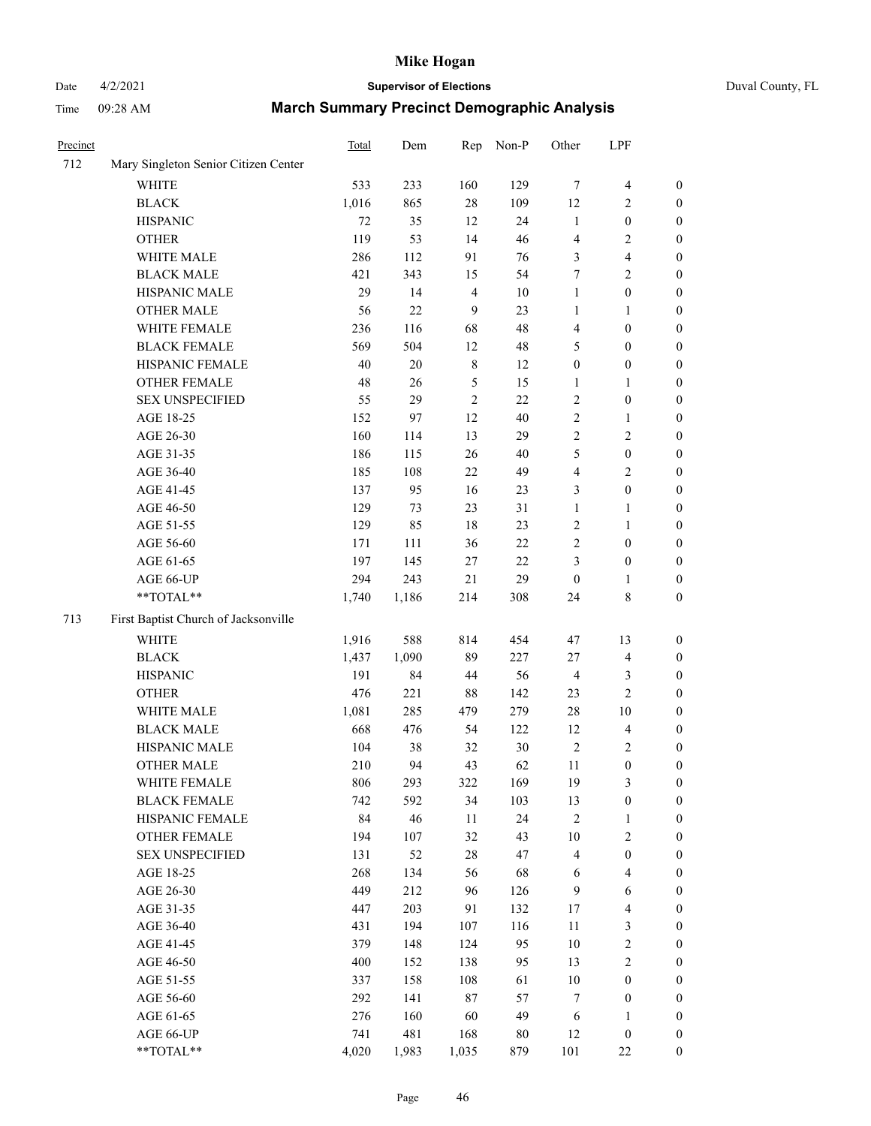# Date 4/2/2021 **Supervisor of Elections** Duval County, FL

| Precinct |                                      | Total        | Dem    |                  | Rep Non-P | Other                  | LPF              |                                      |
|----------|--------------------------------------|--------------|--------|------------------|-----------|------------------------|------------------|--------------------------------------|
| 712      | Mary Singleton Senior Citizen Center |              |        |                  |           |                        |                  |                                      |
|          | <b>WHITE</b>                         | 533          | 233    | 160              | 129       | 7                      | $\overline{4}$   | 0                                    |
|          | <b>BLACK</b>                         | 1,016        | 865    | $28\,$           | 109       | 12                     | $\overline{c}$   | $\boldsymbol{0}$                     |
|          | <b>HISPANIC</b>                      | 72           | 35     | 12               | 24        | $\mathbf{1}$           | $\boldsymbol{0}$ | $\boldsymbol{0}$                     |
|          | <b>OTHER</b>                         | 119          | 53     | 14               | 46        | 4                      | $\sqrt{2}$       | $\boldsymbol{0}$                     |
|          | WHITE MALE                           | 286          | 112    | 91               | 76        | 3                      | $\overline{4}$   | $\boldsymbol{0}$                     |
|          | <b>BLACK MALE</b>                    | 421          | 343    | 15               | 54        | 7                      | $\sqrt{2}$       | $\boldsymbol{0}$                     |
|          | HISPANIC MALE                        | 29           | 14     | $\overline{4}$   | $10\,$    | $\mathbf{1}$           | $\boldsymbol{0}$ | $\boldsymbol{0}$                     |
|          | <b>OTHER MALE</b>                    | 56           | 22     | $\boldsymbol{9}$ | 23        | $\mathbf{1}$           | 1                | $\boldsymbol{0}$                     |
|          | WHITE FEMALE                         | 236          | 116    | 68               | 48        | 4                      | $\boldsymbol{0}$ | $\boldsymbol{0}$                     |
|          | <b>BLACK FEMALE</b>                  | 569          | 504    | 12               | 48        | 5                      | $\boldsymbol{0}$ | 0                                    |
|          | HISPANIC FEMALE                      | 40           | $20\,$ | $\,$ 8 $\,$      | 12        | $\boldsymbol{0}$       | $\boldsymbol{0}$ | $\boldsymbol{0}$                     |
|          | <b>OTHER FEMALE</b>                  | 48           | 26     | 5                | 15        | 1                      | 1                | $\boldsymbol{0}$                     |
|          | <b>SEX UNSPECIFIED</b>               | 55           | 29     | $\sqrt{2}$       | 22        | 2                      | $\boldsymbol{0}$ | $\boldsymbol{0}$                     |
|          | AGE 18-25                            | 152          | 97     | $12\,$           | 40        | 2                      | $\mathbf{1}$     | $\boldsymbol{0}$                     |
|          | AGE 26-30                            | 160          | 114    | 13               | 29        | 2                      | $\sqrt{2}$       | $\boldsymbol{0}$                     |
|          | AGE 31-35                            | 186          | 115    | 26               | $40\,$    | 5                      | $\boldsymbol{0}$ | $\boldsymbol{0}$                     |
|          | AGE 36-40                            | 185          | 108    | $22\,$           | 49        | 4                      | $\sqrt{2}$       | $\boldsymbol{0}$                     |
|          | AGE 41-45                            | 137          | 95     | 16               | 23        | 3                      | $\boldsymbol{0}$ | $\boldsymbol{0}$                     |
|          | AGE 46-50                            | 129          | 73     | 23               | 31        | $\mathbf{1}$           | 1                | $\boldsymbol{0}$                     |
|          | AGE 51-55                            | 129          | 85     | $18\,$           | 23        | 2                      | 1                | 0                                    |
|          |                                      | 171          |        |                  | $22\,$    |                        | $\boldsymbol{0}$ |                                      |
|          | AGE 56-60                            | 197          | 111    | 36<br>$27\,$     | $22\,$    | 2                      | $\boldsymbol{0}$ | 0<br>$\boldsymbol{0}$                |
|          | AGE 61-65                            |              | 145    |                  |           | 3                      |                  |                                      |
|          | AGE 66-UP<br>**TOTAL**               | 294<br>1,740 | 243    | 21<br>214        | 29        | $\boldsymbol{0}$<br>24 | 1<br>$\,$ 8 $\,$ | $\boldsymbol{0}$<br>$\boldsymbol{0}$ |
|          |                                      |              | 1,186  |                  | 308       |                        |                  |                                      |
| 713      | First Baptist Church of Jacksonville |              |        |                  |           |                        |                  |                                      |
|          | <b>WHITE</b>                         | 1,916        | 588    | 814              | 454       | 47                     | 13               | $\boldsymbol{0}$                     |
|          | <b>BLACK</b>                         | 1,437        | 1,090  | 89               | 227       | 27                     | $\overline{4}$   | $\boldsymbol{0}$                     |
|          | <b>HISPANIC</b>                      | 191          | 84     | 44               | 56        | 4                      | $\mathfrak{Z}$   | $\boldsymbol{0}$                     |
|          | <b>OTHER</b>                         | 476          | 221    | 88               | 142       | 23                     | $\sqrt{2}$       | $\boldsymbol{0}$                     |
|          | WHITE MALE                           | 1,081        | 285    | 479              | 279       | $28\,$                 | 10               | $\boldsymbol{0}$                     |
|          | <b>BLACK MALE</b>                    | 668          | 476    | 54               | 122       | 12                     | $\overline{4}$   | $\boldsymbol{0}$                     |
|          | HISPANIC MALE                        | 104          | 38     | 32               | $30\,$    | $\sqrt{2}$             | $\overline{c}$   | 0                                    |
|          | <b>OTHER MALE</b>                    | 210          | 94     | 43               | 62        | 11                     | $\boldsymbol{0}$ | $\boldsymbol{0}$                     |
|          | WHITE FEMALE                         | 806          | 293    | 322              | 169       | 19                     | 3                | $\overline{0}$                       |
|          | <b>BLACK FEMALE</b>                  | 742          | 592    | 34               | 103       | 13                     | $\boldsymbol{0}$ | $\overline{0}$                       |
|          | HISPANIC FEMALE                      | 84           | 46     | $11\,$           | 24        | $\overline{c}$         | $\mathbf{1}$     | $\overline{0}$                       |
|          | <b>OTHER FEMALE</b>                  | 194          | 107    | 32               | 43        | $10\,$                 | $\sqrt{2}$       | 0                                    |
|          | <b>SEX UNSPECIFIED</b>               | 131          | 52     | $28\,$           | 47        | 4                      | $\boldsymbol{0}$ | 0                                    |
|          | AGE 18-25                            | 268          | 134    | 56               | 68        | 6                      | $\overline{4}$   | 0                                    |
|          | AGE 26-30                            | 449          | 212    | 96               | 126       | 9                      | 6                | 0                                    |
|          | AGE 31-35                            | 447          | 203    | 91               | 132       | 17                     | $\overline{4}$   | 0                                    |
|          | AGE 36-40                            | 431          | 194    | 107              | 116       | $11\,$                 | $\mathfrak z$    | 0                                    |
|          | AGE 41-45                            | 379          | 148    | 124              | 95        | 10                     | $\sqrt{2}$       | 0                                    |
|          | AGE 46-50                            | 400          | 152    | 138              | 95        | 13                     | $\sqrt{2}$       | 0                                    |
|          | AGE 51-55                            | 337          | 158    | 108              | 61        | $10\,$                 | $\boldsymbol{0}$ | $\boldsymbol{0}$                     |
|          | AGE 56-60                            | 292          | 141    | 87               | 57        | 7                      | $\boldsymbol{0}$ | $\boldsymbol{0}$                     |
|          | AGE 61-65                            | 276          | 160    | 60               | 49        | 6                      | $\mathbf{1}$     | 0                                    |
|          | AGE 66-UP                            | 741          | 481    | 168              | $80\,$    | 12                     | $\boldsymbol{0}$ | 0                                    |
|          | **TOTAL**                            | 4,020        | 1,983  | 1,035            | 879       | 101                    | $22\,$           | $\boldsymbol{0}$                     |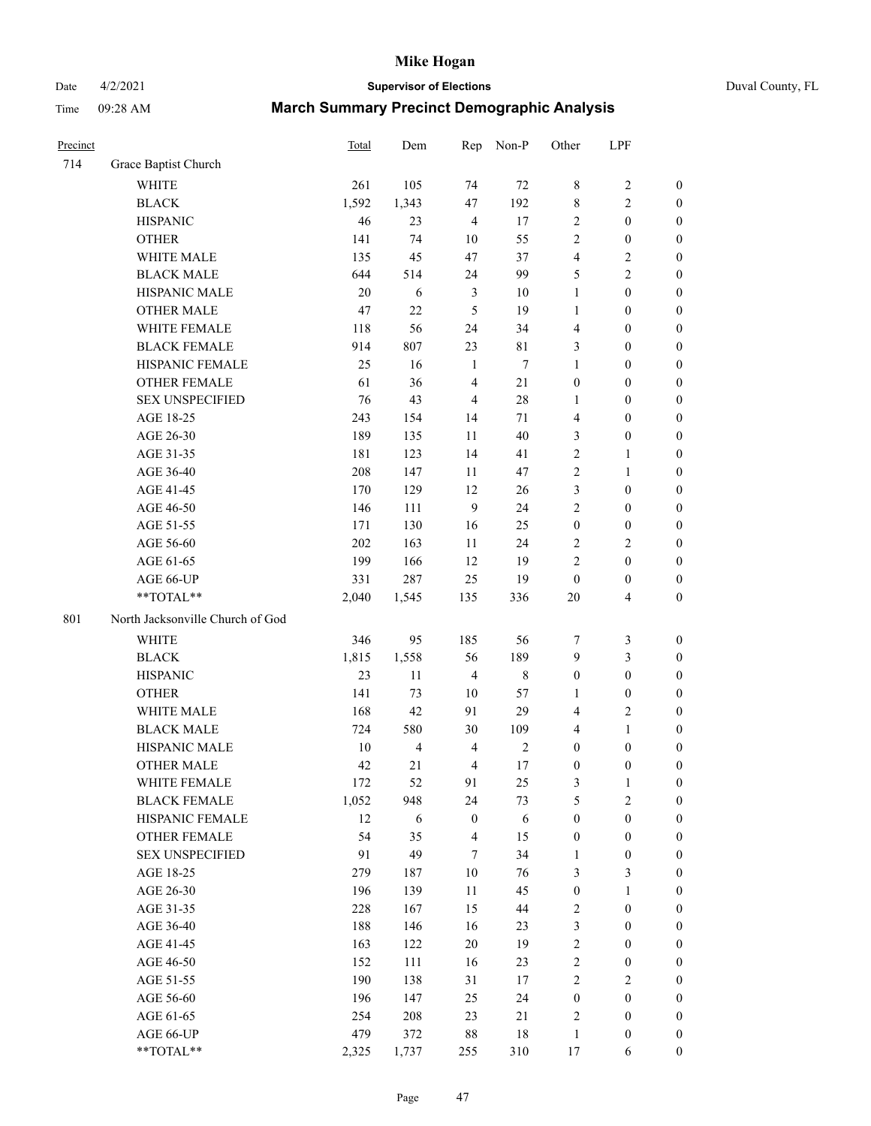# Date 4/2/2021 **Supervisor of Elections** Duval County, FL

| Precinct |                                  | Total | Dem            | Rep              | Non-P       | Other            | LPF              |                  |
|----------|----------------------------------|-------|----------------|------------------|-------------|------------------|------------------|------------------|
| 714      | Grace Baptist Church             |       |                |                  |             |                  |                  |                  |
|          | <b>WHITE</b>                     | 261   | 105            | 74               | $72\,$      | 8                | $\sqrt{2}$       | 0                |
|          | <b>BLACK</b>                     | 1,592 | 1,343          | 47               | 192         | 8                | $\sqrt{2}$       | 0                |
|          | <b>HISPANIC</b>                  | 46    | 23             | $\overline{4}$   | 17          | $\overline{c}$   | $\boldsymbol{0}$ | $\boldsymbol{0}$ |
|          | <b>OTHER</b>                     | 141   | 74             | 10               | 55          | 2                | $\boldsymbol{0}$ | $\boldsymbol{0}$ |
|          | WHITE MALE                       | 135   | 45             | 47               | 37          | 4                | $\sqrt{2}$       | $\boldsymbol{0}$ |
|          | <b>BLACK MALE</b>                | 644   | 514            | 24               | 99          | 5                | $\sqrt{2}$       | $\boldsymbol{0}$ |
|          | HISPANIC MALE                    | 20    | 6              | $\mathfrak{Z}$   | 10          | $\mathbf{1}$     | $\boldsymbol{0}$ | $\boldsymbol{0}$ |
|          | <b>OTHER MALE</b>                | 47    | 22             | 5                | 19          | $\mathbf{1}$     | $\boldsymbol{0}$ | $\boldsymbol{0}$ |
|          | WHITE FEMALE                     | 118   | 56             | 24               | 34          | 4                | $\boldsymbol{0}$ | $\boldsymbol{0}$ |
|          | <b>BLACK FEMALE</b>              | 914   | 807            | 23               | 81          | 3                | $\boldsymbol{0}$ | $\boldsymbol{0}$ |
|          | HISPANIC FEMALE                  | 25    | 16             | $\mathbf{1}$     | $\tau$      | $\mathbf{1}$     | $\boldsymbol{0}$ | $\boldsymbol{0}$ |
|          | OTHER FEMALE                     | 61    | 36             | $\overline{4}$   | 21          | $\boldsymbol{0}$ | $\boldsymbol{0}$ | $\boldsymbol{0}$ |
|          | <b>SEX UNSPECIFIED</b>           | 76    | 43             | $\overline{4}$   | 28          | $\mathbf{1}$     | $\boldsymbol{0}$ | $\boldsymbol{0}$ |
|          | AGE 18-25                        | 243   | 154            | 14               | 71          | 4                | $\boldsymbol{0}$ | $\boldsymbol{0}$ |
|          | AGE 26-30                        | 189   | 135            | 11               | 40          | 3                | $\boldsymbol{0}$ | $\boldsymbol{0}$ |
|          | AGE 31-35                        | 181   | 123            | 14               | 41          | $\overline{c}$   | $\mathbf{1}$     | $\boldsymbol{0}$ |
|          | AGE 36-40                        | 208   | 147            | 11               | 47          | $\overline{c}$   | $\mathbf{1}$     | $\boldsymbol{0}$ |
|          | AGE 41-45                        | 170   | 129            | 12               | 26          | 3                | $\boldsymbol{0}$ | $\boldsymbol{0}$ |
|          | AGE 46-50                        | 146   | 111            | $\boldsymbol{9}$ | 24          | $\overline{c}$   | $\boldsymbol{0}$ | $\boldsymbol{0}$ |
|          | AGE 51-55                        | 171   | 130            | 16               | 25          | $\boldsymbol{0}$ | $\boldsymbol{0}$ | $\boldsymbol{0}$ |
|          | AGE 56-60                        | 202   | 163            | 11               | 24          | $\mathbf{2}$     | $\sqrt{2}$       | 0                |
|          | AGE 61-65                        | 199   | 166            | 12               | 19          | $\overline{c}$   | $\boldsymbol{0}$ | $\boldsymbol{0}$ |
|          | AGE 66-UP                        | 331   | 287            | 25               | 19          | $\boldsymbol{0}$ | $\boldsymbol{0}$ | $\boldsymbol{0}$ |
|          | $**TOTAL**$                      | 2,040 | 1,545          | 135              | 336         | 20               | $\overline{4}$   | $\boldsymbol{0}$ |
| 801      | North Jacksonville Church of God |       |                |                  |             |                  |                  |                  |
|          | <b>WHITE</b>                     | 346   | 95             | 185              | 56          | 7                | $\mathfrak z$    | $\boldsymbol{0}$ |
|          | <b>BLACK</b>                     | 1,815 | 1,558          | 56               | 189         | 9                | $\mathfrak{Z}$   | $\boldsymbol{0}$ |
|          | <b>HISPANIC</b>                  | 23    | 11             | $\overline{4}$   | $\,$ 8 $\,$ | $\boldsymbol{0}$ | $\boldsymbol{0}$ | $\boldsymbol{0}$ |
|          | <b>OTHER</b>                     | 141   | 73             | 10               | 57          | 1                | $\boldsymbol{0}$ | $\boldsymbol{0}$ |
|          | WHITE MALE                       | 168   | 42             | 91               | 29          | 4                | $\mathbf{2}$     | $\overline{0}$   |
|          | <b>BLACK MALE</b>                | 724   | 580            | 30               | 109         | 4                | $\mathbf{1}$     | $\boldsymbol{0}$ |
|          | HISPANIC MALE                    | 10    | $\overline{4}$ | $\overline{4}$   | $\sqrt{2}$  | $\boldsymbol{0}$ | $\boldsymbol{0}$ | 0                |
|          | <b>OTHER MALE</b>                | 42    | 21             | $\overline{4}$   | 17          | $\boldsymbol{0}$ | $\boldsymbol{0}$ | $\boldsymbol{0}$ |
|          | WHITE FEMALE                     | 172   | 52             | 91               | 25          | 3                | 1                | 0                |
|          | <b>BLACK FEMALE</b>              | 1,052 | 948            | 24               | 73          | 5                | $\sqrt{2}$       | $\boldsymbol{0}$ |
|          | HISPANIC FEMALE                  | 12    | 6              | $\boldsymbol{0}$ | 6           | $\boldsymbol{0}$ | $\boldsymbol{0}$ | $\overline{0}$   |
|          | OTHER FEMALE                     | 54    | 35             | 4                | 15          | $\boldsymbol{0}$ | $\boldsymbol{0}$ | $\overline{0}$   |
|          | <b>SEX UNSPECIFIED</b>           | 91    | 49             | $\tau$           | 34          | $\mathbf{1}$     | $\boldsymbol{0}$ | 0                |
|          | AGE 18-25                        | 279   | 187            | 10               | 76          | 3                | 3                | 0                |
|          | AGE 26-30                        | 196   | 139            | $11\,$           | 45          | $\boldsymbol{0}$ | $\mathbf{1}$     | 0                |
|          | AGE 31-35                        | 228   | 167            | 15               | 44          | 2                | $\boldsymbol{0}$ | 0                |
|          | AGE 36-40                        | 188   | 146            | 16               | 23          | 3                | $\boldsymbol{0}$ | 0                |
|          | AGE 41-45                        | 163   | 122            | 20               | 19          | $\mathbf{2}$     | $\boldsymbol{0}$ | 0                |
|          | AGE 46-50                        | 152   | 111            | 16               | 23          | $\mathbf{2}$     | $\boldsymbol{0}$ | 0                |
|          | AGE 51-55                        | 190   | 138            | 31               | 17          | $\overline{c}$   | $\sqrt{2}$       | 0                |
|          | AGE 56-60                        | 196   | 147            | 25               | 24          | $\boldsymbol{0}$ | $\boldsymbol{0}$ | $\overline{0}$   |
|          | AGE 61-65                        | 254   | 208            | 23               | 21          | 2                | $\boldsymbol{0}$ | $\overline{0}$   |
|          | AGE 66-UP                        | 479   | 372            | 88               | 18          | $\,1$            | $\boldsymbol{0}$ | 0                |
|          | **TOTAL**                        | 2,325 | 1,737          | 255              | 310         | 17               | 6                | $\boldsymbol{0}$ |
|          |                                  |       |                |                  |             |                  |                  |                  |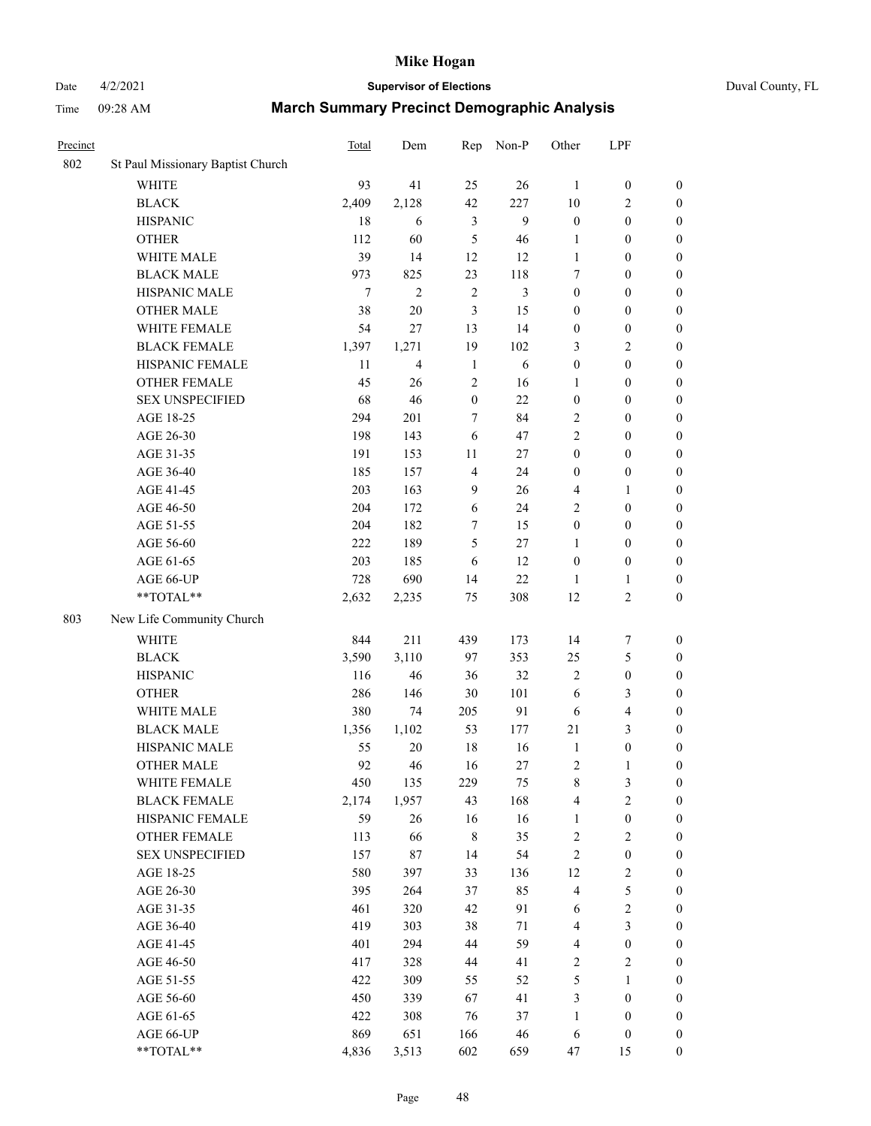### Date 4/2/2021 **Supervisor of Elections** Duval County, FL

| Precinct |                                   | Total          | Dem            | Rep              | Non-P  | Other            | LPF                     |                  |
|----------|-----------------------------------|----------------|----------------|------------------|--------|------------------|-------------------------|------------------|
| 802      | St Paul Missionary Baptist Church |                |                |                  |        |                  |                         |                  |
|          | <b>WHITE</b>                      | 93             | 41             | 25               | 26     | $\mathbf{1}$     | $\boldsymbol{0}$        | $\boldsymbol{0}$ |
|          | <b>BLACK</b>                      | 2,409          | 2,128          | 42               | 227    | 10               | $\sqrt{2}$              | $\boldsymbol{0}$ |
|          | <b>HISPANIC</b>                   | 18             | 6              | 3                | 9      | $\boldsymbol{0}$ | $\boldsymbol{0}$        | $\boldsymbol{0}$ |
|          | <b>OTHER</b>                      | 112            | 60             | 5                | 46     | $\mathbf{1}$     | $\boldsymbol{0}$        | $\boldsymbol{0}$ |
|          | WHITE MALE                        | 39             | 14             | 12               | 12     | 1                | $\boldsymbol{0}$        | $\boldsymbol{0}$ |
|          | <b>BLACK MALE</b>                 | 973            | 825            | 23               | 118    | 7                | $\boldsymbol{0}$        | $\boldsymbol{0}$ |
|          | HISPANIC MALE                     | $\overline{7}$ | $\overline{c}$ | $\sqrt{2}$       | 3      | $\boldsymbol{0}$ | $\boldsymbol{0}$        | $\boldsymbol{0}$ |
|          | <b>OTHER MALE</b>                 | 38             | $20\,$         | 3                | 15     | $\boldsymbol{0}$ | $\boldsymbol{0}$        | $\boldsymbol{0}$ |
|          | WHITE FEMALE                      | 54             | 27             | 13               | 14     | $\boldsymbol{0}$ | $\boldsymbol{0}$        | 0                |
|          | <b>BLACK FEMALE</b>               | 1,397          | 1,271          | 19               | 102    | 3                | $\sqrt{2}$              | $\boldsymbol{0}$ |
|          | HISPANIC FEMALE                   | 11             | $\overline{4}$ | $\mathbf{1}$     | 6      | $\boldsymbol{0}$ | $\boldsymbol{0}$        | $\boldsymbol{0}$ |
|          | <b>OTHER FEMALE</b>               | 45             | 26             | $\sqrt{2}$       | 16     | 1                | $\boldsymbol{0}$        | $\boldsymbol{0}$ |
|          | <b>SEX UNSPECIFIED</b>            | 68             | 46             | $\boldsymbol{0}$ | 22     | $\boldsymbol{0}$ | $\boldsymbol{0}$        | $\boldsymbol{0}$ |
|          | AGE 18-25                         | 294            | 201            | 7                | 84     | 2                | $\boldsymbol{0}$        | $\boldsymbol{0}$ |
|          | AGE 26-30                         | 198            | 143            | 6                | 47     | $\overline{c}$   | $\boldsymbol{0}$        | $\boldsymbol{0}$ |
|          | AGE 31-35                         | 191            | 153            | 11               | $27\,$ | $\boldsymbol{0}$ | $\boldsymbol{0}$        | $\boldsymbol{0}$ |
|          | AGE 36-40                         | 185            | 157            | $\overline{4}$   | 24     | $\boldsymbol{0}$ | $\boldsymbol{0}$        | $\boldsymbol{0}$ |
|          | AGE 41-45                         | 203            | 163            | $\overline{9}$   | 26     | 4                | 1                       | $\boldsymbol{0}$ |
|          | AGE 46-50                         | 204            | 172            | 6                | 24     | 2                | $\boldsymbol{0}$        | 0                |
|          | AGE 51-55                         | 204            | 182            | 7                | 15     | $\boldsymbol{0}$ | $\boldsymbol{0}$        | $\boldsymbol{0}$ |
|          | AGE 56-60                         | 222            | 189            | 5                | 27     | 1                | $\boldsymbol{0}$        | $\boldsymbol{0}$ |
|          | AGE 61-65                         | 203            | 185            | 6                | 12     | $\boldsymbol{0}$ | $\boldsymbol{0}$        | $\boldsymbol{0}$ |
|          | AGE 66-UP                         | 728            | 690            | 14               | $22\,$ | 1                | $\mathbf{1}$            | $\boldsymbol{0}$ |
|          | **TOTAL**                         | 2,632          | 2,235          | 75               | 308    | 12               | $\mathbf{2}$            | $\boldsymbol{0}$ |
| 803      | New Life Community Church         |                |                |                  |        |                  |                         |                  |
|          | <b>WHITE</b>                      | 844            | 211            | 439              | 173    | 14               | $\boldsymbol{7}$        | $\boldsymbol{0}$ |
|          | <b>BLACK</b>                      | 3,590          | 3,110          | 97               | 353    | 25               | $\mathfrak{S}$          | $\boldsymbol{0}$ |
|          | <b>HISPANIC</b>                   | 116            | 46             | 36               | 32     | $\mathbf{2}$     | $\boldsymbol{0}$        | $\boldsymbol{0}$ |
|          | <b>OTHER</b>                      | 286            | 146            | 30               | 101    | 6                | $\mathfrak{Z}$          | $\boldsymbol{0}$ |
|          | WHITE MALE                        | 380            | 74             | 205              | 91     | 6                | $\overline{\mathbf{4}}$ | $\boldsymbol{0}$ |
|          | <b>BLACK MALE</b>                 | 1,356          | 1,102          | 53               | 177    | 21               | 3                       | 0                |
|          | HISPANIC MALE                     | 55             | 20             | 18               | 16     | $\mathbf{1}$     | $\boldsymbol{0}$        | 0                |
|          | <b>OTHER MALE</b>                 | 92             | 46             | 16               | $27\,$ | 2                | $\mathbf{1}$            | $\boldsymbol{0}$ |
|          | WHITE FEMALE                      | 450            | 135            | 229              | 75     | $\,$ $\,$        | $\mathfrak{Z}$          | $\boldsymbol{0}$ |
|          | <b>BLACK FEMALE</b>               | 2,174          | 1,957          | 43               | 168    | 4                | $\sqrt{2}$              | $\boldsymbol{0}$ |
|          | HISPANIC FEMALE                   | 59             | 26             | 16               | 16     | $\mathbf{1}$     | $\boldsymbol{0}$        | $\overline{0}$   |
|          | <b>OTHER FEMALE</b>               | 113            | 66             | $\,$ 8 $\,$      | 35     | $\sqrt{2}$       | $\sqrt{2}$              | $\overline{0}$   |
|          | <b>SEX UNSPECIFIED</b>            | 157            | 87             | 14               | 54     | $\sqrt{2}$       | $\boldsymbol{0}$        | $\overline{0}$   |
|          | AGE 18-25                         | 580            | 397            | 33               | 136    | 12               | $\boldsymbol{2}$        | 0                |
|          | AGE 26-30                         | 395            | 264            | 37               | 85     | $\overline{4}$   | 5                       | 0                |
|          | AGE 31-35                         | 461            | 320            | 42               | 91     | 6                | $\sqrt{2}$              | 0                |
|          | AGE 36-40                         | 419            | 303            | 38               | $71\,$ | 4                | $\mathfrak{Z}$          | 0                |
|          | AGE 41-45                         | 401            | 294            | 44               | 59     | 4                | $\boldsymbol{0}$        | $\boldsymbol{0}$ |
|          | AGE 46-50                         | 417            | 328            | 44               | 41     | 2                | $\sqrt{2}$              | $\boldsymbol{0}$ |
|          | AGE 51-55                         | 422            | 309            | 55               | 52     | 5                | $\mathbf{1}$            | $\boldsymbol{0}$ |
|          | AGE 56-60                         | 450            | 339            | 67               | 41     | 3                | $\boldsymbol{0}$        | $\boldsymbol{0}$ |
|          | AGE 61-65                         | 422            | 308            | 76               | 37     | $\mathbf{1}$     | $\boldsymbol{0}$        | $\overline{0}$   |
|          | AGE 66-UP                         | 869            | 651            | 166              | 46     | 6                | $\boldsymbol{0}$        | $\boldsymbol{0}$ |
|          | **TOTAL**                         | 4,836          | 3,513          | 602              | 659    | 47               | 15                      | $\boldsymbol{0}$ |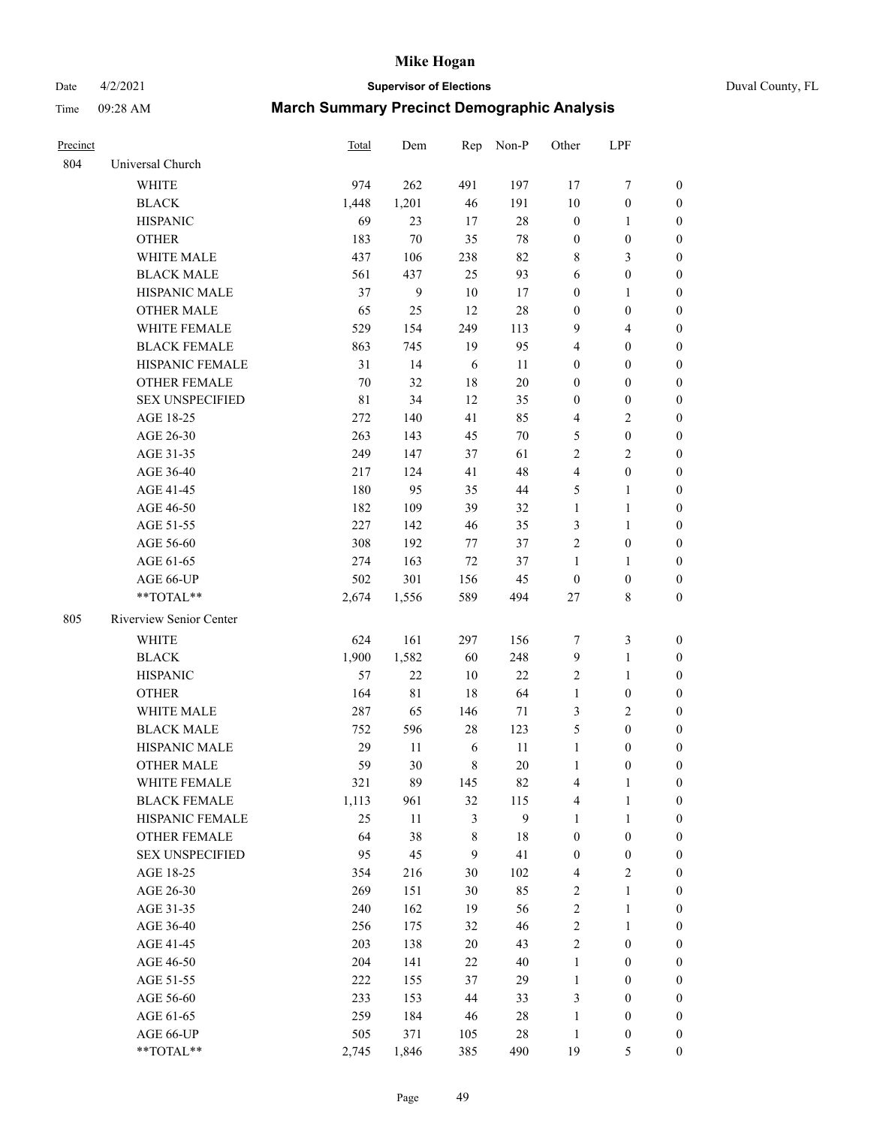# Date 4/2/2021 **Supervisor of Elections** Duval County, FL

| Precinct |                         | Total       | Dem          |        | Rep Non-P        | Other                   | LPF              |                  |
|----------|-------------------------|-------------|--------------|--------|------------------|-------------------------|------------------|------------------|
| 804      | Universal Church        |             |              |        |                  |                         |                  |                  |
|          | <b>WHITE</b>            | 974         | 262          | 491    | 197              | 17                      | $\boldsymbol{7}$ | 0                |
|          | <b>BLACK</b>            | 1,448       | 1,201        | 46     | 191              | $10\,$                  | $\boldsymbol{0}$ | 0                |
|          | <b>HISPANIC</b>         | 69          | 23           | 17     | $28\,$           | $\boldsymbol{0}$        | 1                | 0                |
|          | <b>OTHER</b>            | 183         | 70           | 35     | 78               | $\boldsymbol{0}$        | $\boldsymbol{0}$ | $\boldsymbol{0}$ |
|          | WHITE MALE              | 437         | 106          | 238    | 82               | 8                       | $\mathfrak{Z}$   | $\boldsymbol{0}$ |
|          | <b>BLACK MALE</b>       | 561         | 437          | 25     | 93               | 6                       | $\boldsymbol{0}$ | $\boldsymbol{0}$ |
|          | HISPANIC MALE           | 37          | $\mathbf{9}$ | 10     | 17               | 0                       | $\mathbf{1}$     | $\boldsymbol{0}$ |
|          | <b>OTHER MALE</b>       | 65          | 25           | 12     | 28               | $\boldsymbol{0}$        | $\boldsymbol{0}$ | $\boldsymbol{0}$ |
|          | WHITE FEMALE            | 529         | 154          | 249    | 113              | 9                       | $\overline{4}$   | $\boldsymbol{0}$ |
|          | <b>BLACK FEMALE</b>     | 863         | 745          | 19     | 95               | 4                       | $\boldsymbol{0}$ | $\boldsymbol{0}$ |
|          | HISPANIC FEMALE         | 31          | 14           | 6      | 11               | 0                       | $\boldsymbol{0}$ | 0                |
|          | <b>OTHER FEMALE</b>     | 70          | 32           | 18     | 20               | 0                       | $\boldsymbol{0}$ | $\boldsymbol{0}$ |
|          | <b>SEX UNSPECIFIED</b>  | $8\sqrt{1}$ | 34           | 12     | 35               | $\boldsymbol{0}$        | $\boldsymbol{0}$ | $\boldsymbol{0}$ |
|          | AGE 18-25               | 272         | 140          | 41     | 85               | 4                       | $\sqrt{2}$       | $\boldsymbol{0}$ |
|          | AGE 26-30               | 263         | 143          | 45     | 70               | 5                       | $\boldsymbol{0}$ | $\boldsymbol{0}$ |
|          | AGE 31-35               | 249         | 147          | 37     | 61               | $\overline{c}$          | $\sqrt{2}$       | $\boldsymbol{0}$ |
|          | AGE 36-40               | 217         | 124          | 41     | 48               | 4                       | $\boldsymbol{0}$ | $\boldsymbol{0}$ |
|          | AGE 41-45               | 180         | 95           | 35     | $44\,$           | 5                       | $\mathbf{1}$     | $\boldsymbol{0}$ |
|          | AGE 46-50               | 182         | 109          | 39     | 32               | $\mathbf{1}$            | $\mathbf{1}$     | $\boldsymbol{0}$ |
|          | AGE 51-55               | 227         | 142          | 46     | 35               | 3                       | $\mathbf{1}$     | 0                |
|          | AGE 56-60               | 308         | 192          | 77     | 37               | $\overline{c}$          | $\boldsymbol{0}$ | 0                |
|          | AGE 61-65               | 274         | 163          | $72\,$ | 37               | $\mathbf{1}$            | 1                | 0                |
|          | AGE 66-UP               | 502         | 301          | 156    | 45               | $\boldsymbol{0}$        | $\boldsymbol{0}$ | 0                |
|          | $**TOTAL**$             | 2,674       | 1,556        | 589    | 494              | $27\,$                  | $\,$ 8 $\,$      | $\boldsymbol{0}$ |
| 805      | Riverview Senior Center |             |              |        |                  |                         |                  |                  |
|          | <b>WHITE</b>            | 624         | 161          | 297    | 156              | 7                       | $\mathfrak{Z}$   | $\boldsymbol{0}$ |
|          | <b>BLACK</b>            | 1,900       | 1,582        | 60     | 248              | 9                       | $\mathbf{1}$     | $\boldsymbol{0}$ |
|          | <b>HISPANIC</b>         | 57          | 22           | 10     | $22\,$           | 2                       | $\mathbf{1}$     | $\boldsymbol{0}$ |
|          | <b>OTHER</b>            | 164         | $8\sqrt{1}$  | 18     | 64               | $\mathbf{1}$            | $\boldsymbol{0}$ | $\boldsymbol{0}$ |
|          | WHITE MALE              | 287         | 65           | 146    | 71               | 3                       | $\mathbf{2}$     | $\overline{0}$   |
|          | <b>BLACK MALE</b>       | 752         | 596          | 28     | 123              | 5                       | $\boldsymbol{0}$ | $\boldsymbol{0}$ |
|          | HISPANIC MALE           | 29          | 11           | 6      | 11               | $\mathbf{1}$            | $\boldsymbol{0}$ | 0                |
|          | <b>OTHER MALE</b>       | 59          | 30           | 8      | 20               | $\mathbf{1}$            | $\boldsymbol{0}$ | 0                |
|          | WHITE FEMALE            | 321         | 89           | 145    | 82               | 4                       | 1                | 0                |
|          | <b>BLACK FEMALE</b>     | 1,113       | 961          | 32     | 115              | 4                       | $\mathbf{1}$     | $\boldsymbol{0}$ |
|          | HISPANIC FEMALE         | 25          | $11\,$       | 3      | $\boldsymbol{9}$ | 1                       | $\mathbf{1}$     | $\overline{0}$   |
|          | OTHER FEMALE            | 64          | 38           | 8      | 18               | $\boldsymbol{0}$        | $\boldsymbol{0}$ | $\overline{0}$   |
|          | <b>SEX UNSPECIFIED</b>  | 95          | 45           | 9      | 41               | $\boldsymbol{0}$        | $\boldsymbol{0}$ | 0                |
|          | AGE 18-25               | 354         | 216          | 30     | 102              | 4                       | $\sqrt{2}$       | 0                |
|          | AGE 26-30               | 269         | 151          | 30     | 85               | $\mathbf{2}$            | $\mathbf{1}$     | 0                |
|          | AGE 31-35               | 240         | 162          | 19     | 56               | $\overline{c}$          | $\mathbf{1}$     | 0                |
|          | AGE 36-40               | 256         | 175          | 32     | 46               | $\overline{\mathbf{c}}$ | $\mathbf{1}$     | 0                |
|          | AGE 41-45               | 203         | 138          | 20     | 43               | 2                       | $\boldsymbol{0}$ | 0                |
|          | AGE 46-50               | 204         | 141          | 22     | 40               | $\mathbf{1}$            | $\boldsymbol{0}$ | 0                |
|          | AGE 51-55               | 222         | 155          | 37     | 29               | $\mathbf{1}$            | $\boldsymbol{0}$ | 0                |
|          | AGE 56-60               | 233         | 153          | 44     | 33               | 3                       | $\boldsymbol{0}$ | $\boldsymbol{0}$ |
|          | AGE 61-65               | 259         | 184          | 46     | 28               | 1                       | $\boldsymbol{0}$ | $\overline{0}$   |
|          | AGE 66-UP               | 505         | 371          | 105    | 28               | $\mathbf{1}$            | $\boldsymbol{0}$ | 0                |
|          | **TOTAL**               | 2,745       | 1,846        | 385    | 490              | 19                      | 5                | $\boldsymbol{0}$ |
|          |                         |             |              |        |                  |                         |                  |                  |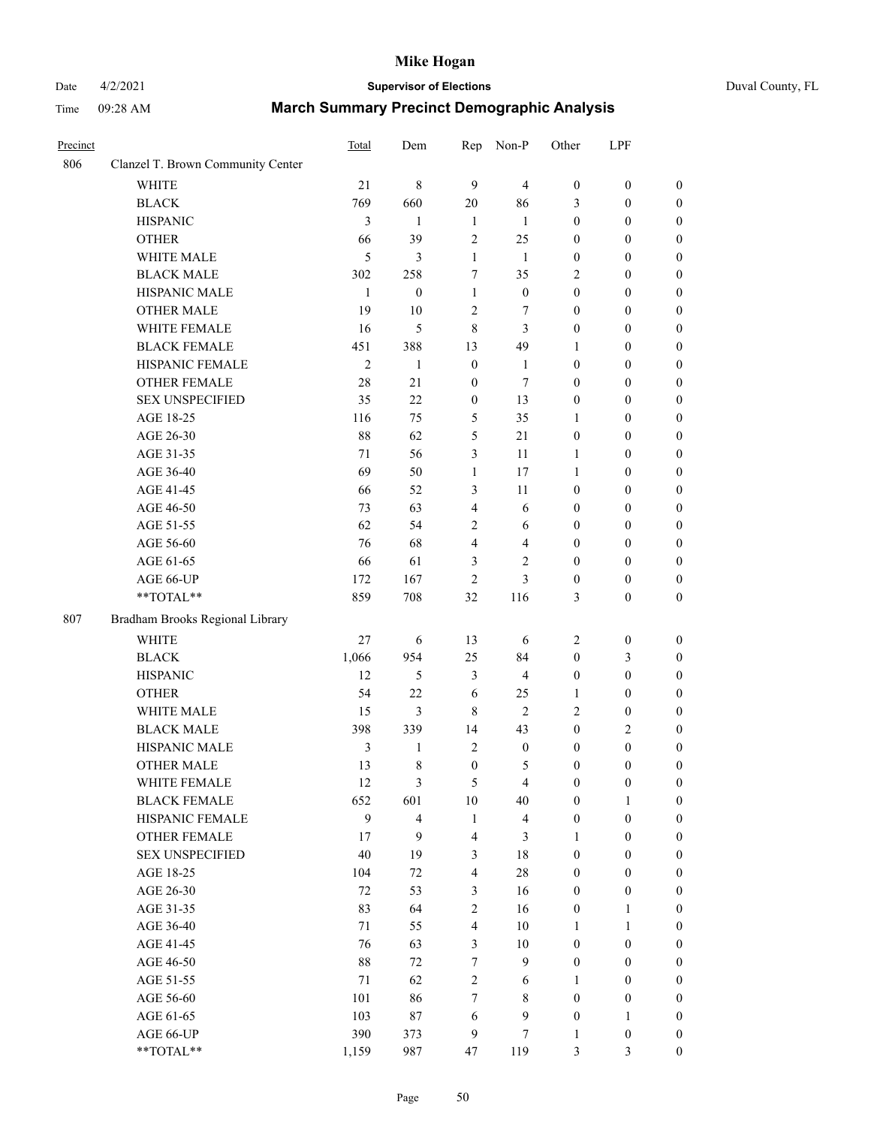### Date 4/2/2021 **Supervisor of Elections** Duval County, FL

| Precinct |                                   | Total          | Dem                     | Rep                     | Non-P                   | Other            | LPF              |                  |
|----------|-----------------------------------|----------------|-------------------------|-------------------------|-------------------------|------------------|------------------|------------------|
| 806      | Clanzel T. Brown Community Center |                |                         |                         |                         |                  |                  |                  |
|          | <b>WHITE</b>                      | 21             | $\,8\,$                 | 9                       | $\overline{4}$          | $\boldsymbol{0}$ | $\boldsymbol{0}$ | $\boldsymbol{0}$ |
|          | <b>BLACK</b>                      | 769            | 660                     | 20                      | 86                      | 3                | $\boldsymbol{0}$ | $\boldsymbol{0}$ |
|          | <b>HISPANIC</b>                   | 3              | 1                       | $\mathbf{1}$            | $\mathbf{1}$            | $\boldsymbol{0}$ | $\boldsymbol{0}$ | $\boldsymbol{0}$ |
|          | <b>OTHER</b>                      | 66             | 39                      | 2                       | 25                      | $\boldsymbol{0}$ | $\boldsymbol{0}$ | $\boldsymbol{0}$ |
|          | WHITE MALE                        | 5              | 3                       | $\mathbf{1}$            | $\mathbf{1}$            | $\boldsymbol{0}$ | $\boldsymbol{0}$ | $\boldsymbol{0}$ |
|          | <b>BLACK MALE</b>                 | 302            | 258                     | $\tau$                  | 35                      | 2                | $\boldsymbol{0}$ | $\boldsymbol{0}$ |
|          | HISPANIC MALE                     | $\mathbf{1}$   | $\boldsymbol{0}$        | $\mathbf{1}$            | $\boldsymbol{0}$        | $\boldsymbol{0}$ | $\boldsymbol{0}$ | $\boldsymbol{0}$ |
|          | <b>OTHER MALE</b>                 | 19             | 10                      | $\sqrt{2}$              | 7                       | $\boldsymbol{0}$ | $\boldsymbol{0}$ | $\boldsymbol{0}$ |
|          | WHITE FEMALE                      | 16             | 5                       | $\,8\,$                 | 3                       | $\boldsymbol{0}$ | $\boldsymbol{0}$ | $\boldsymbol{0}$ |
|          | <b>BLACK FEMALE</b>               | 451            | 388                     | 13                      | 49                      | $\mathbf{1}$     | $\boldsymbol{0}$ | $\boldsymbol{0}$ |
|          | HISPANIC FEMALE                   | $\mathfrak{2}$ | $\mathbf{1}$            | $\boldsymbol{0}$        | $\mathbf{1}$            | $\boldsymbol{0}$ | $\boldsymbol{0}$ | $\boldsymbol{0}$ |
|          | OTHER FEMALE                      | 28             | 21                      | $\boldsymbol{0}$        | 7                       | $\boldsymbol{0}$ | $\boldsymbol{0}$ | $\boldsymbol{0}$ |
|          | <b>SEX UNSPECIFIED</b>            | 35             | 22                      | $\boldsymbol{0}$        | 13                      | $\boldsymbol{0}$ | $\boldsymbol{0}$ | $\boldsymbol{0}$ |
|          | AGE 18-25                         | 116            | 75                      | 5                       | 35                      | $\mathbf{1}$     | $\boldsymbol{0}$ | $\boldsymbol{0}$ |
|          | AGE 26-30                         | 88             | 62                      | 5                       | 21                      | $\boldsymbol{0}$ | $\boldsymbol{0}$ | $\boldsymbol{0}$ |
|          | AGE 31-35                         | 71             | 56                      | 3                       | 11                      | $\mathbf{1}$     | $\boldsymbol{0}$ | $\boldsymbol{0}$ |
|          | AGE 36-40                         | 69             | 50                      | $\mathbf{1}$            | 17                      | $\mathbf{1}$     | $\boldsymbol{0}$ | $\boldsymbol{0}$ |
|          | AGE 41-45                         | 66             | 52                      | 3                       | 11                      | $\boldsymbol{0}$ | $\boldsymbol{0}$ | 0                |
|          | AGE 46-50                         | 73             | 63                      | $\overline{4}$          | 6                       | $\boldsymbol{0}$ | $\boldsymbol{0}$ | $\boldsymbol{0}$ |
|          | AGE 51-55                         | 62             | 54                      | $\mathbf{2}$            | 6                       | $\boldsymbol{0}$ | $\boldsymbol{0}$ | $\boldsymbol{0}$ |
|          | AGE 56-60                         | 76             | 68                      | 4                       | $\overline{4}$          | $\boldsymbol{0}$ | $\boldsymbol{0}$ | $\boldsymbol{0}$ |
|          | AGE 61-65                         | 66             | 61                      | 3                       | $\sqrt{2}$              | $\boldsymbol{0}$ | $\boldsymbol{0}$ | $\boldsymbol{0}$ |
|          | AGE 66-UP                         | 172            | 167                     | $\overline{c}$          | 3                       | $\boldsymbol{0}$ | $\boldsymbol{0}$ | $\boldsymbol{0}$ |
|          | $**TOTAL**$                       | 859            | 708                     | 32                      | 116                     | 3                | $\boldsymbol{0}$ | $\boldsymbol{0}$ |
| 807      | Bradham Brooks Regional Library   |                |                         |                         |                         |                  |                  |                  |
|          | <b>WHITE</b>                      | 27             | 6                       | 13                      | 6                       | 2                | $\boldsymbol{0}$ | $\boldsymbol{0}$ |
|          | <b>BLACK</b>                      | 1,066          | 954                     | 25                      | 84                      | $\boldsymbol{0}$ | 3                | $\boldsymbol{0}$ |
|          | <b>HISPANIC</b>                   | 12             | 5                       | $\mathfrak{Z}$          | $\overline{\mathbf{4}}$ | $\boldsymbol{0}$ | $\boldsymbol{0}$ | $\boldsymbol{0}$ |
|          | <b>OTHER</b>                      | 54             | 22                      | 6                       | 25                      | 1                | $\boldsymbol{0}$ | $\boldsymbol{0}$ |
|          | WHITE MALE                        | 15             | 3                       | $\,8\,$                 | $\overline{2}$          | 2                | $\boldsymbol{0}$ | 0                |
|          | <b>BLACK MALE</b>                 | 398            | 339                     | 14                      | 43                      | $\boldsymbol{0}$ | $\overline{2}$   | 0                |
|          | HISPANIC MALE                     | 3              | 1                       | $\overline{c}$          | $\boldsymbol{0}$        | $\boldsymbol{0}$ | $\boldsymbol{0}$ | $\boldsymbol{0}$ |
|          | <b>OTHER MALE</b>                 | 13             | 8                       | $\boldsymbol{0}$        | 5                       | $\boldsymbol{0}$ | $\boldsymbol{0}$ | $\boldsymbol{0}$ |
|          | WHITE FEMALE                      | 12             | 3                       | 5                       | $\overline{4}$          | $\boldsymbol{0}$ | $\boldsymbol{0}$ | $\boldsymbol{0}$ |
|          | <b>BLACK FEMALE</b>               | 652            | 601                     | 10                      | 40                      | $\boldsymbol{0}$ | $\mathbf{1}$     | $\overline{0}$   |
|          | HISPANIC FEMALE                   | 9              | $\overline{\mathbf{4}}$ | $\mathbf{1}$            | $\overline{\mathbf{4}}$ | $\boldsymbol{0}$ | $\boldsymbol{0}$ | $\theta$         |
|          | <b>OTHER FEMALE</b>               | 17             | 9                       | $\overline{4}$          | $\mathfrak{Z}$          | $\mathbf{1}$     | $\boldsymbol{0}$ | $\overline{0}$   |
|          | <b>SEX UNSPECIFIED</b>            | 40             | 19                      | $\mathfrak{Z}$          | $18\,$                  | $\boldsymbol{0}$ | $\boldsymbol{0}$ | $\overline{0}$   |
|          | AGE 18-25                         | 104            | 72                      | $\overline{\mathbf{4}}$ | $28\,$                  | $\boldsymbol{0}$ | $\boldsymbol{0}$ | 0                |
|          | AGE 26-30                         | 72             | 53                      | $\mathfrak{Z}$          | 16                      | $\boldsymbol{0}$ | $\boldsymbol{0}$ | 0                |
|          | AGE 31-35                         | 83             | 64                      | $\sqrt{2}$              | 16                      | $\boldsymbol{0}$ | $\mathbf{1}$     | $\boldsymbol{0}$ |
|          | AGE 36-40                         | 71             | 55                      | $\overline{4}$          | 10                      | 1                | $\mathbf{1}$     | $\boldsymbol{0}$ |
|          | AGE 41-45                         | 76             | 63                      | $\mathfrak{Z}$          | $10\,$                  | $\boldsymbol{0}$ | $\boldsymbol{0}$ | $\overline{0}$   |
|          | AGE 46-50                         | 88             | $72\,$                  | 7                       | $\mathbf{9}$            | $\boldsymbol{0}$ | $\boldsymbol{0}$ | $\boldsymbol{0}$ |
|          | AGE 51-55                         | $71\,$         | 62                      | $\sqrt{2}$              | 6                       | $\mathbf{1}$     | $\boldsymbol{0}$ | $\boldsymbol{0}$ |
|          | AGE 56-60                         | 101            | 86                      | 7                       | 8                       | $\boldsymbol{0}$ | $\boldsymbol{0}$ | $\overline{0}$   |
|          | AGE 61-65                         | 103            | 87                      | 6                       | $\mathbf{9}$            | $\boldsymbol{0}$ | $\mathbf{1}$     | $\overline{0}$   |
|          | AGE 66-UP                         | 390            | 373                     | $\overline{9}$          | $\tau$                  | $\mathbf{1}$     | $\boldsymbol{0}$ | $\overline{0}$   |
|          | **TOTAL**                         | 1,159          | 987                     | 47                      | 119                     | 3                | $\mathfrak{Z}$   | $\boldsymbol{0}$ |
|          |                                   |                |                         |                         |                         |                  |                  |                  |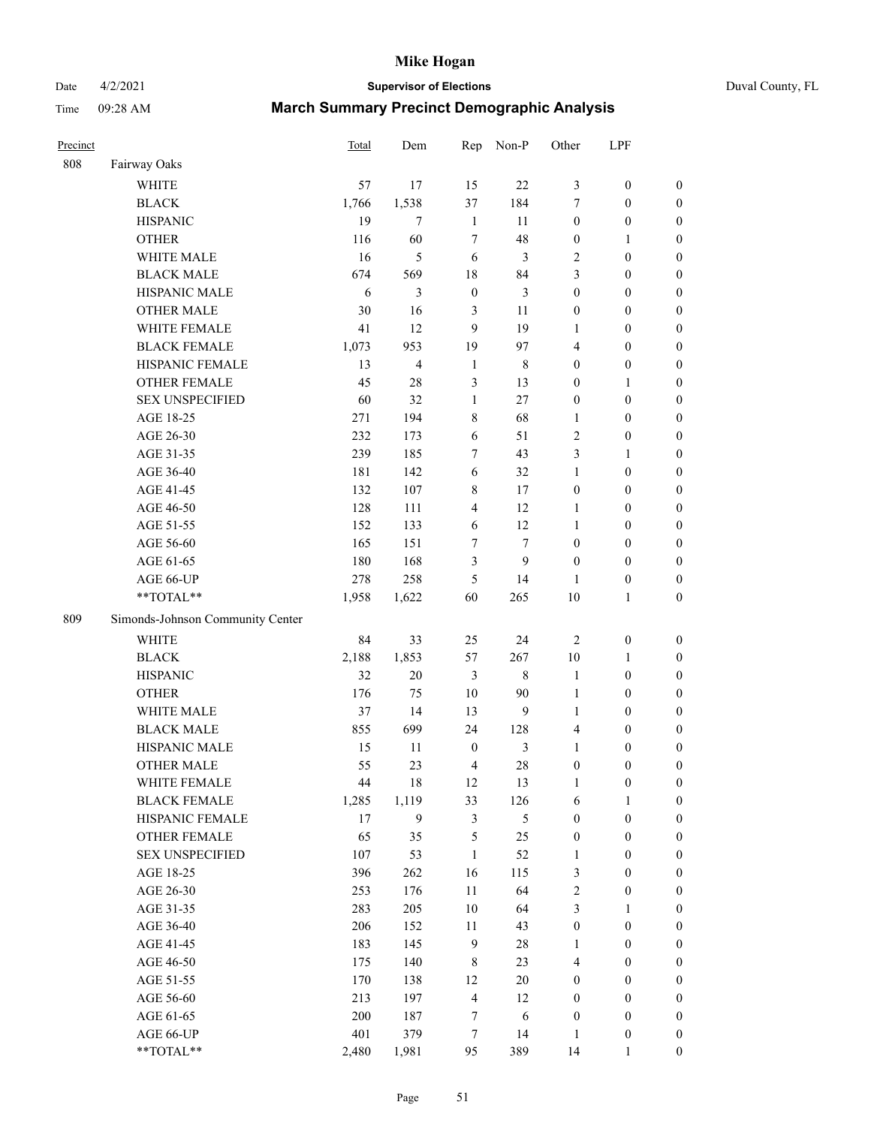Date 4/2/2021 **Supervisor of Elections** Duval County, FL

| Precinct |                                  | Total      | Dem            | Rep                                | Non-P        | Other                                | LPF                                  |                                      |
|----------|----------------------------------|------------|----------------|------------------------------------|--------------|--------------------------------------|--------------------------------------|--------------------------------------|
| 808      | Fairway Oaks                     |            |                |                                    |              |                                      |                                      |                                      |
|          | <b>WHITE</b>                     | 57         | 17             | 15                                 | 22           | 3                                    | $\boldsymbol{0}$                     | $\boldsymbol{0}$                     |
|          | <b>BLACK</b>                     | 1,766      | 1,538          | 37                                 | 184          | 7                                    | $\boldsymbol{0}$                     | $\boldsymbol{0}$                     |
|          | <b>HISPANIC</b>                  | 19         | $\overline{7}$ | $\mathbf{1}$                       | 11           | $\boldsymbol{0}$                     | $\boldsymbol{0}$                     | $\boldsymbol{0}$                     |
|          | <b>OTHER</b>                     | 116        | 60             | 7                                  | 48           | $\boldsymbol{0}$                     | 1                                    | $\boldsymbol{0}$                     |
|          | WHITE MALE                       | 16         | 5              | 6                                  | 3            | $\overline{c}$                       | $\boldsymbol{0}$                     | $\boldsymbol{0}$                     |
|          | <b>BLACK MALE</b>                | 674        | 569            | 18                                 | 84           | 3                                    | $\boldsymbol{0}$                     | $\boldsymbol{0}$                     |
|          | HISPANIC MALE                    | 6          | 3              | $\boldsymbol{0}$                   | 3            | $\boldsymbol{0}$                     | $\boldsymbol{0}$                     | $\boldsymbol{0}$                     |
|          | <b>OTHER MALE</b>                | 30         | 16             | $\mathfrak{Z}$                     | 11           | $\boldsymbol{0}$                     | $\boldsymbol{0}$                     | $\boldsymbol{0}$                     |
|          | WHITE FEMALE                     | 41         | 12             | 9                                  | 19           | 1                                    | $\boldsymbol{0}$                     | $\boldsymbol{0}$                     |
|          | <b>BLACK FEMALE</b>              | 1,073      | 953            | 19                                 | 97           | $\overline{4}$                       | $\boldsymbol{0}$                     | 0                                    |
|          | HISPANIC FEMALE                  | 13         | 4              | $\mathbf{1}$                       | $\,$ 8 $\,$  | $\boldsymbol{0}$                     | $\boldsymbol{0}$                     | $\boldsymbol{0}$                     |
|          | <b>OTHER FEMALE</b>              | 45         | 28             | 3                                  | 13           | $\boldsymbol{0}$                     | $\mathbf{1}$                         | $\boldsymbol{0}$                     |
|          | <b>SEX UNSPECIFIED</b>           | 60         | 32             | $\mathbf{1}$                       | 27           | $\boldsymbol{0}$                     | $\boldsymbol{0}$                     | $\boldsymbol{0}$                     |
|          | AGE 18-25                        | 271        | 194            | 8                                  | 68           | $\mathbf{1}$                         | $\boldsymbol{0}$                     | $\boldsymbol{0}$                     |
|          | AGE 26-30                        | 232        | 173            | 6                                  | 51           | $\overline{c}$                       | $\boldsymbol{0}$                     | $\boldsymbol{0}$                     |
|          | AGE 31-35                        | 239        | 185            | $\tau$                             | 43           | 3                                    | $\mathbf{1}$                         | $\boldsymbol{0}$                     |
|          | AGE 36-40                        | 181        | 142            | 6                                  | 32           | $\mathbf{1}$                         | $\boldsymbol{0}$                     | $\boldsymbol{0}$                     |
|          | AGE 41-45                        | 132        | 107            | $\,$ 8 $\,$                        | 17           | $\boldsymbol{0}$                     | $\boldsymbol{0}$                     | $\boldsymbol{0}$                     |
|          | AGE 46-50                        | 128        | 111            | $\overline{4}$                     | 12           | $\mathbf{1}$                         | $\boldsymbol{0}$                     | $\boldsymbol{0}$                     |
|          | AGE 51-55                        | 152        | 133            | 6                                  | 12           | $\mathbf{1}$                         | $\boldsymbol{0}$                     | 0                                    |
|          | AGE 56-60                        | 165        | 151            | 7                                  | $\tau$       | $\boldsymbol{0}$                     | $\boldsymbol{0}$                     | $\boldsymbol{0}$                     |
|          | AGE 61-65                        | 180        | 168            | 3                                  | 9            | $\boldsymbol{0}$                     | $\boldsymbol{0}$                     | $\boldsymbol{0}$                     |
|          | AGE 66-UP                        | 278        | 258            | 5                                  | 14           | 1                                    | $\boldsymbol{0}$                     | $\boldsymbol{0}$                     |
|          | **TOTAL**                        | 1,958      | 1,622          | 60                                 | 265          | 10                                   | $\mathbf{1}$                         | $\boldsymbol{0}$                     |
| 809      | Simonds-Johnson Community Center |            |                |                                    |              |                                      |                                      |                                      |
|          | <b>WHITE</b>                     | 84         | 33             | 25                                 | 24           | $\sqrt{2}$                           | $\boldsymbol{0}$                     | $\boldsymbol{0}$                     |
|          | <b>BLACK</b>                     | 2,188      | 1,853          | 57                                 | 267          | 10                                   | $\mathbf{1}$                         | $\boldsymbol{0}$                     |
|          | <b>HISPANIC</b>                  | 32         | $20\,$         | $\mathfrak{Z}$                     | $\,$ 8 $\,$  | $\mathbf{1}$                         | $\boldsymbol{0}$                     | $\boldsymbol{0}$                     |
|          | <b>OTHER</b>                     | 176        | 75             | 10                                 | 90           | $\mathbf{1}$                         | $\boldsymbol{0}$                     | $\boldsymbol{0}$                     |
|          | WHITE MALE                       | 37         | 14             | 13                                 | 9            | $\mathbf{1}$                         |                                      | $\boldsymbol{0}$                     |
|          | <b>BLACK MALE</b>                | 855        | 699            |                                    | 128          | 4                                    | $\boldsymbol{0}$                     |                                      |
|          | HISPANIC MALE                    |            | 11             | 24                                 | 3            | $\mathbf{1}$                         | $\boldsymbol{0}$                     | $\boldsymbol{0}$                     |
|          | <b>OTHER MALE</b>                | 15<br>55   | 23             | $\boldsymbol{0}$<br>$\overline{4}$ | 28           | $\boldsymbol{0}$                     | $\boldsymbol{0}$<br>$\boldsymbol{0}$ | 0<br>$\boldsymbol{0}$                |
|          | WHITE FEMALE                     | 44         | 18             | 12                                 | 13           | 1                                    | $\boldsymbol{0}$                     | $\boldsymbol{0}$                     |
|          | <b>BLACK FEMALE</b>              | 1,285      | 1,119          | 33                                 |              |                                      |                                      | $\boldsymbol{0}$                     |
|          | HISPANIC FEMALE                  | 17         | 9              | $\mathfrak{Z}$                     | 126<br>5     | 6<br>$\boldsymbol{0}$                | $\mathbf{1}$<br>$\boldsymbol{0}$     | $\overline{0}$                       |
|          | <b>OTHER FEMALE</b>              | 65         | 35             | $\mathfrak s$                      | 25           | $\boldsymbol{0}$                     | $\boldsymbol{0}$                     | $\overline{0}$                       |
|          | <b>SEX UNSPECIFIED</b>           | 107        | 53             | $\mathbf{1}$                       | 52           | $\mathbf{1}$                         | $\boldsymbol{0}$                     | $\overline{0}$                       |
|          | AGE 18-25                        | 396        | 262            | 16                                 | 115          | 3                                    | $\boldsymbol{0}$                     | $\overline{0}$                       |
|          | AGE 26-30                        | 253        | 176            | 11                                 | 64           | $\sqrt{2}$                           | $\boldsymbol{0}$                     | 0                                    |
|          | AGE 31-35                        | 283        | 205            | $10\,$                             | 64           | $\mathfrak{Z}$                       | $\mathbf{1}$                         | 0                                    |
|          | AGE 36-40                        | 206        | 152            | 11                                 | 43           | $\boldsymbol{0}$                     | $\boldsymbol{0}$                     | 0                                    |
|          | AGE 41-45                        | 183        | 145            | $\overline{9}$                     | $28\,$       | 1                                    | $\boldsymbol{0}$                     | 0                                    |
|          | AGE 46-50                        | 175        | 140            | 8                                  | 23           | 4                                    | $\boldsymbol{0}$                     | $\boldsymbol{0}$                     |
|          |                                  |            |                |                                    |              |                                      |                                      |                                      |
|          | AGE 51-55<br>AGE 56-60           | 170<br>213 | 138<br>197     | 12<br>$\overline{4}$               | $20\,$<br>12 | $\boldsymbol{0}$<br>$\boldsymbol{0}$ | $\boldsymbol{0}$<br>$\boldsymbol{0}$ | $\boldsymbol{0}$<br>$\boldsymbol{0}$ |
|          | AGE 61-65                        | 200        | 187            | 7                                  | 6            | $\boldsymbol{0}$                     | $\boldsymbol{0}$                     | $\boldsymbol{0}$                     |
|          | AGE 66-UP                        | 401        | 379            | $\boldsymbol{7}$                   | 14           | $\mathbf{1}$                         | $\boldsymbol{0}$                     | $\boldsymbol{0}$                     |
|          | **TOTAL**                        | 2,480      | 1,981          | 95                                 | 389          | 14                                   | $\mathbf{1}$                         | $\boldsymbol{0}$                     |
|          |                                  |            |                |                                    |              |                                      |                                      |                                      |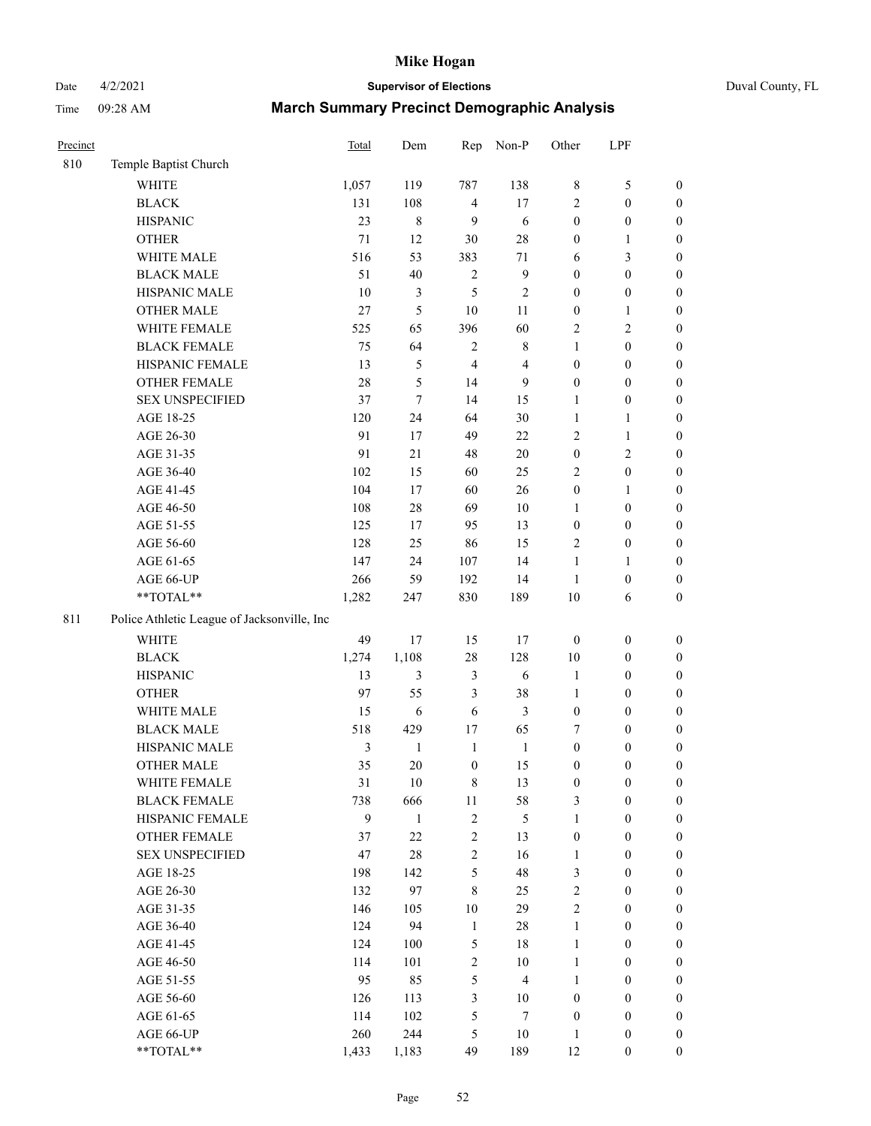# Date 4/2/2021 **Supervisor of Elections** Duval County, FL

| Precinct |                                             | Total | Dem            | Rep              | Non-P            | Other            | LPF              |                  |
|----------|---------------------------------------------|-------|----------------|------------------|------------------|------------------|------------------|------------------|
| 810      | Temple Baptist Church                       |       |                |                  |                  |                  |                  |                  |
|          | <b>WHITE</b>                                | 1,057 | 119            | 787              | 138              | 8                | $\mathfrak s$    | 0                |
|          | <b>BLACK</b>                                | 131   | 108            | $\overline{4}$   | 17               | $\overline{c}$   | $\boldsymbol{0}$ | 0                |
|          | <b>HISPANIC</b>                             | 23    | $\,$ 8 $\,$    | 9                | 6                | $\boldsymbol{0}$ | $\boldsymbol{0}$ | $\boldsymbol{0}$ |
|          | <b>OTHER</b>                                | 71    | 12             | 30               | 28               | 0                | 1                | $\boldsymbol{0}$ |
|          | WHITE MALE                                  | 516   | 53             | 383              | $71\,$           | 6                | $\mathfrak{Z}$   | $\boldsymbol{0}$ |
|          | <b>BLACK MALE</b>                           | 51    | 40             | $\mathbf{2}$     | $\boldsymbol{9}$ | 0                | $\boldsymbol{0}$ | $\boldsymbol{0}$ |
|          | HISPANIC MALE                               | 10    | $\mathfrak{Z}$ | 5                | $\sqrt{2}$       | 0                | $\boldsymbol{0}$ | $\boldsymbol{0}$ |
|          | <b>OTHER MALE</b>                           | 27    | 5              | 10               | 11               | 0                | $\mathbf{1}$     | $\boldsymbol{0}$ |
|          | WHITE FEMALE                                | 525   | 65             | 396              | 60               | 2                | $\sqrt{2}$       | $\boldsymbol{0}$ |
|          | <b>BLACK FEMALE</b>                         | 75    | 64             | 2                | $\,$ 8 $\,$      | 1                | $\boldsymbol{0}$ | $\boldsymbol{0}$ |
|          | HISPANIC FEMALE                             | 13    | $\mathfrak s$  | $\overline{4}$   | $\overline{4}$   | $\boldsymbol{0}$ | $\boldsymbol{0}$ | $\boldsymbol{0}$ |
|          | OTHER FEMALE                                | 28    | 5              | 14               | 9                | 0                | $\boldsymbol{0}$ | $\boldsymbol{0}$ |
|          | <b>SEX UNSPECIFIED</b>                      | 37    | $\tau$         | 14               | 15               | $\mathbf{1}$     | $\boldsymbol{0}$ | $\boldsymbol{0}$ |
|          | AGE 18-25                                   | 120   | 24             | 64               | 30               | $\mathbf{1}$     | $\mathbf{1}$     | $\boldsymbol{0}$ |
|          | AGE 26-30                                   | 91    | 17             | 49               | $22\,$           | 2                | $\mathbf{1}$     | $\boldsymbol{0}$ |
|          | AGE 31-35                                   | 91    | 21             | 48               | 20               | $\boldsymbol{0}$ | $\sqrt{2}$       | $\boldsymbol{0}$ |
|          | AGE 36-40                                   | 102   | 15             | 60               | 25               | 2                | $\boldsymbol{0}$ | $\boldsymbol{0}$ |
|          | AGE 41-45                                   | 104   | 17             | 60               | 26               | $\boldsymbol{0}$ | $\mathbf{1}$     | $\boldsymbol{0}$ |
|          | AGE 46-50                                   | 108   | 28             | 69               | 10               | 1                | $\boldsymbol{0}$ | $\boldsymbol{0}$ |
|          | AGE 51-55                                   | 125   | 17             | 95               | 13               | $\boldsymbol{0}$ | $\boldsymbol{0}$ | $\boldsymbol{0}$ |
|          | AGE 56-60                                   | 128   | 25             | 86               | 15               | 2                | $\boldsymbol{0}$ | 0                |
|          | AGE 61-65                                   | 147   | 24             | 107              | 14               | $\mathbf{1}$     | 1                | $\boldsymbol{0}$ |
|          | AGE 66-UP                                   | 266   | 59             | 192              | 14               | $\mathbf{1}$     | $\boldsymbol{0}$ | $\boldsymbol{0}$ |
|          | $**TOTAL**$                                 | 1,282 | 247            | 830              | 189              | 10               | 6                | $\boldsymbol{0}$ |
| 811      | Police Athletic League of Jacksonville, Inc |       |                |                  |                  |                  |                  |                  |
|          | WHITE                                       | 49    | 17             | 15               | 17               | $\boldsymbol{0}$ | $\boldsymbol{0}$ | $\boldsymbol{0}$ |
|          | <b>BLACK</b>                                | 1,274 | 1,108          | 28               | 128              | 10               | $\boldsymbol{0}$ | $\boldsymbol{0}$ |
|          | <b>HISPANIC</b>                             | 13    | 3              | 3                | 6                | $\mathbf{1}$     | $\boldsymbol{0}$ | $\boldsymbol{0}$ |
|          | <b>OTHER</b>                                | 97    | 55             | 3                | 38               | 1                | $\boldsymbol{0}$ | $\boldsymbol{0}$ |
|          | WHITE MALE                                  | 15    | 6              | 6                | $\mathfrak{Z}$   | $\boldsymbol{0}$ | $\boldsymbol{0}$ | $\boldsymbol{0}$ |
|          | <b>BLACK MALE</b>                           | 518   | 429            | 17               | 65               | 7                | $\boldsymbol{0}$ | $\boldsymbol{0}$ |
|          | HISPANIC MALE                               | 3     | $\mathbf{1}$   | $\mathbf{1}$     | $\mathbf{1}$     | $\boldsymbol{0}$ | $\boldsymbol{0}$ | $\boldsymbol{0}$ |
|          | <b>OTHER MALE</b>                           | 35    | 20             | $\boldsymbol{0}$ | 15               | $\boldsymbol{0}$ | $\boldsymbol{0}$ | $\boldsymbol{0}$ |
|          | WHITE FEMALE                                | 31    | 10             | 8                | 13               | 0                | 0                | 0                |
|          | <b>BLACK FEMALE</b>                         | 738   | 666            | $11\,$           | 58               | 3                | $\boldsymbol{0}$ | $\overline{0}$   |
|          | HISPANIC FEMALE                             | 9     | $\mathbf{1}$   | $\overline{c}$   | $\mathfrak s$    | 1                | $\boldsymbol{0}$ | $\overline{0}$   |
|          | OTHER FEMALE                                | 37    | $22\,$         | $\sqrt{2}$       | 13               | $\boldsymbol{0}$ | $\boldsymbol{0}$ | $\overline{0}$   |
|          | <b>SEX UNSPECIFIED</b>                      | 47    | $28\,$         | $\mathbf{2}$     | 16               | $\mathbf{1}$     | $\boldsymbol{0}$ | $\overline{0}$   |
|          | AGE 18-25                                   | 198   | 142            | 5                | 48               | 3                | $\boldsymbol{0}$ | $\overline{0}$   |
|          | AGE 26-30                                   | 132   | 97             | $\,$ 8 $\,$      | 25               | $\overline{c}$   | $\boldsymbol{0}$ | $\overline{0}$   |
|          | AGE 31-35                                   | 146   | 105            | 10               | 29               | $\overline{c}$   | $\boldsymbol{0}$ | $\overline{0}$   |
|          | AGE 36-40                                   | 124   | 94             | $\mathbf{1}$     | 28               | 1                | $\boldsymbol{0}$ | 0                |
|          | AGE 41-45                                   | 124   | 100            | 5                | 18               | $\mathbf{1}$     | $\boldsymbol{0}$ | 0                |
|          | AGE 46-50                                   | 114   | 101            | $\overline{c}$   | 10               | $\mathbf{1}$     | $\boldsymbol{0}$ | $\boldsymbol{0}$ |
|          | AGE 51-55                                   | 95    | 85             | 5                | $\overline{4}$   | $\mathbf{1}$     | $\boldsymbol{0}$ | $\boldsymbol{0}$ |
|          | AGE 56-60                                   | 126   | 113            | 3                | 10               | $\boldsymbol{0}$ | $\boldsymbol{0}$ | $\boldsymbol{0}$ |
|          | AGE 61-65                                   | 114   | 102            | 5                | 7                | $\boldsymbol{0}$ | $\boldsymbol{0}$ | $\boldsymbol{0}$ |
|          | AGE 66-UP                                   | 260   | 244            | 5                | 10               | $\mathbf{1}$     | $\boldsymbol{0}$ | $\boldsymbol{0}$ |
|          | **TOTAL**                                   | 1,433 | 1,183          | 49               | 189              | 12               | $\boldsymbol{0}$ | $\boldsymbol{0}$ |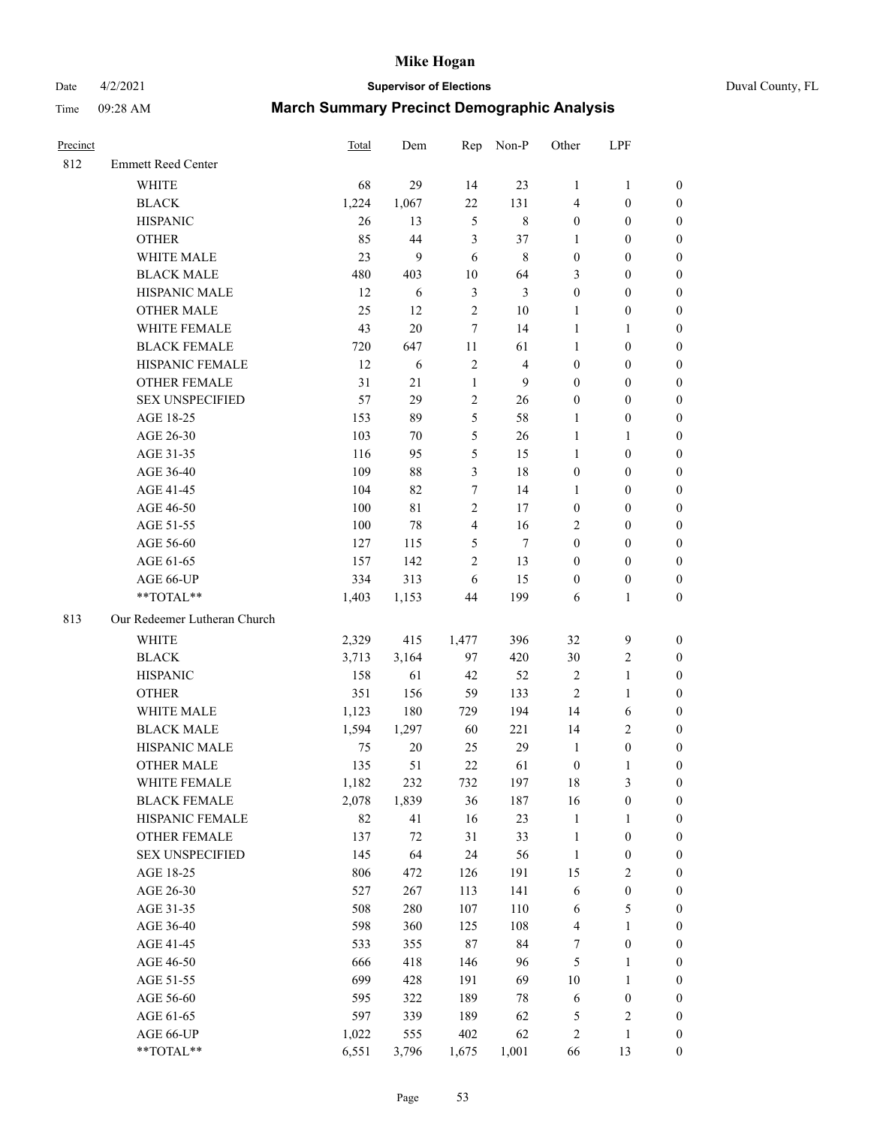# Date 4/2/2021 **Supervisor of Elections** Duval County, FL

| Precinct |                              | <b>Total</b> | Dem         | Rep                     | Non-P          | Other                   | LPF              |                  |
|----------|------------------------------|--------------|-------------|-------------------------|----------------|-------------------------|------------------|------------------|
| 812      | <b>Emmett Reed Center</b>    |              |             |                         |                |                         |                  |                  |
|          | <b>WHITE</b>                 | 68           | 29          | 14                      | 23             | $\mathbf{1}$            | $\mathbf{1}$     | 0                |
|          | <b>BLACK</b>                 | 1,224        | 1,067       | 22                      | 131            | 4                       | $\boldsymbol{0}$ | 0                |
|          | <b>HISPANIC</b>              | 26           | 13          | $\mathfrak s$           | $\,$ 8 $\,$    | $\boldsymbol{0}$        | $\boldsymbol{0}$ | $\boldsymbol{0}$ |
|          | <b>OTHER</b>                 | 85           | 44          | 3                       | 37             | 1                       | $\boldsymbol{0}$ | $\boldsymbol{0}$ |
|          | WHITE MALE                   | 23           | 9           | 6                       | $\,$ 8 $\,$    | $\boldsymbol{0}$        | $\boldsymbol{0}$ | $\boldsymbol{0}$ |
|          | <b>BLACK MALE</b>            | 480          | 403         | 10                      | 64             | 3                       | $\boldsymbol{0}$ | $\boldsymbol{0}$ |
|          | HISPANIC MALE                | 12           | 6           | 3                       | 3              | 0                       | $\boldsymbol{0}$ | $\boldsymbol{0}$ |
|          | <b>OTHER MALE</b>            | 25           | 12          | 2                       | 10             | 1                       | $\boldsymbol{0}$ | $\boldsymbol{0}$ |
|          | WHITE FEMALE                 | 43           | 20          | 7                       | 14             | $\mathbf{1}$            | 1                | $\boldsymbol{0}$ |
|          | <b>BLACK FEMALE</b>          | 720          | 647         | 11                      | 61             | 1                       | $\boldsymbol{0}$ | 0                |
|          | HISPANIC FEMALE              | 12           | 6           | 2                       | $\overline{4}$ | 0                       | $\boldsymbol{0}$ | 0                |
|          | <b>OTHER FEMALE</b>          | 31           | 21          | $\mathbf{1}$            | 9              | 0                       | $\boldsymbol{0}$ | $\boldsymbol{0}$ |
|          | <b>SEX UNSPECIFIED</b>       | 57           | 29          | $\mathbf{2}$            | 26             | $\boldsymbol{0}$        | $\boldsymbol{0}$ | $\boldsymbol{0}$ |
|          | AGE 18-25                    | 153          | 89          | 5                       | 58             | $\mathbf{1}$            | $\boldsymbol{0}$ | $\boldsymbol{0}$ |
|          | AGE 26-30                    | 103          | 70          | 5                       | 26             | 1                       | $\mathbf{1}$     | $\boldsymbol{0}$ |
|          | AGE 31-35                    | 116          | 95          | 5                       | 15             | $\mathbf{1}$            | $\boldsymbol{0}$ | $\boldsymbol{0}$ |
|          | AGE 36-40                    | 109          | 88          | 3                       | 18             | 0                       | $\boldsymbol{0}$ | $\boldsymbol{0}$ |
|          | AGE 41-45                    | 104          | 82          | $\boldsymbol{7}$        | 14             | $\mathbf{1}$            | $\boldsymbol{0}$ | $\boldsymbol{0}$ |
|          | AGE 46-50                    | 100          | $8\sqrt{1}$ | $\mathbf{2}$            | 17             | $\boldsymbol{0}$        | $\boldsymbol{0}$ | $\boldsymbol{0}$ |
|          | AGE 51-55                    | 100          | 78          | $\overline{\mathbf{4}}$ | 16             | 2                       | $\boldsymbol{0}$ | $\boldsymbol{0}$ |
|          | AGE 56-60                    | 127          | 115         | 5                       | $\tau$         | $\boldsymbol{0}$        | $\boldsymbol{0}$ | 0                |
|          | AGE 61-65                    | 157          | 142         | $\overline{c}$          | 13             | $\boldsymbol{0}$        | $\boldsymbol{0}$ | 0                |
|          | AGE 66-UP                    | 334          | 313         | 6                       | 15             | $\boldsymbol{0}$        | $\boldsymbol{0}$ | $\boldsymbol{0}$ |
|          | $**TOTAL**$                  | 1,403        | 1,153       | 44                      | 199            | 6                       | $\mathbf{1}$     | $\boldsymbol{0}$ |
| 813      | Our Redeemer Lutheran Church |              |             |                         |                |                         |                  |                  |
|          | <b>WHITE</b>                 | 2,329        | 415         | 1,477                   | 396            | 32                      | $\mathbf{9}$     | $\boldsymbol{0}$ |
|          | <b>BLACK</b>                 | 3,713        | 3,164       | 97                      | 420            | 30                      | $\sqrt{2}$       | $\boldsymbol{0}$ |
|          | <b>HISPANIC</b>              | 158          | 61          | 42                      | 52             | 2                       | $\mathbf{1}$     | $\boldsymbol{0}$ |
|          | <b>OTHER</b>                 | 351          | 156         | 59                      | 133            | $\overline{c}$          | $\mathbf{1}$     | $\boldsymbol{0}$ |
|          | WHITE MALE                   | 1,123        | 180         | 729                     | 194            | 14                      | 6                | $\boldsymbol{0}$ |
|          | <b>BLACK MALE</b>            | 1,594        | 1,297       | 60                      | 221            | 14                      | $\mathfrak{2}$   | $\boldsymbol{0}$ |
|          | HISPANIC MALE                | 75           | 20          | 25                      | 29             | $\mathbf{1}$            | $\boldsymbol{0}$ | 0                |
|          | <b>OTHER MALE</b>            | 135          | 51          | 22                      | 61             | $\boldsymbol{0}$        | $\mathbf{1}$     | 0                |
|          | WHITE FEMALE                 | 1,182        | 232         | 732                     | 197            | 18                      | 3                | 0                |
|          | <b>BLACK FEMALE</b>          | 2,078        | 1,839       | 36                      | 187            | 16                      | $\boldsymbol{0}$ | 0                |
|          | HISPANIC FEMALE              | 82           | 41          | 16                      | 23             | $\mathbf{1}$            | 1                | 0                |
|          | OTHER FEMALE                 | 137          | $72\,$      | 31                      | 33             | $\mathbf{1}$            | $\boldsymbol{0}$ | 0                |
|          | <b>SEX UNSPECIFIED</b>       | 145          | 64          | 24                      | 56             | $\mathbf{1}$            | $\boldsymbol{0}$ | 0                |
|          | AGE 18-25                    | 806          | 472         | 126                     | 191            | 15                      | $\sqrt{2}$       | 0                |
|          | AGE 26-30                    | 527          | 267         | 113                     | 141            | 6                       | $\boldsymbol{0}$ | 0                |
|          | AGE 31-35                    | 508          | 280         | 107                     | 110            | 6                       | $\mathfrak s$    | 0                |
|          | AGE 36-40                    | 598          | 360         | 125                     | 108            | 4                       | $\mathbf{1}$     | 0                |
|          | AGE 41-45                    | 533          | 355         | 87                      | 84             | 7                       | $\boldsymbol{0}$ | 0                |
|          | AGE 46-50                    | 666          | 418         | 146                     | 96             | 5                       | 1                | 0                |
|          | AGE 51-55                    | 699          | 428         | 191                     | 69             | 10                      | $\mathbf{1}$     | 0                |
|          | AGE 56-60                    | 595          | 322         | 189                     | 78             | 6                       | $\boldsymbol{0}$ | 0                |
|          | AGE 61-65                    | 597          | 339         | 189                     | 62             | 5                       | $\sqrt{2}$       | 0                |
|          | AGE 66-UP                    | 1,022        | 555         | 402                     | 62             | $\overline{\mathbf{c}}$ | 1                | 0                |
|          | **TOTAL**                    | 6,551        | 3,796       | 1,675                   | 1,001          | 66                      | 13               | $\boldsymbol{0}$ |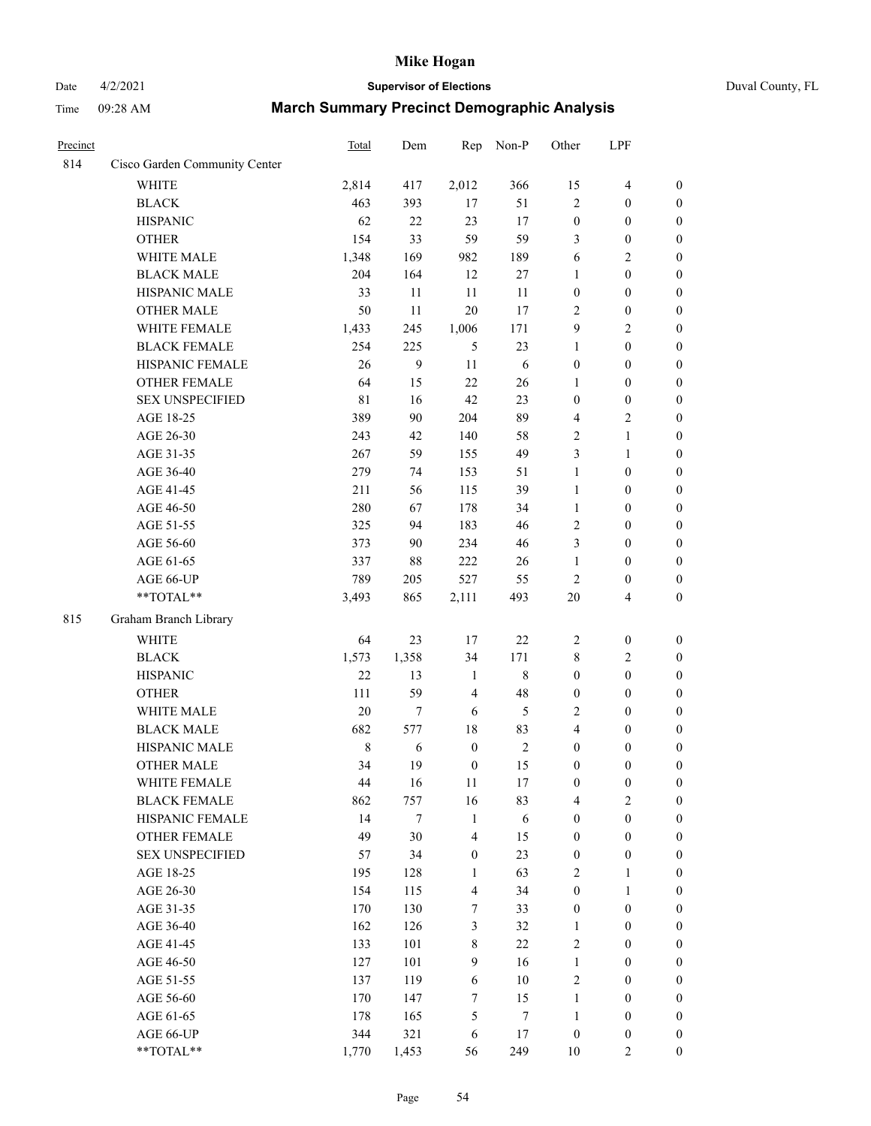### Date 4/2/2021 **Supervisor of Elections** Duval County, FL

| Precinct |                                 | Total       | Dem        | Rep              | Non-P            | Other                 | LPF                                  |                                      |
|----------|---------------------------------|-------------|------------|------------------|------------------|-----------------------|--------------------------------------|--------------------------------------|
| 814      | Cisco Garden Community Center   |             |            |                  |                  |                       |                                      |                                      |
|          | <b>WHITE</b>                    | 2,814       | 417        | 2,012            | 366              | 15                    | $\overline{\mathbf{4}}$              | $\boldsymbol{0}$                     |
|          | <b>BLACK</b>                    | 463         | 393        | 17               | 51               | $\overline{2}$        | $\boldsymbol{0}$                     | $\boldsymbol{0}$                     |
|          | <b>HISPANIC</b>                 | 62          | 22         | 23               | 17               | $\boldsymbol{0}$      | $\boldsymbol{0}$                     | $\boldsymbol{0}$                     |
|          | <b>OTHER</b>                    | 154         | 33         | 59               | 59               | 3                     | $\boldsymbol{0}$                     | $\boldsymbol{0}$                     |
|          | WHITE MALE                      | 1,348       | 169        | 982              | 189              | 6                     | $\sqrt{2}$                           | $\boldsymbol{0}$                     |
|          | <b>BLACK MALE</b>               | 204         | 164        | 12               | $27\,$           | $\mathbf{1}$          | $\boldsymbol{0}$                     | $\boldsymbol{0}$                     |
|          | HISPANIC MALE                   | 33          | 11         | $11\,$           | 11               | $\boldsymbol{0}$      | $\boldsymbol{0}$                     | $\boldsymbol{0}$                     |
|          | <b>OTHER MALE</b>               | 50          | 11         | 20               | 17               | $\overline{2}$        | $\boldsymbol{0}$                     | $\boldsymbol{0}$                     |
|          | WHITE FEMALE                    | 1,433       | 245        | 1,006            | 171              | $\boldsymbol{9}$      | $\sqrt{2}$                           | $\boldsymbol{0}$                     |
|          | <b>BLACK FEMALE</b>             | 254         | 225        | 5                | 23               | $\mathbf{1}$          | $\boldsymbol{0}$                     | 0                                    |
|          | HISPANIC FEMALE                 | 26          | 9          | 11               | 6                | $\boldsymbol{0}$      | $\boldsymbol{0}$                     | $\boldsymbol{0}$                     |
|          | OTHER FEMALE                    | 64          | 15         | 22               | 26               | $\mathbf{1}$          | $\boldsymbol{0}$                     | $\boldsymbol{0}$                     |
|          | <b>SEX UNSPECIFIED</b>          | 81          | 16         | 42               | 23               | $\boldsymbol{0}$      | $\boldsymbol{0}$                     | $\boldsymbol{0}$                     |
|          | AGE 18-25                       | 389         | 90         | 204              | 89               | 4                     | $\sqrt{2}$                           | $\boldsymbol{0}$                     |
|          | AGE 26-30                       | 243         | 42         | 140              | 58               | $\sqrt{2}$            | $\mathbf{1}$                         | $\boldsymbol{0}$                     |
|          | AGE 31-35                       | 267         | 59         | 155              | 49               | 3                     | $\mathbf{1}$                         | $\boldsymbol{0}$                     |
|          | AGE 36-40                       | 279         | 74         | 153              | 51               | $\mathbf{1}$          | $\boldsymbol{0}$                     | $\boldsymbol{0}$                     |
|          | AGE 41-45                       | 211         | 56         | 115              | 39               | $\mathbf{1}$          | $\boldsymbol{0}$                     | $\boldsymbol{0}$                     |
|          | AGE 46-50                       | 280         | 67         | 178              | 34               | $\mathbf{1}$          | $\boldsymbol{0}$                     | $\boldsymbol{0}$                     |
|          | AGE 51-55                       | 325         | 94         | 183              | 46               | 2                     | $\boldsymbol{0}$                     | 0                                    |
|          | AGE 56-60                       | 373         | 90         | 234              | 46               | 3                     | $\boldsymbol{0}$                     | $\boldsymbol{0}$                     |
|          | AGE 61-65                       | 337         | 88         | 222              | 26               | $\mathbf{1}$          | $\boldsymbol{0}$                     | $\boldsymbol{0}$                     |
|          | AGE 66-UP                       | 789         | 205        | 527              | 55               | $\mathbf{2}$          | $\boldsymbol{0}$                     | $\boldsymbol{0}$                     |
|          | **TOTAL**                       | 3,493       | 865        | 2,111            | 493              | $20\,$                | $\overline{4}$                       | $\boldsymbol{0}$                     |
| 815      | Graham Branch Library           |             |            |                  |                  |                       |                                      |                                      |
|          | <b>WHITE</b>                    | 64          | 23         | $17\,$           | $22\,$           | $\overline{c}$        | $\boldsymbol{0}$                     | $\boldsymbol{0}$                     |
|          |                                 | 1,573       | 1,358      | 34               | 171              | 8                     | $\sqrt{2}$                           |                                      |
|          | <b>BLACK</b><br><b>HISPANIC</b> | 22          | 13         | $\mathbf{1}$     | $\,$ 8 $\,$      | $\boldsymbol{0}$      | $\boldsymbol{0}$                     | $\boldsymbol{0}$<br>$\boldsymbol{0}$ |
|          | <b>OTHER</b>                    | 111         | 59         | $\overline{4}$   | 48               |                       | $\boldsymbol{0}$                     | $\boldsymbol{0}$                     |
|          | WHITE MALE                      | 20          | 7          | 6                | $\mathfrak s$    | $\boldsymbol{0}$<br>2 |                                      | $\boldsymbol{0}$                     |
|          | <b>BLACK MALE</b>               | 682         | 577        | $18\,$           | 83               | 4                     | $\boldsymbol{0}$<br>$\boldsymbol{0}$ |                                      |
|          | HISPANIC MALE                   | $\,$ 8 $\,$ | 6          | $\boldsymbol{0}$ | $\sqrt{2}$       | $\boldsymbol{0}$      | $\boldsymbol{0}$                     | $\boldsymbol{0}$                     |
|          | OTHER MALE                      | 34          | 19         | $\boldsymbol{0}$ | 15               | $\boldsymbol{0}$      | $\boldsymbol{0}$                     | 0<br>$\boldsymbol{0}$                |
|          | WHITE FEMALE                    | 44          | 16         | $11\,$           | $17\,$           | $\boldsymbol{0}$      | $\boldsymbol{0}$                     | $\boldsymbol{0}$                     |
|          | <b>BLACK FEMALE</b>             | 862         | 757        | 16               | 83               | 4                     | $\sqrt{2}$                           | $\overline{0}$                       |
|          | HISPANIC FEMALE                 | 14          | 7          | $\mathbf{1}$     | $\sqrt{6}$       | $\boldsymbol{0}$      | $\boldsymbol{0}$                     | $\overline{0}$                       |
|          | <b>OTHER FEMALE</b>             | 49          | 30         | $\overline{4}$   | 15               | $\boldsymbol{0}$      | $\boldsymbol{0}$                     | $\overline{0}$                       |
|          | <b>SEX UNSPECIFIED</b>          | 57          | 34         | $\boldsymbol{0}$ | 23               | $\boldsymbol{0}$      | $\boldsymbol{0}$                     | $\overline{0}$                       |
|          | AGE 18-25                       | 195         | 128        | $\mathbf{1}$     | 63               | 2                     | $\mathbf{1}$                         | $\overline{0}$                       |
|          | AGE 26-30                       | 154         |            | $\overline{4}$   | 34               | $\boldsymbol{0}$      | $\mathbf{1}$                         | 0                                    |
|          | AGE 31-35                       | 170         | 115<br>130 | 7                | 33               | $\boldsymbol{0}$      | $\boldsymbol{0}$                     | 0                                    |
|          | AGE 36-40                       | 162         | 126        | 3                | 32               | $\mathbf{1}$          | $\boldsymbol{0}$                     | 0                                    |
|          | AGE 41-45                       | 133         | 101        | $\,$ 8 $\,$      | 22               | 2                     | $\boldsymbol{0}$                     | 0                                    |
|          | AGE 46-50                       | 127         | 101        | 9                | 16               | $\mathbf{1}$          | $\boldsymbol{0}$                     | $\boldsymbol{0}$                     |
|          | AGE 51-55                       | 137         | 119        | 6                | $10\,$           | 2                     | $\boldsymbol{0}$                     | $\boldsymbol{0}$                     |
|          | AGE 56-60                       | 170         | 147        | 7                | 15               | $\mathbf{1}$          | $\boldsymbol{0}$                     | $\overline{0}$                       |
|          | AGE 61-65                       | 178         | 165        | 5                | $\boldsymbol{7}$ | $\mathbf{1}$          | $\boldsymbol{0}$                     | $\boldsymbol{0}$                     |
|          | AGE 66-UP                       | 344         | 321        | 6                | 17               | $\boldsymbol{0}$      | $\boldsymbol{0}$                     | $\boldsymbol{0}$                     |
|          | **TOTAL**                       | 1,770       | 1,453      | 56               | 249              | $10\,$                | $\overline{2}$                       | $\boldsymbol{0}$                     |
|          |                                 |             |            |                  |                  |                       |                                      |                                      |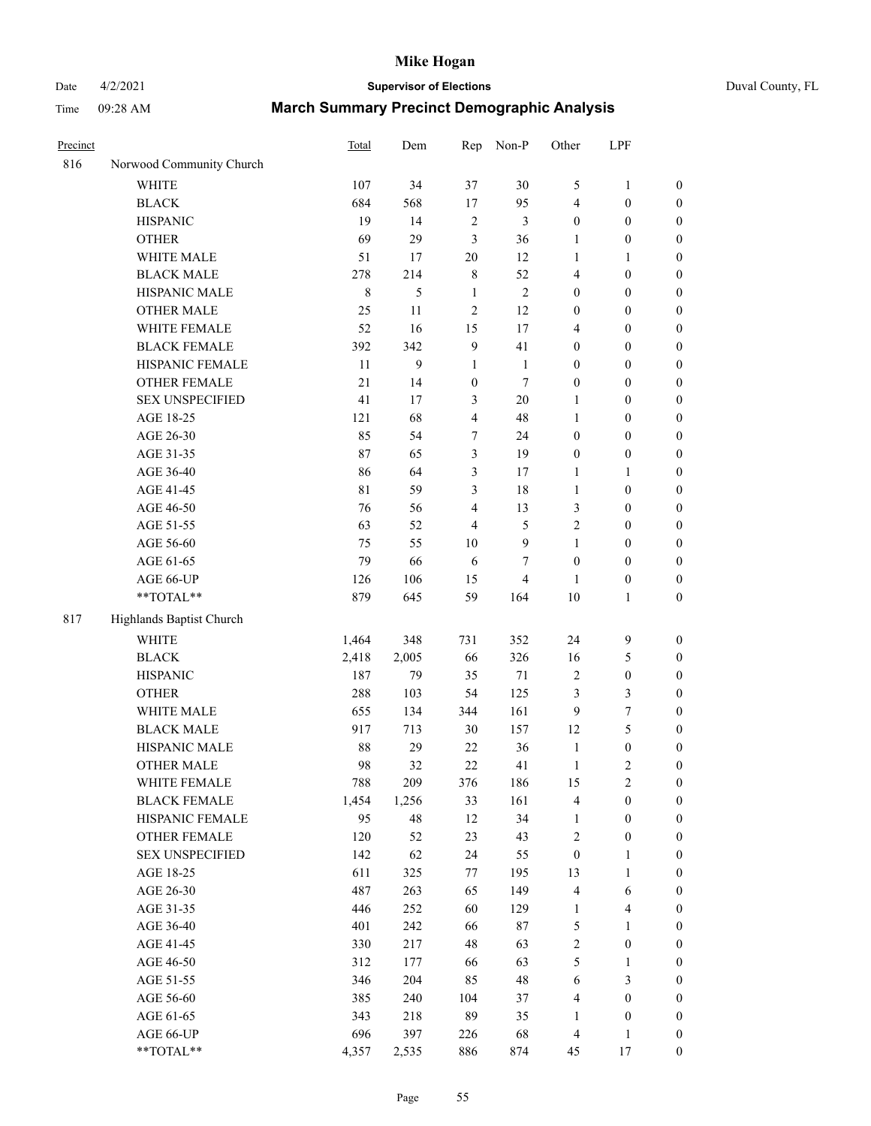# Date 4/2/2021 **Supervisor of Elections** Duval County, FL

| Precinct |                          | <b>Total</b> | Dem   | Rep                     | Non-P          | Other            | LPF              |                  |
|----------|--------------------------|--------------|-------|-------------------------|----------------|------------------|------------------|------------------|
| 816      | Norwood Community Church |              |       |                         |                |                  |                  |                  |
|          | <b>WHITE</b>             | 107          | 34    | 37                      | 30             | 5                | $\mathbf{1}$     | 0                |
|          | <b>BLACK</b>             | 684          | 568   | 17                      | 95             | 4                | $\boldsymbol{0}$ | $\boldsymbol{0}$ |
|          | <b>HISPANIC</b>          | 19           | 14    | $\sqrt{2}$              | $\mathfrak{Z}$ | $\boldsymbol{0}$ | $\boldsymbol{0}$ | $\boldsymbol{0}$ |
|          | <b>OTHER</b>             | 69           | 29    | 3                       | 36             | 1                | $\boldsymbol{0}$ | $\boldsymbol{0}$ |
|          | WHITE MALE               | 51           | 17    | 20                      | 12             | 1                | 1                | $\boldsymbol{0}$ |
|          | <b>BLACK MALE</b>        | 278          | 214   | $\,$ $\,$               | 52             | 4                | $\boldsymbol{0}$ | $\boldsymbol{0}$ |
|          | HISPANIC MALE            | $\,$ 8 $\,$  | 5     | $\mathbf{1}$            | $\sqrt{2}$     | $\boldsymbol{0}$ | $\boldsymbol{0}$ | $\boldsymbol{0}$ |
|          | <b>OTHER MALE</b>        | 25           | 11    | $\overline{c}$          | 12             | $\boldsymbol{0}$ | $\boldsymbol{0}$ | $\boldsymbol{0}$ |
|          | WHITE FEMALE             | 52           | 16    | 15                      | 17             | 4                | $\boldsymbol{0}$ | $\boldsymbol{0}$ |
|          | <b>BLACK FEMALE</b>      | 392          | 342   | $\boldsymbol{9}$        | 41             | $\boldsymbol{0}$ | $\boldsymbol{0}$ | $\boldsymbol{0}$ |
|          | HISPANIC FEMALE          | 11           | 9     | $\mathbf{1}$            | $\mathbf{1}$   | $\boldsymbol{0}$ | $\boldsymbol{0}$ | $\boldsymbol{0}$ |
|          | <b>OTHER FEMALE</b>      | 21           | 14    | $\boldsymbol{0}$        | $\tau$         | $\boldsymbol{0}$ | $\boldsymbol{0}$ | $\boldsymbol{0}$ |
|          | <b>SEX UNSPECIFIED</b>   | 41           | 17    | 3                       | $20\,$         | $\mathbf{1}$     | $\boldsymbol{0}$ | $\boldsymbol{0}$ |
|          | AGE 18-25                | 121          | 68    | $\overline{\mathbf{4}}$ | 48             | $\mathbf{1}$     | $\boldsymbol{0}$ | $\boldsymbol{0}$ |
|          | AGE 26-30                | 85           | 54    | 7                       | 24             | $\boldsymbol{0}$ | $\boldsymbol{0}$ | $\boldsymbol{0}$ |
|          | AGE 31-35                | 87           | 65    | 3                       | 19             | $\boldsymbol{0}$ | $\boldsymbol{0}$ | $\boldsymbol{0}$ |
|          | AGE 36-40                | 86           | 64    | 3                       | 17             | $\mathbf{1}$     | $\mathbf{1}$     | $\boldsymbol{0}$ |
|          | AGE 41-45                | 81           | 59    | 3                       | 18             | $\mathbf{1}$     | $\boldsymbol{0}$ | $\boldsymbol{0}$ |
|          | AGE 46-50                | 76           | 56    | $\overline{4}$          | 13             | 3                | $\boldsymbol{0}$ | $\boldsymbol{0}$ |
|          | AGE 51-55                | 63           | 52    | $\overline{\mathbf{4}}$ | $\mathfrak{S}$ | 2                | $\boldsymbol{0}$ | $\boldsymbol{0}$ |
|          | AGE 56-60                | 75           | 55    | 10                      | $\mathbf{9}$   | $\mathbf{1}$     | $\boldsymbol{0}$ | 0                |
|          | AGE 61-65                | 79           | 66    | 6                       | 7              | $\boldsymbol{0}$ | $\boldsymbol{0}$ | $\boldsymbol{0}$ |
|          | AGE 66-UP                | 126          | 106   | 15                      | $\overline{4}$ | 1                | $\boldsymbol{0}$ | $\boldsymbol{0}$ |
|          | **TOTAL**                | 879          | 645   | 59                      | 164            | 10               | $\mathbf{1}$     | $\boldsymbol{0}$ |
|          |                          |              |       |                         |                |                  |                  |                  |
| 817      | Highlands Baptist Church |              |       |                         |                |                  |                  |                  |
|          | <b>WHITE</b>             | 1,464        | 348   | 731                     | 352            | 24               | $\boldsymbol{9}$ | $\boldsymbol{0}$ |
|          | <b>BLACK</b>             | 2,418        | 2,005 | 66                      | 326            | 16               | $\mathfrak s$    | $\boldsymbol{0}$ |
|          | <b>HISPANIC</b>          | 187          | 79    | 35                      | $71\,$         | 2                | $\boldsymbol{0}$ | $\boldsymbol{0}$ |
|          | <b>OTHER</b>             | 288          | 103   | 54                      | 125            | 3                | $\mathfrak{Z}$   | $\boldsymbol{0}$ |
|          | WHITE MALE               | 655          | 134   | 344                     | 161            | 9                | $\tau$           | $\boldsymbol{0}$ |
|          | <b>BLACK MALE</b>        | 917          | 713   | 30                      | 157            | 12               | 5                | $\boldsymbol{0}$ |
|          | HISPANIC MALE            | 88           | 29    | $22\,$                  | 36             | $\mathbf{1}$     | $\boldsymbol{0}$ | $\boldsymbol{0}$ |
|          | <b>OTHER MALE</b>        | 98           | 32    | 22                      | 41             | $\mathbf{1}$     | $\mathfrak{2}$   | $\boldsymbol{0}$ |
|          | WHITE FEMALE             | 788          | 209   | 376                     | 186            | 15               | $\overline{c}$   | 0                |
|          | <b>BLACK FEMALE</b>      | 1,454        | 1,256 | 33                      | 161            | 4                | $\boldsymbol{0}$ | $\boldsymbol{0}$ |
|          | HISPANIC FEMALE          | 95           | 48    | 12                      | 34             | $\mathbf{1}$     | $\boldsymbol{0}$ | $\overline{0}$   |
|          | <b>OTHER FEMALE</b>      | 120          | 52    | 23                      | 43             | 2                | $\boldsymbol{0}$ | $\overline{0}$   |
|          | <b>SEX UNSPECIFIED</b>   | 142          | 62    | 24                      | 55             | $\boldsymbol{0}$ | $\mathbf{1}$     | 0                |
|          | AGE 18-25                | 611          | 325   | 77                      | 195            | 13               | $\mathbf{1}$     | $\theta$         |
|          | AGE 26-30                | 487          | 263   | 65                      | 149            | 4                | 6                | 0                |
|          | AGE 31-35                | 446          | 252   | 60                      | 129            | $\mathbf{1}$     | $\overline{4}$   | 0                |
|          | AGE 36-40                | 401          | 242   | 66                      | $87\,$         | 5                | $\mathbf{1}$     | 0                |
|          | AGE 41-45                | 330          | 217   | 48                      | 63             | $\overline{c}$   | $\boldsymbol{0}$ | 0                |
|          | AGE 46-50                | 312          | 177   | 66                      | 63             | 5                | 1                | 0                |
|          | AGE 51-55                | 346          | 204   | 85                      | 48             | 6                | 3                | 0                |
|          | AGE 56-60                | 385          | 240   | 104                     | 37             | 4                | $\boldsymbol{0}$ | $\overline{0}$   |
|          | AGE 61-65                | 343          | 218   | 89                      | 35             | 1                | $\boldsymbol{0}$ | $\overline{0}$   |
|          | AGE 66-UP                | 696          | 397   | 226                     | 68             | 4                | $\mathbf{1}$     | 0                |
|          | **TOTAL**                | 4,357        | 2,535 | 886                     | 874            | 45               | 17               | $\boldsymbol{0}$ |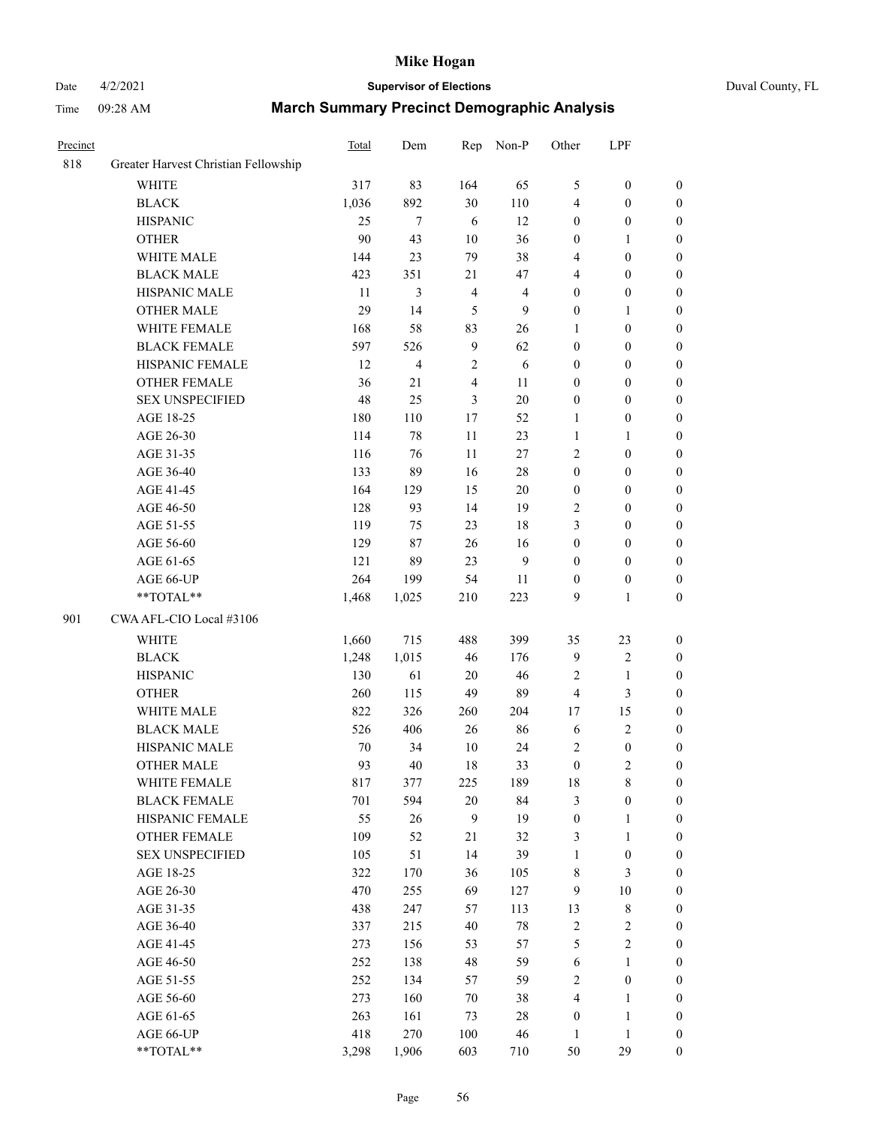### Date 4/2/2021 **Supervisor of Elections** Duval County, FL

|                                      | Total                                                                                                                                                                                                                                                                                                                                                                                                                                                  | Dem                                                                                                                                                                                                     | Rep                                                                                                                                                                     | Non-P                                                                                                                                          | Other                                                                                                                                                                               | LPF                                                                                                                                                                                                                                        |                                                                                                                                                                                                                                                                                                                                                |
|--------------------------------------|--------------------------------------------------------------------------------------------------------------------------------------------------------------------------------------------------------------------------------------------------------------------------------------------------------------------------------------------------------------------------------------------------------------------------------------------------------|---------------------------------------------------------------------------------------------------------------------------------------------------------------------------------------------------------|-------------------------------------------------------------------------------------------------------------------------------------------------------------------------|------------------------------------------------------------------------------------------------------------------------------------------------|-------------------------------------------------------------------------------------------------------------------------------------------------------------------------------------|--------------------------------------------------------------------------------------------------------------------------------------------------------------------------------------------------------------------------------------------|------------------------------------------------------------------------------------------------------------------------------------------------------------------------------------------------------------------------------------------------------------------------------------------------------------------------------------------------|
| Greater Harvest Christian Fellowship |                                                                                                                                                                                                                                                                                                                                                                                                                                                        |                                                                                                                                                                                                         |                                                                                                                                                                         |                                                                                                                                                |                                                                                                                                                                                     |                                                                                                                                                                                                                                            |                                                                                                                                                                                                                                                                                                                                                |
| <b>WHITE</b>                         | 317                                                                                                                                                                                                                                                                                                                                                                                                                                                    | 83                                                                                                                                                                                                      | 164                                                                                                                                                                     | 65                                                                                                                                             | 5                                                                                                                                                                                   | $\boldsymbol{0}$                                                                                                                                                                                                                           | $\boldsymbol{0}$                                                                                                                                                                                                                                                                                                                               |
| <b>BLACK</b>                         | 1,036                                                                                                                                                                                                                                                                                                                                                                                                                                                  | 892                                                                                                                                                                                                     | 30                                                                                                                                                                      | 110                                                                                                                                            | 4                                                                                                                                                                                   | $\boldsymbol{0}$                                                                                                                                                                                                                           | $\boldsymbol{0}$                                                                                                                                                                                                                                                                                                                               |
| <b>HISPANIC</b>                      | 25                                                                                                                                                                                                                                                                                                                                                                                                                                                     | $\tau$                                                                                                                                                                                                  | 6                                                                                                                                                                       | 12                                                                                                                                             | $\boldsymbol{0}$                                                                                                                                                                    | $\boldsymbol{0}$                                                                                                                                                                                                                           | $\boldsymbol{0}$                                                                                                                                                                                                                                                                                                                               |
| <b>OTHER</b>                         | 90                                                                                                                                                                                                                                                                                                                                                                                                                                                     | 43                                                                                                                                                                                                      | 10                                                                                                                                                                      | 36                                                                                                                                             | $\boldsymbol{0}$                                                                                                                                                                    | $\mathbf{1}$                                                                                                                                                                                                                               | $\boldsymbol{0}$                                                                                                                                                                                                                                                                                                                               |
| WHITE MALE                           | 144                                                                                                                                                                                                                                                                                                                                                                                                                                                    | 23                                                                                                                                                                                                      | 79                                                                                                                                                                      | 38                                                                                                                                             | 4                                                                                                                                                                                   | $\boldsymbol{0}$                                                                                                                                                                                                                           | $\boldsymbol{0}$                                                                                                                                                                                                                                                                                                                               |
| <b>BLACK MALE</b>                    | 423                                                                                                                                                                                                                                                                                                                                                                                                                                                    | 351                                                                                                                                                                                                     | 21                                                                                                                                                                      | 47                                                                                                                                             | 4                                                                                                                                                                                   | $\boldsymbol{0}$                                                                                                                                                                                                                           | $\boldsymbol{0}$                                                                                                                                                                                                                                                                                                                               |
| HISPANIC MALE                        | 11                                                                                                                                                                                                                                                                                                                                                                                                                                                     | 3                                                                                                                                                                                                       | $\overline{4}$                                                                                                                                                          | $\overline{\mathbf{4}}$                                                                                                                        | $\boldsymbol{0}$                                                                                                                                                                    | $\boldsymbol{0}$                                                                                                                                                                                                                           | $\boldsymbol{0}$                                                                                                                                                                                                                                                                                                                               |
| OTHER MALE                           | 29                                                                                                                                                                                                                                                                                                                                                                                                                                                     | 14                                                                                                                                                                                                      | 5                                                                                                                                                                       | $\mathbf{9}$                                                                                                                                   | $\boldsymbol{0}$                                                                                                                                                                    | $\mathbf{1}$                                                                                                                                                                                                                               | $\boldsymbol{0}$                                                                                                                                                                                                                                                                                                                               |
| WHITE FEMALE                         | 168                                                                                                                                                                                                                                                                                                                                                                                                                                                    | 58                                                                                                                                                                                                      | 83                                                                                                                                                                      | 26                                                                                                                                             | 1                                                                                                                                                                                   | $\boldsymbol{0}$                                                                                                                                                                                                                           | 0                                                                                                                                                                                                                                                                                                                                              |
| <b>BLACK FEMALE</b>                  | 597                                                                                                                                                                                                                                                                                                                                                                                                                                                    | 526                                                                                                                                                                                                     | $\overline{9}$                                                                                                                                                          | 62                                                                                                                                             | $\boldsymbol{0}$                                                                                                                                                                    | $\boldsymbol{0}$                                                                                                                                                                                                                           | $\boldsymbol{0}$                                                                                                                                                                                                                                                                                                                               |
|                                      | 12                                                                                                                                                                                                                                                                                                                                                                                                                                                     | $\overline{\mathcal{L}}$                                                                                                                                                                                |                                                                                                                                                                         |                                                                                                                                                | $\boldsymbol{0}$                                                                                                                                                                    | $\boldsymbol{0}$                                                                                                                                                                                                                           | $\boldsymbol{0}$                                                                                                                                                                                                                                                                                                                               |
| OTHER FEMALE                         | 36                                                                                                                                                                                                                                                                                                                                                                                                                                                     | 21                                                                                                                                                                                                      | $\overline{4}$                                                                                                                                                          | $11\,$                                                                                                                                         | $\boldsymbol{0}$                                                                                                                                                                    | $\boldsymbol{0}$                                                                                                                                                                                                                           | $\boldsymbol{0}$                                                                                                                                                                                                                                                                                                                               |
| <b>SEX UNSPECIFIED</b>               | 48                                                                                                                                                                                                                                                                                                                                                                                                                                                     | 25                                                                                                                                                                                                      | 3                                                                                                                                                                       | $20\,$                                                                                                                                         | $\boldsymbol{0}$                                                                                                                                                                    | $\boldsymbol{0}$                                                                                                                                                                                                                           | $\boldsymbol{0}$                                                                                                                                                                                                                                                                                                                               |
| AGE 18-25                            | 180                                                                                                                                                                                                                                                                                                                                                                                                                                                    | 110                                                                                                                                                                                                     | 17                                                                                                                                                                      | 52                                                                                                                                             | $\mathbf{1}$                                                                                                                                                                        | $\boldsymbol{0}$                                                                                                                                                                                                                           | $\boldsymbol{0}$                                                                                                                                                                                                                                                                                                                               |
| AGE 26-30                            | 114                                                                                                                                                                                                                                                                                                                                                                                                                                                    | 78                                                                                                                                                                                                      | 11                                                                                                                                                                      | 23                                                                                                                                             | $\mathbf{1}$                                                                                                                                                                        | $\mathbf{1}$                                                                                                                                                                                                                               | $\boldsymbol{0}$                                                                                                                                                                                                                                                                                                                               |
| AGE 31-35                            |                                                                                                                                                                                                                                                                                                                                                                                                                                                        |                                                                                                                                                                                                         | 11                                                                                                                                                                      |                                                                                                                                                | 2                                                                                                                                                                                   |                                                                                                                                                                                                                                            | $\boldsymbol{0}$                                                                                                                                                                                                                                                                                                                               |
| AGE 36-40                            | 133                                                                                                                                                                                                                                                                                                                                                                                                                                                    | 89                                                                                                                                                                                                      | 16                                                                                                                                                                      | $28\,$                                                                                                                                         | $\boldsymbol{0}$                                                                                                                                                                    | $\boldsymbol{0}$                                                                                                                                                                                                                           | $\boldsymbol{0}$                                                                                                                                                                                                                                                                                                                               |
|                                      |                                                                                                                                                                                                                                                                                                                                                                                                                                                        |                                                                                                                                                                                                         | 15                                                                                                                                                                      |                                                                                                                                                |                                                                                                                                                                                     |                                                                                                                                                                                                                                            | $\boldsymbol{0}$                                                                                                                                                                                                                                                                                                                               |
|                                      |                                                                                                                                                                                                                                                                                                                                                                                                                                                        | 93                                                                                                                                                                                                      | 14                                                                                                                                                                      | 19                                                                                                                                             | 2                                                                                                                                                                                   | $\boldsymbol{0}$                                                                                                                                                                                                                           | 0                                                                                                                                                                                                                                                                                                                                              |
|                                      |                                                                                                                                                                                                                                                                                                                                                                                                                                                        | 75                                                                                                                                                                                                      | 23                                                                                                                                                                      |                                                                                                                                                | 3                                                                                                                                                                                   | $\boldsymbol{0}$                                                                                                                                                                                                                           | $\boldsymbol{0}$                                                                                                                                                                                                                                                                                                                               |
|                                      |                                                                                                                                                                                                                                                                                                                                                                                                                                                        |                                                                                                                                                                                                         |                                                                                                                                                                         |                                                                                                                                                |                                                                                                                                                                                     | $\boldsymbol{0}$                                                                                                                                                                                                                           | $\boldsymbol{0}$                                                                                                                                                                                                                                                                                                                               |
|                                      |                                                                                                                                                                                                                                                                                                                                                                                                                                                        | 89                                                                                                                                                                                                      | 23                                                                                                                                                                      | 9                                                                                                                                              | $\boldsymbol{0}$                                                                                                                                                                    | $\boldsymbol{0}$                                                                                                                                                                                                                           | $\boldsymbol{0}$                                                                                                                                                                                                                                                                                                                               |
|                                      |                                                                                                                                                                                                                                                                                                                                                                                                                                                        |                                                                                                                                                                                                         | 54                                                                                                                                                                      |                                                                                                                                                | $\boldsymbol{0}$                                                                                                                                                                    |                                                                                                                                                                                                                                            | $\boldsymbol{0}$                                                                                                                                                                                                                                                                                                                               |
| **TOTAL**                            |                                                                                                                                                                                                                                                                                                                                                                                                                                                        |                                                                                                                                                                                                         | 210                                                                                                                                                                     | 223                                                                                                                                            | 9                                                                                                                                                                                   | $\mathbf{1}$                                                                                                                                                                                                                               | $\boldsymbol{0}$                                                                                                                                                                                                                                                                                                                               |
|                                      |                                                                                                                                                                                                                                                                                                                                                                                                                                                        |                                                                                                                                                                                                         |                                                                                                                                                                         |                                                                                                                                                |                                                                                                                                                                                     |                                                                                                                                                                                                                                            |                                                                                                                                                                                                                                                                                                                                                |
|                                      |                                                                                                                                                                                                                                                                                                                                                                                                                                                        |                                                                                                                                                                                                         |                                                                                                                                                                         |                                                                                                                                                |                                                                                                                                                                                     |                                                                                                                                                                                                                                            | $\boldsymbol{0}$                                                                                                                                                                                                                                                                                                                               |
|                                      |                                                                                                                                                                                                                                                                                                                                                                                                                                                        |                                                                                                                                                                                                         |                                                                                                                                                                         |                                                                                                                                                |                                                                                                                                                                                     |                                                                                                                                                                                                                                            | $\boldsymbol{0}$                                                                                                                                                                                                                                                                                                                               |
|                                      |                                                                                                                                                                                                                                                                                                                                                                                                                                                        |                                                                                                                                                                                                         |                                                                                                                                                                         |                                                                                                                                                |                                                                                                                                                                                     |                                                                                                                                                                                                                                            | $\boldsymbol{0}$                                                                                                                                                                                                                                                                                                                               |
|                                      |                                                                                                                                                                                                                                                                                                                                                                                                                                                        |                                                                                                                                                                                                         |                                                                                                                                                                         |                                                                                                                                                |                                                                                                                                                                                     |                                                                                                                                                                                                                                            | $\boldsymbol{0}$                                                                                                                                                                                                                                                                                                                               |
|                                      |                                                                                                                                                                                                                                                                                                                                                                                                                                                        |                                                                                                                                                                                                         |                                                                                                                                                                         |                                                                                                                                                |                                                                                                                                                                                     |                                                                                                                                                                                                                                            | 0                                                                                                                                                                                                                                                                                                                                              |
|                                      |                                                                                                                                                                                                                                                                                                                                                                                                                                                        |                                                                                                                                                                                                         |                                                                                                                                                                         |                                                                                                                                                |                                                                                                                                                                                     |                                                                                                                                                                                                                                            | 0                                                                                                                                                                                                                                                                                                                                              |
|                                      |                                                                                                                                                                                                                                                                                                                                                                                                                                                        |                                                                                                                                                                                                         |                                                                                                                                                                         |                                                                                                                                                |                                                                                                                                                                                     |                                                                                                                                                                                                                                            | 0                                                                                                                                                                                                                                                                                                                                              |
|                                      |                                                                                                                                                                                                                                                                                                                                                                                                                                                        |                                                                                                                                                                                                         |                                                                                                                                                                         |                                                                                                                                                |                                                                                                                                                                                     |                                                                                                                                                                                                                                            | $\boldsymbol{0}$                                                                                                                                                                                                                                                                                                                               |
|                                      |                                                                                                                                                                                                                                                                                                                                                                                                                                                        |                                                                                                                                                                                                         |                                                                                                                                                                         |                                                                                                                                                |                                                                                                                                                                                     |                                                                                                                                                                                                                                            | $\boldsymbol{0}$                                                                                                                                                                                                                                                                                                                               |
|                                      |                                                                                                                                                                                                                                                                                                                                                                                                                                                        |                                                                                                                                                                                                         |                                                                                                                                                                         |                                                                                                                                                |                                                                                                                                                                                     |                                                                                                                                                                                                                                            | $\overline{0}$                                                                                                                                                                                                                                                                                                                                 |
|                                      |                                                                                                                                                                                                                                                                                                                                                                                                                                                        |                                                                                                                                                                                                         |                                                                                                                                                                         |                                                                                                                                                |                                                                                                                                                                                     |                                                                                                                                                                                                                                            | $\overline{0}$                                                                                                                                                                                                                                                                                                                                 |
|                                      |                                                                                                                                                                                                                                                                                                                                                                                                                                                        |                                                                                                                                                                                                         |                                                                                                                                                                         |                                                                                                                                                |                                                                                                                                                                                     |                                                                                                                                                                                                                                            | $\theta$                                                                                                                                                                                                                                                                                                                                       |
|                                      |                                                                                                                                                                                                                                                                                                                                                                                                                                                        |                                                                                                                                                                                                         |                                                                                                                                                                         |                                                                                                                                                |                                                                                                                                                                                     |                                                                                                                                                                                                                                            | $\theta$                                                                                                                                                                                                                                                                                                                                       |
|                                      |                                                                                                                                                                                                                                                                                                                                                                                                                                                        |                                                                                                                                                                                                         |                                                                                                                                                                         |                                                                                                                                                |                                                                                                                                                                                     |                                                                                                                                                                                                                                            | $\overline{0}$                                                                                                                                                                                                                                                                                                                                 |
|                                      |                                                                                                                                                                                                                                                                                                                                                                                                                                                        |                                                                                                                                                                                                         |                                                                                                                                                                         |                                                                                                                                                |                                                                                                                                                                                     |                                                                                                                                                                                                                                            | 0                                                                                                                                                                                                                                                                                                                                              |
|                                      |                                                                                                                                                                                                                                                                                                                                                                                                                                                        |                                                                                                                                                                                                         |                                                                                                                                                                         |                                                                                                                                                |                                                                                                                                                                                     |                                                                                                                                                                                                                                            | 0                                                                                                                                                                                                                                                                                                                                              |
| AGE 36-40                            |                                                                                                                                                                                                                                                                                                                                                                                                                                                        |                                                                                                                                                                                                         |                                                                                                                                                                         |                                                                                                                                                |                                                                                                                                                                                     |                                                                                                                                                                                                                                            | 0                                                                                                                                                                                                                                                                                                                                              |
|                                      |                                                                                                                                                                                                                                                                                                                                                                                                                                                        |                                                                                                                                                                                                         |                                                                                                                                                                         |                                                                                                                                                |                                                                                                                                                                                     |                                                                                                                                                                                                                                            | $\overline{0}$                                                                                                                                                                                                                                                                                                                                 |
|                                      |                                                                                                                                                                                                                                                                                                                                                                                                                                                        |                                                                                                                                                                                                         |                                                                                                                                                                         |                                                                                                                                                |                                                                                                                                                                                     | $\mathbf{1}$                                                                                                                                                                                                                               | $\boldsymbol{0}$                                                                                                                                                                                                                                                                                                                               |
|                                      |                                                                                                                                                                                                                                                                                                                                                                                                                                                        |                                                                                                                                                                                                         |                                                                                                                                                                         |                                                                                                                                                |                                                                                                                                                                                     |                                                                                                                                                                                                                                            | $\overline{0}$                                                                                                                                                                                                                                                                                                                                 |
| AGE 56-60                            | 273                                                                                                                                                                                                                                                                                                                                                                                                                                                    | 160                                                                                                                                                                                                     | 70                                                                                                                                                                      | 38                                                                                                                                             | 4                                                                                                                                                                                   | $\mathbf{1}$                                                                                                                                                                                                                               | $\overline{0}$                                                                                                                                                                                                                                                                                                                                 |
| AGE 61-65                            | 263                                                                                                                                                                                                                                                                                                                                                                                                                                                    | 161                                                                                                                                                                                                     | 73                                                                                                                                                                      | 28                                                                                                                                             | $\boldsymbol{0}$                                                                                                                                                                    | $\mathbf{1}$                                                                                                                                                                                                                               | $\overline{0}$                                                                                                                                                                                                                                                                                                                                 |
| AGE 66-UP                            | 418                                                                                                                                                                                                                                                                                                                                                                                                                                                    | 270                                                                                                                                                                                                     | 100                                                                                                                                                                     | 46                                                                                                                                             | $\mathbf{1}$                                                                                                                                                                        | $\mathbf{1}$                                                                                                                                                                                                                               | $\overline{0}$                                                                                                                                                                                                                                                                                                                                 |
| **TOTAL**                            | 3,298                                                                                                                                                                                                                                                                                                                                                                                                                                                  | 1,906                                                                                                                                                                                                   | 603                                                                                                                                                                     | 710                                                                                                                                            | 50                                                                                                                                                                                  | 29                                                                                                                                                                                                                                         | $\boldsymbol{0}$                                                                                                                                                                                                                                                                                                                               |
|                                      | HISPANIC FEMALE<br>AGE 41-45<br>AGE 46-50<br>AGE 51-55<br>AGE 56-60<br>AGE 61-65<br>AGE 66-UP<br>CWA AFL-CIO Local #3106<br>WHITE<br><b>BLACK</b><br><b>HISPANIC</b><br><b>OTHER</b><br>WHITE MALE<br><b>BLACK MALE</b><br>HISPANIC MALE<br><b>OTHER MALE</b><br>WHITE FEMALE<br><b>BLACK FEMALE</b><br>HISPANIC FEMALE<br><b>OTHER FEMALE</b><br><b>SEX UNSPECIFIED</b><br>AGE 18-25<br>AGE 26-30<br>AGE 31-35<br>AGE 41-45<br>AGE 46-50<br>AGE 51-55 | 116<br>164<br>128<br>119<br>129<br>121<br>264<br>1,468<br>1,660<br>1,248<br>130<br>260<br>822<br>526<br>$70\,$<br>93<br>817<br>701<br>55<br>109<br>105<br>322<br>470<br>438<br>337<br>273<br>252<br>252 | 76<br>129<br>87<br>199<br>1,025<br>715<br>1,015<br>61<br>115<br>326<br>406<br>34<br>40<br>377<br>594<br>26<br>52<br>51<br>170<br>255<br>247<br>215<br>156<br>138<br>134 | $\sqrt{2}$<br>26<br>488<br>46<br>20<br>49<br>260<br>26<br>10<br>18<br>225<br>$20\,$<br>9<br>21<br>14<br>36<br>69<br>57<br>40<br>53<br>48<br>57 | $\sqrt{6}$<br>$27\,$<br>$20\,$<br>18<br>16<br>11<br>399<br>176<br>46<br>89<br>204<br>86<br>24<br>33<br>189<br>84<br>19<br>32<br>39<br>105<br>127<br>113<br>$78\,$<br>57<br>59<br>59 | $\boldsymbol{0}$<br>$\boldsymbol{0}$<br>35<br>9<br>$\sqrt{2}$<br>4<br>17<br>$\sqrt{6}$<br>$\overline{c}$<br>$\boldsymbol{0}$<br>18<br>3<br>$\boldsymbol{0}$<br>3<br>$\mathbf{1}$<br>8<br>$\overline{9}$<br>13<br>$\sqrt{2}$<br>5<br>6<br>2 | $\boldsymbol{0}$<br>$\boldsymbol{0}$<br>$\boldsymbol{0}$<br>23<br>$\sqrt{2}$<br>$\mathbf{1}$<br>$\mathfrak{Z}$<br>15<br>$\mathbf{2}$<br>$\boldsymbol{0}$<br>$\sqrt{2}$<br>$\,8\,$<br>$\boldsymbol{0}$<br>$\mathbf{1}$<br>$\mathbf{1}$<br>$\boldsymbol{0}$<br>$\mathfrak{Z}$<br>$10\,$<br>$8\,$<br>$\sqrt{2}$<br>$\sqrt{2}$<br>$\boldsymbol{0}$ |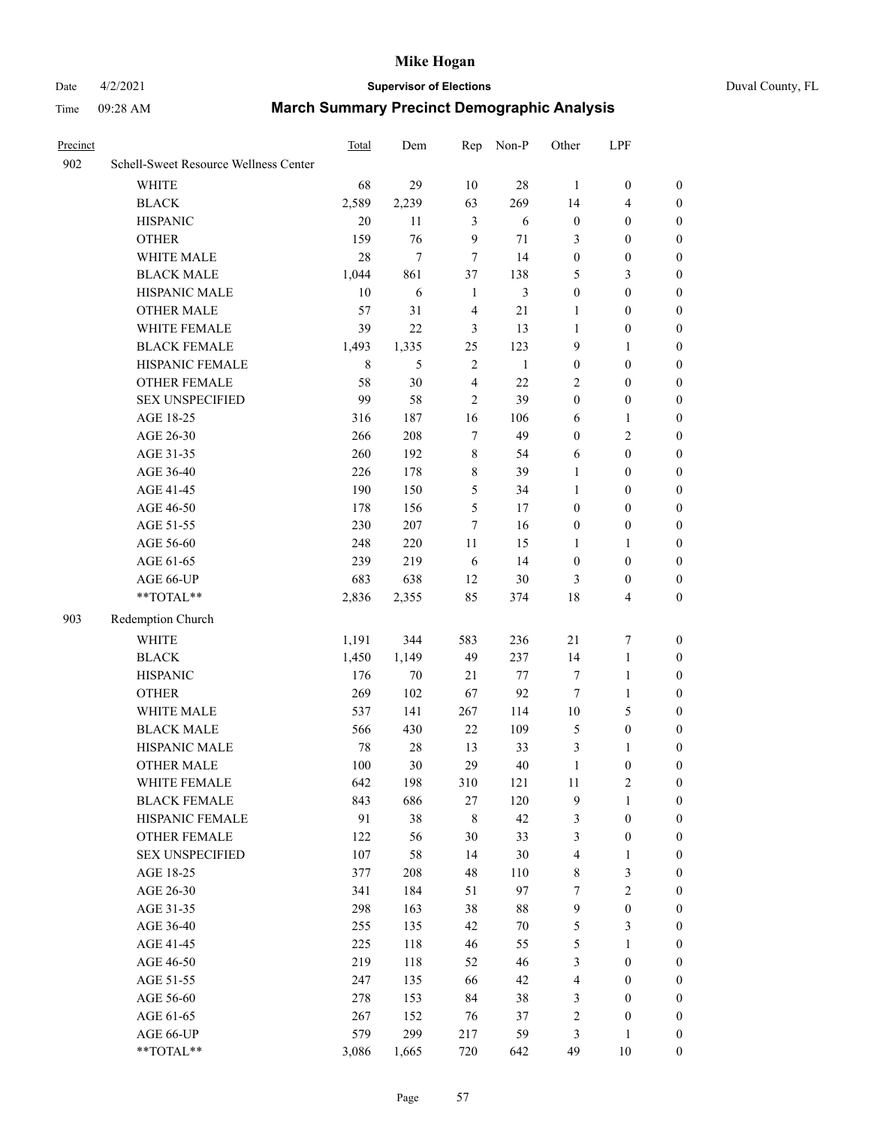### Date 4/2/2021 **Supervisor of Elections** Duval County, FL

| Precinct |                                       | Total   | Dem    | Rep            | Non-P        | Other            | LPF                     |                  |
|----------|---------------------------------------|---------|--------|----------------|--------------|------------------|-------------------------|------------------|
| 902      | Schell-Sweet Resource Wellness Center |         |        |                |              |                  |                         |                  |
|          | <b>WHITE</b>                          | 68      | 29     | 10             | $28\,$       | $\mathbf{1}$     | $\boldsymbol{0}$        | $\boldsymbol{0}$ |
|          | <b>BLACK</b>                          | 2,589   | 2,239  | 63             | 269          | 14               | $\overline{\mathbf{4}}$ | $\boldsymbol{0}$ |
|          | <b>HISPANIC</b>                       | 20      | 11     | $\mathfrak{Z}$ | 6            | $\boldsymbol{0}$ | $\boldsymbol{0}$        | $\boldsymbol{0}$ |
|          | <b>OTHER</b>                          | 159     | 76     | $\mathbf{9}$   | 71           | 3                | $\boldsymbol{0}$        | $\boldsymbol{0}$ |
|          | WHITE MALE                            | 28      | $\tau$ | 7              | 14           | $\boldsymbol{0}$ | $\boldsymbol{0}$        | $\boldsymbol{0}$ |
|          | <b>BLACK MALE</b>                     | 1,044   | 861    | 37             | 138          | 5                | $\mathfrak{Z}$          | $\boldsymbol{0}$ |
|          | HISPANIC MALE                         | 10      | 6      | $\mathbf{1}$   | 3            | $\boldsymbol{0}$ | $\boldsymbol{0}$        | 0                |
|          | <b>OTHER MALE</b>                     | 57      | 31     | $\overline{4}$ | 21           | 1                | $\boldsymbol{0}$        | 0                |
|          | WHITE FEMALE                          | 39      | 22     | $\mathfrak{Z}$ | 13           | $\mathbf{1}$     | $\boldsymbol{0}$        | 0                |
|          | <b>BLACK FEMALE</b>                   | 1,493   | 1,335  | 25             | 123          | 9                | $\mathbf{1}$            | $\boldsymbol{0}$ |
|          | HISPANIC FEMALE                       | $\,8\,$ | 5      | $\sqrt{2}$     | $\mathbf{1}$ | $\boldsymbol{0}$ | $\boldsymbol{0}$        | $\boldsymbol{0}$ |
|          | OTHER FEMALE                          | 58      | 30     | $\overline{4}$ | 22           | 2                | $\boldsymbol{0}$        | $\boldsymbol{0}$ |
|          | <b>SEX UNSPECIFIED</b>                | 99      | 58     | $\overline{2}$ | 39           | $\boldsymbol{0}$ | $\boldsymbol{0}$        | $\boldsymbol{0}$ |
|          | AGE 18-25                             | 316     | 187    | 16             | 106          | 6                | $\mathbf{1}$            | $\boldsymbol{0}$ |
|          | AGE 26-30                             | 266     | 208    | 7              | 49           | $\boldsymbol{0}$ | $\mathbf{2}$            | $\boldsymbol{0}$ |
|          | AGE 31-35                             | 260     | 192    | $\,$ 8 $\,$    | 54           | 6                | $\boldsymbol{0}$        | $\boldsymbol{0}$ |
|          | AGE 36-40                             | 226     | 178    | $\,$ 8 $\,$    | 39           | 1                | $\boldsymbol{0}$        | $\boldsymbol{0}$ |
|          | AGE 41-45                             | 190     | 150    | 5              | 34           | 1                | $\boldsymbol{0}$        | 0                |
|          | AGE 46-50                             | 178     | 156    | 5              | 17           | $\boldsymbol{0}$ | $\boldsymbol{0}$        | 0                |
|          | AGE 51-55                             | 230     | 207    | 7              | 16           | $\boldsymbol{0}$ | $\boldsymbol{0}$        | $\boldsymbol{0}$ |
|          | AGE 56-60                             | 248     | 220    | 11             | 15           | 1                | 1                       | $\boldsymbol{0}$ |
|          | AGE 61-65                             | 239     | 219    | 6              | 14           | $\boldsymbol{0}$ | $\boldsymbol{0}$        | $\boldsymbol{0}$ |
|          | AGE 66-UP                             | 683     | 638    | 12             | 30           | 3                | $\boldsymbol{0}$        | $\boldsymbol{0}$ |
|          | **TOTAL**                             | 2,836   | 2,355  | 85             | 374          | 18               | $\overline{4}$          | $\boldsymbol{0}$ |
|          |                                       |         |        |                |              |                  |                         |                  |
| 903      | Redemption Church                     |         |        |                |              |                  |                         |                  |
|          | <b>WHITE</b>                          | 1,191   | 344    | 583            | 236          | $21\,$           | $\boldsymbol{7}$        | $\boldsymbol{0}$ |
|          | <b>BLACK</b>                          | 1,450   | 1,149  | 49             | 237          | 14               | $\mathbf{1}$            | $\boldsymbol{0}$ |
|          | <b>HISPANIC</b>                       | 176     | $70\,$ | 21             | $77 \,$      | 7                | $\mathbf{1}$            | $\boldsymbol{0}$ |
|          | <b>OTHER</b>                          | 269     | 102    | 67             | 92           | $\tau$           | $\mathbf{1}$            | 0                |
|          | WHITE MALE                            | 537     | 141    | 267            | 114          | $10\,$           | $\mathfrak{S}$          | 0                |
|          | <b>BLACK MALE</b>                     | 566     | 430    | 22             | 109          | 5                | $\boldsymbol{0}$        | 0                |
|          | HISPANIC MALE                         | 78      | 28     | 13             | 33           | $\mathfrak{Z}$   | 1                       | 0                |
|          | <b>OTHER MALE</b>                     | 100     | 30     | 29             | 40           | $\mathbf{1}$     | $\boldsymbol{0}$        | $\boldsymbol{0}$ |
|          | WHITE FEMALE                          | 642     | 198    | 310            | 121          | 11               | $\sqrt{2}$              | $\boldsymbol{0}$ |
|          | <b>BLACK FEMALE</b>                   | 843     | 686    | $27\,$         | 120          | 9                | $\mathbf{1}$            | $\overline{0}$   |
|          | HISPANIC FEMALE                       | 91      | 38     | $\,$ 8 $\,$    | 42           | 3                | $\boldsymbol{0}$        | $\theta$         |
|          | <b>OTHER FEMALE</b>                   | 122     | 56     | 30             | 33           | 3                | $\boldsymbol{0}$        | 0                |
|          | <b>SEX UNSPECIFIED</b>                | 107     | 58     | 14             | 30           | 4                | $\mathbf{1}$            | 0                |
|          | AGE 18-25                             | 377     | 208    | 48             | 110          | 8                | $\mathfrak{Z}$          | 0                |
|          | AGE 26-30                             | 341     | 184    | 51             | 97           | 7                | $\sqrt{2}$              | 0                |
|          | AGE 31-35                             | 298     | 163    | 38             | 88           | 9                | $\boldsymbol{0}$        | 0                |
|          | AGE 36-40                             | 255     | 135    | 42             | $70\,$       | 5                | 3                       | $\overline{0}$   |
|          | AGE 41-45                             | 225     | 118    | 46             | 55           | 5                | 1                       | $\boldsymbol{0}$ |
|          | AGE 46-50                             | 219     | 118    | 52             | 46           | 3                | $\boldsymbol{0}$        | $\overline{0}$   |
|          | AGE 51-55                             | 247     | 135    | 66             | 42           | 4                | $\boldsymbol{0}$        | $\overline{0}$   |
|          | AGE 56-60                             | 278     | 153    | 84             | 38           | 3                | $\boldsymbol{0}$        | $\overline{0}$   |
|          | AGE 61-65                             | 267     | 152    | 76             | 37           | $\sqrt{2}$       | $\boldsymbol{0}$        | $\overline{0}$   |
|          | AGE 66-UP                             | 579     | 299    | 217            | 59           | 3                | $\mathbf{1}$            | $\boldsymbol{0}$ |
|          | **TOTAL**                             | 3,086   | 1,665  | 720            | 642          | 49               | 10                      | $\boldsymbol{0}$ |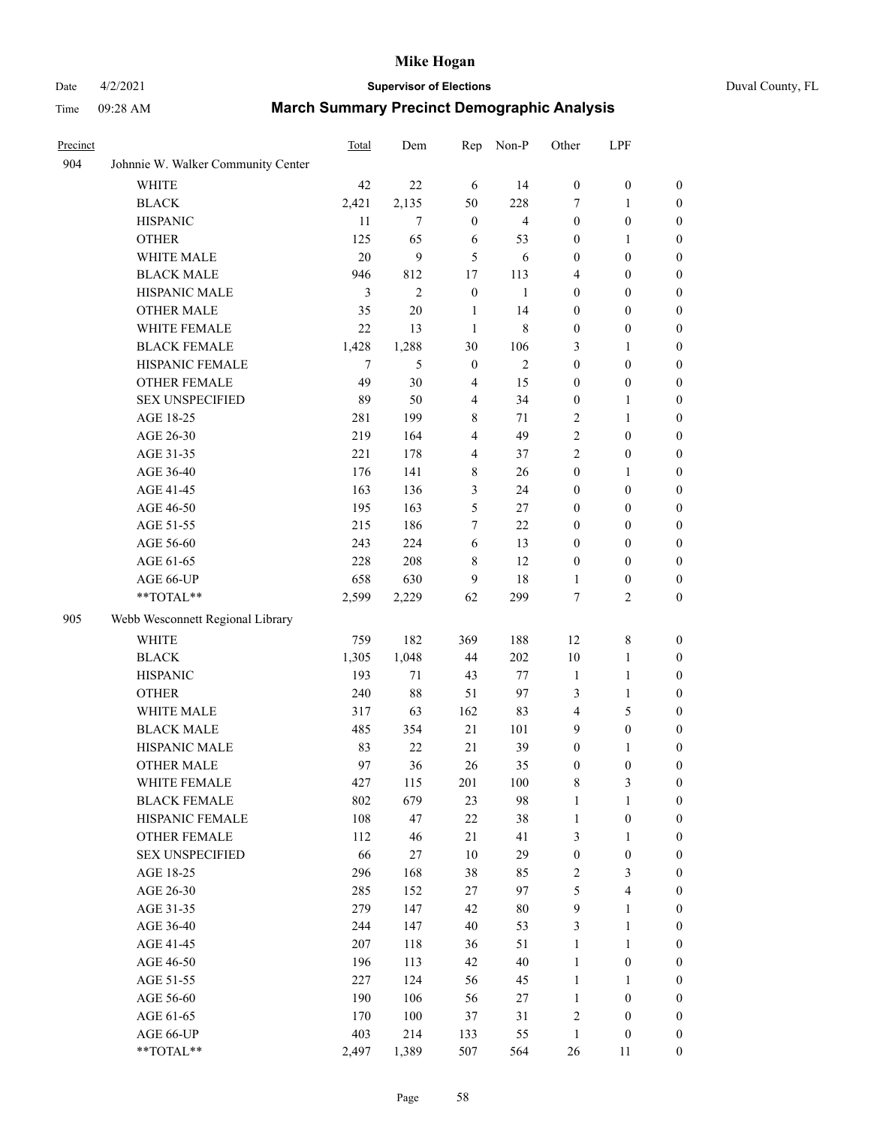### Date 4/2/2021 **Supervisor of Elections** Duval County, FL

| Precinct |                                    | Total | Dem          | Rep              | Non-P          | Other            | LPF                     |                  |
|----------|------------------------------------|-------|--------------|------------------|----------------|------------------|-------------------------|------------------|
| 904      | Johnnie W. Walker Community Center |       |              |                  |                |                  |                         |                  |
|          | <b>WHITE</b>                       | 42    | 22           | 6                | 14             | $\boldsymbol{0}$ | $\boldsymbol{0}$        | $\boldsymbol{0}$ |
|          | <b>BLACK</b>                       | 2,421 | 2,135        | 50               | 228            | 7                | 1                       | $\boldsymbol{0}$ |
|          | <b>HISPANIC</b>                    | 11    | $\tau$       | $\boldsymbol{0}$ | $\overline{4}$ | $\boldsymbol{0}$ | $\boldsymbol{0}$        | $\boldsymbol{0}$ |
|          | <b>OTHER</b>                       | 125   | 65           | 6                | 53             | $\boldsymbol{0}$ | 1                       | $\boldsymbol{0}$ |
|          | WHITE MALE                         | 20    | 9            | 5                | 6              | $\boldsymbol{0}$ | $\boldsymbol{0}$        | $\boldsymbol{0}$ |
|          | <b>BLACK MALE</b>                  | 946   | 812          | 17               | 113            | 4                | $\boldsymbol{0}$        | $\boldsymbol{0}$ |
|          | HISPANIC MALE                      | 3     | $\mathbf{2}$ | $\boldsymbol{0}$ | $\mathbf{1}$   | $\boldsymbol{0}$ | $\boldsymbol{0}$        | $\boldsymbol{0}$ |
|          | <b>OTHER MALE</b>                  | 35    | $20\,$       | $\mathbf{1}$     | 14             | $\boldsymbol{0}$ | $\boldsymbol{0}$        | $\boldsymbol{0}$ |
|          | WHITE FEMALE                       | 22    | 13           | $\mathbf{1}$     | 8              | $\boldsymbol{0}$ | $\boldsymbol{0}$        | 0                |
|          | <b>BLACK FEMALE</b>                | 1,428 | 1,288        | 30               | 106            | 3                | $\mathbf{1}$            | 0                |
|          | HISPANIC FEMALE                    | 7     | 5            | $\boldsymbol{0}$ | $\mathbf{2}$   | $\boldsymbol{0}$ | $\boldsymbol{0}$        | $\boldsymbol{0}$ |
|          | OTHER FEMALE                       | 49    | 30           | $\overline{4}$   | 15             | $\boldsymbol{0}$ | $\boldsymbol{0}$        | $\boldsymbol{0}$ |
|          | <b>SEX UNSPECIFIED</b>             | 89    | 50           | $\overline{4}$   | 34             | $\boldsymbol{0}$ | 1                       | $\boldsymbol{0}$ |
|          | AGE 18-25                          | 281   | 199          | 8                | 71             | 2                | $\mathbf{1}$            | $\boldsymbol{0}$ |
|          | AGE 26-30                          | 219   | 164          | 4                | 49             | 2                | $\boldsymbol{0}$        | $\boldsymbol{0}$ |
|          | AGE 31-35                          | 221   | 178          | $\overline{4}$   | 37             | $\overline{c}$   | $\boldsymbol{0}$        | $\boldsymbol{0}$ |
|          | AGE 36-40                          | 176   | 141          | 8                | 26             | $\boldsymbol{0}$ | $\mathbf{1}$            | $\boldsymbol{0}$ |
|          | AGE 41-45                          | 163   | 136          | 3                | 24             | $\boldsymbol{0}$ | $\boldsymbol{0}$        | $\boldsymbol{0}$ |
|          | AGE 46-50                          | 195   | 163          | 5                | 27             | $\boldsymbol{0}$ | $\boldsymbol{0}$        | $\boldsymbol{0}$ |
|          | AGE 51-55                          | 215   | 186          | $\tau$           | 22             | $\boldsymbol{0}$ | $\boldsymbol{0}$        | 0                |
|          | AGE 56-60                          | 243   | 224          | 6                | 13             | $\boldsymbol{0}$ | $\boldsymbol{0}$        | 0                |
|          | AGE 61-65                          | 228   | 208          | 8                | 12             | $\boldsymbol{0}$ | $\boldsymbol{0}$        | $\boldsymbol{0}$ |
|          | AGE 66-UP                          | 658   | 630          | 9                | 18             | 1                | $\boldsymbol{0}$        | $\boldsymbol{0}$ |
|          | **TOTAL**                          | 2,599 | 2,229        | 62               | 299            | 7                | $\mathfrak{2}$          | $\boldsymbol{0}$ |
| 905      | Webb Wesconnett Regional Library   |       |              |                  |                |                  |                         |                  |
|          | <b>WHITE</b>                       | 759   | 182          | 369              | 188            | 12               | $\,$ 8 $\,$             | $\boldsymbol{0}$ |
|          | <b>BLACK</b>                       | 1,305 | 1,048        | 44               | 202            | 10               | $\mathbf{1}$            | $\boldsymbol{0}$ |
|          | <b>HISPANIC</b>                    | 193   | 71           | 43               | $77\,$         | $\mathbf{1}$     | $\mathbf{1}$            | $\boldsymbol{0}$ |
|          | <b>OTHER</b>                       | 240   | 88           | 51               | 97             | 3                | $\mathbf{1}$            | $\boldsymbol{0}$ |
|          | WHITE MALE                         | 317   | 63           | 162              | 83             | 4                | 5                       | $\boldsymbol{0}$ |
|          | <b>BLACK MALE</b>                  | 485   | 354          | 21               | 101            | 9                | $\boldsymbol{0}$        | $\boldsymbol{0}$ |
|          | HISPANIC MALE                      | 83    | 22           | 21               | 39             | $\boldsymbol{0}$ | 1                       | 0                |
|          | <b>OTHER MALE</b>                  | 97    | 36           | 26               | 35             | $\boldsymbol{0}$ | $\boldsymbol{0}$        | $\boldsymbol{0}$ |
|          | WHITE FEMALE                       | 427   | 115          | 201              | 100            | 8                | 3                       | $\overline{0}$   |
|          | <b>BLACK FEMALE</b>                | 802   | 679          | 23               | 98             | $\mathbf{1}$     | $\mathbf{1}$            | $\boldsymbol{0}$ |
|          | HISPANIC FEMALE                    | 108   | 47           | 22               | 38             | $\mathbf{1}$     | $\boldsymbol{0}$        | $\overline{0}$   |
|          | OTHER FEMALE                       | 112   | 46           | 21               | 41             | 3                | $\mathbf{1}$            | 0                |
|          | <b>SEX UNSPECIFIED</b>             | 66    | 27           | 10               | 29             | $\boldsymbol{0}$ | $\boldsymbol{0}$        | 0                |
|          | AGE 18-25                          | 296   | 168          | 38               | 85             | 2                | $\mathfrak{Z}$          | 0                |
|          | AGE 26-30                          | 285   | 152          | 27               | 97             | 5                | $\overline{\mathbf{4}}$ | 0                |
|          | AGE 31-35                          | 279   | 147          | 42               | $80\,$         | 9                | $\mathbf{1}$            | 0                |
|          | AGE 36-40                          | 244   | 147          | 40               | 53             | 3                | $\mathbf{1}$            | 0                |
|          | AGE 41-45                          | 207   | 118          | 36               | 51             | $\mathbf{1}$     | $\mathbf{1}$            | 0                |
|          | AGE 46-50                          | 196   | 113          | 42               | $40\,$         | $\mathbf{1}$     | $\boldsymbol{0}$        | 0                |
|          | AGE 51-55                          | 227   | 124          | 56               | 45             | $\mathbf{1}$     | 1                       | 0                |
|          | AGE 56-60                          | 190   | 106          | 56               | 27             | $\mathbf{1}$     | $\boldsymbol{0}$        | $\overline{0}$   |
|          | AGE 61-65                          | 170   | 100          | 37               | 31             | 2                | $\boldsymbol{0}$        | 0                |
|          | AGE 66-UP                          | 403   | 214          | 133              | 55             | $\mathbf{1}$     | $\boldsymbol{0}$        | 0                |
|          | **TOTAL**                          | 2,497 | 1,389        | 507              | 564            | 26               | 11                      | $\boldsymbol{0}$ |
|          |                                    |       |              |                  |                |                  |                         |                  |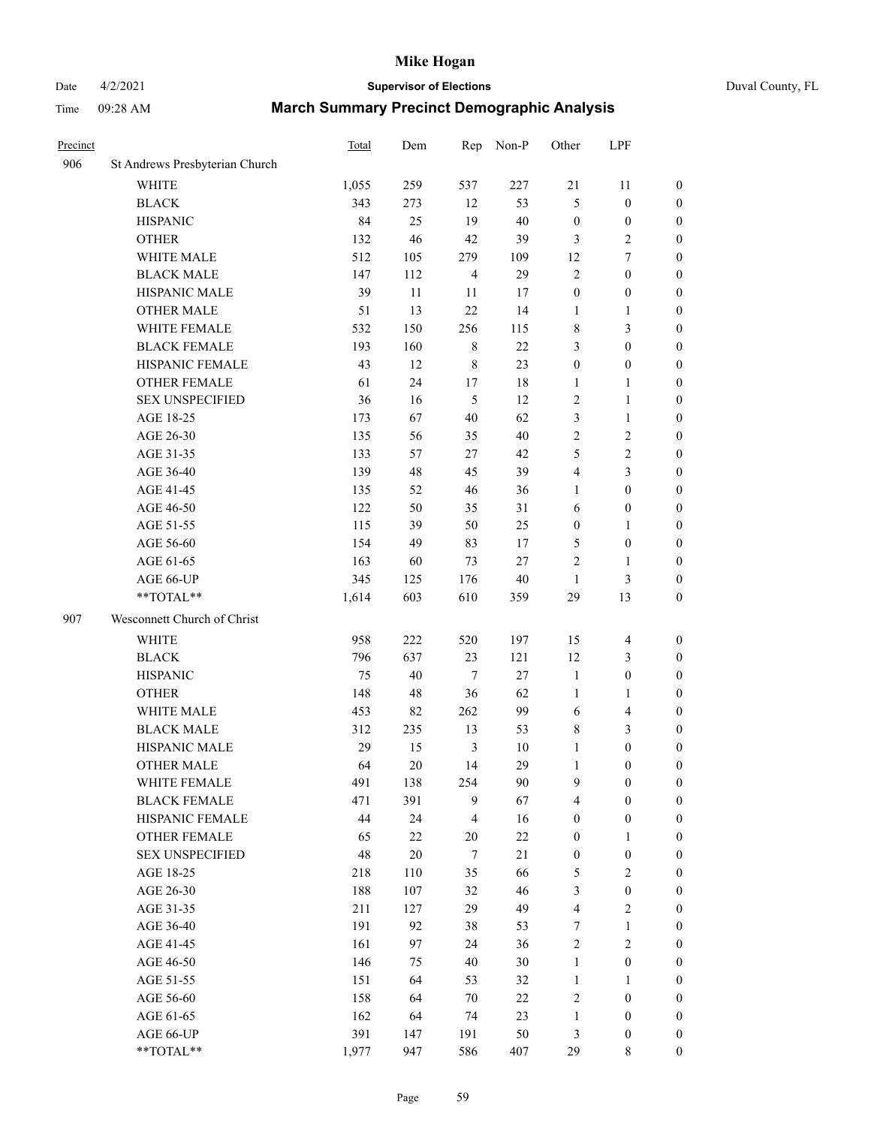### Date 4/2/2021 **Supervisor of Elections** Duval County, FL

| Precinct |                                | Total | Dem    |                | Rep Non-P | Other            | LPF              |                  |
|----------|--------------------------------|-------|--------|----------------|-----------|------------------|------------------|------------------|
| 906      | St Andrews Presbyterian Church |       |        |                |           |                  |                  |                  |
|          | <b>WHITE</b>                   | 1,055 | 259    | 537            | 227       | 21               | 11               | $\boldsymbol{0}$ |
|          | <b>BLACK</b>                   | 343   | 273    | 12             | 53        | 5                | $\boldsymbol{0}$ | $\boldsymbol{0}$ |
|          | <b>HISPANIC</b>                | 84    | 25     | 19             | 40        | $\boldsymbol{0}$ | $\boldsymbol{0}$ | $\boldsymbol{0}$ |
|          | <b>OTHER</b>                   | 132   | 46     | 42             | 39        | 3                | $\sqrt{2}$       | $\boldsymbol{0}$ |
|          | WHITE MALE                     | 512   | 105    | 279            | 109       | 12               | 7                | $\boldsymbol{0}$ |
|          | <b>BLACK MALE</b>              | 147   | 112    | $\overline{4}$ | 29        | 2                | $\boldsymbol{0}$ | $\boldsymbol{0}$ |
|          | HISPANIC MALE                  | 39    | 11     | $11\,$         | 17        | $\boldsymbol{0}$ | $\boldsymbol{0}$ | $\boldsymbol{0}$ |
|          | <b>OTHER MALE</b>              | 51    | 13     | 22             | 14        | $\mathbf{1}$     | 1                | $\boldsymbol{0}$ |
|          | WHITE FEMALE                   | 532   | 150    | 256            | 115       | 8                | $\mathfrak{Z}$   | $\boldsymbol{0}$ |
|          | <b>BLACK FEMALE</b>            | 193   | 160    | $\,$ 8 $\,$    | 22        | 3                | $\boldsymbol{0}$ | 0                |
|          | HISPANIC FEMALE                | 43    | 12     | $\,$ 8 $\,$    | 23        | $\boldsymbol{0}$ | $\boldsymbol{0}$ | $\boldsymbol{0}$ |
|          | OTHER FEMALE                   | 61    | 24     | 17             | 18        | $\mathbf{1}$     | $\mathbf{1}$     | $\boldsymbol{0}$ |
|          | <b>SEX UNSPECIFIED</b>         | 36    | 16     | 5              | 12        | 2                | $\mathbf{1}$     | $\boldsymbol{0}$ |
|          | AGE 18-25                      | 173   | 67     | 40             | 62        | 3                | $\mathbf{1}$     | $\boldsymbol{0}$ |
|          | AGE 26-30                      | 135   | 56     | 35             | 40        | $\overline{c}$   | $\sqrt{2}$       | $\boldsymbol{0}$ |
|          | AGE 31-35                      | 133   | 57     | $27\,$         | 42        | 5                | $\sqrt{2}$       | $\boldsymbol{0}$ |
|          | AGE 36-40                      | 139   | 48     | 45             | 39        | 4                | 3                | $\boldsymbol{0}$ |
|          | AGE 41-45                      | 135   | 52     | 46             | 36        | $\mathbf{1}$     | $\boldsymbol{0}$ | $\boldsymbol{0}$ |
|          | AGE 46-50                      | 122   | 50     | 35             | 31        | 6                | $\boldsymbol{0}$ | $\boldsymbol{0}$ |
|          | AGE 51-55                      | 115   | 39     | 50             | 25        | $\boldsymbol{0}$ | 1                | 0                |
|          | AGE 56-60                      | 154   | 49     | 83             | 17        | 5                | $\boldsymbol{0}$ | $\boldsymbol{0}$ |
|          | AGE 61-65                      | 163   | 60     | 73             | $27\,$    | 2                | $\mathbf{1}$     | $\boldsymbol{0}$ |
|          | AGE 66-UP                      | 345   | 125    | 176            | $40\,$    | $\mathbf{1}$     | $\mathfrak{Z}$   | $\boldsymbol{0}$ |
|          | **TOTAL**                      | 1,614 | 603    | 610            | 359       | 29               | 13               | $\boldsymbol{0}$ |
| 907      | Wesconnett Church of Christ    |       |        |                |           |                  |                  |                  |
|          | WHITE                          | 958   | 222    | 520            | 197       | 15               | $\overline{4}$   | $\boldsymbol{0}$ |
|          | <b>BLACK</b>                   | 796   | 637    | 23             | 121       | 12               | $\mathfrak{Z}$   | $\boldsymbol{0}$ |
|          | <b>HISPANIC</b>                | 75    | 40     | $\tau$         | 27        | $\mathbf{1}$     | $\boldsymbol{0}$ | $\boldsymbol{0}$ |
|          | <b>OTHER</b>                   | 148   | 48     | 36             | 62        | $\mathbf{1}$     | $\mathbf{1}$     | $\boldsymbol{0}$ |
|          | WHITE MALE                     | 453   | 82     | 262            | 99        | 6                | $\overline{4}$   | $\boldsymbol{0}$ |
|          | <b>BLACK MALE</b>              | 312   | 235    | 13             | 53        | 8                | $\mathfrak{Z}$   | $\boldsymbol{0}$ |
|          | HISPANIC MALE                  | 29    | 15     | $\mathfrak{Z}$ | 10        | $\mathbf{1}$     | $\boldsymbol{0}$ | 0                |
|          | <b>OTHER MALE</b>              | 64    | 20     | 14             | 29        | $\mathbf{1}$     | $\boldsymbol{0}$ | $\boldsymbol{0}$ |
|          | WHITE FEMALE                   | 491   | 138    | 254            | $90\,$    | 9                | $\boldsymbol{0}$ | $\boldsymbol{0}$ |
|          | <b>BLACK FEMALE</b>            | 471   | 391    | 9              | 67        | 4                | $\boldsymbol{0}$ | $\overline{0}$   |
|          | HISPANIC FEMALE                | 44    | 24     | 4              | 16        | $\boldsymbol{0}$ | $\boldsymbol{0}$ | $\overline{0}$   |
|          | <b>OTHER FEMALE</b>            | 65    | $22\,$ | $20\,$         | $22\,$    | $\boldsymbol{0}$ | $\mathbf{1}$     | $\overline{0}$   |
|          | <b>SEX UNSPECIFIED</b>         | 48    | $20\,$ | 7              | $21\,$    | $\boldsymbol{0}$ | $\boldsymbol{0}$ | $\overline{0}$   |
|          | AGE 18-25                      | 218   | 110    | 35             | 66        | 5                | $\mathbf{2}$     | 0                |
|          | AGE 26-30                      | 188   | 107    | 32             | 46        | 3                | $\boldsymbol{0}$ | 0                |
|          | AGE 31-35                      | 211   | 127    | 29             | 49        | 4                | $\sqrt{2}$       | 0                |
|          | AGE 36-40                      | 191   | 92     | 38             | 53        | 7                | $\mathbf{1}$     | 0                |
|          | AGE 41-45                      | 161   | 97     | 24             | 36        | 2                | $\sqrt{2}$       | 0                |
|          | AGE 46-50                      | 146   | 75     | 40             | $30\,$    | $\mathbf{1}$     | $\boldsymbol{0}$ | $\overline{0}$   |
|          | AGE 51-55                      | 151   | 64     | 53             | 32        | $\mathbf{1}$     | $\mathbf{1}$     | $\boldsymbol{0}$ |
|          | AGE 56-60                      | 158   | 64     | 70             | $22\,$    | 2                | $\boldsymbol{0}$ | $\overline{0}$   |
|          | AGE 61-65                      | 162   | 64     | 74             | 23        | $\mathbf{1}$     | $\boldsymbol{0}$ | 0                |
|          | AGE 66-UP                      | 391   | 147    | 191            | 50        | 3                | $\boldsymbol{0}$ | 0                |
|          | **TOTAL**                      | 1,977 | 947    | 586            | 407       | 29               | 8                | $\boldsymbol{0}$ |
|          |                                |       |        |                |           |                  |                  |                  |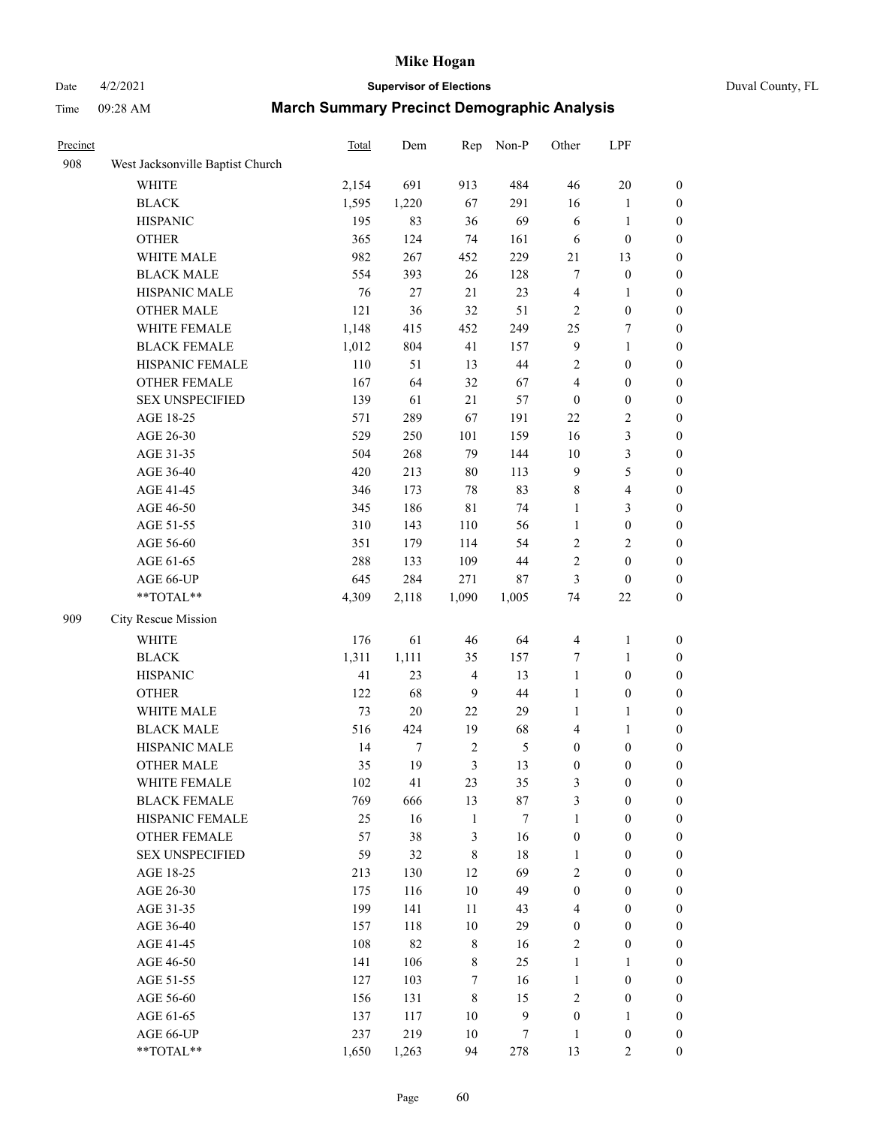# Date 4/2/2021 **Supervisor of Elections** Duval County, FL

| Precinct |                                                           | Total | Dem              |                | Rep Non-P | Other            | LPF              |                  |
|----------|-----------------------------------------------------------|-------|------------------|----------------|-----------|------------------|------------------|------------------|
| 908      | West Jacksonville Baptist Church                          |       |                  |                |           |                  |                  |                  |
|          | <b>WHITE</b>                                              | 2,154 | 691              | 913            | 484       | 46               | 20               | $\boldsymbol{0}$ |
|          | <b>BLACK</b>                                              | 1,595 | 1,220            | 67             | 291       | 16               | $\mathbf{1}$     | $\boldsymbol{0}$ |
|          | <b>HISPANIC</b>                                           | 195   | 83               | 36             | 69        | 6                | $\mathbf{1}$     | $\boldsymbol{0}$ |
|          | <b>OTHER</b>                                              | 365   | 124              | 74             | 161       | 6                | $\boldsymbol{0}$ | $\boldsymbol{0}$ |
|          | WHITE MALE                                                | 982   | 267              | 452            | 229       | 21               | 13               | $\boldsymbol{0}$ |
|          | <b>BLACK MALE</b>                                         | 554   | 393              | 26             | 128       | 7                | $\boldsymbol{0}$ | $\boldsymbol{0}$ |
|          | HISPANIC MALE                                             | 76    | $27\,$           | 21             | 23        | $\overline{4}$   | $\mathbf{1}$     | $\boldsymbol{0}$ |
|          | <b>OTHER MALE</b>                                         | 121   | 36               | 32             | 51        | 2                | $\boldsymbol{0}$ | $\boldsymbol{0}$ |
|          | WHITE FEMALE                                              | 1,148 | 415              | 452            | 249       | $25\,$           | 7                | 0                |
|          | <b>BLACK FEMALE</b>                                       | 1,012 | 804              | 41             | 157       | 9                | $\mathbf{1}$     | 0                |
|          | HISPANIC FEMALE                                           | 110   | 51               | 13             | 44        | 2                | $\boldsymbol{0}$ | $\boldsymbol{0}$ |
|          | OTHER FEMALE                                              | 167   | 64               | 32             | 67        | 4                | $\boldsymbol{0}$ | $\boldsymbol{0}$ |
|          | <b>SEX UNSPECIFIED</b>                                    | 139   | 61               | 21             | 57        | $\boldsymbol{0}$ | $\boldsymbol{0}$ | $\boldsymbol{0}$ |
|          | AGE 18-25                                                 | 571   | 289              | 67             | 191       | $22\,$           | $\sqrt{2}$       | $\boldsymbol{0}$ |
|          | AGE 26-30                                                 | 529   | 250              | 101            | 159       | 16               | $\sqrt{3}$       | $\boldsymbol{0}$ |
|          | AGE 31-35                                                 | 504   | 268              | 79             | 144       | $10\,$           | 3                | $\boldsymbol{0}$ |
|          | AGE 36-40                                                 | 420   | 213              | $80\,$         | 113       | 9                | 5                | $\boldsymbol{0}$ |
|          | AGE 41-45                                                 | 346   | 173              | 78             | 83        | $\,$ 8 $\,$      | $\overline{4}$   | $\boldsymbol{0}$ |
|          | AGE 46-50                                                 | 345   | 186              | $8\sqrt{1}$    | 74        | $\mathbf{1}$     | $\mathfrak{Z}$   | $\boldsymbol{0}$ |
|          | AGE 51-55                                                 | 310   | 143              | 110            | 56        | $\mathbf{1}$     | $\boldsymbol{0}$ | 0                |
|          | AGE 56-60                                                 | 351   | 179              | 114            | 54        | $\overline{c}$   | $\sqrt{2}$       | $\boldsymbol{0}$ |
|          | AGE 61-65                                                 | 288   | 133              | 109            | 44        | $\overline{c}$   | $\boldsymbol{0}$ | $\boldsymbol{0}$ |
|          | AGE 66-UP                                                 | 645   | 284              | 271            | 87        | 3                | $\boldsymbol{0}$ | $\boldsymbol{0}$ |
|          | $\mathrm{*}\mathrm{*}\mathrm{TOTAL} \mathrm{*}\mathrm{*}$ | 4,309 | 2,118            | 1,090          | 1,005     | 74               | $22\,$           | $\boldsymbol{0}$ |
| 909      | City Rescue Mission                                       |       |                  |                |           |                  |                  |                  |
|          | WHITE                                                     | 176   | 61               | 46             | 64        | $\overline{4}$   | $\mathbf{1}$     | $\boldsymbol{0}$ |
|          | <b>BLACK</b>                                              | 1,311 | 1,111            | 35             | 157       | 7                | $\mathbf{1}$     | $\boldsymbol{0}$ |
|          | <b>HISPANIC</b>                                           | 41    | 23               | $\overline{4}$ | 13        | $\mathbf{1}$     | $\boldsymbol{0}$ | $\boldsymbol{0}$ |
|          | <b>OTHER</b>                                              | 122   | 68               | $\overline{9}$ | $44\,$    | $\mathbf{1}$     | $\boldsymbol{0}$ | $\boldsymbol{0}$ |
|          | WHITE MALE                                                | 73    | $20\,$           | 22             | 29        | $\mathbf{1}$     | $\mathbf{1}$     | $\boldsymbol{0}$ |
|          | <b>BLACK MALE</b>                                         | 516   | 424              | 19             | 68        | 4                | $\mathbf{1}$     | $\boldsymbol{0}$ |
|          | HISPANIC MALE                                             | 14    | $\boldsymbol{7}$ | $\sqrt{2}$     | 5         | $\boldsymbol{0}$ | $\boldsymbol{0}$ | 0                |
|          | <b>OTHER MALE</b>                                         | 35    | 19               | $\mathfrak{Z}$ | 13        | 0                | $\boldsymbol{0}$ | $\boldsymbol{0}$ |
|          | WHITE FEMALE                                              | 102   | 41               | 23             | 35        | 3                | $\boldsymbol{0}$ | $\boldsymbol{0}$ |
|          | <b>BLACK FEMALE</b>                                       | 769   | 666              | 13             | $87\,$    | 3                | $\boldsymbol{0}$ | $\overline{0}$   |
|          | HISPANIC FEMALE                                           | 25    | 16               | $\mathbf{1}$   | 7         | $\mathbf{1}$     | $\boldsymbol{0}$ | $\overline{0}$   |
|          | <b>OTHER FEMALE</b>                                       | 57    | 38               | 3              | 16        | $\boldsymbol{0}$ | $\boldsymbol{0}$ | $\overline{0}$   |
|          | <b>SEX UNSPECIFIED</b>                                    | 59    | 32               | $\,$ 8 $\,$    | 18        | $\mathbf{1}$     | $\boldsymbol{0}$ | $\overline{0}$   |
|          | AGE 18-25                                                 | 213   | 130              | 12             | 69        | 2                | $\boldsymbol{0}$ | $\overline{0}$   |
|          | AGE 26-30                                                 | 175   | 116              | $10\,$         | 49        | $\boldsymbol{0}$ | $\boldsymbol{0}$ | 0                |
|          | AGE 31-35                                                 | 199   | 141              | $11\,$         | 43        | 4                | $\boldsymbol{0}$ | 0                |
|          | AGE 36-40                                                 | 157   | 118              | $10\,$         | 29        | $\boldsymbol{0}$ | $\boldsymbol{0}$ | 0                |
|          | AGE 41-45                                                 | 108   | 82               | $\,8\,$        | 16        | 2                | $\boldsymbol{0}$ | 0                |
|          | AGE 46-50                                                 | 141   | 106              | $\,$ 8 $\,$    | 25        | $\mathbf{1}$     | 1                | $\boldsymbol{0}$ |
|          | AGE 51-55                                                 | 127   | 103              | 7              | 16        | $\mathbf{1}$     | $\boldsymbol{0}$ | $\boldsymbol{0}$ |
|          | AGE 56-60                                                 | 156   | 131              | 8              | 15        | 2                | $\boldsymbol{0}$ | $\overline{0}$   |
|          | AGE 61-65                                                 | 137   | 117              | 10             | 9         | $\boldsymbol{0}$ | $\mathbf{1}$     | $\boldsymbol{0}$ |
|          | AGE 66-UP                                                 | 237   | 219              | 10             | 7         | $\mathbf{1}$     | $\boldsymbol{0}$ | 0                |
|          | **TOTAL**                                                 | 1,650 | 1,263            | 94             | 278       | 13               | $\mathbf{2}$     | $\boldsymbol{0}$ |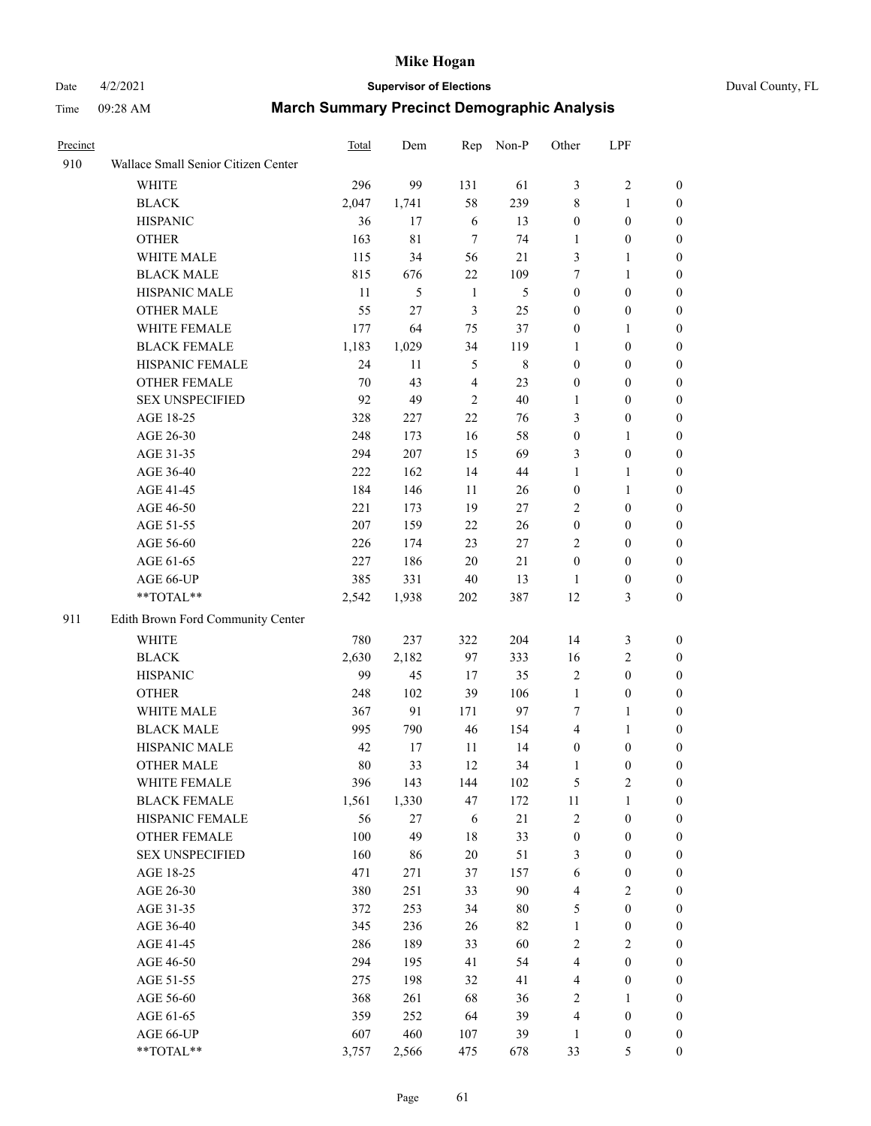# Date 4/2/2021 **Supervisor of Elections** Duval County, FL

| Precinct |                                     | Total | Dem   |                 | Rep Non-P      | Other            | LPF              |                  |
|----------|-------------------------------------|-------|-------|-----------------|----------------|------------------|------------------|------------------|
| 910      | Wallace Small Senior Citizen Center |       |       |                 |                |                  |                  |                  |
|          | <b>WHITE</b>                        | 296   | 99    | 131             | 61             | 3                | $\sqrt{2}$       | $\boldsymbol{0}$ |
|          | <b>BLACK</b>                        | 2,047 | 1,741 | 58              | 239            | 8                | $\mathbf{1}$     | $\boldsymbol{0}$ |
|          | <b>HISPANIC</b>                     | 36    | 17    | 6               | 13             | $\boldsymbol{0}$ | $\boldsymbol{0}$ | $\boldsymbol{0}$ |
|          | <b>OTHER</b>                        | 163   | 81    | $7\phantom{.0}$ | 74             | 1                | $\boldsymbol{0}$ | $\boldsymbol{0}$ |
|          | WHITE MALE                          | 115   | 34    | 56              | 21             | 3                | $\mathbf{1}$     | $\boldsymbol{0}$ |
|          | <b>BLACK MALE</b>                   | 815   | 676   | 22              | 109            | 7                | $\mathbf{1}$     | $\boldsymbol{0}$ |
|          | HISPANIC MALE                       | 11    | 5     | $\mathbf{1}$    | $\mathfrak{S}$ | $\boldsymbol{0}$ | $\boldsymbol{0}$ | $\boldsymbol{0}$ |
|          | <b>OTHER MALE</b>                   | 55    | 27    | $\mathfrak{Z}$  | 25             | $\boldsymbol{0}$ | $\boldsymbol{0}$ | $\boldsymbol{0}$ |
|          | WHITE FEMALE                        | 177   | 64    | 75              | 37             | $\boldsymbol{0}$ | $\mathbf{1}$     | $\boldsymbol{0}$ |
|          | <b>BLACK FEMALE</b>                 | 1,183 | 1,029 | 34              | 119            | 1                | $\boldsymbol{0}$ | 0                |
|          | HISPANIC FEMALE                     | 24    | 11    | $\mathfrak{S}$  | $\,$ 8 $\,$    | $\boldsymbol{0}$ | $\boldsymbol{0}$ | $\boldsymbol{0}$ |
|          | OTHER FEMALE                        | 70    | 43    | $\overline{4}$  | 23             | $\boldsymbol{0}$ | $\boldsymbol{0}$ | $\boldsymbol{0}$ |
|          | <b>SEX UNSPECIFIED</b>              | 92    | 49    | $\overline{2}$  | 40             | 1                | $\boldsymbol{0}$ | $\boldsymbol{0}$ |
|          | AGE 18-25                           | 328   | 227   | 22              | 76             | 3                | $\boldsymbol{0}$ | $\boldsymbol{0}$ |
|          | AGE 26-30                           | 248   | 173   | 16              | 58             | $\boldsymbol{0}$ | $\mathbf{1}$     | $\boldsymbol{0}$ |
|          | AGE 31-35                           | 294   | 207   | 15              | 69             | 3                | $\boldsymbol{0}$ | $\boldsymbol{0}$ |
|          | AGE 36-40                           | 222   | 162   | 14              | 44             | $\mathbf{1}$     | $\mathbf{1}$     | $\boldsymbol{0}$ |
|          | AGE 41-45                           | 184   | 146   | 11              | 26             | $\boldsymbol{0}$ | $\mathbf{1}$     | $\boldsymbol{0}$ |
|          | AGE 46-50                           | 221   | 173   | 19              | 27             | 2                | $\boldsymbol{0}$ | $\boldsymbol{0}$ |
|          | AGE 51-55                           | 207   | 159   | 22              | 26             | $\boldsymbol{0}$ | $\boldsymbol{0}$ | 0                |
|          | AGE 56-60                           | 226   | 174   | 23              | 27             | 2                | $\boldsymbol{0}$ | 0                |
|          | AGE 61-65                           | 227   | 186   | 20              | 21             | $\boldsymbol{0}$ | $\boldsymbol{0}$ | $\boldsymbol{0}$ |
|          | AGE 66-UP                           | 385   | 331   | $40\,$          | 13             | 1                | $\boldsymbol{0}$ | $\boldsymbol{0}$ |
|          | **TOTAL**                           | 2,542 | 1,938 | 202             | 387            | 12               | $\mathfrak{Z}$   | $\boldsymbol{0}$ |
| 911      | Edith Brown Ford Community Center   |       |       |                 |                |                  |                  |                  |
|          | WHITE                               | 780   | 237   | 322             | 204            | 14               | $\mathfrak{Z}$   | $\boldsymbol{0}$ |
|          | <b>BLACK</b>                        | 2,630 | 2,182 | 97              | 333            | 16               | $\mathbf{2}$     | $\boldsymbol{0}$ |
|          | <b>HISPANIC</b>                     | 99    | 45    | 17              | 35             | $\overline{c}$   | $\boldsymbol{0}$ | $\boldsymbol{0}$ |
|          | <b>OTHER</b>                        | 248   | 102   | 39              | 106            | $\mathbf{1}$     | $\boldsymbol{0}$ | $\boldsymbol{0}$ |
|          | WHITE MALE                          | 367   | 91    | 171             | 97             | 7                | $\mathbf{1}$     | $\boldsymbol{0}$ |
|          | <b>BLACK MALE</b>                   | 995   | 790   | 46              | 154            | $\overline{4}$   | $\mathbf{1}$     | 0                |
|          | HISPANIC MALE                       | 42    | 17    | 11              | 14             | $\boldsymbol{0}$ | $\boldsymbol{0}$ | 0                |
|          | <b>OTHER MALE</b>                   | 80    | 33    | 12              | 34             | 1                | $\boldsymbol{0}$ | $\boldsymbol{0}$ |
|          | WHITE FEMALE                        | 396   | 143   | 144             | 102            | 5                | $\overline{c}$   | $\overline{0}$   |
|          | <b>BLACK FEMALE</b>                 | 1,561 | 1,330 | 47              | 172            | 11               | $\mathbf{1}$     | $\boldsymbol{0}$ |
|          | HISPANIC FEMALE                     | 56    | 27    | 6               | 21             | $\overline{c}$   | $\boldsymbol{0}$ | $\overline{0}$   |
|          | <b>OTHER FEMALE</b>                 | 100   | 49    | 18              | 33             | $\boldsymbol{0}$ | $\boldsymbol{0}$ | 0                |
|          | <b>SEX UNSPECIFIED</b>              | 160   | 86    | $20\,$          | 51             | 3                | $\boldsymbol{0}$ | 0                |
|          | AGE 18-25                           | 471   | 271   | 37              | 157            | $\sqrt{6}$       | $\boldsymbol{0}$ | 0                |
|          | AGE 26-30                           | 380   | 251   | 33              | $90\,$         | 4                | $\sqrt{2}$       | 0                |
|          | AGE 31-35                           | 372   | 253   | 34              | $80\,$         | 5                | $\boldsymbol{0}$ | 0                |
|          | AGE 36-40                           | 345   | 236   | 26              | 82             | $\mathbf{1}$     | $\boldsymbol{0}$ | 0                |
|          | AGE 41-45                           | 286   | 189   | 33              | 60             | 2                | $\overline{c}$   | 0                |
|          | AGE 46-50                           | 294   | 195   | 41              | 54             | 4                | $\boldsymbol{0}$ | 0                |
|          | AGE 51-55                           | 275   | 198   | 32              | 41             | 4                | $\boldsymbol{0}$ | $\boldsymbol{0}$ |
|          | AGE 56-60                           | 368   | 261   | 68              | 36             | 2                | 1                | $\boldsymbol{0}$ |
|          | AGE 61-65                           | 359   | 252   | 64              | 39             | 4                | $\boldsymbol{0}$ | 0                |
|          | AGE 66-UP                           | 607   | 460   | 107             | 39             | 1                | $\boldsymbol{0}$ | 0                |
|          | **TOTAL**                           | 3,757 | 2,566 | 475             | 678            | 33               | 5                | $\boldsymbol{0}$ |
|          |                                     |       |       |                 |                |                  |                  |                  |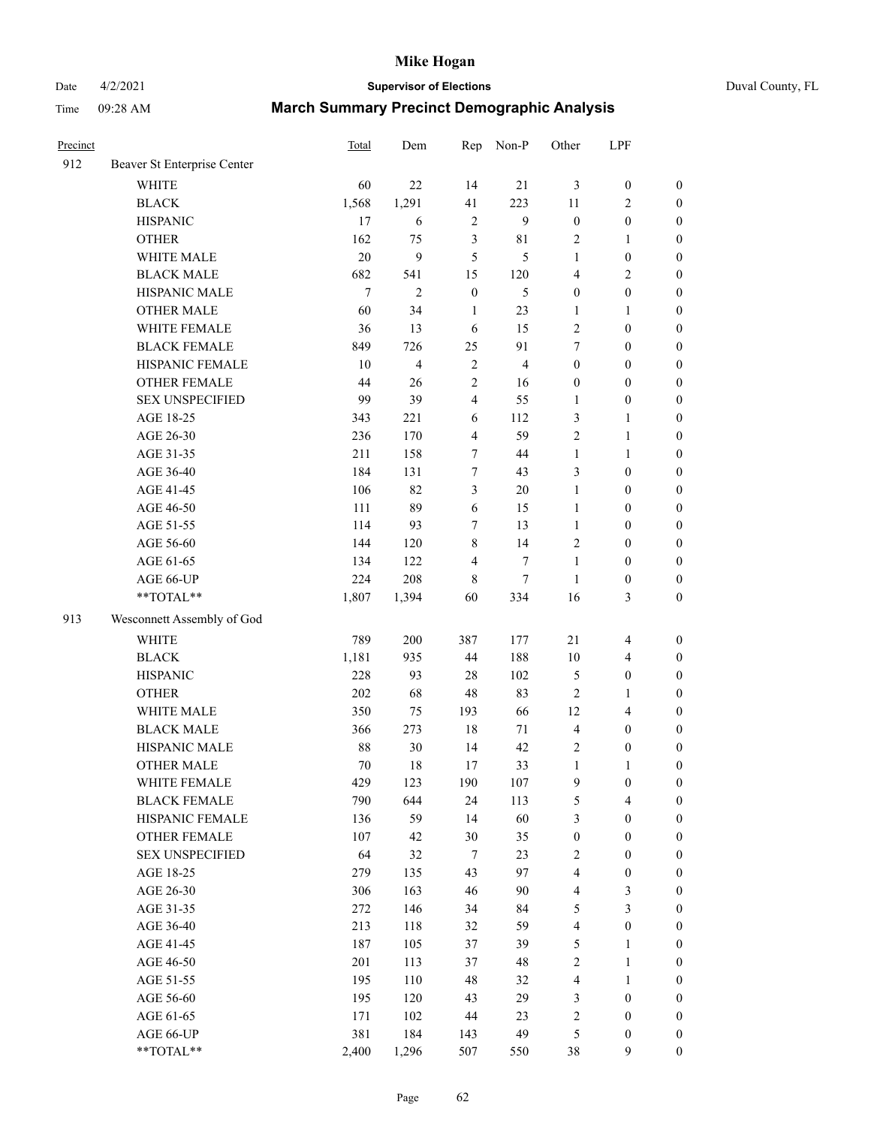Date 4/2/2021 **Supervisor of Elections** Duval County, FL

| Precinct |                             | Total  | Dem            | Rep                     | Non-P          | Other                   | LPF              |                  |
|----------|-----------------------------|--------|----------------|-------------------------|----------------|-------------------------|------------------|------------------|
| 912      | Beaver St Enterprise Center |        |                |                         |                |                         |                  |                  |
|          | <b>WHITE</b>                | 60     | 22             | 14                      | 21             | 3                       | $\boldsymbol{0}$ | $\boldsymbol{0}$ |
|          | <b>BLACK</b>                | 1,568  | 1,291          | 41                      | 223            | $11\,$                  | $\sqrt{2}$       | $\boldsymbol{0}$ |
|          | <b>HISPANIC</b>             | 17     | 6              | $\sqrt{2}$              | 9              | $\boldsymbol{0}$        | $\boldsymbol{0}$ | $\boldsymbol{0}$ |
|          | <b>OTHER</b>                | 162    | 75             | 3                       | 81             | 2                       | 1                | $\boldsymbol{0}$ |
|          | WHITE MALE                  | 20     | 9              | 5                       | 5              | $\mathbf{1}$            | $\boldsymbol{0}$ | $\boldsymbol{0}$ |
|          | <b>BLACK MALE</b>           | 682    | 541            | 15                      | 120            | 4                       | $\sqrt{2}$       | $\boldsymbol{0}$ |
|          | HISPANIC MALE               | $\tau$ | $\mathfrak{2}$ | $\boldsymbol{0}$        | $\mathfrak s$  | $\boldsymbol{0}$        | $\boldsymbol{0}$ | $\boldsymbol{0}$ |
|          | <b>OTHER MALE</b>           | 60     | 34             | $\mathbf{1}$            | 23             | $\mathbf{1}$            | 1                | $\boldsymbol{0}$ |
|          | WHITE FEMALE                | 36     | 13             | 6                       | 15             | $\overline{c}$          | $\boldsymbol{0}$ | $\boldsymbol{0}$ |
|          | <b>BLACK FEMALE</b>         | 849    | 726            | 25                      | 91             | $\tau$                  | $\boldsymbol{0}$ | 0                |
|          | HISPANIC FEMALE             | 10     | $\overline{4}$ | 2                       | $\overline{4}$ | $\boldsymbol{0}$        | $\boldsymbol{0}$ | $\boldsymbol{0}$ |
|          | <b>OTHER FEMALE</b>         | 44     | 26             | $\mathbf{2}$            | 16             | $\boldsymbol{0}$        | $\boldsymbol{0}$ | $\boldsymbol{0}$ |
|          | <b>SEX UNSPECIFIED</b>      | 99     | 39             | $\overline{\mathbf{4}}$ | 55             | $\mathbf{1}$            | $\boldsymbol{0}$ | $\boldsymbol{0}$ |
|          | AGE 18-25                   | 343    | 221            | 6                       | 112            | 3                       | $\mathbf{1}$     | $\boldsymbol{0}$ |
|          | AGE 26-30                   | 236    | 170            | 4                       | 59             | 2                       | $\mathbf{1}$     | $\boldsymbol{0}$ |
|          | AGE 31-35                   | 211    | 158            | 7                       | 44             | $\mathbf{1}$            | $\mathbf{1}$     | $\boldsymbol{0}$ |
|          | AGE 36-40                   | 184    | 131            | $\boldsymbol{7}$        | 43             | 3                       | $\boldsymbol{0}$ | $\boldsymbol{0}$ |
|          | AGE 41-45                   | 106    | 82             | $\mathfrak{Z}$          | 20             | $\mathbf{1}$            | $\boldsymbol{0}$ | $\boldsymbol{0}$ |
|          | AGE 46-50                   | 111    | 89             | 6                       | 15             | $\mathbf{1}$            | $\boldsymbol{0}$ | $\boldsymbol{0}$ |
|          | AGE 51-55                   | 114    | 93             | $\tau$                  | 13             | $\mathbf{1}$            | $\boldsymbol{0}$ | $\boldsymbol{0}$ |
|          | AGE 56-60                   | 144    | 120            | 8                       | 14             | 2                       | $\boldsymbol{0}$ | $\boldsymbol{0}$ |
|          | AGE 61-65                   | 134    | 122            | $\overline{4}$          | $\tau$         | $\mathbf{1}$            | $\boldsymbol{0}$ | $\boldsymbol{0}$ |
|          | AGE 66-UP                   | 224    | 208            | 8                       | 7              | $\mathbf{1}$            | $\boldsymbol{0}$ | $\boldsymbol{0}$ |
|          | $**TOTAL**$                 | 1,807  | 1,394          | 60                      | 334            | 16                      | $\mathfrak{Z}$   | $\boldsymbol{0}$ |
|          |                             |        |                |                         |                |                         |                  |                  |
| 913      | Wesconnett Assembly of God  |        |                |                         |                |                         |                  |                  |
|          | <b>WHITE</b>                | 789    | 200            | 387                     | 177            | $21\,$                  | $\overline{4}$   | $\boldsymbol{0}$ |
|          | <b>BLACK</b>                | 1,181  | 935            | 44                      | 188            | 10                      | $\overline{4}$   | $\boldsymbol{0}$ |
|          | <b>HISPANIC</b>             | 228    | 93             | 28                      | 102            | 5                       | $\boldsymbol{0}$ | $\boldsymbol{0}$ |
|          | <b>OTHER</b>                | 202    | 68             | 48                      | 83             | 2                       | $\mathbf{1}$     | $\boldsymbol{0}$ |
|          | WHITE MALE                  | 350    | 75             | 193                     | 66             | 12                      | $\overline{4}$   | $\boldsymbol{0}$ |
|          | <b>BLACK MALE</b>           | 366    | 273            | $18\,$                  | 71             | $\overline{4}$          | $\boldsymbol{0}$ | $\boldsymbol{0}$ |
|          | HISPANIC MALE               | 88     | 30             | 14                      | 42             | 2                       | $\boldsymbol{0}$ | 0                |
|          | <b>OTHER MALE</b>           | 70     | 18             | 17                      | 33             | $\mathbf{1}$            | $\mathbf{1}$     | $\boldsymbol{0}$ |
|          | WHITE FEMALE                | 429    | 123            | 190                     | 107            | 9                       | $\boldsymbol{0}$ | $\boldsymbol{0}$ |
|          | <b>BLACK FEMALE</b>         | 790    | 644            | 24                      | 113            | 5                       | $\overline{4}$   | $\boldsymbol{0}$ |
|          | HISPANIC FEMALE             | 136    | 59             | 14                      | 60             | 3                       | $\boldsymbol{0}$ | $\overline{0}$   |
|          | <b>OTHER FEMALE</b>         | 107    | 42             | 30                      | 35             | $\boldsymbol{0}$        | $\boldsymbol{0}$ | $\overline{0}$   |
|          | <b>SEX UNSPECIFIED</b>      | 64     | 32             | 7                       | 23             | $\overline{c}$          | $\boldsymbol{0}$ | 0                |
|          | AGE 18-25                   | 279    | 135            | 43                      | 97             | 4                       | $\boldsymbol{0}$ | $\theta$         |
|          | AGE 26-30                   | 306    | 163            | 46                      | 90             | 4                       | $\sqrt{3}$       | 0                |
|          | AGE 31-35                   | 272    | 146            | 34                      | 84             | 5                       | $\mathfrak{Z}$   | 0                |
|          | AGE 36-40                   | 213    | 118            | 32                      | 59             | 4                       | $\boldsymbol{0}$ | 0                |
|          | AGE 41-45                   | 187    | 105            | 37                      | 39             | 5                       | 1                | 0                |
|          | AGE 46-50                   | 201    | 113            | 37                      | 48             | 2                       | $\mathbf{1}$     | 0                |
|          | AGE 51-55                   | 195    | 110            | 48                      | 32             | 4                       | $\mathbf{1}$     | 0                |
|          | AGE 56-60                   | 195    | 120            | 43                      | 29             | 3                       | $\boldsymbol{0}$ | $\boldsymbol{0}$ |
|          | AGE 61-65                   | 171    | 102            | 44                      | 23             | $\overline{\mathbf{c}}$ | $\boldsymbol{0}$ | 0                |
|          | AGE 66-UP                   | 381    | 184            | 143                     | 49             | 5                       | $\boldsymbol{0}$ | 0                |
|          | **TOTAL**                   | 2,400  | 1,296          | 507                     | 550            | 38                      | $\boldsymbol{9}$ | $\boldsymbol{0}$ |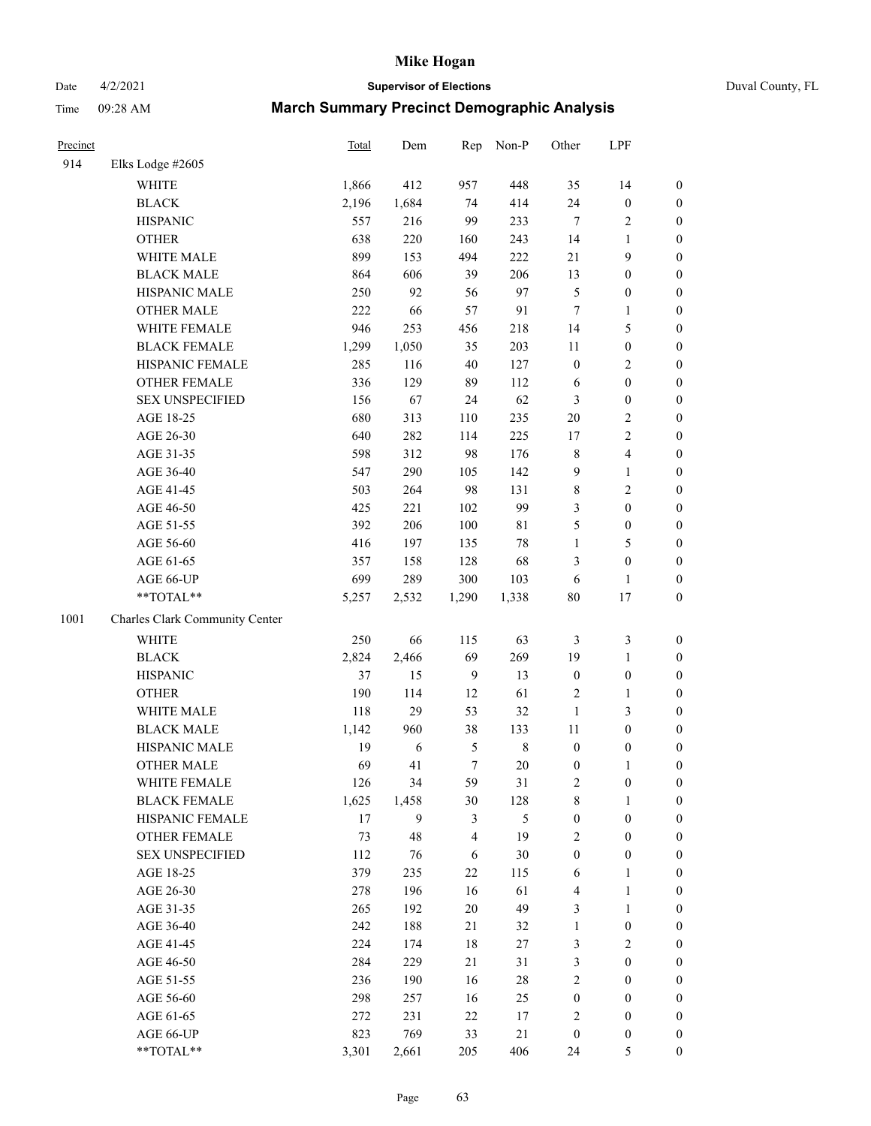## Date 4/2/2021 **Supervisor of Elections** Duval County, FL

| Precinct |                                | Total | Dem   | Rep            | Non-P       | Other            | LPF                     |                  |
|----------|--------------------------------|-------|-------|----------------|-------------|------------------|-------------------------|------------------|
| 914      | Elks Lodge #2605               |       |       |                |             |                  |                         |                  |
|          | <b>WHITE</b>                   | 1,866 | 412   | 957            | 448         | 35               | 14                      | 0                |
|          | <b>BLACK</b>                   | 2,196 | 1,684 | 74             | 414         | 24               | $\boldsymbol{0}$        | 0                |
|          | <b>HISPANIC</b>                | 557   | 216   | 99             | 233         | $\tau$           | $\sqrt{2}$              | $\boldsymbol{0}$ |
|          | <b>OTHER</b>                   | 638   | 220   | 160            | 243         | 14               | 1                       | $\boldsymbol{0}$ |
|          | WHITE MALE                     | 899   | 153   | 494            | 222         | 21               | 9                       | $\boldsymbol{0}$ |
|          | <b>BLACK MALE</b>              | 864   | 606   | 39             | 206         | 13               | $\boldsymbol{0}$        | $\boldsymbol{0}$ |
|          | HISPANIC MALE                  | 250   | 92    | 56             | 97          | 5                | $\boldsymbol{0}$        | $\boldsymbol{0}$ |
|          | <b>OTHER MALE</b>              | 222   | 66    | 57             | 91          | $\tau$           | $\mathbf{1}$            | $\boldsymbol{0}$ |
|          | WHITE FEMALE                   | 946   | 253   | 456            | 218         | 14               | $\mathfrak{S}$          | $\boldsymbol{0}$ |
|          | <b>BLACK FEMALE</b>            | 1,299 | 1,050 | 35             | 203         | 11               | $\boldsymbol{0}$        | 0                |
|          | HISPANIC FEMALE                | 285   | 116   | 40             | 127         | $\boldsymbol{0}$ | $\sqrt{2}$              | 0                |
|          | <b>OTHER FEMALE</b>            | 336   | 129   | 89             | 112         | 6                | $\boldsymbol{0}$        | $\boldsymbol{0}$ |
|          | <b>SEX UNSPECIFIED</b>         | 156   | 67    | 24             | 62          | 3                | $\boldsymbol{0}$        | $\boldsymbol{0}$ |
|          | AGE 18-25                      | 680   | 313   | 110            | 235         | $20\,$           | $\sqrt{2}$              | $\boldsymbol{0}$ |
|          | AGE 26-30                      | 640   | 282   | 114            | 225         | 17               | $\sqrt{2}$              | $\boldsymbol{0}$ |
|          | AGE 31-35                      | 598   | 312   | 98             | 176         | $\,$ $\,$        | $\overline{\mathbf{4}}$ | $\boldsymbol{0}$ |
|          | AGE 36-40                      | 547   | 290   | 105            | 142         | 9                | $\mathbf{1}$            | $\boldsymbol{0}$ |
|          | AGE 41-45                      | 503   | 264   | 98             | 131         | $\,$ $\,$        | $\overline{2}$          | $\boldsymbol{0}$ |
|          | AGE 46-50                      | 425   | 221   | 102            | 99          | 3                | $\boldsymbol{0}$        | $\boldsymbol{0}$ |
|          | AGE 51-55                      | 392   | 206   | 100            | $8\sqrt{1}$ | 5                | $\boldsymbol{0}$        | $\boldsymbol{0}$ |
|          | AGE 56-60                      | 416   | 197   | 135            | $78\,$      | $\mathbf{1}$     | 5                       | 0                |
|          | AGE 61-65                      | 357   | 158   | 128            | 68          | 3                | $\boldsymbol{0}$        | $\boldsymbol{0}$ |
|          | AGE 66-UP                      | 699   | 289   | 300            | 103         | 6                | $\mathbf{1}$            | $\boldsymbol{0}$ |
|          | **TOTAL**                      | 5,257 | 2,532 | 1,290          | 1,338       | $80\,$           | 17                      | $\boldsymbol{0}$ |
| 1001     | Charles Clark Community Center |       |       |                |             |                  |                         |                  |
|          | WHITE                          | 250   | 66    | 115            | 63          | 3                | $\mathfrak{Z}$          | $\boldsymbol{0}$ |
|          | <b>BLACK</b>                   | 2,824 | 2,466 | 69             | 269         | 19               | $\mathbf{1}$            | $\boldsymbol{0}$ |
|          | <b>HISPANIC</b>                | 37    | 15    | $\overline{9}$ | 13          | $\boldsymbol{0}$ | $\boldsymbol{0}$        | $\boldsymbol{0}$ |
|          | <b>OTHER</b>                   | 190   | 114   | 12             | 61          | 2                | $\mathbf{1}$            | $\boldsymbol{0}$ |
|          | WHITE MALE                     | 118   | 29    | 53             | 32          | $\mathbf{1}$     | 3                       | $\boldsymbol{0}$ |
|          | <b>BLACK MALE</b>              | 1,142 | 960   | 38             | 133         | 11               | $\boldsymbol{0}$        | $\boldsymbol{0}$ |
|          | HISPANIC MALE                  | 19    | 6     | 5              | $\,$ 8 $\,$ | $\boldsymbol{0}$ | $\boldsymbol{0}$        | 0                |
|          | OTHER MALE                     | 69    | 41    | $\tau$         | 20          | $\boldsymbol{0}$ | $\mathbf{1}$            | $\boldsymbol{0}$ |
|          | WHITE FEMALE                   | 126   | 34    | 59             | 31          | 2                | $\boldsymbol{0}$        | 0                |
|          | <b>BLACK FEMALE</b>            | 1,625 | 1,458 | 30             | 128         | 8                | $\mathbf{1}$            | $\boldsymbol{0}$ |
|          | HISPANIC FEMALE                | 17    | 9     | 3              | 5           | $\boldsymbol{0}$ | $\boldsymbol{0}$        | $\overline{0}$   |
|          | <b>OTHER FEMALE</b>            | 73    | 48    | 4              | 19          | 2                | $\boldsymbol{0}$        | $\overline{0}$   |
|          | <b>SEX UNSPECIFIED</b>         | 112   | 76    | 6              | $30\,$      | $\boldsymbol{0}$ | $\boldsymbol{0}$        | 0                |
|          | AGE 18-25                      | 379   | 235   | 22             | 115         | 6                | $\mathbf{1}$            | 0                |
|          | AGE 26-30                      | 278   | 196   | 16             | 61          | 4                | $\mathbf{1}$            | 0                |
|          | AGE 31-35                      | 265   | 192   | 20             | 49          | 3                | $\mathbf{1}$            | 0                |
|          | AGE 36-40                      | 242   | 188   | 21             | 32          | $\mathbf{1}$     | $\boldsymbol{0}$        | 0                |
|          | AGE 41-45                      | 224   | 174   | 18             | 27          | 3                | $\mathbf{2}$            | 0                |
|          | AGE 46-50                      | 284   | 229   | 21             | 31          | 3                | $\boldsymbol{0}$        | 0                |
|          | AGE 51-55                      | 236   | 190   | 16             | $28\,$      | 2                | $\boldsymbol{0}$        | 0                |
|          | AGE 56-60                      | 298   | 257   | 16             | 25          | $\boldsymbol{0}$ | $\boldsymbol{0}$        | $\overline{0}$   |
|          | AGE 61-65                      | 272   | 231   | 22             | 17          | 2                | $\boldsymbol{0}$        | $\overline{0}$   |
|          | AGE 66-UP                      | 823   | 769   | 33             | 21          | $\boldsymbol{0}$ | $\boldsymbol{0}$        | 0                |
|          | **TOTAL**                      | 3,301 | 2,661 | 205            | 406         | 24               | 5                       | $\boldsymbol{0}$ |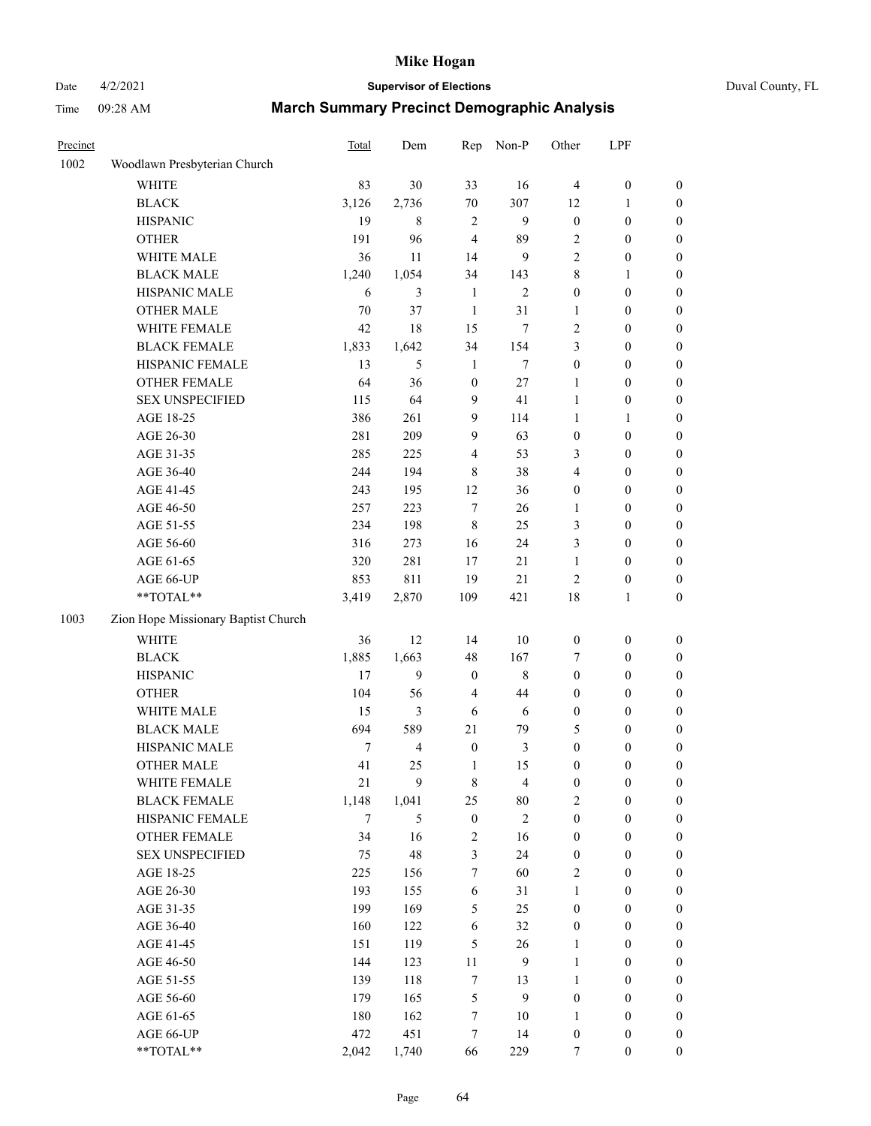### Date 4/2/2021 **Supervisor of Elections** Duval County, FL

| Precinct |                                     | <b>Total</b> | Dem            | Rep                     | Non-P          | Other                            | LPF                                  |                  |
|----------|-------------------------------------|--------------|----------------|-------------------------|----------------|----------------------------------|--------------------------------------|------------------|
| 1002     | Woodlawn Presbyterian Church        |              |                |                         |                |                                  |                                      |                  |
|          | <b>WHITE</b>                        | 83           | 30             | 33                      | 16             | $\overline{4}$                   | $\boldsymbol{0}$                     | 0                |
|          | <b>BLACK</b>                        | 3,126        | 2,736          | $70\,$                  | 307            | 12                               | 1                                    | 0                |
|          | <b>HISPANIC</b>                     | 19           | 8              | $\overline{2}$          | 9              | $\boldsymbol{0}$                 | $\boldsymbol{0}$                     | $\boldsymbol{0}$ |
|          | <b>OTHER</b>                        | 191          | 96             | $\overline{4}$          | 89             | 2                                | $\boldsymbol{0}$                     | $\boldsymbol{0}$ |
|          | WHITE MALE                          | 36           | 11             | 14                      | 9              | 2                                | $\boldsymbol{0}$                     | $\boldsymbol{0}$ |
|          | <b>BLACK MALE</b>                   | 1,240        | 1,054          | 34                      | 143            | 8                                | 1                                    | $\boldsymbol{0}$ |
|          | HISPANIC MALE                       | 6            | 3              | $\mathbf{1}$            | $\overline{2}$ | $\boldsymbol{0}$                 | $\boldsymbol{0}$                     | $\boldsymbol{0}$ |
|          | <b>OTHER MALE</b>                   | 70           | 37             | $\mathbf{1}$            | 31             | 1                                | $\boldsymbol{0}$                     | $\boldsymbol{0}$ |
|          | WHITE FEMALE                        | 42           | 18             | 15                      | $\tau$         | $\overline{c}$                   | $\boldsymbol{0}$                     | $\boldsymbol{0}$ |
|          | <b>BLACK FEMALE</b>                 | 1,833        | 1,642          | 34                      | 154            | 3                                | $\boldsymbol{0}$                     | 0                |
|          | HISPANIC FEMALE                     | 13           | $\mathfrak{H}$ | $\mathbf{1}$            | $\tau$         | $\boldsymbol{0}$                 | $\boldsymbol{0}$                     | 0                |
|          | <b>OTHER FEMALE</b>                 | 64           | 36             | $\boldsymbol{0}$        | $27\,$         | 1                                | $\boldsymbol{0}$                     | $\boldsymbol{0}$ |
|          | <b>SEX UNSPECIFIED</b>              | 115          | 64             | 9                       | 41             | $\mathbf{1}$                     | $\boldsymbol{0}$                     | $\boldsymbol{0}$ |
|          | AGE 18-25                           | 386          | 261            | 9                       | 114            | 1                                | 1                                    | $\boldsymbol{0}$ |
|          | AGE 26-30                           | 281          | 209            | $\mathbf{9}$            | 63             | $\boldsymbol{0}$                 | $\boldsymbol{0}$                     | $\boldsymbol{0}$ |
|          | AGE 31-35                           | 285          | 225            | $\overline{\mathbf{4}}$ | 53             | 3                                | $\boldsymbol{0}$                     | $\boldsymbol{0}$ |
|          | AGE 36-40                           | 244          | 194            | 8                       | 38             | 4                                | $\boldsymbol{0}$                     | $\boldsymbol{0}$ |
|          | AGE 41-45                           | 243          | 195            | 12                      | 36             | $\boldsymbol{0}$                 | $\boldsymbol{0}$                     | $\boldsymbol{0}$ |
|          | AGE 46-50                           | 257          | 223            | $\tau$                  | 26             | 1                                | $\boldsymbol{0}$                     | $\boldsymbol{0}$ |
|          | AGE 51-55                           | 234          | 198            | $\,$ 8 $\,$             | 25             | 3                                | $\boldsymbol{0}$                     | $\boldsymbol{0}$ |
|          | AGE 56-60                           | 316          | 273            | 16                      | 24             | 3                                | $\boldsymbol{0}$                     | 0                |
|          | AGE 61-65                           | 320          | 281            | 17                      | 21             | $\mathbf{1}$                     | $\boldsymbol{0}$                     | 0                |
|          | AGE 66-UP                           | 853          | 811            | 19                      | 21             | $\overline{c}$                   | $\boldsymbol{0}$                     | $\boldsymbol{0}$ |
|          | $**TOTAL**$                         | 3,419        | 2,870          | 109                     | 421            | 18                               | $\mathbf{1}$                         | $\boldsymbol{0}$ |
| 1003     | Zion Hope Missionary Baptist Church |              |                |                         |                |                                  |                                      |                  |
|          |                                     |              |                |                         |                |                                  |                                      |                  |
|          | <b>WHITE</b>                        | 36           | 12             | 14                      | $10\,$         | $\boldsymbol{0}$                 | $\boldsymbol{0}$                     | $\boldsymbol{0}$ |
|          | <b>BLACK</b>                        | 1,885        | 1,663          | 48                      | 167            | 7                                | $\boldsymbol{0}$                     | $\boldsymbol{0}$ |
|          | <b>HISPANIC</b>                     | 17           | 9              | $\boldsymbol{0}$        | $\,8\,$        | $\boldsymbol{0}$                 | $\boldsymbol{0}$                     | $\boldsymbol{0}$ |
|          | <b>OTHER</b>                        | 104          | 56             | $\overline{\mathbf{4}}$ | 44             | 0                                | $\boldsymbol{0}$                     | $\boldsymbol{0}$ |
|          | WHITE MALE                          | 15           | 3              | $\sqrt{6}$              | $\sqrt{6}$     | $\boldsymbol{0}$                 | $\boldsymbol{0}$                     | $\boldsymbol{0}$ |
|          | <b>BLACK MALE</b>                   | 694          | 589            | 21                      | 79             | 5                                | $\boldsymbol{0}$                     | $\boldsymbol{0}$ |
|          | HISPANIC MALE                       | $\tau$       | $\overline{4}$ | $\boldsymbol{0}$        | $\mathfrak{Z}$ | $\boldsymbol{0}$                 | $\boldsymbol{0}$                     | 0                |
|          | <b>OTHER MALE</b>                   | 41           | 25             | $\mathbf{1}$            | 15             | $\boldsymbol{0}$                 | $\boldsymbol{0}$                     | $\boldsymbol{0}$ |
|          | WHITE FEMALE                        | 21           | 9              | 8                       | 4              | 0                                | 0                                    | 0                |
|          | <b>BLACK FEMALE</b>                 | 1,148        | 1,041          | 25                      | 80             | $\overline{c}$                   | $\boldsymbol{0}$                     | $\overline{0}$   |
|          | HISPANIC FEMALE                     | $\tau$       | 5              | $\boldsymbol{0}$        | $\sqrt{2}$     | $\boldsymbol{0}$                 | $\boldsymbol{0}$                     | $\overline{0}$   |
|          | OTHER FEMALE                        | 34           | 16<br>48       | $\sqrt{2}$              | 16             | $\boldsymbol{0}$                 | $\boldsymbol{0}$                     | $\overline{0}$   |
|          | <b>SEX UNSPECIFIED</b>              | 75           |                | 3                       | 24             | $\boldsymbol{0}$                 | $\boldsymbol{0}$                     | $\overline{0}$   |
|          | AGE 18-25                           | 225          | 156            | $\boldsymbol{7}$        | 60             | $\mathbf{2}$                     | $\boldsymbol{0}$                     | $\overline{0}$   |
|          | AGE 26-30                           | 193<br>199   | 155<br>169     | $\sqrt{6}$<br>5         | 31<br>25       | $\mathbf{1}$<br>$\boldsymbol{0}$ | $\boldsymbol{0}$                     | $\overline{0}$   |
|          | AGE 31-35                           |              |                |                         |                |                                  | $\boldsymbol{0}$                     | 0                |
|          | AGE 36-40                           | 160<br>151   | 122<br>119     | $\sqrt{6}$<br>5         | 32<br>26       | 0<br>1                           | $\boldsymbol{0}$<br>$\boldsymbol{0}$ | 0                |
|          | AGE 41-45                           |              |                |                         |                |                                  |                                      | 0                |
|          | AGE 46-50                           | 144          | 123            | 11                      | 9              | 1                                | $\boldsymbol{0}$                     | 0                |
|          | AGE 51-55                           | 139          | 118            | $\boldsymbol{7}$        | 13<br>9        | $\mathbf{1}$                     | $\boldsymbol{0}$                     | $\boldsymbol{0}$ |
|          | AGE 56-60                           | 179          | 165            | 5                       |                | $\boldsymbol{0}$                 | $\boldsymbol{0}$                     | $\boldsymbol{0}$ |
|          | AGE 61-65                           | 180          | 162            | 7                       | 10             | 1                                | $\boldsymbol{0}$                     | $\overline{0}$   |
|          | AGE 66-UP                           | 472          | 451            | $\boldsymbol{7}$        | 14             | $\boldsymbol{0}$                 | $\boldsymbol{0}$                     | $\boldsymbol{0}$ |
|          | **TOTAL**                           | 2,042        | 1,740          | 66                      | 229            | $\tau$                           | $\boldsymbol{0}$                     | $\boldsymbol{0}$ |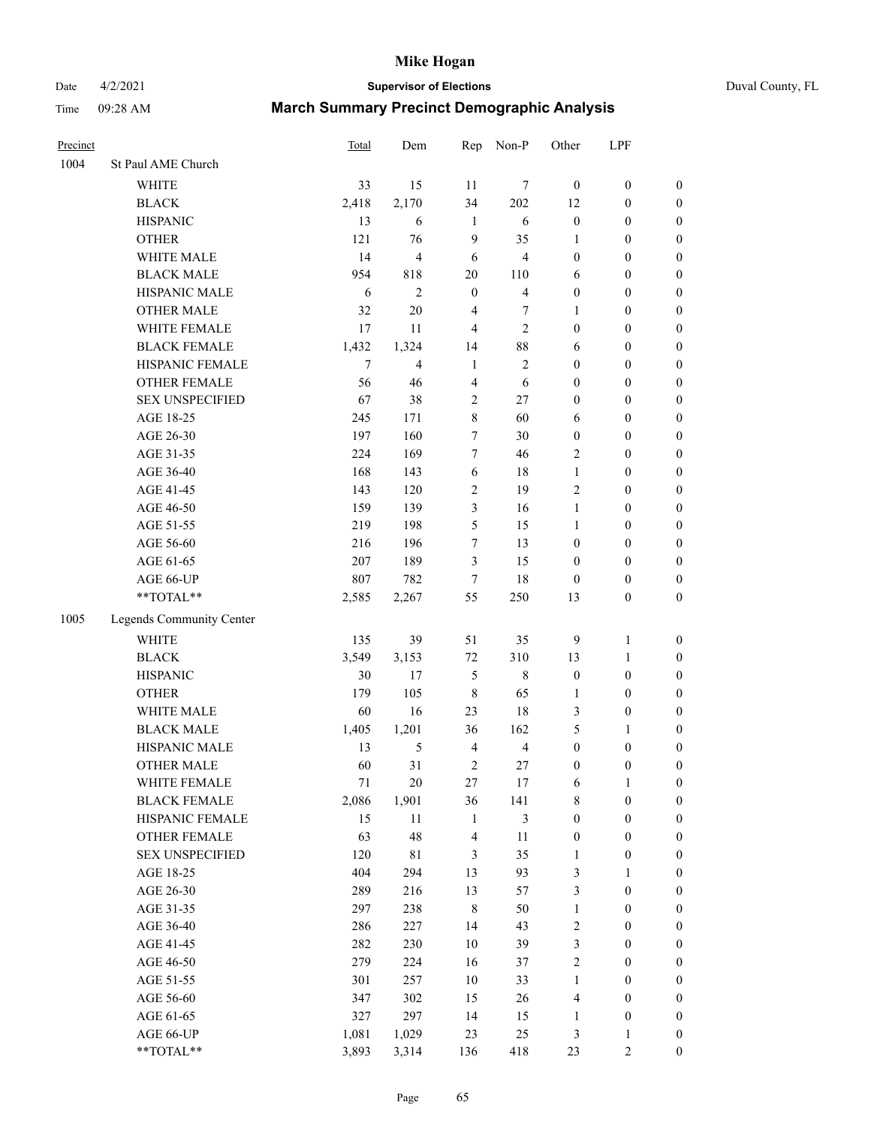# Date 4/2/2021 **Supervisor of Elections** Duval County, FL

| Precinct |                          | Total  | Dem            | Rep                     | Non-P                   | Other            | LPF              |                  |
|----------|--------------------------|--------|----------------|-------------------------|-------------------------|------------------|------------------|------------------|
| 1004     | St Paul AME Church       |        |                |                         |                         |                  |                  |                  |
|          | <b>WHITE</b>             | 33     | 15             | 11                      | 7                       | $\boldsymbol{0}$ | $\boldsymbol{0}$ | $\boldsymbol{0}$ |
|          | <b>BLACK</b>             | 2,418  | 2,170          | 34                      | 202                     | 12               | $\boldsymbol{0}$ | $\boldsymbol{0}$ |
|          | <b>HISPANIC</b>          | 13     | 6              | $\mathbf{1}$            | $\sqrt{6}$              | $\boldsymbol{0}$ | $\boldsymbol{0}$ | $\boldsymbol{0}$ |
|          | <b>OTHER</b>             | 121    | 76             | 9                       | 35                      | $\mathbf{1}$     | $\boldsymbol{0}$ | $\boldsymbol{0}$ |
|          | WHITE MALE               | 14     | $\overline{4}$ | 6                       | 4                       | $\boldsymbol{0}$ | $\boldsymbol{0}$ | $\boldsymbol{0}$ |
|          | <b>BLACK MALE</b>        | 954    | 818            | $20\,$                  | 110                     | 6                | $\boldsymbol{0}$ | $\boldsymbol{0}$ |
|          | HISPANIC MALE            | 6      | $\overline{2}$ | $\boldsymbol{0}$        | $\overline{\mathbf{4}}$ | $\boldsymbol{0}$ | $\boldsymbol{0}$ | $\boldsymbol{0}$ |
|          | <b>OTHER MALE</b>        | 32     | $20\,$         | $\overline{4}$          | 7                       | $\mathbf{1}$     | $\boldsymbol{0}$ | $\boldsymbol{0}$ |
|          | WHITE FEMALE             | 17     | 11             | $\overline{4}$          | $\overline{c}$          | $\boldsymbol{0}$ | $\boldsymbol{0}$ | $\boldsymbol{0}$ |
|          | <b>BLACK FEMALE</b>      | 1,432  | 1,324          | 14                      | $88\,$                  | 6                | $\boldsymbol{0}$ | 0                |
|          | HISPANIC FEMALE          | $\tau$ | $\overline{4}$ | $\mathbf{1}$            | $\mathfrak{2}$          | $\boldsymbol{0}$ | $\boldsymbol{0}$ | $\boldsymbol{0}$ |
|          | OTHER FEMALE             | 56     | 46             | $\overline{4}$          | 6                       | $\boldsymbol{0}$ | $\boldsymbol{0}$ | $\boldsymbol{0}$ |
|          | <b>SEX UNSPECIFIED</b>   | 67     | 38             | $\sqrt{2}$              | $27\,$                  | $\boldsymbol{0}$ | $\boldsymbol{0}$ | $\boldsymbol{0}$ |
|          | AGE 18-25                | 245    | 171            | $\,8\,$                 | 60                      | 6                | $\boldsymbol{0}$ | $\boldsymbol{0}$ |
|          | AGE 26-30                | 197    | 160            | $\tau$                  | 30                      | $\boldsymbol{0}$ | $\boldsymbol{0}$ | $\boldsymbol{0}$ |
|          | AGE 31-35                | 224    | 169            | $\boldsymbol{7}$        | 46                      | $\mathfrak{2}$   | $\boldsymbol{0}$ | $\boldsymbol{0}$ |
|          | AGE 36-40                | 168    | 143            | $\sqrt{6}$              | 18                      | $\mathbf{1}$     | $\boldsymbol{0}$ | $\boldsymbol{0}$ |
|          | AGE 41-45                | 143    | 120            | $\sqrt{2}$              | 19                      | $\mathfrak{2}$   | $\boldsymbol{0}$ | $\boldsymbol{0}$ |
|          | AGE 46-50                | 159    | 139            | 3                       | 16                      | $\mathbf{1}$     | $\boldsymbol{0}$ | $\boldsymbol{0}$ |
|          | AGE 51-55                | 219    | 198            | 5                       | 15                      | $\mathbf{1}$     | $\boldsymbol{0}$ | 0                |
|          | AGE 56-60                | 216    | 196            | $\boldsymbol{7}$        | 13                      | $\boldsymbol{0}$ | $\boldsymbol{0}$ | $\boldsymbol{0}$ |
|          | AGE 61-65                | 207    | 189            | 3                       | 15                      | $\boldsymbol{0}$ | $\boldsymbol{0}$ | $\boldsymbol{0}$ |
|          | AGE 66-UP                | 807    | 782            | $\tau$                  | 18                      | $\boldsymbol{0}$ | $\boldsymbol{0}$ | $\boldsymbol{0}$ |
|          | **TOTAL**                | 2,585  | 2,267          | 55                      | 250                     | 13               | $\boldsymbol{0}$ | $\boldsymbol{0}$ |
| 1005     | Legends Community Center |        |                |                         |                         |                  |                  |                  |
|          | <b>WHITE</b>             | 135    | 39             | 51                      | 35                      | 9                | $\mathbf{1}$     | $\boldsymbol{0}$ |
|          | <b>BLACK</b>             | 3,549  | 3,153          | $72\,$                  | 310                     | 13               | $\mathbf{1}$     | $\boldsymbol{0}$ |
|          | <b>HISPANIC</b>          | 30     | 17             | 5                       | $\,8\,$                 | $\boldsymbol{0}$ | $\boldsymbol{0}$ | $\boldsymbol{0}$ |
|          | <b>OTHER</b>             | 179    | 105            | $\,$ 8 $\,$             | 65                      | $\mathbf{1}$     | $\boldsymbol{0}$ | $\boldsymbol{0}$ |
|          | WHITE MALE               | 60     | 16             | 23                      | $18\,$                  | 3                | $\boldsymbol{0}$ | $\boldsymbol{0}$ |
|          | <b>BLACK MALE</b>        | 1,405  | 1,201          | 36                      | 162                     | 5                | $\mathbf{1}$     | $\boldsymbol{0}$ |
|          | HISPANIC MALE            | 13     | 5              | $\overline{\mathbf{4}}$ | $\overline{4}$          | $\boldsymbol{0}$ | $\boldsymbol{0}$ | 0                |
|          | <b>OTHER MALE</b>        | 60     | 31             | $\sqrt{2}$              | $27\,$                  | $\boldsymbol{0}$ | $\boldsymbol{0}$ | $\boldsymbol{0}$ |
|          | WHITE FEMALE             | 71     | $20\,$         | 27                      | 17                      | 6                | 1                | $\boldsymbol{0}$ |
|          | <b>BLACK FEMALE</b>      | 2,086  | 1,901          | 36                      | 141                     | 8                | $\boldsymbol{0}$ | $\boldsymbol{0}$ |
|          | HISPANIC FEMALE          | 15     | $11\,$         | $\mathbf{1}$            | $\mathfrak{Z}$          | $\boldsymbol{0}$ | $\boldsymbol{0}$ | $\overline{0}$   |
|          | OTHER FEMALE             | 63     | 48             | $\overline{\mathbf{4}}$ | 11                      | $\boldsymbol{0}$ | $\boldsymbol{0}$ | 0                |
|          | <b>SEX UNSPECIFIED</b>   | 120    | $8\sqrt{1}$    | 3                       | 35                      | $\mathbf{1}$     | $\boldsymbol{0}$ | 0                |
|          | AGE 18-25                | 404    | 294            | 13                      | 93                      | 3                | $\mathbf{1}$     | $\overline{0}$   |
|          | AGE 26-30                | 289    | 216            | 13                      | 57                      | 3                | $\boldsymbol{0}$ | 0                |
|          | AGE 31-35                | 297    | 238            | $\,8\,$                 | $50\,$                  | $\mathbf{1}$     | $\boldsymbol{0}$ | 0                |
|          | AGE 36-40                | 286    | 227            | 14                      | 43                      | $\sqrt{2}$       | $\boldsymbol{0}$ | 0                |
|          | AGE 41-45                | 282    | 230            | $10\,$                  | 39                      | 3                | $\boldsymbol{0}$ | 0                |
|          | AGE 46-50                | 279    | 224            | 16                      | 37                      | 2                | $\boldsymbol{0}$ | 0                |
|          | AGE 51-55                | 301    | 257            | $10\,$                  | 33                      | $\mathbf{1}$     | $\boldsymbol{0}$ | $\boldsymbol{0}$ |
|          | AGE 56-60                | 347    | 302            | 15                      | 26                      | 4                | $\boldsymbol{0}$ | $\boldsymbol{0}$ |
|          | AGE 61-65                | 327    | 297            | 14                      | 15                      | $\mathbf{1}$     | $\boldsymbol{0}$ | 0                |
|          | AGE 66-UP                | 1,081  | 1,029          | 23                      | 25                      | 3                | 1                | 0                |
|          | **TOTAL**                | 3,893  | 3,314          | 136                     | 418                     | 23               | 2                | $\overline{0}$   |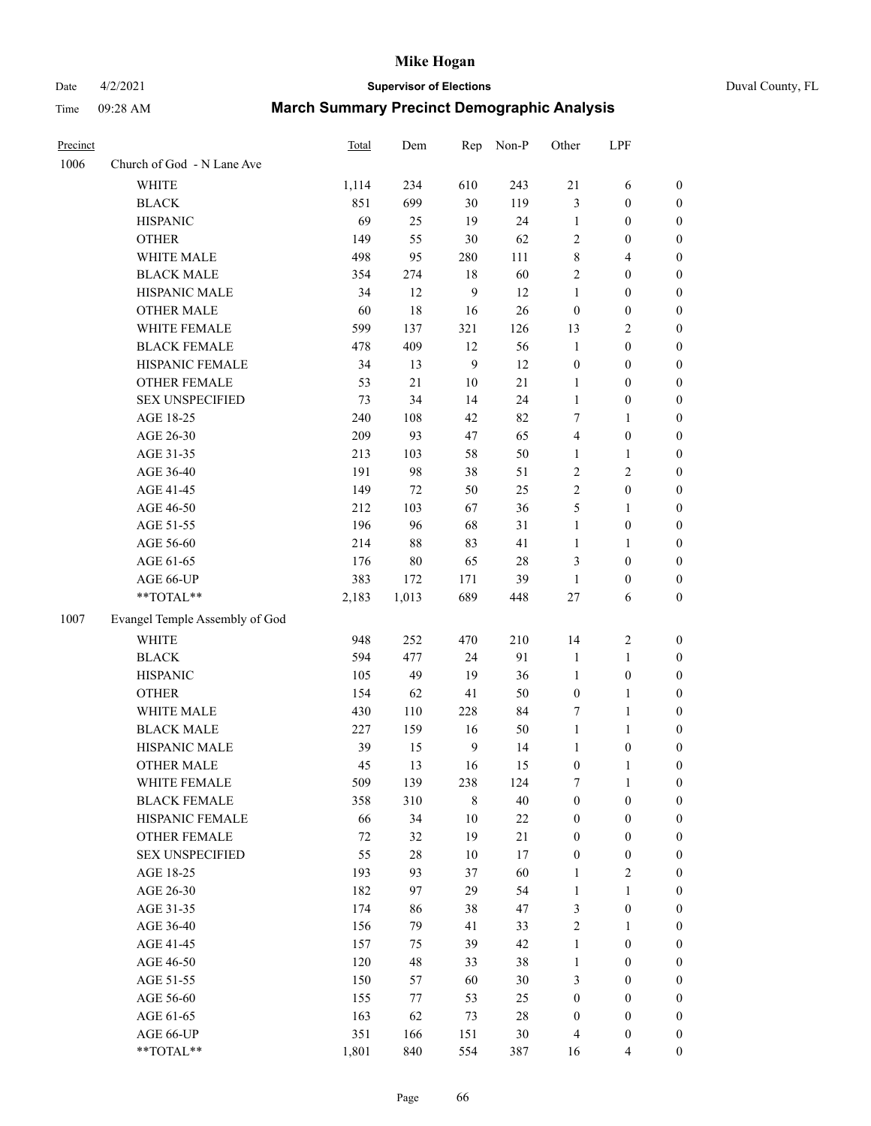# Date 4/2/2021 **Supervisor of Elections** Duval County, FL

| Precinct |                                | Total  | Dem    | Rep    | Non-P  | Other                   | LPF              |                  |
|----------|--------------------------------|--------|--------|--------|--------|-------------------------|------------------|------------------|
| 1006     | Church of God - N Lane Ave     |        |        |        |        |                         |                  |                  |
|          | <b>WHITE</b>                   | 1,114  | 234    | 610    | 243    | 21                      | 6                | 0                |
|          | <b>BLACK</b>                   | 851    | 699    | 30     | 119    | $\mathfrak{Z}$          | $\boldsymbol{0}$ | 0                |
|          | <b>HISPANIC</b>                | 69     | 25     | 19     | 24     | $\mathbf{1}$            | $\boldsymbol{0}$ | $\boldsymbol{0}$ |
|          | <b>OTHER</b>                   | 149    | 55     | 30     | 62     | 2                       | $\boldsymbol{0}$ | $\boldsymbol{0}$ |
|          | WHITE MALE                     | 498    | 95     | 280    | 111    | 8                       | $\overline{4}$   | $\boldsymbol{0}$ |
|          | <b>BLACK MALE</b>              | 354    | 274    | 18     | 60     | $\sqrt{2}$              | $\boldsymbol{0}$ | $\boldsymbol{0}$ |
|          | HISPANIC MALE                  | 34     | 12     | 9      | 12     | $\mathbf{1}$            | $\boldsymbol{0}$ | $\boldsymbol{0}$ |
|          | <b>OTHER MALE</b>              | 60     | 18     | 16     | 26     | $\boldsymbol{0}$        | $\boldsymbol{0}$ | $\boldsymbol{0}$ |
|          | WHITE FEMALE                   | 599    | 137    | 321    | 126    | 13                      | $\mathbf{2}$     | $\boldsymbol{0}$ |
|          | <b>BLACK FEMALE</b>            | 478    | 409    | 12     | 56     | $\mathbf{1}$            | $\boldsymbol{0}$ | 0                |
|          | HISPANIC FEMALE                | 34     | 13     | 9      | 12     | $\boldsymbol{0}$        | $\boldsymbol{0}$ | 0                |
|          | OTHER FEMALE                   | 53     | 21     | $10\,$ | 21     | $\mathbf{1}$            | $\boldsymbol{0}$ | $\boldsymbol{0}$ |
|          | <b>SEX UNSPECIFIED</b>         | 73     | 34     | 14     | 24     | $\mathbf{1}$            | $\boldsymbol{0}$ | $\boldsymbol{0}$ |
|          | AGE 18-25                      | 240    | 108    | 42     | 82     | 7                       | 1                | $\boldsymbol{0}$ |
|          | AGE 26-30                      | 209    | 93     | 47     | 65     | $\overline{\mathbf{4}}$ | $\boldsymbol{0}$ | $\boldsymbol{0}$ |
|          | AGE 31-35                      | 213    | 103    | 58     | 50     | $\mathbf{1}$            | $\mathbf{1}$     | $\boldsymbol{0}$ |
|          | AGE 36-40                      | 191    | 98     | 38     | 51     | $\sqrt{2}$              | $\mathfrak{2}$   | $\boldsymbol{0}$ |
|          | AGE 41-45                      | 149    | 72     | 50     | 25     | $\overline{2}$          | $\boldsymbol{0}$ | $\boldsymbol{0}$ |
|          | AGE 46-50                      | 212    | 103    | 67     | 36     | 5                       | $\mathbf{1}$     | $\boldsymbol{0}$ |
|          | AGE 51-55                      | 196    | 96     | 68     | 31     | $\mathbf{1}$            | $\boldsymbol{0}$ | 0                |
|          | AGE 56-60                      | 214    | $88\,$ | 83     | 41     | 1                       | 1                | 0                |
|          | AGE 61-65                      | 176    | $80\,$ | 65     | $28\,$ | 3                       | $\boldsymbol{0}$ | 0                |
|          | AGE 66-UP                      | 383    | 172    | 171    | 39     | $\mathbf{1}$            | $\boldsymbol{0}$ | $\boldsymbol{0}$ |
|          | **TOTAL**                      | 2,183  | 1,013  | 689    | 448    | 27                      | 6                | $\boldsymbol{0}$ |
| 1007     | Evangel Temple Assembly of God |        |        |        |        |                         |                  |                  |
|          | <b>WHITE</b>                   | 948    | 252    | 470    | 210    | 14                      | $\sqrt{2}$       | $\boldsymbol{0}$ |
|          | <b>BLACK</b>                   | 594    | 477    | 24     | 91     | $\mathbf{1}$            | $\mathbf{1}$     | $\boldsymbol{0}$ |
|          | <b>HISPANIC</b>                | 105    | 49     | 19     | 36     | $\mathbf{1}$            | $\boldsymbol{0}$ | $\boldsymbol{0}$ |
|          | <b>OTHER</b>                   | 154    | 62     | 41     | 50     | $\boldsymbol{0}$        | $\mathbf{1}$     | $\boldsymbol{0}$ |
|          | WHITE MALE                     | 430    | 110    | 228    | 84     | 7                       | $\mathbf{1}$     | $\boldsymbol{0}$ |
|          | <b>BLACK MALE</b>              | 227    | 159    | 16     | $50\,$ | $\mathbf{1}$            | $\mathbf{1}$     | $\boldsymbol{0}$ |
|          | HISPANIC MALE                  | 39     | 15     | 9      | 14     | $\mathbf{1}$            | $\boldsymbol{0}$ | 0                |
|          | <b>OTHER MALE</b>              | 45     | 13     | 16     | 15     | $\boldsymbol{0}$        | $\mathbf{1}$     | 0                |
|          | WHITE FEMALE                   | 509    | 139    | 238    | 124    | 7                       | 1                | 0                |
|          | <b>BLACK FEMALE</b>            | 358    | 310    | $8\,$  | $40\,$ | $\boldsymbol{0}$        | $\boldsymbol{0}$ | $\overline{0}$   |
|          | HISPANIC FEMALE                | 66     | 34     | $10\,$ | $22\,$ | $\boldsymbol{0}$        | $\boldsymbol{0}$ | $\overline{0}$   |
|          | OTHER FEMALE                   | $72\,$ | 32     | 19     | 21     | $\boldsymbol{0}$        | $\boldsymbol{0}$ | $\overline{0}$   |
|          | <b>SEX UNSPECIFIED</b>         | 55     | $28\,$ | $10\,$ | 17     | $\boldsymbol{0}$        | $\boldsymbol{0}$ | 0                |
|          | AGE 18-25                      | 193    | 93     | 37     | 60     | $\mathbf{1}$            | $\sqrt{2}$       | 0                |
|          | AGE 26-30                      | 182    | 97     | 29     | 54     | $\mathbf{1}$            | $\mathbf{1}$     | 0                |
|          | AGE 31-35                      | 174    | 86     | 38     | 47     | 3                       | $\boldsymbol{0}$ | 0                |
|          | AGE 36-40                      | 156    | 79     | 41     | 33     | 2                       | $\mathbf{1}$     | 0                |
|          | AGE 41-45                      | 157    | 75     | 39     | 42     | $\mathbf{1}$            | $\boldsymbol{0}$ | 0                |
|          | AGE 46-50                      | 120    | 48     | 33     | 38     | $\mathbf{1}$            | $\boldsymbol{0}$ | 0                |
|          | AGE 51-55                      | 150    | 57     | 60     | 30     | 3                       | $\boldsymbol{0}$ | 0                |
|          | AGE 56-60                      | 155    | 77     | 53     | 25     | $\boldsymbol{0}$        | $\boldsymbol{0}$ | $\overline{0}$   |
|          | AGE 61-65                      | 163    | 62     | 73     | 28     | $\boldsymbol{0}$        | $\boldsymbol{0}$ | 0                |
|          | AGE 66-UP                      | 351    | 166    | 151    | $30\,$ | 4                       | $\boldsymbol{0}$ | 0                |
|          | **TOTAL**                      | 1,801  | 840    | 554    | 387    | 16                      | $\overline{4}$   | $\boldsymbol{0}$ |
|          |                                |        |        |        |        |                         |                  |                  |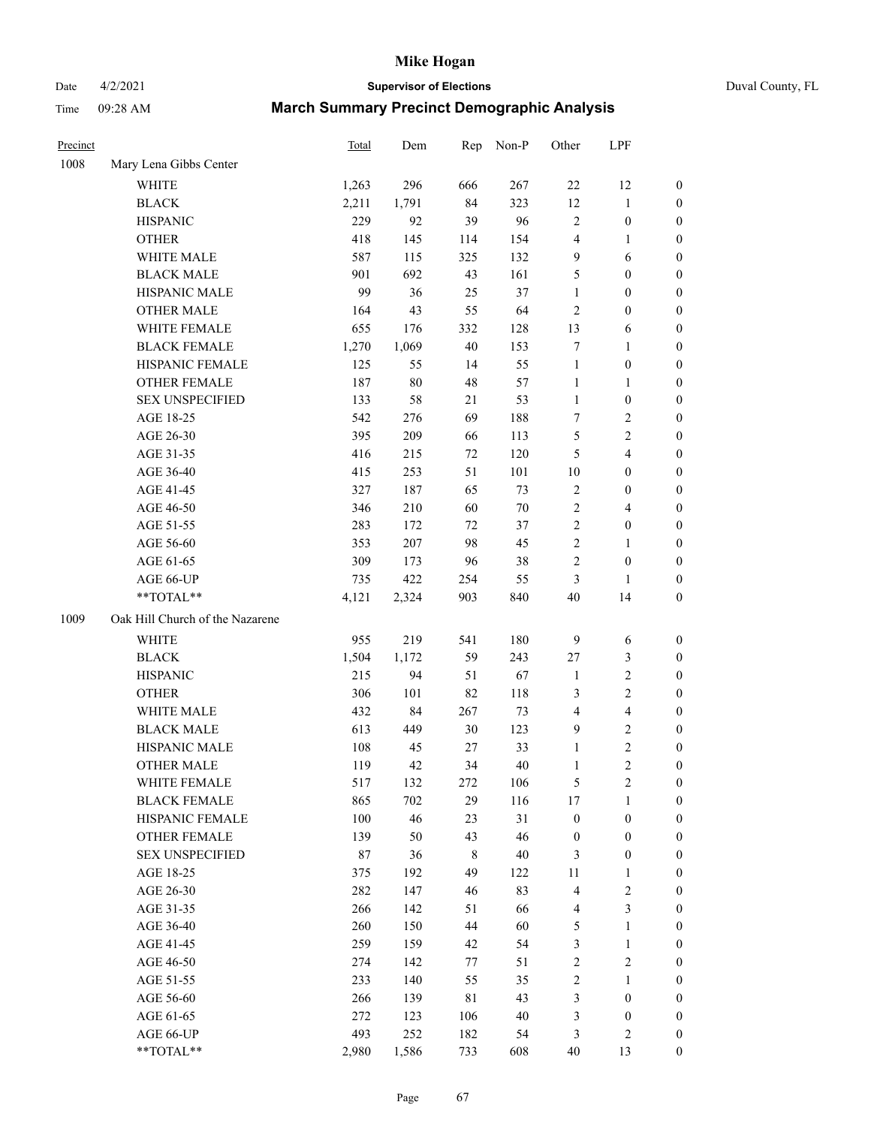# Date 4/2/2021 **Supervisor of Elections** Duval County, FL

| Precinct |                                 | <b>Total</b> | Dem    | Rep         | Non-P  | Other            | LPF                     |                  |
|----------|---------------------------------|--------------|--------|-------------|--------|------------------|-------------------------|------------------|
| 1008     | Mary Lena Gibbs Center          |              |        |             |        |                  |                         |                  |
|          | <b>WHITE</b>                    | 1,263        | 296    | 666         | 267    | 22               | 12                      | 0                |
|          | <b>BLACK</b>                    | 2,211        | 1,791  | 84          | 323    | 12               | $\mathbf{1}$            | 0                |
|          | <b>HISPANIC</b>                 | 229          | 92     | 39          | 96     | $\mathbf{2}$     | $\boldsymbol{0}$        | $\boldsymbol{0}$ |
|          | <b>OTHER</b>                    | 418          | 145    | 114         | 154    | 4                | 1                       | $\boldsymbol{0}$ |
|          | WHITE MALE                      | 587          | 115    | 325         | 132    | 9                | 6                       | $\boldsymbol{0}$ |
|          | <b>BLACK MALE</b>               | 901          | 692    | 43          | 161    | 5                | $\boldsymbol{0}$        | $\boldsymbol{0}$ |
|          | HISPANIC MALE                   | 99           | 36     | 25          | 37     | $\mathbf{1}$     | $\boldsymbol{0}$        | $\boldsymbol{0}$ |
|          | <b>OTHER MALE</b>               | 164          | 43     | 55          | 64     | $\mathbf{2}$     | $\boldsymbol{0}$        | $\boldsymbol{0}$ |
|          | WHITE FEMALE                    | 655          | 176    | 332         | 128    | 13               | 6                       | $\boldsymbol{0}$ |
|          | <b>BLACK FEMALE</b>             | 1,270        | 1,069  | 40          | 153    | 7                | $\mathbf{1}$            | 0                |
|          | HISPANIC FEMALE                 | 125          | 55     | 14          | 55     | $\mathbf{1}$     | $\boldsymbol{0}$        | 0                |
|          | OTHER FEMALE                    | 187          | $80\,$ | 48          | 57     | $\mathbf{1}$     | $\mathbf{1}$            | $\boldsymbol{0}$ |
|          | <b>SEX UNSPECIFIED</b>          | 133          | 58     | 21          | 53     | $\mathbf{1}$     | $\boldsymbol{0}$        | $\boldsymbol{0}$ |
|          | AGE 18-25                       | 542          | 276    | 69          | 188    | 7                | $\sqrt{2}$              | $\boldsymbol{0}$ |
|          | AGE 26-30                       | 395          | 209    | 66          | 113    | 5                | $\sqrt{2}$              | $\boldsymbol{0}$ |
|          | AGE 31-35                       | 416          | 215    | 72          | 120    | 5                | $\overline{4}$          | $\boldsymbol{0}$ |
|          | AGE 36-40                       | 415          | 253    | 51          | 101    | $10\,$           | $\boldsymbol{0}$        | $\boldsymbol{0}$ |
|          | AGE 41-45                       | 327          | 187    | 65          | 73     | $\sqrt{2}$       | $\boldsymbol{0}$        | $\boldsymbol{0}$ |
|          | AGE 46-50                       | 346          | 210    | 60          | $70\,$ | $\sqrt{2}$       | $\overline{4}$          | $\boldsymbol{0}$ |
|          | AGE 51-55                       | 283          | 172    | 72          | 37     | $\sqrt{2}$       | $\boldsymbol{0}$        | $\boldsymbol{0}$ |
|          | AGE 56-60                       | 353          | 207    | 98          | 45     | $\sqrt{2}$       | 1                       | 0                |
|          | AGE 61-65                       | 309          | 173    | 96          | 38     | $\overline{c}$   | $\boldsymbol{0}$        | $\boldsymbol{0}$ |
|          | AGE 66-UP                       | 735          | 422    | 254         | 55     | 3                | $\mathbf{1}$            | $\boldsymbol{0}$ |
|          | **TOTAL**                       | 4,121        | 2,324  | 903         | 840    | 40               | 14                      | $\boldsymbol{0}$ |
| 1009     | Oak Hill Church of the Nazarene |              |        |             |        |                  |                         |                  |
|          | <b>WHITE</b>                    | 955          | 219    | 541         | 180    | $\mathbf{9}$     | 6                       | $\boldsymbol{0}$ |
|          | <b>BLACK</b>                    | 1,504        | 1,172  | 59          | 243    | 27               | $\mathfrak{Z}$          | $\boldsymbol{0}$ |
|          | <b>HISPANIC</b>                 | 215          | 94     | 51          | 67     | $\mathbf{1}$     | $\mathbf{2}$            | $\boldsymbol{0}$ |
|          | <b>OTHER</b>                    | 306          | 101    | 82          | 118    | 3                | $\overline{c}$          | $\boldsymbol{0}$ |
|          | WHITE MALE                      | 432          | 84     | 267         | 73     | $\overline{4}$   | $\overline{\mathbf{4}}$ | $\boldsymbol{0}$ |
|          | <b>BLACK MALE</b>               | 613          | 449    | 30          | 123    | $\mathbf{9}$     | $\overline{c}$          | $\boldsymbol{0}$ |
|          | HISPANIC MALE                   | 108          | 45     | 27          | 33     | $\mathbf{1}$     | $\overline{c}$          | 0                |
|          | <b>OTHER MALE</b>               | 119          | 42     | 34          | 40     | $\mathbf{1}$     | $\overline{2}$          | $\boldsymbol{0}$ |
|          | WHITE FEMALE                    | 517          | 132    | 272         | 106    | 5                | $\overline{c}$          | 0                |
|          | <b>BLACK FEMALE</b>             | 865          | 702    | 29          | 116    | 17               | $\mathbf{1}$            | 0                |
|          | HISPANIC FEMALE                 | 100          | 46     | 23          | 31     | $\boldsymbol{0}$ | $\boldsymbol{0}$        | 0                |
|          | <b>OTHER FEMALE</b>             | 139          | 50     | 43          | 46     | $\boldsymbol{0}$ | $\boldsymbol{0}$        | 0                |
|          | <b>SEX UNSPECIFIED</b>          | 87           | 36     | 8           | $40\,$ | 3                | $\boldsymbol{0}$        | 0                |
|          | AGE 18-25                       | 375          | 192    | 49          | 122    | 11               | $\mathbf{1}$            | 0                |
|          | AGE 26-30                       | 282          | 147    | 46          | 83     | 4                | $\sqrt{2}$              | 0                |
|          | AGE 31-35                       | 266          | 142    | 51          | 66     | 4                | 3                       | 0                |
|          | AGE 36-40                       | 260          | 150    | 44          | 60     | 5                | $\mathbf{1}$            | 0                |
|          | AGE 41-45                       | 259          | 159    | 42          | 54     | 3                | $\mathbf{1}$            | 0                |
|          | AGE 46-50                       | 274          | 142    | 77          | 51     | $\sqrt{2}$       | $\sqrt{2}$              | 0                |
|          | AGE 51-55                       | 233          | 140    | 55          | 35     | $\sqrt{2}$       | $\mathbf{1}$            | 0                |
|          | AGE 56-60                       | 266          | 139    | $8\sqrt{1}$ | 43     | 3                | $\boldsymbol{0}$        | 0                |
|          | AGE 61-65                       | 272          | 123    | 106         | 40     | 3                | $\boldsymbol{0}$        | 0                |
|          | AGE 66-UP                       | 493          | 252    | 182         | 54     | 3                | $\mathfrak{2}$          | 0                |
|          | **TOTAL**                       | 2,980        | 1,586  | 733         | 608    | 40               | 13                      | $\boldsymbol{0}$ |
|          |                                 |              |        |             |        |                  |                         |                  |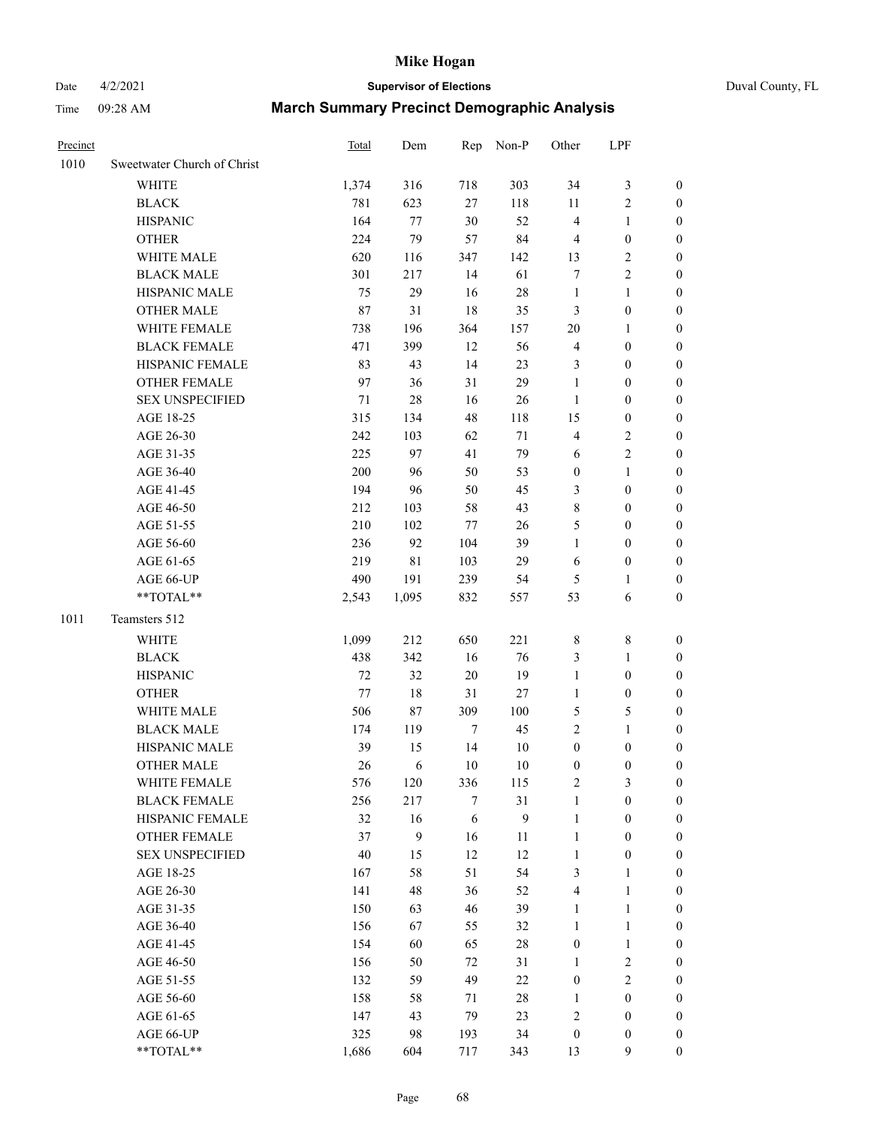# Date 4/2/2021 **Supervisor of Elections** Duval County, FL

| Precinct |                             | <b>Total</b> | Dem          | Rep              | Non-P        | Other                   | LPF              |                  |
|----------|-----------------------------|--------------|--------------|------------------|--------------|-------------------------|------------------|------------------|
| 1010     | Sweetwater Church of Christ |              |              |                  |              |                         |                  |                  |
|          | <b>WHITE</b>                | 1,374        | 316          | 718              | 303          | 34                      | $\mathfrak{Z}$   | 0                |
|          | <b>BLACK</b>                | 781          | 623          | 27               | 118          | 11                      | $\sqrt{2}$       | 0                |
|          | <b>HISPANIC</b>             | 164          | 77           | 30               | 52           | 4                       | $\mathbf{1}$     | $\boldsymbol{0}$ |
|          | <b>OTHER</b>                | 224          | 79           | 57               | 84           | 4                       | $\boldsymbol{0}$ | $\boldsymbol{0}$ |
|          | WHITE MALE                  | 620          | 116          | 347              | 142          | 13                      | $\sqrt{2}$       | $\boldsymbol{0}$ |
|          | <b>BLACK MALE</b>           | 301          | 217          | 14               | 61           | 7                       | $\sqrt{2}$       | $\boldsymbol{0}$ |
|          | HISPANIC MALE               | 75           | 29           | 16               | 28           | $\mathbf{1}$            | $\mathbf{1}$     | $\boldsymbol{0}$ |
|          | <b>OTHER MALE</b>           | $87\,$       | 31           | 18               | 35           | 3                       | $\boldsymbol{0}$ | $\boldsymbol{0}$ |
|          | WHITE FEMALE                | 738          | 196          | 364              | 157          | $20\,$                  | 1                | $\boldsymbol{0}$ |
|          | <b>BLACK FEMALE</b>         | 471          | 399          | 12               | 56           | 4                       | $\boldsymbol{0}$ | 0                |
|          | HISPANIC FEMALE             | 83           | 43           | 14               | 23           | 3                       | $\boldsymbol{0}$ | 0                |
|          | OTHER FEMALE                | 97           | 36           | 31               | 29           | $\mathbf{1}$            | $\boldsymbol{0}$ | $\boldsymbol{0}$ |
|          | <b>SEX UNSPECIFIED</b>      | 71           | 28           | 16               | 26           | $\mathbf{1}$            | $\boldsymbol{0}$ | $\boldsymbol{0}$ |
|          | AGE 18-25                   | 315          | 134          | 48               | 118          | 15                      | $\boldsymbol{0}$ | $\boldsymbol{0}$ |
|          | AGE 26-30                   | 242          | 103          | 62               | $71\,$       | 4                       | $\sqrt{2}$       | $\boldsymbol{0}$ |
|          | AGE 31-35                   | 225          | 97           | 41               | 79           | 6                       | $\sqrt{2}$       | $\boldsymbol{0}$ |
|          | AGE 36-40                   | 200          | 96           | 50               | 53           | $\boldsymbol{0}$        | $\mathbf{1}$     | $\boldsymbol{0}$ |
|          | AGE 41-45                   | 194          | 96           | 50               | 45           | 3                       | $\boldsymbol{0}$ | $\boldsymbol{0}$ |
|          | AGE 46-50                   | 212          | 103          | 58               | 43           | 8                       | $\boldsymbol{0}$ | $\boldsymbol{0}$ |
|          | AGE 51-55                   | 210          | 102          | 77               | 26           | 5                       | $\boldsymbol{0}$ | $\boldsymbol{0}$ |
|          | AGE 56-60                   | 236          | 92           | 104              | 39           | $\mathbf{1}$            | $\boldsymbol{0}$ | 0                |
|          | AGE 61-65                   | 219          | $8\sqrt{1}$  | 103              | 29           | 6                       | $\boldsymbol{0}$ | 0                |
|          | AGE 66-UP                   | 490          | 191          | 239              | 54           | 5                       | 1                | $\boldsymbol{0}$ |
|          | **TOTAL**                   | 2,543        | 1,095        | 832              | 557          | 53                      | 6                | $\boldsymbol{0}$ |
| 1011     | Teamsters 512               |              |              |                  |              |                         |                  |                  |
|          | <b>WHITE</b>                | 1,099        | 212          | 650              | 221          | 8                       | $\,$ $\,$        | $\boldsymbol{0}$ |
|          | <b>BLACK</b>                | 438          | 342          | 16               | 76           | 3                       | $\mathbf{1}$     | $\boldsymbol{0}$ |
|          | <b>HISPANIC</b>             | 72           | 32           | $20\,$           | 19           | $\mathbf{1}$            | $\boldsymbol{0}$ | $\boldsymbol{0}$ |
|          | <b>OTHER</b>                | 77           | $18\,$       | 31               | 27           | $\mathbf{1}$            | $\boldsymbol{0}$ | $\boldsymbol{0}$ |
|          | WHITE MALE                  | 506          | 87           | 309              | 100          | 5                       | $\mathfrak s$    | $\boldsymbol{0}$ |
|          | <b>BLACK MALE</b>           | 174          | 119          | $\boldsymbol{7}$ | 45           | $\overline{c}$          | $\mathbf{1}$     | $\boldsymbol{0}$ |
|          | HISPANIC MALE               | 39           | 15           | 14               | 10           | $\boldsymbol{0}$        | $\boldsymbol{0}$ | 0                |
|          | <b>OTHER MALE</b>           | 26           | 6            | $10\,$           | 10           | 0                       | $\boldsymbol{0}$ | $\boldsymbol{0}$ |
|          | WHITE FEMALE                | 576          | 120          | 336              | 115          | 2                       | 3                | 0                |
|          | <b>BLACK FEMALE</b>         | 256          | 217          | 7                | 31           | $\mathbf{1}$            | $\boldsymbol{0}$ | $\overline{0}$   |
|          | HISPANIC FEMALE             | 32           | 16           | 6                | $\mathbf{9}$ | $\mathbf{1}$            | $\boldsymbol{0}$ | $\overline{0}$   |
|          | OTHER FEMALE                | 37           | $\mathbf{9}$ | 16               | $11\,$       | 1                       | $\boldsymbol{0}$ | 0                |
|          | <b>SEX UNSPECIFIED</b>      | $40\,$       | 15           | 12               | 12           | $\mathbf{1}$            | $\boldsymbol{0}$ | 0                |
|          | AGE 18-25                   | 167          | 58           | 51               | 54           | 3                       | $\mathbf{1}$     | 0                |
|          | AGE 26-30                   | 141          | 48           | 36               | 52           | 4                       | $\mathbf{1}$     | 0                |
|          | AGE 31-35                   | 150          | 63           | 46               | 39           | 1                       | $\mathbf{1}$     | 0                |
|          | AGE 36-40                   | 156          | 67           | 55               | 32           | 1                       | $\mathbf{1}$     | 0                |
|          | AGE 41-45                   | 154          | 60           | 65               | 28           | $\boldsymbol{0}$        | $\mathbf{1}$     | 0                |
|          | AGE 46-50                   | 156          | 50           | $72\,$           | 31           | 1                       | $\sqrt{2}$       | 0                |
|          | AGE 51-55                   | 132          | 59           | 49               | 22           | 0                       | $\mathbf{2}$     | 0                |
|          | AGE 56-60                   | 158          | 58           | 71               | 28           | 1                       | $\boldsymbol{0}$ | 0                |
|          | AGE 61-65                   | 147          | 43           | 79               | 23           | $\overline{\mathbf{c}}$ | $\boldsymbol{0}$ | 0                |
|          | AGE 66-UP                   | 325          | 98           | 193              | 34           | $\boldsymbol{0}$        | $\boldsymbol{0}$ | 0                |
|          | **TOTAL**                   | 1,686        | 604          | 717              | 343          | 13                      | 9                | $\boldsymbol{0}$ |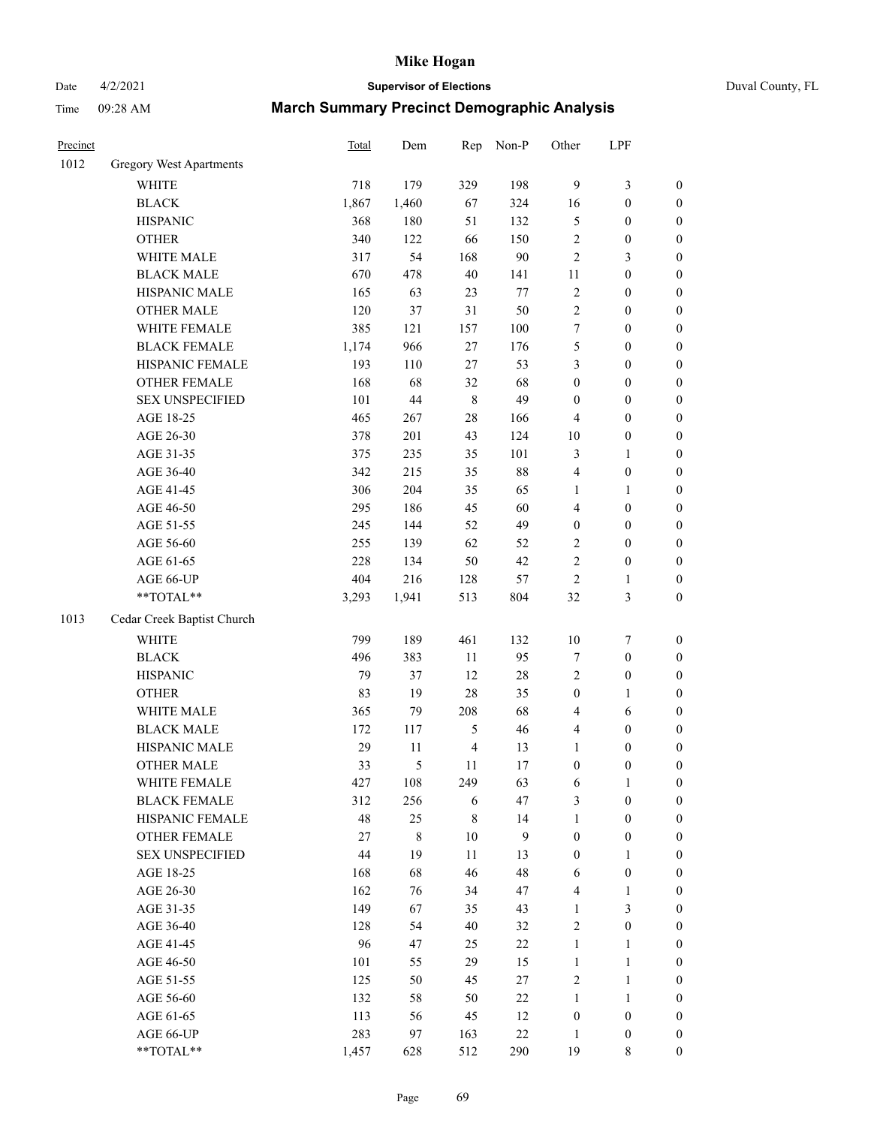# Date 4/2/2021 **Supervisor of Elections** Duval County, FL

| Precinct |                                | Total | Dem         | Rep            | Non-P  | Other            | LPF              |                  |
|----------|--------------------------------|-------|-------------|----------------|--------|------------------|------------------|------------------|
| 1012     | <b>Gregory West Apartments</b> |       |             |                |        |                  |                  |                  |
|          | <b>WHITE</b>                   | 718   | 179         | 329            | 198    | 9                | $\mathfrak{Z}$   | 0                |
|          | <b>BLACK</b>                   | 1,867 | 1,460       | 67             | 324    | 16               | $\boldsymbol{0}$ | $\boldsymbol{0}$ |
|          | <b>HISPANIC</b>                | 368   | 180         | 51             | 132    | 5                | $\boldsymbol{0}$ | $\boldsymbol{0}$ |
|          | <b>OTHER</b>                   | 340   | 122         | 66             | 150    | $\overline{c}$   | $\boldsymbol{0}$ | $\boldsymbol{0}$ |
|          | WHITE MALE                     | 317   | 54          | 168            | 90     | 2                | $\mathfrak{Z}$   | $\boldsymbol{0}$ |
|          | <b>BLACK MALE</b>              | 670   | 478         | 40             | 141    | 11               | $\boldsymbol{0}$ | $\boldsymbol{0}$ |
|          | HISPANIC MALE                  | 165   | 63          | 23             | 77     | $\overline{c}$   | $\boldsymbol{0}$ | $\boldsymbol{0}$ |
|          | <b>OTHER MALE</b>              | 120   | 37          | 31             | 50     | $\overline{c}$   | $\boldsymbol{0}$ | $\boldsymbol{0}$ |
|          | WHITE FEMALE                   | 385   | 121         | 157            | 100    | 7                | $\boldsymbol{0}$ | $\boldsymbol{0}$ |
|          | <b>BLACK FEMALE</b>            | 1,174 | 966         | 27             | 176    | 5                | $\boldsymbol{0}$ | $\boldsymbol{0}$ |
|          | HISPANIC FEMALE                | 193   | 110         | 27             | 53     | 3                | $\boldsymbol{0}$ | $\boldsymbol{0}$ |
|          | OTHER FEMALE                   | 168   | 68          | 32             | 68     | $\boldsymbol{0}$ | $\boldsymbol{0}$ | $\boldsymbol{0}$ |
|          | <b>SEX UNSPECIFIED</b>         | 101   | 44          | 8              | 49     | $\boldsymbol{0}$ | $\boldsymbol{0}$ | $\boldsymbol{0}$ |
|          | AGE 18-25                      | 465   | 267         | 28             | 166    | 4                | $\boldsymbol{0}$ | $\boldsymbol{0}$ |
|          | AGE 26-30                      | 378   | 201         | 43             | 124    | 10               | $\boldsymbol{0}$ | $\boldsymbol{0}$ |
|          | AGE 31-35                      | 375   | 235         | 35             | 101    | 3                | $\mathbf{1}$     | $\boldsymbol{0}$ |
|          | AGE 36-40                      | 342   | 215         | 35             | 88     | 4                | $\boldsymbol{0}$ | $\boldsymbol{0}$ |
|          | AGE 41-45                      | 306   | 204         | 35             | 65     | $\mathbf{1}$     | $\mathbf{1}$     | $\boldsymbol{0}$ |
|          | AGE 46-50                      | 295   | 186         | 45             | 60     | 4                | $\boldsymbol{0}$ | $\boldsymbol{0}$ |
|          | AGE 51-55                      | 245   | 144         | 52             | 49     | $\boldsymbol{0}$ | $\boldsymbol{0}$ | $\boldsymbol{0}$ |
|          | AGE 56-60                      | 255   | 139         | 62             | 52     | $\mathbf{2}$     | $\boldsymbol{0}$ | $\boldsymbol{0}$ |
|          | AGE 61-65                      | 228   | 134         | 50             | 42     | $\overline{c}$   | $\boldsymbol{0}$ | $\boldsymbol{0}$ |
|          | AGE 66-UP                      | 404   | 216         | 128            | 57     | $\sqrt{2}$       | 1                | $\boldsymbol{0}$ |
|          | $**TOTAL**$                    | 3,293 | 1,941       | 513            | 804    | 32               | $\mathfrak{Z}$   | $\boldsymbol{0}$ |
| 1013     | Cedar Creek Baptist Church     |       |             |                |        |                  |                  |                  |
|          | <b>WHITE</b>                   | 799   | 189         | 461            | 132    | $10\,$           | $\boldsymbol{7}$ | $\boldsymbol{0}$ |
|          | <b>BLACK</b>                   | 496   | 383         | 11             | 95     | 7                | $\boldsymbol{0}$ | $\boldsymbol{0}$ |
|          | <b>HISPANIC</b>                | 79    | 37          | 12             | 28     | 2                | $\boldsymbol{0}$ | $\boldsymbol{0}$ |
|          | <b>OTHER</b>                   | 83    | 19          | 28             | 35     | $\boldsymbol{0}$ | $\mathbf{1}$     | $\boldsymbol{0}$ |
|          | WHITE MALE                     | 365   | 79          | 208            | 68     | 4                | 6                | $\boldsymbol{0}$ |
|          | <b>BLACK MALE</b>              | 172   | 117         | 5              | 46     | 4                | $\boldsymbol{0}$ | $\boldsymbol{0}$ |
|          | HISPANIC MALE                  | 29    | 11          | $\overline{4}$ | 13     | 1                | $\boldsymbol{0}$ | $\boldsymbol{0}$ |
|          | <b>OTHER MALE</b>              | 33    | 5           | 11             | 17     | $\boldsymbol{0}$ | $\boldsymbol{0}$ | $\boldsymbol{0}$ |
|          | WHITE FEMALE                   | 427   | 108         | 249            | 63     | 6                | 1                | 0                |
|          | <b>BLACK FEMALE</b>            | 312   | 256         | 6              | 47     | 3                | $\boldsymbol{0}$ | $\overline{0}$   |
|          | HISPANIC FEMALE                | 48    | 25          | 8              | 14     | 1                | $\boldsymbol{0}$ | $\overline{0}$   |
|          | OTHER FEMALE                   | 27    | $\,$ 8 $\,$ | 10             | 9      | $\boldsymbol{0}$ | $\boldsymbol{0}$ | $\overline{0}$   |
|          | <b>SEX UNSPECIFIED</b>         | 44    | 19          | 11             | 13     | $\boldsymbol{0}$ | $\mathbf{1}$     | 0                |
|          | AGE 18-25                      | 168   | 68          | 46             | 48     | 6                | $\boldsymbol{0}$ | 0                |
|          | AGE 26-30                      | 162   | 76          | 34             | 47     | 4                | $\mathbf{1}$     | 0                |
|          | AGE 31-35                      | 149   | 67          | 35             | 43     | 1                | $\mathfrak{Z}$   | 0                |
|          | AGE 36-40                      | 128   | 54          | 40             | 32     | 2                | $\boldsymbol{0}$ | 0                |
|          | AGE 41-45                      | 96    | 47          | 25             | 22     | $\mathbf{1}$     | $\mathbf{1}$     | 0                |
|          | AGE 46-50                      | 101   | 55          | 29             | 15     | $\mathbf{1}$     | $\mathbf{1}$     | 0                |
|          | AGE 51-55                      | 125   | 50          | 45             | 27     | 2                | $\mathbf{1}$     | 0                |
|          | AGE 56-60                      | 132   | 58          | 50             | 22     | $\mathbf{1}$     | $\mathbf{1}$     | 0                |
|          | AGE 61-65                      | 113   | 56          | 45             | 12     | $\boldsymbol{0}$ | $\boldsymbol{0}$ | 0                |
|          | AGE 66-UP                      | 283   | 97          | 163            | $22\,$ | $\mathbf{1}$     | $\boldsymbol{0}$ | 0                |
|          | **TOTAL**                      | 1,457 | 628         | 512            | 290    | 19               | 8                | $\boldsymbol{0}$ |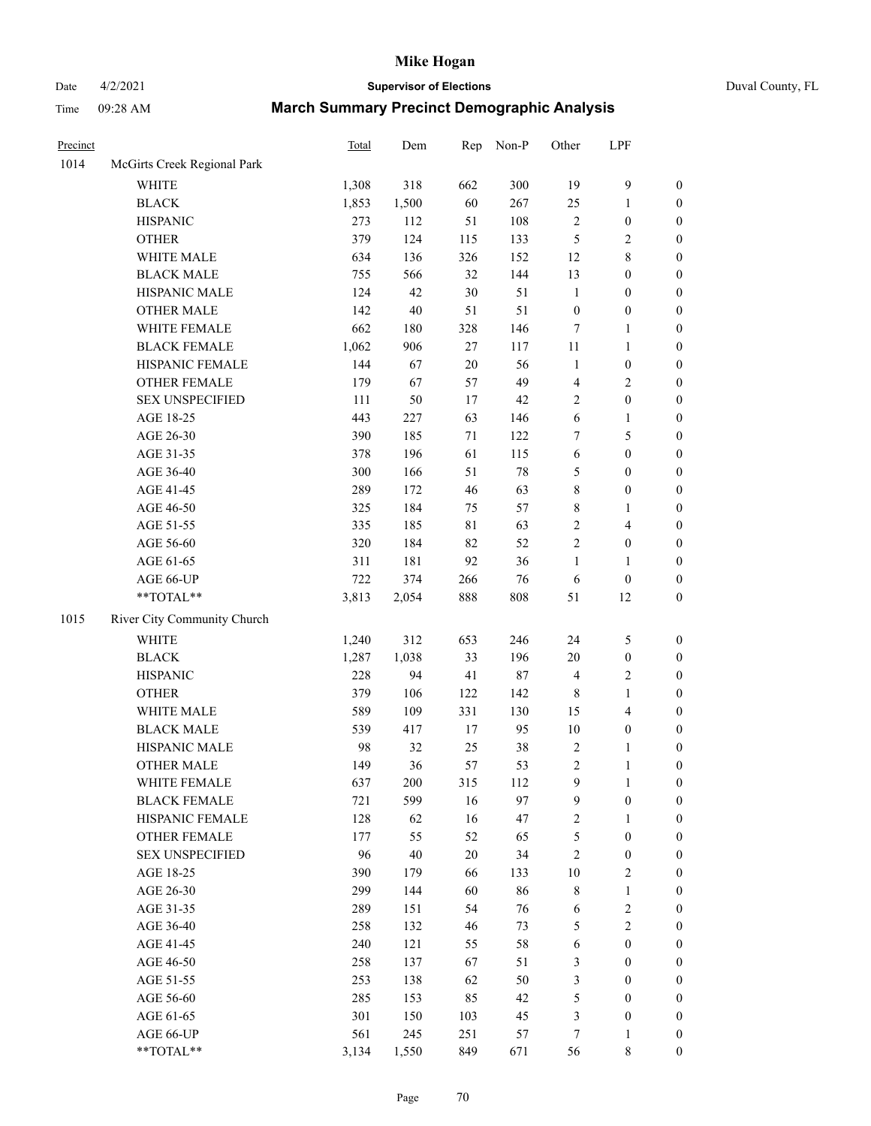# Date 4/2/2021 **Supervisor of Elections** Duval County, FL

| Precinct |                             | <b>Total</b> | Dem    | Rep           | Non-P     | Other                                     | LPF                                |                                      |
|----------|-----------------------------|--------------|--------|---------------|-----------|-------------------------------------------|------------------------------------|--------------------------------------|
| 1014     | McGirts Creek Regional Park |              |        |               |           |                                           |                                    |                                      |
|          | <b>WHITE</b>                | 1,308        | 318    | 662           | 300       | 19                                        | $\boldsymbol{9}$                   | 0                                    |
|          | <b>BLACK</b>                | 1,853        | 1,500  | 60            | 267       | 25                                        | $\mathbf{1}$                       | $\boldsymbol{0}$                     |
|          | <b>HISPANIC</b>             | 273          | 112    | 51            | 108       | $\mathbf{2}$                              | $\boldsymbol{0}$                   | $\boldsymbol{0}$                     |
|          | <b>OTHER</b>                | 379          | 124    | 115           | 133       | 5                                         | $\sqrt{2}$                         | $\boldsymbol{0}$                     |
|          | WHITE MALE                  | 634          | 136    | 326           | 152       | 12                                        | $\,$ 8 $\,$                        | $\boldsymbol{0}$                     |
|          | <b>BLACK MALE</b>           | 755          | 566    | 32            | 144       | 13                                        | $\boldsymbol{0}$                   | $\boldsymbol{0}$                     |
|          | HISPANIC MALE               | 124          | 42     | 30            | 51        | $\mathbf{1}$                              | $\boldsymbol{0}$                   | $\boldsymbol{0}$                     |
|          | <b>OTHER MALE</b>           | 142          | 40     | 51            | 51        | $\boldsymbol{0}$                          | $\boldsymbol{0}$                   | $\boldsymbol{0}$                     |
|          | WHITE FEMALE                | 662          | 180    | 328           | 146       | 7                                         | $\mathbf{1}$                       | $\boldsymbol{0}$                     |
|          | <b>BLACK FEMALE</b>         | 1,062        | 906    | 27            | 117       | 11                                        | $\mathbf{1}$                       | $\boldsymbol{0}$                     |
|          | HISPANIC FEMALE             | 144          | 67     | $20\,$        | 56        | $\mathbf{1}$                              | $\boldsymbol{0}$                   | $\boldsymbol{0}$                     |
|          | OTHER FEMALE                | 179          | 67     | 57            | 49        | 4                                         | $\sqrt{2}$                         | $\boldsymbol{0}$                     |
|          | <b>SEX UNSPECIFIED</b>      | 111          | 50     | 17            | 42        | $\overline{c}$                            | $\boldsymbol{0}$                   | $\boldsymbol{0}$                     |
|          | AGE 18-25                   | 443          | 227    | 63            | 146       | 6                                         | $\mathbf{1}$                       | $\boldsymbol{0}$                     |
|          | AGE 26-30                   | 390          | 185    | 71            | 122       | 7                                         | 5                                  | $\boldsymbol{0}$                     |
|          | AGE 31-35                   | 378          | 196    | 61            | 115       | 6                                         | $\boldsymbol{0}$                   | $\boldsymbol{0}$                     |
|          | AGE 36-40                   | 300          | 166    | 51            | $78\,$    | 5                                         | $\boldsymbol{0}$                   | $\boldsymbol{0}$                     |
|          | AGE 41-45                   | 289          | 172    | 46            | 63        | 8                                         | $\boldsymbol{0}$                   | $\boldsymbol{0}$                     |
|          | AGE 46-50                   | 325          | 184    | 75            | 57        | 8                                         | 1                                  | $\boldsymbol{0}$                     |
|          | AGE 51-55                   | 335          | 185    | 81            | 63        | $\mathbf{2}$                              | $\overline{4}$                     | $\boldsymbol{0}$                     |
|          | AGE 56-60                   | 320          | 184    | 82            | 52        | $\overline{c}$                            | $\boldsymbol{0}$                   | $\boldsymbol{0}$                     |
|          | AGE 61-65                   | 311          | 181    | 92            | 36        | $\mathbf{1}$                              | 1                                  | $\boldsymbol{0}$                     |
|          | AGE 66-UP                   | 722          | 374    | 266           | 76        | 6                                         | $\boldsymbol{0}$                   | $\boldsymbol{0}$                     |
|          | $**TOTAL**$                 | 3,813        | 2,054  | 888           | 808       | 51                                        | 12                                 | $\boldsymbol{0}$                     |
| 1015     | River City Community Church |              |        |               |           |                                           |                                    |                                      |
|          | <b>WHITE</b>                | 1,240        | 312    | 653           | 246       | 24                                        | $\mathfrak{S}$                     | $\boldsymbol{0}$                     |
|          | <b>BLACK</b>                | 1,287        | 1,038  | 33            | 196       | $20\,$                                    | $\boldsymbol{0}$                   |                                      |
|          | <b>HISPANIC</b>             | 228          | 94     | 41            | $87\,$    | 4                                         | $\sqrt{2}$                         | $\boldsymbol{0}$<br>$\boldsymbol{0}$ |
|          | <b>OTHER</b>                | 379          | 106    | 122           | 142       |                                           |                                    |                                      |
|          |                             |              |        |               |           | 8                                         | $\mathbf{1}$                       | $\boldsymbol{0}$                     |
|          | WHITE MALE                  | 589<br>539   | 109    | 331<br>$17\,$ | 130<br>95 | 15<br>$10\,$                              | $\overline{4}$<br>$\boldsymbol{0}$ | $\boldsymbol{0}$                     |
|          | <b>BLACK MALE</b>           |              | 417    |               |           |                                           |                                    | $\boldsymbol{0}$                     |
|          | HISPANIC MALE               | 98           | 32     | 25            | $38\,$    | $\overline{\mathbf{c}}$<br>$\overline{c}$ | 1                                  | $\boldsymbol{0}$                     |
|          | <b>OTHER MALE</b>           | 149          | 36     | 57            | 53        |                                           | $\mathbf{1}$                       | $\boldsymbol{0}$                     |
|          | WHITE FEMALE                | 637          | 200    | 315           | 112       | 9                                         | 1                                  | 0                                    |
|          | <b>BLACK FEMALE</b>         | 721          | 599    | 16            | 97        | 9                                         | $\boldsymbol{0}$                   | $\overline{0}$                       |
|          | HISPANIC FEMALE             | 128          | 62     | 16            | 47        | $\mathbf{2}$                              | $\mathbf{1}$                       | $\overline{0}$                       |
|          | OTHER FEMALE                | 177          | 55     | 52            | 65        | 5                                         | $\boldsymbol{0}$                   | $\overline{0}$                       |
|          | <b>SEX UNSPECIFIED</b>      | 96           | $40\,$ | 20            | 34        | 2                                         | $\boldsymbol{0}$                   | 0                                    |
|          | AGE 18-25                   | 390          | 179    | 66            | 133       | $10\,$                                    | $\sqrt{2}$                         | 0                                    |
|          | AGE 26-30                   | 299          | 144    | 60            | 86        | 8                                         | $\mathbf{1}$                       | 0                                    |
|          | AGE 31-35                   | 289          | 151    | 54            | 76        | 6                                         | $\sqrt{2}$                         | 0                                    |
|          | AGE 36-40                   | 258          | 132    | 46            | 73        | 5                                         | $\sqrt{2}$                         | 0                                    |
|          | AGE 41-45                   | 240          | 121    | 55            | 58        | 6                                         | $\boldsymbol{0}$                   | 0                                    |
|          | AGE 46-50                   | 258          | 137    | 67            | 51        | 3                                         | $\boldsymbol{0}$                   | 0                                    |
|          | AGE 51-55                   | 253          | 138    | 62            | 50        | 3                                         | $\boldsymbol{0}$                   | 0                                    |
|          | AGE 56-60                   | 285          | 153    | 85            | 42        | 5                                         | $\boldsymbol{0}$                   | $\overline{0}$                       |
|          | AGE 61-65                   | 301          | 150    | 103           | 45        | 3                                         | $\boldsymbol{0}$                   | $\overline{0}$                       |
|          | AGE 66-UP                   | 561          | 245    | 251           | 57        | 7                                         | $\mathbf{1}$                       | 0                                    |
|          | **TOTAL**                   | 3,134        | 1,550  | 849           | 671       | 56                                        | $\,$ 8 $\,$                        | $\boldsymbol{0}$                     |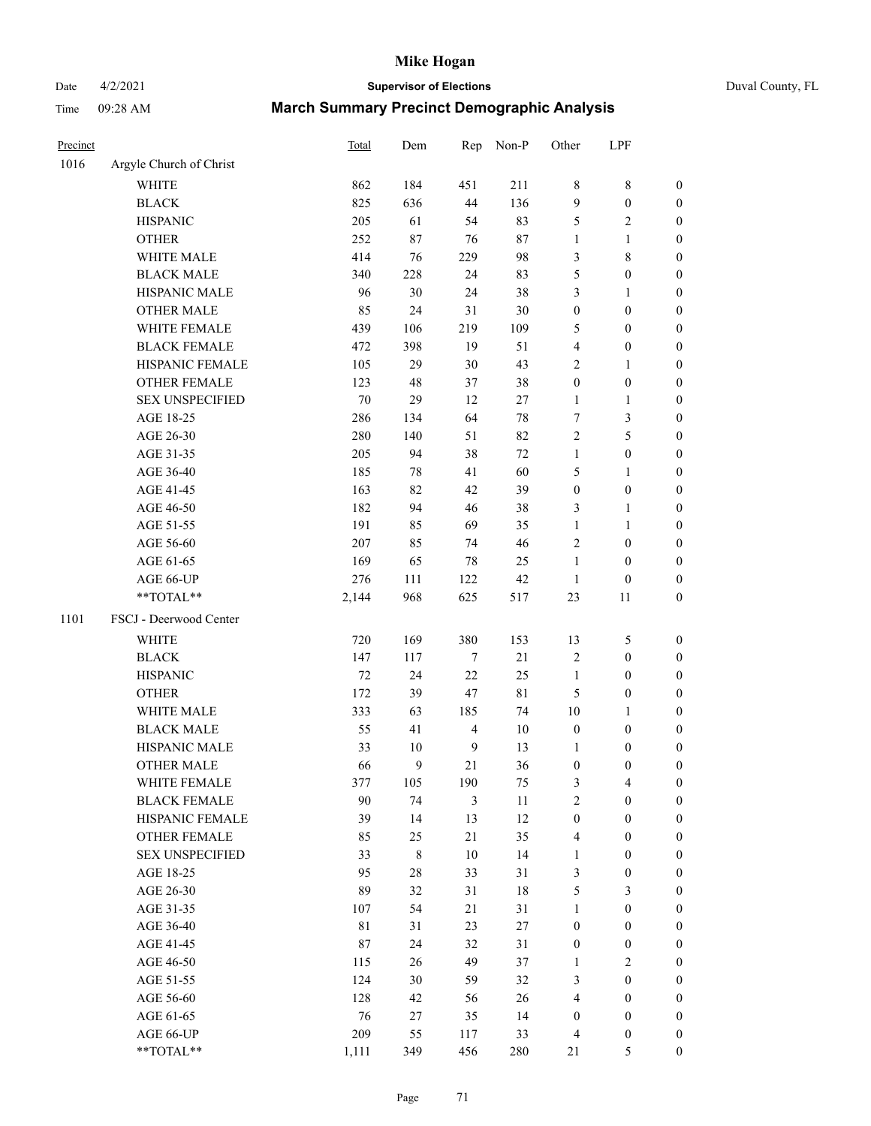# Date 4/2/2021 **Supervisor of Elections** Duval County, FL

| Precinct |                         | <b>Total</b> | Dem         | Rep              | Non-P       | Other            | LPF              |                  |
|----------|-------------------------|--------------|-------------|------------------|-------------|------------------|------------------|------------------|
| 1016     | Argyle Church of Christ |              |             |                  |             |                  |                  |                  |
|          | <b>WHITE</b>            | 862          | 184         | 451              | 211         | 8                | $\,$ $\,$        | 0                |
|          | <b>BLACK</b>            | 825          | 636         | 44               | 136         | 9                | $\boldsymbol{0}$ | 0                |
|          | <b>HISPANIC</b>         | 205          | 61          | 54               | 83          | 5                | $\mathbf{2}$     | $\boldsymbol{0}$ |
|          | <b>OTHER</b>            | 252          | 87          | 76               | 87          | 1                | 1                | $\boldsymbol{0}$ |
|          | WHITE MALE              | 414          | 76          | 229              | 98          | 3                | $\,$ 8 $\,$      | $\boldsymbol{0}$ |
|          | <b>BLACK MALE</b>       | 340          | 228         | 24               | 83          | 5                | $\boldsymbol{0}$ | $\boldsymbol{0}$ |
|          | HISPANIC MALE           | 96           | 30          | 24               | 38          | 3                | $\mathbf{1}$     | $\boldsymbol{0}$ |
|          | <b>OTHER MALE</b>       | 85           | 24          | 31               | 30          | $\boldsymbol{0}$ | $\boldsymbol{0}$ | $\boldsymbol{0}$ |
|          | WHITE FEMALE            | 439          | 106         | 219              | 109         | 5                | $\boldsymbol{0}$ | $\boldsymbol{0}$ |
|          | <b>BLACK FEMALE</b>     | 472          | 398         | 19               | 51          | 4                | $\boldsymbol{0}$ | $\boldsymbol{0}$ |
|          | HISPANIC FEMALE         | 105          | 29          | 30               | 43          | $\overline{c}$   | 1                | 0                |
|          | OTHER FEMALE            | 123          | 48          | 37               | 38          | $\boldsymbol{0}$ | $\boldsymbol{0}$ | $\boldsymbol{0}$ |
|          | <b>SEX UNSPECIFIED</b>  | $70\,$       | 29          | 12               | 27          | $\mathbf{1}$     | $\mathbf{1}$     | $\boldsymbol{0}$ |
|          | AGE 18-25               | 286          | 134         | 64               | 78          | 7                | $\mathfrak{Z}$   | $\boldsymbol{0}$ |
|          | AGE 26-30               | 280          | 140         | 51               | 82          | 2                | 5                | $\boldsymbol{0}$ |
|          | AGE 31-35               | 205          | 94          | 38               | 72          | $\mathbf{1}$     | $\boldsymbol{0}$ | $\boldsymbol{0}$ |
|          | AGE 36-40               | 185          | 78          | 41               | 60          | 5                | $\mathbf{1}$     | $\boldsymbol{0}$ |
|          | AGE 41-45               | 163          | 82          | 42               | 39          | $\boldsymbol{0}$ | $\boldsymbol{0}$ | $\boldsymbol{0}$ |
|          | AGE 46-50               | 182          | 94          | 46               | 38          | 3                | $\mathbf{1}$     | $\boldsymbol{0}$ |
|          | AGE 51-55               | 191          | 85          | 69               | 35          | 1                | $\mathbf{1}$     | 0                |
|          | AGE 56-60               | 207          | 85          | 74               | 46          | 2                | $\boldsymbol{0}$ | 0                |
|          | AGE 61-65               | 169          | 65          | $78\,$           | 25          | $\mathbf{1}$     | $\boldsymbol{0}$ | 0                |
|          | AGE 66-UP               | 276          | 111         | 122              | 42          | $\mathbf{1}$     | $\boldsymbol{0}$ | $\boldsymbol{0}$ |
|          | $**TOTAL**$             | 2,144        | 968         | 625              | 517         | 23               | 11               | $\boldsymbol{0}$ |
| 1101     | FSCJ - Deerwood Center  |              |             |                  |             |                  |                  |                  |
|          | <b>WHITE</b>            | 720          | 169         | 380              | 153         | 13               | 5                | $\boldsymbol{0}$ |
|          | <b>BLACK</b>            | 147          | 117         | $\tau$           | $21\,$      | 2                | $\boldsymbol{0}$ | $\boldsymbol{0}$ |
|          | <b>HISPANIC</b>         | 72           | 24          | 22               | 25          | $\mathbf{1}$     | $\boldsymbol{0}$ | $\boldsymbol{0}$ |
|          | <b>OTHER</b>            | 172          | 39          | 47               | $8\sqrt{1}$ | 5                | $\boldsymbol{0}$ | $\boldsymbol{0}$ |
|          | WHITE MALE              | 333          | 63          | 185              | 74          | $10\,$           | $\mathbf{1}$     | $\boldsymbol{0}$ |
|          | <b>BLACK MALE</b>       | 55           | 41          | $\overline{4}$   | $10\,$      | $\boldsymbol{0}$ | $\boldsymbol{0}$ | $\boldsymbol{0}$ |
|          | HISPANIC MALE           | 33           | $10\,$      | $\boldsymbol{9}$ | 13          | 1                | $\boldsymbol{0}$ | 0                |
|          | <b>OTHER MALE</b>       | 66           | 9           | 21               | 36          | $\boldsymbol{0}$ | $\boldsymbol{0}$ | $\boldsymbol{0}$ |
|          | WHITE FEMALE            | 377          | 105         | 190              | 75          | 3                | 4                | 0                |
|          | <b>BLACK FEMALE</b>     | $90\,$       | 74          | 3                | 11          | $\mathbf{2}$     | $\boldsymbol{0}$ | $\overline{0}$   |
|          | HISPANIC FEMALE         | 39           | 14          | 13               | 12          | $\boldsymbol{0}$ | $\boldsymbol{0}$ | $\overline{0}$   |
|          | OTHER FEMALE            | 85           | 25          | 21               | 35          | 4                | $\boldsymbol{0}$ | $\overline{0}$   |
|          | <b>SEX UNSPECIFIED</b>  | 33           | $\,$ 8 $\,$ | $10\,$           | 14          | 1                | $\boldsymbol{0}$ | 0                |
|          | AGE 18-25               | 95           | 28          | 33               | 31          | 3                | $\boldsymbol{0}$ | 0                |
|          | AGE 26-30               | 89           | 32          | 31               | 18          | 5                | 3                | 0                |
|          | AGE 31-35               | 107          | 54          | 21               | 31          | 1                | $\boldsymbol{0}$ | 0                |
|          | AGE 36-40               | $8\sqrt{1}$  | 31          | 23               | $27\,$      | $\boldsymbol{0}$ | $\boldsymbol{0}$ | 0                |
|          | AGE 41-45               | 87           | 24          | 32               | 31          | $\boldsymbol{0}$ | $\boldsymbol{0}$ | 0                |
|          | AGE 46-50               | 115          | 26          | 49               | 37          | 1                | $\overline{c}$   | 0                |
|          | AGE 51-55               | 124          | 30          | 59               | 32          | 3                | $\boldsymbol{0}$ | 0                |
|          | AGE 56-60               | 128          | 42          | 56               | 26          | 4                | $\boldsymbol{0}$ | $\overline{0}$   |
|          | AGE 61-65               | 76           | 27          | 35               | 14          | 0                | $\boldsymbol{0}$ | 0                |
|          | AGE 66-UP               | 209          | 55          | 117              | 33          | 4                | $\boldsymbol{0}$ | 0                |
|          | **TOTAL**               | 1,111        | 349         | 456              | 280         | 21               | $\mathfrak s$    | $\boldsymbol{0}$ |
|          |                         |              |             |                  |             |                  |                  |                  |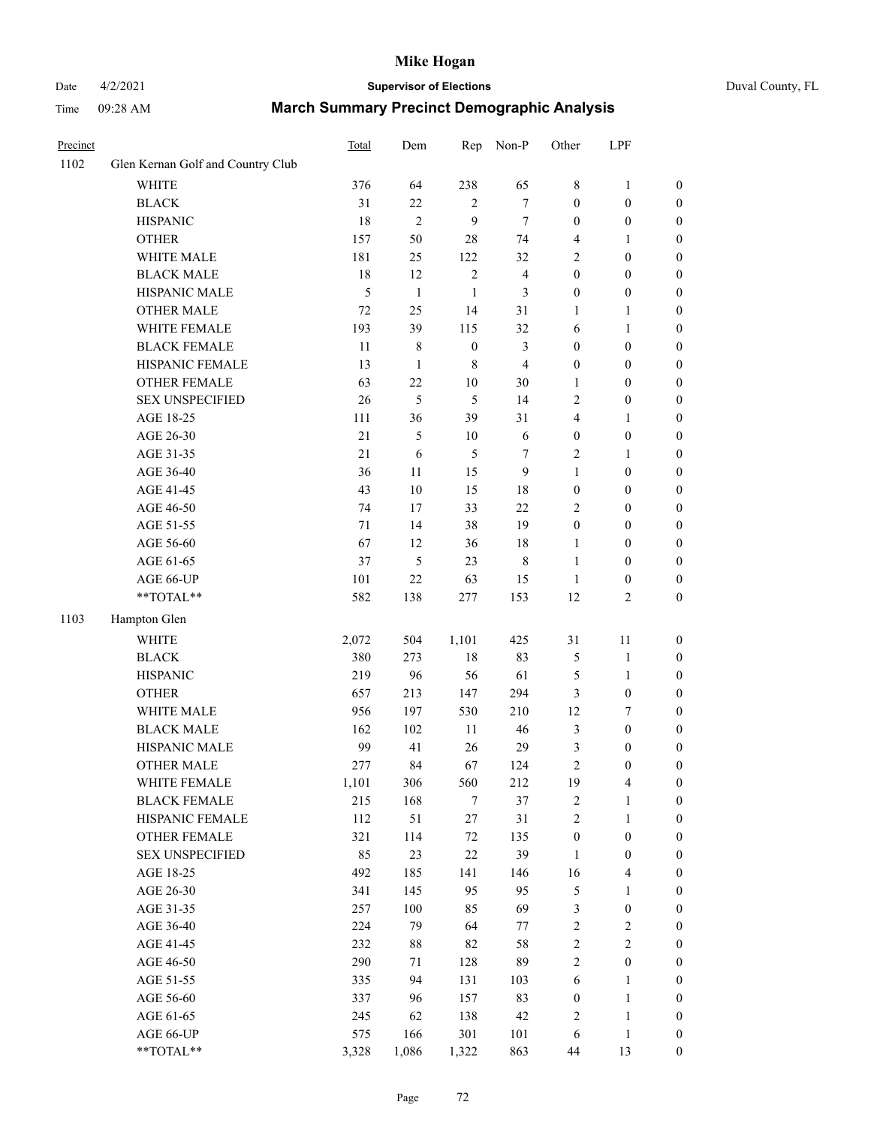### Date 4/2/2021 **Supervisor of Elections** Duval County, FL

| Precinct |                                   | Total | Dem            | Rep              | Non-P          | Other            | LPF              |                  |
|----------|-----------------------------------|-------|----------------|------------------|----------------|------------------|------------------|------------------|
| 1102     | Glen Kernan Golf and Country Club |       |                |                  |                |                  |                  |                  |
|          | <b>WHITE</b>                      | 376   | 64             | 238              | 65             | 8                | $\mathbf{1}$     | 0                |
|          | <b>BLACK</b>                      | 31    | 22             | 2                | $\tau$         | $\boldsymbol{0}$ | $\boldsymbol{0}$ | 0                |
|          | <b>HISPANIC</b>                   | 18    | $\overline{2}$ | 9                | $\tau$         | $\boldsymbol{0}$ | $\boldsymbol{0}$ | $\boldsymbol{0}$ |
|          | <b>OTHER</b>                      | 157   | 50             | $28\,$           | 74             | 4                | 1                | $\boldsymbol{0}$ |
|          | WHITE MALE                        | 181   | 25             | 122              | 32             | 2                | $\boldsymbol{0}$ | $\boldsymbol{0}$ |
|          | <b>BLACK MALE</b>                 | 18    | 12             | $\sqrt{2}$       | $\overline{4}$ | $\boldsymbol{0}$ | $\boldsymbol{0}$ | $\boldsymbol{0}$ |
|          | HISPANIC MALE                     | 5     | $\mathbf{1}$   | $\mathbf{1}$     | 3              | $\boldsymbol{0}$ | $\boldsymbol{0}$ | $\boldsymbol{0}$ |
|          | <b>OTHER MALE</b>                 | 72    | 25             | 14               | 31             | $\mathbf{1}$     | $\mathbf{1}$     | $\boldsymbol{0}$ |
|          | WHITE FEMALE                      | 193   | 39             | 115              | 32             | 6                | $\mathbf{1}$     | $\boldsymbol{0}$ |
|          | <b>BLACK FEMALE</b>               | 11    | $\,$ 8 $\,$    | $\boldsymbol{0}$ | 3              | $\boldsymbol{0}$ | $\boldsymbol{0}$ | $\boldsymbol{0}$ |
|          | HISPANIC FEMALE                   | 13    | $\mathbf{1}$   | $8\,$            | $\overline{4}$ | $\boldsymbol{0}$ | $\boldsymbol{0}$ | $\boldsymbol{0}$ |
|          | OTHER FEMALE                      | 63    | 22             | $10\,$           | $30\,$         | $\mathbf{1}$     | $\boldsymbol{0}$ | $\boldsymbol{0}$ |
|          | <b>SEX UNSPECIFIED</b>            | 26    | 5              | 5                | 14             | $\mathbf{2}$     | $\boldsymbol{0}$ | $\boldsymbol{0}$ |
|          | AGE 18-25                         | 111   | 36             | 39               | 31             | 4                | $\mathbf{1}$     | $\boldsymbol{0}$ |
|          | AGE 26-30                         | 21    | $\mathfrak{S}$ | $10\,$           | $\sqrt{6}$     | $\boldsymbol{0}$ | $\boldsymbol{0}$ | $\boldsymbol{0}$ |
|          | AGE 31-35                         | 21    | 6              | 5                | 7              | $\sqrt{2}$       | $\mathbf{1}$     | $\boldsymbol{0}$ |
|          | AGE 36-40                         | 36    | 11             | 15               | 9              | $\mathbf{1}$     | $\boldsymbol{0}$ | $\boldsymbol{0}$ |
|          | AGE 41-45                         | 43    | 10             | 15               | 18             | $\boldsymbol{0}$ | $\boldsymbol{0}$ | $\boldsymbol{0}$ |
|          | AGE 46-50                         | 74    | 17             | 33               | 22             | 2                | $\boldsymbol{0}$ | $\boldsymbol{0}$ |
|          | AGE 51-55                         | 71    | 14             | 38               | 19             | $\boldsymbol{0}$ | $\boldsymbol{0}$ | $\boldsymbol{0}$ |
|          | AGE 56-60                         | 67    | 12             | 36               | 18             | 1                | $\boldsymbol{0}$ | $\boldsymbol{0}$ |
|          | AGE 61-65                         | 37    | 5              | 23               | $\,$ 8 $\,$    | $\mathbf{1}$     | $\boldsymbol{0}$ | $\boldsymbol{0}$ |
|          | AGE 66-UP                         | 101   | 22             | 63               | 15             | $\mathbf{1}$     | $\boldsymbol{0}$ | $\boldsymbol{0}$ |
|          | **TOTAL**                         | 582   | 138            | 277              | 153            | 12               | $\sqrt{2}$       | $\boldsymbol{0}$ |
| 1103     | Hampton Glen                      |       |                |                  |                |                  |                  |                  |
|          | <b>WHITE</b>                      | 2,072 | 504            | 1,101            | 425            | 31               | $11\,$           | $\boldsymbol{0}$ |
|          | <b>BLACK</b>                      | 380   | 273            | $18\,$           | 83             | 5                | $\mathbf{1}$     | $\boldsymbol{0}$ |
|          | <b>HISPANIC</b>                   | 219   | 96             | 56               | 61             | 5                | $\mathbf{1}$     | $\boldsymbol{0}$ |
|          | <b>OTHER</b>                      | 657   | 213            | 147              | 294            | 3                | $\boldsymbol{0}$ | $\boldsymbol{0}$ |
|          | WHITE MALE                        | 956   | 197            | 530              | 210            | 12               | $\boldsymbol{7}$ | $\boldsymbol{0}$ |
|          | <b>BLACK MALE</b>                 | 162   | 102            | 11               | $46\,$         | $\mathfrak{Z}$   | $\boldsymbol{0}$ | $\boldsymbol{0}$ |
|          | HISPANIC MALE                     | 99    | 41             | $26\,$           | 29             | 3                | $\boldsymbol{0}$ | $\boldsymbol{0}$ |
|          | <b>OTHER MALE</b>                 | 277   | 84             | 67               | 124            | $\mathfrak{2}$   | $\boldsymbol{0}$ | $\boldsymbol{0}$ |
|          | WHITE FEMALE                      | 1,101 | 306            | 560              | 212            | 19               | 4                | 0                |
|          | <b>BLACK FEMALE</b>               | 215   | 168            | $\tau$           | 37             | $\sqrt{2}$       | $\mathbf{1}$     | $\boldsymbol{0}$ |
|          | HISPANIC FEMALE                   | 112   | 51             | $27\,$           | 31             | $\sqrt{2}$       | $\mathbf{1}$     | $\overline{0}$   |
|          | <b>OTHER FEMALE</b>               | 321   | 114            | $72\,$           | 135            | $\boldsymbol{0}$ | $\boldsymbol{0}$ | 0                |
|          | <b>SEX UNSPECIFIED</b>            | 85    | 23             | 22               | 39             | $\mathbf{1}$     | $\boldsymbol{0}$ | 0                |
|          | AGE 18-25                         | 492   | 185            | 141              | 146            | 16               | $\overline{4}$   | 0                |
|          | AGE 26-30                         | 341   | 145            | 95               | 95             | 5                | $\mathbf{1}$     | 0                |
|          | AGE 31-35                         | 257   | $100\,$        | 85               | 69             | 3                | $\boldsymbol{0}$ | 0                |
|          | AGE 36-40                         | 224   | 79             | 64               | 77             | $\sqrt{2}$       | $\sqrt{2}$       | 0                |
|          | AGE 41-45                         | 232   | $88\,$         | 82               | 58             | $\sqrt{2}$       | $\mathbf{2}$     | 0                |
|          | AGE 46-50                         | 290   | 71             | 128              | 89             | $\sqrt{2}$       | $\boldsymbol{0}$ | 0                |
|          | AGE 51-55                         | 335   | 94             | 131              | 103            | 6                | $\mathbf{1}$     | 0                |
|          | AGE 56-60                         | 337   | 96             | 157              | 83             | $\boldsymbol{0}$ | $\mathbf{1}$     | 0                |
|          | AGE 61-65                         | 245   | 62             | 138              | 42             | $\overline{c}$   | $\mathbf{1}$     | 0                |
|          | AGE 66-UP                         | 575   | 166            | 301              | 101            | 6                | $\,1$            | 0                |
|          | **TOTAL**                         | 3,328 | 1,086          | 1,322            | 863            | 44               | 13               | $\boldsymbol{0}$ |
|          |                                   |       |                |                  |                |                  |                  |                  |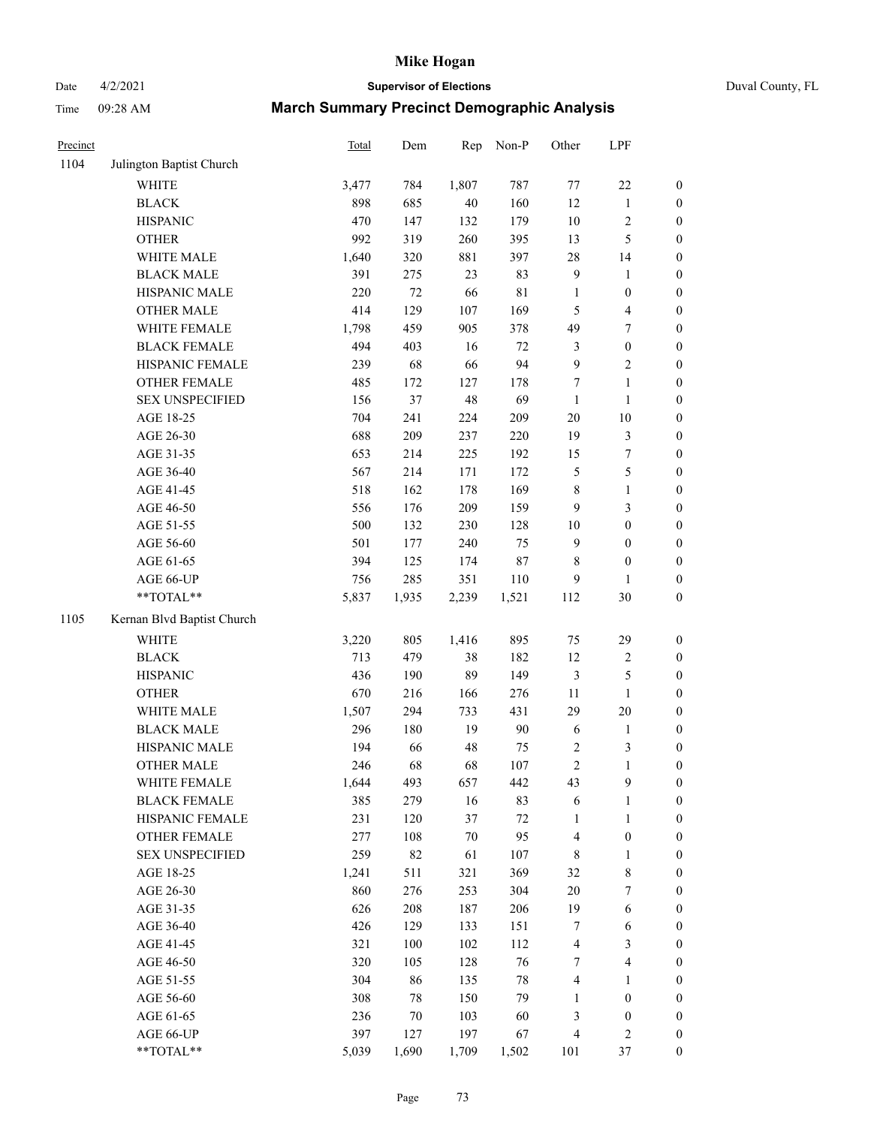# Date 4/2/2021 **Supervisor of Elections** Duval County, FL

| Precinct |                            | Total | Dem    | Rep    | Non-P       | Other          | LPF                     |                  |
|----------|----------------------------|-------|--------|--------|-------------|----------------|-------------------------|------------------|
| 1104     | Julington Baptist Church   |       |        |        |             |                |                         |                  |
|          | <b>WHITE</b>               | 3,477 | 784    | 1,807  | 787         | 77             | $22\,$                  | $\boldsymbol{0}$ |
|          | <b>BLACK</b>               | 898   | 685    | 40     | 160         | 12             | $\mathbf{1}$            | $\boldsymbol{0}$ |
|          | <b>HISPANIC</b>            | 470   | 147    | 132    | 179         | 10             | $\sqrt{2}$              | $\boldsymbol{0}$ |
|          | <b>OTHER</b>               | 992   | 319    | 260    | 395         | 13             | $\mathfrak s$           | $\boldsymbol{0}$ |
|          | WHITE MALE                 | 1,640 | 320    | 881    | 397         | 28             | 14                      | $\boldsymbol{0}$ |
|          | <b>BLACK MALE</b>          | 391   | 275    | 23     | 83          | $\overline{9}$ | $\mathbf{1}$            | $\boldsymbol{0}$ |
|          | HISPANIC MALE              | 220   | $72\,$ | 66     | $8\sqrt{1}$ | $\mathbf{1}$   | $\boldsymbol{0}$        | $\boldsymbol{0}$ |
|          | <b>OTHER MALE</b>          | 414   | 129    | 107    | 169         | 5              | $\overline{4}$          | $\boldsymbol{0}$ |
|          | WHITE FEMALE               | 1,798 | 459    | 905    | 378         | 49             | 7                       | $\boldsymbol{0}$ |
|          | <b>BLACK FEMALE</b>        | 494   | 403    | 16     | 72          | 3              | $\boldsymbol{0}$        | $\boldsymbol{0}$ |
|          | HISPANIC FEMALE            | 239   | 68     | 66     | 94          | 9              | $\sqrt{2}$              | $\boldsymbol{0}$ |
|          | OTHER FEMALE               | 485   | 172    | 127    | 178         | 7              | $\mathbf{1}$            | $\boldsymbol{0}$ |
|          | <b>SEX UNSPECIFIED</b>     | 156   | 37     | 48     | 69          | $\mathbf{1}$   | $\mathbf{1}$            | $\boldsymbol{0}$ |
|          | AGE 18-25                  | 704   | 241    | 224    | 209         | $20\,$         | $10\,$                  | $\boldsymbol{0}$ |
|          | AGE 26-30                  | 688   | 209    | 237    | 220         | 19             | $\mathfrak{Z}$          | $\boldsymbol{0}$ |
|          | AGE 31-35                  | 653   | 214    | 225    | 192         | 15             | $\boldsymbol{7}$        | $\boldsymbol{0}$ |
|          | AGE 36-40                  | 567   | 214    | 171    | 172         | $\mathfrak s$  | $\mathfrak s$           | $\boldsymbol{0}$ |
|          | AGE 41-45                  | 518   | 162    | 178    | 169         | 8              | $\mathbf{1}$            | $\boldsymbol{0}$ |
|          | AGE 46-50                  | 556   | 176    | 209    | 159         | 9              | $\mathfrak{Z}$          | $\boldsymbol{0}$ |
|          | AGE 51-55                  | 500   | 132    | 230    | 128         | $10\,$         | $\boldsymbol{0}$        | 0                |
|          | AGE 56-60                  | 501   | 177    | 240    | 75          | 9              | $\boldsymbol{0}$        | $\boldsymbol{0}$ |
|          | AGE 61-65                  | 394   | 125    | 174    | $87\,$      | 8              | $\boldsymbol{0}$        | $\boldsymbol{0}$ |
|          | AGE 66-UP                  | 756   | 285    | 351    | 110         | 9              | 1                       | $\boldsymbol{0}$ |
|          | **TOTAL**                  | 5,837 | 1,935  | 2,239  | 1,521       | 112            | 30                      | $\boldsymbol{0}$ |
| 1105     | Kernan Blvd Baptist Church |       |        |        |             |                |                         |                  |
|          | <b>WHITE</b>               | 3,220 | 805    | 1,416  | 895         | 75             | 29                      | $\boldsymbol{0}$ |
|          | <b>BLACK</b>               | 713   | 479    | 38     | 182         | 12             | $\sqrt{2}$              | $\boldsymbol{0}$ |
|          | <b>HISPANIC</b>            | 436   | 190    | 89     | 149         | $\mathfrak{Z}$ | $\mathfrak s$           | $\boldsymbol{0}$ |
|          | <b>OTHER</b>               | 670   | 216    | 166    | 276         | $11\,$         | $\mathbf{1}$            | $\boldsymbol{0}$ |
|          | WHITE MALE                 | 1,507 | 294    | 733    | 431         | 29             | $20\,$                  | $\boldsymbol{0}$ |
|          | <b>BLACK MALE</b>          | 296   | 180    | 19     | $90\,$      | 6              | $\mathbf{1}$            | $\boldsymbol{0}$ |
|          | HISPANIC MALE              | 194   | 66     | 48     | 75          | $\overline{c}$ | $\mathfrak{Z}$          | 0                |
|          | OTHER MALE                 | 246   | 68     | 68     | 107         | $\overline{c}$ | $\mathbf{1}$            | $\boldsymbol{0}$ |
|          | WHITE FEMALE               | 1,644 | 493    | 657    | 442         | 43             | $\mathbf{9}$            | 0                |
|          | <b>BLACK FEMALE</b>        | 385   | 279    | 16     | 83          | 6              | $\mathbf{1}$            | $\boldsymbol{0}$ |
|          | HISPANIC FEMALE            | 231   | 120    | 37     | $72\,$      | $\mathbf{1}$   | $\mathbf{1}$            | $\overline{0}$   |
|          | <b>OTHER FEMALE</b>        | 277   | 108    | $70\,$ | 95          | 4              | $\boldsymbol{0}$        | 0                |
|          | <b>SEX UNSPECIFIED</b>     | 259   | 82     | 61     | 107         | $\,$ 8 $\,$    | $\mathbf{1}$            | 0                |
|          | AGE 18-25                  | 1,241 | 511    | 321    | 369         | 32             | $\,$ 8 $\,$             | 0                |
|          | AGE 26-30                  | 860   | 276    | 253    | 304         | $20\,$         | $\boldsymbol{7}$        | 0                |
|          | AGE 31-35                  | 626   | 208    | 187    | 206         | 19             | 6                       | 0                |
|          | AGE 36-40                  | 426   | 129    | 133    | 151         | 7              | 6                       | 0                |
|          | AGE 41-45                  | 321   | 100    | 102    | 112         | 4              | $\mathfrak{Z}$          | 0                |
|          | AGE 46-50                  | 320   | 105    | 128    | 76          | 7              | $\overline{\mathbf{4}}$ | 0                |
|          | AGE 51-55                  | 304   | 86     | 135    | $78\,$      | 4              | 1                       | $\boldsymbol{0}$ |
|          | AGE 56-60                  | 308   | 78     | 150    | 79          | 1              | $\boldsymbol{0}$        | $\overline{0}$   |
|          | AGE 61-65                  | 236   | 70     | 103    | 60          | 3              | $\boldsymbol{0}$        | 0                |
|          | AGE 66-UP                  | 397   | 127    | 197    | 67          | 4              | $\sqrt{2}$              | 0                |
|          | **TOTAL**                  | 5,039 | 1,690  | 1,709  | 1,502       | 101            | $37\,$                  | $\boldsymbol{0}$ |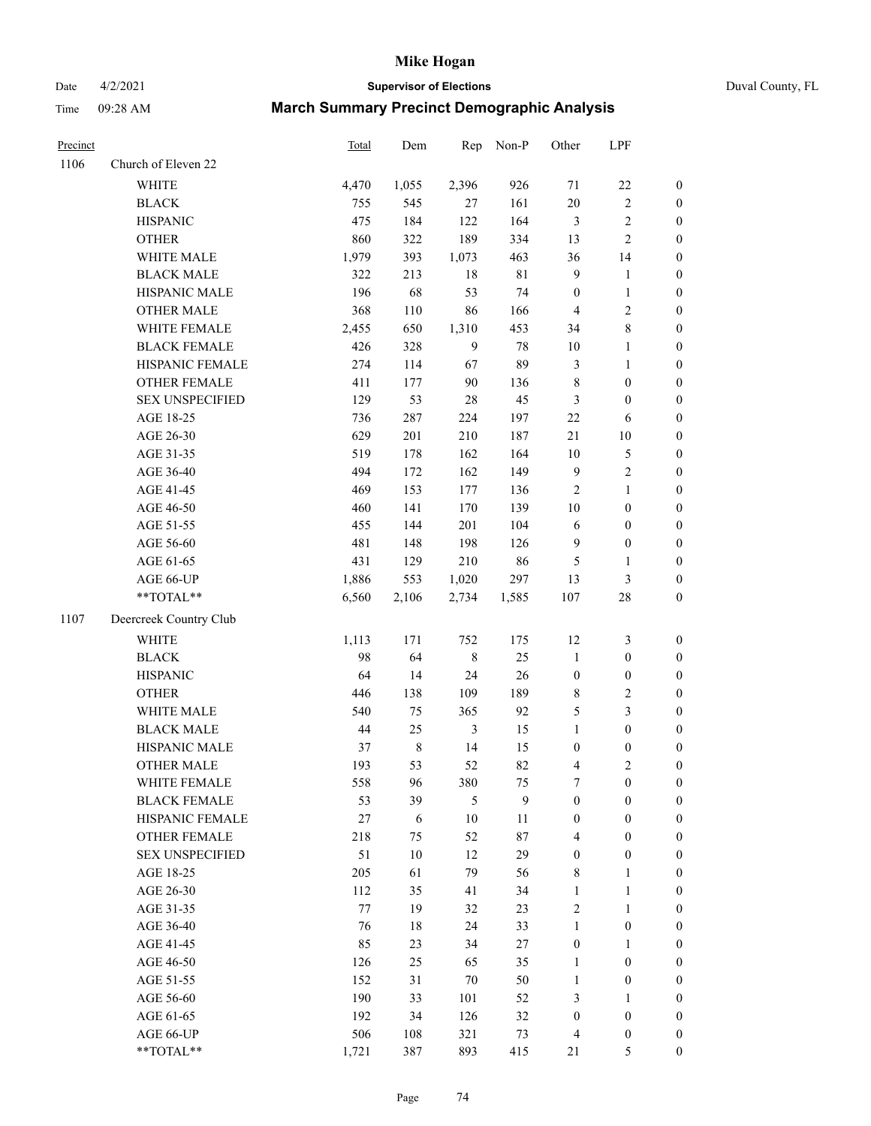# Date 4/2/2021 **Supervisor of Elections** Duval County, FL

| Precinct |                        | Total | Dem     | Rep            | Non-P  | Other                   | LPF              |                  |
|----------|------------------------|-------|---------|----------------|--------|-------------------------|------------------|------------------|
| 1106     | Church of Eleven 22    |       |         |                |        |                         |                  |                  |
|          | <b>WHITE</b>           | 4,470 | 1,055   | 2,396          | 926    | 71                      | $22\,$           | 0                |
|          | <b>BLACK</b>           | 755   | 545     | 27             | 161    | $20\,$                  | $\sqrt{2}$       | $\boldsymbol{0}$ |
|          | <b>HISPANIC</b>        | 475   | 184     | 122            | 164    | 3                       | $\sqrt{2}$       | $\boldsymbol{0}$ |
|          | <b>OTHER</b>           | 860   | 322     | 189            | 334    | 13                      | $\sqrt{2}$       | $\boldsymbol{0}$ |
|          | WHITE MALE             | 1,979 | 393     | 1,073          | 463    | 36                      | 14               | $\boldsymbol{0}$ |
|          | <b>BLACK MALE</b>      | 322   | 213     | $18\,$         | 81     | 9                       | $\mathbf{1}$     | $\boldsymbol{0}$ |
|          | HISPANIC MALE          | 196   | 68      | 53             | 74     | $\boldsymbol{0}$        | $\mathbf{1}$     | $\boldsymbol{0}$ |
|          | <b>OTHER MALE</b>      | 368   | 110     | 86             | 166    | $\overline{\mathbf{4}}$ | $\mathfrak{2}$   | $\boldsymbol{0}$ |
|          | WHITE FEMALE           | 2,455 | 650     | 1,310          | 453    | 34                      | $\,$ $\,$        | $\boldsymbol{0}$ |
|          | <b>BLACK FEMALE</b>    | 426   | 328     | 9              | 78     | $10\,$                  | $\mathbf{1}$     | 0                |
|          | HISPANIC FEMALE        | 274   | 114     | 67             | 89     | 3                       | $\mathbf{1}$     | 0                |
|          | OTHER FEMALE           | 411   | 177     | 90             | 136    | 8                       | $\boldsymbol{0}$ | $\boldsymbol{0}$ |
|          | <b>SEX UNSPECIFIED</b> | 129   | 53      | $28\,$         | 45     | 3                       | $\boldsymbol{0}$ | $\boldsymbol{0}$ |
|          | AGE 18-25              | 736   | 287     | 224            | 197    | $22\,$                  | 6                | $\boldsymbol{0}$ |
|          | AGE 26-30              | 629   | 201     | 210            | 187    | 21                      | 10               | $\boldsymbol{0}$ |
|          | AGE 31-35              | 519   | 178     | 162            | 164    | $10\,$                  | $\mathfrak s$    | $\boldsymbol{0}$ |
|          | AGE 36-40              | 494   | 172     | 162            | 149    | 9                       | $\sqrt{2}$       | $\boldsymbol{0}$ |
|          | AGE 41-45              | 469   | 153     | 177            | 136    | $\sqrt{2}$              | $\mathbf{1}$     | $\boldsymbol{0}$ |
|          | AGE 46-50              | 460   | 141     | 170            | 139    | $10\,$                  | $\boldsymbol{0}$ | $\boldsymbol{0}$ |
|          | AGE 51-55              | 455   | 144     | 201            | 104    | $\sqrt{6}$              | $\boldsymbol{0}$ | $\boldsymbol{0}$ |
|          | AGE 56-60              | 481   | 148     | 198            | 126    | 9                       | $\boldsymbol{0}$ | $\boldsymbol{0}$ |
|          | AGE 61-65              | 431   | 129     | 210            | 86     | 5                       | $\mathbf{1}$     | $\boldsymbol{0}$ |
|          | AGE 66-UP              | 1,886 | 553     | 1,020          | 297    | 13                      | $\mathfrak{Z}$   | $\boldsymbol{0}$ |
|          | **TOTAL**              | 6,560 | 2,106   | 2,734          | 1,585  | 107                     | 28               | $\boldsymbol{0}$ |
| 1107     | Deercreek Country Club |       |         |                |        |                         |                  |                  |
|          | <b>WHITE</b>           | 1,113 | 171     | 752            | 175    | 12                      | $\mathfrak z$    | $\boldsymbol{0}$ |
|          | <b>BLACK</b>           | 98    | 64      | $\,8\,$        | 25     | $\mathbf{1}$            | $\boldsymbol{0}$ | $\boldsymbol{0}$ |
|          | <b>HISPANIC</b>        | 64    | 14      | 24             | $26\,$ | $\boldsymbol{0}$        | $\boldsymbol{0}$ | $\boldsymbol{0}$ |
|          | <b>OTHER</b>           | 446   | 138     | 109            | 189    | 8                       | $\sqrt{2}$       | $\boldsymbol{0}$ |
|          | WHITE MALE             | 540   | 75      | 365            | 92     | 5                       | $\mathfrak{Z}$   | $\boldsymbol{0}$ |
|          | <b>BLACK MALE</b>      | 44    | 25      | $\mathfrak{Z}$ | 15     | $\mathbf{1}$            | $\boldsymbol{0}$ | $\boldsymbol{0}$ |
|          | HISPANIC MALE          | 37    | $\,8\,$ | 14             | 15     | $\boldsymbol{0}$        | $\boldsymbol{0}$ | $\boldsymbol{0}$ |
|          | <b>OTHER MALE</b>      | 193   | 53      | 52             | 82     | 4                       | $\mathfrak{2}$   | $\boldsymbol{0}$ |
|          | WHITE FEMALE           | 558   | 96      | 380            | 75     | 7                       | 0                | 0                |
|          | <b>BLACK FEMALE</b>    | 53    | 39      | 5              | 9      | $\boldsymbol{0}$        | $\boldsymbol{0}$ | $\overline{0}$   |
|          | HISPANIC FEMALE        | 27    | 6       | $10\,$         | 11     | $\boldsymbol{0}$        | $\boldsymbol{0}$ | $\overline{0}$   |
|          | OTHER FEMALE           | 218   | 75      | 52             | 87     | 4                       | $\boldsymbol{0}$ | 0                |
|          | <b>SEX UNSPECIFIED</b> | 51    | 10      | 12             | 29     | $\boldsymbol{0}$        | $\boldsymbol{0}$ | 0                |
|          | AGE 18-25              | 205   | 61      | 79             | 56     | 8                       | $\mathbf{1}$     | 0                |
|          | AGE 26-30              | 112   | 35      | 41             | 34     | $\mathbf{1}$            | $\mathbf{1}$     | 0                |
|          | AGE 31-35              | 77    | 19      | 32             | 23     | 2                       | $\mathbf{1}$     | 0                |
|          | AGE 36-40              | 76    | $18\,$  | 24             | 33     | $\mathbf{1}$            | $\boldsymbol{0}$ | 0                |
|          | AGE 41-45              | 85    | 23      | 34             | 27     | $\boldsymbol{0}$        | $\mathbf{1}$     | 0                |
|          | AGE 46-50              | 126   | 25      | 65             | 35     | $\mathbf{1}$            | $\boldsymbol{0}$ | 0                |
|          | AGE 51-55              | 152   | 31      | $70\,$         | 50     | $\mathbf{1}$            | $\boldsymbol{0}$ | 0                |
|          | AGE 56-60              | 190   | 33      | 101            | 52     | 3                       | 1                | 0                |
|          | AGE 61-65              | 192   | 34      | 126            | 32     | $\boldsymbol{0}$        | $\boldsymbol{0}$ | 0                |
|          | AGE 66-UP              | 506   | 108     | 321            | 73     | 4                       | $\boldsymbol{0}$ | 0                |
|          | **TOTAL**              | 1,721 | 387     | 893            | 415    | 21                      | 5                | $\boldsymbol{0}$ |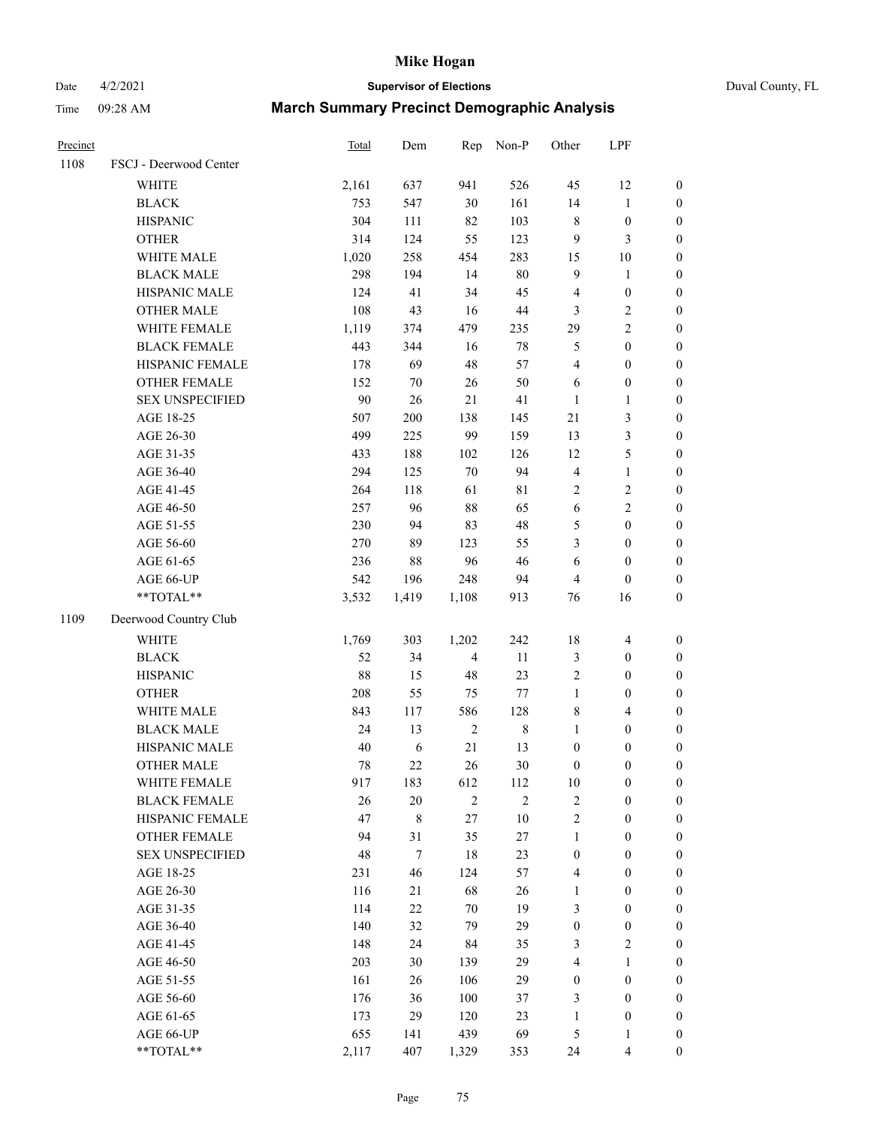Date 4/2/2021 **Supervisor of Elections** Duval County, FL

| Precinct |                        | Total  | Dem        | Rep            | Non-P          | Other            | LPF              |                  |
|----------|------------------------|--------|------------|----------------|----------------|------------------|------------------|------------------|
| 1108     | FSCJ - Deerwood Center |        |            |                |                |                  |                  |                  |
|          | WHITE                  | 2,161  | 637        | 941            | 526            | 45               | 12               | $\boldsymbol{0}$ |
|          | <b>BLACK</b>           | 753    | 547        | 30             | 161            | 14               | $\mathbf{1}$     | $\boldsymbol{0}$ |
|          | <b>HISPANIC</b>        | 304    | 111        | 82             | 103            | 8                | $\boldsymbol{0}$ | $\boldsymbol{0}$ |
|          | <b>OTHER</b>           | 314    | 124        | 55             | 123            | 9                | $\mathfrak{Z}$   | $\boldsymbol{0}$ |
|          | WHITE MALE             | 1,020  | 258        | 454            | 283            | 15               | 10               | $\boldsymbol{0}$ |
|          | <b>BLACK MALE</b>      | 298    | 194        | 14             | $80\,$         | 9                | $\mathbf{1}$     | $\boldsymbol{0}$ |
|          | HISPANIC MALE          | 124    | 41         | 34             | 45             | 4                | $\boldsymbol{0}$ | $\boldsymbol{0}$ |
|          | <b>OTHER MALE</b>      | 108    | 43         | 16             | 44             | 3                | $\sqrt{2}$       | $\boldsymbol{0}$ |
|          | WHITE FEMALE           | 1,119  | 374        | 479            | 235            | 29               | $\overline{c}$   | $\boldsymbol{0}$ |
|          | <b>BLACK FEMALE</b>    | 443    | 344        | 16             | 78             | 5                | $\boldsymbol{0}$ | 0                |
|          | HISPANIC FEMALE        | 178    | 69         | 48             | 57             | 4                | $\boldsymbol{0}$ | $\boldsymbol{0}$ |
|          | <b>OTHER FEMALE</b>    | 152    | $70\,$     | 26             | 50             | 6                | $\boldsymbol{0}$ | $\boldsymbol{0}$ |
|          | <b>SEX UNSPECIFIED</b> | $90\,$ | 26         | 21             | 41             | $\mathbf{1}$     | $\mathbf{1}$     | $\boldsymbol{0}$ |
|          | AGE 18-25              | 507    | 200        | 138            | 145            | 21               | $\mathfrak{Z}$   | $\boldsymbol{0}$ |
|          | AGE 26-30              | 499    | 225        | 99             | 159            | 13               | $\mathfrak{Z}$   | $\boldsymbol{0}$ |
|          | AGE 31-35              | 433    | 188        | 102            | 126            | 12               | 5                | $\boldsymbol{0}$ |
|          | AGE 36-40              | 294    | 125        | $70\,$         | 94             | 4                | $\mathbf{1}$     | $\boldsymbol{0}$ |
|          | AGE 41-45              | 264    | 118        | 61             | $8\sqrt{1}$    | $\mathbf{2}$     | $\overline{c}$   | $\boldsymbol{0}$ |
|          | AGE 46-50              | 257    | 96         | 88             | 65             | 6                | $\sqrt{2}$       | $\boldsymbol{0}$ |
|          | AGE 51-55              | 230    | 94         | 83             | 48             | 5                | $\boldsymbol{0}$ | 0                |
|          | AGE 56-60              | 270    | 89         | 123            | 55             | 3                | $\boldsymbol{0}$ | $\boldsymbol{0}$ |
|          | AGE 61-65              | 236    | 88         | 96             | 46             | 6                | $\boldsymbol{0}$ | $\boldsymbol{0}$ |
|          | AGE 66-UP              | 542    | 196        | 248            | 94             | 4                | $\boldsymbol{0}$ | $\boldsymbol{0}$ |
|          | **TOTAL**              | 3,532  | 1,419      | 1,108          | 913            | 76               | 16               | $\boldsymbol{0}$ |
| 1109     | Deerwood Country Club  |        |            |                |                |                  |                  |                  |
|          | <b>WHITE</b>           | 1,769  | 303        | 1,202          | 242            | 18               | $\overline{4}$   | $\boldsymbol{0}$ |
|          | <b>BLACK</b>           | 52     | 34         | $\overline{4}$ | 11             | 3                | $\boldsymbol{0}$ | $\boldsymbol{0}$ |
|          | <b>HISPANIC</b>        | 88     | 15         | 48             | 23             | $\overline{c}$   | $\boldsymbol{0}$ | $\boldsymbol{0}$ |
|          | <b>OTHER</b>           | 208    | 55         | 75             | 77             | $\mathbf{1}$     | $\boldsymbol{0}$ | $\boldsymbol{0}$ |
|          | WHITE MALE             | 843    | 117        | 586            | 128            | 8                | $\overline{4}$   | $\boldsymbol{0}$ |
|          | <b>BLACK MALE</b>      | 24     | 13         | $\sqrt{2}$     | $\,$ 8 $\,$    | 1                | $\boldsymbol{0}$ | $\boldsymbol{0}$ |
|          | HISPANIC MALE          | 40     | $\sqrt{6}$ | 21             | 13             | 0                | $\boldsymbol{0}$ | 0                |
|          | <b>OTHER MALE</b>      | 78     | 22         | 26             | 30             | $\boldsymbol{0}$ | $\boldsymbol{0}$ | $\boldsymbol{0}$ |
|          | WHITE FEMALE           | 917    | 183        | 612            | 112            | 10               | $\boldsymbol{0}$ | $\overline{0}$   |
|          | <b>BLACK FEMALE</b>    | $26\,$ | $20\,$     | $\overline{c}$ | $\overline{c}$ | $\overline{c}$   | $\boldsymbol{0}$ | $\overline{0}$   |
|          | HISPANIC FEMALE        | 47     | $\,8\,$    | 27             | $10\,$         | $\overline{c}$   | $\boldsymbol{0}$ | $\overline{0}$   |
|          | <b>OTHER FEMALE</b>    | 94     | 31         | 35             | $27\,$         | 1                | $\boldsymbol{0}$ | $\overline{0}$   |
|          | <b>SEX UNSPECIFIED</b> | 48     | 7          | 18             | 23             | $\boldsymbol{0}$ | $\boldsymbol{0}$ | 0                |
|          | AGE 18-25              | 231    | 46         | 124            | 57             | 4                | $\boldsymbol{0}$ | $\theta$         |
|          | AGE 26-30              | 116    | 21         | 68             | 26             | 1                | $\boldsymbol{0}$ | 0                |
|          | AGE 31-35              | 114    | 22         | $70\,$         | 19             | 3                | $\boldsymbol{0}$ | 0                |
|          | AGE 36-40              | 140    | 32         | 79             | 29             | $\boldsymbol{0}$ | $\boldsymbol{0}$ | 0                |
|          | AGE 41-45              | 148    | 24         | 84             | 35             | 3                | $\sqrt{2}$       | 0                |
|          | AGE 46-50              | 203    | 30         | 139            | 29             | 4                | $\mathbf{1}$     | $\overline{0}$   |
|          | AGE 51-55              | 161    | 26         | 106            | 29             | 0                | $\boldsymbol{0}$ | $\boldsymbol{0}$ |
|          | AGE 56-60              | 176    | 36         | 100            | 37             | 3                | $\boldsymbol{0}$ | $\boldsymbol{0}$ |
|          | AGE 61-65              | 173    | 29         | 120            | 23             | 1                | $\boldsymbol{0}$ | 0                |
|          | AGE 66-UP              | 655    | 141        | 439            | 69             | 5                | 1                | 0                |
|          | **TOTAL**              | 2,117  | 407        | 1,329          | 353            | 24               | $\overline{4}$   | $\boldsymbol{0}$ |
|          |                        |        |            |                |                |                  |                  |                  |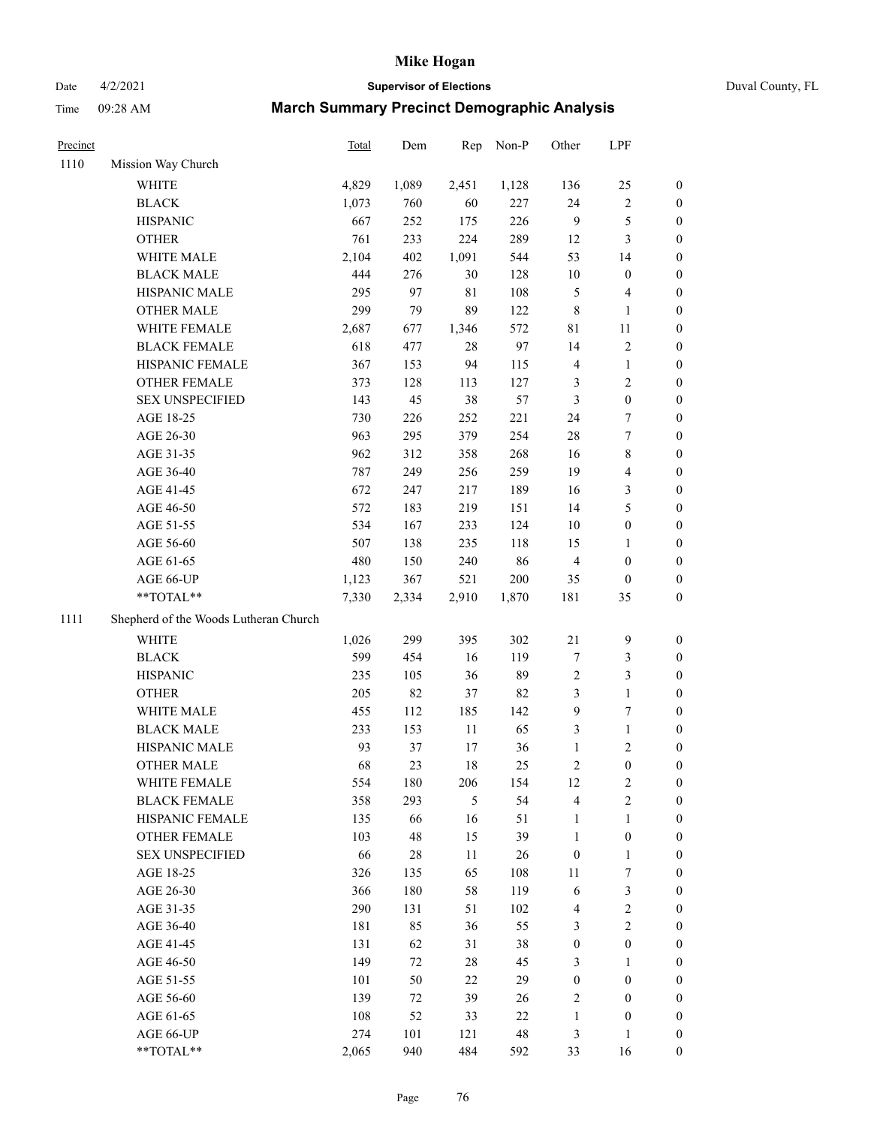# Date 4/2/2021 **Supervisor of Elections** Duval County, FL Time 09:28 AM **March Summary Precinct Demographic Analysis**

| Precinct |                                       | Total | Dem   | Rep            | Non-P  | Other            | LPF                     |                  |
|----------|---------------------------------------|-------|-------|----------------|--------|------------------|-------------------------|------------------|
| 1110     | Mission Way Church                    |       |       |                |        |                  |                         |                  |
|          | <b>WHITE</b>                          | 4,829 | 1,089 | 2,451          | 1,128  | 136              | 25                      | $\boldsymbol{0}$ |
|          | <b>BLACK</b>                          | 1,073 | 760   | 60             | 227    | 24               | $\sqrt{2}$              | $\boldsymbol{0}$ |
|          | <b>HISPANIC</b>                       | 667   | 252   | 175            | 226    | $\overline{9}$   | $\mathfrak{S}$          | $\boldsymbol{0}$ |
|          | <b>OTHER</b>                          | 761   | 233   | 224            | 289    | 12               | $\mathfrak{Z}$          | $\boldsymbol{0}$ |
|          | WHITE MALE                            | 2,104 | 402   | 1,091          | 544    | 53               | 14                      | $\boldsymbol{0}$ |
|          | <b>BLACK MALE</b>                     | 444   | 276   | $30\,$         | 128    | 10               | $\boldsymbol{0}$        | $\boldsymbol{0}$ |
|          | HISPANIC MALE                         | 295   | 97    | $8\sqrt{1}$    | 108    | 5                | $\overline{\mathbf{4}}$ | 0                |
|          | <b>OTHER MALE</b>                     | 299   | 79    | 89             | 122    | $\,$ 8 $\,$      | 1                       | 0                |
|          | WHITE FEMALE                          | 2,687 | 677   | 1,346          | 572    | 81               | 11                      | 0                |
|          | <b>BLACK FEMALE</b>                   | 618   | 477   | 28             | 97     | 14               | $\sqrt{2}$              | 0                |
|          | HISPANIC FEMALE                       | 367   | 153   | 94             | 115    | 4                | $\mathbf{1}$            | $\boldsymbol{0}$ |
|          | OTHER FEMALE                          | 373   | 128   | 113            | 127    | 3                | $\sqrt{2}$              | $\boldsymbol{0}$ |
|          | <b>SEX UNSPECIFIED</b>                | 143   | 45    | 38             | 57     | $\mathfrak{Z}$   | $\boldsymbol{0}$        | $\boldsymbol{0}$ |
|          | AGE 18-25                             | 730   | 226   | 252            | 221    | 24               | $\boldsymbol{7}$        | $\boldsymbol{0}$ |
|          | AGE 26-30                             | 963   | 295   | 379            | 254    | 28               | $\boldsymbol{7}$        | $\boldsymbol{0}$ |
|          | AGE 31-35                             | 962   | 312   | 358            | 268    | 16               | $\,$ 8 $\,$             | $\boldsymbol{0}$ |
|          | AGE 36-40                             | 787   | 249   | 256            | 259    | 19               | $\overline{\mathbf{4}}$ | $\boldsymbol{0}$ |
|          | AGE 41-45                             | 672   | 247   | 217            | 189    | 16               | $\mathfrak{Z}$          | 0                |
|          | AGE 46-50                             | 572   | 183   | 219            | 151    | 14               | $\mathfrak{S}$          | 0                |
|          | AGE 51-55                             | 534   | 167   | 233            | 124    | 10               | $\boldsymbol{0}$        | 0                |
|          | AGE 56-60                             | 507   | 138   | 235            | 118    | 15               | $\mathbf{1}$            | $\boldsymbol{0}$ |
|          | AGE 61-65                             | 480   | 150   | 240            | 86     | $\overline{4}$   | $\boldsymbol{0}$        | $\boldsymbol{0}$ |
|          | AGE 66-UP                             | 1,123 | 367   | 521            | 200    | 35               | $\boldsymbol{0}$        | $\boldsymbol{0}$ |
|          | $**TOTAL**$                           | 7,330 | 2,334 | 2,910          | 1,870  | 181              | 35                      | $\boldsymbol{0}$ |
| 1111     | Shepherd of the Woods Lutheran Church |       |       |                |        |                  |                         |                  |
|          | WHITE                                 | 1,026 | 299   | 395            | 302    | $21\,$           | $\mathbf{9}$            | $\boldsymbol{0}$ |
|          | <b>BLACK</b>                          | 599   | 454   | 16             | 119    | 7                | $\mathfrak{Z}$          | $\boldsymbol{0}$ |
|          | <b>HISPANIC</b>                       | 235   | 105   | 36             | 89     | $\sqrt{2}$       | $\mathfrak{Z}$          | $\boldsymbol{0}$ |
|          | <b>OTHER</b>                          | 205   | 82    | 37             | 82     | 3                | $\mathbf{1}$            | $\boldsymbol{0}$ |
|          | WHITE MALE                            | 455   | 112   | 185            | 142    | $\overline{9}$   | $\boldsymbol{7}$        | 0                |
|          | <b>BLACK MALE</b>                     | 233   | 153   | 11             | 65     | 3                | $\mathbf{1}$            | 0                |
|          | HISPANIC MALE                         | 93    | 37    | 17             | 36     | $\mathbf{1}$     | $\sqrt{2}$              | 0                |
|          | <b>OTHER MALE</b>                     | 68    | 23    | $18\,$         | 25     | $\overline{c}$   | $\boldsymbol{0}$        | $\boldsymbol{0}$ |
|          | WHITE FEMALE                          | 554   | 180   | 206            | 154    | $12\,$           | $\sqrt{2}$              | $\boldsymbol{0}$ |
|          | <b>BLACK FEMALE</b>                   | 358   | 293   | $\mathfrak{S}$ | 54     | 4                | $\sqrt{2}$              | $\overline{0}$   |
|          | HISPANIC FEMALE                       | 135   | 66    | 16             | 51     | $\mathbf{1}$     | $\mathbf{1}$            | $\overline{0}$   |
|          | <b>OTHER FEMALE</b>                   | 103   | 48    | 15             | 39     | $\mathbf{1}$     | $\boldsymbol{0}$        | $\overline{0}$   |
|          | <b>SEX UNSPECIFIED</b>                | 66    | 28    | $11\,$         | $26\,$ | $\boldsymbol{0}$ | $\mathbf{1}$            | 0                |
|          | AGE 18-25                             | 326   | 135   | 65             | 108    | $11\,$           | $\boldsymbol{7}$        | 0                |
|          | AGE 26-30                             | 366   | 180   | 58             | 119    | 6                | $\mathfrak{Z}$          | 0                |
|          | AGE 31-35                             | 290   | 131   | 51             | 102    | $\overline{4}$   | $\sqrt{2}$              | 0                |
|          | AGE 36-40                             | 181   | 85    | 36             | 55     | 3                | $\sqrt{2}$              | 0                |
|          | AGE 41-45                             | 131   | 62    | 31             | 38     | $\boldsymbol{0}$ | $\boldsymbol{0}$        | 0                |
|          | AGE 46-50                             | 149   | 72    | 28             | 45     | 3                | $\mathbf{1}$            | $\boldsymbol{0}$ |
|          | AGE 51-55                             | 101   | 50    | $22\,$         | 29     | $\boldsymbol{0}$ | $\boldsymbol{0}$        | $\overline{0}$   |
|          | AGE 56-60                             | 139   | 72    | 39             | 26     | $\overline{c}$   | $\boldsymbol{0}$        | $\overline{0}$   |
|          | AGE 61-65                             | 108   | 52    | 33             | 22     | $\mathbf{1}$     | $\boldsymbol{0}$        | $\overline{0}$   |
|          | AGE 66-UP                             | 274   | 101   | 121            | 48     | 3                | $\mathbf{1}$            | $\boldsymbol{0}$ |
|          | **TOTAL**                             | 2,065 | 940   | 484            | 592    | 33               | 16                      | $\boldsymbol{0}$ |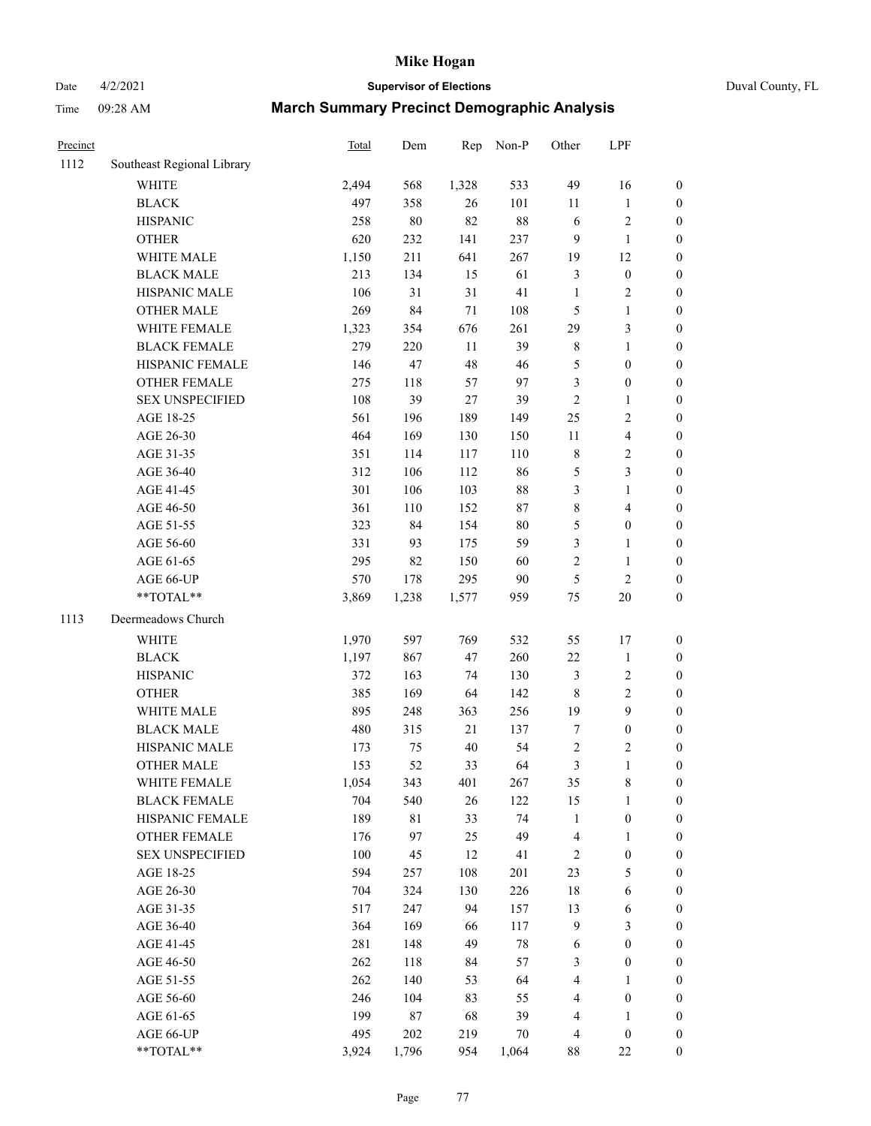# Date 4/2/2021 **Supervisor of Elections** Duval County, FL

| Precinct |                                                             | <b>Total</b> | Dem    | Rep    | Non-P  | Other                   | LPF              |                  |
|----------|-------------------------------------------------------------|--------------|--------|--------|--------|-------------------------|------------------|------------------|
| 1112     | Southeast Regional Library                                  |              |        |        |        |                         |                  |                  |
|          | <b>WHITE</b>                                                | 2,494        | 568    | 1,328  | 533    | 49                      | 16               | 0                |
|          | <b>BLACK</b>                                                | 497          | 358    | 26     | 101    | 11                      | $\mathbf{1}$     | 0                |
|          | <b>HISPANIC</b>                                             | 258          | $80\,$ | 82     | $88\,$ | 6                       | $\sqrt{2}$       | $\boldsymbol{0}$ |
|          | <b>OTHER</b>                                                | 620          | 232    | 141    | 237    | 9                       | $\mathbf{1}$     | $\boldsymbol{0}$ |
|          | WHITE MALE                                                  | 1,150        | 211    | 641    | 267    | 19                      | 12               | $\boldsymbol{0}$ |
|          | <b>BLACK MALE</b>                                           | 213          | 134    | 15     | 61     | 3                       | $\boldsymbol{0}$ | $\boldsymbol{0}$ |
|          | HISPANIC MALE                                               | 106          | 31     | 31     | 41     | $\mathbf{1}$            | $\sqrt{2}$       | $\boldsymbol{0}$ |
|          | <b>OTHER MALE</b>                                           | 269          | 84     | 71     | 108    | 5                       | $\mathbf{1}$     | $\boldsymbol{0}$ |
|          | WHITE FEMALE                                                | 1,323        | 354    | 676    | 261    | 29                      | $\mathfrak{Z}$   | $\boldsymbol{0}$ |
|          | <b>BLACK FEMALE</b>                                         | 279          | 220    | $11\,$ | 39     | 8                       | $\mathbf{1}$     | $\boldsymbol{0}$ |
|          | HISPANIC FEMALE                                             | 146          | 47     | 48     | 46     | 5                       | $\boldsymbol{0}$ | $\boldsymbol{0}$ |
|          | OTHER FEMALE                                                | 275          | 118    | 57     | 97     | 3                       | $\boldsymbol{0}$ | $\boldsymbol{0}$ |
|          | <b>SEX UNSPECIFIED</b>                                      | 108          | 39     | 27     | 39     | $\mathbf{2}$            | $\mathbf{1}$     | $\boldsymbol{0}$ |
|          | AGE 18-25                                                   | 561          | 196    | 189    | 149    | 25                      | $\sqrt{2}$       | $\boldsymbol{0}$ |
|          | AGE 26-30                                                   | 464          | 169    | 130    | 150    | $11\,$                  | $\overline{4}$   | $\boldsymbol{0}$ |
|          | AGE 31-35                                                   | 351          | 114    | 117    | 110    | 8                       | $\sqrt{2}$       | $\boldsymbol{0}$ |
|          | AGE 36-40                                                   | 312          | 106    | 112    | 86     | 5                       | 3                | $\boldsymbol{0}$ |
|          | AGE 41-45                                                   | 301          | 106    | 103    | 88     | 3                       | $\mathbf{1}$     | $\boldsymbol{0}$ |
|          | AGE 46-50                                                   | 361          | 110    | 152    | $87\,$ | 8                       | $\overline{4}$   | $\boldsymbol{0}$ |
|          | AGE 51-55                                                   | 323          | 84     | 154    | $80\,$ | 5                       | $\boldsymbol{0}$ | $\boldsymbol{0}$ |
|          | AGE 56-60                                                   | 331          | 93     | 175    | 59     | 3                       | $\mathbf{1}$     | $\boldsymbol{0}$ |
|          | AGE 61-65                                                   | 295          | 82     | 150    | 60     | $\overline{c}$          | $\mathbf{1}$     | $\boldsymbol{0}$ |
|          | AGE 66-UP                                                   | 570          | 178    | 295    | 90     | 5                       | $\sqrt{2}$       | $\boldsymbol{0}$ |
|          | $\mathrm{*}\mathrm{*} \mathrm{TOTAL} \mathrm{*} \mathrm{*}$ | 3,869        | 1,238  | 1,577  | 959    | 75                      | $20\,$           | $\boldsymbol{0}$ |
| 1113     | Deermeadows Church                                          |              |        |        |        |                         |                  |                  |
|          | <b>WHITE</b>                                                | 1,970        | 597    | 769    | 532    | 55                      | 17               | $\boldsymbol{0}$ |
|          | <b>BLACK</b>                                                | 1,197        | 867    | 47     | 260    | 22                      | $\mathbf{1}$     | $\boldsymbol{0}$ |
|          | <b>HISPANIC</b>                                             | 372          | 163    | 74     | 130    | 3                       | $\sqrt{2}$       | $\boldsymbol{0}$ |
|          | <b>OTHER</b>                                                | 385          | 169    | 64     | 142    | 8                       | $\sqrt{2}$       | $\boldsymbol{0}$ |
|          | WHITE MALE                                                  | 895          | 248    | 363    | 256    | 19                      | $\boldsymbol{9}$ | $\boldsymbol{0}$ |
|          | <b>BLACK MALE</b>                                           | 480          | 315    | 21     | 137    | $\boldsymbol{7}$        | $\boldsymbol{0}$ | $\boldsymbol{0}$ |
|          | HISPANIC MALE                                               | 173          | 75     | 40     | 54     | $\overline{\mathbf{c}}$ | $\sqrt{2}$       | $\boldsymbol{0}$ |
|          | <b>OTHER MALE</b>                                           | 153          | 52     | 33     | 64     | 3                       | $\mathbf{1}$     | $\boldsymbol{0}$ |
|          | WHITE FEMALE                                                | 1,054        | 343    | 401    | 267    | 35                      | 8                | 0                |
|          | <b>BLACK FEMALE</b>                                         | 704          | 540    | 26     | 122    | 15                      | $\mathbf{1}$     | $\boldsymbol{0}$ |
|          | HISPANIC FEMALE                                             | 189          | 81     | 33     | 74     | 1                       | $\boldsymbol{0}$ | $\overline{0}$   |
|          | OTHER FEMALE                                                | 176          | 97     | 25     | 49     | 4                       | $\mathbf{1}$     | $\overline{0}$   |
|          | <b>SEX UNSPECIFIED</b>                                      | 100          | 45     | 12     | 41     | 2                       | $\boldsymbol{0}$ | 0                |
|          | AGE 18-25                                                   | 594          | 257    | 108    | 201    | 23                      | $\mathfrak s$    | 0                |
|          | AGE 26-30                                                   | 704          | 324    | 130    | 226    | 18                      | 6                | 0                |
|          | AGE 31-35                                                   | 517          | 247    | 94     | 157    | 13                      | 6                | 0                |
|          | AGE 36-40                                                   | 364          | 169    | 66     | 117    | 9                       | $\mathfrak{Z}$   | 0                |
|          | AGE 41-45                                                   | 281          | 148    | 49     | 78     | 6                       | $\boldsymbol{0}$ | 0                |
|          | AGE 46-50                                                   | 262          | 118    | 84     | 57     | 3                       | $\boldsymbol{0}$ | 0                |
|          | AGE 51-55                                                   | 262          | 140    | 53     | 64     | 4                       | $\mathbf{1}$     | 0                |
|          | AGE 56-60                                                   | 246          | 104    | 83     | 55     | 4                       | $\boldsymbol{0}$ | $\boldsymbol{0}$ |
|          | AGE 61-65                                                   | 199          | 87     | 68     | 39     | 4                       | 1                | $\boldsymbol{0}$ |
|          | AGE 66-UP                                                   | 495          | 202    | 219    | 70     | 4                       | $\boldsymbol{0}$ | 0                |
|          | **TOTAL**                                                   | 3,924        | 1,796  | 954    | 1,064  | 88                      | $22\,$           | $\boldsymbol{0}$ |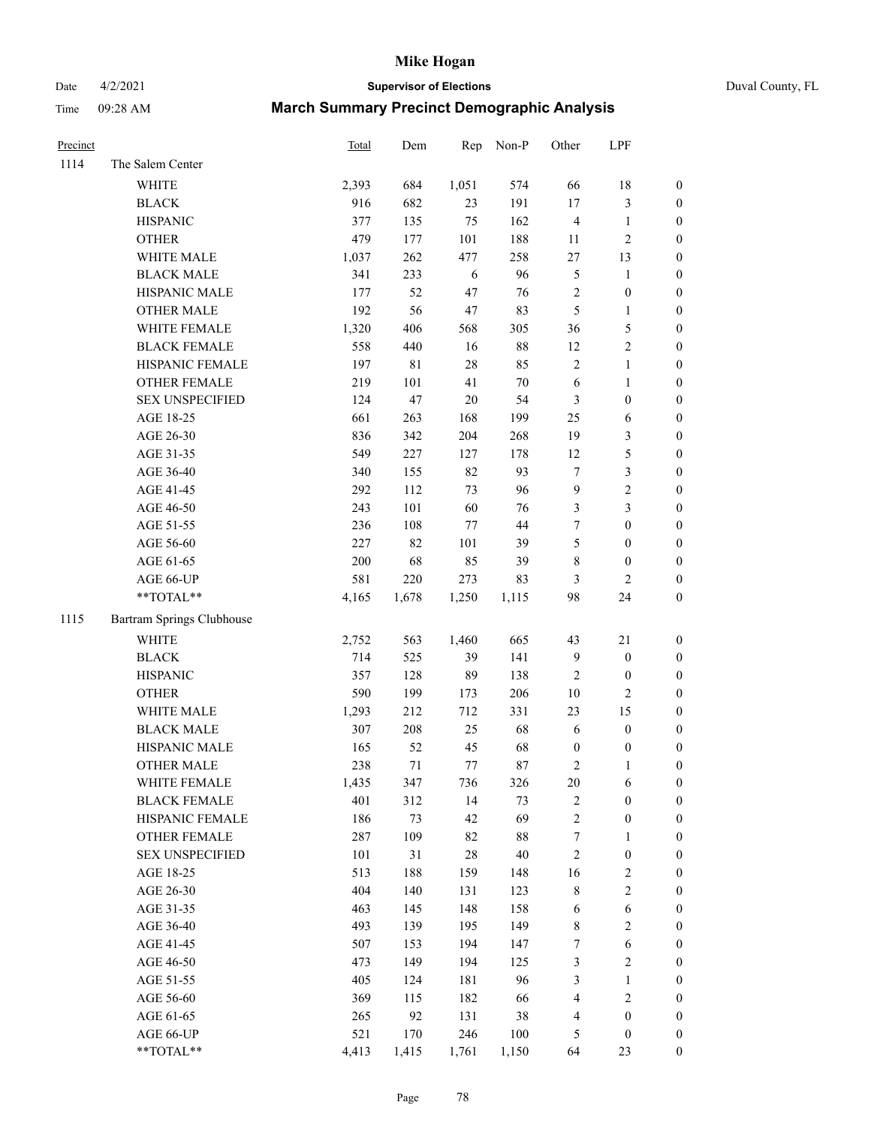# Date 4/2/2021 **Supervisor of Elections** Duval County, FL

| Precinct |                           | <b>Total</b> | Dem         |        | Rep Non-P | Other            | LPF              |                  |
|----------|---------------------------|--------------|-------------|--------|-----------|------------------|------------------|------------------|
| 1114     | The Salem Center          |              |             |        |           |                  |                  |                  |
|          | <b>WHITE</b>              | 2,393        | 684         | 1,051  | 574       | 66               | 18               | 0                |
|          | <b>BLACK</b>              | 916          | 682         | 23     | 191       | 17               | $\mathfrak{Z}$   | $\boldsymbol{0}$ |
|          | <b>HISPANIC</b>           | 377          | 135         | 75     | 162       | $\overline{4}$   | $\mathbf{1}$     | $\boldsymbol{0}$ |
|          | <b>OTHER</b>              | 479          | 177         | 101    | 188       | 11               | $\sqrt{2}$       | $\boldsymbol{0}$ |
|          | WHITE MALE                | 1,037        | 262         | 477    | 258       | $27\,$           | 13               | $\boldsymbol{0}$ |
|          | <b>BLACK MALE</b>         | 341          | 233         | 6      | 96        | 5                | 1                | $\boldsymbol{0}$ |
|          | HISPANIC MALE             | 177          | 52          | 47     | 76        | 2                | $\boldsymbol{0}$ | $\boldsymbol{0}$ |
|          | <b>OTHER MALE</b>         | 192          | 56          | $47\,$ | 83        | 5                | $\mathbf{1}$     | $\boldsymbol{0}$ |
|          | WHITE FEMALE              | 1,320        | 406         | 568    | 305       | 36               | $\mathfrak s$    | $\boldsymbol{0}$ |
|          | <b>BLACK FEMALE</b>       | 558          | 440         | 16     | $88\,$    | 12               | $\sqrt{2}$       | 0                |
|          | HISPANIC FEMALE           | 197          | $8\sqrt{1}$ | 28     | 85        | $\sqrt{2}$       | $\mathbf{1}$     | 0                |
|          | OTHER FEMALE              | 219          | 101         | 41     | $70\,$    | $\sqrt{6}$       | $\mathbf{1}$     | $\boldsymbol{0}$ |
|          | <b>SEX UNSPECIFIED</b>    | 124          | 47          | $20\,$ | 54        | 3                | $\boldsymbol{0}$ | $\boldsymbol{0}$ |
|          | AGE 18-25                 | 661          | 263         | 168    | 199       | $25\,$           | 6                | $\boldsymbol{0}$ |
|          | AGE 26-30                 | 836          | 342         | 204    | 268       | 19               | $\mathfrak{Z}$   | $\boldsymbol{0}$ |
|          | AGE 31-35                 | 549          | 227         | 127    | 178       | 12               | 5                | $\boldsymbol{0}$ |
|          | AGE 36-40                 | 340          | 155         | 82     | 93        | $\boldsymbol{7}$ | $\mathfrak{Z}$   | $\boldsymbol{0}$ |
|          | AGE 41-45                 | 292          | 112         | 73     | 96        | 9                | $\sqrt{2}$       | $\boldsymbol{0}$ |
|          | AGE 46-50                 | 243          | 101         | 60     | $76\,$    | 3                | $\mathfrak{Z}$   | $\boldsymbol{0}$ |
|          | AGE 51-55                 | 236          | 108         | 77     | $44\,$    | 7                | $\boldsymbol{0}$ | $\boldsymbol{0}$ |
|          | AGE 56-60                 | 227          | 82          | 101    | 39        | 5                | $\boldsymbol{0}$ | 0                |
|          | AGE 61-65                 | 200          | 68          | 85     | 39        | 8                | $\boldsymbol{0}$ | 0                |
|          | AGE 66-UP                 | 581          | 220         | 273    | 83        | 3                | $\mathbf{2}$     | $\boldsymbol{0}$ |
|          | $**TOTAL**$               | 4,165        | 1,678       | 1,250  | 1,115     | 98               | 24               | $\boldsymbol{0}$ |
| 1115     | Bartram Springs Clubhouse |              |             |        |           |                  |                  |                  |
|          | <b>WHITE</b>              | 2,752        | 563         | 1,460  | 665       | 43               | 21               | $\boldsymbol{0}$ |
|          | <b>BLACK</b>              | 714          | 525         | 39     | 141       | 9                | $\boldsymbol{0}$ | $\boldsymbol{0}$ |
|          | <b>HISPANIC</b>           | 357          | 128         | 89     | 138       | $\sqrt{2}$       | $\boldsymbol{0}$ | $\boldsymbol{0}$ |
|          | <b>OTHER</b>              | 590          | 199         | 173    | 206       | $10\,$           | $\mathfrak{2}$   | $\boldsymbol{0}$ |
|          | WHITE MALE                | 1,293        | 212         | 712    | 331       | 23               | 15               | $\boldsymbol{0}$ |
|          | <b>BLACK MALE</b>         | 307          | 208         | 25     | 68        | $\sqrt{6}$       | $\boldsymbol{0}$ | $\boldsymbol{0}$ |
|          | HISPANIC MALE             | 165          | 52          | 45     | 68        | $\boldsymbol{0}$ | $\boldsymbol{0}$ | 0                |
|          | <b>OTHER MALE</b>         | 238          | 71          | 77     | 87        | 2                | $\mathbf{1}$     | $\boldsymbol{0}$ |
|          | WHITE FEMALE              | 1,435        | 347         | 736    | 326       | 20               | 6                | 0                |
|          | <b>BLACK FEMALE</b>       | 401          | 312         | 14     | 73        | 2                | $\boldsymbol{0}$ | $\boldsymbol{0}$ |
|          | HISPANIC FEMALE           | 186          | 73          | 42     | 69        | $\overline{c}$   | $\boldsymbol{0}$ | $\overline{0}$   |
|          | <b>OTHER FEMALE</b>       | 287          | 109         | 82     | $88\,$    | 7                | $\mathbf{1}$     | $\overline{0}$   |
|          | <b>SEX UNSPECIFIED</b>    | 101          | 31          | 28     | $40\,$    | $\overline{c}$   | $\boldsymbol{0}$ | 0                |
|          | AGE 18-25                 | 513          | 188         | 159    | 148       | 16               | $\sqrt{2}$       | 0                |
|          | AGE 26-30                 | 404          | 140         | 131    | 123       | 8                | $\sqrt{2}$       | 0                |
|          | AGE 31-35                 | 463          | 145         | 148    | 158       | 6                | 6                | 0                |
|          | AGE 36-40                 | 493          | 139         | 195    | 149       | 8                | $\sqrt{2}$       | 0                |
|          | AGE 41-45                 | 507          | 153         | 194    | 147       | 7                | 6                | 0                |
|          | AGE 46-50                 | 473          | 149         | 194    | 125       | 3                | $\sqrt{2}$       | 0                |
|          | AGE 51-55                 | 405          | 124         | 181    | 96        | 3                | $\mathbf{1}$     | $\boldsymbol{0}$ |
|          | AGE 56-60                 | 369          | 115         | 182    | 66        | 4                | $\sqrt{2}$       | $\overline{0}$   |
|          | AGE 61-65                 | 265          | 92          | 131    | 38        | 4                | $\boldsymbol{0}$ | $\overline{0}$   |
|          | AGE 66-UP                 | 521          | 170         | 246    | 100       | 5                | $\boldsymbol{0}$ | $\boldsymbol{0}$ |
|          | **TOTAL**                 | 4,413        | 1,415       | 1,761  | 1,150     | 64               | 23               | $\boldsymbol{0}$ |
|          |                           |              |             |        |           |                  |                  |                  |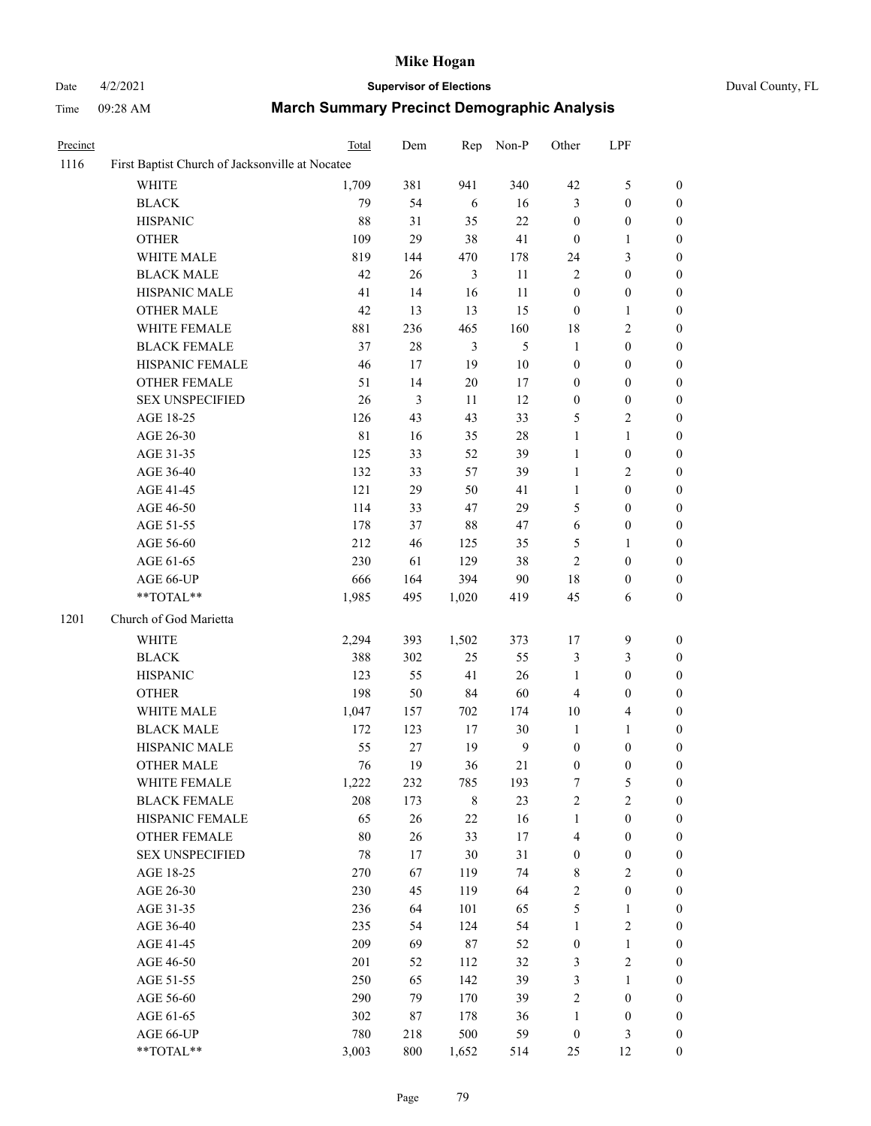# Date 4/2/2021 **Supervisor of Elections** Duval County, FL

| Precinct |                                                 | Total       | Dem    | Rep            | Non-P          | Other                   | LPF              |                  |
|----------|-------------------------------------------------|-------------|--------|----------------|----------------|-------------------------|------------------|------------------|
| 1116     | First Baptist Church of Jacksonville at Nocatee |             |        |                |                |                         |                  |                  |
|          | <b>WHITE</b>                                    | 1,709       | 381    | 941            | 340            | 42                      | $\mathfrak s$    | $\boldsymbol{0}$ |
|          | <b>BLACK</b>                                    | 79          | 54     | $\sqrt{6}$     | 16             | 3                       | $\boldsymbol{0}$ | $\boldsymbol{0}$ |
|          | <b>HISPANIC</b>                                 | 88          | 31     | 35             | $22\,$         | $\boldsymbol{0}$        | $\boldsymbol{0}$ | $\boldsymbol{0}$ |
|          | <b>OTHER</b>                                    | 109         | 29     | 38             | 41             | $\boldsymbol{0}$        | $\mathbf{1}$     | $\boldsymbol{0}$ |
|          | WHITE MALE                                      | 819         | 144    | 470            | 178            | 24                      | $\mathfrak{Z}$   | $\boldsymbol{0}$ |
|          | <b>BLACK MALE</b>                               | 42          | 26     | $\mathfrak{Z}$ | $11\,$         | $\sqrt{2}$              | $\boldsymbol{0}$ | $\boldsymbol{0}$ |
|          | HISPANIC MALE                                   | 41          | 14     | 16             | $11\,$         | $\boldsymbol{0}$        | $\boldsymbol{0}$ | $\boldsymbol{0}$ |
|          | <b>OTHER MALE</b>                               | 42          | 13     | 13             | 15             | $\boldsymbol{0}$        | $\mathbf{1}$     | 0                |
|          | WHITE FEMALE                                    | 881         | 236    | 465            | 160            | $18\,$                  | $\sqrt{2}$       | 0                |
|          | <b>BLACK FEMALE</b>                             | 37          | $28\,$ | $\mathfrak{Z}$ | 5              | $\mathbf{1}$            | $\boldsymbol{0}$ | $\boldsymbol{0}$ |
|          | HISPANIC FEMALE                                 | 46          | 17     | 19             | $10\,$         | $\boldsymbol{0}$        | $\boldsymbol{0}$ | $\boldsymbol{0}$ |
|          | OTHER FEMALE                                    | 51          | 14     | $20\,$         | 17             | $\boldsymbol{0}$        | $\boldsymbol{0}$ | $\boldsymbol{0}$ |
|          | <b>SEX UNSPECIFIED</b>                          | 26          | 3      | 11             | 12             | $\boldsymbol{0}$        | $\boldsymbol{0}$ | $\boldsymbol{0}$ |
|          | AGE 18-25                                       | 126         | 43     | 43             | 33             | 5                       | $\sqrt{2}$       | $\boldsymbol{0}$ |
|          | AGE 26-30                                       | $8\sqrt{1}$ | 16     | 35             | $28\,$         | $\mathbf{1}$            | $\mathbf{1}$     | $\boldsymbol{0}$ |
|          | AGE 31-35                                       | 125         | 33     | 52             | 39             | $\mathbf{1}$            | $\boldsymbol{0}$ | $\boldsymbol{0}$ |
|          | AGE 36-40                                       | 132         | 33     | 57             | 39             | $\mathbf{1}$            | $\sqrt{2}$       | $\boldsymbol{0}$ |
|          | AGE 41-45                                       | 121         | 29     | 50             | 41             | $\mathbf{1}$            | $\boldsymbol{0}$ | 0                |
|          | AGE 46-50                                       | 114         | 33     | 47             | 29             | 5                       | $\boldsymbol{0}$ | 0                |
|          | AGE 51-55                                       | 178         | 37     | $88\,$         | 47             | $\sqrt{6}$              | $\boldsymbol{0}$ | $\boldsymbol{0}$ |
|          | AGE 56-60                                       | 212         | 46     | 125            | 35             | 5                       | $\mathbf{1}$     | $\boldsymbol{0}$ |
|          | AGE 61-65                                       | 230         | 61     | 129            | 38             | $\overline{c}$          | $\boldsymbol{0}$ | $\boldsymbol{0}$ |
|          | AGE 66-UP                                       | 666         | 164    | 394            | 90             | $18\,$                  | $\boldsymbol{0}$ | $\boldsymbol{0}$ |
|          | $**TOTAL**$                                     | 1,985       | 495    | 1,020          | 419            | 45                      | 6                | $\boldsymbol{0}$ |
| 1201     | Church of God Marietta                          |             |        |                |                |                         |                  |                  |
|          | WHITE                                           | 2,294       | 393    | 1,502          | 373            | 17                      | $\boldsymbol{9}$ | $\boldsymbol{0}$ |
|          | <b>BLACK</b>                                    | 388         | 302    | 25             | 55             | 3                       | $\mathfrak{Z}$   | $\boldsymbol{0}$ |
|          | <b>HISPANIC</b>                                 | 123         | 55     | 41             | 26             | $\mathbf{1}$            | $\boldsymbol{0}$ | $\boldsymbol{0}$ |
|          | <b>OTHER</b>                                    | 198         | 50     | 84             | 60             | $\overline{4}$          | $\boldsymbol{0}$ | $\boldsymbol{0}$ |
|          | WHITE MALE                                      | 1,047       | 157    | 702            | 174            | $10\,$                  | $\overline{4}$   | 0                |
|          | <b>BLACK MALE</b>                               | 172         | 123    | 17             | 30             | $\mathbf{1}$            | $\mathbf{1}$     | 0                |
|          | HISPANIC MALE                                   | 55          | 27     | 19             | $\overline{9}$ | $\boldsymbol{0}$        | $\boldsymbol{0}$ | 0                |
|          | <b>OTHER MALE</b>                               | 76          | 19     | 36             | 21             | $\boldsymbol{0}$        | $\boldsymbol{0}$ | $\boldsymbol{0}$ |
|          | WHITE FEMALE                                    | 1,222       | 232    | 785            | 193            | 7                       | 5                | $\boldsymbol{0}$ |
|          | <b>BLACK FEMALE</b>                             | 208         | 173    | $\,8\,$        | 23             | $\overline{c}$          | $\overline{2}$   | $\overline{0}$   |
|          | HISPANIC FEMALE                                 | 65          | 26     | $22\,$         | 16             | $\mathbf{1}$            | $\boldsymbol{0}$ | 0                |
|          | <b>OTHER FEMALE</b>                             | 80          | 26     | 33             | $17$           | $\overline{\mathbf{4}}$ | $\boldsymbol{0}$ | 0                |
|          | <b>SEX UNSPECIFIED</b>                          | 78          | 17     | $30\,$         | 31             | $\boldsymbol{0}$        | $\boldsymbol{0}$ | 0                |
|          | AGE 18-25                                       | 270         | 67     | 119            | 74             | $\,$ 8 $\,$             | $\sqrt{2}$       | 0                |
|          | AGE 26-30                                       | 230         | 45     | 119            | 64             | 2                       | $\boldsymbol{0}$ | 0                |
|          | AGE 31-35                                       | 236         | 64     | 101            | 65             | 5                       | $\mathbf{1}$     | 0                |
|          | AGE 36-40                                       | 235         | 54     | 124            | 54             | $\mathbf{1}$            | $\sqrt{2}$       | 0                |
|          | AGE 41-45                                       | 209         | 69     | $87\,$         | 52             | $\boldsymbol{0}$        | $\mathbf{1}$     | 0                |
|          | AGE 46-50                                       | 201         | 52     | 112            | 32             | 3                       | $\sqrt{2}$       | $\boldsymbol{0}$ |
|          | AGE 51-55                                       | 250         | 65     | 142            | 39             | 3                       | $\mathbf{1}$     | $\overline{0}$   |
|          | AGE 56-60                                       | 290         | 79     | 170            | 39             | $\overline{c}$          | $\boldsymbol{0}$ | 0                |
|          | AGE 61-65                                       | 302         | 87     | 178            | 36             | $\mathbf{1}$            | $\boldsymbol{0}$ | 0                |
|          | AGE 66-UP                                       | 780         | 218    | 500            | 59             | $\boldsymbol{0}$        | 3                | 0                |
|          | **TOTAL**                                       | 3,003       | 800    | 1,652          | 514            | 25                      | 12               | $\boldsymbol{0}$ |
|          |                                                 |             |        |                |                |                         |                  |                  |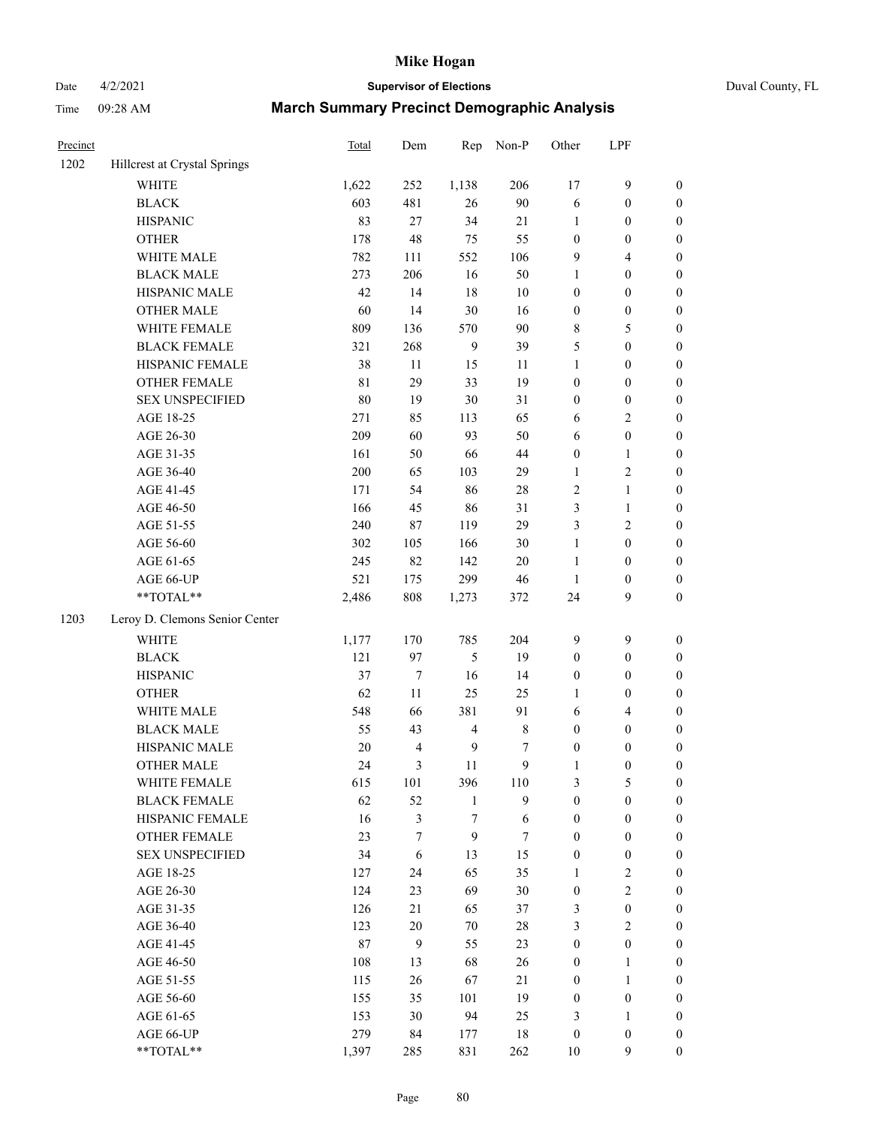# Date 4/2/2021 **Supervisor of Elections** Duval County, FL

| Precinct |                                | Total       | Dem              | Rep            | Non-P       | Other            | LPF              |                  |
|----------|--------------------------------|-------------|------------------|----------------|-------------|------------------|------------------|------------------|
| 1202     | Hillcrest at Crystal Springs   |             |                  |                |             |                  |                  |                  |
|          | <b>WHITE</b>                   | 1,622       | 252              | 1,138          | 206         | 17               | $\mathbf{9}$     | 0                |
|          | <b>BLACK</b>                   | 603         | 481              | 26             | 90          | 6                | $\boldsymbol{0}$ | 0                |
|          | <b>HISPANIC</b>                | 83          | 27               | 34             | 21          | $\mathbf{1}$     | $\boldsymbol{0}$ | $\boldsymbol{0}$ |
|          | <b>OTHER</b>                   | 178         | 48               | 75             | 55          | $\boldsymbol{0}$ | $\boldsymbol{0}$ | $\boldsymbol{0}$ |
|          | WHITE MALE                     | 782         | 111              | 552            | 106         | 9                | $\overline{4}$   | $\boldsymbol{0}$ |
|          | <b>BLACK MALE</b>              | 273         | 206              | 16             | 50          | $\mathbf{1}$     | $\boldsymbol{0}$ | $\boldsymbol{0}$ |
|          | HISPANIC MALE                  | 42          | 14               | $18\,$         | $10\,$      | $\boldsymbol{0}$ | $\boldsymbol{0}$ | $\boldsymbol{0}$ |
|          | <b>OTHER MALE</b>              | 60          | 14               | 30             | 16          | $\boldsymbol{0}$ | $\boldsymbol{0}$ | $\boldsymbol{0}$ |
|          | WHITE FEMALE                   | 809         | 136              | 570            | $90\,$      | 8                | 5                | $\boldsymbol{0}$ |
|          | <b>BLACK FEMALE</b>            | 321         | 268              | 9              | 39          | 5                | $\boldsymbol{0}$ | $\boldsymbol{0}$ |
|          | HISPANIC FEMALE                | 38          | $11\,$           | 15             | 11          | $\mathbf{1}$     | $\boldsymbol{0}$ | $\boldsymbol{0}$ |
|          | OTHER FEMALE                   | $8\sqrt{1}$ | 29               | 33             | 19          | $\boldsymbol{0}$ | $\boldsymbol{0}$ | $\boldsymbol{0}$ |
|          | <b>SEX UNSPECIFIED</b>         | $80\,$      | 19               | 30             | 31          | $\boldsymbol{0}$ | $\boldsymbol{0}$ | $\boldsymbol{0}$ |
|          | AGE 18-25                      | 271         | 85               | 113            | 65          | 6                | $\sqrt{2}$       | $\boldsymbol{0}$ |
|          | AGE 26-30                      | 209         | 60               | 93             | 50          | 6                | $\boldsymbol{0}$ | $\boldsymbol{0}$ |
|          | AGE 31-35                      | 161         | 50               | 66             | $44\,$      | $\boldsymbol{0}$ | $\mathbf{1}$     | $\boldsymbol{0}$ |
|          | AGE 36-40                      | 200         | 65               | 103            | 29          | $\mathbf{1}$     | $\sqrt{2}$       | $\boldsymbol{0}$ |
|          | AGE 41-45                      | 171         | 54               | 86             | $28\,$      | $\sqrt{2}$       | $\mathbf{1}$     | $\boldsymbol{0}$ |
|          | AGE 46-50                      | 166         | 45               | 86             | 31          | 3                | $\mathbf{1}$     | $\boldsymbol{0}$ |
|          | AGE 51-55                      | 240         | 87               | 119            | 29          | $\mathfrak{Z}$   | $\sqrt{2}$       | 0                |
|          | AGE 56-60                      | 302         | 105              | 166            | $30\,$      | $\mathbf{1}$     | $\boldsymbol{0}$ | 0                |
|          | AGE 61-65                      | 245         | 82               | 142            | $20\,$      | $\mathbf{1}$     | $\boldsymbol{0}$ | $\boldsymbol{0}$ |
|          | AGE 66-UP                      | 521         | 175              | 299            | $46\,$      | $\mathbf{1}$     | $\boldsymbol{0}$ | $\boldsymbol{0}$ |
|          | **TOTAL**                      | 2,486       | $808\,$          | 1,273          | 372         | 24               | 9                | $\boldsymbol{0}$ |
| 1203     | Leroy D. Clemons Senior Center |             |                  |                |             |                  |                  |                  |
|          | <b>WHITE</b>                   | 1,177       | 170              | 785            | 204         | 9                | $\boldsymbol{9}$ | $\boldsymbol{0}$ |
|          | <b>BLACK</b>                   | 121         | 97               | 5              | 19          | $\boldsymbol{0}$ | $\boldsymbol{0}$ | $\boldsymbol{0}$ |
|          | <b>HISPANIC</b>                | 37          | $\boldsymbol{7}$ | 16             | 14          | $\boldsymbol{0}$ | $\boldsymbol{0}$ | $\boldsymbol{0}$ |
|          | <b>OTHER</b>                   | 62          | 11               | 25             | 25          | $\mathbf{1}$     | $\boldsymbol{0}$ | $\boldsymbol{0}$ |
|          | WHITE MALE                     | 548         | 66               | 381            | 91          | $\sqrt{6}$       | $\overline{4}$   | $\boldsymbol{0}$ |
|          | <b>BLACK MALE</b>              | 55          | 43               | $\overline{4}$ | $\,$ 8 $\,$ | $\boldsymbol{0}$ | $\boldsymbol{0}$ | $\boldsymbol{0}$ |
|          | HISPANIC MALE                  | $20\,$      | $\overline{4}$   | 9              | 7           | $\boldsymbol{0}$ | $\boldsymbol{0}$ | 0                |
|          | <b>OTHER MALE</b>              | 24          | 3                | 11             | 9           | $\mathbf{1}$     | $\boldsymbol{0}$ | $\boldsymbol{0}$ |
|          | WHITE FEMALE                   | 615         | 101              | 396            | 110         | 3                | 5                | 0                |
|          | <b>BLACK FEMALE</b>            | 62          | 52               | $\mathbf{1}$   | 9           | $\boldsymbol{0}$ | $\boldsymbol{0}$ | $\overline{0}$   |
|          | HISPANIC FEMALE                | 16          | $\mathfrak{Z}$   | 7              | $\sqrt{6}$  | $\boldsymbol{0}$ | $\boldsymbol{0}$ | $\overline{0}$   |
|          | OTHER FEMALE                   | 23          | 7                | 9              | 7           | $\boldsymbol{0}$ | $\boldsymbol{0}$ | $\overline{0}$   |
|          | <b>SEX UNSPECIFIED</b>         | 34          | 6                | 13             | 15          | $\boldsymbol{0}$ | $\boldsymbol{0}$ | 0                |
|          | AGE 18-25                      | 127         | 24               | 65             | 35          | $\mathbf{1}$     | $\sqrt{2}$       | 0                |
|          | AGE 26-30                      | 124         | 23               | 69             | $30\,$      | $\boldsymbol{0}$ | $\overline{c}$   | 0                |
|          | AGE 31-35                      | 126         | 21               | 65             | 37          | 3                | $\boldsymbol{0}$ | 0                |
|          | AGE 36-40                      | 123         | $20\,$           | 70             | $28\,$      | 3                | $\sqrt{2}$       | 0                |
|          | AGE 41-45                      | 87          | 9                | 55             | 23          | $\boldsymbol{0}$ | $\boldsymbol{0}$ | 0                |
|          | AGE 46-50                      | 108         | 13               | 68             | 26          | $\boldsymbol{0}$ | $\mathbf{1}$     | 0                |
|          | AGE 51-55                      | 115         | 26               | 67             | 21          | $\boldsymbol{0}$ | $\mathbf{1}$     | 0                |
|          | AGE 56-60                      | 155         | 35               | 101            | 19          | $\boldsymbol{0}$ | $\boldsymbol{0}$ | $\overline{0}$   |
|          | AGE 61-65                      | 153         | 30               | 94             | 25          | 3                | $\mathbf{1}$     | $\overline{0}$   |
|          | AGE 66-UP                      | 279         | 84               | 177            | 18          | $\boldsymbol{0}$ | $\boldsymbol{0}$ | 0                |
|          | **TOTAL**                      | 1,397       | 285              | 831            | 262         | 10               | 9                | $\boldsymbol{0}$ |
|          |                                |             |                  |                |             |                  |                  |                  |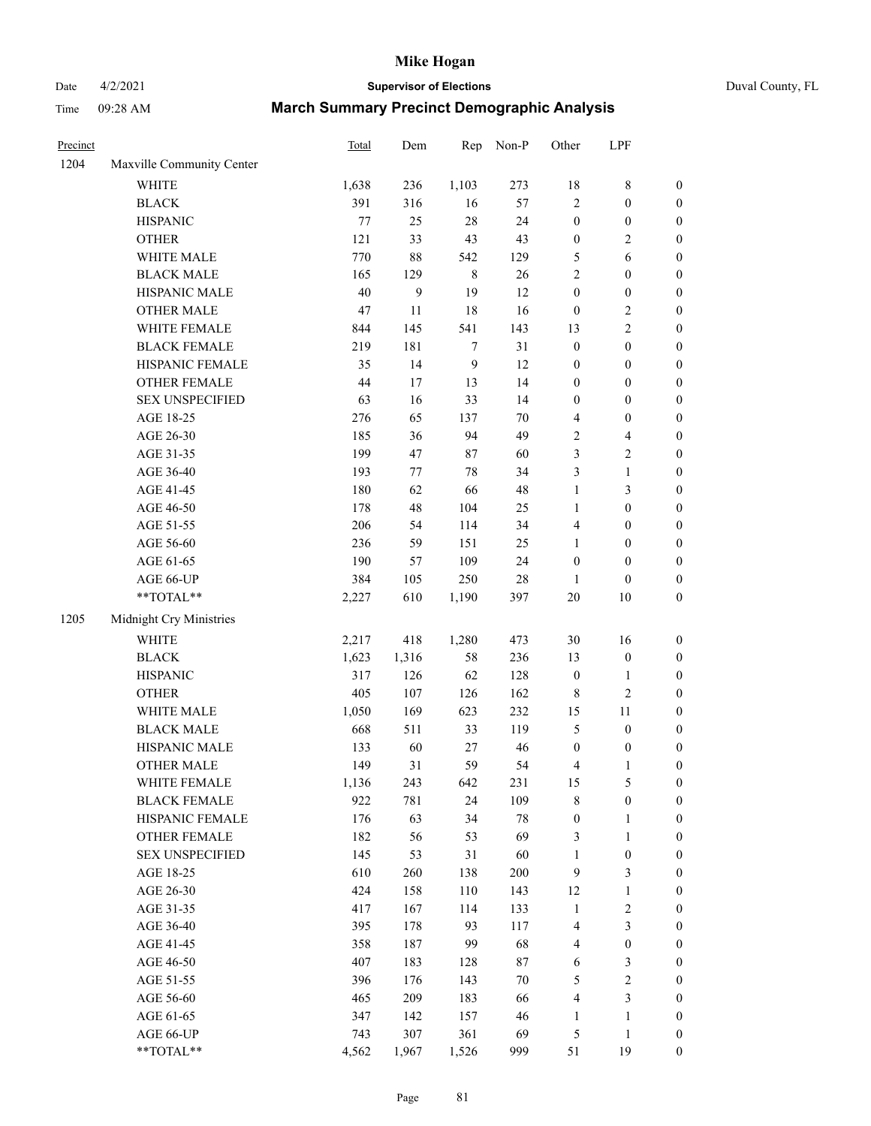# Date 4/2/2021 **Supervisor of Elections** Duval County, FL

| Precinct |                                                             | <b>Total</b> | Dem          | Rep              | Non-P       | Other                   | LPF              |                  |
|----------|-------------------------------------------------------------|--------------|--------------|------------------|-------------|-------------------------|------------------|------------------|
| 1204     | Maxville Community Center                                   |              |              |                  |             |                         |                  |                  |
|          | <b>WHITE</b>                                                | 1,638        | 236          | 1,103            | 273         | 18                      | $\,$ 8 $\,$      | 0                |
|          | <b>BLACK</b>                                                | 391          | 316          | 16               | 57          | $\overline{c}$          | $\boldsymbol{0}$ | $\boldsymbol{0}$ |
|          | <b>HISPANIC</b>                                             | 77           | 25           | $28\,$           | 24          | $\boldsymbol{0}$        | $\boldsymbol{0}$ | $\boldsymbol{0}$ |
|          | <b>OTHER</b>                                                | 121          | 33           | 43               | 43          | $\boldsymbol{0}$        | $\sqrt{2}$       | $\boldsymbol{0}$ |
|          | WHITE MALE                                                  | 770          | $88\,$       | 542              | 129         | 5                       | 6                | $\boldsymbol{0}$ |
|          | <b>BLACK MALE</b>                                           | 165          | 129          | $\,8\,$          | 26          | $\overline{c}$          | $\boldsymbol{0}$ | $\boldsymbol{0}$ |
|          | HISPANIC MALE                                               | 40           | $\mathbf{9}$ | 19               | 12          | $\boldsymbol{0}$        | $\boldsymbol{0}$ | $\boldsymbol{0}$ |
|          | <b>OTHER MALE</b>                                           | 47           | $11\,$       | 18               | 16          | $\boldsymbol{0}$        | $\sqrt{2}$       | $\boldsymbol{0}$ |
|          | WHITE FEMALE                                                | 844          | 145          | 541              | 143         | 13                      | $\sqrt{2}$       | $\boldsymbol{0}$ |
|          | <b>BLACK FEMALE</b>                                         | 219          | 181          | 7                | 31          | $\boldsymbol{0}$        | $\boldsymbol{0}$ | $\boldsymbol{0}$ |
|          | HISPANIC FEMALE                                             | 35           | 14           | $\boldsymbol{9}$ | 12          | $\boldsymbol{0}$        | $\boldsymbol{0}$ | $\boldsymbol{0}$ |
|          | <b>OTHER FEMALE</b>                                         | 44           | 17           | 13               | 14          | $\boldsymbol{0}$        | $\boldsymbol{0}$ | $\boldsymbol{0}$ |
|          | <b>SEX UNSPECIFIED</b>                                      | 63           | 16           | 33               | 14          | $\boldsymbol{0}$        | $\boldsymbol{0}$ | $\boldsymbol{0}$ |
|          | AGE 18-25                                                   | 276          | 65           | 137              | 70          | 4                       | $\boldsymbol{0}$ | $\boldsymbol{0}$ |
|          | AGE 26-30                                                   | 185          | 36           | 94               | 49          | $\overline{\mathbf{c}}$ | $\overline{4}$   | $\boldsymbol{0}$ |
|          | AGE 31-35                                                   | 199          | 47           | 87               | 60          | 3                       | $\sqrt{2}$       | $\boldsymbol{0}$ |
|          | AGE 36-40                                                   | 193          | 77           | 78               | 34          | 3                       | $\mathbf{1}$     | $\boldsymbol{0}$ |
|          | AGE 41-45                                                   | 180          | 62           | 66               | $\sqrt{48}$ | $\mathbf{1}$            | 3                | $\boldsymbol{0}$ |
|          | AGE 46-50                                                   | 178          | 48           | 104              | $25\,$      | $\mathbf{1}$            | $\boldsymbol{0}$ | $\boldsymbol{0}$ |
|          | AGE 51-55                                                   | 206          | 54           | 114              | 34          | 4                       | $\boldsymbol{0}$ | $\boldsymbol{0}$ |
|          | AGE 56-60                                                   | 236          | 59           | 151              | 25          | $\mathbf{1}$            | $\boldsymbol{0}$ | $\boldsymbol{0}$ |
|          | AGE 61-65                                                   | 190          | 57           | 109              | 24          | $\boldsymbol{0}$        | $\boldsymbol{0}$ | $\boldsymbol{0}$ |
|          | AGE 66-UP                                                   | 384          | 105          | 250              | $28\,$      | 1                       | $\boldsymbol{0}$ | $\boldsymbol{0}$ |
|          | $\mathrm{*}\mathrm{*} \mathrm{TOTAL} \mathrm{*} \mathrm{*}$ | 2,227        | 610          | 1,190            | 397         | $20\,$                  | $10\,$           | $\boldsymbol{0}$ |
| 1205     | Midnight Cry Ministries                                     |              |              |                  |             |                         |                  |                  |
|          | <b>WHITE</b>                                                | 2,217        | 418          | 1,280            | 473         | $30\,$                  | 16               | $\boldsymbol{0}$ |
|          | <b>BLACK</b>                                                | 1,623        | 1,316        | 58               | 236         | 13                      | $\boldsymbol{0}$ | $\boldsymbol{0}$ |
|          | <b>HISPANIC</b>                                             | 317          | 126          | 62               | 128         | $\boldsymbol{0}$        | $\mathbf{1}$     | $\boldsymbol{0}$ |
|          | <b>OTHER</b>                                                | 405          | 107          | 126              | 162         | 8                       | $\sqrt{2}$       | $\boldsymbol{0}$ |
|          | WHITE MALE                                                  | 1,050        | 169          | 623              | 232         | 15                      | $11\,$           | $\boldsymbol{0}$ |
|          | <b>BLACK MALE</b>                                           | 668          | 511          | 33               | 119         | 5                       | $\boldsymbol{0}$ | $\boldsymbol{0}$ |
|          | HISPANIC MALE                                               | 133          | 60           | 27               | 46          | $\boldsymbol{0}$        | $\boldsymbol{0}$ | 0                |
|          | <b>OTHER MALE</b>                                           | 149          | 31           | 59               | 54          | 4                       | $\mathbf{1}$     | $\boldsymbol{0}$ |
|          | WHITE FEMALE                                                | 1,136        | 243          | 642              | 231         | 15                      | 5                | 0                |
|          | <b>BLACK FEMALE</b>                                         | 922          | 781          | 24               | 109         | 8                       | $\boldsymbol{0}$ | $\overline{0}$   |
|          | HISPANIC FEMALE                                             | 176          | 63           | 34               | 78          | $\boldsymbol{0}$        | $\mathbf{1}$     | $\overline{0}$   |
|          | <b>OTHER FEMALE</b>                                         | 182          | 56           | 53               | 69          | 3                       | $\mathbf{1}$     | 0                |
|          | <b>SEX UNSPECIFIED</b>                                      | 145          | 53           | 31               | 60          | $\mathbf{1}$            | $\boldsymbol{0}$ | 0                |
|          | AGE 18-25                                                   | 610          | 260          | 138              | 200         | 9                       | 3                | 0                |
|          | AGE 26-30                                                   | 424          | 158          | 110              | 143         | 12                      | $\mathbf{1}$     | 0                |
|          | AGE 31-35                                                   | 417          | 167          | 114              | 133         | $\mathbf{1}$            | $\sqrt{2}$       | 0                |
|          | AGE 36-40                                                   | 395          | 178          | 93               | 117         | 4                       | $\mathfrak{Z}$   | 0                |
|          | AGE 41-45                                                   | 358          | 187          | 99               | 68          | 4                       | $\boldsymbol{0}$ | 0                |
|          | AGE 46-50                                                   | 407          | 183          | 128              | 87          | 6                       | $\mathfrak{Z}$   | 0                |
|          | AGE 51-55                                                   | 396          | 176          | 143              | $70\,$      | 5                       | $\sqrt{2}$       | 0                |
|          | AGE 56-60                                                   | 465          | 209          | 183              | 66          | 4                       | 3                | 0                |
|          | AGE 61-65                                                   | 347          | 142          | 157              | 46          | $\mathbf{1}$            | $\mathbf{1}$     | 0                |
|          | AGE 66-UP                                                   | 743          | 307          | 361              | 69          | 5                       | $\mathbf{1}$     | 0                |
|          | **TOTAL**                                                   | 4,562        | 1,967        | 1,526            | 999         | 51                      | 19               | $\boldsymbol{0}$ |
|          |                                                             |              |              |                  |             |                         |                  |                  |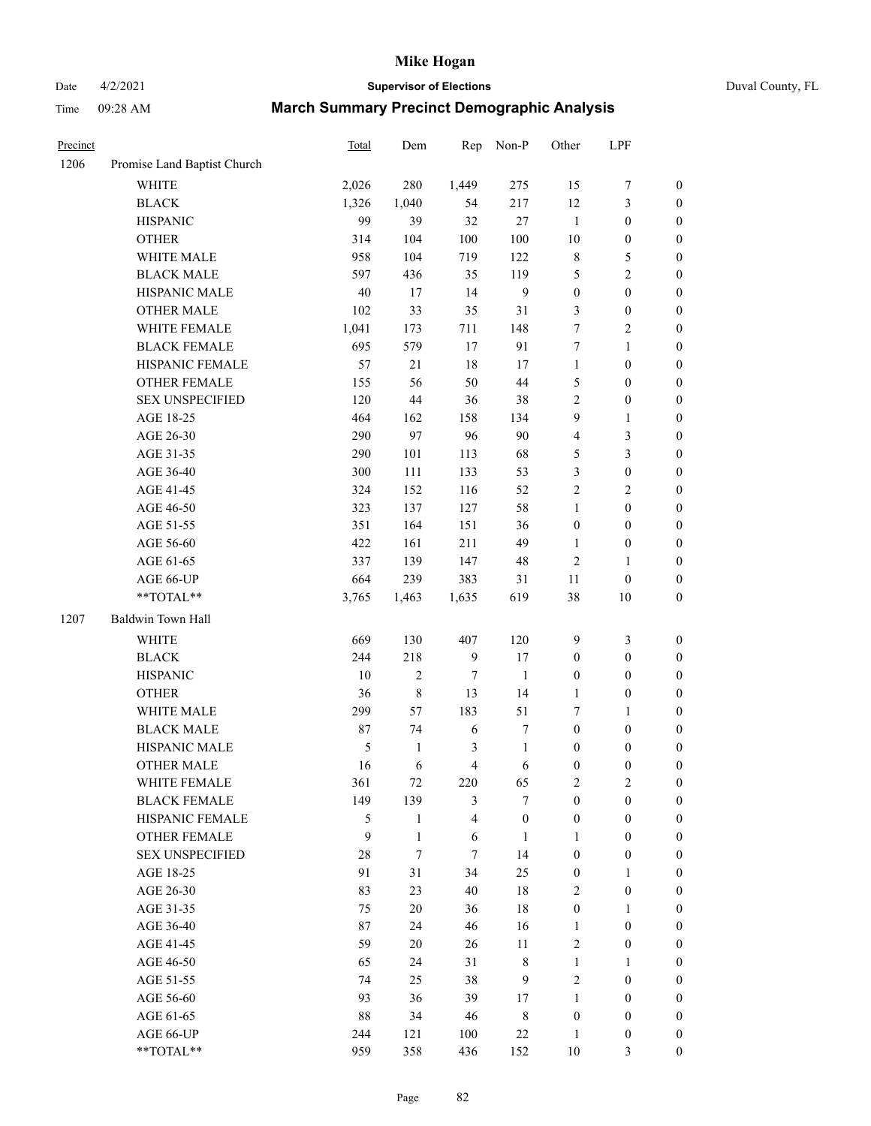# Date 4/2/2021 **Supervisor of Elections** Duval County, FL

| Precinct |                             | Total  | Dem          | Rep              | Non-P            | Other            | LPF              |                  |
|----------|-----------------------------|--------|--------------|------------------|------------------|------------------|------------------|------------------|
| 1206     | Promise Land Baptist Church |        |              |                  |                  |                  |                  |                  |
|          | <b>WHITE</b>                | 2,026  | 280          | 1,449            | 275              | 15               | $\boldsymbol{7}$ | $\boldsymbol{0}$ |
|          | <b>BLACK</b>                | 1,326  | 1,040        | 54               | 217              | 12               | $\mathfrak{Z}$   | $\boldsymbol{0}$ |
|          | <b>HISPANIC</b>             | 99     | 39           | 32               | $27\,$           | $\mathbf{1}$     | $\boldsymbol{0}$ | $\boldsymbol{0}$ |
|          | <b>OTHER</b>                | 314    | 104          | 100              | 100              | 10               | $\boldsymbol{0}$ | $\boldsymbol{0}$ |
|          | WHITE MALE                  | 958    | 104          | 719              | 122              | 8                | $\mathfrak s$    | $\boldsymbol{0}$ |
|          | <b>BLACK MALE</b>           | 597    | 436          | 35               | 119              | 5                | $\overline{c}$   | $\boldsymbol{0}$ |
|          | HISPANIC MALE               | $40\,$ | 17           | 14               | $\mathbf{9}$     | $\boldsymbol{0}$ | $\boldsymbol{0}$ | $\boldsymbol{0}$ |
|          | <b>OTHER MALE</b>           | 102    | 33           | 35               | 31               | 3                | $\boldsymbol{0}$ | 0                |
|          | WHITE FEMALE                | 1,041  | 173          | 711              | 148              | $\tau$           | $\sqrt{2}$       | 0                |
|          | <b>BLACK FEMALE</b>         | 695    | 579          | 17               | 91               | $\boldsymbol{7}$ | $\mathbf{1}$     | $\boldsymbol{0}$ |
|          | HISPANIC FEMALE             | 57     | 21           | 18               | 17               | $\mathbf{1}$     | $\boldsymbol{0}$ | $\boldsymbol{0}$ |
|          | OTHER FEMALE                | 155    | 56           | 50               | 44               | 5                | $\boldsymbol{0}$ | $\boldsymbol{0}$ |
|          | <b>SEX UNSPECIFIED</b>      | 120    | 44           | 36               | 38               | 2                | $\boldsymbol{0}$ | $\boldsymbol{0}$ |
|          | AGE 18-25                   | 464    | 162          | 158              | 134              | 9                | $\mathbf{1}$     | $\boldsymbol{0}$ |
|          | AGE 26-30                   | 290    | 97           | 96               | 90               | 4                | 3                | $\boldsymbol{0}$ |
|          | AGE 31-35                   | 290    | 101          | 113              | 68               | 5                | 3                | $\boldsymbol{0}$ |
|          | AGE 36-40                   | 300    | 111          | 133              | 53               | 3                | $\boldsymbol{0}$ | $\boldsymbol{0}$ |
|          | AGE 41-45                   | 324    | 152          | 116              | 52               | $\overline{c}$   | $\sqrt{2}$       | $\boldsymbol{0}$ |
|          | AGE 46-50                   | 323    | 137          | 127              | 58               | $\mathbf{1}$     | $\boldsymbol{0}$ | 0                |
|          | AGE 51-55                   | 351    | 164          | 151              | 36               | $\boldsymbol{0}$ | $\boldsymbol{0}$ | $\boldsymbol{0}$ |
|          | AGE 56-60                   | 422    | 161          | 211              | 49               | $\mathbf{1}$     | $\boldsymbol{0}$ | $\boldsymbol{0}$ |
|          | AGE 61-65                   | 337    | 139          | 147              | 48               | 2                | 1                | $\boldsymbol{0}$ |
|          | AGE 66-UP                   | 664    | 239          | 383              | 31               | 11               | $\boldsymbol{0}$ | $\boldsymbol{0}$ |
|          | $**TOTAL**$                 | 3,765  | 1,463        | 1,635            | 619              | 38               | 10               | $\boldsymbol{0}$ |
| 1207     | Baldwin Town Hall           |        |              |                  |                  |                  |                  |                  |
|          | <b>WHITE</b>                | 669    | 130          | 407              | 120              | 9                | $\mathfrak{Z}$   | $\boldsymbol{0}$ |
|          | <b>BLACK</b>                | 244    | 218          | $\mathbf{9}$     | 17               | $\boldsymbol{0}$ | $\boldsymbol{0}$ | $\boldsymbol{0}$ |
|          | <b>HISPANIC</b>             | $10\,$ | $\sqrt{2}$   | $\boldsymbol{7}$ | $\mathbf{1}$     | $\boldsymbol{0}$ | $\boldsymbol{0}$ | $\boldsymbol{0}$ |
|          | <b>OTHER</b>                | 36     | $\,$ $\,$    | 13               | 14               | 1                | $\boldsymbol{0}$ | $\boldsymbol{0}$ |
|          | WHITE MALE                  | 299    | 57           | 183              | 51               | 7                | 1                | $\boldsymbol{0}$ |
|          | <b>BLACK MALE</b>           | 87     | 74           | $\sqrt{6}$       | 7                | $\boldsymbol{0}$ | $\boldsymbol{0}$ | 0                |
|          | HISPANIC MALE               | 5      | $\mathbf{1}$ | 3                | $\mathbf{1}$     | 0                | $\boldsymbol{0}$ | 0                |
|          | <b>OTHER MALE</b>           | 16     | 6            | 4                | 6                | $\boldsymbol{0}$ | $\boldsymbol{0}$ | $\boldsymbol{0}$ |
|          | WHITE FEMALE                | 361    | 72           | 220              | 65               | $\overline{c}$   | $\sqrt{2}$       | $\boldsymbol{0}$ |
|          | <b>BLACK FEMALE</b>         | 149    | 139          | 3                | 7                | $\boldsymbol{0}$ | $\boldsymbol{0}$ | $\overline{0}$   |
|          | HISPANIC FEMALE             | 5      | $\mathbf{1}$ | 4                | $\boldsymbol{0}$ | $\boldsymbol{0}$ | $\boldsymbol{0}$ | $\overline{0}$   |
|          | <b>OTHER FEMALE</b>         | 9      | $\mathbf{1}$ | 6                | $\mathbf{1}$     | 1                | $\boldsymbol{0}$ | $\overline{0}$   |
|          | <b>SEX UNSPECIFIED</b>      | 28     | $\tau$       | 7                | 14               | $\boldsymbol{0}$ | $\boldsymbol{0}$ | $\theta$         |
|          | AGE 18-25                   | 91     | 31           | 34               | 25               | 0                | $\mathbf{1}$     | $\overline{0}$   |
|          | AGE 26-30                   | 83     | 23           | 40               | 18               | 2                | $\boldsymbol{0}$ | 0                |
|          | AGE 31-35                   | 75     | 20           | 36               | 18               | $\boldsymbol{0}$ | $\mathbf{1}$     | 0                |
|          | AGE 36-40                   | 87     | 24           | 46               | 16               | $\mathbf{1}$     | $\boldsymbol{0}$ | 0                |
|          | AGE 41-45                   | 59     | 20           | 26               | 11               | 2                | $\boldsymbol{0}$ | $\overline{0}$   |
|          | AGE 46-50                   | 65     | 24           | 31               | $\,$ $\,$        | $\mathbf{1}$     | 1                | $\boldsymbol{0}$ |
|          | AGE 51-55                   | 74     | 25           | 38               | $\mathbf{9}$     | 2                | $\boldsymbol{0}$ | $\overline{0}$   |
|          | AGE 56-60                   | 93     | 36           | 39               | 17               | $\mathbf{1}$     | $\boldsymbol{0}$ | $\overline{0}$   |
|          | AGE 61-65                   | 88     | 34           | 46               | $\,$ 8 $\,$      | $\boldsymbol{0}$ | $\boldsymbol{0}$ | $\overline{0}$   |
|          | AGE 66-UP                   | 244    | 121          | 100              | $22\,$           | $\mathbf{1}$     | $\boldsymbol{0}$ | $\overline{0}$   |
|          | $**TOTAL**$                 | 959    | 358          | 436              | 152              | $10\,$           | 3                | $\boldsymbol{0}$ |
|          |                             |        |              |                  |                  |                  |                  |                  |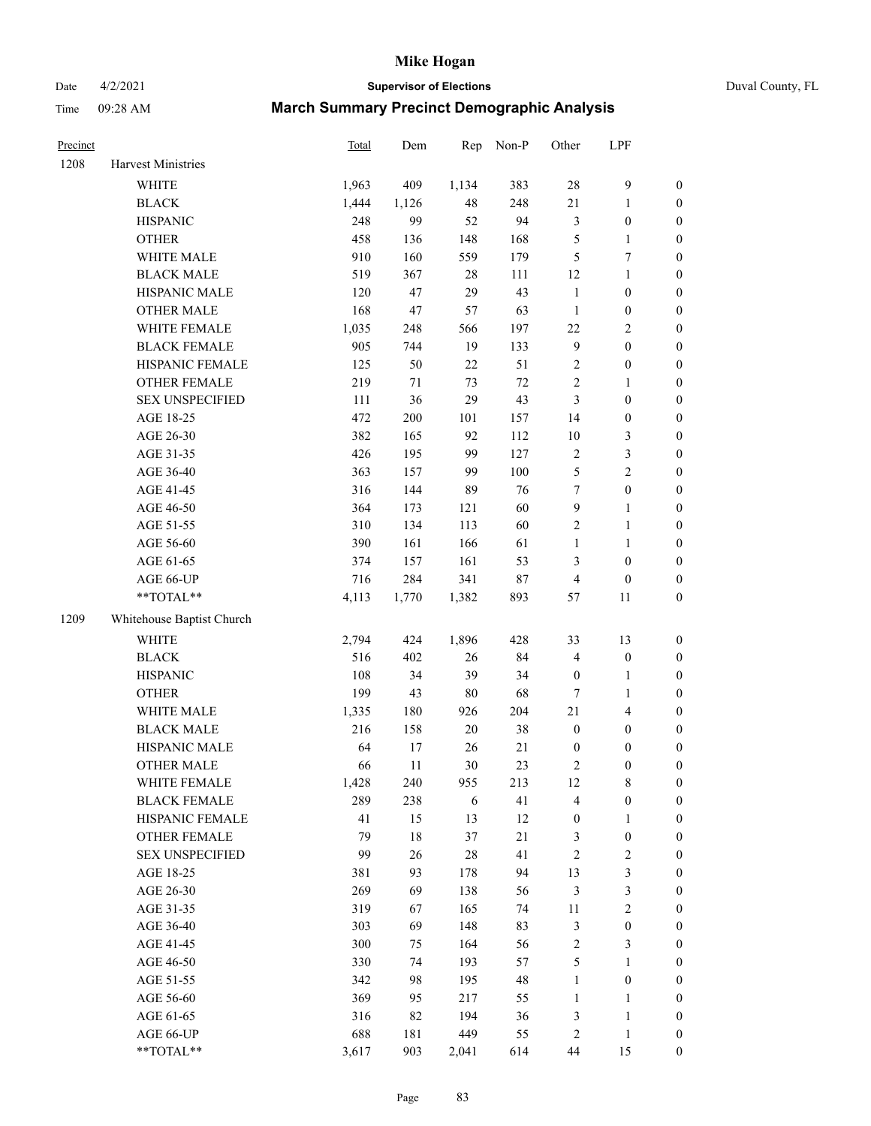# Date 4/2/2021 **Supervisor of Elections** Duval County, FL

| Precinct |                           | <b>Total</b> | Dem   | Rep    | Non-P  | Other            | LPF              |                  |
|----------|---------------------------|--------------|-------|--------|--------|------------------|------------------|------------------|
| 1208     | <b>Harvest Ministries</b> |              |       |        |        |                  |                  |                  |
|          | <b>WHITE</b>              | 1,963        | 409   | 1,134  | 383    | 28               | $\mathbf{9}$     | 0                |
|          | <b>BLACK</b>              | 1,444        | 1,126 | 48     | 248    | 21               | $\mathbf{1}$     | 0                |
|          | <b>HISPANIC</b>           | 248          | 99    | 52     | 94     | 3                | $\boldsymbol{0}$ | $\boldsymbol{0}$ |
|          | <b>OTHER</b>              | 458          | 136   | 148    | 168    | 5                | $\mathbf{1}$     | $\boldsymbol{0}$ |
|          | WHITE MALE                | 910          | 160   | 559    | 179    | 5                | 7                | $\boldsymbol{0}$ |
|          | <b>BLACK MALE</b>         | 519          | 367   | 28     | 111    | 12               | $\mathbf{1}$     | $\boldsymbol{0}$ |
|          | HISPANIC MALE             | 120          | 47    | 29     | 43     | $\mathbf{1}$     | $\boldsymbol{0}$ | $\boldsymbol{0}$ |
|          | OTHER MALE                | 168          | 47    | 57     | 63     | $\mathbf{1}$     | $\boldsymbol{0}$ | $\boldsymbol{0}$ |
|          | WHITE FEMALE              | 1,035        | 248   | 566    | 197    | $22\,$           | $\sqrt{2}$       | $\boldsymbol{0}$ |
|          | <b>BLACK FEMALE</b>       | 905          | 744   | 19     | 133    | 9                | $\boldsymbol{0}$ | $\boldsymbol{0}$ |
|          | HISPANIC FEMALE           | 125          | 50    | $22\,$ | 51     | $\mathbf{2}$     | $\boldsymbol{0}$ | $\boldsymbol{0}$ |
|          | OTHER FEMALE              | 219          | 71    | 73     | $72\,$ | $\overline{c}$   | $\mathbf{1}$     | $\boldsymbol{0}$ |
|          | <b>SEX UNSPECIFIED</b>    | 111          | 36    | 29     | 43     | 3                | $\boldsymbol{0}$ | $\boldsymbol{0}$ |
|          | AGE 18-25                 | 472          | 200   | 101    | 157    | 14               | $\boldsymbol{0}$ | $\boldsymbol{0}$ |
|          | AGE 26-30                 | 382          | 165   | 92     | 112    | $10\,$           | $\mathfrak{Z}$   | $\boldsymbol{0}$ |
|          | AGE 31-35                 | 426          | 195   | 99     | 127    | $\overline{c}$   | $\mathfrak{Z}$   | $\boldsymbol{0}$ |
|          | AGE 36-40                 | 363          | 157   | 99     | 100    | 5                | $\sqrt{2}$       | $\boldsymbol{0}$ |
|          | AGE 41-45                 | 316          | 144   | 89     | 76     | $\boldsymbol{7}$ | $\boldsymbol{0}$ | $\boldsymbol{0}$ |
|          | AGE 46-50                 | 364          | 173   | 121    | 60     | 9                | $\mathbf{1}$     | $\boldsymbol{0}$ |
|          | AGE 51-55                 | 310          | 134   | 113    | 60     | 2                | $\mathbf{1}$     | $\boldsymbol{0}$ |
|          | AGE 56-60                 | 390          | 161   | 166    | 61     | $\mathbf{1}$     | $\mathbf{1}$     | 0                |
|          | AGE 61-65                 | 374          | 157   | 161    | 53     | 3                | $\boldsymbol{0}$ | $\boldsymbol{0}$ |
|          | AGE 66-UP                 | 716          | 284   | 341    | $87\,$ | 4                | $\boldsymbol{0}$ | $\boldsymbol{0}$ |
|          | $**TOTAL**$               | 4,113        | 1,770 | 1,382  | 893    | 57               | $11\,$           | $\boldsymbol{0}$ |
| 1209     | Whitehouse Baptist Church |              |       |        |        |                  |                  |                  |
|          | <b>WHITE</b>              | 2,794        | 424   | 1,896  | 428    | 33               | 13               | $\boldsymbol{0}$ |
|          | <b>BLACK</b>              | 516          | 402   | 26     | 84     | 4                | $\boldsymbol{0}$ | $\boldsymbol{0}$ |
|          | <b>HISPANIC</b>           | 108          | 34    | 39     | 34     | $\boldsymbol{0}$ | $\mathbf{1}$     | $\boldsymbol{0}$ |
|          | <b>OTHER</b>              | 199          | 43    | $80\,$ | 68     | $\boldsymbol{7}$ | $\mathbf{1}$     | $\boldsymbol{0}$ |
|          | WHITE MALE                | 1,335        | 180   | 926    | 204    | 21               | $\overline{4}$   | $\boldsymbol{0}$ |
|          | <b>BLACK MALE</b>         | 216          | 158   | 20     | 38     | $\boldsymbol{0}$ | $\boldsymbol{0}$ | $\boldsymbol{0}$ |
|          | HISPANIC MALE             | 64           | 17    | 26     | 21     | $\boldsymbol{0}$ | $\boldsymbol{0}$ | $\boldsymbol{0}$ |
|          | <b>OTHER MALE</b>         | 66           | 11    | 30     | 23     | 2                | $\boldsymbol{0}$ | $\boldsymbol{0}$ |
|          | WHITE FEMALE              | 1,428        | 240   | 955    | 213    | 12               | 8                | 0                |
|          | <b>BLACK FEMALE</b>       | 289          | 238   | 6      | 41     | 4                | $\boldsymbol{0}$ | 0                |
|          | HISPANIC FEMALE           | 41           | 15    | 13     | 12     | $\boldsymbol{0}$ | $\mathbf{1}$     | 0                |
|          | OTHER FEMALE              | 79           | 18    | 37     | $21\,$ | 3                | $\boldsymbol{0}$ | 0                |
|          | <b>SEX UNSPECIFIED</b>    | 99           | 26    | 28     | 41     | 2                | $\sqrt{2}$       | 0                |
|          | AGE 18-25                 | 381          | 93    | 178    | 94     | 13               | 3                | 0                |
|          | AGE 26-30                 | 269          | 69    | 138    | 56     | 3                | 3                | 0                |
|          | AGE 31-35                 | 319          | 67    | 165    | 74     | $11\,$           | $\sqrt{2}$       | 0                |
|          | AGE 36-40                 | 303          | 69    | 148    | 83     | 3                | $\boldsymbol{0}$ | 0                |
|          | AGE 41-45                 | 300          | 75    | 164    | 56     | $\mathbf{2}$     | 3                | 0                |
|          | AGE 46-50                 | 330          | 74    | 193    | 57     | 5                | $\mathbf{1}$     | 0                |
|          | AGE 51-55                 | 342          | 98    | 195    | 48     | $\mathbf{1}$     | $\boldsymbol{0}$ | 0                |
|          | AGE 56-60                 | 369          | 95    | 217    | 55     | 1                | 1                | 0                |
|          | AGE 61-65                 | 316          | 82    | 194    | 36     | 3                | $\mathbf{1}$     | 0                |
|          | AGE 66-UP                 | 688          | 181   | 449    | 55     | 2                | $\mathbf{1}$     | 0                |
|          | **TOTAL**                 | 3,617        | 903   | 2,041  | 614    | 44               | 15               | $\boldsymbol{0}$ |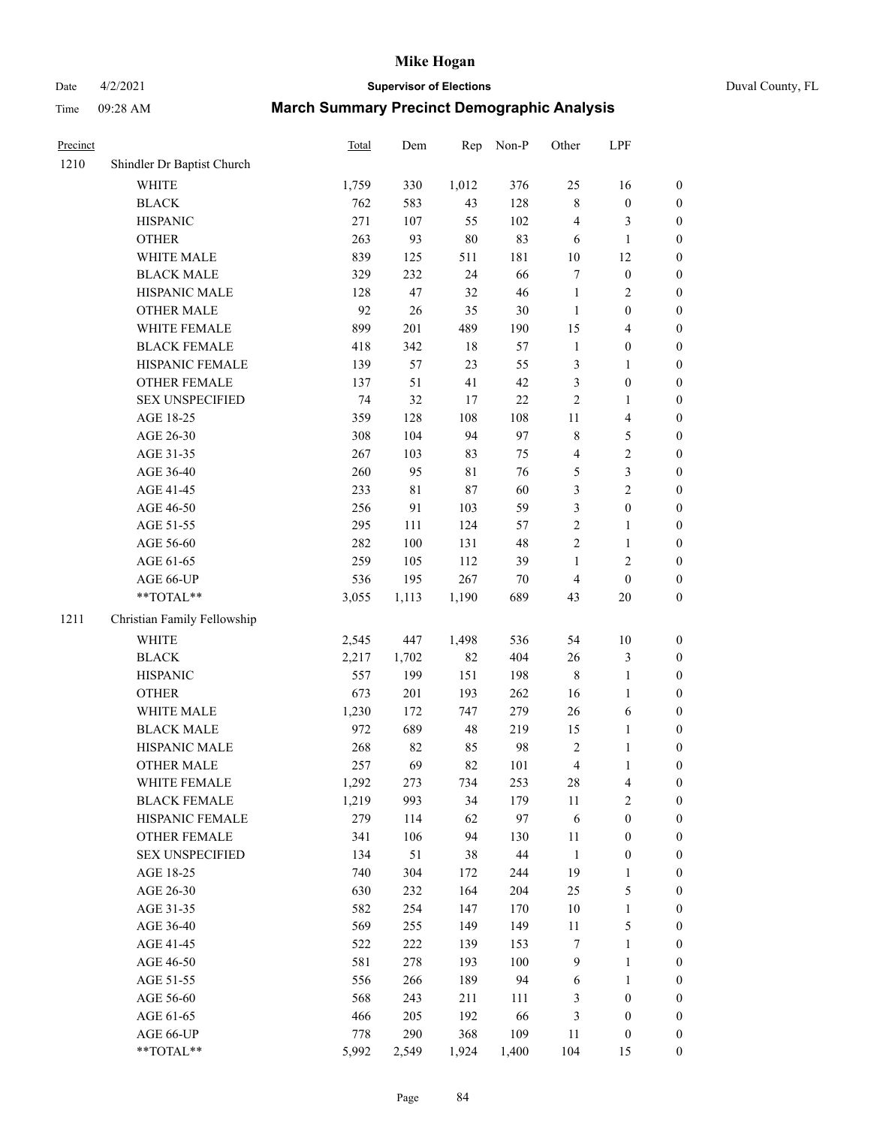Date 4/2/2021 **Supervisor of Elections** Duval County, FL

| Precinct |                             | <b>Total</b> | Dem         | Rep    | Non-P  | Other          | LPF              |                  |
|----------|-----------------------------|--------------|-------------|--------|--------|----------------|------------------|------------------|
| 1210     | Shindler Dr Baptist Church  |              |             |        |        |                |                  |                  |
|          | <b>WHITE</b>                | 1,759        | 330         | 1,012  | 376    | 25             | 16               | 0                |
|          | <b>BLACK</b>                | 762          | 583         | 43     | 128    | 8              | $\boldsymbol{0}$ | $\boldsymbol{0}$ |
|          | <b>HISPANIC</b>             | 271          | 107         | 55     | 102    | 4              | $\mathfrak{Z}$   | $\boldsymbol{0}$ |
|          | <b>OTHER</b>                | 263          | 93          | $80\,$ | 83     | 6              | $\mathbf{1}$     | $\boldsymbol{0}$ |
|          | WHITE MALE                  | 839          | 125         | 511    | 181    | $10\,$         | 12               | $\boldsymbol{0}$ |
|          | <b>BLACK MALE</b>           | 329          | 232         | 24     | 66     | 7              | $\boldsymbol{0}$ | $\boldsymbol{0}$ |
|          | HISPANIC MALE               | 128          | 47          | 32     | 46     | $\mathbf{1}$   | $\sqrt{2}$       | $\boldsymbol{0}$ |
|          | <b>OTHER MALE</b>           | 92           | 26          | 35     | 30     | $\mathbf{1}$   | $\boldsymbol{0}$ | $\boldsymbol{0}$ |
|          | WHITE FEMALE                | 899          | 201         | 489    | 190    | 15             | $\overline{4}$   | $\boldsymbol{0}$ |
|          | <b>BLACK FEMALE</b>         | 418          | 342         | 18     | 57     | $\mathbf{1}$   | $\boldsymbol{0}$ | 0                |
|          | HISPANIC FEMALE             | 139          | 57          | 23     | 55     | 3              | $\mathbf{1}$     | $\boldsymbol{0}$ |
|          | OTHER FEMALE                | 137          | 51          | 41     | 42     | 3              | $\boldsymbol{0}$ | $\boldsymbol{0}$ |
|          | <b>SEX UNSPECIFIED</b>      | 74           | 32          | 17     | $22\,$ | $\overline{c}$ | $\mathbf{1}$     | $\boldsymbol{0}$ |
|          | AGE 18-25                   | 359          | 128         | 108    | 108    | $11\,$         | $\overline{4}$   | $\boldsymbol{0}$ |
|          | AGE 26-30                   | 308          | 104         | 94     | 97     | 8              | $\mathfrak{S}$   | $\boldsymbol{0}$ |
|          | AGE 31-35                   | 267          | 103         | 83     | 75     | 4              | $\sqrt{2}$       | $\boldsymbol{0}$ |
|          | AGE 36-40                   | 260          | 95          | 81     | 76     | 5              | $\mathfrak{Z}$   | $\boldsymbol{0}$ |
|          | AGE 41-45                   | 233          | $8\sqrt{1}$ | 87     | 60     | 3              | $\sqrt{2}$       | $\boldsymbol{0}$ |
|          | AGE 46-50                   | 256          | 91          | 103    | 59     | 3              | $\boldsymbol{0}$ | $\boldsymbol{0}$ |
|          | AGE 51-55                   | 295          | 111         | 124    | 57     | $\mathbf{2}$   | $\mathbf{1}$     | 0                |
|          | AGE 56-60                   | 282          | 100         | 131    | 48     | $\overline{c}$ | $\mathbf{1}$     | $\boldsymbol{0}$ |
|          | AGE 61-65                   | 259          | 105         | 112    | 39     | $\mathbf{1}$   | $\sqrt{2}$       | $\boldsymbol{0}$ |
|          | AGE 66-UP                   | 536          | 195         | 267    | $70\,$ | 4              | $\boldsymbol{0}$ | $\boldsymbol{0}$ |
|          | **TOTAL**                   | 3,055        | 1,113       | 1,190  | 689    | 43             | 20               | $\boldsymbol{0}$ |
| 1211     | Christian Family Fellowship |              |             |        |        |                |                  |                  |
|          | <b>WHITE</b>                | 2,545        | 447         | 1,498  | 536    | 54             | $10\,$           | $\boldsymbol{0}$ |
|          | <b>BLACK</b>                | 2,217        | 1,702       | 82     | 404    | 26             | $\mathfrak{Z}$   | $\boldsymbol{0}$ |
|          | <b>HISPANIC</b>             | 557          | 199         | 151    | 198    | 8              | $\mathbf{1}$     | $\boldsymbol{0}$ |
|          | <b>OTHER</b>                | 673          | 201         | 193    | 262    | 16             | $\mathbf{1}$     | $\boldsymbol{0}$ |
|          | WHITE MALE                  | 1,230        | 172         | 747    | 279    | 26             | 6                | $\boldsymbol{0}$ |
|          | <b>BLACK MALE</b>           | 972          | 689         | 48     | 219    | 15             | $\mathbf{1}$     | $\boldsymbol{0}$ |
|          | HISPANIC MALE               | 268          | 82          | 85     | 98     | $\mathbf{2}$   | $\mathbf{1}$     | 0                |
|          | <b>OTHER MALE</b>           | 257          | 69          | 82     | 101    | 4              | $\mathbf{1}$     | $\boldsymbol{0}$ |
|          | WHITE FEMALE                | 1,292        | 273         | 734    | 253    | 28             | $\overline{4}$   | $\boldsymbol{0}$ |
|          | <b>BLACK FEMALE</b>         | 1,219        | 993         | 34     | 179    | $11\,$         | $\sqrt{2}$       | $\boldsymbol{0}$ |
|          | HISPANIC FEMALE             | 279          | 114         | 62     | 97     | 6              | $\boldsymbol{0}$ | $\overline{0}$   |
|          | <b>OTHER FEMALE</b>         | 341          | 106         | 94     | 130    | 11             | $\boldsymbol{0}$ | 0                |
|          | <b>SEX UNSPECIFIED</b>      | 134          | 51          | 38     | 44     | $\mathbf{1}$   | $\boldsymbol{0}$ | 0                |
|          | AGE 18-25                   | 740          | 304         | 172    | 244    | 19             | $\mathbf{1}$     | 0                |
|          | AGE 26-30                   | 630          | 232         | 164    | 204    | 25             | 5                | 0                |
|          | AGE 31-35                   | 582          | 254         | 147    | 170    | $10\,$         | $\mathbf{1}$     | 0                |
|          | AGE 36-40                   | 569          | 255         | 149    | 149    | 11             | 5                | 0                |
|          | AGE 41-45                   | 522          | 222         | 139    | 153    | 7              | $\mathbf{1}$     | 0                |
|          | AGE 46-50                   | 581          | 278         | 193    | 100    | 9              | $\mathbf{1}$     | 0                |
|          | AGE 51-55                   | 556          | 266         | 189    | 94     | 6              | $\mathbf{1}$     | 0                |
|          | AGE 56-60                   | 568          | 243         | 211    | 111    | 3              | $\boldsymbol{0}$ | $\boldsymbol{0}$ |
|          | AGE 61-65                   | 466          | 205         | 192    | 66     | 3              | $\boldsymbol{0}$ | 0                |
|          | AGE 66-UP                   | 778          | 290         | 368    | 109    | 11             | $\boldsymbol{0}$ | 0                |
|          | **TOTAL**                   | 5,992        | 2,549       | 1,924  | 1,400  | 104            | 15               | $\boldsymbol{0}$ |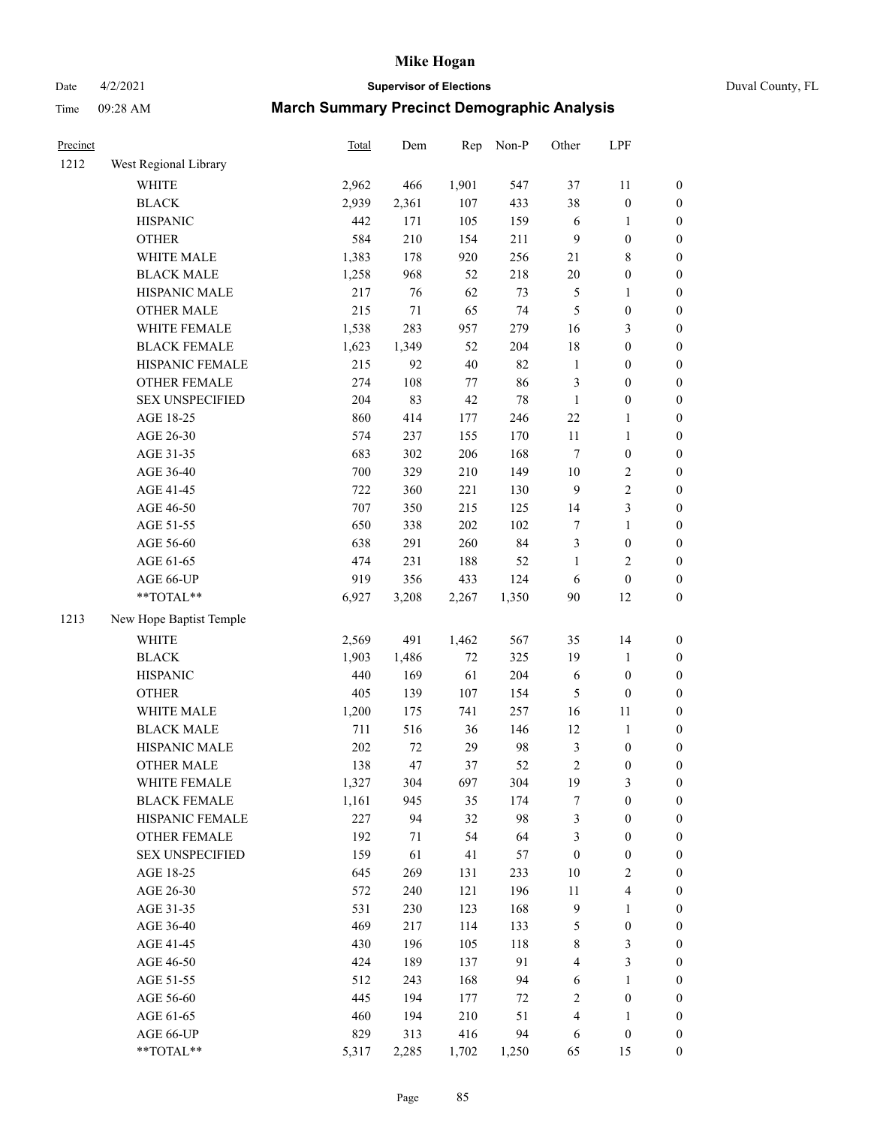# Date 4/2/2021 **Supervisor of Elections** Duval County, FL

| Precinct |                         | Total | Dem    | Rep    | Non-P | Other            | LPF              |                  |
|----------|-------------------------|-------|--------|--------|-------|------------------|------------------|------------------|
| 1212     | West Regional Library   |       |        |        |       |                  |                  |                  |
|          | WHITE                   | 2,962 | 466    | 1,901  | 547   | 37               | 11               | 0                |
|          | <b>BLACK</b>            | 2,939 | 2,361  | 107    | 433   | 38               | $\boldsymbol{0}$ | 0                |
|          | <b>HISPANIC</b>         | 442   | 171    | 105    | 159   | $\sqrt{6}$       | $\mathbf{1}$     | $\boldsymbol{0}$ |
|          | <b>OTHER</b>            | 584   | 210    | 154    | 211   | 9                | $\boldsymbol{0}$ | $\boldsymbol{0}$ |
|          | WHITE MALE              | 1,383 | 178    | 920    | 256   | 21               | $\,$ 8 $\,$      | $\boldsymbol{0}$ |
|          | <b>BLACK MALE</b>       | 1,258 | 968    | 52     | 218   | $20\,$           | $\boldsymbol{0}$ | $\boldsymbol{0}$ |
|          | HISPANIC MALE           | 217   | 76     | 62     | 73    | 5                | $\mathbf{1}$     | $\boldsymbol{0}$ |
|          | <b>OTHER MALE</b>       | 215   | 71     | 65     | 74    | 5                | $\boldsymbol{0}$ | $\boldsymbol{0}$ |
|          | WHITE FEMALE            | 1,538 | 283    | 957    | 279   | 16               | 3                | $\boldsymbol{0}$ |
|          | <b>BLACK FEMALE</b>     | 1,623 | 1,349  | 52     | 204   | 18               | $\boldsymbol{0}$ | $\boldsymbol{0}$ |
|          | HISPANIC FEMALE         | 215   | 92     | $40\,$ | 82    | $\mathbf{1}$     | $\boldsymbol{0}$ | $\boldsymbol{0}$ |
|          | OTHER FEMALE            | 274   | 108    | $77\,$ | 86    | 3                | $\boldsymbol{0}$ | $\boldsymbol{0}$ |
|          | <b>SEX UNSPECIFIED</b>  | 204   | 83     | 42     | 78    | $\mathbf{1}$     | $\boldsymbol{0}$ | $\boldsymbol{0}$ |
|          | AGE 18-25               | 860   | 414    | 177    | 246   | $22\,$           | $\mathbf{1}$     | $\boldsymbol{0}$ |
|          | AGE 26-30               | 574   | 237    | 155    | 170   | $11\,$           | $\mathbf{1}$     | $\boldsymbol{0}$ |
|          | AGE 31-35               | 683   | 302    | 206    | 168   | $\boldsymbol{7}$ | $\boldsymbol{0}$ | $\boldsymbol{0}$ |
|          | AGE 36-40               | 700   | 329    | 210    | 149   | $10\,$           | $\sqrt{2}$       | $\boldsymbol{0}$ |
|          | AGE 41-45               | 722   | 360    | 221    | 130   | $\mathbf{9}$     | $\sqrt{2}$       | $\boldsymbol{0}$ |
|          | AGE 46-50               | 707   | 350    | 215    | 125   | 14               | 3                | $\boldsymbol{0}$ |
|          | AGE 51-55               | 650   | 338    | 202    | 102   | 7                | $\mathbf{1}$     | $\boldsymbol{0}$ |
|          | AGE 56-60               | 638   | 291    | 260    | 84    | 3                | $\boldsymbol{0}$ | 0                |
|          | AGE 61-65               | 474   | 231    | 188    | 52    | $\mathbf{1}$     | $\overline{2}$   | $\boldsymbol{0}$ |
|          | AGE 66-UP               | 919   | 356    | 433    | 124   | $\sqrt{6}$       | $\boldsymbol{0}$ | $\boldsymbol{0}$ |
|          | **TOTAL**               | 6,927 | 3,208  | 2,267  | 1,350 | 90               | 12               | $\boldsymbol{0}$ |
| 1213     | New Hope Baptist Temple |       |        |        |       |                  |                  |                  |
|          | <b>WHITE</b>            | 2,569 | 491    | 1,462  | 567   | 35               | 14               | $\boldsymbol{0}$ |
|          | <b>BLACK</b>            | 1,903 | 1,486  | 72     | 325   | 19               | $\mathbf{1}$     | $\boldsymbol{0}$ |
|          | <b>HISPANIC</b>         | 440   | 169    | 61     | 204   | 6                | $\boldsymbol{0}$ | $\boldsymbol{0}$ |
|          | <b>OTHER</b>            | 405   | 139    | 107    | 154   | 5                | $\boldsymbol{0}$ | $\boldsymbol{0}$ |
|          | WHITE MALE              | 1,200 | 175    | 741    | 257   | 16               | $11\,$           | $\boldsymbol{0}$ |
|          | <b>BLACK MALE</b>       | 711   | 516    | 36     | 146   | 12               | $\mathbf{1}$     | $\boldsymbol{0}$ |
|          | HISPANIC MALE           | 202   | $72\,$ | 29     | 98    | $\mathfrak{Z}$   | $\boldsymbol{0}$ | 0                |
|          | <b>OTHER MALE</b>       | 138   | 47     | 37     | 52    | $\overline{c}$   | $\boldsymbol{0}$ | $\boldsymbol{0}$ |
|          | WHITE FEMALE            | 1,327 | 304    | 697    | 304   | 19               | 3                | 0                |
|          | <b>BLACK FEMALE</b>     | 1,161 | 945    | 35     | 174   | 7                | $\boldsymbol{0}$ | $\boldsymbol{0}$ |
|          | HISPANIC FEMALE         | 227   | 94     | 32     | 98    | 3                | $\boldsymbol{0}$ | $\overline{0}$   |
|          | OTHER FEMALE            | 192   | 71     | 54     | 64    | 3                | $\boldsymbol{0}$ | $\overline{0}$   |
|          | <b>SEX UNSPECIFIED</b>  | 159   | 61     | 41     | 57    | $\boldsymbol{0}$ | $\boldsymbol{0}$ | 0                |
|          | AGE 18-25               | 645   | 269    | 131    | 233   | $10\,$           | $\sqrt{2}$       | 0                |
|          | AGE 26-30               | 572   | 240    | 121    | 196   | $11\,$           | $\overline{4}$   | 0                |
|          | AGE 31-35               | 531   | 230    | 123    | 168   | 9                | $\mathbf{1}$     | 0                |
|          | AGE 36-40               | 469   | 217    | 114    | 133   | 5                | $\boldsymbol{0}$ | 0                |
|          | AGE 41-45               | 430   | 196    | 105    | 118   | $\,$ 8 $\,$      | 3                | 0                |
|          | AGE 46-50               | 424   | 189    | 137    | 91    | 4                | 3                | 0                |
|          | AGE 51-55               | 512   | 243    | 168    | 94    | 6                | $\mathbf{1}$     | 0                |
|          | AGE 56-60               | 445   | 194    | 177    | 72    | $\overline{c}$   | $\boldsymbol{0}$ | 0                |
|          | AGE 61-65               | 460   | 194    | 210    | 51    | 4                | 1                | $\boldsymbol{0}$ |
|          | AGE 66-UP               | 829   | 313    | 416    | 94    | 6                | $\boldsymbol{0}$ | 0                |
|          | **TOTAL**               | 5,317 | 2,285  | 1,702  | 1,250 | 65               | 15               | $\boldsymbol{0}$ |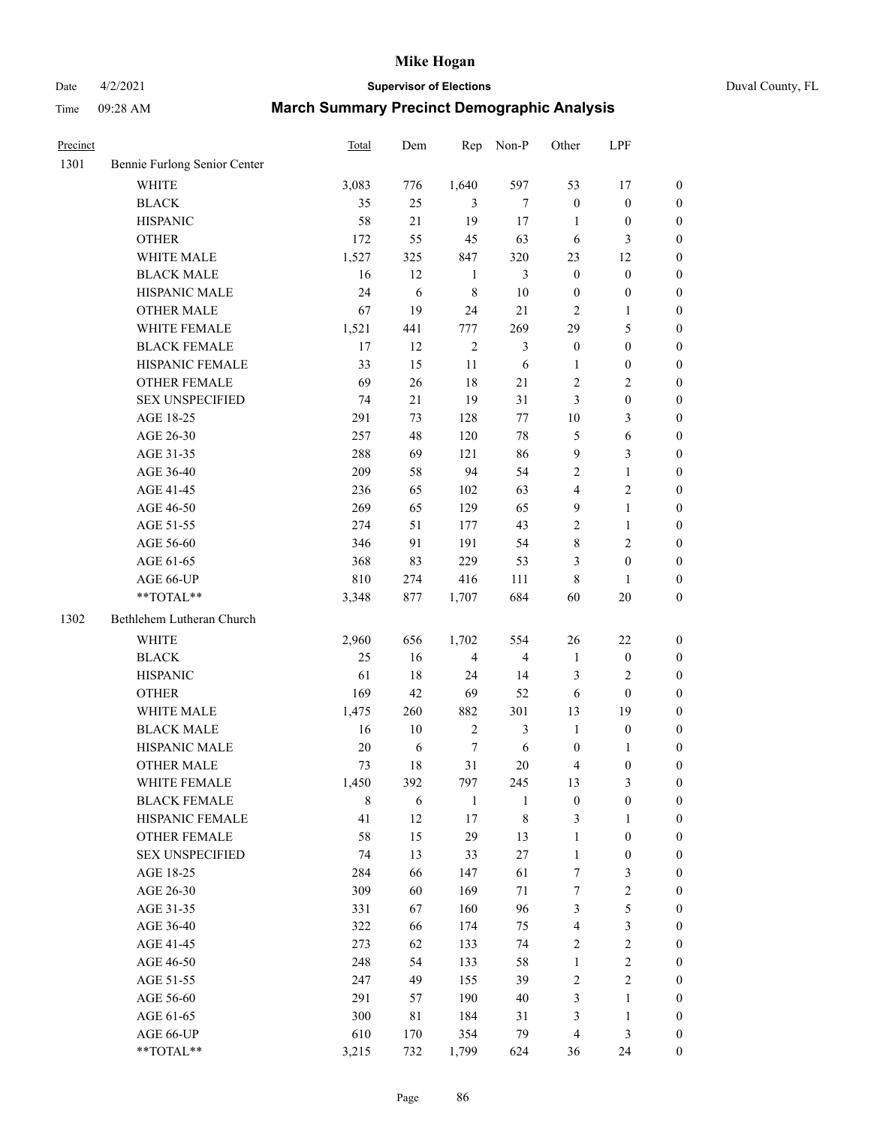# Date 4/2/2021 **Supervisor of Elections** Duval County, FL

| Precinct |                                                             | <b>Total</b> | Dem | Rep              | Non-P          | Other            | LPF              |                  |
|----------|-------------------------------------------------------------|--------------|-----|------------------|----------------|------------------|------------------|------------------|
| 1301     | Bennie Furlong Senior Center                                |              |     |                  |                |                  |                  |                  |
|          | <b>WHITE</b>                                                | 3,083        | 776 | 1,640            | 597            | 53               | 17               | 0                |
|          | <b>BLACK</b>                                                | 35           | 25  | 3                | $\tau$         | $\boldsymbol{0}$ | $\boldsymbol{0}$ | 0                |
|          | <b>HISPANIC</b>                                             | 58           | 21  | 19               | $17\,$         | $\mathbf{1}$     | $\boldsymbol{0}$ | $\boldsymbol{0}$ |
|          | <b>OTHER</b>                                                | 172          | 55  | 45               | 63             | 6                | 3                | $\boldsymbol{0}$ |
|          | WHITE MALE                                                  | 1,527        | 325 | 847              | 320            | 23               | 12               | $\boldsymbol{0}$ |
|          | <b>BLACK MALE</b>                                           | 16           | 12  | $\mathbf{1}$     | 3              | $\boldsymbol{0}$ | $\boldsymbol{0}$ | $\boldsymbol{0}$ |
|          | HISPANIC MALE                                               | 24           | 6   | $\,$ 8 $\,$      | 10             | $\boldsymbol{0}$ | $\boldsymbol{0}$ | $\boldsymbol{0}$ |
|          | <b>OTHER MALE</b>                                           | 67           | 19  | 24               | 21             | $\overline{c}$   | $\mathbf{1}$     | $\boldsymbol{0}$ |
|          | WHITE FEMALE                                                | 1,521        | 441 | 777              | 269            | 29               | 5                | $\boldsymbol{0}$ |
|          | <b>BLACK FEMALE</b>                                         | 17           | 12  | $\sqrt{2}$       | 3              | $\boldsymbol{0}$ | $\boldsymbol{0}$ | $\boldsymbol{0}$ |
|          | HISPANIC FEMALE                                             | 33           | 15  | 11               | 6              | 1                | $\boldsymbol{0}$ | 0                |
|          | <b>OTHER FEMALE</b>                                         | 69           | 26  | 18               | 21             | $\overline{c}$   | $\sqrt{2}$       | $\boldsymbol{0}$ |
|          | <b>SEX UNSPECIFIED</b>                                      | 74           | 21  | 19               | 31             | 3                | $\boldsymbol{0}$ | $\boldsymbol{0}$ |
|          | AGE 18-25                                                   | 291          | 73  | 128              | $77 \,$        | $10\,$           | $\mathfrak{Z}$   | $\boldsymbol{0}$ |
|          | AGE 26-30                                                   | 257          | 48  | 120              | 78             | 5                | 6                | $\boldsymbol{0}$ |
|          | AGE 31-35                                                   | 288          | 69  | 121              | 86             | 9                | 3                | $\boldsymbol{0}$ |
|          | AGE 36-40                                                   | 209          | 58  | 94               | 54             | $\mathbf{2}$     | $\mathbf{1}$     | $\boldsymbol{0}$ |
|          | AGE 41-45                                                   | 236          | 65  | 102              | 63             | 4                | $\mathbf{2}$     | $\overline{0}$   |
|          | AGE 46-50                                                   | 269          | 65  | 129              | 65             | 9                | $\mathbf{1}$     | $\boldsymbol{0}$ |
|          | AGE 51-55                                                   | 274          | 51  | 177              | 43             | $\mathbf{2}$     | $\mathbf{1}$     | $\boldsymbol{0}$ |
|          | AGE 56-60                                                   | 346          | 91  | 191              | 54             | 8                | $\sqrt{2}$       | 0                |
|          | AGE 61-65                                                   | 368          | 83  | 229              | 53             | 3                | $\boldsymbol{0}$ | $\boldsymbol{0}$ |
|          | AGE 66-UP                                                   | 810          | 274 | 416              | 111            | 8                | $\mathbf{1}$     | $\boldsymbol{0}$ |
|          | $\mathrm{*}\mathrm{*} \mathrm{TOTAL} \mathrm{*} \mathrm{*}$ | 3,348        | 877 | 1,707            | 684            | 60               | 20               | $\boldsymbol{0}$ |
|          |                                                             |              |     |                  |                |                  |                  |                  |
| 1302     | Bethlehem Lutheran Church                                   |              |     |                  |                |                  |                  |                  |
|          | <b>WHITE</b>                                                | 2,960        | 656 | 1,702            | 554            | 26               | $22\,$           | $\boldsymbol{0}$ |
|          | <b>BLACK</b>                                                | 25           | 16  | $\overline{4}$   | $\overline{4}$ | $\mathbf{1}$     | $\boldsymbol{0}$ | $\boldsymbol{0}$ |
|          | <b>HISPANIC</b>                                             | 61           | 18  | 24               | 14             | 3                | $\mathfrak{2}$   | $\boldsymbol{0}$ |
|          | <b>OTHER</b>                                                | 169          | 42  | 69               | 52             | 6                | $\boldsymbol{0}$ | $\boldsymbol{0}$ |
|          | WHITE MALE                                                  | 1,475        | 260 | 882              | 301            | 13               | 19               | $\boldsymbol{0}$ |
|          | <b>BLACK MALE</b>                                           | 16           | 10  | $\sqrt{2}$       | $\mathfrak{Z}$ | $\mathbf{1}$     | $\boldsymbol{0}$ | $\boldsymbol{0}$ |
|          | HISPANIC MALE                                               | $20\,$       | 6   | $\boldsymbol{7}$ | 6              | $\boldsymbol{0}$ | 1                | 0                |
|          | <b>OTHER MALE</b>                                           | 73           | 18  | 31               | 20             | 4                | $\boldsymbol{0}$ | $\boldsymbol{0}$ |
|          | WHITE FEMALE                                                | 1,450        | 392 | 797              | 245            | 13               | 3                | 0                |
|          | <b>BLACK FEMALE</b>                                         | 8            | 6   | $\mathbf{1}$     | 1              | $\boldsymbol{0}$ | $\boldsymbol{0}$ | $\overline{0}$   |
|          | HISPANIC FEMALE                                             | 41           | 12  | $17\,$           | $\,$ 8 $\,$    | 3                | $\mathbf{1}$     | $\overline{0}$   |
|          | OTHER FEMALE                                                | 58           | 15  | 29               | 13             | 1                | $\boldsymbol{0}$ | $\overline{0}$   |
|          | <b>SEX UNSPECIFIED</b>                                      | 74           | 13  | 33               | $27\,$         | $\mathbf{1}$     | $\boldsymbol{0}$ | 0                |
|          | AGE 18-25                                                   | 284          | 66  | 147              | 61             | 7                | 3                | 0                |
|          | AGE 26-30                                                   | 309          | 60  | 169              | $71\,$         | 7                | $\sqrt{2}$       | 0                |
|          | AGE 31-35                                                   | 331          | 67  | 160              | 96             | 3                | 5                | 0                |
|          | AGE 36-40                                                   | 322          | 66  | 174              | 75             | 4                | $\mathfrak{Z}$   | 0                |
|          | AGE 41-45                                                   | 273          | 62  | 133              | 74             | $\mathbf{2}$     | $\sqrt{2}$       | 0                |
|          | AGE 46-50                                                   | 248          | 54  | 133              | 58             | 1                | $\sqrt{2}$       | 0                |
|          | AGE 51-55                                                   | 247          | 49  | 155              | 39             | 2                | $\overline{c}$   | 0                |
|          | AGE 56-60                                                   | 291          | 57  | 190              | 40             | 3                | $\mathbf{1}$     | $\boldsymbol{0}$ |
|          | AGE 61-65                                                   | 300          | 81  | 184              | 31             | 3                | $\mathbf{1}$     | $\overline{0}$   |
|          | AGE 66-UP                                                   | 610          | 170 | 354              | 79             | 4                | $\mathfrak{Z}$   | 0                |
|          | **TOTAL**                                                   | 3,215        | 732 | 1,799            | 624            | 36               | 24               | $\boldsymbol{0}$ |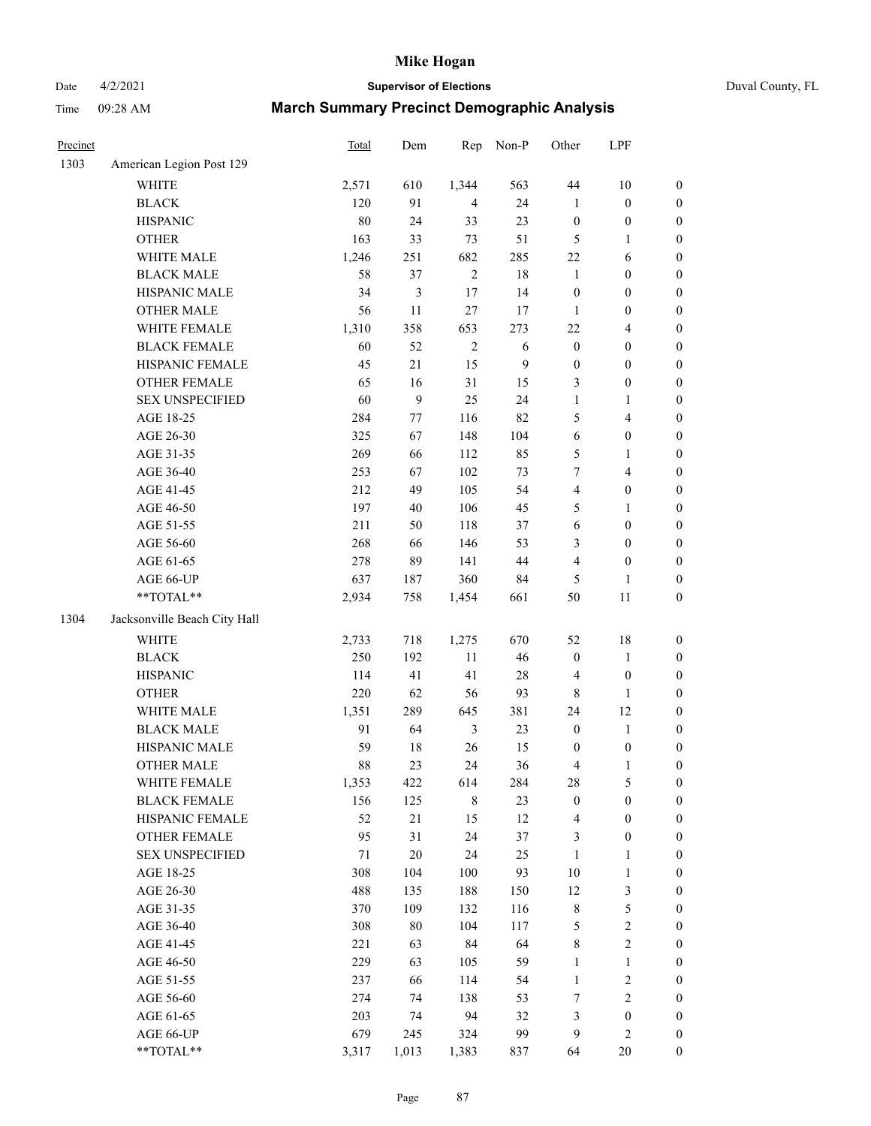Date 4/2/2021 **Supervisor of Elections** Duval County, FL

| Precinct |                                                             | Total  | Dem              | Rep            | Non-P  | Other                   | LPF              |                  |
|----------|-------------------------------------------------------------|--------|------------------|----------------|--------|-------------------------|------------------|------------------|
| 1303     | American Legion Post 129                                    |        |                  |                |        |                         |                  |                  |
|          | <b>WHITE</b>                                                | 2,571  | 610              | 1,344          | 563    | 44                      | 10               | $\boldsymbol{0}$ |
|          | $\operatorname{BLACK}$                                      | 120    | 91               | $\overline{4}$ | 24     | $\mathbf{1}$            | $\boldsymbol{0}$ | $\boldsymbol{0}$ |
|          | <b>HISPANIC</b>                                             | $80\,$ | 24               | 33             | 23     | $\boldsymbol{0}$        | $\boldsymbol{0}$ | $\boldsymbol{0}$ |
|          | <b>OTHER</b>                                                | 163    | 33               | 73             | 51     | 5                       | $\mathbf{1}$     | $\boldsymbol{0}$ |
|          | WHITE MALE                                                  | 1,246  | 251              | 682            | 285    | $22\,$                  | 6                | $\boldsymbol{0}$ |
|          | <b>BLACK MALE</b>                                           | 58     | 37               | $\overline{2}$ | 18     | $\mathbf{1}$            | $\boldsymbol{0}$ | $\boldsymbol{0}$ |
|          | HISPANIC MALE                                               | 34     | $\mathfrak{Z}$   | $17\,$         | 14     | $\boldsymbol{0}$        | $\boldsymbol{0}$ | $\boldsymbol{0}$ |
|          | <b>OTHER MALE</b>                                           | 56     | $11\,$           | $27\,$         | 17     | 1                       | $\boldsymbol{0}$ | $\boldsymbol{0}$ |
|          | WHITE FEMALE                                                | 1,310  | 358              | 653            | 273    | $22\,$                  | $\overline{4}$   | 0                |
|          | <b>BLACK FEMALE</b>                                         | 60     | 52               | $\sqrt{2}$     | 6      | $\boldsymbol{0}$        | $\boldsymbol{0}$ | $\boldsymbol{0}$ |
|          | HISPANIC FEMALE                                             | 45     | 21               | 15             | 9      | $\boldsymbol{0}$        | $\boldsymbol{0}$ | $\boldsymbol{0}$ |
|          | OTHER FEMALE                                                | 65     | 16               | 31             | 15     | 3                       | $\boldsymbol{0}$ | $\boldsymbol{0}$ |
|          | <b>SEX UNSPECIFIED</b>                                      | 60     | $\boldsymbol{9}$ | 25             | 24     | $\mathbf{1}$            | $\mathbf{1}$     | $\boldsymbol{0}$ |
|          | AGE 18-25                                                   | 284    | $77\,$           | 116            | 82     | 5                       | $\overline{4}$   | $\boldsymbol{0}$ |
|          | AGE 26-30                                                   | 325    | 67               | 148            | 104    | $\sqrt{6}$              | $\boldsymbol{0}$ | $\boldsymbol{0}$ |
|          | AGE 31-35                                                   | 269    | 66               | 112            | 85     | 5                       | $\mathbf{1}$     | $\boldsymbol{0}$ |
|          | AGE 36-40                                                   | 253    | 67               | 102            | 73     | $\boldsymbol{7}$        | $\overline{4}$   | $\boldsymbol{0}$ |
|          | AGE 41-45                                                   | 212    | 49               | 105            | 54     | $\overline{\mathbf{4}}$ | $\boldsymbol{0}$ | $\boldsymbol{0}$ |
|          | AGE 46-50                                                   | 197    | $40\,$           | 106            | 45     | 5                       | 1                | 0                |
|          | AGE 51-55                                                   | 211    | 50               | 118            | 37     | $\sqrt{6}$              | $\boldsymbol{0}$ | $\boldsymbol{0}$ |
|          | AGE 56-60                                                   | 268    | 66               | 146            | 53     | 3                       | $\boldsymbol{0}$ | $\boldsymbol{0}$ |
|          | AGE 61-65                                                   | 278    | 89               | 141            | $44\,$ | $\overline{4}$          | $\boldsymbol{0}$ | $\boldsymbol{0}$ |
|          | AGE 66-UP                                                   | 637    | 187              | 360            | 84     | 5                       | $\mathbf{1}$     | $\boldsymbol{0}$ |
|          | $\mathrm{*}\mathrm{*} \mathrm{TOTAL} \mathrm{*} \mathrm{*}$ | 2,934  | 758              | 1,454          | 661    | 50                      | $11\,$           | $\boldsymbol{0}$ |
| 1304     | Jacksonville Beach City Hall                                |        |                  |                |        |                         |                  |                  |
|          | <b>WHITE</b>                                                | 2,733  | 718              | 1,275          | 670    | 52                      | $18\,$           | $\boldsymbol{0}$ |
|          | <b>BLACK</b>                                                | 250    | 192              | 11             | $46\,$ | $\boldsymbol{0}$        | $\mathbf{1}$     | $\boldsymbol{0}$ |
|          | <b>HISPANIC</b>                                             | 114    | 41               | 41             | $28\,$ | 4                       | $\boldsymbol{0}$ | $\boldsymbol{0}$ |
|          | <b>OTHER</b>                                                | 220    | 62               | 56             | 93     | $\,$ 8 $\,$             | $\mathbf{1}$     | $\boldsymbol{0}$ |
|          | WHITE MALE                                                  | 1,351  | 289              | 645            | 381    | 24                      | 12               | 0                |
|          | <b>BLACK MALE</b>                                           | 91     | 64               | 3              | 23     | $\boldsymbol{0}$        | $\mathbf{1}$     | 0                |
|          | HISPANIC MALE                                               | 59     | $18\,$           | 26             | 15     | $\boldsymbol{0}$        | $\boldsymbol{0}$ | 0                |
|          | <b>OTHER MALE</b>                                           | 88     | 23               | 24             | 36     | 4                       | $\mathbf{1}$     | $\boldsymbol{0}$ |
|          | WHITE FEMALE                                                | 1,353  | 422              | 614            | 284    | 28                      | 5                | $\boldsymbol{0}$ |
|          | <b>BLACK FEMALE</b>                                         | 156    | 125              | $\,8\,$        | 23     | $\boldsymbol{0}$        | $\boldsymbol{0}$ | $\overline{0}$   |
|          | HISPANIC FEMALE                                             | 52     | 21               | 15             | 12     | 4                       | $\boldsymbol{0}$ | 0                |
|          | <b>OTHER FEMALE</b>                                         | 95     | 31               | 24             | $37\,$ | 3                       | $\boldsymbol{0}$ | 0                |
|          | <b>SEX UNSPECIFIED</b>                                      | 71     | $20\,$           | 24             | $25\,$ | $\mathbf{1}$            | $\mathbf{1}$     | 0                |
|          | AGE 18-25                                                   | 308    | 104              | 100            | 93     | $10\,$                  | $\mathbf{1}$     | 0                |
|          | AGE 26-30                                                   | 488    | 135              | 188            | 150    | 12                      | 3                | 0                |
|          | AGE 31-35                                                   | 370    | 109              | 132            | 116    | 8                       | 5                | 0                |
|          | AGE 36-40                                                   | 308    | $80\,$           | 104            | 117    | 5                       | $\sqrt{2}$       | 0                |
|          | AGE 41-45                                                   | 221    | 63               | 84             | 64     | $\,$ 8 $\,$             | $\sqrt{2}$       | 0                |
|          | AGE 46-50                                                   | 229    | 63               | 105            | 59     | $\mathbf{1}$            | $\mathbf{1}$     | $\boldsymbol{0}$ |
|          | AGE 51-55                                                   | 237    | 66               | 114            | 54     | $\mathbf{1}$            | $\sqrt{2}$       | $\boldsymbol{0}$ |
|          | AGE 56-60                                                   | 274    | 74               | 138            | 53     | 7                       | $\mathfrak{2}$   | 0                |
|          | AGE 61-65                                                   | 203    | 74               | 94             | 32     | 3                       | $\boldsymbol{0}$ | $\overline{0}$   |
|          | AGE 66-UP                                                   | 679    | 245              | 324            | 99     | 9                       | $\sqrt{2}$       | $\overline{0}$   |
|          | **TOTAL**                                                   | 3,317  | 1,013            | 1,383          | 837    | 64                      | 20               | $\boldsymbol{0}$ |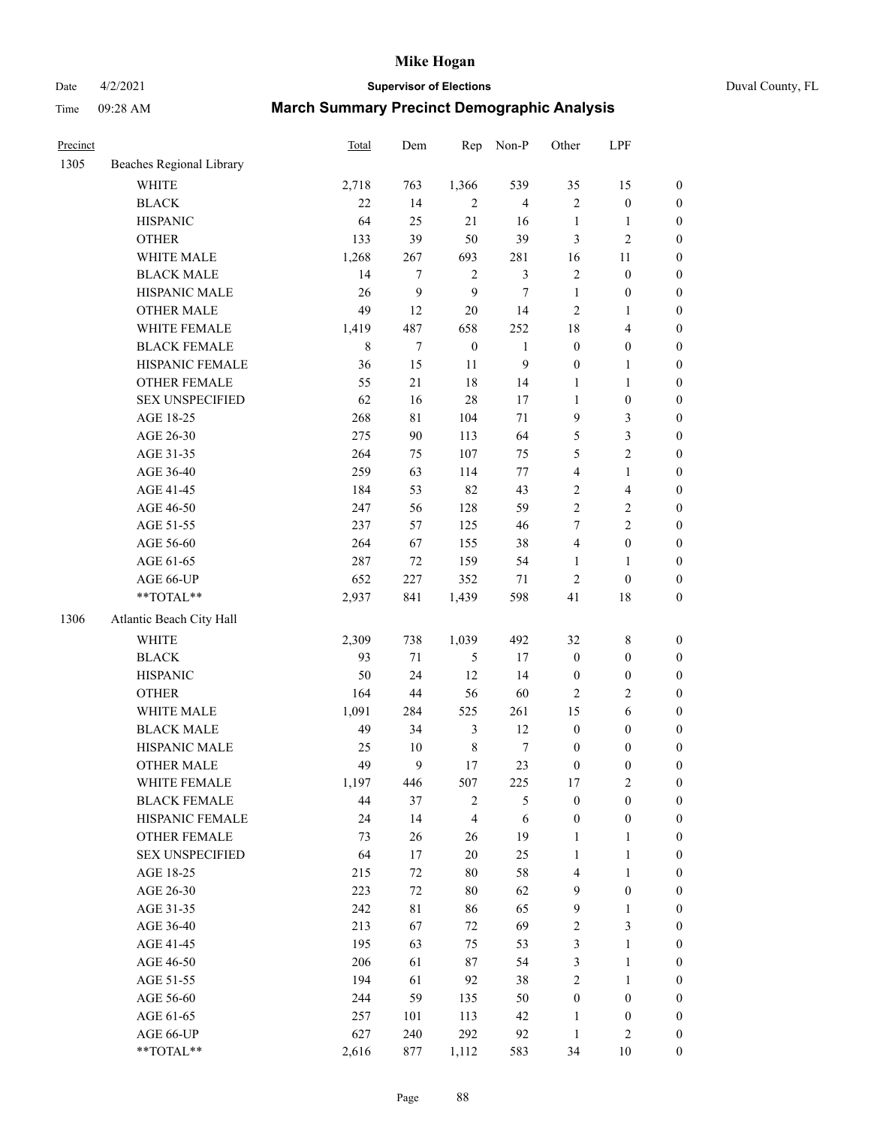Date 4/2/2021 **Supervisor of Elections** Duval County, FL

| Precinct |                                                             | <b>Total</b> | Dem              | Rep                     | Non-P            | Other            | LPF              |                  |
|----------|-------------------------------------------------------------|--------------|------------------|-------------------------|------------------|------------------|------------------|------------------|
| 1305     | Beaches Regional Library                                    |              |                  |                         |                  |                  |                  |                  |
|          | <b>WHITE</b>                                                | 2,718        | 763              | 1,366                   | 539              | 35               | 15               | $\boldsymbol{0}$ |
|          | <b>BLACK</b>                                                | 22           | 14               | $\overline{2}$          | $\overline{4}$   | $\overline{c}$   | $\boldsymbol{0}$ | $\boldsymbol{0}$ |
|          | <b>HISPANIC</b>                                             | 64           | 25               | 21                      | 16               | $\mathbf{1}$     | $\mathbf{1}$     | $\boldsymbol{0}$ |
|          | <b>OTHER</b>                                                | 133          | 39               | 50                      | 39               | 3                | $\mathfrak{2}$   | $\boldsymbol{0}$ |
|          | WHITE MALE                                                  | 1,268        | 267              | 693                     | 281              | 16               | 11               | $\boldsymbol{0}$ |
|          | <b>BLACK MALE</b>                                           | 14           | 7                | $\overline{2}$          | $\mathfrak{Z}$   | 2                | $\boldsymbol{0}$ | $\boldsymbol{0}$ |
|          | HISPANIC MALE                                               | 26           | $\boldsymbol{9}$ | $\boldsymbol{9}$        | $\boldsymbol{7}$ | $\mathbf{1}$     | $\boldsymbol{0}$ | $\boldsymbol{0}$ |
|          | <b>OTHER MALE</b>                                           | 49           | 12               | $20\,$                  | 14               | 2                | $\mathbf{1}$     | $\boldsymbol{0}$ |
|          | WHITE FEMALE                                                | 1,419        | 487              | 658                     | 252              | 18               | $\overline{4}$   | 0                |
|          | <b>BLACK FEMALE</b>                                         | 8            | $\boldsymbol{7}$ | $\boldsymbol{0}$        | $\mathbf{1}$     | $\boldsymbol{0}$ | $\boldsymbol{0}$ | $\boldsymbol{0}$ |
|          | HISPANIC FEMALE                                             | 36           | 15               | $11\,$                  | 9                | $\boldsymbol{0}$ | $\mathbf{1}$     | $\boldsymbol{0}$ |
|          | <b>OTHER FEMALE</b>                                         | 55           | 21               | 18                      | 14               | 1                | $\mathbf{1}$     | $\boldsymbol{0}$ |
|          | <b>SEX UNSPECIFIED</b>                                      | 62           | 16               | 28                      | 17               | $\mathbf{1}$     | $\boldsymbol{0}$ | $\boldsymbol{0}$ |
|          | AGE 18-25                                                   | 268          | $8\sqrt{1}$      | 104                     | 71               | 9                | $\mathfrak{Z}$   | $\boldsymbol{0}$ |
|          | AGE 26-30                                                   | 275          | 90               | 113                     | 64               | 5                | $\mathfrak{Z}$   | $\boldsymbol{0}$ |
|          | AGE 31-35                                                   | 264          | 75               | 107                     | 75               | 5                | $\overline{c}$   | $\boldsymbol{0}$ |
|          | AGE 36-40                                                   | 259          | 63               | 114                     | $77\,$           | 4                | $\mathbf{1}$     | $\boldsymbol{0}$ |
|          | AGE 41-45                                                   | 184          | 53               | 82                      | 43               | $\overline{c}$   | $\overline{4}$   | $\boldsymbol{0}$ |
|          | AGE 46-50                                                   | 247          | 56               | 128                     | 59               | $\overline{2}$   | $\sqrt{2}$       | 0                |
|          | AGE 51-55                                                   | 237          | 57               | 125                     | 46               | $\tau$           | $\sqrt{2}$       | $\boldsymbol{0}$ |
|          | AGE 56-60                                                   | 264          | 67               | 155                     | 38               | 4                | $\boldsymbol{0}$ | $\boldsymbol{0}$ |
|          | AGE 61-65                                                   | 287          | 72               | 159                     | 54               | 1                | 1                | $\boldsymbol{0}$ |
|          | AGE 66-UP                                                   | 652          | 227              | 352                     | 71               | 2                | $\boldsymbol{0}$ | $\boldsymbol{0}$ |
|          | $\mathrm{*}\mathrm{*} \mathrm{TOTAL} \mathrm{*} \mathrm{*}$ | 2,937        | 841              | 1,439                   | 598              | 41               | 18               | $\boldsymbol{0}$ |
| 1306     | Atlantic Beach City Hall                                    |              |                  |                         |                  |                  |                  |                  |
|          | <b>WHITE</b>                                                | 2,309        | 738              | 1,039                   | 492              | 32               | $\,$ 8 $\,$      | $\boldsymbol{0}$ |
|          | <b>BLACK</b>                                                | 93           | $71\,$           | 5                       | 17               | $\boldsymbol{0}$ | $\boldsymbol{0}$ | $\boldsymbol{0}$ |
|          | <b>HISPANIC</b>                                             | 50           | 24               | 12                      | 14               | $\boldsymbol{0}$ | $\boldsymbol{0}$ | $\boldsymbol{0}$ |
|          | <b>OTHER</b>                                                | 164          | 44               | 56                      | 60               | $\overline{2}$   | $\sqrt{2}$       | $\boldsymbol{0}$ |
|          | WHITE MALE                                                  | 1,091        | 284              | 525                     | 261              | 15               | 6                | $\boldsymbol{0}$ |
|          | <b>BLACK MALE</b>                                           | 49           | 34               | 3                       | 12               | $\boldsymbol{0}$ | $\boldsymbol{0}$ | 0                |
|          | HISPANIC MALE                                               | 25           | $10\,$           | $\,8\,$                 | $\boldsymbol{7}$ | $\boldsymbol{0}$ | $\boldsymbol{0}$ | 0                |
|          | <b>OTHER MALE</b>                                           | 49           | 9                | $17\,$                  | 23               | $\boldsymbol{0}$ | $\boldsymbol{0}$ | $\boldsymbol{0}$ |
|          | WHITE FEMALE                                                | 1,197        | 446              | 507                     | 225              | $17\,$           | $\sqrt{2}$       | $\boldsymbol{0}$ |
|          | <b>BLACK FEMALE</b>                                         | 44           | 37               | $\boldsymbol{2}$        | 5                | $\boldsymbol{0}$ | $\boldsymbol{0}$ | $\overline{0}$   |
|          | HISPANIC FEMALE                                             | 24           | 14               | $\overline{\mathbf{4}}$ | 6                | $\boldsymbol{0}$ | $\boldsymbol{0}$ | $\overline{0}$   |
|          | <b>OTHER FEMALE</b>                                         | 73           | 26               | 26                      | 19               | $\mathbf{1}$     | $\mathbf{1}$     | $\overline{0}$   |
|          | <b>SEX UNSPECIFIED</b>                                      | 64           | 17               | $20\,$                  | $25\,$           | $\mathbf{1}$     | $\mathbf{1}$     | $\theta$         |
|          | AGE 18-25                                                   | 215          | 72               | $80\,$                  | 58               | 4                | $\mathbf{1}$     | 0                |
|          | AGE 26-30                                                   | 223          | $72\,$           | $80\,$                  | 62               | $\mathbf{9}$     | $\boldsymbol{0}$ | 0                |
|          | AGE 31-35                                                   | 242          | $8\sqrt{1}$      | 86                      | 65               | $\mathbf{9}$     | $\mathbf{1}$     | 0                |
|          | AGE 36-40                                                   | 213          | 67               | 72                      | 69               | 2                | $\mathfrak{Z}$   | 0                |
|          | AGE 41-45                                                   | 195          | 63               | 75                      | 53               | 3                | $\mathbf{1}$     | $\overline{0}$   |
|          | AGE 46-50                                                   | 206          | 61               | 87                      | 54               | 3                | $\mathbf{1}$     | $\boldsymbol{0}$ |
|          | AGE 51-55                                                   | 194          | 61               | 92                      | 38               | 2                | $\mathbf{1}$     | $\boldsymbol{0}$ |
|          | AGE 56-60                                                   | 244          | 59               | 135                     | 50               | $\boldsymbol{0}$ | $\boldsymbol{0}$ | 0                |
|          | AGE 61-65                                                   | 257          | 101              | 113                     | 42               | $\mathbf{1}$     | $\boldsymbol{0}$ | $\overline{0}$   |
|          | AGE 66-UP                                                   | 627          | 240              | 292                     | 92               | $\mathbf{1}$     | $\sqrt{2}$       | $\overline{0}$   |
|          | **TOTAL**                                                   | 2,616        | 877              | 1,112                   | 583              | 34               | 10               | $\boldsymbol{0}$ |
|          |                                                             |              |                  |                         |                  |                  |                  |                  |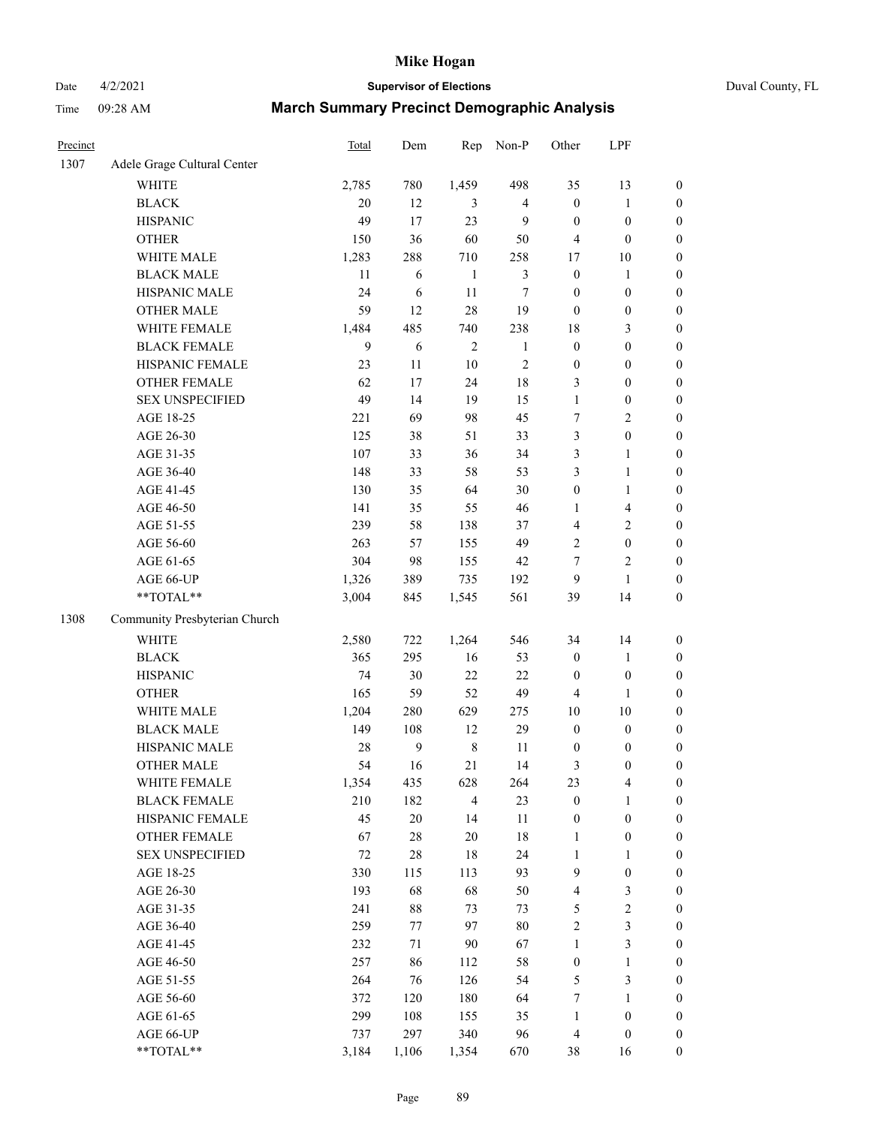# Date 4/2/2021 **Supervisor of Elections** Duval County, FL

| Precinct |                               | Total  | Dem              | Rep            | Non-P          | Other            | LPF              |                  |
|----------|-------------------------------|--------|------------------|----------------|----------------|------------------|------------------|------------------|
| 1307     | Adele Grage Cultural Center   |        |                  |                |                |                  |                  |                  |
|          | <b>WHITE</b>                  | 2,785  | 780              | 1,459          | 498            | 35               | 13               | 0                |
|          | <b>BLACK</b>                  | 20     | 12               | 3              | $\overline{4}$ | $\boldsymbol{0}$ | $\mathbf{1}$     | 0                |
|          | <b>HISPANIC</b>               | 49     | 17               | 23             | 9              | $\boldsymbol{0}$ | $\boldsymbol{0}$ | $\boldsymbol{0}$ |
|          | <b>OTHER</b>                  | 150    | 36               | 60             | 50             | 4                | $\boldsymbol{0}$ | $\boldsymbol{0}$ |
|          | WHITE MALE                    | 1,283  | 288              | 710            | 258            | 17               | 10               | $\boldsymbol{0}$ |
|          | <b>BLACK MALE</b>             | 11     | 6                | $\mathbf{1}$   | $\mathfrak{Z}$ | $\boldsymbol{0}$ | 1                | $\boldsymbol{0}$ |
|          | HISPANIC MALE                 | 24     | 6                | 11             | $\tau$         | $\boldsymbol{0}$ | $\boldsymbol{0}$ | $\boldsymbol{0}$ |
|          | <b>OTHER MALE</b>             | 59     | 12               | $28\,$         | 19             | $\boldsymbol{0}$ | $\boldsymbol{0}$ | $\boldsymbol{0}$ |
|          | WHITE FEMALE                  | 1,484  | 485              | 740            | 238            | 18               | $\mathfrak{Z}$   | $\boldsymbol{0}$ |
|          | <b>BLACK FEMALE</b>           | 9      | 6                | $\sqrt{2}$     | $\mathbf{1}$   | $\boldsymbol{0}$ | $\boldsymbol{0}$ | $\boldsymbol{0}$ |
|          | HISPANIC FEMALE               | 23     | 11               | $10\,$         | $\sqrt{2}$     | $\boldsymbol{0}$ | $\boldsymbol{0}$ | $\boldsymbol{0}$ |
|          | OTHER FEMALE                  | 62     | 17               | 24             | 18             | 3                | $\boldsymbol{0}$ | $\boldsymbol{0}$ |
|          | <b>SEX UNSPECIFIED</b>        | 49     | 14               | 19             | 15             | $\mathbf{1}$     | $\boldsymbol{0}$ | $\boldsymbol{0}$ |
|          | AGE 18-25                     | 221    | 69               | 98             | 45             | 7                | $\sqrt{2}$       | $\boldsymbol{0}$ |
|          | AGE 26-30                     | 125    | 38               | 51             | 33             | 3                | $\boldsymbol{0}$ | $\boldsymbol{0}$ |
|          | AGE 31-35                     | 107    | 33               | 36             | 34             | 3                | $\mathbf{1}$     | $\boldsymbol{0}$ |
|          | AGE 36-40                     | 148    | 33               | 58             | 53             | 3                | $\mathbf{1}$     | $\boldsymbol{0}$ |
|          | AGE 41-45                     | 130    | 35               | 64             | $30\,$         | $\boldsymbol{0}$ | $\mathbf{1}$     | $\boldsymbol{0}$ |
|          | AGE 46-50                     | 141    | 35               | 55             | $46\,$         | $\mathbf{1}$     | $\overline{4}$   | $\boldsymbol{0}$ |
|          | AGE 51-55                     | 239    | 58               | 138            | 37             | $\overline{4}$   | $\sqrt{2}$       | $\boldsymbol{0}$ |
|          | AGE 56-60                     | 263    | 57               | 155            | 49             | $\sqrt{2}$       | $\boldsymbol{0}$ | $\boldsymbol{0}$ |
|          | AGE 61-65                     | 304    | 98               | 155            | $42\,$         | $\tau$           | $\mathfrak{2}$   | $\boldsymbol{0}$ |
|          | AGE 66-UP                     | 1,326  | 389              | 735            | 192            | 9                | $\mathbf{1}$     | $\boldsymbol{0}$ |
|          | **TOTAL**                     | 3,004  | 845              | 1,545          | 561            | 39               | 14               | $\boldsymbol{0}$ |
|          |                               |        |                  |                |                |                  |                  |                  |
| 1308     | Community Presbyterian Church |        |                  |                |                |                  |                  |                  |
|          | WHITE                         | 2,580  | 722              | 1,264          | 546            | 34               | 14               | $\boldsymbol{0}$ |
|          | <b>BLACK</b>                  | 365    | 295              | 16             | 53             | $\boldsymbol{0}$ | $\mathbf{1}$     | $\boldsymbol{0}$ |
|          | <b>HISPANIC</b>               | 74     | 30               | 22             | 22             | $\boldsymbol{0}$ | $\boldsymbol{0}$ | $\boldsymbol{0}$ |
|          | <b>OTHER</b>                  | 165    | 59               | 52             | 49             | 4                | $\mathbf{1}$     | $\boldsymbol{0}$ |
|          | WHITE MALE                    | 1,204  | 280              | 629            | 275            | $10\,$           | 10               | $\boldsymbol{0}$ |
|          | <b>BLACK MALE</b>             | 149    | 108              | 12             | 29             | $\boldsymbol{0}$ | $\boldsymbol{0}$ | $\boldsymbol{0}$ |
|          | HISPANIC MALE                 | $28\,$ | $\boldsymbol{9}$ | $\,8\,$        | 11             | $\boldsymbol{0}$ | $\boldsymbol{0}$ | 0                |
|          | <b>OTHER MALE</b>             | 54     | 16               | 21             | 14             | 3                | $\boldsymbol{0}$ | $\boldsymbol{0}$ |
|          | WHITE FEMALE                  | 1,354  | 435              | 628            | 264            | 23               | 4                | 0                |
|          | <b>BLACK FEMALE</b>           | 210    | 182              | $\overline{4}$ | 23             | $\boldsymbol{0}$ | $\mathbf{1}$     | $\overline{0}$   |
|          | HISPANIC FEMALE               | 45     | $20\,$           | 14             | $11\,$         | $\boldsymbol{0}$ | $\boldsymbol{0}$ | $\overline{0}$   |
|          | <b>OTHER FEMALE</b>           | 67     | $28\,$           | $20\,$         | 18             | $\mathbf{1}$     | $\boldsymbol{0}$ | 0                |
|          | <b>SEX UNSPECIFIED</b>        | 72     | $28\,$           | $18\,$         | 24             | $\mathbf{1}$     | $\mathbf{1}$     | 0                |
|          | AGE 18-25                     | 330    | 115              | 113            | 93             | 9                | $\boldsymbol{0}$ | 0                |
|          | AGE 26-30                     | 193    | 68               | 68             | 50             | 4                | 3                | 0                |
|          | AGE 31-35                     | 241    | $88\,$           | 73             | 73             | 5                | $\sqrt{2}$       | 0                |
|          | AGE 36-40                     | 259    | 77               | 97             | $80\,$         | $\overline{c}$   | $\mathfrak{Z}$   | 0                |
|          | AGE 41-45                     | 232    | 71               | $90\,$         | 67             | $\mathbf{1}$     | 3                | 0                |
|          | AGE 46-50                     | 257    | 86               | 112            | 58             | $\boldsymbol{0}$ | $\mathbf{1}$     | 0                |
|          | AGE 51-55                     | 264    | 76               | 126            | 54             | 5                | 3                | 0                |
|          | AGE 56-60                     | 372    | 120              | 180            | 64             | 7                | 1                | 0                |
|          | AGE 61-65                     | 299    | 108              | 155            | 35             | $\mathbf{1}$     | $\boldsymbol{0}$ | 0                |
|          | AGE 66-UP                     | 737    | 297              | 340            | 96             | 4                | $\boldsymbol{0}$ | 0                |
|          | **TOTAL**                     | 3,184  | 1,106            | 1,354          | 670            | 38               | 16               | $\boldsymbol{0}$ |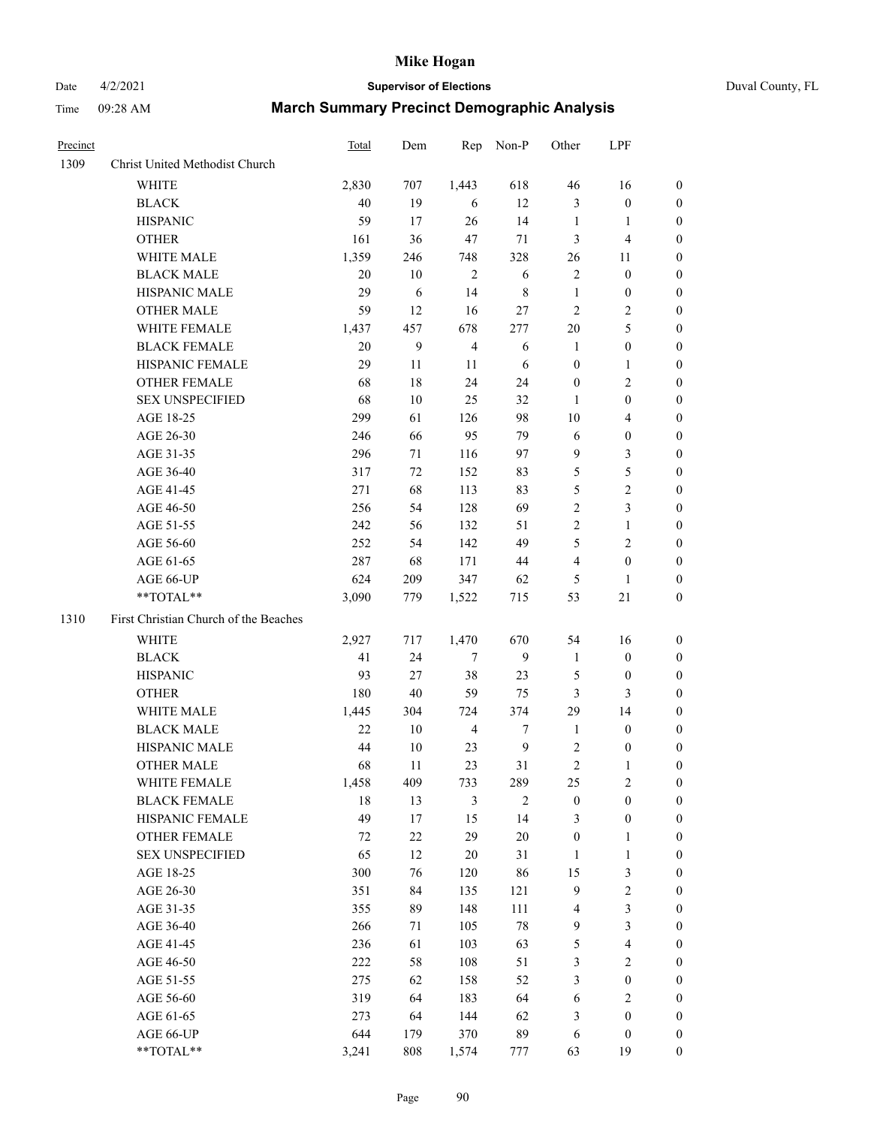# Date 4/2/2021 **Supervisor of Elections** Duval County, FL

| Precinct |                                       | Total  | Dem    | Rep            | Non-P            | Other            | LPF                    |                       |
|----------|---------------------------------------|--------|--------|----------------|------------------|------------------|------------------------|-----------------------|
| 1309     | Christ United Methodist Church        |        |        |                |                  |                  |                        |                       |
|          | <b>WHITE</b>                          | 2,830  | 707    | 1,443          | 618              | 46               | 16                     | 0                     |
|          | <b>BLACK</b>                          | 40     | 19     | 6              | 12               | 3                | $\boldsymbol{0}$       | 0                     |
|          | <b>HISPANIC</b>                       | 59     | 17     | 26             | 14               | $\mathbf{1}$     | $\mathbf{1}$           | 0                     |
|          | <b>OTHER</b>                          | 161    | 36     | 47             | $71\,$           | 3                | $\overline{4}$         | $\boldsymbol{0}$      |
|          | WHITE MALE                            | 1,359  | 246    | 748            | 328              | 26               | 11                     | $\boldsymbol{0}$      |
|          | <b>BLACK MALE</b>                     | 20     | 10     | $\mathfrak{2}$ | 6                | 2                | $\boldsymbol{0}$       | $\boldsymbol{0}$      |
|          | HISPANIC MALE                         | 29     | 6      | 14             | $\,8\,$          | $\mathbf{1}$     | $\boldsymbol{0}$       | $\boldsymbol{0}$      |
|          | <b>OTHER MALE</b>                     | 59     | 12     | 16             | 27               | $\overline{c}$   | $\mathfrak{2}$         | $\boldsymbol{0}$      |
|          | WHITE FEMALE                          | 1,437  | 457    | 678            | 277              | $20\,$           | 5                      | $\boldsymbol{0}$      |
|          | <b>BLACK FEMALE</b>                   | $20\,$ | 9      | $\overline{4}$ | 6                | $\mathbf{1}$     | $\boldsymbol{0}$       | 0                     |
|          | HISPANIC FEMALE                       | 29     | 11     | 11             | 6                | 0                | $\mathbf{1}$           | 0                     |
|          | OTHER FEMALE                          | 68     | 18     | 24             | 24               | 0                | $\sqrt{2}$             | 0                     |
|          | <b>SEX UNSPECIFIED</b>                | 68     | 10     | 25             | 32               | $\mathbf{1}$     | $\boldsymbol{0}$       | $\boldsymbol{0}$      |
|          | AGE 18-25                             | 299    | 61     | 126            | 98               | $10\,$           | $\overline{4}$         | $\boldsymbol{0}$      |
|          | AGE 26-30                             | 246    | 66     | 95             | 79               | 6                | $\boldsymbol{0}$       | $\boldsymbol{0}$      |
|          | AGE 31-35                             | 296    | 71     | 116            | 97               | 9                | $\mathfrak{Z}$         | $\boldsymbol{0}$      |
|          | AGE 36-40                             | 317    | 72     | 152            | 83               | 5                | 5                      | $\boldsymbol{0}$      |
|          | AGE 41-45                             | 271    | 68     | 113            | 83               | 5                | $\overline{c}$         | $\overline{0}$        |
|          | AGE 46-50                             | 256    | 54     | 128            | 69               | $\overline{c}$   | 3                      | $\boldsymbol{0}$      |
|          | AGE 51-55                             | 242    | 56     | 132            | 51               | $\mathbf{2}$     | $\mathbf{1}$           | 0                     |
|          |                                       | 252    | 54     | 142            | 49               | 5                | $\sqrt{2}$             |                       |
|          | AGE 56-60<br>AGE 61-65                | 287    | 68     | 171            | 44               | 4                | $\boldsymbol{0}$       | 0<br>0                |
|          |                                       | 624    | 209    | 347            |                  |                  |                        |                       |
|          | AGE 66-UP<br>**TOTAL**                | 3,090  | 779    |                | 62               | 5<br>53          | $\mathbf{1}$<br>$21\,$ | 0<br>$\boldsymbol{0}$ |
|          |                                       |        |        | 1,522          | 715              |                  |                        |                       |
| 1310     | First Christian Church of the Beaches |        |        |                |                  |                  |                        |                       |
|          | <b>WHITE</b>                          | 2,927  | 717    | 1,470          | 670              | 54               | 16                     | $\boldsymbol{0}$      |
|          | <b>BLACK</b>                          | 41     | 24     | $\tau$         | 9                | $\mathbf{1}$     | $\boldsymbol{0}$       | $\boldsymbol{0}$      |
|          | <b>HISPANIC</b>                       | 93     | 27     | 38             | 23               | 5                | $\boldsymbol{0}$       | $\boldsymbol{0}$      |
|          | <b>OTHER</b>                          | 180    | 40     | 59             | 75               | 3                | 3                      | $\overline{0}$        |
|          | WHITE MALE                            | 1,445  | 304    | 724            | 374              | 29               | 14                     | $\overline{0}$        |
|          | <b>BLACK MALE</b>                     | 22     | $10\,$ | $\overline{4}$ | $\boldsymbol{7}$ | $\mathbf{1}$     | $\boldsymbol{0}$       | $\boldsymbol{0}$      |
|          | HISPANIC MALE                         | 44     | 10     | 23             | $\overline{9}$   | 2                | $\boldsymbol{0}$       | 0                     |
|          | <b>OTHER MALE</b>                     | 68     | 11     | 23             | 31               | 2                | $\mathbf{1}$           | 0                     |
|          | WHITE FEMALE                          | 1,458  | 409    | 733            | 289              | 25               | $\overline{c}$         | 0                     |
|          | <b>BLACK FEMALE</b>                   | 18     | 13     | 3              | $\mathfrak{2}$   | $\boldsymbol{0}$ | $\boldsymbol{0}$       | $\overline{0}$        |
|          | HISPANIC FEMALE                       | 49     | 17     | 15             | 14               | 3                | $\boldsymbol{0}$       | $\overline{0}$        |
|          | OTHER FEMALE                          | 72     | $22\,$ | 29             | 20               | $\boldsymbol{0}$ | $\mathbf{1}$           | $\overline{0}$        |
|          | <b>SEX UNSPECIFIED</b>                | 65     | 12     | $20\,$         | 31               | 1                | $\mathbf{1}$           | 0                     |
|          | AGE 18-25                             | 300    | 76     | 120            | 86               | 15               | 3                      | 0                     |
|          | AGE 26-30                             | 351    | 84     | 135            | 121              | 9                | $\sqrt{2}$             | 0                     |
|          | AGE 31-35                             | 355    | 89     | 148            | 111              | 4                | 3                      | 0                     |
|          | AGE 36-40                             | 266    | 71     | 105            | 78               | 9                | $\mathfrak{Z}$         | 0                     |
|          | AGE 41-45                             | 236    | 61     | 103            | 63               | 5                | $\overline{4}$         | 0                     |
|          | AGE 46-50                             | 222    | 58     | 108            | 51               | 3                | $\sqrt{2}$             | 0                     |
|          | AGE 51-55                             | 275    | 62     | 158            | 52               | 3                | $\boldsymbol{0}$       | $\overline{0}$        |
|          | AGE 56-60                             | 319    | 64     | 183            | 64               | 6                | $\sqrt{2}$             | $\overline{0}$        |
|          | AGE 61-65                             | 273    | 64     | 144            | 62               | 3                | $\boldsymbol{0}$       | $\overline{0}$        |
|          | AGE 66-UP                             | 644    | 179    | 370            | 89               | 6                | $\boldsymbol{0}$       | 0                     |
|          | **TOTAL**                             | 3,241  | 808    | 1,574          | 777              | 63               | 19                     | $\boldsymbol{0}$      |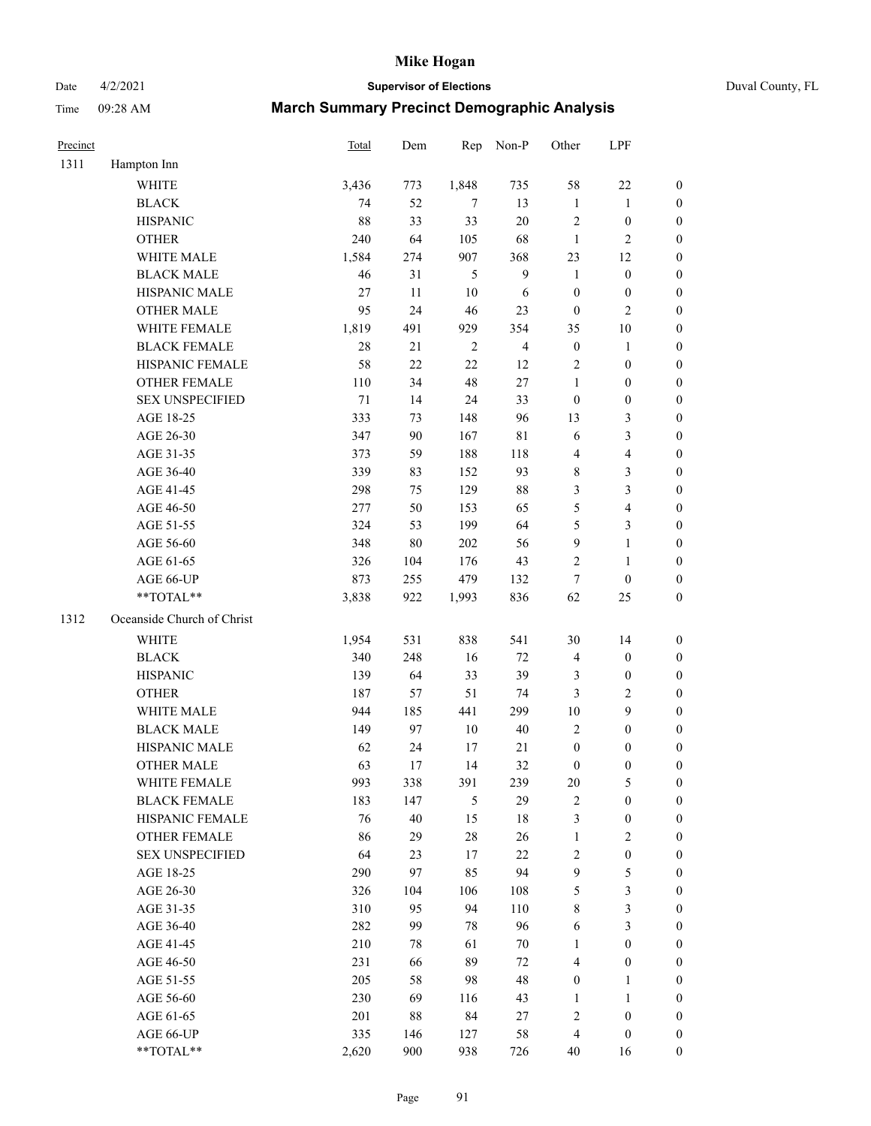Date 4/2/2021 **Supervisor of Elections** Duval County, FL

| Precinct |                                     | Total    | Dem       | Rep            | Non-P                   | Other                    | LPF                                  |                                      |
|----------|-------------------------------------|----------|-----------|----------------|-------------------------|--------------------------|--------------------------------------|--------------------------------------|
| 1311     | Hampton Inn                         |          |           |                |                         |                          |                                      |                                      |
|          | <b>WHITE</b>                        | 3,436    | 773       | 1,848          | 735                     | 58                       | $22\,$                               | $\boldsymbol{0}$                     |
|          | <b>BLACK</b>                        | 74       | 52        | 7              | 13                      | $\mathbf{1}$             | $\mathbf{1}$                         | $\boldsymbol{0}$                     |
|          | <b>HISPANIC</b>                     | 88       | 33        | 33             | $20\,$                  | $\sqrt{2}$               | $\boldsymbol{0}$                     | $\boldsymbol{0}$                     |
|          | <b>OTHER</b>                        | 240      | 64        | 105            | 68                      | $\mathbf{1}$             | $\mathfrak{2}$                       | $\boldsymbol{0}$                     |
|          | WHITE MALE                          | 1,584    | 274       | 907            | 368                     | 23                       | 12                                   | $\boldsymbol{0}$                     |
|          | <b>BLACK MALE</b>                   | 46       | 31        | 5              | $\boldsymbol{9}$        | $\mathbf{1}$             | $\boldsymbol{0}$                     | $\boldsymbol{0}$                     |
|          | HISPANIC MALE                       | 27       | $11\,$    | $10\,$         | $\sqrt{6}$              | $\boldsymbol{0}$         | $\boldsymbol{0}$                     | $\boldsymbol{0}$                     |
|          | <b>OTHER MALE</b>                   | 95       | 24        | 46             | 23                      | $\boldsymbol{0}$         | $\mathfrak{2}$                       | $\overline{0}$                       |
|          | WHITE FEMALE                        | 1,819    | 491       | 929            | 354                     | 35                       | $10\,$                               | $\boldsymbol{0}$                     |
|          | <b>BLACK FEMALE</b>                 | 28       | 21        | $\overline{2}$ | $\overline{\mathbf{4}}$ | $\boldsymbol{0}$         | $\mathbf{1}$                         | 0                                    |
|          | HISPANIC FEMALE                     | 58       | 22        | 22             | 12                      | 2                        | $\boldsymbol{0}$                     | $\boldsymbol{0}$                     |
|          | <b>OTHER FEMALE</b>                 | 110      | 34        | 48             | $27\,$                  | $\mathbf{1}$             | $\boldsymbol{0}$                     | $\boldsymbol{0}$                     |
|          | <b>SEX UNSPECIFIED</b>              | 71       | 14        | 24             | 33                      | $\boldsymbol{0}$         | $\boldsymbol{0}$                     | $\boldsymbol{0}$                     |
|          | AGE 18-25                           | 333      | 73        | 148            | 96                      | 13                       | $\mathfrak{Z}$                       | $\boldsymbol{0}$                     |
|          | AGE 26-30                           | 347      | 90        | 167            | $8\sqrt{1}$             | 6                        | $\mathfrak{Z}$                       | $\boldsymbol{0}$                     |
|          | AGE 31-35                           | 373      | 59        | 188            | 118                     | 4                        | $\overline{4}$                       | $\boldsymbol{0}$                     |
|          | AGE 36-40                           | 339      | 83        | 152            | 93                      | 8                        | $\mathfrak{Z}$                       | $\boldsymbol{0}$                     |
|          | AGE 41-45                           | 298      | 75        | 129            | $88\,$                  | 3                        | $\mathfrak{Z}$                       | $\boldsymbol{0}$                     |
|          | AGE 46-50                           | 277      | 50        | 153            | 65                      | 5                        | $\overline{\mathbf{4}}$              | $\boldsymbol{0}$                     |
|          | AGE 51-55                           | 324      | 53        | 199            | 64                      | 5                        | $\mathfrak{Z}$                       | 0                                    |
|          | AGE 56-60                           | 348      | $80\,$    | 202            | 56                      | 9                        | $\mathbf{1}$                         | $\boldsymbol{0}$                     |
|          | AGE 61-65                           | 326      | 104       | 176            | 43                      | 2                        | $\mathbf{1}$                         | $\boldsymbol{0}$                     |
|          | AGE 66-UP                           | 873      | 255       | 479            | 132                     | 7                        | $\boldsymbol{0}$                     | $\boldsymbol{0}$                     |
|          | **TOTAL**                           | 3,838    | 922       | 1,993          | 836                     | 62                       | 25                                   | $\boldsymbol{0}$                     |
| 1312     | Oceanside Church of Christ          |          |           |                |                         |                          |                                      |                                      |
|          | WHITE                               | 1,954    | 531       | 838            | 541                     | 30                       | 14                                   |                                      |
|          | <b>BLACK</b>                        | 340      | 248       | 16             | 72                      | 4                        | $\boldsymbol{0}$                     | $\boldsymbol{0}$<br>$\boldsymbol{0}$ |
|          | <b>HISPANIC</b>                     | 139      | 64        | 33             | 39                      | 3                        | $\boldsymbol{0}$                     | $\boldsymbol{0}$                     |
|          | <b>OTHER</b>                        | 187      |           | 51             |                         |                          | $\sqrt{2}$                           |                                      |
|          | WHITE MALE                          |          | 57        |                | 74                      | 3                        | $\boldsymbol{9}$                     | $\boldsymbol{0}$                     |
|          | <b>BLACK MALE</b>                   | 944      | 185<br>97 | 441<br>$10\,$  | 299<br>40               | $10\,$<br>$\overline{c}$ | $\boldsymbol{0}$                     | $\boldsymbol{0}$                     |
|          |                                     | 149      |           |                |                         |                          |                                      | $\boldsymbol{0}$                     |
|          | HISPANIC MALE<br><b>OTHER MALE</b>  | 62<br>63 | 24<br>17  | 17<br>14       | 21<br>32                | $\boldsymbol{0}$         | $\boldsymbol{0}$<br>$\boldsymbol{0}$ | 0                                    |
|          |                                     |          |           |                |                         | $\boldsymbol{0}$         |                                      | $\boldsymbol{0}$                     |
|          | WHITE FEMALE<br><b>BLACK FEMALE</b> | 993      | 338       | 391            | 239                     | 20                       | 5                                    | $\overline{0}$                       |
|          |                                     | 183      | 147       | 5              | 29                      | 2                        | $\boldsymbol{0}$                     | $\overline{0}$                       |
|          | HISPANIC FEMALE                     | 76       | $40\,$    | 15             | 18                      | 3                        | $\boldsymbol{0}$                     | $\overline{0}$                       |
|          | <b>OTHER FEMALE</b>                 | 86       | 29        | 28             | 26                      | $\mathbf{1}$             | $\mathfrak{2}$                       | 0                                    |
|          | <b>SEX UNSPECIFIED</b>              | 64       | 23        | 17             | $22\,$                  | $\overline{c}$           | $\boldsymbol{0}$                     | 0                                    |
|          | AGE 18-25                           | 290      | 97        | 85             | 94                      | 9                        | $\mathfrak s$                        | $\theta$                             |
|          | AGE 26-30                           | 326      | 104       | 106            | 108                     | 5                        | $\mathfrak{Z}$                       | 0                                    |
|          | AGE 31-35                           | 310      | 95        | 94             | 110                     | 8                        | $\mathfrak{Z}$                       | 0                                    |
|          | AGE 36-40                           | 282      | 99        | 78             | 96                      | 6                        | $\mathfrak{Z}$                       | 0                                    |
|          | AGE 41-45                           | 210      | 78        | 61             | 70                      | 1                        | $\boldsymbol{0}$                     | 0                                    |
|          | AGE 46-50                           | 231      | 66        | 89             | $72\,$                  | 4                        | $\boldsymbol{0}$                     | 0                                    |
|          | AGE 51-55                           | 205      | 58        | 98             | 48                      | $\boldsymbol{0}$         | 1                                    | $\boldsymbol{0}$                     |
|          | AGE 56-60                           | 230      | 69        | 116            | 43                      | 1                        | $\mathbf{1}$                         | $\boldsymbol{0}$                     |
|          | AGE 61-65                           | 201      | 88        | 84             | 27                      | 2                        | $\boldsymbol{0}$                     | 0                                    |
|          | AGE 66-UP                           | 335      | 146       | 127            | 58                      | 4                        | $\boldsymbol{0}$                     | 0                                    |
|          | **TOTAL**                           | 2,620    | 900       | 938            | 726                     | 40                       | 16                                   | $\boldsymbol{0}$                     |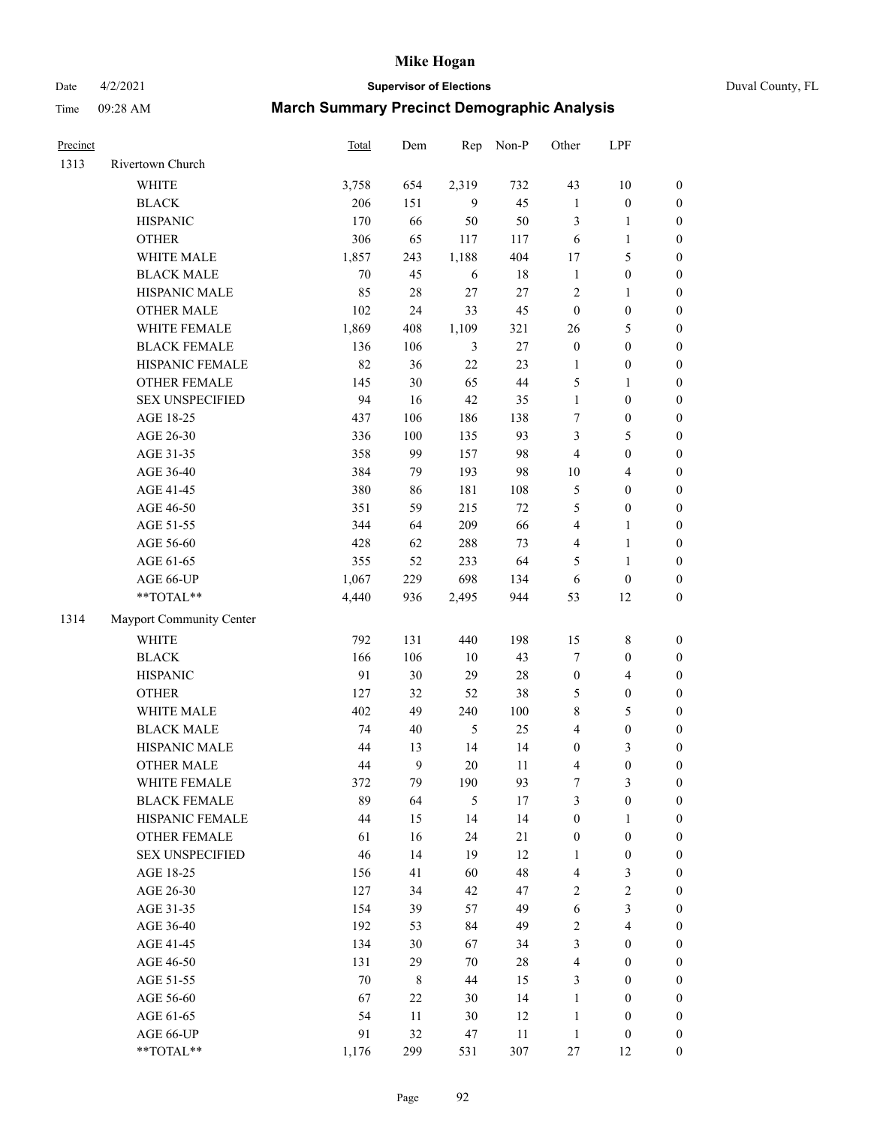# Date 4/2/2021 **Supervisor of Elections** Duval County, FL

| Precinct |                          | <b>Total</b> | Dem         | Rep            | Non-P  | Other            | LPF                     |                  |
|----------|--------------------------|--------------|-------------|----------------|--------|------------------|-------------------------|------------------|
| 1313     | Rivertown Church         |              |             |                |        |                  |                         |                  |
|          | <b>WHITE</b>             | 3,758        | 654         | 2,319          | 732    | 43               | $10\,$                  | 0                |
|          | <b>BLACK</b>             | 206          | 151         | 9              | 45     | $\mathbf{1}$     | $\boldsymbol{0}$        | 0                |
|          | <b>HISPANIC</b>          | 170          | 66          | 50             | 50     | 3                | $\mathbf{1}$            | $\boldsymbol{0}$ |
|          | <b>OTHER</b>             | 306          | 65          | 117            | 117    | 6                | $\mathbf{1}$            | $\boldsymbol{0}$ |
|          | WHITE MALE               | 1,857        | 243         | 1,188          | 404    | 17               | $\mathfrak{S}$          | $\boldsymbol{0}$ |
|          | <b>BLACK MALE</b>        | 70           | 45          | 6              | 18     | $\mathbf{1}$     | $\boldsymbol{0}$        | $\boldsymbol{0}$ |
|          | HISPANIC MALE            | 85           | $28\,$      | 27             | $27\,$ | $\overline{c}$   | $\mathbf{1}$            | $\boldsymbol{0}$ |
|          | <b>OTHER MALE</b>        | 102          | 24          | 33             | 45     | $\boldsymbol{0}$ | $\boldsymbol{0}$        | $\boldsymbol{0}$ |
|          | WHITE FEMALE             | 1,869        | 408         | 1,109          | 321    | 26               | $\mathfrak{S}$          | $\boldsymbol{0}$ |
|          | <b>BLACK FEMALE</b>      | 136          | 106         | 3              | $27\,$ | $\boldsymbol{0}$ | $\boldsymbol{0}$        | $\boldsymbol{0}$ |
|          | HISPANIC FEMALE          | 82           | 36          | 22             | 23     | $\mathbf{1}$     | $\boldsymbol{0}$        | 0                |
|          | <b>OTHER FEMALE</b>      | 145          | 30          | 65             | 44     | 5                | $\mathbf{1}$            | $\boldsymbol{0}$ |
|          | <b>SEX UNSPECIFIED</b>   | 94           | 16          | 42             | 35     | $\mathbf{1}$     | $\boldsymbol{0}$        | $\boldsymbol{0}$ |
|          | AGE 18-25                | 437          | 106         | 186            | 138    | 7                | $\boldsymbol{0}$        | $\boldsymbol{0}$ |
|          | AGE 26-30                | 336          | 100         | 135            | 93     | 3                | 5                       | $\boldsymbol{0}$ |
|          | AGE 31-35                | 358          | 99          | 157            | 98     | 4                | $\boldsymbol{0}$        | $\boldsymbol{0}$ |
|          | AGE 36-40                | 384          | 79          | 193            | 98     | $10\,$           | $\overline{\mathbf{4}}$ | $\boldsymbol{0}$ |
|          | AGE 41-45                | 380          | 86          | 181            | 108    | 5                | $\boldsymbol{0}$        | $\boldsymbol{0}$ |
|          | AGE 46-50                | 351          | 59          | 215            | 72     | 5                | $\boldsymbol{0}$        | $\boldsymbol{0}$ |
|          | AGE 51-55                | 344          | 64          | 209            | 66     | $\overline{4}$   | $\mathbf{1}$            | $\boldsymbol{0}$ |
|          | AGE 56-60                | 428          | 62          | 288            | 73     | $\overline{4}$   | $\mathbf{1}$            | 0                |
|          | AGE 61-65                | 355          | 52          | 233            | 64     | 5                | $\mathbf{1}$            | 0                |
|          | AGE 66-UP                | 1,067        | 229         | 698            | 134    | 6                | $\boldsymbol{0}$        | $\boldsymbol{0}$ |
|          | **TOTAL**                | 4,440        | 936         | 2,495          | 944    | 53               | 12                      | $\boldsymbol{0}$ |
| 1314     | Mayport Community Center |              |             |                |        |                  |                         |                  |
|          | WHITE                    | 792          | 131         | 440            | 198    | 15               | $8\,$                   | $\boldsymbol{0}$ |
|          | <b>BLACK</b>             | 166          | 106         | 10             | 43     | 7                | $\boldsymbol{0}$        | $\boldsymbol{0}$ |
|          | <b>HISPANIC</b>          | 91           | 30          | 29             | $28\,$ | $\boldsymbol{0}$ | $\overline{4}$          | $\boldsymbol{0}$ |
|          | <b>OTHER</b>             | 127          | 32          | 52             | 38     | 5                | $\boldsymbol{0}$        | $\boldsymbol{0}$ |
|          | WHITE MALE               | 402          | 49          | 240            | 100    | 8                | $\mathfrak{S}$          | $\boldsymbol{0}$ |
|          | <b>BLACK MALE</b>        | 74           | 40          | $\mathfrak{H}$ | 25     | $\overline{4}$   | $\boldsymbol{0}$        | $\boldsymbol{0}$ |
|          | HISPANIC MALE            | 44           | 13          | 14             | 14     | $\boldsymbol{0}$ | $\mathfrak{Z}$          | $\boldsymbol{0}$ |
|          | OTHER MALE               | 44           | 9           | 20             | 11     | 4                | $\boldsymbol{0}$        | $\boldsymbol{0}$ |
|          | WHITE FEMALE             | 372          | 79          | 190            | 93     | 7                | 3                       | 0                |
|          | <b>BLACK FEMALE</b>      | 89           | 64          | 5              | 17     | 3                | $\boldsymbol{0}$        | $\boldsymbol{0}$ |
|          | HISPANIC FEMALE          | 44           | 15          | 14             | 14     | $\boldsymbol{0}$ | 1                       | $\overline{0}$   |
|          | OTHER FEMALE             | 61           | 16          | 24             | $21\,$ | $\boldsymbol{0}$ | $\boldsymbol{0}$        | 0                |
|          | <b>SEX UNSPECIFIED</b>   | 46           | 14          | 19             | 12     | $\mathbf{1}$     | $\boldsymbol{0}$        | 0                |
|          | AGE 18-25                | 156          | 41          | 60             | 48     | 4                | $\mathfrak{Z}$          | 0                |
|          | AGE 26-30                | 127          | 34          | 42             | 47     | $\overline{c}$   | $\sqrt{2}$              | 0                |
|          | AGE 31-35                | 154          | 39          | 57             | 49     | 6                | $\mathfrak{Z}$          | 0                |
|          | AGE 36-40                | 192          | 53          | 84             | 49     | 2                | $\overline{\mathbf{4}}$ | 0                |
|          | AGE 41-45                | 134          | 30          | 67             | 34     | 3                | $\boldsymbol{0}$        | 0                |
|          | AGE 46-50                | 131          | 29          | 70             | 28     | 4                | $\boldsymbol{0}$        | 0                |
|          | AGE 51-55                | $70\,$       | $\,$ 8 $\,$ | 44             | 15     | 3                | $\boldsymbol{0}$        | 0                |
|          | AGE 56-60                | 67           | 22          | 30             | 14     | $\mathbf{1}$     | $\boldsymbol{0}$        | 0                |
|          | AGE 61-65                | 54           | 11          | 30             | 12     | $\mathbf{1}$     | $\boldsymbol{0}$        | 0                |
|          | AGE 66-UP                | 91           | 32          | 47             | 11     | $\mathbf{1}$     | $\boldsymbol{0}$        | 0                |
|          | **TOTAL**                | 1,176        | 299         | 531            | 307    | 27               | 12                      | $\boldsymbol{0}$ |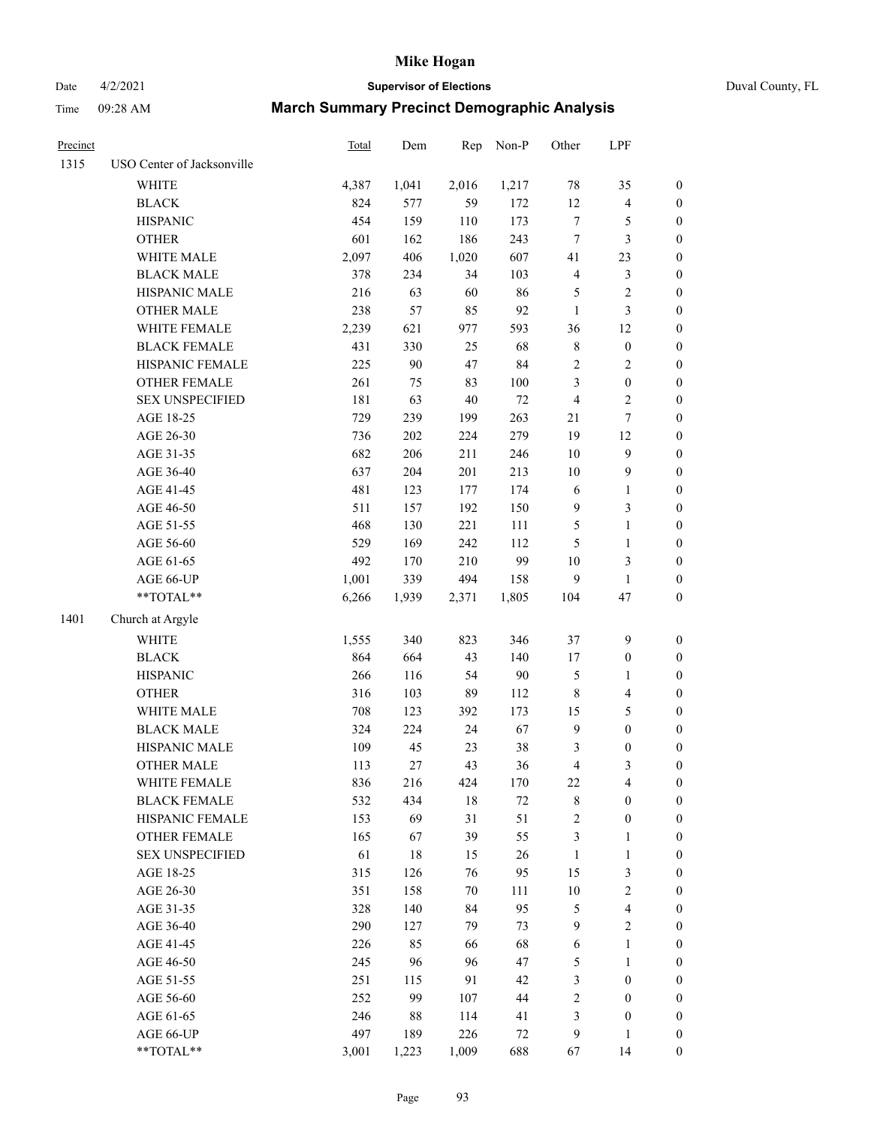Date 4/2/2021 **Supervisor of Elections** Duval County, FL

| Precinct |                            | Total | Dem   | Rep    | Non-P  | Other          | LPF              |                  |
|----------|----------------------------|-------|-------|--------|--------|----------------|------------------|------------------|
| 1315     | USO Center of Jacksonville |       |       |        |        |                |                  |                  |
|          | <b>WHITE</b>               | 4,387 | 1,041 | 2,016  | 1,217  | 78             | 35               | 0                |
|          | <b>BLACK</b>               | 824   | 577   | 59     | 172    | 12             | $\overline{4}$   | 0                |
|          | <b>HISPANIC</b>            | 454   | 159   | 110    | 173    | $\tau$         | $\mathfrak s$    | $\boldsymbol{0}$ |
|          | <b>OTHER</b>               | 601   | 162   | 186    | 243    | 7              | $\mathfrak{Z}$   | $\boldsymbol{0}$ |
|          | WHITE MALE                 | 2,097 | 406   | 1,020  | 607    | 41             | 23               | $\boldsymbol{0}$ |
|          | <b>BLACK MALE</b>          | 378   | 234   | 34     | 103    | 4              | $\mathfrak{Z}$   | $\boldsymbol{0}$ |
|          | HISPANIC MALE              | 216   | 63    | 60     | 86     | 5              | $\sqrt{2}$       | $\boldsymbol{0}$ |
|          | <b>OTHER MALE</b>          | 238   | 57    | 85     | 92     | $\mathbf{1}$   | $\mathfrak{Z}$   | $\boldsymbol{0}$ |
|          | WHITE FEMALE               | 2,239 | 621   | 977    | 593    | 36             | 12               | $\boldsymbol{0}$ |
|          | <b>BLACK FEMALE</b>        | 431   | 330   | 25     | 68     | 8              | $\boldsymbol{0}$ | 0                |
|          | HISPANIC FEMALE            | 225   | 90    | 47     | 84     | $\mathbf{2}$   | $\sqrt{2}$       | 0                |
|          | OTHER FEMALE               | 261   | 75    | 83     | 100    | 3              | $\boldsymbol{0}$ | $\boldsymbol{0}$ |
|          | <b>SEX UNSPECIFIED</b>     | 181   | 63    | 40     | $72\,$ | 4              | $\sqrt{2}$       | $\boldsymbol{0}$ |
|          | AGE 18-25                  | 729   | 239   | 199    | 263    | 21             | $\boldsymbol{7}$ | $\boldsymbol{0}$ |
|          | AGE 26-30                  | 736   | 202   | 224    | 279    | 19             | 12               | $\boldsymbol{0}$ |
|          | AGE 31-35                  | 682   | 206   | 211    | 246    | 10             | $\boldsymbol{9}$ | $\boldsymbol{0}$ |
|          | AGE 36-40                  | 637   | 204   | 201    | 213    | $10\,$         | $\boldsymbol{9}$ | $\boldsymbol{0}$ |
|          | AGE 41-45                  | 481   | 123   | 177    | 174    | $\sqrt{6}$     | $\mathbf{1}$     | $\boldsymbol{0}$ |
|          | AGE 46-50                  | 511   | 157   | 192    | 150    | 9              | $\mathfrak{Z}$   | $\boldsymbol{0}$ |
|          | AGE 51-55                  | 468   | 130   | 221    | 111    | 5              | $\mathbf{1}$     | $\boldsymbol{0}$ |
|          | AGE 56-60                  | 529   | 169   | 242    | 112    | 5              | $\mathbf{1}$     | 0                |
|          | AGE 61-65                  | 492   | 170   | 210    | 99     | $10\,$         | $\mathfrak{Z}$   | $\boldsymbol{0}$ |
|          | AGE 66-UP                  | 1,001 | 339   | 494    | 158    | 9              | $\mathbf{1}$     | $\boldsymbol{0}$ |
|          | $**TOTAL**$                | 6,266 | 1,939 | 2,371  | 1,805  | 104            | 47               | $\boldsymbol{0}$ |
| 1401     | Church at Argyle           |       |       |        |        |                |                  |                  |
|          | <b>WHITE</b>               | 1,555 | 340   | 823    | 346    | 37             | $\mathbf{9}$     | $\boldsymbol{0}$ |
|          | <b>BLACK</b>               | 864   | 664   | 43     | 140    | 17             | $\boldsymbol{0}$ | $\boldsymbol{0}$ |
|          | <b>HISPANIC</b>            | 266   | 116   | 54     | 90     | 5              | $\mathbf{1}$     | $\boldsymbol{0}$ |
|          | <b>OTHER</b>               | 316   | 103   | 89     | 112    | 8              | $\overline{4}$   | $\boldsymbol{0}$ |
|          | WHITE MALE                 | 708   | 123   | 392    | 173    | 15             | $\mathfrak{S}$   | $\boldsymbol{0}$ |
|          | <b>BLACK MALE</b>          | 324   | 224   | 24     | 67     | 9              | $\boldsymbol{0}$ | $\boldsymbol{0}$ |
|          | HISPANIC MALE              | 109   | 45    | 23     | $38\,$ | 3              | $\boldsymbol{0}$ | 0                |
|          | <b>OTHER MALE</b>          | 113   | 27    | 43     | 36     | 4              | $\mathfrak{Z}$   | $\boldsymbol{0}$ |
|          | WHITE FEMALE               | 836   | 216   | 424    | 170    | 22             | 4                | 0                |
|          | <b>BLACK FEMALE</b>        | 532   | 434   | 18     | 72     | 8              | $\boldsymbol{0}$ | $\overline{0}$   |
|          | HISPANIC FEMALE            | 153   | 69    | 31     | 51     | $\overline{c}$ | $\boldsymbol{0}$ | $\overline{0}$   |
|          | <b>OTHER FEMALE</b>        | 165   | 67    | 39     | 55     | 3              | $\mathbf{1}$     | 0                |
|          | <b>SEX UNSPECIFIED</b>     | 61    | 18    | 15     | 26     | 1              | $\mathbf{1}$     | 0                |
|          | AGE 18-25                  | 315   | 126   | 76     | 95     | 15             | 3                | 0                |
|          | AGE 26-30                  | 351   | 158   | $70\,$ | 111    | $10\,$         | $\sqrt{2}$       | 0                |
|          | AGE 31-35                  | 328   | 140   | 84     | 95     | 5              | $\overline{4}$   | 0                |
|          | AGE 36-40                  | 290   | 127   | 79     | 73     | 9              | $\sqrt{2}$       | 0                |
|          | AGE 41-45                  | 226   | 85    | 66     | 68     | 6              | $\mathbf{1}$     | 0                |
|          | AGE 46-50                  | 245   | 96    | 96     | 47     | 5              | $\mathbf{1}$     | 0                |
|          | AGE 51-55                  | 251   | 115   | 91     | 42     | 3              | $\boldsymbol{0}$ | 0                |
|          | AGE 56-60                  | 252   | 99    | 107    | 44     | $\overline{c}$ | $\boldsymbol{0}$ | 0                |
|          | AGE 61-65                  | 246   | 88    | 114    | 41     | 3              | $\boldsymbol{0}$ | 0                |
|          | AGE 66-UP                  | 497   | 189   | 226    | 72     | 9              | $\mathbf{1}$     | 0                |
|          | **TOTAL**                  | 3,001 | 1,223 | 1,009  | 688    | 67             | 14               | $\boldsymbol{0}$ |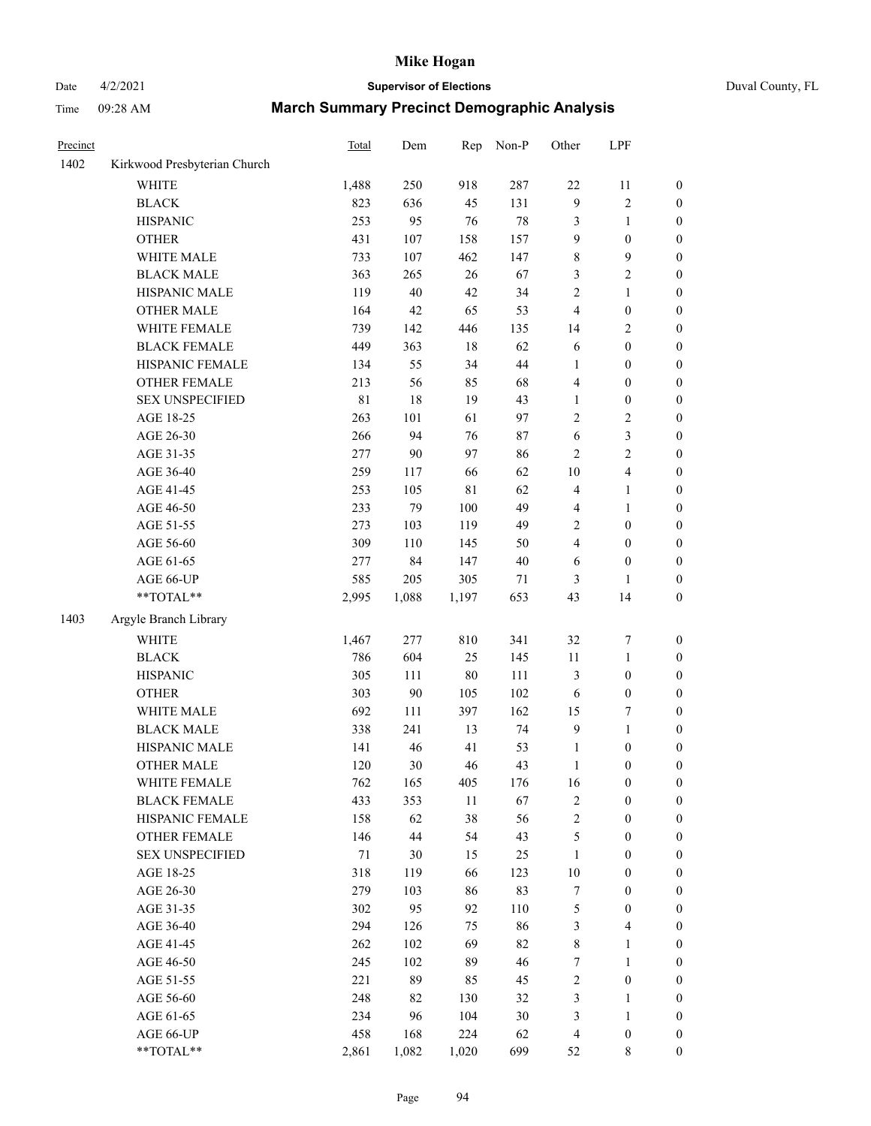# Date 4/2/2021 **Supervisor of Elections** Duval County, FL

| Precinct |                              | Total | Dem    | Rep         | Non-P  | Other                   | LPF              |                  |
|----------|------------------------------|-------|--------|-------------|--------|-------------------------|------------------|------------------|
| 1402     | Kirkwood Presbyterian Church |       |        |             |        |                         |                  |                  |
|          | <b>WHITE</b>                 | 1,488 | 250    | 918         | 287    | 22                      | 11               | 0                |
|          | <b>BLACK</b>                 | 823   | 636    | 45          | 131    | $\boldsymbol{9}$        | $\sqrt{2}$       | 0                |
|          | <b>HISPANIC</b>              | 253   | 95     | 76          | $78\,$ | 3                       | $\mathbf{1}$     | $\boldsymbol{0}$ |
|          | <b>OTHER</b>                 | 431   | 107    | 158         | 157    | 9                       | $\boldsymbol{0}$ | $\boldsymbol{0}$ |
|          | WHITE MALE                   | 733   | 107    | 462         | 147    | $\,$ $\,$               | $\boldsymbol{9}$ | $\boldsymbol{0}$ |
|          | <b>BLACK MALE</b>            | 363   | 265    | 26          | 67     | 3                       | $\sqrt{2}$       | $\boldsymbol{0}$ |
|          | HISPANIC MALE                | 119   | $40\,$ | 42          | 34     | $\sqrt{2}$              | $\mathbf{1}$     | $\boldsymbol{0}$ |
|          | <b>OTHER MALE</b>            | 164   | 42     | 65          | 53     | 4                       | $\boldsymbol{0}$ | $\boldsymbol{0}$ |
|          | WHITE FEMALE                 | 739   | 142    | 446         | 135    | 14                      | $\mathbf{2}$     | $\boldsymbol{0}$ |
|          | <b>BLACK FEMALE</b>          | 449   | 363    | $18\,$      | 62     | 6                       | $\boldsymbol{0}$ | $\boldsymbol{0}$ |
|          | HISPANIC FEMALE              | 134   | 55     | 34          | 44     | $\mathbf{1}$            | $\boldsymbol{0}$ | $\boldsymbol{0}$ |
|          | OTHER FEMALE                 | 213   | 56     | 85          | 68     | 4                       | $\boldsymbol{0}$ | $\boldsymbol{0}$ |
|          | <b>SEX UNSPECIFIED</b>       | 81    | 18     | 19          | 43     | $\mathbf{1}$            | $\boldsymbol{0}$ | $\boldsymbol{0}$ |
|          | AGE 18-25                    | 263   | 101    | 61          | 97     | $\sqrt{2}$              | $\sqrt{2}$       | $\boldsymbol{0}$ |
|          | AGE 26-30                    | 266   | 94     | 76          | 87     | 6                       | $\mathfrak{Z}$   | $\boldsymbol{0}$ |
|          | AGE 31-35                    | 277   | 90     | 97          | 86     | $\sqrt{2}$              | $\sqrt{2}$       | $\boldsymbol{0}$ |
|          | AGE 36-40                    | 259   | 117    | 66          | 62     | $10\,$                  | $\overline{4}$   | $\boldsymbol{0}$ |
|          | AGE 41-45                    | 253   | 105    | $8\sqrt{1}$ | 62     | $\overline{\mathbf{4}}$ | $\mathbf{1}$     | $\boldsymbol{0}$ |
|          | AGE 46-50                    | 233   | 79     | 100         | 49     | 4                       | $\mathbf{1}$     | $\boldsymbol{0}$ |
|          | AGE 51-55                    | 273   | 103    | 119         | 49     | 2                       | $\boldsymbol{0}$ | $\boldsymbol{0}$ |
|          | AGE 56-60                    | 309   | 110    | 145         | 50     | $\overline{4}$          | $\boldsymbol{0}$ | 0                |
|          | AGE 61-65                    | 277   | 84     | 147         | $40\,$ | 6                       | $\boldsymbol{0}$ | $\boldsymbol{0}$ |
|          | AGE 66-UP                    | 585   | 205    | 305         | 71     | 3                       | $\mathbf{1}$     | $\boldsymbol{0}$ |
|          | **TOTAL**                    | 2,995 | 1,088  | 1,197       | 653    | 43                      | 14               | $\boldsymbol{0}$ |
| 1403     | Argyle Branch Library        |       |        |             |        |                         |                  |                  |
|          | <b>WHITE</b>                 | 1,467 | 277    | 810         | 341    | 32                      | $\boldsymbol{7}$ | $\boldsymbol{0}$ |
|          | <b>BLACK</b>                 | 786   | 604    | 25          | 145    | $11\,$                  | $\mathbf{1}$     | $\boldsymbol{0}$ |
|          | <b>HISPANIC</b>              | 305   | 111    | $80\,$      | 111    | 3                       | $\boldsymbol{0}$ | $\boldsymbol{0}$ |
|          | <b>OTHER</b>                 | 303   | $90\,$ | 105         | 102    | 6                       | $\boldsymbol{0}$ | $\boldsymbol{0}$ |
|          | WHITE MALE                   | 692   | 111    | 397         | 162    | 15                      | $\boldsymbol{7}$ | $\boldsymbol{0}$ |
|          | <b>BLACK MALE</b>            | 338   | 241    | 13          | 74     | $\boldsymbol{9}$        | $\mathbf{1}$     | $\boldsymbol{0}$ |
|          | HISPANIC MALE                | 141   | 46     | 41          | 53     | $\mathbf{1}$            | $\boldsymbol{0}$ | 0                |
|          | <b>OTHER MALE</b>            | 120   | 30     | 46          | 43     | $\mathbf{1}$            | $\boldsymbol{0}$ | $\boldsymbol{0}$ |
|          | WHITE FEMALE                 | 762   | 165    | 405         | 176    | 16                      | 0                | 0                |
|          | <b>BLACK FEMALE</b>          | 433   | 353    | 11          | 67     | $\sqrt{2}$              | $\boldsymbol{0}$ | $\overline{0}$   |
|          | HISPANIC FEMALE              | 158   | 62     | 38          | 56     | $\boldsymbol{2}$        | $\boldsymbol{0}$ | $\overline{0}$   |
|          | OTHER FEMALE                 | 146   | $44\,$ | 54          | 43     | 5                       | $\boldsymbol{0}$ | 0                |
|          | <b>SEX UNSPECIFIED</b>       | 71    | 30     | 15          | 25     | $\mathbf{1}$            | $\boldsymbol{0}$ | 0                |
|          | AGE 18-25                    | 318   | 119    | 66          | 123    | $10\,$                  | $\boldsymbol{0}$ | 0                |
|          | AGE 26-30                    | 279   | 103    | 86          | 83     | 7                       | $\boldsymbol{0}$ | 0                |
|          | AGE 31-35                    | 302   | 95     | 92          | 110    | 5                       | $\boldsymbol{0}$ | 0                |
|          | AGE 36-40                    | 294   | 126    | 75          | 86     | 3                       | $\overline{4}$   | 0                |
|          | AGE 41-45                    | 262   | 102    | 69          | 82     | $\,$ 8 $\,$             | $\mathbf{1}$     | 0                |
|          | AGE 46-50                    | 245   | 102    | 89          | 46     | 7                       | $\mathbf{1}$     | 0                |
|          | AGE 51-55                    | 221   | 89     | 85          | 45     | $\sqrt{2}$              | $\boldsymbol{0}$ | 0                |
|          | AGE 56-60                    | 248   | 82     | 130         | 32     | 3                       | 1                | 0                |
|          | AGE 61-65                    | 234   | 96     | 104         | $30\,$ | 3                       | $\mathbf{1}$     | $\overline{0}$   |
|          | AGE 66-UP                    | 458   | 168    | 224         | 62     | 4                       | $\boldsymbol{0}$ | 0                |
|          | **TOTAL**                    | 2,861 | 1,082  | 1,020       | 699    | 52                      | $\,$ 8 $\,$      | $\boldsymbol{0}$ |
|          |                              |       |        |             |        |                         |                  |                  |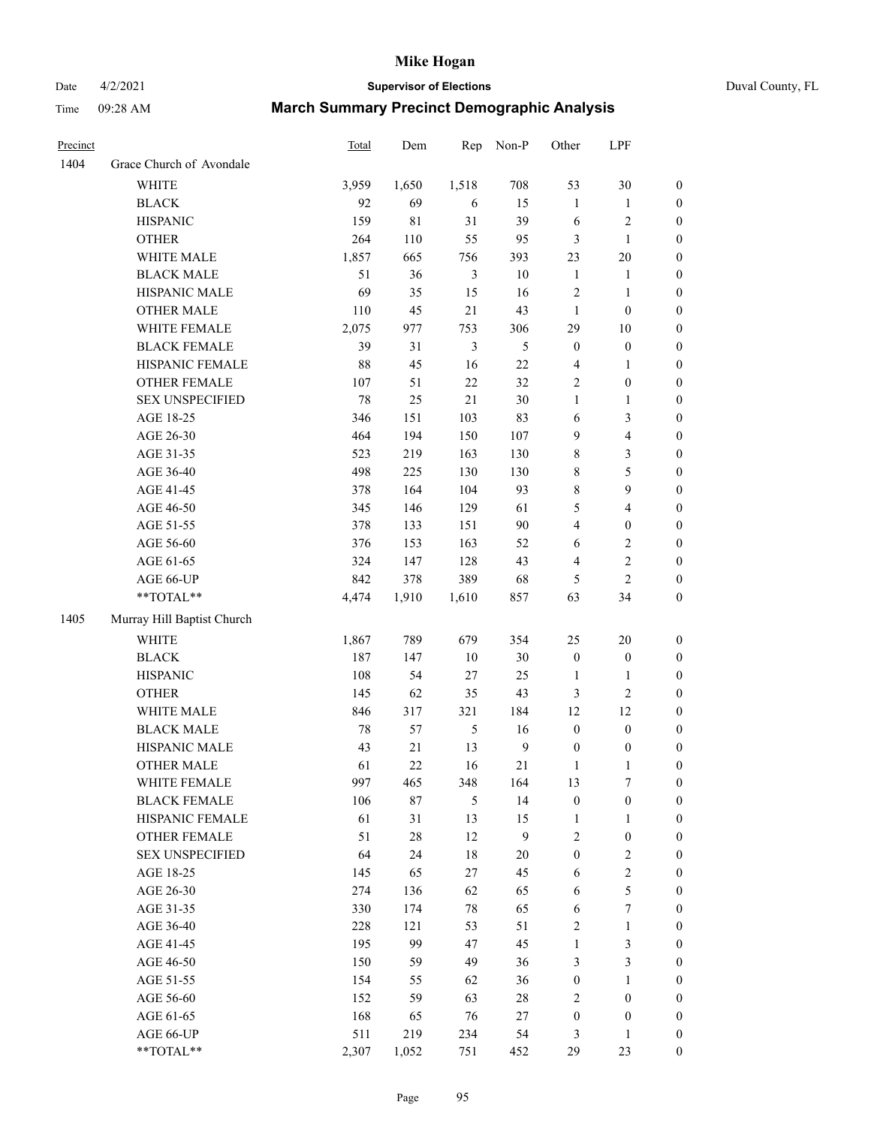# Date 4/2/2021 **Supervisor of Elections** Duval County, FL

| Precinct |                            | <b>Total</b> | Dem    | Rep            | Non-P            | Other                   | LPF              |                  |
|----------|----------------------------|--------------|--------|----------------|------------------|-------------------------|------------------|------------------|
| 1404     | Grace Church of Avondale   |              |        |                |                  |                         |                  |                  |
|          | <b>WHITE</b>               | 3,959        | 1,650  | 1,518          | 708              | 53                      | 30               | 0                |
|          | <b>BLACK</b>               | 92           | 69     | 6              | 15               | $\mathbf{1}$            | $\mathbf{1}$     | 0                |
|          | <b>HISPANIC</b>            | 159          | 81     | 31             | 39               | $\sqrt{6}$              | $\sqrt{2}$       | $\boldsymbol{0}$ |
|          | <b>OTHER</b>               | 264          | 110    | 55             | 95               | 3                       | $\mathbf{1}$     | $\boldsymbol{0}$ |
|          | WHITE MALE                 | 1,857        | 665    | 756            | 393              | 23                      | 20               | $\boldsymbol{0}$ |
|          | <b>BLACK MALE</b>          | 51           | 36     | $\mathfrak{Z}$ | $10\,$           | $\mathbf{1}$            | 1                | $\boldsymbol{0}$ |
|          | HISPANIC MALE              | 69           | 35     | 15             | 16               | 2                       | $\mathbf{1}$     | $\boldsymbol{0}$ |
|          | <b>OTHER MALE</b>          | 110          | 45     | 21             | 43               | $\mathbf{1}$            | $\boldsymbol{0}$ | $\boldsymbol{0}$ |
|          | WHITE FEMALE               | 2,075        | 977    | 753            | 306              | 29                      | 10               | $\boldsymbol{0}$ |
|          | <b>BLACK FEMALE</b>        | 39           | 31     | $\mathfrak{Z}$ | $\mathfrak s$    | $\boldsymbol{0}$        | $\boldsymbol{0}$ | $\boldsymbol{0}$ |
|          | HISPANIC FEMALE            | $88\,$       | 45     | 16             | 22               | 4                       | $\mathbf{1}$     | 0                |
|          | OTHER FEMALE               | 107          | 51     | 22             | 32               | $\overline{c}$          | $\boldsymbol{0}$ | $\boldsymbol{0}$ |
|          | <b>SEX UNSPECIFIED</b>     | 78           | 25     | 21             | 30               | $\mathbf{1}$            | $\mathbf{1}$     | $\boldsymbol{0}$ |
|          | AGE 18-25                  | 346          | 151    | 103            | 83               | 6                       | $\mathfrak{Z}$   | $\boldsymbol{0}$ |
|          | AGE 26-30                  | 464          | 194    | 150            | 107              | 9                       | $\overline{4}$   | $\boldsymbol{0}$ |
|          | AGE 31-35                  | 523          | 219    | 163            | 130              | 8                       | $\mathfrak{Z}$   | $\boldsymbol{0}$ |
|          | AGE 36-40                  | 498          | 225    | 130            | 130              | 8                       | 5                | $\boldsymbol{0}$ |
|          | AGE 41-45                  | 378          | 164    | 104            | 93               | 8                       | $\boldsymbol{9}$ | $\boldsymbol{0}$ |
|          | AGE 46-50                  | 345          | 146    | 129            | 61               | 5                       | $\overline{4}$   | $\boldsymbol{0}$ |
|          | AGE 51-55                  | 378          | 133    | 151            | $90\,$           | $\overline{\mathbf{4}}$ | $\boldsymbol{0}$ | $\boldsymbol{0}$ |
|          | AGE 56-60                  | 376          | 153    | 163            | 52               | 6                       | $\sqrt{2}$       | 0                |
|          | AGE 61-65                  | 324          | 147    | 128            | 43               | 4                       | $\sqrt{2}$       | $\boldsymbol{0}$ |
|          | AGE 66-UP                  | 842          | 378    | 389            | 68               | 5                       | $\overline{c}$   | $\boldsymbol{0}$ |
|          | $**TOTAL**$                | 4,474        | 1,910  | 1,610          | 857              | 63                      | 34               | $\boldsymbol{0}$ |
| 1405     | Murray Hill Baptist Church |              |        |                |                  |                         |                  |                  |
|          | <b>WHITE</b>               | 1,867        | 789    | 679            | 354              | 25                      | 20               | $\boldsymbol{0}$ |
|          | <b>BLACK</b>               | 187          | 147    | $10\,$         | 30               | $\boldsymbol{0}$        | $\boldsymbol{0}$ | $\boldsymbol{0}$ |
|          | <b>HISPANIC</b>            | 108          | 54     | 27             | 25               | $\mathbf{1}$            | $\mathbf{1}$     | $\boldsymbol{0}$ |
|          | <b>OTHER</b>               | 145          | 62     | 35             | 43               | 3                       | $\sqrt{2}$       | $\boldsymbol{0}$ |
|          | WHITE MALE                 | 846          | 317    | 321            | 184              | 12                      | 12               | $\boldsymbol{0}$ |
|          | <b>BLACK MALE</b>          | $78\,$       | 57     | $\mathfrak{H}$ | 16               | $\boldsymbol{0}$        | $\boldsymbol{0}$ | $\boldsymbol{0}$ |
|          | HISPANIC MALE              | 43           | 21     | 13             | $\boldsymbol{9}$ | $\boldsymbol{0}$        | $\boldsymbol{0}$ | 0                |
|          | <b>OTHER MALE</b>          | 61           | 22     | 16             | 21               | 1                       | $\mathbf{1}$     | $\boldsymbol{0}$ |
|          | WHITE FEMALE               | 997          | 465    | 348            | 164              | 13                      | 7                | 0                |
|          | <b>BLACK FEMALE</b>        | 106          | 87     | $\mathfrak{S}$ | 14               | $\boldsymbol{0}$        | $\boldsymbol{0}$ | $\overline{0}$   |
|          | HISPANIC FEMALE            | 61           | 31     | 13             | 15               | $\mathbf{1}$            | $\mathbf{1}$     | $\overline{0}$   |
|          | OTHER FEMALE               | 51           | $28\,$ | 12             | 9                | 2                       | $\boldsymbol{0}$ | 0                |
|          | <b>SEX UNSPECIFIED</b>     | 64           | 24     | $18\,$         | $20\,$           | $\boldsymbol{0}$        | $\mathfrak{2}$   | 0                |
|          | AGE 18-25                  | 145          | 65     | 27             | 45               | 6                       | $\sqrt{2}$       | 0                |
|          | AGE 26-30                  | 274          | 136    | 62             | 65               | 6                       | 5                | 0                |
|          | AGE 31-35                  | 330          | 174    | 78             | 65               | 6                       | $\boldsymbol{7}$ | 0                |
|          | AGE 36-40                  | 228          | 121    | 53             | 51               | 2                       | $\mathbf{1}$     | 0                |
|          | AGE 41-45                  | 195          | 99     | 47             | 45               | 1                       | $\mathfrak{Z}$   | 0                |
|          | AGE 46-50                  | 150          | 59     | 49             | 36               | 3                       | 3                | 0                |
|          | AGE 51-55                  | 154          | 55     | 62             | 36               | $\boldsymbol{0}$        | $\mathbf{1}$     | 0                |
|          | AGE 56-60                  | 152          | 59     | 63             | 28               | 2                       | $\boldsymbol{0}$ | 0                |
|          | AGE 61-65                  | 168          | 65     | 76             | 27               | 0                       | $\boldsymbol{0}$ | 0                |
|          | AGE 66-UP                  | 511          | 219    | 234            | 54               | 3                       | $\mathbf{1}$     | 0                |
|          | **TOTAL**                  | 2,307        | 1,052  | 751            | 452              | 29                      | 23               | $\boldsymbol{0}$ |
|          |                            |              |        |                |                  |                         |                  |                  |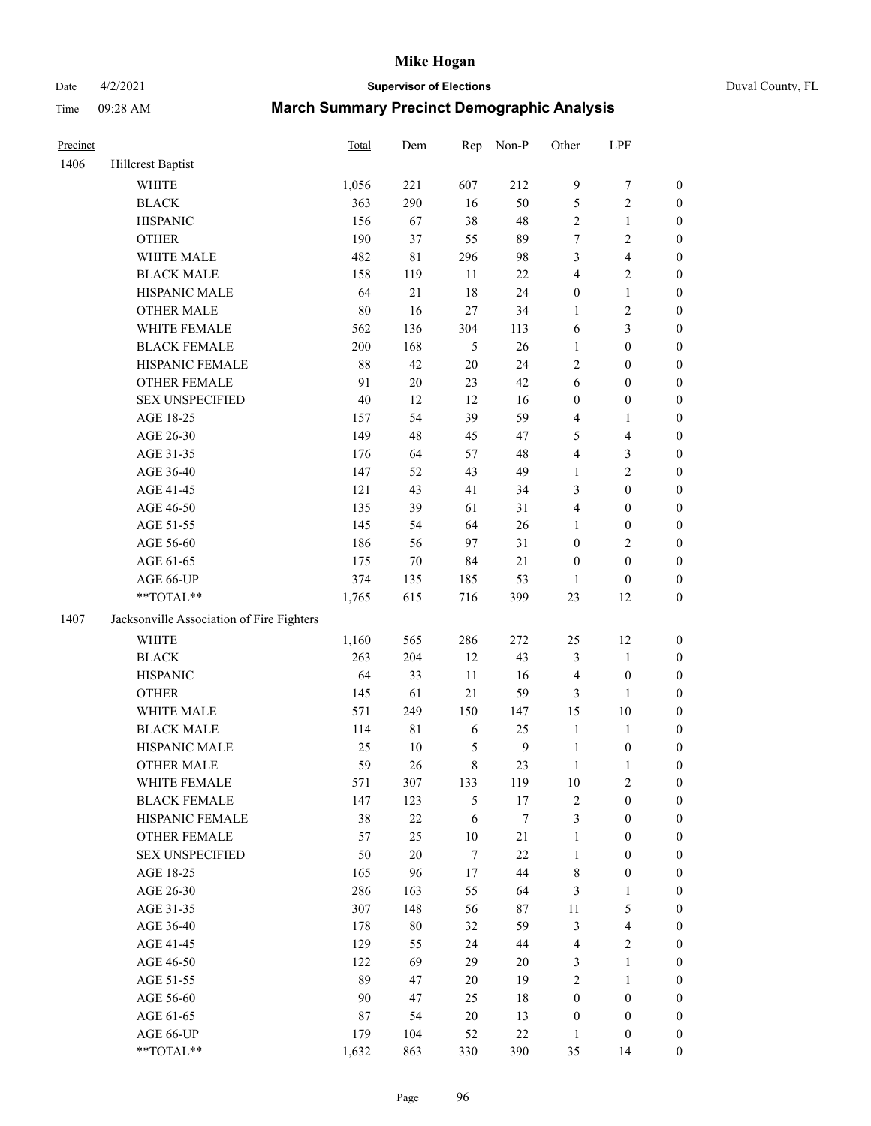# Date 4/2/2021 **Supervisor of Elections** Duval County, FL

| Precinct |                                           | <b>Total</b> | Dem         | Rep              | Non-P            | Other            | LPF              |                  |
|----------|-------------------------------------------|--------------|-------------|------------------|------------------|------------------|------------------|------------------|
| 1406     | <b>Hillcrest Baptist</b>                  |              |             |                  |                  |                  |                  |                  |
|          | <b>WHITE</b>                              | 1,056        | 221         | 607              | 212              | 9                | $\boldsymbol{7}$ | 0                |
|          | <b>BLACK</b>                              | 363          | 290         | 16               | 50               | 5                | $\sqrt{2}$       | $\boldsymbol{0}$ |
|          | <b>HISPANIC</b>                           | 156          | 67          | 38               | 48               | $\mathbf{2}$     | $\mathbf{1}$     | $\boldsymbol{0}$ |
|          | <b>OTHER</b>                              | 190          | 37          | 55               | 89               | 7                | $\sqrt{2}$       | $\boldsymbol{0}$ |
|          | WHITE MALE                                | 482          | $8\sqrt{1}$ | 296              | 98               | 3                | $\overline{4}$   | $\boldsymbol{0}$ |
|          | <b>BLACK MALE</b>                         | 158          | 119         | 11               | $22\,$           | 4                | $\sqrt{2}$       | $\boldsymbol{0}$ |
|          | HISPANIC MALE                             | 64           | 21          | 18               | 24               | $\boldsymbol{0}$ | $\mathbf{1}$     | $\boldsymbol{0}$ |
|          | <b>OTHER MALE</b>                         | $80\,$       | 16          | 27               | 34               | 1                | $\sqrt{2}$       | $\boldsymbol{0}$ |
|          | WHITE FEMALE                              | 562          | 136         | 304              | 113              | 6                | 3                | $\boldsymbol{0}$ |
|          | <b>BLACK FEMALE</b>                       | 200          | 168         | 5                | 26               | 1                | $\boldsymbol{0}$ | $\boldsymbol{0}$ |
|          | HISPANIC FEMALE                           | $88\,$       | 42          | $20\,$           | 24               | $\overline{c}$   | $\boldsymbol{0}$ | $\boldsymbol{0}$ |
|          | <b>OTHER FEMALE</b>                       | 91           | $20\,$      | 23               | 42               | 6                | $\boldsymbol{0}$ | $\boldsymbol{0}$ |
|          | <b>SEX UNSPECIFIED</b>                    | 40           | 12          | 12               | 16               | $\boldsymbol{0}$ | $\boldsymbol{0}$ | $\boldsymbol{0}$ |
|          | AGE 18-25                                 | 157          | 54          | 39               | 59               | 4                | $\mathbf{1}$     | $\boldsymbol{0}$ |
|          | AGE 26-30                                 | 149          | 48          | 45               | 47               | 5                | $\overline{4}$   | $\boldsymbol{0}$ |
|          | AGE 31-35                                 | 176          | 64          | 57               | 48               | 4                | $\mathfrak{Z}$   | $\boldsymbol{0}$ |
|          | AGE 36-40                                 | 147          | 52          | 43               | 49               | 1                | $\sqrt{2}$       | $\boldsymbol{0}$ |
|          | AGE 41-45                                 | 121          | 43          | 41               | 34               | 3                | $\boldsymbol{0}$ | $\boldsymbol{0}$ |
|          | AGE 46-50                                 | 135          | 39          | 61               | 31               | 4                | $\boldsymbol{0}$ | $\boldsymbol{0}$ |
|          | AGE 51-55                                 | 145          | 54          | 64               | 26               | 1                | $\boldsymbol{0}$ | $\boldsymbol{0}$ |
|          | AGE 56-60                                 | 186          | 56          | 97               | 31               | $\boldsymbol{0}$ | $\sqrt{2}$       | $\boldsymbol{0}$ |
|          | AGE 61-65                                 | 175          | $70\,$      | 84               | 21               | $\boldsymbol{0}$ | $\boldsymbol{0}$ | $\boldsymbol{0}$ |
|          | AGE 66-UP                                 | 374          | 135         | 185              | 53               | 1                | $\boldsymbol{0}$ | $\boldsymbol{0}$ |
|          | **TOTAL**                                 | 1,765        | 615         | 716              | 399              | 23               | 12               | $\boldsymbol{0}$ |
| 1407     | Jacksonville Association of Fire Fighters |              |             |                  |                  |                  |                  |                  |
|          | <b>WHITE</b>                              | 1,160        | 565         | 286              | 272              | 25               | 12               | $\boldsymbol{0}$ |
|          | <b>BLACK</b>                              | 263          | 204         | 12               | 43               | 3                | $\mathbf{1}$     | $\boldsymbol{0}$ |
|          | <b>HISPANIC</b>                           | 64           | 33          | $11\,$           | 16               | 4                | $\boldsymbol{0}$ | $\boldsymbol{0}$ |
|          | <b>OTHER</b>                              | 145          | 61          | 21               | 59               | 3                | 1                | $\boldsymbol{0}$ |
|          | WHITE MALE                                | 571          | 249         | 150              | 147              | 15               | 10               | $\boldsymbol{0}$ |
|          | <b>BLACK MALE</b>                         | 114          | $8\sqrt{1}$ | 6                | 25               | $\mathbf{1}$     | $\mathbf{1}$     | $\boldsymbol{0}$ |
|          | HISPANIC MALE                             | 25           | $10\,$      | $\mathfrak s$    | $\boldsymbol{9}$ | $\mathbf{1}$     | $\boldsymbol{0}$ | 0                |
|          | <b>OTHER MALE</b>                         | 59           | 26          | $\,8\,$          | 23               | $\mathbf{1}$     | $\mathbf{1}$     | $\boldsymbol{0}$ |
|          | WHITE FEMALE                              | 571          | 307         | 133              | 119              | 10               | $\overline{c}$   | 0                |
|          | <b>BLACK FEMALE</b>                       | 147          | 123         | 5                | 17               | 2                | $\boldsymbol{0}$ | $\overline{0}$   |
|          | HISPANIC FEMALE                           | 38           | $22\,$      | 6                | 7                | 3                | $\boldsymbol{0}$ | $\overline{0}$   |
|          | OTHER FEMALE                              | 57           | 25          | $10\,$           | $21\,$           | $\mathbf{1}$     | $\boldsymbol{0}$ | $\overline{0}$   |
|          | <b>SEX UNSPECIFIED</b>                    | 50           | $20\,$      | $\boldsymbol{7}$ | 22               | $\mathbf{1}$     | $\boldsymbol{0}$ | 0                |
|          | AGE 18-25                                 | 165          | 96          | $17\,$           | 44               | 8                | $\boldsymbol{0}$ | 0                |
|          | AGE 26-30                                 | 286          | 163         | 55               | 64               | 3                | $\mathbf{1}$     | 0                |
|          | AGE 31-35                                 | 307          | 148         | 56               | 87               | $11\,$           | $\mathfrak s$    | 0                |
|          | AGE 36-40                                 | 178          | $80\,$      | 32               | 59               | 3                | $\overline{4}$   | 0                |
|          | AGE 41-45                                 | 129          | 55          | 24               | $44\,$           | 4                | $\mathbf{2}$     | 0                |
|          | AGE 46-50                                 | 122          | 69          | 29               | 20               | 3                | $\mathbf{1}$     | 0                |
|          | AGE 51-55                                 | 89           | 47          | $20\,$           | 19               | $\overline{c}$   | $\mathbf{1}$     | 0                |
|          | AGE 56-60                                 | 90           | 47          | 25               | 18               | $\boldsymbol{0}$ | $\boldsymbol{0}$ | 0                |
|          | AGE 61-65                                 | $87\,$       | 54          | $20\,$           | 13               | $\boldsymbol{0}$ | $\boldsymbol{0}$ | $\overline{0}$   |
|          | AGE 66-UP                                 | 179          | 104         | 52               | $22\,$           | $\mathbf{1}$     | $\boldsymbol{0}$ | 0                |
|          | **TOTAL**                                 | 1,632        | 863         | 330              | 390              | 35               | 14               | $\boldsymbol{0}$ |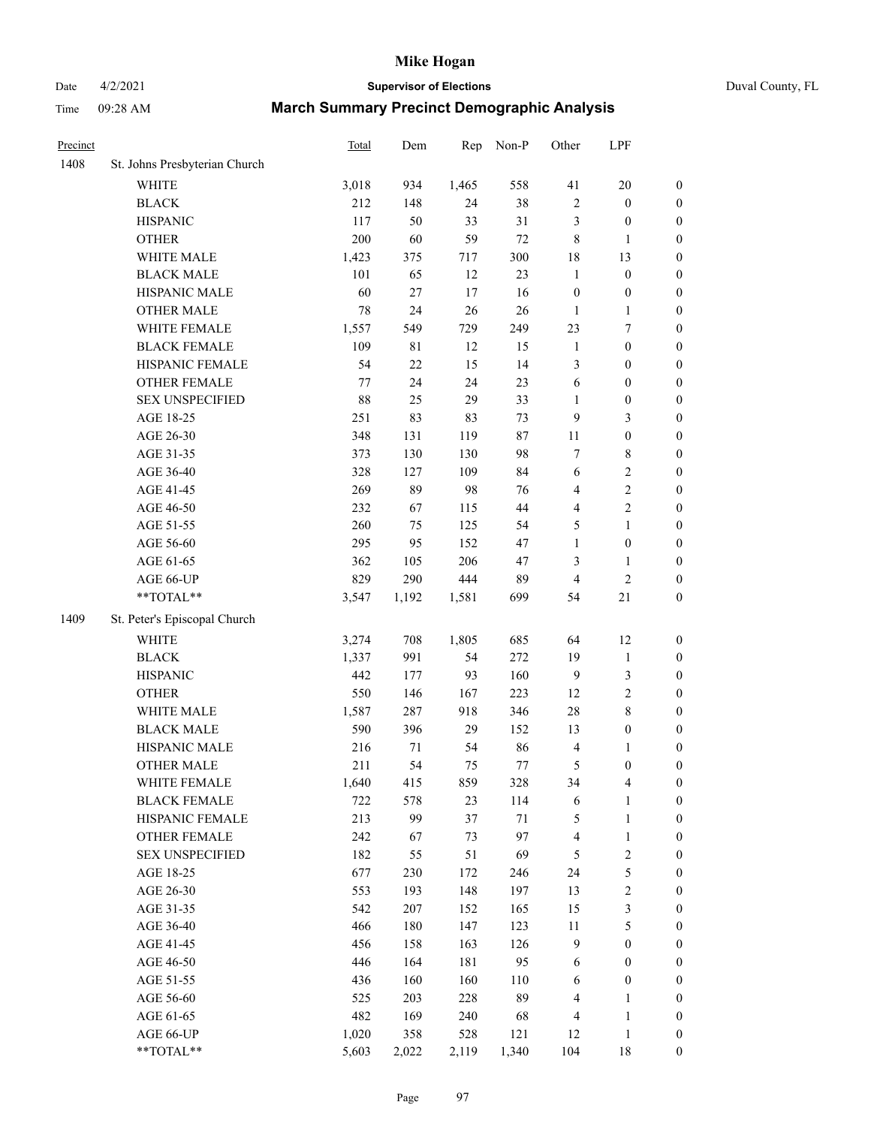# Date 4/2/2021 **Supervisor of Elections** Duval County, FL

| Precinct |                               | Total | Dem    | Rep    | Non-P   | Other                    | LPF                              |                                      |
|----------|-------------------------------|-------|--------|--------|---------|--------------------------|----------------------------------|--------------------------------------|
| 1408     | St. Johns Presbyterian Church |       |        |        |         |                          |                                  |                                      |
|          | <b>WHITE</b>                  | 3,018 | 934    | 1,465  | 558     | 41                       | 20                               | $\boldsymbol{0}$                     |
|          | <b>BLACK</b>                  | 212   | 148    | 24     | 38      | $\mathbf{2}$             | $\boldsymbol{0}$                 | $\boldsymbol{0}$                     |
|          | <b>HISPANIC</b>               | 117   | 50     | 33     | 31      | 3                        | $\boldsymbol{0}$                 | $\boldsymbol{0}$                     |
|          | <b>OTHER</b>                  | 200   | 60     | 59     | $72\,$  | 8                        | $\mathbf{1}$                     | $\boldsymbol{0}$                     |
|          | WHITE MALE                    | 1,423 | 375    | 717    | 300     | 18                       | 13                               | $\boldsymbol{0}$                     |
|          | <b>BLACK MALE</b>             | 101   | 65     | 12     | 23      | $\mathbf{1}$             | $\boldsymbol{0}$                 | $\boldsymbol{0}$                     |
|          | HISPANIC MALE                 | 60    | $27\,$ | $17\,$ | 16      | $\boldsymbol{0}$         | $\boldsymbol{0}$                 | $\boldsymbol{0}$                     |
|          | <b>OTHER MALE</b>             | 78    | 24     | 26     | 26      | $\mathbf{1}$             | $\mathbf{1}$                     | $\boldsymbol{0}$                     |
|          | WHITE FEMALE                  | 1,557 | 549    | 729    | 249     | 23                       | 7                                | $\boldsymbol{0}$                     |
|          | <b>BLACK FEMALE</b>           | 109   | 81     | 12     | 15      | $\mathbf{1}$             | $\boldsymbol{0}$                 | 0                                    |
|          | HISPANIC FEMALE               | 54    | 22     | 15     | 14      | 3                        | $\boldsymbol{0}$                 | $\boldsymbol{0}$                     |
|          | OTHER FEMALE                  | 77    | 24     | 24     | 23      | 6                        | $\boldsymbol{0}$                 | $\boldsymbol{0}$                     |
|          | <b>SEX UNSPECIFIED</b>        | 88    | 25     | 29     | 33      | $\mathbf{1}$             | $\boldsymbol{0}$                 | $\boldsymbol{0}$                     |
|          | AGE 18-25                     | 251   | 83     | 83     | 73      | 9                        | $\mathfrak{Z}$                   | $\boldsymbol{0}$                     |
|          | AGE 26-30                     | 348   | 131    | 119    | 87      | $11\,$                   | $\boldsymbol{0}$                 | $\boldsymbol{0}$                     |
|          | AGE 31-35                     | 373   | 130    | 130    | 98      | 7                        | $\,$ 8 $\,$                      | $\boldsymbol{0}$                     |
|          | AGE 36-40                     | 328   | 127    | 109    | 84      | 6                        | $\sqrt{2}$                       | $\boldsymbol{0}$                     |
|          | AGE 41-45                     | 269   | 89     | 98     | 76      | 4                        | $\sqrt{2}$                       | $\boldsymbol{0}$                     |
|          | AGE 46-50                     | 232   | 67     | 115    | $44\,$  | 4                        | $\sqrt{2}$                       | $\boldsymbol{0}$                     |
|          | AGE 51-55                     | 260   | 75     | 125    | 54      | 5                        | $\mathbf{1}$                     | 0                                    |
|          |                               | 295   | 95     | 152    | 47      | $\mathbf{1}$             |                                  |                                      |
|          | AGE 56-60                     | 362   |        | 206    | 47      |                          | $\boldsymbol{0}$<br>$\mathbf{1}$ | $\boldsymbol{0}$<br>$\boldsymbol{0}$ |
|          | AGE 61-65                     |       | 105    |        |         | 3                        | $\sqrt{2}$                       |                                      |
|          | AGE 66-UP<br>$**TOTAL**$      | 829   | 290    | 444    | 89      | $\overline{4}$           |                                  | $\boldsymbol{0}$                     |
|          |                               | 3,547 | 1,192  | 1,581  | 699     | 54                       | 21                               | $\boldsymbol{0}$                     |
| 1409     | St. Peter's Episcopal Church  |       |        |        |         |                          |                                  |                                      |
|          | WHITE                         | 3,274 | 708    | 1,805  | 685     | 64                       | 12                               | $\boldsymbol{0}$                     |
|          | <b>BLACK</b>                  | 1,337 | 991    | 54     | 272     | 19                       | $\mathbf{1}$                     | $\boldsymbol{0}$                     |
|          | <b>HISPANIC</b>               | 442   | 177    | 93     | 160     | 9                        | 3                                | $\boldsymbol{0}$                     |
|          | <b>OTHER</b>                  | 550   | 146    | 167    | 223     | 12                       | $\sqrt{2}$                       | $\boldsymbol{0}$                     |
|          | WHITE MALE                    | 1,587 | 287    | 918    | 346     | 28                       | $\,$ $\,$                        | $\boldsymbol{0}$                     |
|          | <b>BLACK MALE</b>             | 590   | 396    | 29     | 152     | 13                       | $\boldsymbol{0}$                 | $\boldsymbol{0}$                     |
|          | HISPANIC MALE                 | 216   | 71     | 54     | 86      | 4                        | 1                                | 0                                    |
|          | <b>OTHER MALE</b>             | 211   | 54     | 75     | $77 \,$ | 5                        | $\boldsymbol{0}$                 | $\boldsymbol{0}$                     |
|          | WHITE FEMALE                  | 1,640 | 415    | 859    | 328     | 34                       | $\overline{4}$                   | $\overline{0}$                       |
|          | <b>BLACK FEMALE</b>           | 722   | 578    | 23     | 114     | 6                        | $\mathbf{1}$                     | $\boldsymbol{0}$                     |
|          | HISPANIC FEMALE               | 213   | 99     | 37     | $71\,$  | 5                        | $\mathbf{1}$                     | $\boldsymbol{0}$                     |
|          | <b>OTHER FEMALE</b>           | 242   | 67     | 73     | 97      | $\overline{\mathcal{L}}$ | $\mathbf{1}$                     | 0                                    |
|          | <b>SEX UNSPECIFIED</b>        | 182   | 55     | 51     | 69      | 5                        | $\sqrt{2}$                       | 0                                    |
|          | AGE 18-25                     | 677   | 230    | 172    | 246     | 24                       | 5                                | 0                                    |
|          | AGE 26-30                     | 553   | 193    | 148    | 197     | 13                       | $\sqrt{2}$                       | 0                                    |
|          | AGE 31-35                     | 542   | 207    | 152    | 165     | 15                       | $\sqrt{3}$                       | 0                                    |
|          | AGE 36-40                     | 466   | 180    | 147    | 123     | 11                       | $\mathfrak s$                    | 0                                    |
|          | AGE 41-45                     | 456   | 158    | 163    | 126     | 9                        | $\boldsymbol{0}$                 | 0                                    |
|          | AGE 46-50                     | 446   | 164    | 181    | 95      | 6                        | $\boldsymbol{0}$                 | 0                                    |
|          | AGE 51-55                     | 436   | 160    | 160    | 110     | 6                        | $\boldsymbol{0}$                 | $\boldsymbol{0}$                     |
|          | AGE 56-60                     | 525   | 203    | 228    | 89      | 4                        | 1                                | $\boldsymbol{0}$                     |
|          | AGE 61-65                     | 482   | 169    | 240    | 68      | 4                        | $\mathbf{1}$                     | 0                                    |
|          | AGE 66-UP                     | 1,020 | 358    | 528    | 121     | 12                       | $\mathbf{1}$                     | 0                                    |
|          | **TOTAL**                     | 5,603 | 2,022  | 2,119  | 1,340   | 104                      | 18                               | $\boldsymbol{0}$                     |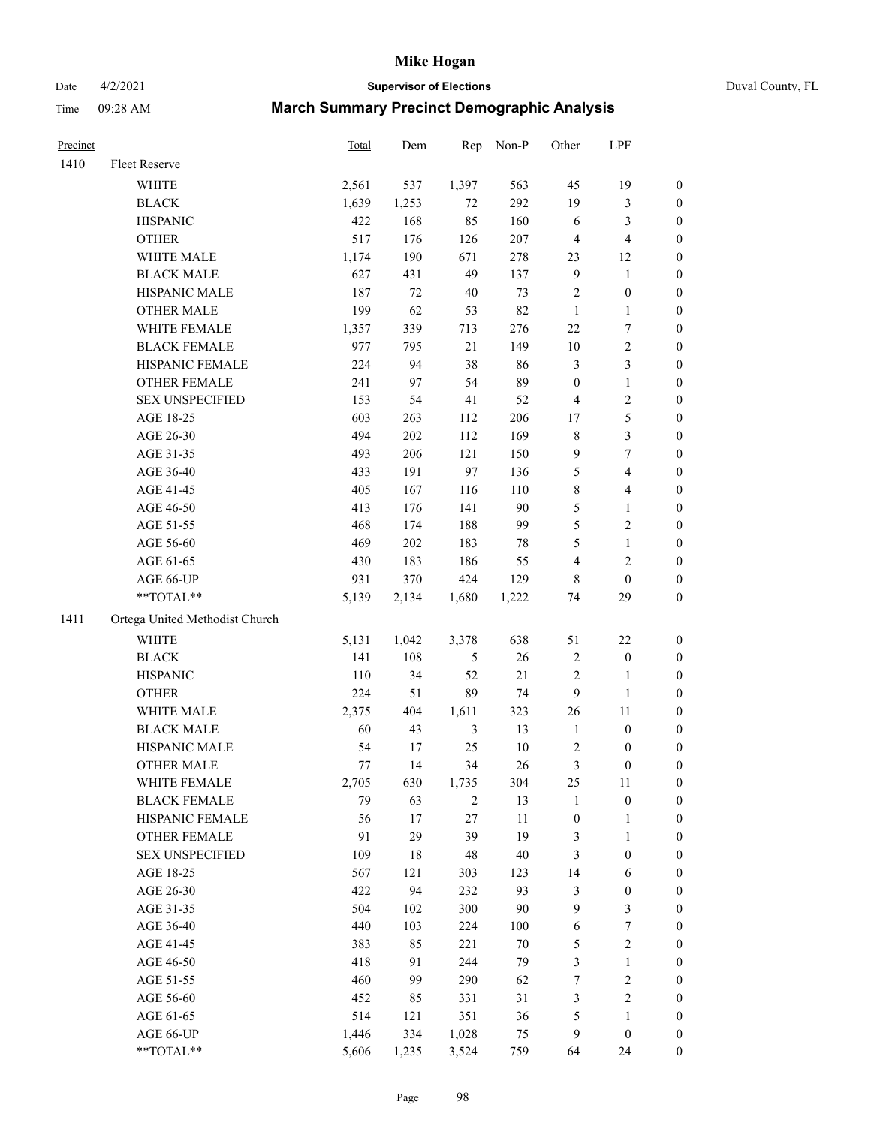# Date 4/2/2021 **Supervisor of Elections** Duval County, FL

| Precinct |                                | <b>Total</b> | Dem   | Rep            | Non-P  | Other            | LPF              |                  |
|----------|--------------------------------|--------------|-------|----------------|--------|------------------|------------------|------------------|
| 1410     | Fleet Reserve                  |              |       |                |        |                  |                  |                  |
|          | WHITE                          | 2,561        | 537   | 1,397          | 563    | 45               | 19               | 0                |
|          | <b>BLACK</b>                   | 1,639        | 1,253 | 72             | 292    | 19               | $\mathfrak{Z}$   | 0                |
|          | <b>HISPANIC</b>                | 422          | 168   | 85             | 160    | 6                | 3                | $\boldsymbol{0}$ |
|          | <b>OTHER</b>                   | 517          | 176   | 126            | 207    | 4                | $\overline{4}$   | $\boldsymbol{0}$ |
|          | WHITE MALE                     | 1,174        | 190   | 671            | 278    | 23               | 12               | $\boldsymbol{0}$ |
|          | <b>BLACK MALE</b>              | 627          | 431   | 49             | 137    | 9                | $\mathbf{1}$     | $\boldsymbol{0}$ |
|          | HISPANIC MALE                  | 187          | 72    | 40             | 73     | 2                | $\boldsymbol{0}$ | $\boldsymbol{0}$ |
|          | <b>OTHER MALE</b>              | 199          | 62    | 53             | 82     | $\mathbf{1}$     | $\mathbf{1}$     | $\boldsymbol{0}$ |
|          | WHITE FEMALE                   | 1,357        | 339   | 713            | 276    | $22\,$           | $\overline{7}$   | $\boldsymbol{0}$ |
|          | <b>BLACK FEMALE</b>            | 977          | 795   | 21             | 149    | $10\,$           | $\sqrt{2}$       | 0                |
|          | HISPANIC FEMALE                | 224          | 94    | 38             | 86     | 3                | $\mathfrak{Z}$   | 0                |
|          | OTHER FEMALE                   | 241          | 97    | 54             | 89     | $\boldsymbol{0}$ | $\mathbf{1}$     | $\boldsymbol{0}$ |
|          | <b>SEX UNSPECIFIED</b>         | 153          | 54    | 41             | 52     | 4                | $\sqrt{2}$       | $\boldsymbol{0}$ |
|          | AGE 18-25                      | 603          | 263   | 112            | 206    | $17\,$           | 5                | $\boldsymbol{0}$ |
|          | AGE 26-30                      | 494          | 202   | 112            | 169    | 8                | $\mathfrak{Z}$   | $\boldsymbol{0}$ |
|          | AGE 31-35                      | 493          | 206   | 121            | 150    | 9                | $\boldsymbol{7}$ | $\boldsymbol{0}$ |
|          | AGE 36-40                      | 433          | 191   | 97             | 136    | 5                | $\overline{4}$   | $\boldsymbol{0}$ |
|          | AGE 41-45                      | 405          | 167   | 116            | 110    | 8                | $\overline{4}$   | $\boldsymbol{0}$ |
|          | AGE 46-50                      | 413          | 176   | 141            | $90\,$ | 5                | $\mathbf{1}$     | $\boldsymbol{0}$ |
|          | AGE 51-55                      | 468          | 174   | 188            | 99     | 5                | $\sqrt{2}$       | 0                |
|          | AGE 56-60                      | 469          | 202   | 183            | $78\,$ | 5                | $\mathbf{1}$     | 0                |
|          | AGE 61-65                      | 430          | 183   | 186            | 55     | 4                | $\mathfrak{2}$   | 0                |
|          | AGE 66-UP                      | 931          | 370   | 424            | 129    | 8                | $\boldsymbol{0}$ | $\boldsymbol{0}$ |
|          | $**TOTAL**$                    | 5,139        | 2,134 | 1,680          | 1,222  | 74               | 29               | $\boldsymbol{0}$ |
| 1411     | Ortega United Methodist Church |              |       |                |        |                  |                  |                  |
|          | <b>WHITE</b>                   | 5,131        | 1,042 | 3,378          | 638    | 51               | $22\,$           | $\boldsymbol{0}$ |
|          | <b>BLACK</b>                   | 141          | 108   | 5              | 26     | 2                | $\boldsymbol{0}$ | $\boldsymbol{0}$ |
|          | <b>HISPANIC</b>                | 110          | 34    | 52             | $21\,$ | 2                | $\mathbf{1}$     | $\boldsymbol{0}$ |
|          | <b>OTHER</b>                   | 224          | 51    | 89             | 74     | 9                | $\mathbf{1}$     | $\boldsymbol{0}$ |
|          | WHITE MALE                     | 2,375        | 404   | 1,611          | 323    | 26               | 11               | $\boldsymbol{0}$ |
|          | <b>BLACK MALE</b>              | 60           | 43    | $\mathfrak{Z}$ | 13     | $\mathbf{1}$     | $\boldsymbol{0}$ | $\boldsymbol{0}$ |
|          | HISPANIC MALE                  | 54           | 17    | 25             | $10\,$ | 2                | $\boldsymbol{0}$ | 0                |
|          | <b>OTHER MALE</b>              | 77           | 14    | 34             | 26     | 3                | $\boldsymbol{0}$ | $\boldsymbol{0}$ |
|          | WHITE FEMALE                   | 2,705        | 630   | 1,735          | 304    | 25               | 11               | 0                |
|          | <b>BLACK FEMALE</b>            | 79           | 63    | $\overline{c}$ | 13     | 1                | $\boldsymbol{0}$ | $\boldsymbol{0}$ |
|          | HISPANIC FEMALE                | 56           | 17    | 27             | $11\,$ | $\boldsymbol{0}$ | $\mathbf{1}$     | $\boldsymbol{0}$ |
|          | OTHER FEMALE                   | 91           | 29    | 39             | 19     | 3                | $\mathbf{1}$     | $\overline{0}$   |
|          | <b>SEX UNSPECIFIED</b>         | 109          | 18    | 48             | 40     | 3                | $\boldsymbol{0}$ | 0                |
|          | AGE 18-25                      | 567          | 121   | 303            | 123    | 14               | 6                | 0                |
|          | AGE 26-30                      | 422          | 94    | 232            | 93     | 3                | $\boldsymbol{0}$ | 0                |
|          | AGE 31-35                      | 504          | 102   | 300            | $90\,$ | 9                | $\mathfrak{Z}$   | 0                |
|          | AGE 36-40                      | 440          | 103   | 224            | 100    | 6                | $\boldsymbol{7}$ | 0                |
|          | AGE 41-45                      | 383          | 85    | 221            | $70\,$ | 5                | $\sqrt{2}$       | 0                |
|          | AGE 46-50                      | 418          | 91    | 244            | 79     | 3                | $\mathbf{1}$     | 0                |
|          | AGE 51-55                      | 460          | 99    | 290            | 62     | $\boldsymbol{7}$ | $\sqrt{2}$       | 0                |
|          | AGE 56-60                      | 452          | 85    | 331            | 31     | 3                | $\sqrt{2}$       | $\boldsymbol{0}$ |
|          | AGE 61-65                      | 514          | 121   | 351            | 36     | 5                | $\mathbf{1}$     | $\boldsymbol{0}$ |
|          | AGE 66-UP                      | 1,446        | 334   | 1,028          | 75     | 9                | $\boldsymbol{0}$ | 0                |
|          | **TOTAL**                      | 5,606        | 1,235 | 3,524          | 759    | 64               | 24               | $\boldsymbol{0}$ |
|          |                                |              |       |                |        |                  |                  |                  |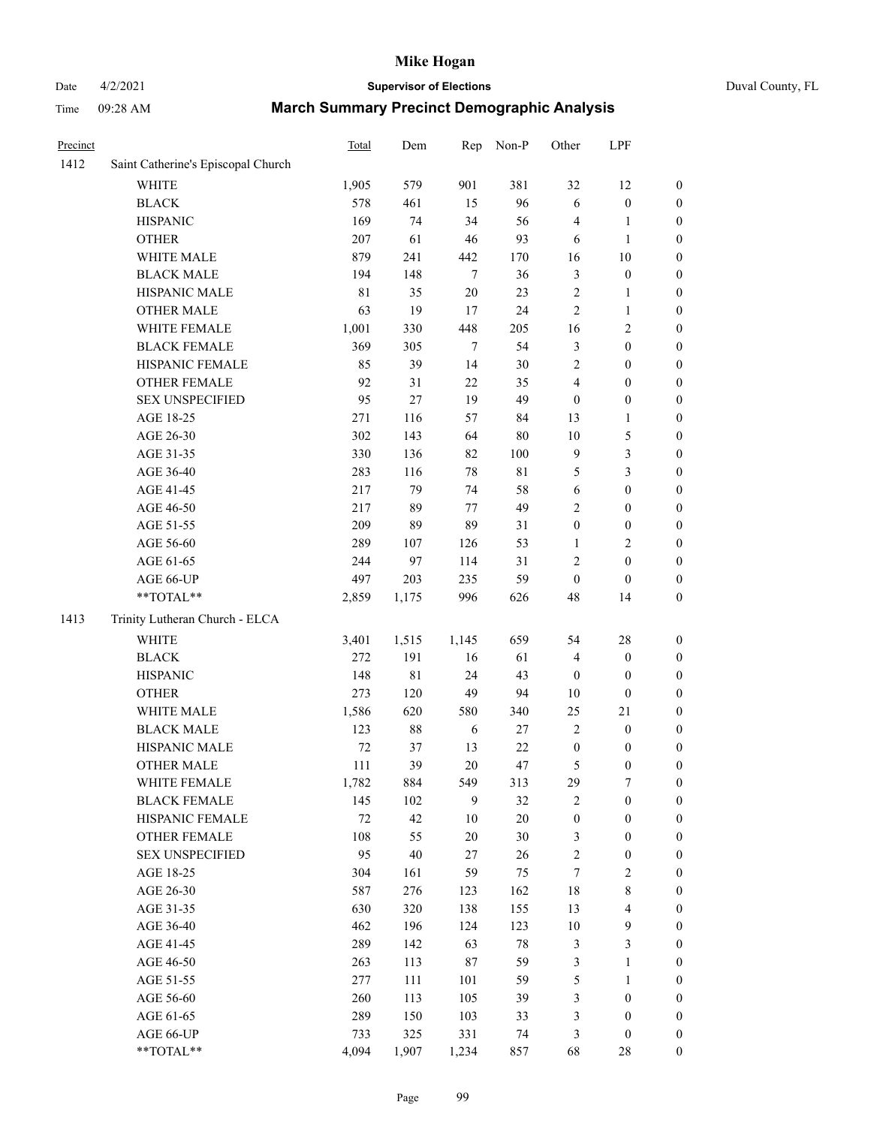# Date 4/2/2021 **Supervisor of Elections** Duval County, FL

| Precinct |                                    | <b>Total</b> | Dem    | Rep    | Non-P       | Other            | LPF              |                  |
|----------|------------------------------------|--------------|--------|--------|-------------|------------------|------------------|------------------|
| 1412     | Saint Catherine's Episcopal Church |              |        |        |             |                  |                  |                  |
|          | <b>WHITE</b>                       | 1,905        | 579    | 901    | 381         | 32               | 12               | 0                |
|          | <b>BLACK</b>                       | 578          | 461    | 15     | 96          | 6                | $\boldsymbol{0}$ | 0                |
|          | <b>HISPANIC</b>                    | 169          | 74     | 34     | 56          | 4                | $\mathbf{1}$     | $\boldsymbol{0}$ |
|          | <b>OTHER</b>                       | 207          | 61     | 46     | 93          | 6                | $\mathbf{1}$     | $\boldsymbol{0}$ |
|          | WHITE MALE                         | 879          | 241    | 442    | 170         | 16               | 10               | $\boldsymbol{0}$ |
|          | <b>BLACK MALE</b>                  | 194          | 148    | $\tau$ | 36          | 3                | $\boldsymbol{0}$ | $\boldsymbol{0}$ |
|          | HISPANIC MALE                      | $8\sqrt{1}$  | 35     | $20\,$ | 23          | $\overline{c}$   | $\mathbf{1}$     | $\boldsymbol{0}$ |
|          | <b>OTHER MALE</b>                  | 63           | 19     | 17     | 24          | $\overline{c}$   | $\mathbf{1}$     | $\boldsymbol{0}$ |
|          | WHITE FEMALE                       | 1,001        | 330    | 448    | 205         | 16               | $\sqrt{2}$       | $\boldsymbol{0}$ |
|          | <b>BLACK FEMALE</b>                | 369          | 305    | $\tau$ | 54          | 3                | $\boldsymbol{0}$ | $\boldsymbol{0}$ |
|          | HISPANIC FEMALE                    | 85           | 39     | 14     | 30          | $\overline{c}$   | $\boldsymbol{0}$ | $\boldsymbol{0}$ |
|          | <b>OTHER FEMALE</b>                | 92           | 31     | 22     | 35          | 4                | $\boldsymbol{0}$ | $\boldsymbol{0}$ |
|          | <b>SEX UNSPECIFIED</b>             | 95           | 27     | 19     | 49          | $\boldsymbol{0}$ | $\boldsymbol{0}$ | $\boldsymbol{0}$ |
|          | AGE 18-25                          | 271          | 116    | 57     | 84          | 13               | $\mathbf{1}$     | $\boldsymbol{0}$ |
|          | AGE 26-30                          | 302          | 143    | 64     | 80          | $10\,$           | 5                | $\boldsymbol{0}$ |
|          | AGE 31-35                          | 330          | 136    | 82     | 100         | 9                | 3                | $\boldsymbol{0}$ |
|          | AGE 36-40                          | 283          | 116    | 78     | $8\sqrt{1}$ | 5                | 3                | $\boldsymbol{0}$ |
|          | AGE 41-45                          | 217          | 79     | 74     | 58          | 6                | $\boldsymbol{0}$ | $\boldsymbol{0}$ |
|          | AGE 46-50                          | 217          | 89     | 77     | 49          | $\overline{c}$   | $\boldsymbol{0}$ | $\boldsymbol{0}$ |
|          | AGE 51-55                          | 209          | 89     | 89     | 31          | $\boldsymbol{0}$ | $\boldsymbol{0}$ | $\boldsymbol{0}$ |
|          | AGE 56-60                          | 289          | 107    | 126    | 53          | $\mathbf{1}$     | $\sqrt{2}$       | $\boldsymbol{0}$ |
|          | AGE 61-65                          | 244          | 97     | 114    | 31          | $\overline{c}$   | $\boldsymbol{0}$ | $\boldsymbol{0}$ |
|          | AGE 66-UP                          | 497          | 203    | 235    | 59          | $\boldsymbol{0}$ | $\boldsymbol{0}$ | $\boldsymbol{0}$ |
|          | $**TOTAL**$                        | 2,859        | 1,175  | 996    | 626         | 48               | 14               | $\boldsymbol{0}$ |
| 1413     | Trinity Lutheran Church - ELCA     |              |        |        |             |                  |                  |                  |
|          | <b>WHITE</b>                       | 3,401        | 1,515  | 1,145  | 659         | 54               | 28               | $\boldsymbol{0}$ |
|          | <b>BLACK</b>                       | 272          | 191    | 16     | 61          | 4                | $\boldsymbol{0}$ | $\boldsymbol{0}$ |
|          | <b>HISPANIC</b>                    | 148          | 81     | 24     | 43          | $\boldsymbol{0}$ | $\boldsymbol{0}$ | $\boldsymbol{0}$ |
|          | <b>OTHER</b>                       | 273          | 120    | 49     | 94          | $10\,$           | $\boldsymbol{0}$ | $\boldsymbol{0}$ |
|          | WHITE MALE                         | 1,586        | 620    | 580    | 340         | 25               | 21               | $\boldsymbol{0}$ |
|          | <b>BLACK MALE</b>                  | 123          | $88\,$ | 6      | 27          | $\overline{c}$   | $\boldsymbol{0}$ | $\boldsymbol{0}$ |
|          | HISPANIC MALE                      | $72\,$       | 37     | 13     | $22\,$      | $\boldsymbol{0}$ | $\boldsymbol{0}$ | 0                |
|          | <b>OTHER MALE</b>                  | 111          | 39     | $20\,$ | 47          | 5                | $\boldsymbol{0}$ | $\boldsymbol{0}$ |
|          | WHITE FEMALE                       | 1,782        | 884    | 549    | 313         | 29               | 7                | 0                |
|          | <b>BLACK FEMALE</b>                | 145          | 102    | 9      | 32          | $\overline{c}$   | $\boldsymbol{0}$ | $\overline{0}$   |
|          | HISPANIC FEMALE                    | $72\,$       | 42     | $10\,$ | 20          | $\boldsymbol{0}$ | $\boldsymbol{0}$ | $\overline{0}$   |
|          | OTHER FEMALE                       | 108          | 55     | $20\,$ | 30          | 3                | $\boldsymbol{0}$ | $\overline{0}$   |
|          | <b>SEX UNSPECIFIED</b>             | 95           | 40     | 27     | 26          | $\overline{c}$   | $\boldsymbol{0}$ | 0                |
|          | AGE 18-25                          | 304          | 161    | 59     | 75          | 7                | $\sqrt{2}$       | 0                |
|          | AGE 26-30                          | 587          | 276    | 123    | 162         | 18               | $\,$ 8 $\,$      | 0                |
|          | AGE 31-35                          | 630          | 320    | 138    | 155         | 13               | $\overline{4}$   | 0                |
|          | AGE 36-40                          | 462          | 196    | 124    | 123         | $10\,$           | $\mathbf{9}$     | 0                |
|          | AGE 41-45                          | 289          | 142    | 63     | 78          | 3                | $\mathfrak{Z}$   | 0                |
|          | AGE 46-50                          | 263          | 113    | 87     | 59          | 3                | $\mathbf{1}$     | 0                |
|          | AGE 51-55                          | 277          | 111    | 101    | 59          | 5                | $\mathbf{1}$     | 0                |
|          | AGE 56-60                          | 260          | 113    | 105    | 39          | 3                | $\boldsymbol{0}$ | 0                |
|          | AGE 61-65                          | 289          | 150    | 103    | 33          | 3                | $\boldsymbol{0}$ | $\overline{0}$   |
|          | AGE 66-UP                          | 733          | 325    | 331    | 74          | 3                | $\boldsymbol{0}$ | 0                |
|          | **TOTAL**                          | 4,094        | 1,907  | 1,234  | 857         | 68               | 28               | $\boldsymbol{0}$ |
|          |                                    |              |        |        |             |                  |                  |                  |